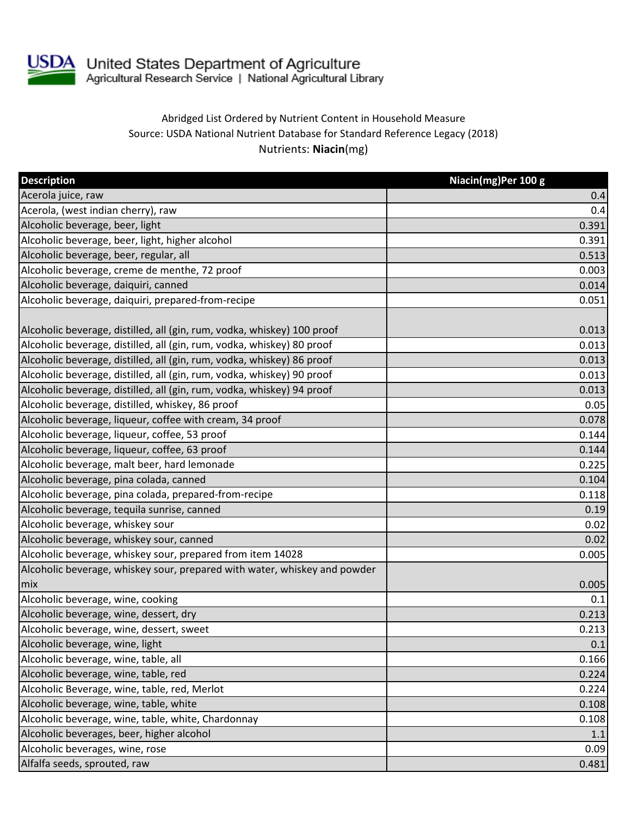

## Abridged List Ordered by Nutrient Content in Household Measure Source: USDA National Nutrient Database for Standard Reference Legacy (2018) Nutrients: **Niacin**(mg)

| <b>Description</b>                                                        | Niacin(mg)Per 100 g |
|---------------------------------------------------------------------------|---------------------|
| Acerola juice, raw                                                        | 0.4                 |
| Acerola, (west indian cherry), raw                                        | 0.4                 |
| Alcoholic beverage, beer, light                                           | 0.391               |
| Alcoholic beverage, beer, light, higher alcohol                           | 0.391               |
| Alcoholic beverage, beer, regular, all                                    | 0.513               |
| Alcoholic beverage, creme de menthe, 72 proof                             | 0.003               |
| Alcoholic beverage, daiquiri, canned                                      | 0.014               |
| Alcoholic beverage, daiquiri, prepared-from-recipe                        | 0.051               |
|                                                                           |                     |
| Alcoholic beverage, distilled, all (gin, rum, vodka, whiskey) 100 proof   | 0.013               |
| Alcoholic beverage, distilled, all (gin, rum, vodka, whiskey) 80 proof    | 0.013               |
| Alcoholic beverage, distilled, all (gin, rum, vodka, whiskey) 86 proof    | 0.013               |
| Alcoholic beverage, distilled, all (gin, rum, vodka, whiskey) 90 proof    | 0.013               |
| Alcoholic beverage, distilled, all (gin, rum, vodka, whiskey) 94 proof    | 0.013               |
| Alcoholic beverage, distilled, whiskey, 86 proof                          | 0.05                |
| Alcoholic beverage, liqueur, coffee with cream, 34 proof                  | 0.078               |
| Alcoholic beverage, liqueur, coffee, 53 proof                             | 0.144               |
| Alcoholic beverage, liqueur, coffee, 63 proof                             | 0.144               |
| Alcoholic beverage, malt beer, hard lemonade                              | 0.225               |
| Alcoholic beverage, pina colada, canned                                   | 0.104               |
| Alcoholic beverage, pina colada, prepared-from-recipe                     | 0.118               |
| Alcoholic beverage, tequila sunrise, canned                               | 0.19                |
| Alcoholic beverage, whiskey sour                                          | 0.02                |
| Alcoholic beverage, whiskey sour, canned                                  | 0.02                |
| Alcoholic beverage, whiskey sour, prepared from item 14028                | 0.005               |
| Alcoholic beverage, whiskey sour, prepared with water, whiskey and powder |                     |
| mix                                                                       | 0.005               |
| Alcoholic beverage, wine, cooking                                         | 0.1                 |
| Alcoholic beverage, wine, dessert, dry                                    | 0.213               |
| Alcoholic beverage, wine, dessert, sweet                                  | 0.213               |
| Alcoholic beverage, wine, light                                           | 0.1                 |
| Alcoholic beverage, wine, table, all                                      | 0.166               |
| Alcoholic beverage, wine, table, red                                      | 0.224               |
| Alcoholic Beverage, wine, table, red, Merlot                              | 0.224               |
| Alcoholic beverage, wine, table, white                                    | 0.108               |
| Alcoholic beverage, wine, table, white, Chardonnay                        | 0.108               |
| Alcoholic beverages, beer, higher alcohol                                 | 1.1                 |
| Alcoholic beverages, wine, rose                                           | 0.09                |
| Alfalfa seeds, sprouted, raw                                              | 0.481               |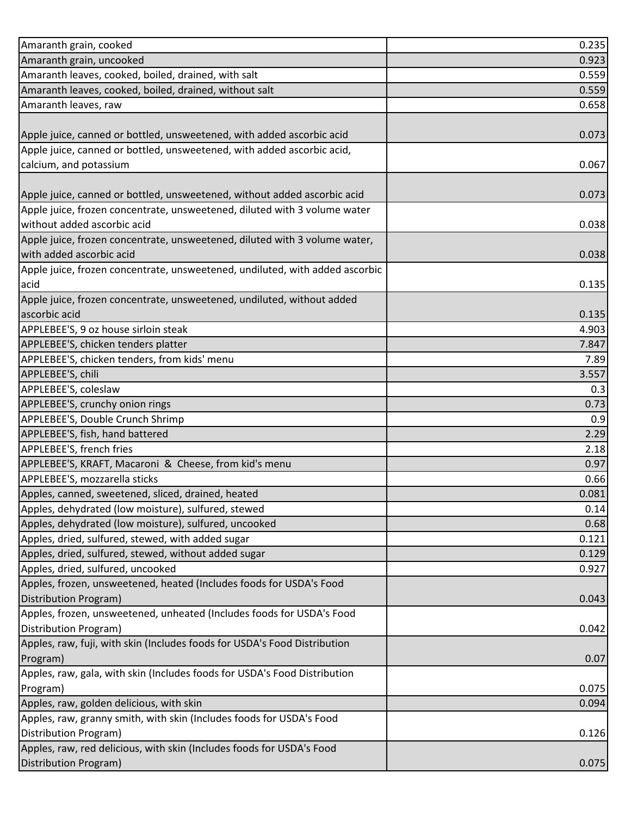| Amaranth grain, cooked                                                       | 0.235 |
|------------------------------------------------------------------------------|-------|
| Amaranth grain, uncooked                                                     | 0.923 |
| Amaranth leaves, cooked, boiled, drained, with salt                          | 0.559 |
| Amaranth leaves, cooked, boiled, drained, without salt                       | 0.559 |
| Amaranth leaves, raw                                                         | 0.658 |
|                                                                              |       |
| Apple juice, canned or bottled, unsweetened, with added ascorbic acid        | 0.073 |
| Apple juice, canned or bottled, unsweetened, with added ascorbic acid,       |       |
| calcium, and potassium                                                       | 0.067 |
|                                                                              |       |
| Apple juice, canned or bottled, unsweetened, without added ascorbic acid     | 0.073 |
| Apple juice, frozen concentrate, unsweetened, diluted with 3 volume water    |       |
| without added ascorbic acid                                                  | 0.038 |
| Apple juice, frozen concentrate, unsweetened, diluted with 3 volume water,   |       |
| with added ascorbic acid                                                     | 0.038 |
| Apple juice, frozen concentrate, unsweetened, undiluted, with added ascorbic |       |
| acid                                                                         | 0.135 |
| Apple juice, frozen concentrate, unsweetened, undiluted, without added       |       |
| ascorbic acid                                                                | 0.135 |
| APPLEBEE'S, 9 oz house sirloin steak                                         | 4.903 |
| APPLEBEE'S, chicken tenders platter                                          | 7.847 |
| APPLEBEE'S, chicken tenders, from kids' menu                                 | 7.89  |
| APPLEBEE'S, chili                                                            | 3.557 |
| APPLEBEE'S, coleslaw                                                         | 0.3   |
| APPLEBEE'S, crunchy onion rings                                              | 0.73  |
| APPLEBEE'S, Double Crunch Shrimp                                             | 0.9   |
| APPLEBEE'S, fish, hand battered                                              | 2.29  |
| APPLEBEE'S, french fries                                                     | 2.18  |
| APPLEBEE'S, KRAFT, Macaroni & Cheese, from kid's menu                        | 0.97  |
| APPLEBEE'S, mozzarella sticks                                                | 0.66  |
| Apples, canned, sweetened, sliced, drained, heated                           | 0.081 |
| Apples, dehydrated (low moisture), sulfured, stewed                          | 0.14  |
| Apples, dehydrated (low moisture), sulfured, uncooked                        | 0.68  |
| Apples, dried, sulfured, stewed, with added sugar                            | 0.121 |
| Apples, dried, sulfured, stewed, without added sugar                         | 0.129 |
| Apples, dried, sulfured, uncooked                                            | 0.927 |
| Apples, frozen, unsweetened, heated (Includes foods for USDA's Food          |       |
| Distribution Program)                                                        | 0.043 |
| Apples, frozen, unsweetened, unheated (Includes foods for USDA's Food        |       |
| Distribution Program)                                                        | 0.042 |
| Apples, raw, fuji, with skin (Includes foods for USDA's Food Distribution    |       |
| Program)                                                                     | 0.07  |
| Apples, raw, gala, with skin (Includes foods for USDA's Food Distribution    |       |
| Program)                                                                     | 0.075 |
| Apples, raw, golden delicious, with skin                                     | 0.094 |
| Apples, raw, granny smith, with skin (Includes foods for USDA's Food         |       |
| Distribution Program)                                                        | 0.126 |
| Apples, raw, red delicious, with skin (Includes foods for USDA's Food        |       |
| <b>Distribution Program)</b>                                                 | 0.075 |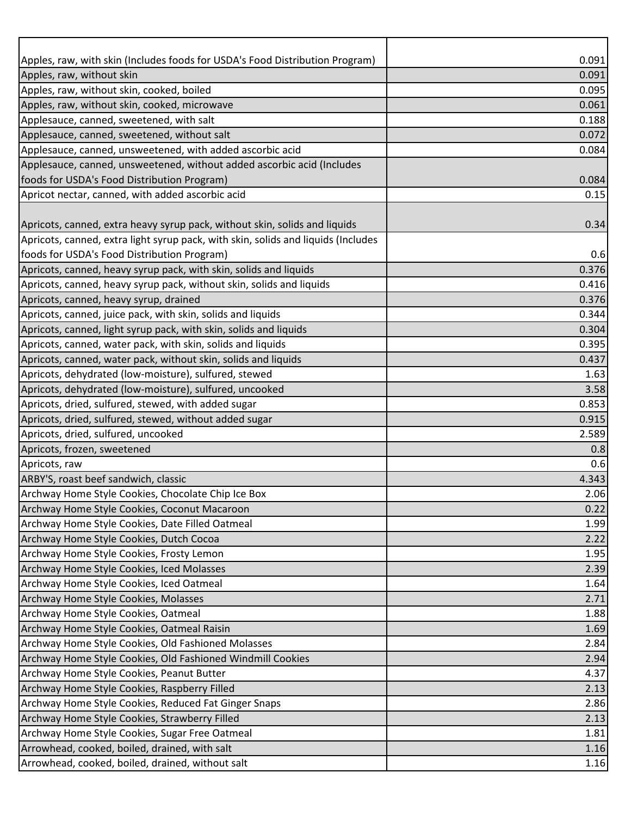| Apples, raw, with skin (Includes foods for USDA's Food Distribution Program)                                  | 0.091          |
|---------------------------------------------------------------------------------------------------------------|----------------|
| Apples, raw, without skin                                                                                     | 0.091          |
| Apples, raw, without skin, cooked, boiled                                                                     | 0.095          |
| Apples, raw, without skin, cooked, microwave                                                                  | 0.061          |
| Applesauce, canned, sweetened, with salt                                                                      | 0.188          |
| Applesauce, canned, sweetened, without salt                                                                   | 0.072          |
| Applesauce, canned, unsweetened, with added ascorbic acid                                                     | 0.084          |
| Applesauce, canned, unsweetened, without added ascorbic acid (Includes                                        |                |
| foods for USDA's Food Distribution Program)                                                                   | 0.084          |
| Apricot nectar, canned, with added ascorbic acid                                                              | 0.15           |
|                                                                                                               |                |
| Apricots, canned, extra heavy syrup pack, without skin, solids and liquids                                    | 0.34           |
| Apricots, canned, extra light syrup pack, with skin, solids and liquids (Includes                             |                |
| foods for USDA's Food Distribution Program)                                                                   | 0.6            |
| Apricots, canned, heavy syrup pack, with skin, solids and liquids                                             | 0.376          |
| Apricots, canned, heavy syrup pack, without skin, solids and liquids                                          | 0.416          |
| Apricots, canned, heavy syrup, drained                                                                        | 0.376          |
| Apricots, canned, juice pack, with skin, solids and liquids                                                   | 0.344          |
| Apricots, canned, light syrup pack, with skin, solids and liquids                                             | 0.304          |
| Apricots, canned, water pack, with skin, solids and liquids                                                   | 0.395          |
| Apricots, canned, water pack, without skin, solids and liquids                                                | 0.437          |
| Apricots, dehydrated (low-moisture), sulfured, stewed                                                         | 1.63           |
| Apricots, dehydrated (low-moisture), sulfured, uncooked                                                       | 3.58           |
| Apricots, dried, sulfured, stewed, with added sugar<br>Apricots, dried, sulfured, stewed, without added sugar | 0.853<br>0.915 |
| Apricots, dried, sulfured, uncooked                                                                           | 2.589          |
| Apricots, frozen, sweetened                                                                                   | 0.8            |
| Apricots, raw                                                                                                 | 0.6            |
| ARBY'S, roast beef sandwich, classic                                                                          | 4.343          |
| Archway Home Style Cookies, Chocolate Chip Ice Box                                                            | 2.06           |
| Archway Home Style Cookies, Coconut Macaroon                                                                  | 0.22           |
| Archway Home Style Cookies, Date Filled Oatmeal                                                               | 1.99           |
| Archway Home Style Cookies, Dutch Cocoa                                                                       | 2.22           |
| Archway Home Style Cookies, Frosty Lemon                                                                      | 1.95           |
| Archway Home Style Cookies, Iced Molasses                                                                     | 2.39           |
| Archway Home Style Cookies, Iced Oatmeal                                                                      | 1.64           |
| Archway Home Style Cookies, Molasses                                                                          | 2.71           |
| Archway Home Style Cookies, Oatmeal                                                                           | 1.88           |
| Archway Home Style Cookies, Oatmeal Raisin                                                                    | 1.69           |
| Archway Home Style Cookies, Old Fashioned Molasses                                                            | 2.84           |
| Archway Home Style Cookies, Old Fashioned Windmill Cookies                                                    | 2.94           |
| Archway Home Style Cookies, Peanut Butter                                                                     | 4.37           |
| Archway Home Style Cookies, Raspberry Filled                                                                  | 2.13           |
| Archway Home Style Cookies, Reduced Fat Ginger Snaps                                                          | 2.86           |
| Archway Home Style Cookies, Strawberry Filled                                                                 | 2.13           |
| Archway Home Style Cookies, Sugar Free Oatmeal                                                                | 1.81           |
| Arrowhead, cooked, boiled, drained, with salt                                                                 | 1.16           |
| Arrowhead, cooked, boiled, drained, without salt                                                              | 1.16           |
|                                                                                                               |                |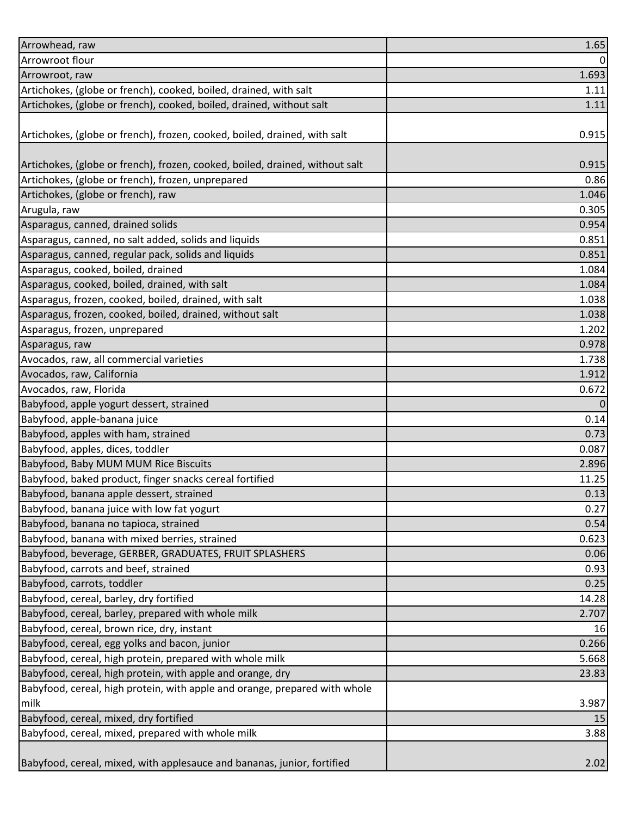| Arrowhead, raw                                                               | 1.65     |
|------------------------------------------------------------------------------|----------|
| Arrowroot flour                                                              | $\Omega$ |
| Arrowroot, raw                                                               | 1.693    |
| Artichokes, (globe or french), cooked, boiled, drained, with salt            | 1.11     |
| Artichokes, (globe or french), cooked, boiled, drained, without salt         | 1.11     |
|                                                                              |          |
| Artichokes, (globe or french), frozen, cooked, boiled, drained, with salt    | 0.915    |
|                                                                              |          |
| Artichokes, (globe or french), frozen, cooked, boiled, drained, without salt | 0.915    |
| Artichokes, (globe or french), frozen, unprepared                            | 0.86     |
| Artichokes, (globe or french), raw                                           | 1.046    |
| Arugula, raw                                                                 | 0.305    |
| Asparagus, canned, drained solids                                            | 0.954    |
| Asparagus, canned, no salt added, solids and liquids                         | 0.851    |
| Asparagus, canned, regular pack, solids and liquids                          | 0.851    |
| Asparagus, cooked, boiled, drained                                           | 1.084    |
| Asparagus, cooked, boiled, drained, with salt                                | 1.084    |
| Asparagus, frozen, cooked, boiled, drained, with salt                        | 1.038    |
| Asparagus, frozen, cooked, boiled, drained, without salt                     | 1.038    |
| Asparagus, frozen, unprepared                                                | 1.202    |
| Asparagus, raw                                                               | 0.978    |
| Avocados, raw, all commercial varieties                                      | 1.738    |
| Avocados, raw, California                                                    | 1.912    |
| Avocados, raw, Florida                                                       | 0.672    |
| Babyfood, apple yogurt dessert, strained                                     | 0        |
| Babyfood, apple-banana juice                                                 | 0.14     |
| Babyfood, apples with ham, strained                                          | 0.73     |
| Babyfood, apples, dices, toddler                                             | 0.087    |
| Babyfood, Baby MUM MUM Rice Biscuits                                         | 2.896    |
| Babyfood, baked product, finger snacks cereal fortified                      | 11.25    |
| Babyfood, banana apple dessert, strained                                     | 0.13     |
| Babyfood, banana juice with low fat yogurt                                   | 0.27     |
| Babyfood, banana no tapioca, strained                                        | 0.54     |
| Babyfood, banana with mixed berries, strained                                | 0.623    |
| Babyfood, beverage, GERBER, GRADUATES, FRUIT SPLASHERS                       | 0.06     |
| Babyfood, carrots and beef, strained                                         | 0.93     |
| Babyfood, carrots, toddler                                                   | 0.25     |
| Babyfood, cereal, barley, dry fortified                                      | 14.28    |
| Babyfood, cereal, barley, prepared with whole milk                           | 2.707    |
| Babyfood, cereal, brown rice, dry, instant                                   | 16       |
| Babyfood, cereal, egg yolks and bacon, junior                                | 0.266    |
| Babyfood, cereal, high protein, prepared with whole milk                     | 5.668    |
| Babyfood, cereal, high protein, with apple and orange, dry                   | 23.83    |
| Babyfood, cereal, high protein, with apple and orange, prepared with whole   |          |
| milk                                                                         | 3.987    |
| Babyfood, cereal, mixed, dry fortified                                       | 15       |
| Babyfood, cereal, mixed, prepared with whole milk                            | 3.88     |
|                                                                              |          |
| Babyfood, cereal, mixed, with applesauce and bananas, junior, fortified      | 2.02     |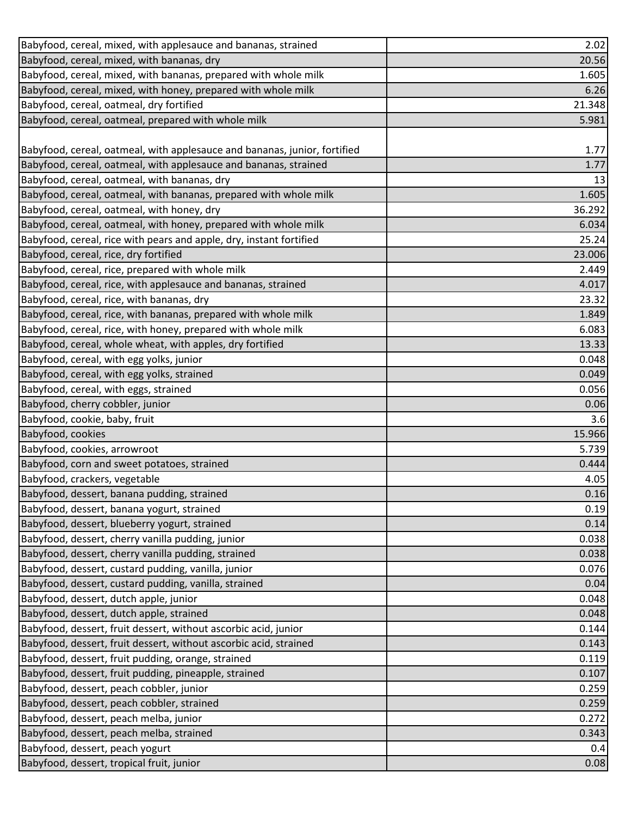| Babyfood, cereal, mixed, with applesauce and bananas, strained            | 2.02   |
|---------------------------------------------------------------------------|--------|
| Babyfood, cereal, mixed, with bananas, dry                                | 20.56  |
| Babyfood, cereal, mixed, with bananas, prepared with whole milk           | 1.605  |
| Babyfood, cereal, mixed, with honey, prepared with whole milk             | 6.26   |
| Babyfood, cereal, oatmeal, dry fortified                                  | 21.348 |
| Babyfood, cereal, oatmeal, prepared with whole milk                       | 5.981  |
|                                                                           |        |
| Babyfood, cereal, oatmeal, with applesauce and bananas, junior, fortified | 1.77   |
| Babyfood, cereal, oatmeal, with applesauce and bananas, strained          | 1.77   |
| Babyfood, cereal, oatmeal, with bananas, dry                              | 13     |
| Babyfood, cereal, oatmeal, with bananas, prepared with whole milk         | 1.605  |
| Babyfood, cereal, oatmeal, with honey, dry                                | 36.292 |
| Babyfood, cereal, oatmeal, with honey, prepared with whole milk           | 6.034  |
| Babyfood, cereal, rice with pears and apple, dry, instant fortified       | 25.24  |
| Babyfood, cereal, rice, dry fortified                                     | 23.006 |
| Babyfood, cereal, rice, prepared with whole milk                          | 2.449  |
| Babyfood, cereal, rice, with applesauce and bananas, strained             | 4.017  |
| Babyfood, cereal, rice, with bananas, dry                                 | 23.32  |
| Babyfood, cereal, rice, with bananas, prepared with whole milk            | 1.849  |
| Babyfood, cereal, rice, with honey, prepared with whole milk              | 6.083  |
| Babyfood, cereal, whole wheat, with apples, dry fortified                 | 13.33  |
| Babyfood, cereal, with egg yolks, junior                                  | 0.048  |
| Babyfood, cereal, with egg yolks, strained                                | 0.049  |
| Babyfood, cereal, with eggs, strained                                     | 0.056  |
| Babyfood, cherry cobbler, junior                                          | 0.06   |
| Babyfood, cookie, baby, fruit                                             | 3.6    |
| Babyfood, cookies                                                         | 15.966 |
| Babyfood, cookies, arrowroot                                              | 5.739  |
| Babyfood, corn and sweet potatoes, strained                               | 0.444  |
| Babyfood, crackers, vegetable                                             | 4.05   |
| Babyfood, dessert, banana pudding, strained                               | 0.16   |
| Babyfood, dessert, banana yogurt, strained                                | 0.19   |
| Babyfood, dessert, blueberry yogurt, strained                             | 0.14   |
| Babyfood, dessert, cherry vanilla pudding, junior                         | 0.038  |
| Babyfood, dessert, cherry vanilla pudding, strained                       | 0.038  |
| Babyfood, dessert, custard pudding, vanilla, junior                       | 0.076  |
| Babyfood, dessert, custard pudding, vanilla, strained                     | 0.04   |
| Babyfood, dessert, dutch apple, junior                                    | 0.048  |
| Babyfood, dessert, dutch apple, strained                                  | 0.048  |
| Babyfood, dessert, fruit dessert, without ascorbic acid, junior           | 0.144  |
| Babyfood, dessert, fruit dessert, without ascorbic acid, strained         | 0.143  |
| Babyfood, dessert, fruit pudding, orange, strained                        | 0.119  |
| Babyfood, dessert, fruit pudding, pineapple, strained                     | 0.107  |
| Babyfood, dessert, peach cobbler, junior                                  | 0.259  |
| Babyfood, dessert, peach cobbler, strained                                | 0.259  |
| Babyfood, dessert, peach melba, junior                                    | 0.272  |
| Babyfood, dessert, peach melba, strained                                  | 0.343  |
| Babyfood, dessert, peach yogurt                                           | 0.4    |
| Babyfood, dessert, tropical fruit, junior                                 | 0.08   |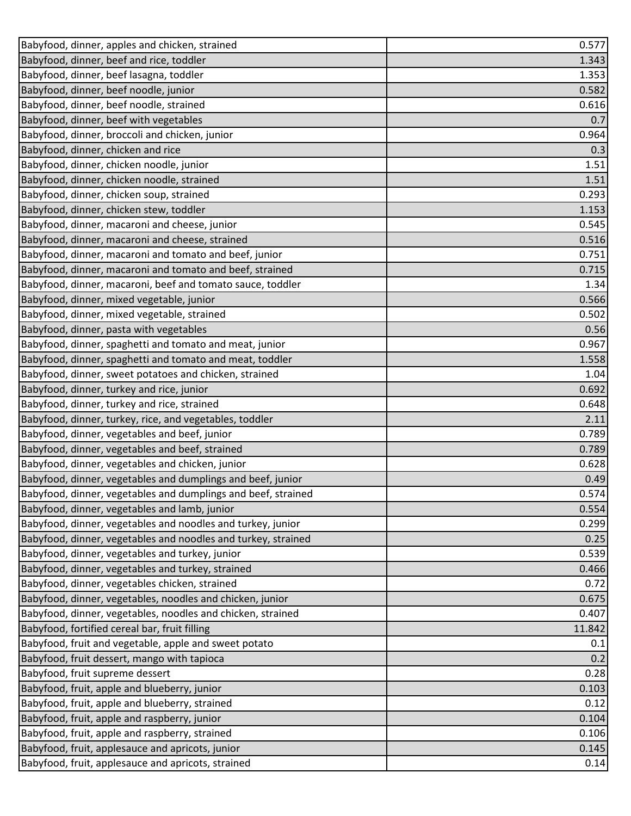| Babyfood, dinner, apples and chicken, strained                | 0.577  |
|---------------------------------------------------------------|--------|
| Babyfood, dinner, beef and rice, toddler                      | 1.343  |
| Babyfood, dinner, beef lasagna, toddler                       | 1.353  |
| Babyfood, dinner, beef noodle, junior                         | 0.582  |
| Babyfood, dinner, beef noodle, strained                       | 0.616  |
| Babyfood, dinner, beef with vegetables                        | 0.7    |
| Babyfood, dinner, broccoli and chicken, junior                | 0.964  |
| Babyfood, dinner, chicken and rice                            | 0.3    |
| Babyfood, dinner, chicken noodle, junior                      | 1.51   |
| Babyfood, dinner, chicken noodle, strained                    | 1.51   |
| Babyfood, dinner, chicken soup, strained                      | 0.293  |
| Babyfood, dinner, chicken stew, toddler                       | 1.153  |
| Babyfood, dinner, macaroni and cheese, junior                 | 0.545  |
| Babyfood, dinner, macaroni and cheese, strained               | 0.516  |
| Babyfood, dinner, macaroni and tomato and beef, junior        | 0.751  |
| Babyfood, dinner, macaroni and tomato and beef, strained      | 0.715  |
| Babyfood, dinner, macaroni, beef and tomato sauce, toddler    | 1.34   |
| Babyfood, dinner, mixed vegetable, junior                     | 0.566  |
| Babyfood, dinner, mixed vegetable, strained                   | 0.502  |
| Babyfood, dinner, pasta with vegetables                       | 0.56   |
| Babyfood, dinner, spaghetti and tomato and meat, junior       | 0.967  |
| Babyfood, dinner, spaghetti and tomato and meat, toddler      | 1.558  |
| Babyfood, dinner, sweet potatoes and chicken, strained        | 1.04   |
| Babyfood, dinner, turkey and rice, junior                     | 0.692  |
| Babyfood, dinner, turkey and rice, strained                   | 0.648  |
| Babyfood, dinner, turkey, rice, and vegetables, toddler       | 2.11   |
| Babyfood, dinner, vegetables and beef, junior                 | 0.789  |
| Babyfood, dinner, vegetables and beef, strained               | 0.789  |
| Babyfood, dinner, vegetables and chicken, junior              | 0.628  |
| Babyfood, dinner, vegetables and dumplings and beef, junior   | 0.49   |
| Babyfood, dinner, vegetables and dumplings and beef, strained | 0.574  |
| Babyfood, dinner, vegetables and lamb, junior                 | 0.554  |
| Babyfood, dinner, vegetables and noodles and turkey, junior   | 0.299  |
| Babyfood, dinner, vegetables and noodles and turkey, strained | 0.25   |
| Babyfood, dinner, vegetables and turkey, junior               | 0.539  |
| Babyfood, dinner, vegetables and turkey, strained             | 0.466  |
| Babyfood, dinner, vegetables chicken, strained                | 0.72   |
| Babyfood, dinner, vegetables, noodles and chicken, junior     | 0.675  |
| Babyfood, dinner, vegetables, noodles and chicken, strained   | 0.407  |
| Babyfood, fortified cereal bar, fruit filling                 | 11.842 |
| Babyfood, fruit and vegetable, apple and sweet potato         | 0.1    |
| Babyfood, fruit dessert, mango with tapioca                   | 0.2    |
| Babyfood, fruit supreme dessert                               | 0.28   |
| Babyfood, fruit, apple and blueberry, junior                  | 0.103  |
| Babyfood, fruit, apple and blueberry, strained                | 0.12   |
| Babyfood, fruit, apple and raspberry, junior                  | 0.104  |
| Babyfood, fruit, apple and raspberry, strained                | 0.106  |
| Babyfood, fruit, applesauce and apricots, junior              | 0.145  |
| Babyfood, fruit, applesauce and apricots, strained            | 0.14   |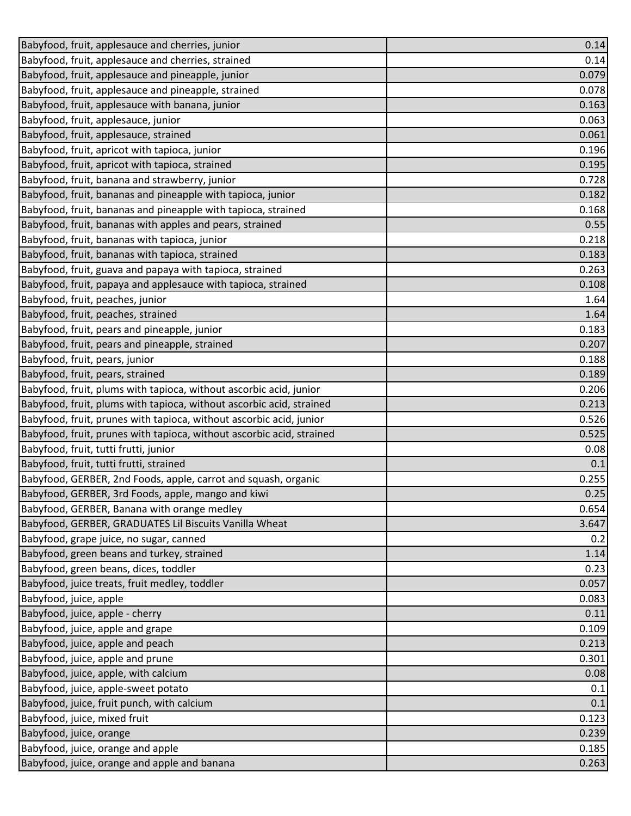| Babyfood, fruit, applesauce and cherries, junior                      | 0.14  |
|-----------------------------------------------------------------------|-------|
| Babyfood, fruit, applesauce and cherries, strained                    | 0.14  |
| Babyfood, fruit, applesauce and pineapple, junior                     | 0.079 |
| Babyfood, fruit, applesauce and pineapple, strained                   | 0.078 |
| Babyfood, fruit, applesauce with banana, junior                       | 0.163 |
| Babyfood, fruit, applesauce, junior                                   | 0.063 |
| Babyfood, fruit, applesauce, strained                                 | 0.061 |
| Babyfood, fruit, apricot with tapioca, junior                         | 0.196 |
| Babyfood, fruit, apricot with tapioca, strained                       | 0.195 |
| Babyfood, fruit, banana and strawberry, junior                        | 0.728 |
| Babyfood, fruit, bananas and pineapple with tapioca, junior           | 0.182 |
| Babyfood, fruit, bananas and pineapple with tapioca, strained         | 0.168 |
| Babyfood, fruit, bananas with apples and pears, strained              | 0.55  |
| Babyfood, fruit, bananas with tapioca, junior                         | 0.218 |
| Babyfood, fruit, bananas with tapioca, strained                       | 0.183 |
| Babyfood, fruit, guava and papaya with tapioca, strained              | 0.263 |
| Babyfood, fruit, papaya and applesauce with tapioca, strained         | 0.108 |
| Babyfood, fruit, peaches, junior                                      | 1.64  |
| Babyfood, fruit, peaches, strained                                    | 1.64  |
| Babyfood, fruit, pears and pineapple, junior                          | 0.183 |
| Babyfood, fruit, pears and pineapple, strained                        | 0.207 |
| Babyfood, fruit, pears, junior                                        | 0.188 |
| Babyfood, fruit, pears, strained                                      | 0.189 |
| Babyfood, fruit, plums with tapioca, without ascorbic acid, junior    | 0.206 |
| Babyfood, fruit, plums with tapioca, without ascorbic acid, strained  | 0.213 |
| Babyfood, fruit, prunes with tapioca, without ascorbic acid, junior   | 0.526 |
| Babyfood, fruit, prunes with tapioca, without ascorbic acid, strained | 0.525 |
| Babyfood, fruit, tutti frutti, junior                                 | 0.08  |
| Babyfood, fruit, tutti frutti, strained                               | 0.1   |
| Babyfood, GERBER, 2nd Foods, apple, carrot and squash, organic        | 0.255 |
| Babyfood, GERBER, 3rd Foods, apple, mango and kiwi                    | 0.25  |
| Babyfood, GERBER, Banana with orange medley                           | 0.654 |
| Babyfood, GERBER, GRADUATES Lil Biscuits Vanilla Wheat                | 3.647 |
| Babyfood, grape juice, no sugar, canned                               | 0.2   |
| Babyfood, green beans and turkey, strained                            | 1.14  |
| Babyfood, green beans, dices, toddler                                 | 0.23  |
| Babyfood, juice treats, fruit medley, toddler                         | 0.057 |
| Babyfood, juice, apple                                                | 0.083 |
| Babyfood, juice, apple - cherry                                       | 0.11  |
| Babyfood, juice, apple and grape                                      | 0.109 |
| Babyfood, juice, apple and peach                                      | 0.213 |
| Babyfood, juice, apple and prune                                      | 0.301 |
| Babyfood, juice, apple, with calcium                                  | 0.08  |
| Babyfood, juice, apple-sweet potato                                   | 0.1   |
| Babyfood, juice, fruit punch, with calcium                            | 0.1   |
| Babyfood, juice, mixed fruit                                          | 0.123 |
| Babyfood, juice, orange                                               | 0.239 |
| Babyfood, juice, orange and apple                                     | 0.185 |
| Babyfood, juice, orange and apple and banana                          | 0.263 |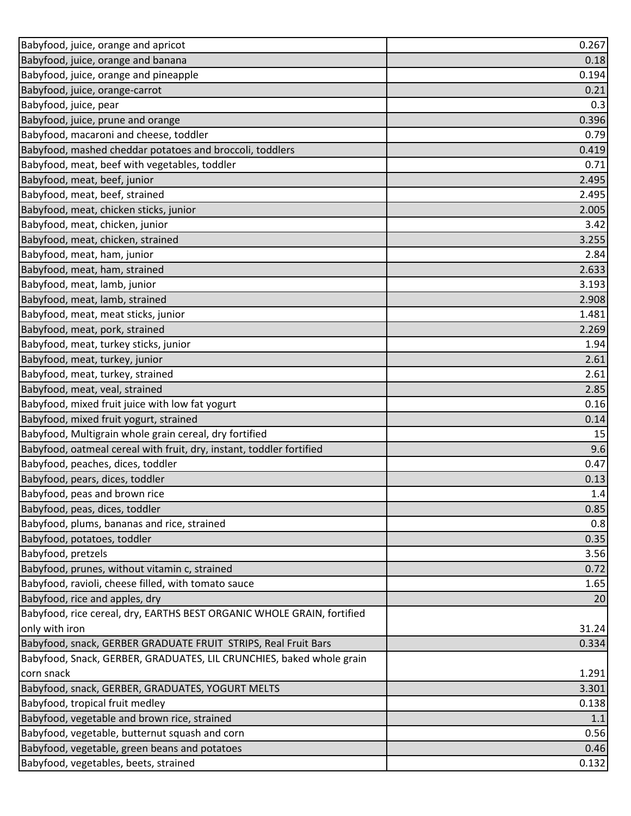| Babyfood, juice, orange and apricot                                    | 0.267 |
|------------------------------------------------------------------------|-------|
| Babyfood, juice, orange and banana                                     | 0.18  |
| Babyfood, juice, orange and pineapple                                  | 0.194 |
| Babyfood, juice, orange-carrot                                         | 0.21  |
| Babyfood, juice, pear                                                  | 0.3   |
| Babyfood, juice, prune and orange                                      | 0.396 |
| Babyfood, macaroni and cheese, toddler                                 | 0.79  |
| Babyfood, mashed cheddar potatoes and broccoli, toddlers               | 0.419 |
| Babyfood, meat, beef with vegetables, toddler                          | 0.71  |
| Babyfood, meat, beef, junior                                           | 2.495 |
| Babyfood, meat, beef, strained                                         | 2.495 |
| Babyfood, meat, chicken sticks, junior                                 | 2.005 |
| Babyfood, meat, chicken, junior                                        | 3.42  |
| Babyfood, meat, chicken, strained                                      | 3.255 |
| Babyfood, meat, ham, junior                                            | 2.84  |
| Babyfood, meat, ham, strained                                          | 2.633 |
| Babyfood, meat, lamb, junior                                           | 3.193 |
| Babyfood, meat, lamb, strained                                         | 2.908 |
| Babyfood, meat, meat sticks, junior                                    | 1.481 |
| Babyfood, meat, pork, strained                                         | 2.269 |
| Babyfood, meat, turkey sticks, junior                                  | 1.94  |
| Babyfood, meat, turkey, junior                                         | 2.61  |
| Babyfood, meat, turkey, strained                                       | 2.61  |
| Babyfood, meat, veal, strained                                         | 2.85  |
| Babyfood, mixed fruit juice with low fat yogurt                        | 0.16  |
| Babyfood, mixed fruit yogurt, strained                                 | 0.14  |
| Babyfood, Multigrain whole grain cereal, dry fortified                 | 15    |
| Babyfood, oatmeal cereal with fruit, dry, instant, toddler fortified   | 9.6   |
| Babyfood, peaches, dices, toddler                                      | 0.47  |
| Babyfood, pears, dices, toddler                                        | 0.13  |
| Babyfood, peas and brown rice                                          | 1.4   |
| Babyfood, peas, dices, toddler                                         | 0.85  |
| Babyfood, plums, bananas and rice, strained                            | 0.8   |
| Babyfood, potatoes, toddler                                            | 0.35  |
| Babyfood, pretzels                                                     | 3.56  |
| Babyfood, prunes, without vitamin c, strained                          | 0.72  |
| Babyfood, ravioli, cheese filled, with tomato sauce                    | 1.65  |
| Babyfood, rice and apples, dry                                         | 20    |
| Babyfood, rice cereal, dry, EARTHS BEST ORGANIC WHOLE GRAIN, fortified |       |
| only with iron                                                         | 31.24 |
| Babyfood, snack, GERBER GRADUATE FRUIT STRIPS, Real Fruit Bars         | 0.334 |
| Babyfood, Snack, GERBER, GRADUATES, LIL CRUNCHIES, baked whole grain   |       |
| corn snack                                                             | 1.291 |
| Babyfood, snack, GERBER, GRADUATES, YOGURT MELTS                       | 3.301 |
| Babyfood, tropical fruit medley                                        | 0.138 |
| Babyfood, vegetable and brown rice, strained                           | 1.1   |
| Babyfood, vegetable, butternut squash and corn                         | 0.56  |
| Babyfood, vegetable, green beans and potatoes                          | 0.46  |
| Babyfood, vegetables, beets, strained                                  | 0.132 |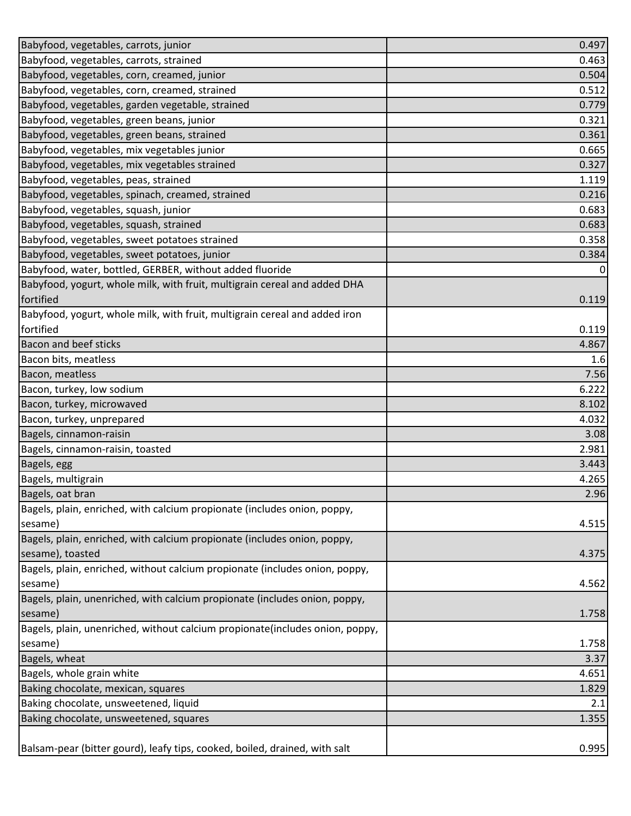| Babyfood, vegetables, carrots, junior                                        | 0.497          |
|------------------------------------------------------------------------------|----------------|
| Babyfood, vegetables, carrots, strained                                      | 0.463          |
| Babyfood, vegetables, corn, creamed, junior                                  | 0.504          |
| Babyfood, vegetables, corn, creamed, strained                                | 0.512          |
| Babyfood, vegetables, garden vegetable, strained                             | 0.779          |
| Babyfood, vegetables, green beans, junior                                    | 0.321          |
| Babyfood, vegetables, green beans, strained                                  | 0.361          |
| Babyfood, vegetables, mix vegetables junior                                  | 0.665          |
| Babyfood, vegetables, mix vegetables strained                                | 0.327          |
| Babyfood, vegetables, peas, strained                                         | 1.119          |
| Babyfood, vegetables, spinach, creamed, strained                             | 0.216          |
| Babyfood, vegetables, squash, junior                                         | 0.683          |
| Babyfood, vegetables, squash, strained                                       | 0.683          |
| Babyfood, vegetables, sweet potatoes strained                                | 0.358          |
| Babyfood, vegetables, sweet potatoes, junior                                 | 0.384          |
| Babyfood, water, bottled, GERBER, without added fluoride                     | $\overline{0}$ |
| Babyfood, yogurt, whole milk, with fruit, multigrain cereal and added DHA    |                |
| fortified                                                                    | 0.119          |
| Babyfood, yogurt, whole milk, with fruit, multigrain cereal and added iron   |                |
| fortified                                                                    | 0.119          |
| <b>Bacon and beef sticks</b>                                                 | 4.867          |
| Bacon bits, meatless                                                         | 1.6            |
| Bacon, meatless                                                              | 7.56           |
| Bacon, turkey, low sodium                                                    | 6.222          |
| Bacon, turkey, microwaved                                                    | 8.102          |
| Bacon, turkey, unprepared                                                    | 4.032          |
| Bagels, cinnamon-raisin                                                      | 3.08           |
| Bagels, cinnamon-raisin, toasted                                             | 2.981          |
| Bagels, egg                                                                  | 3.443          |
| Bagels, multigrain                                                           | 4.265          |
| Bagels, oat bran                                                             | 2.96           |
| Bagels, plain, enriched, with calcium propionate (includes onion, poppy,     |                |
| sesame)                                                                      | 4.515          |
| Bagels, plain, enriched, with calcium propionate (includes onion, poppy,     |                |
| sesame), toasted                                                             | 4.375          |
| Bagels, plain, enriched, without calcium propionate (includes onion, poppy,  |                |
| sesame)                                                                      | 4.562          |
| Bagels, plain, unenriched, with calcium propionate (includes onion, poppy,   |                |
| sesame)                                                                      | 1.758          |
| Bagels, plain, unenriched, without calcium propionate(includes onion, poppy, |                |
| sesame)                                                                      | 1.758          |
| Bagels, wheat                                                                | 3.37           |
| Bagels, whole grain white                                                    | 4.651          |
| Baking chocolate, mexican, squares                                           | 1.829          |
| Baking chocolate, unsweetened, liquid                                        | 2.1            |
| Baking chocolate, unsweetened, squares                                       | 1.355          |
|                                                                              |                |
| Balsam-pear (bitter gourd), leafy tips, cooked, boiled, drained, with salt   | 0.995          |
|                                                                              |                |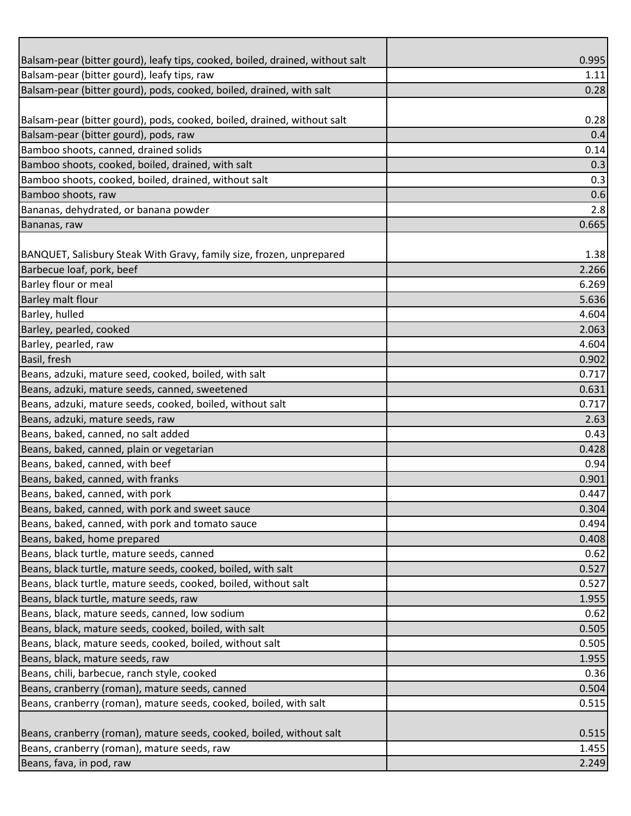| Balsam-pear (bitter gourd), leafy tips, cooked, boiled, drained, without salt | 0.995 |
|-------------------------------------------------------------------------------|-------|
| Balsam-pear (bitter gourd), leafy tips, raw                                   | 1.11  |
| Balsam-pear (bitter gourd), pods, cooked, boiled, drained, with salt          | 0.28  |
|                                                                               |       |
| Balsam-pear (bitter gourd), pods, cooked, boiled, drained, without salt       | 0.28  |
| Balsam-pear (bitter gourd), pods, raw                                         | 0.4   |
| Bamboo shoots, canned, drained solids                                         | 0.14  |
| Bamboo shoots, cooked, boiled, drained, with salt                             | 0.3   |
| Bamboo shoots, cooked, boiled, drained, without salt                          | 0.3   |
| Bamboo shoots, raw                                                            | 0.6   |
| Bananas, dehydrated, or banana powder                                         | 2.8   |
| Bananas, raw                                                                  | 0.665 |
|                                                                               |       |
| BANQUET, Salisbury Steak With Gravy, family size, frozen, unprepared          | 1.38  |
| Barbecue loaf, pork, beef                                                     | 2.266 |
| Barley flour or meal                                                          | 6.269 |
| <b>Barley malt flour</b>                                                      | 5.636 |
| Barley, hulled                                                                | 4.604 |
| Barley, pearled, cooked                                                       | 2.063 |
| Barley, pearled, raw                                                          | 4.604 |
| Basil, fresh                                                                  | 0.902 |
| Beans, adzuki, mature seed, cooked, boiled, with salt                         | 0.717 |
| Beans, adzuki, mature seeds, canned, sweetened                                | 0.631 |
| Beans, adzuki, mature seeds, cooked, boiled, without salt                     | 0.717 |
| Beans, adzuki, mature seeds, raw                                              | 2.63  |
| Beans, baked, canned, no salt added                                           | 0.43  |
| Beans, baked, canned, plain or vegetarian                                     | 0.428 |
| Beans, baked, canned, with beef                                               | 0.94  |
| Beans, baked, canned, with franks                                             | 0.901 |
| Beans, baked, canned, with pork                                               | 0.447 |
| Beans, baked, canned, with pork and sweet sauce                               | 0.304 |
| Beans, baked, canned, with pork and tomato sauce                              | 0.494 |
| Beans, baked, home prepared                                                   | 0.408 |
| Beans, black turtle, mature seeds, canned                                     | 0.62  |
| Beans, black turtle, mature seeds, cooked, boiled, with salt                  | 0.527 |
| Beans, black turtle, mature seeds, cooked, boiled, without salt               | 0.527 |
| Beans, black turtle, mature seeds, raw                                        | 1.955 |
| Beans, black, mature seeds, canned, low sodium                                | 0.62  |
| Beans, black, mature seeds, cooked, boiled, with salt                         | 0.505 |
| Beans, black, mature seeds, cooked, boiled, without salt                      | 0.505 |
| Beans, black, mature seeds, raw                                               | 1.955 |
| Beans, chili, barbecue, ranch style, cooked                                   | 0.36  |
| Beans, cranberry (roman), mature seeds, canned                                | 0.504 |
| Beans, cranberry (roman), mature seeds, cooked, boiled, with salt             | 0.515 |
|                                                                               |       |
| Beans, cranberry (roman), mature seeds, cooked, boiled, without salt          | 0.515 |
| Beans, cranberry (roman), mature seeds, raw                                   | 1.455 |
| Beans, fava, in pod, raw                                                      | 2.249 |
|                                                                               |       |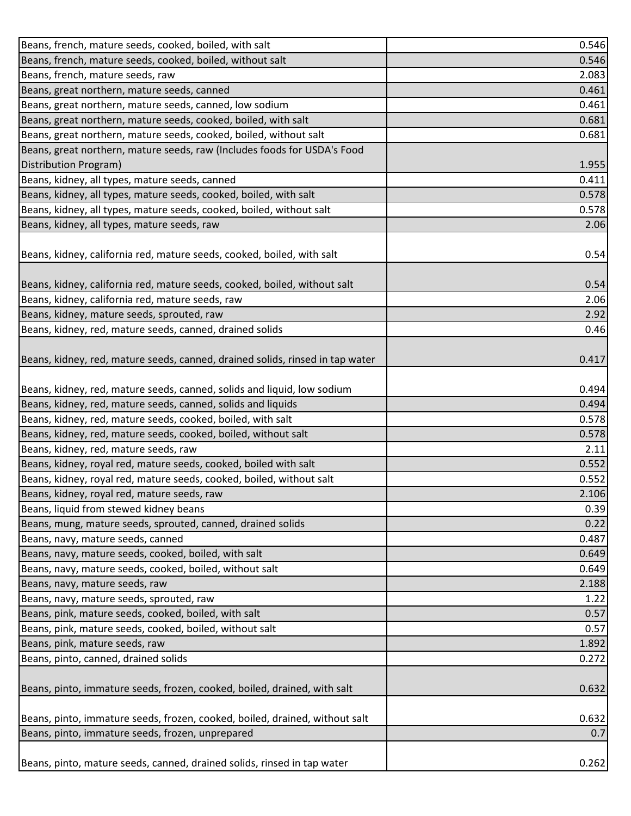| Beans, french, mature seeds, cooked, boiled, with salt                                | 0.546 |
|---------------------------------------------------------------------------------------|-------|
| Beans, french, mature seeds, cooked, boiled, without salt                             | 0.546 |
| Beans, french, mature seeds, raw                                                      | 2.083 |
| Beans, great northern, mature seeds, canned                                           | 0.461 |
| Beans, great northern, mature seeds, canned, low sodium                               | 0.461 |
| Beans, great northern, mature seeds, cooked, boiled, with salt                        | 0.681 |
| Beans, great northern, mature seeds, cooked, boiled, without salt                     | 0.681 |
| Beans, great northern, mature seeds, raw (Includes foods for USDA's Food              |       |
| Distribution Program)                                                                 | 1.955 |
| Beans, kidney, all types, mature seeds, canned                                        | 0.411 |
| Beans, kidney, all types, mature seeds, cooked, boiled, with salt                     | 0.578 |
| Beans, kidney, all types, mature seeds, cooked, boiled, without salt                  | 0.578 |
| Beans, kidney, all types, mature seeds, raw                                           | 2.06  |
|                                                                                       |       |
| Beans, kidney, california red, mature seeds, cooked, boiled, with salt                | 0.54  |
|                                                                                       |       |
| Beans, kidney, california red, mature seeds, cooked, boiled, without salt             | 0.54  |
| Beans, kidney, california red, mature seeds, raw                                      | 2.06  |
| Beans, kidney, mature seeds, sprouted, raw                                            | 2.92  |
| Beans, kidney, red, mature seeds, canned, drained solids                              | 0.46  |
|                                                                                       |       |
| Beans, kidney, red, mature seeds, canned, drained solids, rinsed in tap water         | 0.417 |
|                                                                                       |       |
| Beans, kidney, red, mature seeds, canned, solids and liquid, low sodium               | 0.494 |
| Beans, kidney, red, mature seeds, canned, solids and liquids                          | 0.494 |
| Beans, kidney, red, mature seeds, cooked, boiled, with salt                           | 0.578 |
| Beans, kidney, red, mature seeds, cooked, boiled, without salt                        | 0.578 |
| Beans, kidney, red, mature seeds, raw                                                 | 2.11  |
| Beans, kidney, royal red, mature seeds, cooked, boiled with salt                      | 0.552 |
| Beans, kidney, royal red, mature seeds, cooked, boiled, without salt                  | 0.552 |
|                                                                                       |       |
| Beans, kidney, royal red, mature seeds, raw<br>Beans, liquid from stewed kidney beans | 2.106 |
| Beans, mung, mature seeds, sprouted, canned, drained solids                           | 0.39  |
|                                                                                       | 0.22  |
| Beans, navy, mature seeds, canned                                                     | 0.487 |
| Beans, navy, mature seeds, cooked, boiled, with salt                                  | 0.649 |
| Beans, navy, mature seeds, cooked, boiled, without salt                               | 0.649 |
| Beans, navy, mature seeds, raw                                                        | 2.188 |
| Beans, navy, mature seeds, sprouted, raw                                              | 1.22  |
| Beans, pink, mature seeds, cooked, boiled, with salt                                  | 0.57  |
| Beans, pink, mature seeds, cooked, boiled, without salt                               | 0.57  |
| Beans, pink, mature seeds, raw                                                        | 1.892 |
| Beans, pinto, canned, drained solids                                                  | 0.272 |
|                                                                                       |       |
| Beans, pinto, immature seeds, frozen, cooked, boiled, drained, with salt              | 0.632 |
|                                                                                       |       |
| Beans, pinto, immature seeds, frozen, cooked, boiled, drained, without salt           | 0.632 |
| Beans, pinto, immature seeds, frozen, unprepared                                      | 0.7   |
|                                                                                       |       |
| Beans, pinto, mature seeds, canned, drained solids, rinsed in tap water               | 0.262 |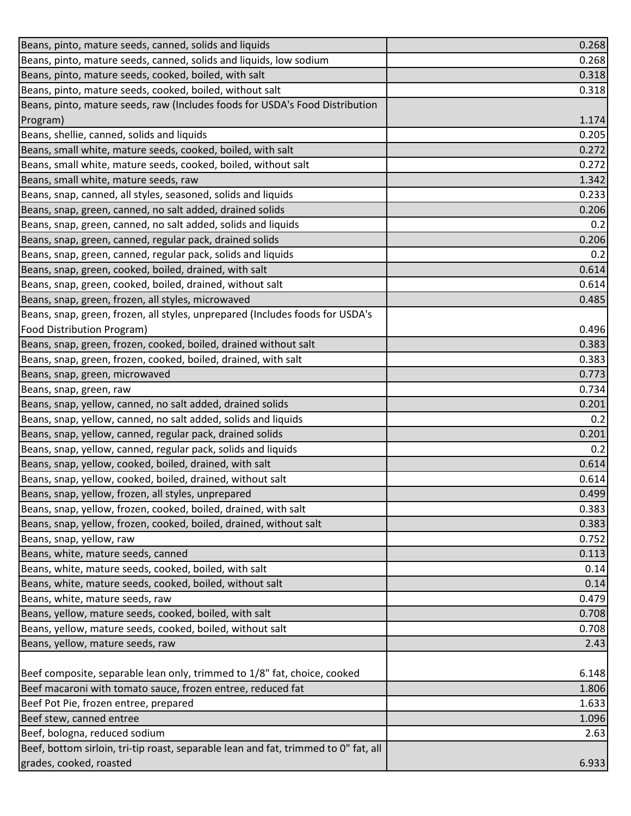| Beans, pinto, mature seeds, canned, solids and liquids                              | 0.268 |
|-------------------------------------------------------------------------------------|-------|
| Beans, pinto, mature seeds, canned, solids and liquids, low sodium                  | 0.268 |
| Beans, pinto, mature seeds, cooked, boiled, with salt                               | 0.318 |
| Beans, pinto, mature seeds, cooked, boiled, without salt                            | 0.318 |
| Beans, pinto, mature seeds, raw (Includes foods for USDA's Food Distribution        |       |
| Program)                                                                            | 1.174 |
| Beans, shellie, canned, solids and liquids                                          | 0.205 |
| Beans, small white, mature seeds, cooked, boiled, with salt                         | 0.272 |
| Beans, small white, mature seeds, cooked, boiled, without salt                      | 0.272 |
| Beans, small white, mature seeds, raw                                               | 1.342 |
| Beans, snap, canned, all styles, seasoned, solids and liquids                       | 0.233 |
| Beans, snap, green, canned, no salt added, drained solids                           | 0.206 |
| Beans, snap, green, canned, no salt added, solids and liquids                       | 0.2   |
| Beans, snap, green, canned, regular pack, drained solids                            | 0.206 |
| Beans, snap, green, canned, regular pack, solids and liquids                        | 0.2   |
| Beans, snap, green, cooked, boiled, drained, with salt                              | 0.614 |
| Beans, snap, green, cooked, boiled, drained, without salt                           | 0.614 |
| Beans, snap, green, frozen, all styles, microwaved                                  | 0.485 |
| Beans, snap, green, frozen, all styles, unprepared (Includes foods for USDA's       |       |
| <b>Food Distribution Program)</b>                                                   | 0.496 |
| Beans, snap, green, frozen, cooked, boiled, drained without salt                    | 0.383 |
| Beans, snap, green, frozen, cooked, boiled, drained, with salt                      | 0.383 |
| Beans, snap, green, microwaved                                                      | 0.773 |
| Beans, snap, green, raw                                                             | 0.734 |
| Beans, snap, yellow, canned, no salt added, drained solids                          | 0.201 |
| Beans, snap, yellow, canned, no salt added, solids and liquids                      | 0.2   |
| Beans, snap, yellow, canned, regular pack, drained solids                           | 0.201 |
| Beans, snap, yellow, canned, regular pack, solids and liquids                       | 0.2   |
| Beans, snap, yellow, cooked, boiled, drained, with salt                             | 0.614 |
| Beans, snap, yellow, cooked, boiled, drained, without salt                          | 0.614 |
| Beans, snap, yellow, frozen, all styles, unprepared                                 | 0.499 |
| Beans, snap, yellow, frozen, cooked, boiled, drained, with salt                     | 0.383 |
| Beans, snap, yellow, frozen, cooked, boiled, drained, without salt                  | 0.383 |
| Beans, snap, yellow, raw                                                            | 0.752 |
| Beans, white, mature seeds, canned                                                  | 0.113 |
| Beans, white, mature seeds, cooked, boiled, with salt                               | 0.14  |
| Beans, white, mature seeds, cooked, boiled, without salt                            | 0.14  |
| Beans, white, mature seeds, raw                                                     | 0.479 |
| Beans, yellow, mature seeds, cooked, boiled, with salt                              | 0.708 |
| Beans, yellow, mature seeds, cooked, boiled, without salt                           | 0.708 |
| Beans, yellow, mature seeds, raw                                                    | 2.43  |
|                                                                                     |       |
| Beef composite, separable lean only, trimmed to 1/8" fat, choice, cooked            | 6.148 |
| Beef macaroni with tomato sauce, frozen entree, reduced fat                         | 1.806 |
| Beef Pot Pie, frozen entree, prepared                                               | 1.633 |
| Beef stew, canned entree                                                            | 1.096 |
| Beef, bologna, reduced sodium                                                       | 2.63  |
| Beef, bottom sirloin, tri-tip roast, separable lean and fat, trimmed to 0" fat, all |       |
| grades, cooked, roasted                                                             | 6.933 |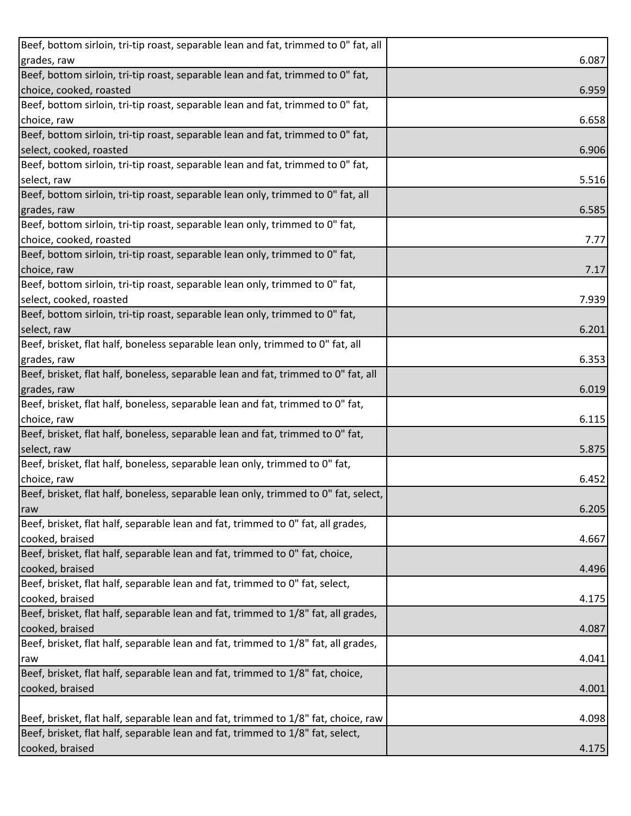| Beef, bottom sirloin, tri-tip roast, separable lean and fat, trimmed to 0" fat, all |       |
|-------------------------------------------------------------------------------------|-------|
| grades, raw                                                                         | 6.087 |
| Beef, bottom sirloin, tri-tip roast, separable lean and fat, trimmed to 0" fat,     |       |
| choice, cooked, roasted                                                             | 6.959 |
| Beef, bottom sirloin, tri-tip roast, separable lean and fat, trimmed to 0" fat,     |       |
| choice, raw                                                                         | 6.658 |
| Beef, bottom sirloin, tri-tip roast, separable lean and fat, trimmed to 0" fat,     |       |
| select, cooked, roasted                                                             | 6.906 |
| Beef, bottom sirloin, tri-tip roast, separable lean and fat, trimmed to 0" fat,     |       |
| select, raw                                                                         | 5.516 |
| Beef, bottom sirloin, tri-tip roast, separable lean only, trimmed to 0" fat, all    |       |
| grades, raw                                                                         | 6.585 |
| Beef, bottom sirloin, tri-tip roast, separable lean only, trimmed to 0" fat,        |       |
| choice, cooked, roasted                                                             | 7.77  |
| Beef, bottom sirloin, tri-tip roast, separable lean only, trimmed to 0" fat,        |       |
| choice, raw                                                                         | 7.17  |
| Beef, bottom sirloin, tri-tip roast, separable lean only, trimmed to 0" fat,        |       |
| select, cooked, roasted                                                             | 7.939 |
| Beef, bottom sirloin, tri-tip roast, separable lean only, trimmed to 0" fat,        |       |
| select, raw                                                                         | 6.201 |
| Beef, brisket, flat half, boneless separable lean only, trimmed to 0" fat, all      |       |
| grades, raw                                                                         | 6.353 |
| Beef, brisket, flat half, boneless, separable lean and fat, trimmed to 0" fat, all  |       |
| grades, raw                                                                         | 6.019 |
| Beef, brisket, flat half, boneless, separable lean and fat, trimmed to 0" fat,      |       |
| choice, raw                                                                         | 6.115 |
| Beef, brisket, flat half, boneless, separable lean and fat, trimmed to 0" fat,      |       |
| select, raw                                                                         | 5.875 |
| Beef, brisket, flat half, boneless, separable lean only, trimmed to 0" fat,         |       |
| choice, raw                                                                         | 6.452 |
| Beef, brisket, flat half, boneless, separable lean only, trimmed to 0" fat, select, |       |
| raw                                                                                 | 6.205 |
| Beef, brisket, flat half, separable lean and fat, trimmed to 0" fat, all grades,    |       |
| cooked, braised                                                                     | 4.667 |
| Beef, brisket, flat half, separable lean and fat, trimmed to 0" fat, choice,        |       |
| cooked, braised                                                                     | 4.496 |
| Beef, brisket, flat half, separable lean and fat, trimmed to 0" fat, select,        |       |
| cooked, braised                                                                     | 4.175 |
| Beef, brisket, flat half, separable lean and fat, trimmed to 1/8" fat, all grades,  |       |
| cooked, braised                                                                     | 4.087 |
| Beef, brisket, flat half, separable lean and fat, trimmed to 1/8" fat, all grades,  |       |
| raw                                                                                 | 4.041 |
| Beef, brisket, flat half, separable lean and fat, trimmed to 1/8" fat, choice,      |       |
| cooked, braised                                                                     | 4.001 |
|                                                                                     |       |
| Beef, brisket, flat half, separable lean and fat, trimmed to 1/8" fat, choice, raw  | 4.098 |
| Beef, brisket, flat half, separable lean and fat, trimmed to 1/8" fat, select,      |       |
| cooked, braised                                                                     | 4.175 |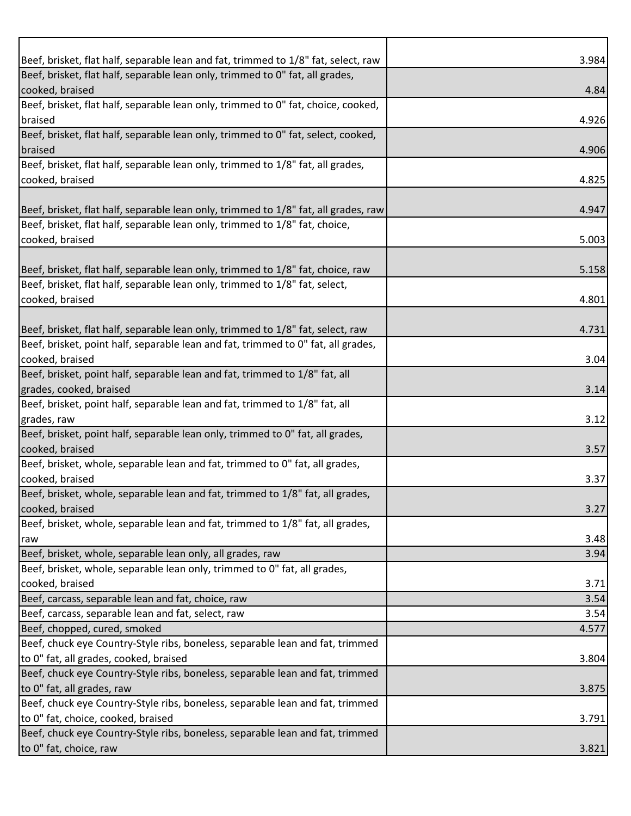| Beef, brisket, flat half, separable lean and fat, trimmed to 1/8" fat, select, raw                                  | 3.984 |
|---------------------------------------------------------------------------------------------------------------------|-------|
| Beef, brisket, flat half, separable lean only, trimmed to 0" fat, all grades,                                       |       |
| cooked, braised                                                                                                     | 4.84  |
| Beef, brisket, flat half, separable lean only, trimmed to 0" fat, choice, cooked,                                   |       |
| braised                                                                                                             | 4.926 |
| Beef, brisket, flat half, separable lean only, trimmed to 0" fat, select, cooked,                                   |       |
| braised                                                                                                             | 4.906 |
| Beef, brisket, flat half, separable lean only, trimmed to 1/8" fat, all grades,                                     |       |
| cooked, braised                                                                                                     | 4.825 |
|                                                                                                                     |       |
| Beef, brisket, flat half, separable lean only, trimmed to 1/8" fat, all grades, raw                                 | 4.947 |
| Beef, brisket, flat half, separable lean only, trimmed to 1/8" fat, choice,                                         |       |
| cooked, braised                                                                                                     | 5.003 |
| Beef, brisket, flat half, separable lean only, trimmed to 1/8" fat, choice, raw                                     | 5.158 |
| Beef, brisket, flat half, separable lean only, trimmed to 1/8" fat, select,                                         |       |
| cooked, braised                                                                                                     | 4.801 |
|                                                                                                                     |       |
| Beef, brisket, flat half, separable lean only, trimmed to 1/8" fat, select, raw                                     | 4.731 |
| Beef, brisket, point half, separable lean and fat, trimmed to 0" fat, all grades,                                   |       |
| cooked, braised                                                                                                     | 3.04  |
| Beef, brisket, point half, separable lean and fat, trimmed to 1/8" fat, all                                         |       |
| grades, cooked, braised                                                                                             | 3.14  |
| Beef, brisket, point half, separable lean and fat, trimmed to 1/8" fat, all                                         |       |
| grades, raw                                                                                                         | 3.12  |
| Beef, brisket, point half, separable lean only, trimmed to 0" fat, all grades,                                      |       |
| cooked, braised                                                                                                     | 3.57  |
| Beef, brisket, whole, separable lean and fat, trimmed to 0" fat, all grades,                                        |       |
| cooked, braised                                                                                                     | 3.37  |
| Beef, brisket, whole, separable lean and fat, trimmed to 1/8" fat, all grades,                                      |       |
| cooked, braised                                                                                                     | 3.27  |
| Beef, brisket, whole, separable lean and fat, trimmed to 1/8" fat, all grades,                                      |       |
| raw                                                                                                                 | 3.48  |
| Beef, brisket, whole, separable lean only, all grades, raw                                                          | 3.94  |
| Beef, brisket, whole, separable lean only, trimmed to 0" fat, all grades,                                           |       |
| cooked, braised                                                                                                     | 3.71  |
| Beef, carcass, separable lean and fat, choice, raw                                                                  | 3.54  |
| Beef, carcass, separable lean and fat, select, raw                                                                  | 3.54  |
| Beef, chopped, cured, smoked                                                                                        | 4.577 |
| Beef, chuck eye Country-Style ribs, boneless, separable lean and fat, trimmed                                       |       |
| to 0" fat, all grades, cooked, braised                                                                              | 3.804 |
| Beef, chuck eye Country-Style ribs, boneless, separable lean and fat, trimmed                                       |       |
| to 0" fat, all grades, raw                                                                                          | 3.875 |
| Beef, chuck eye Country-Style ribs, boneless, separable lean and fat, trimmed                                       |       |
| to 0" fat, choice, cooked, braised<br>Beef, chuck eye Country-Style ribs, boneless, separable lean and fat, trimmed | 3.791 |
|                                                                                                                     |       |
| to 0" fat, choice, raw                                                                                              | 3.821 |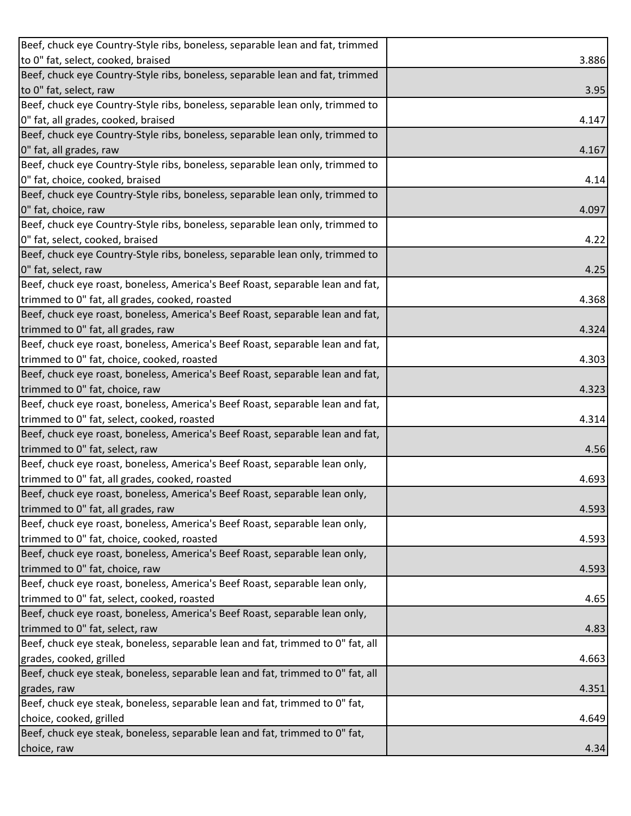| Beef, chuck eye Country-Style ribs, boneless, separable lean and fat, trimmed   |       |
|---------------------------------------------------------------------------------|-------|
| to 0" fat, select, cooked, braised                                              | 3.886 |
| Beef, chuck eye Country-Style ribs, boneless, separable lean and fat, trimmed   |       |
| to 0" fat, select, raw                                                          | 3.95  |
| Beef, chuck eye Country-Style ribs, boneless, separable lean only, trimmed to   |       |
| 0" fat, all grades, cooked, braised                                             | 4.147 |
| Beef, chuck eye Country-Style ribs, boneless, separable lean only, trimmed to   |       |
| 0" fat, all grades, raw                                                         | 4.167 |
| Beef, chuck eye Country-Style ribs, boneless, separable lean only, trimmed to   |       |
| 0" fat, choice, cooked, braised                                                 | 4.14  |
| Beef, chuck eye Country-Style ribs, boneless, separable lean only, trimmed to   |       |
| 0" fat, choice, raw                                                             | 4.097 |
| Beef, chuck eye Country-Style ribs, boneless, separable lean only, trimmed to   |       |
| 0" fat, select, cooked, braised                                                 | 4.22  |
| Beef, chuck eye Country-Style ribs, boneless, separable lean only, trimmed to   |       |
| 0" fat, select, raw                                                             | 4.25  |
| Beef, chuck eye roast, boneless, America's Beef Roast, separable lean and fat,  |       |
| trimmed to 0" fat, all grades, cooked, roasted                                  | 4.368 |
| Beef, chuck eye roast, boneless, America's Beef Roast, separable lean and fat,  |       |
| trimmed to 0" fat, all grades, raw                                              | 4.324 |
| Beef, chuck eye roast, boneless, America's Beef Roast, separable lean and fat,  |       |
| trimmed to 0" fat, choice, cooked, roasted                                      | 4.303 |
| Beef, chuck eye roast, boneless, America's Beef Roast, separable lean and fat,  |       |
| trimmed to 0" fat, choice, raw                                                  | 4.323 |
| Beef, chuck eye roast, boneless, America's Beef Roast, separable lean and fat,  |       |
| trimmed to 0" fat, select, cooked, roasted                                      | 4.314 |
| Beef, chuck eye roast, boneless, America's Beef Roast, separable lean and fat,  |       |
| trimmed to 0" fat, select, raw                                                  | 4.56  |
| Beef, chuck eye roast, boneless, America's Beef Roast, separable lean only,     |       |
| trimmed to 0" fat, all grades, cooked, roasted                                  | 4.693 |
| Beef, chuck eye roast, boneless, America's Beef Roast, separable lean only,     |       |
| trimmed to 0" fat, all grades, raw                                              | 4.593 |
| Beef, chuck eye roast, boneless, America's Beef Roast, separable lean only,     |       |
| trimmed to 0" fat, choice, cooked, roasted                                      | 4.593 |
| Beef, chuck eye roast, boneless, America's Beef Roast, separable lean only,     |       |
| trimmed to 0" fat, choice, raw                                                  | 4.593 |
| Beef, chuck eye roast, boneless, America's Beef Roast, separable lean only,     |       |
| trimmed to 0" fat, select, cooked, roasted                                      | 4.65  |
| Beef, chuck eye roast, boneless, America's Beef Roast, separable lean only,     |       |
| trimmed to 0" fat, select, raw                                                  | 4.83  |
| Beef, chuck eye steak, boneless, separable lean and fat, trimmed to 0" fat, all |       |
| grades, cooked, grilled                                                         | 4.663 |
| Beef, chuck eye steak, boneless, separable lean and fat, trimmed to 0" fat, all |       |
| grades, raw                                                                     | 4.351 |
| Beef, chuck eye steak, boneless, separable lean and fat, trimmed to 0" fat,     |       |
| choice, cooked, grilled                                                         | 4.649 |
| Beef, chuck eye steak, boneless, separable lean and fat, trimmed to 0" fat,     |       |
| choice, raw                                                                     | 4.34  |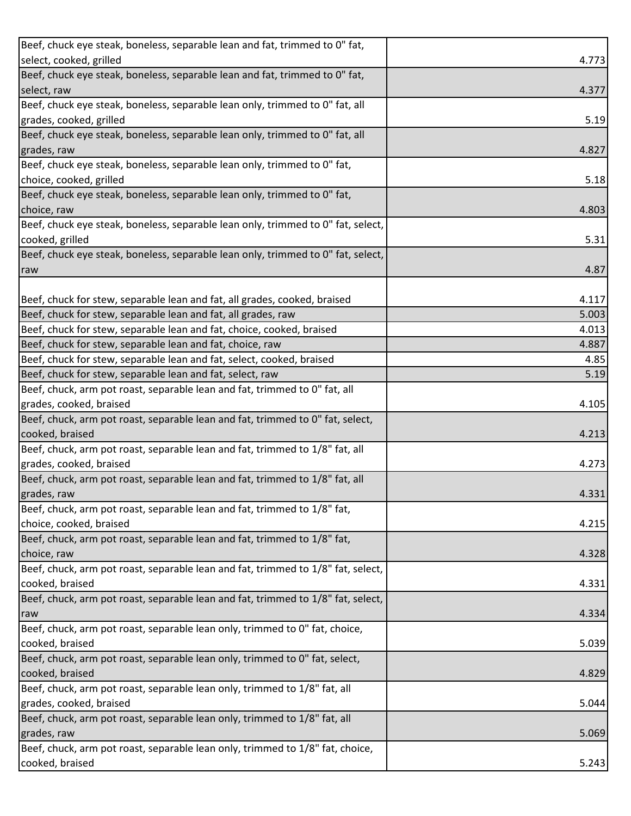| Beef, chuck eye steak, boneless, separable lean and fat, trimmed to 0" fat,      |       |
|----------------------------------------------------------------------------------|-------|
| select, cooked, grilled                                                          | 4.773 |
| Beef, chuck eye steak, boneless, separable lean and fat, trimmed to 0" fat,      |       |
| select, raw                                                                      | 4.377 |
| Beef, chuck eye steak, boneless, separable lean only, trimmed to 0" fat, all     |       |
| grades, cooked, grilled                                                          | 5.19  |
| Beef, chuck eye steak, boneless, separable lean only, trimmed to 0" fat, all     |       |
| grades, raw                                                                      | 4.827 |
| Beef, chuck eye steak, boneless, separable lean only, trimmed to 0" fat,         |       |
| choice, cooked, grilled                                                          | 5.18  |
| Beef, chuck eye steak, boneless, separable lean only, trimmed to 0" fat,         |       |
| choice, raw                                                                      | 4.803 |
| Beef, chuck eye steak, boneless, separable lean only, trimmed to 0" fat, select, |       |
| cooked, grilled                                                                  | 5.31  |
| Beef, chuck eye steak, boneless, separable lean only, trimmed to 0" fat, select, |       |
| raw                                                                              | 4.87  |
|                                                                                  |       |
| Beef, chuck for stew, separable lean and fat, all grades, cooked, braised        | 4.117 |
| Beef, chuck for stew, separable lean and fat, all grades, raw                    | 5.003 |
| Beef, chuck for stew, separable lean and fat, choice, cooked, braised            | 4.013 |
| Beef, chuck for stew, separable lean and fat, choice, raw                        | 4.887 |
| Beef, chuck for stew, separable lean and fat, select, cooked, braised            | 4.85  |
| Beef, chuck for stew, separable lean and fat, select, raw                        | 5.19  |
| Beef, chuck, arm pot roast, separable lean and fat, trimmed to 0" fat, all       |       |
| grades, cooked, braised                                                          | 4.105 |
| Beef, chuck, arm pot roast, separable lean and fat, trimmed to 0" fat, select,   |       |
| cooked, braised                                                                  | 4.213 |
| Beef, chuck, arm pot roast, separable lean and fat, trimmed to 1/8" fat, all     |       |
| grades, cooked, braised                                                          | 4.273 |
| Beef, chuck, arm pot roast, separable lean and fat, trimmed to 1/8" fat, all     |       |
| grades, raw                                                                      | 4.331 |
| Beef, chuck, arm pot roast, separable lean and fat, trimmed to 1/8" fat,         |       |
| choice, cooked, braised                                                          | 4.215 |
| Beef, chuck, arm pot roast, separable lean and fat, trimmed to 1/8" fat,         |       |
| choice, raw                                                                      | 4.328 |
| Beef, chuck, arm pot roast, separable lean and fat, trimmed to 1/8" fat, select, |       |
| cooked, braised                                                                  | 4.331 |
| Beef, chuck, arm pot roast, separable lean and fat, trimmed to 1/8" fat, select, |       |
| raw                                                                              | 4.334 |
| Beef, chuck, arm pot roast, separable lean only, trimmed to 0" fat, choice,      |       |
| cooked, braised                                                                  | 5.039 |
| Beef, chuck, arm pot roast, separable lean only, trimmed to 0" fat, select,      |       |
| cooked, braised                                                                  | 4.829 |
| Beef, chuck, arm pot roast, separable lean only, trimmed to 1/8" fat, all        |       |
| grades, cooked, braised                                                          | 5.044 |
| Beef, chuck, arm pot roast, separable lean only, trimmed to 1/8" fat, all        |       |
| grades, raw                                                                      | 5.069 |
| Beef, chuck, arm pot roast, separable lean only, trimmed to 1/8" fat, choice,    |       |
| cooked, braised                                                                  | 5.243 |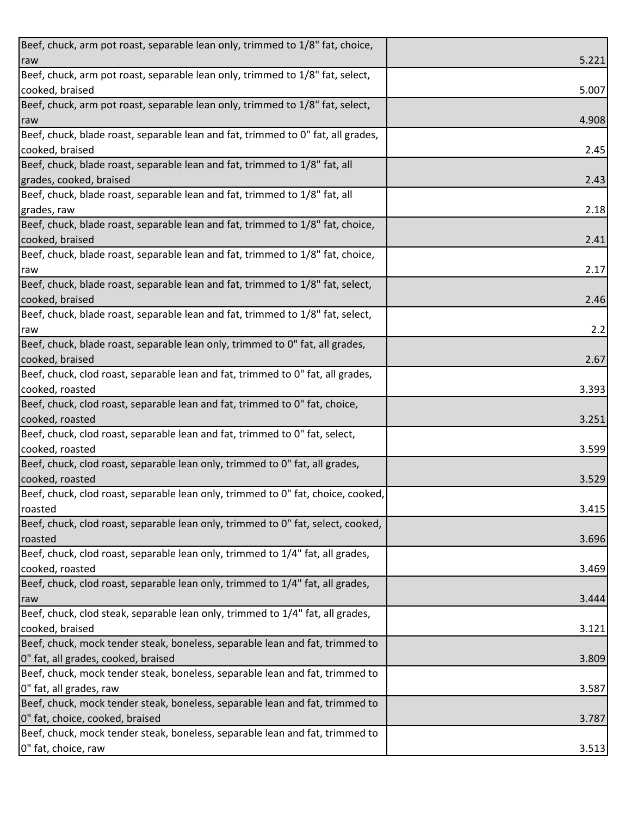| Beef, chuck, arm pot roast, separable lean only, trimmed to 1/8" fat, choice,    |       |
|----------------------------------------------------------------------------------|-------|
| raw                                                                              | 5.221 |
| Beef, chuck, arm pot roast, separable lean only, trimmed to 1/8" fat, select,    |       |
| cooked, braised                                                                  | 5.007 |
| Beef, chuck, arm pot roast, separable lean only, trimmed to 1/8" fat, select,    |       |
| raw                                                                              | 4.908 |
| Beef, chuck, blade roast, separable lean and fat, trimmed to 0" fat, all grades, |       |
| cooked, braised                                                                  | 2.45  |
| Beef, chuck, blade roast, separable lean and fat, trimmed to 1/8" fat, all       |       |
| grades, cooked, braised                                                          | 2.43  |
| Beef, chuck, blade roast, separable lean and fat, trimmed to 1/8" fat, all       |       |
| grades, raw                                                                      | 2.18  |
| Beef, chuck, blade roast, separable lean and fat, trimmed to 1/8" fat, choice,   |       |
| cooked, braised                                                                  | 2.41  |
| Beef, chuck, blade roast, separable lean and fat, trimmed to 1/8" fat, choice,   |       |
| raw                                                                              | 2.17  |
| Beef, chuck, blade roast, separable lean and fat, trimmed to 1/8" fat, select,   |       |
| cooked, braised                                                                  | 2.46  |
| Beef, chuck, blade roast, separable lean and fat, trimmed to 1/8" fat, select,   |       |
| raw                                                                              | 2.2   |
| Beef, chuck, blade roast, separable lean only, trimmed to 0" fat, all grades,    |       |
| cooked, braised                                                                  | 2.67  |
| Beef, chuck, clod roast, separable lean and fat, trimmed to 0" fat, all grades,  |       |
| cooked, roasted                                                                  | 3.393 |
| Beef, chuck, clod roast, separable lean and fat, trimmed to 0" fat, choice,      |       |
| cooked, roasted                                                                  | 3.251 |
| Beef, chuck, clod roast, separable lean and fat, trimmed to 0" fat, select,      |       |
| cooked, roasted                                                                  | 3.599 |
| Beef, chuck, clod roast, separable lean only, trimmed to 0" fat, all grades,     |       |
| cooked, roasted                                                                  | 3.529 |
| Beef, chuck, clod roast, separable lean only, trimmed to 0" fat, choice, cooked, |       |
| roasted                                                                          | 3.415 |
| Beef, chuck, clod roast, separable lean only, trimmed to 0" fat, select, cooked, |       |
| roasted                                                                          | 3.696 |
| Beef, chuck, clod roast, separable lean only, trimmed to 1/4" fat, all grades,   |       |
| cooked, roasted                                                                  | 3.469 |
| Beef, chuck, clod roast, separable lean only, trimmed to 1/4" fat, all grades,   |       |
| raw                                                                              | 3.444 |
| Beef, chuck, clod steak, separable lean only, trimmed to 1/4" fat, all grades,   |       |
| cooked, braised                                                                  | 3.121 |
| Beef, chuck, mock tender steak, boneless, separable lean and fat, trimmed to     |       |
| 0" fat, all grades, cooked, braised                                              | 3.809 |
| Beef, chuck, mock tender steak, boneless, separable lean and fat, trimmed to     |       |
| 0" fat, all grades, raw                                                          | 3.587 |
| Beef, chuck, mock tender steak, boneless, separable lean and fat, trimmed to     |       |
| 0" fat, choice, cooked, braised                                                  | 3.787 |
| Beef, chuck, mock tender steak, boneless, separable lean and fat, trimmed to     |       |
| 0" fat, choice, raw                                                              | 3.513 |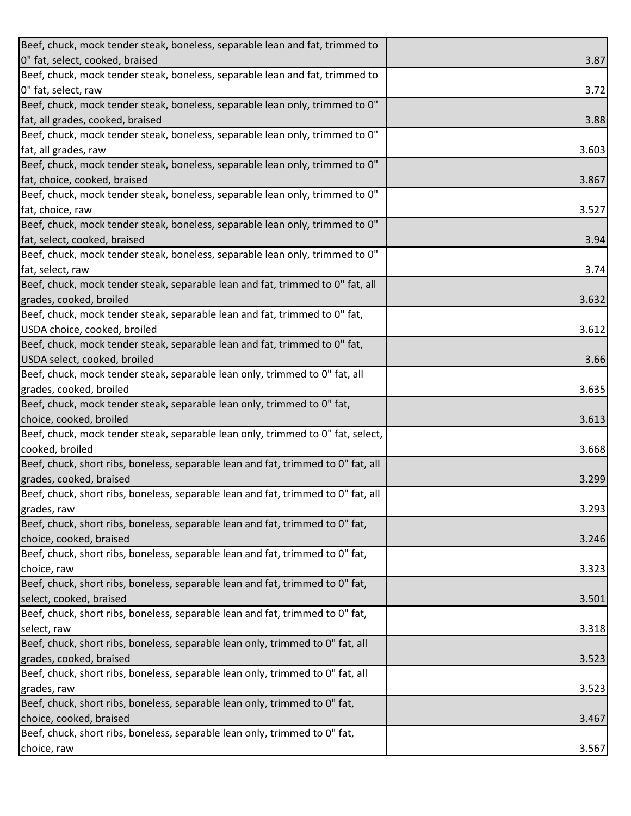| Beef, chuck, mock tender steak, boneless, separable lean and fat, trimmed to      |       |
|-----------------------------------------------------------------------------------|-------|
| 0" fat, select, cooked, braised                                                   | 3.87  |
| Beef, chuck, mock tender steak, boneless, separable lean and fat, trimmed to      |       |
| 0" fat, select, raw                                                               | 3.72  |
| Beef, chuck, mock tender steak, boneless, separable lean only, trimmed to 0"      |       |
| fat, all grades, cooked, braised                                                  | 3.88  |
| Beef, chuck, mock tender steak, boneless, separable lean only, trimmed to 0"      |       |
| fat, all grades, raw                                                              | 3.603 |
| Beef, chuck, mock tender steak, boneless, separable lean only, trimmed to 0"      |       |
| fat, choice, cooked, braised                                                      | 3.867 |
| Beef, chuck, mock tender steak, boneless, separable lean only, trimmed to 0"      |       |
| fat, choice, raw                                                                  | 3.527 |
| Beef, chuck, mock tender steak, boneless, separable lean only, trimmed to 0"      |       |
| fat, select, cooked, braised                                                      | 3.94  |
| Beef, chuck, mock tender steak, boneless, separable lean only, trimmed to 0"      |       |
| fat, select, raw                                                                  | 3.74  |
| Beef, chuck, mock tender steak, separable lean and fat, trimmed to 0" fat, all    |       |
| grades, cooked, broiled                                                           | 3.632 |
| Beef, chuck, mock tender steak, separable lean and fat, trimmed to 0" fat,        |       |
| USDA choice, cooked, broiled                                                      | 3.612 |
| Beef, chuck, mock tender steak, separable lean and fat, trimmed to 0" fat,        |       |
| USDA select, cooked, broiled                                                      | 3.66  |
| Beef, chuck, mock tender steak, separable lean only, trimmed to 0" fat, all       |       |
| grades, cooked, broiled                                                           | 3.635 |
| Beef, chuck, mock tender steak, separable lean only, trimmed to 0" fat,           |       |
| choice, cooked, broiled                                                           | 3.613 |
| Beef, chuck, mock tender steak, separable lean only, trimmed to 0" fat, select,   |       |
| cooked, broiled                                                                   | 3.668 |
| Beef, chuck, short ribs, boneless, separable lean and fat, trimmed to 0" fat, all |       |
| grades, cooked, braised                                                           | 3.299 |
| Beef, chuck, short ribs, boneless, separable lean and fat, trimmed to 0" fat, all |       |
| grades, raw                                                                       | 3.293 |
| Beef, chuck, short ribs, boneless, separable lean and fat, trimmed to 0" fat,     |       |
| choice, cooked, braised                                                           | 3.246 |
| Beef, chuck, short ribs, boneless, separable lean and fat, trimmed to 0" fat,     |       |
| choice, raw                                                                       | 3.323 |
| Beef, chuck, short ribs, boneless, separable lean and fat, trimmed to 0" fat,     |       |
| select, cooked, braised                                                           | 3.501 |
| Beef, chuck, short ribs, boneless, separable lean and fat, trimmed to 0" fat,     |       |
| select, raw                                                                       | 3.318 |
| Beef, chuck, short ribs, boneless, separable lean only, trimmed to 0" fat, all    |       |
| grades, cooked, braised                                                           | 3.523 |
| Beef, chuck, short ribs, boneless, separable lean only, trimmed to 0" fat, all    |       |
| grades, raw                                                                       | 3.523 |
| Beef, chuck, short ribs, boneless, separable lean only, trimmed to 0" fat,        |       |
| choice, cooked, braised                                                           | 3.467 |
| Beef, chuck, short ribs, boneless, separable lean only, trimmed to 0" fat,        |       |
| choice, raw                                                                       | 3.567 |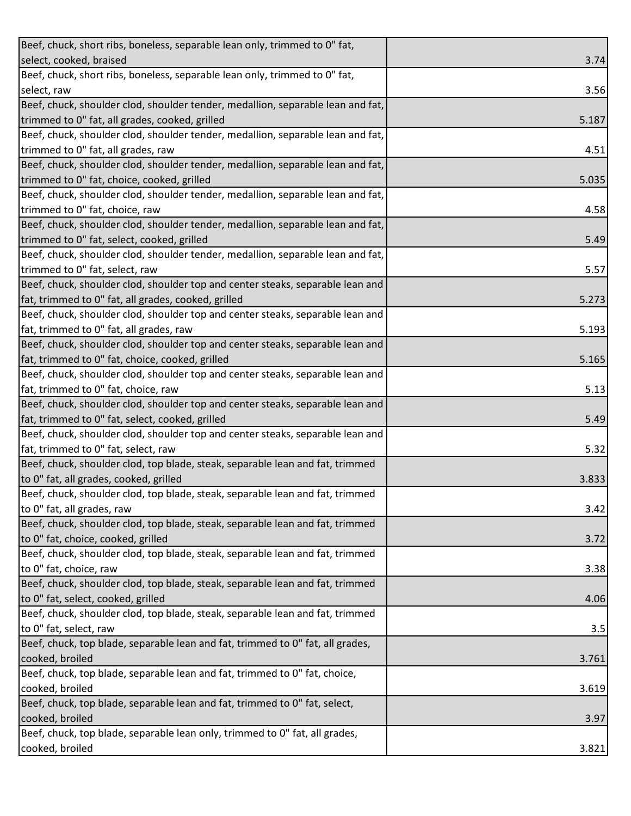| Beef, chuck, short ribs, boneless, separable lean only, trimmed to 0" fat,      |       |
|---------------------------------------------------------------------------------|-------|
| select, cooked, braised                                                         | 3.74  |
| Beef, chuck, short ribs, boneless, separable lean only, trimmed to 0" fat,      |       |
| select, raw                                                                     | 3.56  |
| Beef, chuck, shoulder clod, shoulder tender, medallion, separable lean and fat, |       |
| trimmed to 0" fat, all grades, cooked, grilled                                  | 5.187 |
| Beef, chuck, shoulder clod, shoulder tender, medallion, separable lean and fat, |       |
| trimmed to 0" fat, all grades, raw                                              | 4.51  |
| Beef, chuck, shoulder clod, shoulder tender, medallion, separable lean and fat, |       |
| trimmed to 0" fat, choice, cooked, grilled                                      | 5.035 |
| Beef, chuck, shoulder clod, shoulder tender, medallion, separable lean and fat, |       |
| trimmed to 0" fat, choice, raw                                                  | 4.58  |
| Beef, chuck, shoulder clod, shoulder tender, medallion, separable lean and fat, |       |
| trimmed to 0" fat, select, cooked, grilled                                      | 5.49  |
| Beef, chuck, shoulder clod, shoulder tender, medallion, separable lean and fat, |       |
| trimmed to 0" fat, select, raw                                                  | 5.57  |
| Beef, chuck, shoulder clod, shoulder top and center steaks, separable lean and  |       |
| fat, trimmed to 0" fat, all grades, cooked, grilled                             | 5.273 |
| Beef, chuck, shoulder clod, shoulder top and center steaks, separable lean and  |       |
| fat, trimmed to 0" fat, all grades, raw                                         | 5.193 |
| Beef, chuck, shoulder clod, shoulder top and center steaks, separable lean and  |       |
| fat, trimmed to 0" fat, choice, cooked, grilled                                 | 5.165 |
| Beef, chuck, shoulder clod, shoulder top and center steaks, separable lean and  |       |
| fat, trimmed to 0" fat, choice, raw                                             | 5.13  |
| Beef, chuck, shoulder clod, shoulder top and center steaks, separable lean and  |       |
| fat, trimmed to 0" fat, select, cooked, grilled                                 | 5.49  |
| Beef, chuck, shoulder clod, shoulder top and center steaks, separable lean and  |       |
| fat, trimmed to 0" fat, select, raw                                             | 5.32  |
| Beef, chuck, shoulder clod, top blade, steak, separable lean and fat, trimmed   |       |
| to 0" fat, all grades, cooked, grilled                                          | 3.833 |
| Beef, chuck, shoulder clod, top blade, steak, separable lean and fat, trimmed   |       |
| to 0" fat, all grades, raw                                                      | 3.42  |
| Beef, chuck, shoulder clod, top blade, steak, separable lean and fat, trimmed   |       |
| to 0" fat, choice, cooked, grilled                                              | 3.72  |
| Beef, chuck, shoulder clod, top blade, steak, separable lean and fat, trimmed   |       |
| to 0" fat, choice, raw                                                          | 3.38  |
| Beef, chuck, shoulder clod, top blade, steak, separable lean and fat, trimmed   |       |
| to 0" fat, select, cooked, grilled                                              | 4.06  |
| Beef, chuck, shoulder clod, top blade, steak, separable lean and fat, trimmed   |       |
| to 0" fat, select, raw                                                          | 3.5   |
| Beef, chuck, top blade, separable lean and fat, trimmed to 0" fat, all grades,  |       |
| cooked, broiled                                                                 | 3.761 |
| Beef, chuck, top blade, separable lean and fat, trimmed to 0" fat, choice,      |       |
| cooked, broiled                                                                 | 3.619 |
| Beef, chuck, top blade, separable lean and fat, trimmed to 0" fat, select,      |       |
| cooked, broiled                                                                 | 3.97  |
| Beef, chuck, top blade, separable lean only, trimmed to 0" fat, all grades,     |       |
| cooked, broiled                                                                 | 3.821 |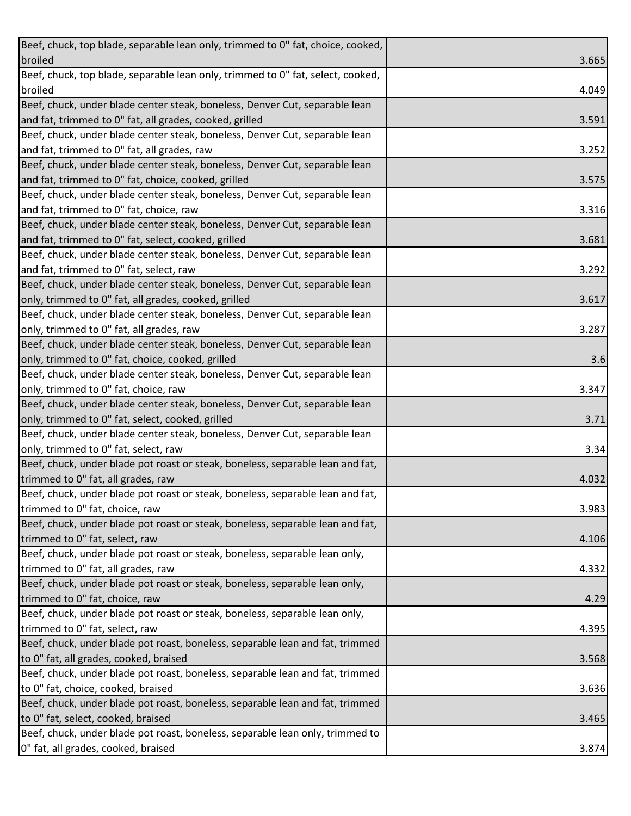| Beef, chuck, top blade, separable lean only, trimmed to 0" fat, choice, cooked, |       |
|---------------------------------------------------------------------------------|-------|
| broiled                                                                         | 3.665 |
| Beef, chuck, top blade, separable lean only, trimmed to 0" fat, select, cooked, |       |
| broiled                                                                         | 4.049 |
| Beef, chuck, under blade center steak, boneless, Denver Cut, separable lean     |       |
| and fat, trimmed to 0" fat, all grades, cooked, grilled                         | 3.591 |
| Beef, chuck, under blade center steak, boneless, Denver Cut, separable lean     |       |
| and fat, trimmed to 0" fat, all grades, raw                                     | 3.252 |
| Beef, chuck, under blade center steak, boneless, Denver Cut, separable lean     |       |
| and fat, trimmed to 0" fat, choice, cooked, grilled                             | 3.575 |
| Beef, chuck, under blade center steak, boneless, Denver Cut, separable lean     |       |
| and fat, trimmed to 0" fat, choice, raw                                         | 3.316 |
| Beef, chuck, under blade center steak, boneless, Denver Cut, separable lean     |       |
| and fat, trimmed to 0" fat, select, cooked, grilled                             | 3.681 |
| Beef, chuck, under blade center steak, boneless, Denver Cut, separable lean     |       |
| and fat, trimmed to 0" fat, select, raw                                         | 3.292 |
| Beef, chuck, under blade center steak, boneless, Denver Cut, separable lean     |       |
| only, trimmed to 0" fat, all grades, cooked, grilled                            | 3.617 |
| Beef, chuck, under blade center steak, boneless, Denver Cut, separable lean     |       |
| only, trimmed to 0" fat, all grades, raw                                        | 3.287 |
| Beef, chuck, under blade center steak, boneless, Denver Cut, separable lean     |       |
| only, trimmed to 0" fat, choice, cooked, grilled                                | 3.6   |
| Beef, chuck, under blade center steak, boneless, Denver Cut, separable lean     |       |
| only, trimmed to 0" fat, choice, raw                                            | 3.347 |
| Beef, chuck, under blade center steak, boneless, Denver Cut, separable lean     |       |
| only, trimmed to 0" fat, select, cooked, grilled                                | 3.71  |
| Beef, chuck, under blade center steak, boneless, Denver Cut, separable lean     |       |
| only, trimmed to 0" fat, select, raw                                            | 3.34  |
| Beef, chuck, under blade pot roast or steak, boneless, separable lean and fat,  |       |
| trimmed to 0" fat, all grades, raw                                              | 4.032 |
| Beef, chuck, under blade pot roast or steak, boneless, separable lean and fat,  |       |
| trimmed to 0" fat, choice, raw                                                  | 3.983 |
| Beef, chuck, under blade pot roast or steak, boneless, separable lean and fat,  |       |
| trimmed to 0" fat, select, raw                                                  | 4.106 |
| Beef, chuck, under blade pot roast or steak, boneless, separable lean only,     |       |
| trimmed to 0" fat, all grades, raw                                              | 4.332 |
| Beef, chuck, under blade pot roast or steak, boneless, separable lean only,     |       |
| trimmed to 0" fat, choice, raw                                                  | 4.29  |
| Beef, chuck, under blade pot roast or steak, boneless, separable lean only,     |       |
| trimmed to 0" fat, select, raw                                                  | 4.395 |
| Beef, chuck, under blade pot roast, boneless, separable lean and fat, trimmed   |       |
| to 0" fat, all grades, cooked, braised                                          | 3.568 |
| Beef, chuck, under blade pot roast, boneless, separable lean and fat, trimmed   |       |
| to 0" fat, choice, cooked, braised                                              | 3.636 |
| Beef, chuck, under blade pot roast, boneless, separable lean and fat, trimmed   |       |
| to 0" fat, select, cooked, braised                                              | 3.465 |
| Beef, chuck, under blade pot roast, boneless, separable lean only, trimmed to   |       |
| 0" fat, all grades, cooked, braised                                             | 3.874 |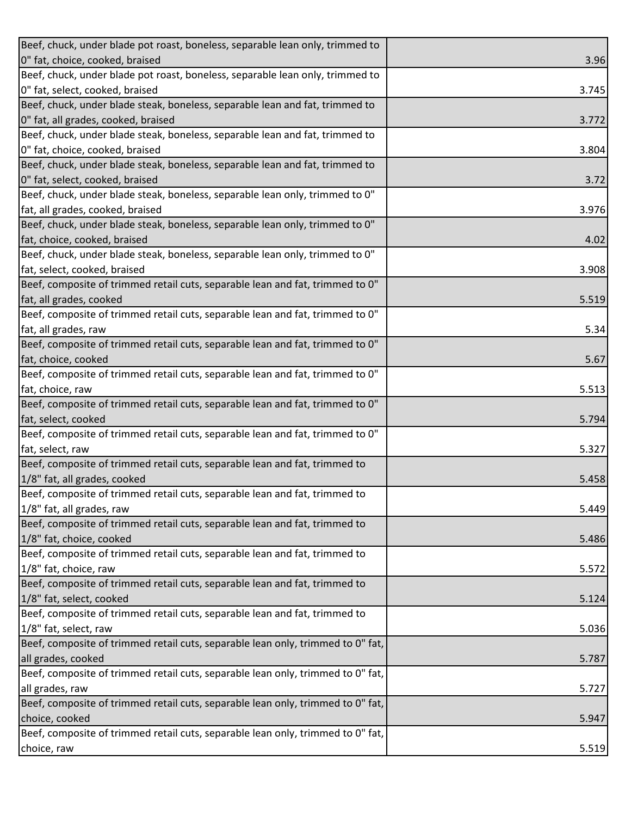| Beef, chuck, under blade pot roast, boneless, separable lean only, trimmed to   |       |
|---------------------------------------------------------------------------------|-------|
| 0" fat, choice, cooked, braised                                                 | 3.96  |
| Beef, chuck, under blade pot roast, boneless, separable lean only, trimmed to   |       |
| 0" fat, select, cooked, braised                                                 | 3.745 |
| Beef, chuck, under blade steak, boneless, separable lean and fat, trimmed to    |       |
| 0" fat, all grades, cooked, braised                                             | 3.772 |
| Beef, chuck, under blade steak, boneless, separable lean and fat, trimmed to    |       |
| 0" fat, choice, cooked, braised                                                 | 3.804 |
| Beef, chuck, under blade steak, boneless, separable lean and fat, trimmed to    |       |
| 0" fat, select, cooked, braised                                                 | 3.72  |
| Beef, chuck, under blade steak, boneless, separable lean only, trimmed to 0"    |       |
| fat, all grades, cooked, braised                                                | 3.976 |
| Beef, chuck, under blade steak, boneless, separable lean only, trimmed to 0"    |       |
| fat, choice, cooked, braised                                                    | 4.02  |
| Beef, chuck, under blade steak, boneless, separable lean only, trimmed to 0"    |       |
| fat, select, cooked, braised                                                    | 3.908 |
| Beef, composite of trimmed retail cuts, separable lean and fat, trimmed to 0"   |       |
| fat, all grades, cooked                                                         | 5.519 |
| Beef, composite of trimmed retail cuts, separable lean and fat, trimmed to 0"   |       |
| fat, all grades, raw                                                            | 5.34  |
| Beef, composite of trimmed retail cuts, separable lean and fat, trimmed to 0"   |       |
| fat, choice, cooked                                                             | 5.67  |
| Beef, composite of trimmed retail cuts, separable lean and fat, trimmed to 0"   |       |
| fat, choice, raw                                                                | 5.513 |
| Beef, composite of trimmed retail cuts, separable lean and fat, trimmed to 0"   |       |
| fat, select, cooked                                                             | 5.794 |
| Beef, composite of trimmed retail cuts, separable lean and fat, trimmed to 0"   |       |
| fat, select, raw                                                                | 5.327 |
| Beef, composite of trimmed retail cuts, separable lean and fat, trimmed to      |       |
| 1/8" fat, all grades, cooked                                                    | 5.458 |
| Beef, composite of trimmed retail cuts, separable lean and fat, trimmed to      |       |
| 1/8" fat, all grades, raw                                                       | 5.449 |
| Beef, composite of trimmed retail cuts, separable lean and fat, trimmed to      |       |
| 1/8" fat, choice, cooked                                                        | 5.486 |
| Beef, composite of trimmed retail cuts, separable lean and fat, trimmed to      |       |
| 1/8" fat, choice, raw                                                           | 5.572 |
| Beef, composite of trimmed retail cuts, separable lean and fat, trimmed to      |       |
| 1/8" fat, select, cooked                                                        | 5.124 |
| Beef, composite of trimmed retail cuts, separable lean and fat, trimmed to      |       |
| 1/8" fat, select, raw                                                           | 5.036 |
| Beef, composite of trimmed retail cuts, separable lean only, trimmed to 0" fat, |       |
| all grades, cooked                                                              | 5.787 |
| Beef, composite of trimmed retail cuts, separable lean only, trimmed to 0" fat, |       |
| all grades, raw                                                                 | 5.727 |
| Beef, composite of trimmed retail cuts, separable lean only, trimmed to 0" fat, |       |
| choice, cooked                                                                  | 5.947 |
| Beef, composite of trimmed retail cuts, separable lean only, trimmed to 0" fat, |       |
| choice, raw                                                                     | 5.519 |
|                                                                                 |       |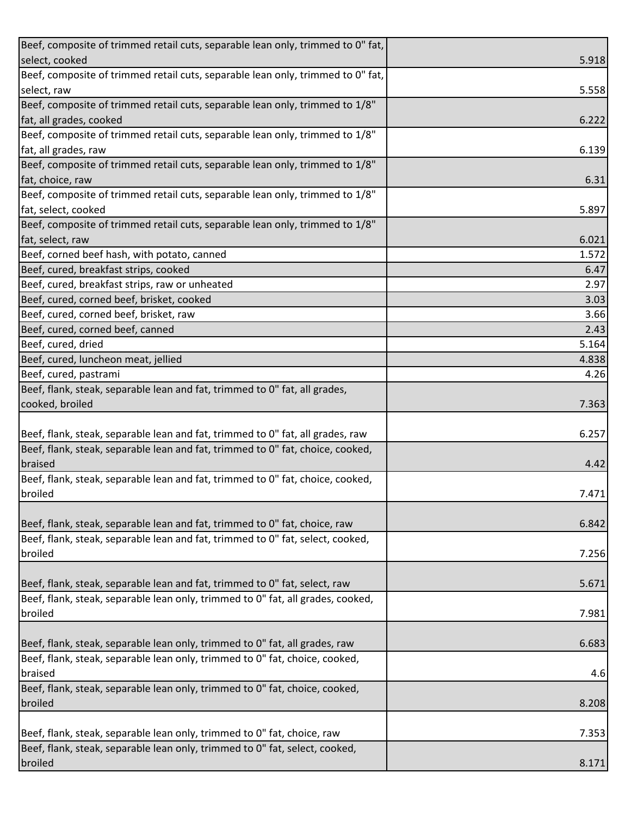| Beef, composite of trimmed retail cuts, separable lean only, trimmed to 0" fat,           |       |
|-------------------------------------------------------------------------------------------|-------|
| select, cooked                                                                            | 5.918 |
| Beef, composite of trimmed retail cuts, separable lean only, trimmed to 0" fat,           |       |
| select, raw                                                                               | 5.558 |
| Beef, composite of trimmed retail cuts, separable lean only, trimmed to 1/8"              |       |
| fat, all grades, cooked                                                                   | 6.222 |
| Beef, composite of trimmed retail cuts, separable lean only, trimmed to 1/8"              |       |
| fat, all grades, raw                                                                      | 6.139 |
| Beef, composite of trimmed retail cuts, separable lean only, trimmed to 1/8"              |       |
| fat, choice, raw                                                                          | 6.31  |
| Beef, composite of trimmed retail cuts, separable lean only, trimmed to 1/8"              |       |
| fat, select, cooked                                                                       | 5.897 |
| Beef, composite of trimmed retail cuts, separable lean only, trimmed to 1/8"              |       |
| fat, select, raw                                                                          | 6.021 |
| Beef, corned beef hash, with potato, canned                                               | 1.572 |
| Beef, cured, breakfast strips, cooked                                                     | 6.47  |
| Beef, cured, breakfast strips, raw or unheated                                            | 2.97  |
| Beef, cured, corned beef, brisket, cooked                                                 | 3.03  |
| Beef, cured, corned beef, brisket, raw                                                    | 3.66  |
| Beef, cured, corned beef, canned                                                          | 2.43  |
| Beef, cured, dried                                                                        | 5.164 |
| Beef, cured, luncheon meat, jellied                                                       | 4.838 |
| Beef, cured, pastrami                                                                     | 4.26  |
| Beef, flank, steak, separable lean and fat, trimmed to 0" fat, all grades,                |       |
| cooked, broiled                                                                           | 7.363 |
|                                                                                           |       |
| Beef, flank, steak, separable lean and fat, trimmed to 0" fat, all grades, raw            | 6.257 |
| Beef, flank, steak, separable lean and fat, trimmed to 0" fat, choice, cooked,<br>braised |       |
| Beef, flank, steak, separable lean and fat, trimmed to 0" fat, choice, cooked,            | 4.42  |
| broiled                                                                                   | 7.471 |
|                                                                                           |       |
| Beef, flank, steak, separable lean and fat, trimmed to 0" fat, choice, raw                | 6.842 |
| Beef, flank, steak, separable lean and fat, trimmed to 0" fat, select, cooked,            |       |
| broiled                                                                                   | 7.256 |
|                                                                                           |       |
| Beef, flank, steak, separable lean and fat, trimmed to 0" fat, select, raw                | 5.671 |
| Beef, flank, steak, separable lean only, trimmed to 0" fat, all grades, cooked,           |       |
| broiled                                                                                   | 7.981 |
|                                                                                           |       |
| Beef, flank, steak, separable lean only, trimmed to 0" fat, all grades, raw               | 6.683 |
| Beef, flank, steak, separable lean only, trimmed to 0" fat, choice, cooked,               |       |
| braised                                                                                   | 4.6   |
| Beef, flank, steak, separable lean only, trimmed to 0" fat, choice, cooked,               |       |
| broiled                                                                                   | 8.208 |
|                                                                                           |       |
| Beef, flank, steak, separable lean only, trimmed to 0" fat, choice, raw                   | 7.353 |
| Beef, flank, steak, separable lean only, trimmed to 0" fat, select, cooked,               |       |
| broiled                                                                                   | 8.171 |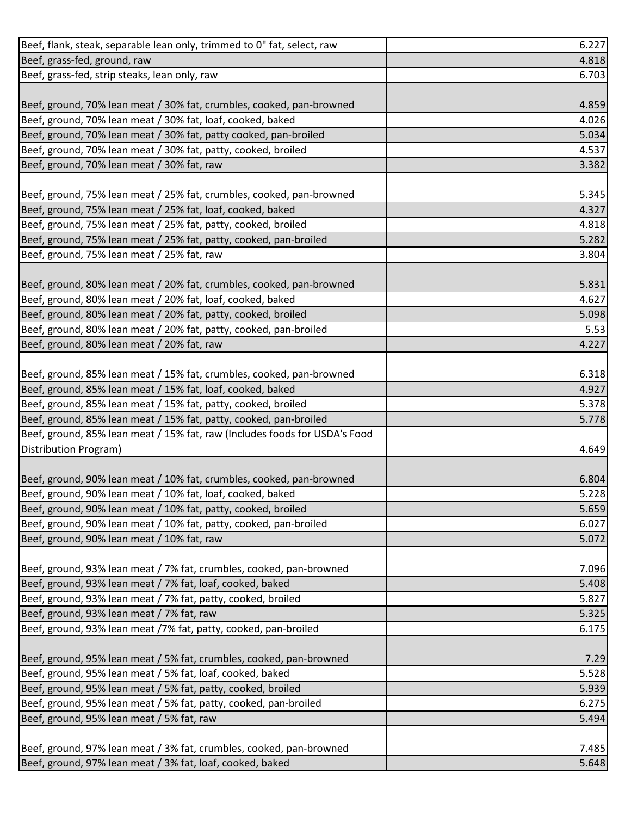| Beef, flank, steak, separable lean only, trimmed to 0" fat, select, raw    | 6.227 |
|----------------------------------------------------------------------------|-------|
| Beef, grass-fed, ground, raw                                               | 4.818 |
| Beef, grass-fed, strip steaks, lean only, raw                              | 6.703 |
|                                                                            |       |
| Beef, ground, 70% lean meat / 30% fat, crumbles, cooked, pan-browned       | 4.859 |
| Beef, ground, 70% lean meat / 30% fat, loaf, cooked, baked                 | 4.026 |
| Beef, ground, 70% lean meat / 30% fat, patty cooked, pan-broiled           | 5.034 |
| Beef, ground, 70% lean meat / 30% fat, patty, cooked, broiled              | 4.537 |
| Beef, ground, 70% lean meat / 30% fat, raw                                 | 3.382 |
|                                                                            |       |
| Beef, ground, 75% lean meat / 25% fat, crumbles, cooked, pan-browned       | 5.345 |
| Beef, ground, 75% lean meat / 25% fat, loaf, cooked, baked                 | 4.327 |
| Beef, ground, 75% lean meat / 25% fat, patty, cooked, broiled              | 4.818 |
| Beef, ground, 75% lean meat / 25% fat, patty, cooked, pan-broiled          | 5.282 |
| Beef, ground, 75% lean meat / 25% fat, raw                                 | 3.804 |
|                                                                            |       |
| Beef, ground, 80% lean meat / 20% fat, crumbles, cooked, pan-browned       | 5.831 |
| Beef, ground, 80% lean meat / 20% fat, loaf, cooked, baked                 | 4.627 |
| Beef, ground, 80% lean meat / 20% fat, patty, cooked, broiled              | 5.098 |
| Beef, ground, 80% lean meat / 20% fat, patty, cooked, pan-broiled          | 5.53  |
| Beef, ground, 80% lean meat / 20% fat, raw                                 | 4.227 |
|                                                                            |       |
| Beef, ground, 85% lean meat / 15% fat, crumbles, cooked, pan-browned       | 6.318 |
| Beef, ground, 85% lean meat / 15% fat, loaf, cooked, baked                 | 4.927 |
| Beef, ground, 85% lean meat / 15% fat, patty, cooked, broiled              | 5.378 |
| Beef, ground, 85% lean meat / 15% fat, patty, cooked, pan-broiled          | 5.778 |
| Beef, ground, 85% lean meat / 15% fat, raw (Includes foods for USDA's Food |       |
| Distribution Program)                                                      | 4.649 |
|                                                                            |       |
| Beef, ground, 90% lean meat / 10% fat, crumbles, cooked, pan-browned       | 6.804 |
| Beef, ground, 90% lean meat / 10% fat, loaf, cooked, baked                 | 5.228 |
| Beef, ground, 90% lean meat / 10% fat, patty, cooked, broiled              | 5.659 |
| Beef, ground, 90% lean meat / 10% fat, patty, cooked, pan-broiled          | 6.027 |
| Beef, ground, 90% lean meat / 10% fat, raw                                 | 5.072 |
|                                                                            |       |
| Beef, ground, 93% lean meat / 7% fat, crumbles, cooked, pan-browned        | 7.096 |
| Beef, ground, 93% lean meat / 7% fat, loaf, cooked, baked                  | 5.408 |
| Beef, ground, 93% lean meat / 7% fat, patty, cooked, broiled               | 5.827 |
| Beef, ground, 93% lean meat / 7% fat, raw                                  | 5.325 |
| Beef, ground, 93% lean meat /7% fat, patty, cooked, pan-broiled            | 6.175 |
|                                                                            |       |
| Beef, ground, 95% lean meat / 5% fat, crumbles, cooked, pan-browned        | 7.29  |
| Beef, ground, 95% lean meat / 5% fat, loaf, cooked, baked                  | 5.528 |
| Beef, ground, 95% lean meat / 5% fat, patty, cooked, broiled               | 5.939 |
| Beef, ground, 95% lean meat / 5% fat, patty, cooked, pan-broiled           | 6.275 |
| Beef, ground, 95% lean meat / 5% fat, raw                                  | 5.494 |
|                                                                            |       |
| Beef, ground, 97% lean meat / 3% fat, crumbles, cooked, pan-browned        | 7.485 |
| Beef, ground, 97% lean meat / 3% fat, loaf, cooked, baked                  | 5.648 |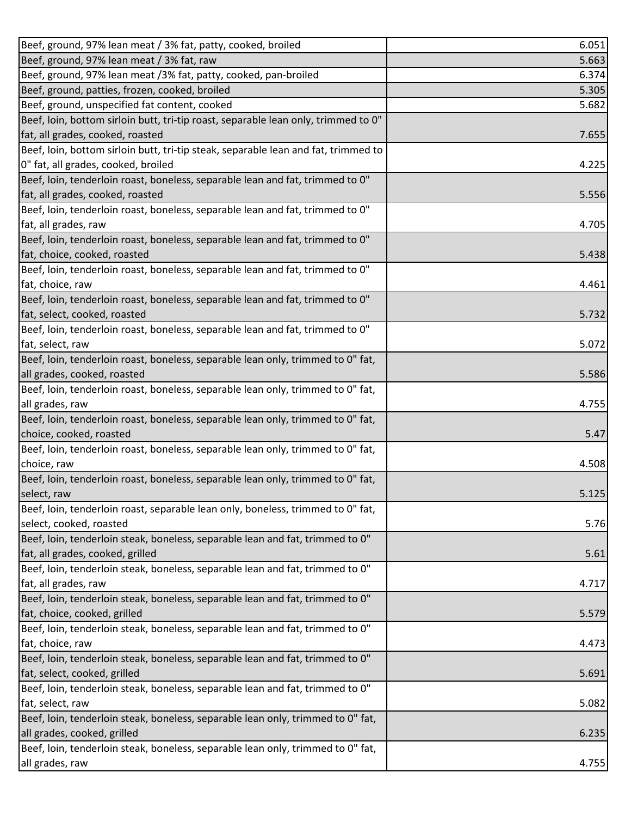| Beef, ground, 97% lean meat / 3% fat, patty, cooked, broiled                                   | 6.051 |
|------------------------------------------------------------------------------------------------|-------|
| Beef, ground, 97% lean meat / 3% fat, raw                                                      | 5.663 |
| Beef, ground, 97% lean meat /3% fat, patty, cooked, pan-broiled                                | 6.374 |
| Beef, ground, patties, frozen, cooked, broiled                                                 | 5.305 |
| Beef, ground, unspecified fat content, cooked                                                  | 5.682 |
| Beef, loin, bottom sirloin butt, tri-tip roast, separable lean only, trimmed to 0"             |       |
| fat, all grades, cooked, roasted                                                               | 7.655 |
| Beef, loin, bottom sirloin butt, tri-tip steak, separable lean and fat, trimmed to             |       |
| 0" fat, all grades, cooked, broiled                                                            | 4.225 |
| Beef, loin, tenderloin roast, boneless, separable lean and fat, trimmed to 0"                  |       |
| fat, all grades, cooked, roasted                                                               | 5.556 |
| Beef, loin, tenderloin roast, boneless, separable lean and fat, trimmed to 0"                  |       |
| fat, all grades, raw                                                                           | 4.705 |
| Beef, loin, tenderloin roast, boneless, separable lean and fat, trimmed to 0"                  |       |
| fat, choice, cooked, roasted                                                                   | 5.438 |
| Beef, loin, tenderloin roast, boneless, separable lean and fat, trimmed to 0"                  |       |
| fat, choice, raw                                                                               | 4.461 |
| Beef, loin, tenderloin roast, boneless, separable lean and fat, trimmed to 0"                  |       |
| fat, select, cooked, roasted                                                                   | 5.732 |
| Beef, loin, tenderloin roast, boneless, separable lean and fat, trimmed to 0"                  |       |
| fat, select, raw                                                                               | 5.072 |
| Beef, loin, tenderloin roast, boneless, separable lean only, trimmed to 0" fat,                |       |
| all grades, cooked, roasted                                                                    | 5.586 |
| Beef, loin, tenderloin roast, boneless, separable lean only, trimmed to 0" fat,                |       |
| all grades, raw                                                                                | 4.755 |
| Beef, loin, tenderloin roast, boneless, separable lean only, trimmed to 0" fat,                |       |
| choice, cooked, roasted                                                                        | 5.47  |
| Beef, loin, tenderloin roast, boneless, separable lean only, trimmed to 0" fat,                |       |
| choice, raw                                                                                    | 4.508 |
| Beef, loin, tenderloin roast, boneless, separable lean only, trimmed to 0" fat,                |       |
|                                                                                                |       |
| select, raw<br>Beef, loin, tenderloin roast, separable lean only, boneless, trimmed to 0" fat, | 5.125 |
| select, cooked, roasted                                                                        | 5.76  |
|                                                                                                |       |
| Beef, loin, tenderloin steak, boneless, separable lean and fat, trimmed to 0"                  |       |
| fat, all grades, cooked, grilled                                                               | 5.61  |
| Beef, loin, tenderloin steak, boneless, separable lean and fat, trimmed to 0"                  |       |
| fat, all grades, raw                                                                           | 4.717 |
| Beef, loin, tenderloin steak, boneless, separable lean and fat, trimmed to 0"                  |       |
| fat, choice, cooked, grilled                                                                   | 5.579 |
| Beef, loin, tenderloin steak, boneless, separable lean and fat, trimmed to 0"                  |       |
| fat, choice, raw                                                                               | 4.473 |
| Beef, loin, tenderloin steak, boneless, separable lean and fat, trimmed to 0"                  |       |
| fat, select, cooked, grilled                                                                   | 5.691 |
| Beef, loin, tenderloin steak, boneless, separable lean and fat, trimmed to 0"                  |       |
| fat, select, raw                                                                               | 5.082 |
| Beef, loin, tenderloin steak, boneless, separable lean only, trimmed to 0" fat,                |       |
| all grades, cooked, grilled                                                                    | 6.235 |
| Beef, loin, tenderloin steak, boneless, separable lean only, trimmed to 0" fat,                |       |
| all grades, raw                                                                                | 4.755 |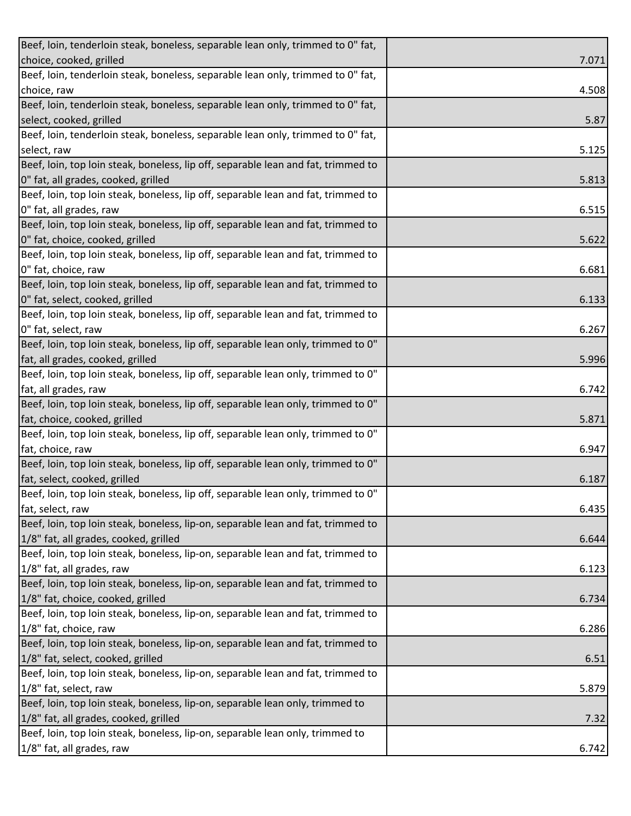| Beef, loin, tenderloin steak, boneless, separable lean only, trimmed to 0" fat,   |       |
|-----------------------------------------------------------------------------------|-------|
| choice, cooked, grilled                                                           | 7.071 |
| Beef, loin, tenderloin steak, boneless, separable lean only, trimmed to 0" fat,   |       |
| choice, raw                                                                       | 4.508 |
| Beef, loin, tenderloin steak, boneless, separable lean only, trimmed to 0" fat,   |       |
| select, cooked, grilled                                                           | 5.87  |
| Beef, loin, tenderloin steak, boneless, separable lean only, trimmed to 0" fat,   |       |
| select, raw                                                                       | 5.125 |
| Beef, loin, top loin steak, boneless, lip off, separable lean and fat, trimmed to |       |
| 0" fat, all grades, cooked, grilled                                               | 5.813 |
| Beef, loin, top loin steak, boneless, lip off, separable lean and fat, trimmed to |       |
| 0" fat, all grades, raw                                                           | 6.515 |
| Beef, loin, top loin steak, boneless, lip off, separable lean and fat, trimmed to |       |
| 0" fat, choice, cooked, grilled                                                   | 5.622 |
| Beef, loin, top loin steak, boneless, lip off, separable lean and fat, trimmed to |       |
| 0" fat, choice, raw                                                               | 6.681 |
| Beef, loin, top loin steak, boneless, lip off, separable lean and fat, trimmed to |       |
| 0" fat, select, cooked, grilled                                                   | 6.133 |
| Beef, loin, top loin steak, boneless, lip off, separable lean and fat, trimmed to |       |
| 0" fat, select, raw                                                               | 6.267 |
| Beef, loin, top loin steak, boneless, lip off, separable lean only, trimmed to 0" |       |
| fat, all grades, cooked, grilled                                                  | 5.996 |
| Beef, loin, top loin steak, boneless, lip off, separable lean only, trimmed to 0" |       |
| fat, all grades, raw                                                              | 6.742 |
| Beef, loin, top loin steak, boneless, lip off, separable lean only, trimmed to 0" |       |
| fat, choice, cooked, grilled                                                      | 5.871 |
| Beef, loin, top loin steak, boneless, lip off, separable lean only, trimmed to 0" |       |
| fat, choice, raw                                                                  | 6.947 |
| Beef, loin, top loin steak, boneless, lip off, separable lean only, trimmed to 0" |       |
| fat, select, cooked, grilled                                                      | 6.187 |
| Beef, loin, top loin steak, boneless, lip off, separable lean only, trimmed to 0" |       |
| fat, select, raw                                                                  | 6.435 |
| Beef, loin, top loin steak, boneless, lip-on, separable lean and fat, trimmed to  |       |
| 1/8" fat, all grades, cooked, grilled                                             | 6.644 |
| Beef, loin, top loin steak, boneless, lip-on, separable lean and fat, trimmed to  |       |
| 1/8" fat, all grades, raw                                                         | 6.123 |
| Beef, loin, top loin steak, boneless, lip-on, separable lean and fat, trimmed to  |       |
| 1/8" fat, choice, cooked, grilled                                                 | 6.734 |
| Beef, loin, top loin steak, boneless, lip-on, separable lean and fat, trimmed to  |       |
| 1/8" fat, choice, raw                                                             | 6.286 |
| Beef, loin, top loin steak, boneless, lip-on, separable lean and fat, trimmed to  |       |
| 1/8" fat, select, cooked, grilled                                                 | 6.51  |
| Beef, loin, top loin steak, boneless, lip-on, separable lean and fat, trimmed to  |       |
| 1/8" fat, select, raw                                                             | 5.879 |
| Beef, loin, top loin steak, boneless, lip-on, separable lean only, trimmed to     |       |
| 1/8" fat, all grades, cooked, grilled                                             | 7.32  |
| Beef, loin, top loin steak, boneless, lip-on, separable lean only, trimmed to     |       |
| 1/8" fat, all grades, raw                                                         | 6.742 |
|                                                                                   |       |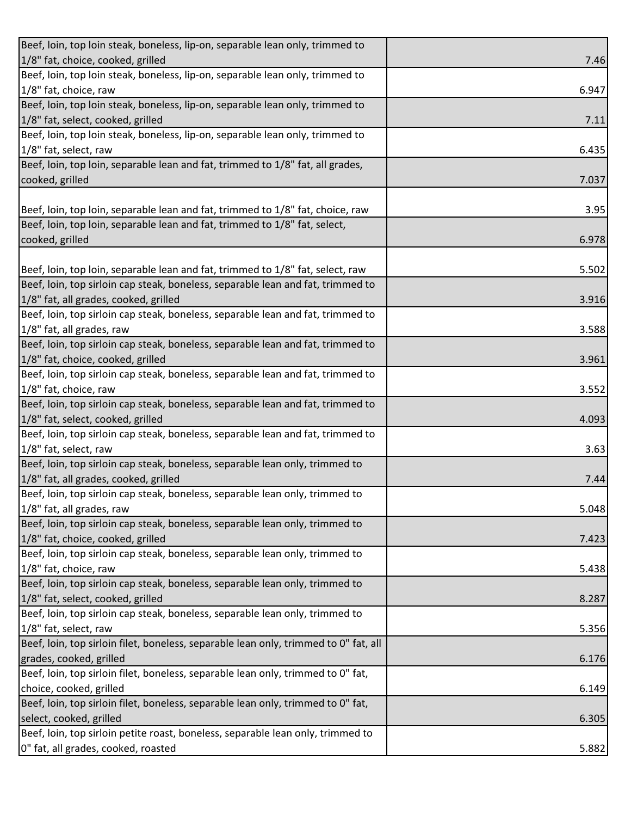| Beef, loin, top loin steak, boneless, lip-on, separable lean only, trimmed to        |       |
|--------------------------------------------------------------------------------------|-------|
| 1/8" fat, choice, cooked, grilled                                                    | 7.46  |
| Beef, loin, top loin steak, boneless, lip-on, separable lean only, trimmed to        |       |
| 1/8" fat, choice, raw                                                                | 6.947 |
| Beef, loin, top loin steak, boneless, lip-on, separable lean only, trimmed to        |       |
| 1/8" fat, select, cooked, grilled                                                    | 7.11  |
| Beef, loin, top loin steak, boneless, lip-on, separable lean only, trimmed to        |       |
| 1/8" fat, select, raw                                                                | 6.435 |
| Beef, loin, top loin, separable lean and fat, trimmed to 1/8" fat, all grades,       |       |
| cooked, grilled                                                                      | 7.037 |
|                                                                                      |       |
| Beef, loin, top loin, separable lean and fat, trimmed to 1/8" fat, choice, raw       | 3.95  |
| Beef, loin, top loin, separable lean and fat, trimmed to 1/8" fat, select,           |       |
| cooked, grilled                                                                      | 6.978 |
|                                                                                      |       |
| Beef, loin, top loin, separable lean and fat, trimmed to 1/8" fat, select, raw       | 5.502 |
| Beef, loin, top sirloin cap steak, boneless, separable lean and fat, trimmed to      |       |
| 1/8" fat, all grades, cooked, grilled                                                | 3.916 |
| Beef, loin, top sirloin cap steak, boneless, separable lean and fat, trimmed to      |       |
| 1/8" fat, all grades, raw                                                            | 3.588 |
| Beef, loin, top sirloin cap steak, boneless, separable lean and fat, trimmed to      |       |
| 1/8" fat, choice, cooked, grilled                                                    | 3.961 |
| Beef, loin, top sirloin cap steak, boneless, separable lean and fat, trimmed to      |       |
| 1/8" fat, choice, raw                                                                | 3.552 |
| Beef, loin, top sirloin cap steak, boneless, separable lean and fat, trimmed to      |       |
| 1/8" fat, select, cooked, grilled                                                    | 4.093 |
| Beef, loin, top sirloin cap steak, boneless, separable lean and fat, trimmed to      |       |
| 1/8" fat, select, raw                                                                | 3.63  |
| Beef, loin, top sirloin cap steak, boneless, separable lean only, trimmed to         |       |
| 1/8" fat, all grades, cooked, grilled                                                | 7.44  |
| Beef, loin, top sirloin cap steak, boneless, separable lean only, trimmed to         |       |
| 1/8" fat, all grades, raw                                                            | 5.048 |
| Beef, loin, top sirloin cap steak, boneless, separable lean only, trimmed to         |       |
| 1/8" fat, choice, cooked, grilled                                                    | 7.423 |
| Beef, loin, top sirloin cap steak, boneless, separable lean only, trimmed to         |       |
| 1/8" fat, choice, raw                                                                | 5.438 |
| Beef, loin, top sirloin cap steak, boneless, separable lean only, trimmed to         |       |
| 1/8" fat, select, cooked, grilled                                                    | 8.287 |
| Beef, loin, top sirloin cap steak, boneless, separable lean only, trimmed to         |       |
| 1/8" fat, select, raw                                                                | 5.356 |
| Beef, loin, top sirloin filet, boneless, separable lean only, trimmed to 0" fat, all |       |
| grades, cooked, grilled                                                              | 6.176 |
| Beef, loin, top sirloin filet, boneless, separable lean only, trimmed to 0" fat,     |       |
| choice, cooked, grilled                                                              | 6.149 |
| Beef, loin, top sirloin filet, boneless, separable lean only, trimmed to 0" fat,     |       |
| select, cooked, grilled                                                              | 6.305 |
| Beef, loin, top sirloin petite roast, boneless, separable lean only, trimmed to      |       |
| 0" fat, all grades, cooked, roasted                                                  | 5.882 |
|                                                                                      |       |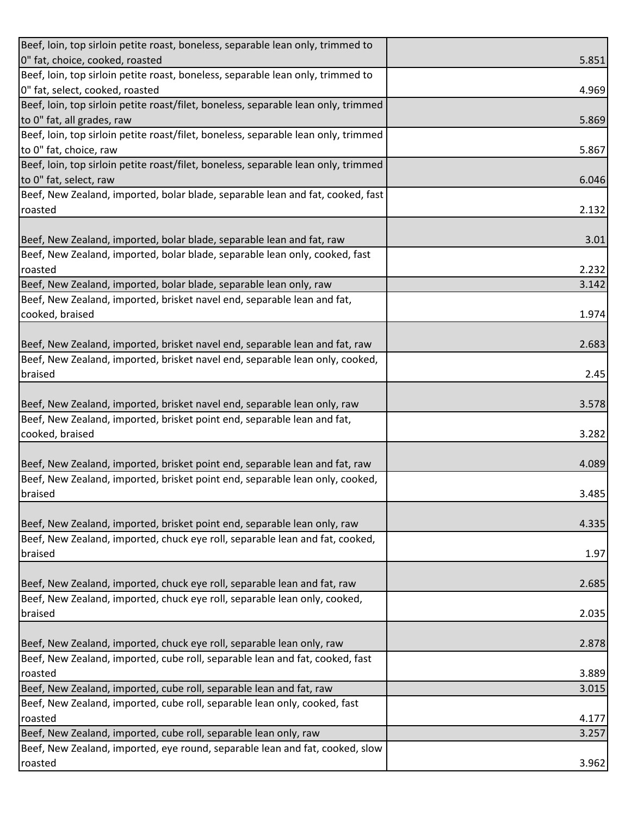| Beef, loin, top sirloin petite roast, boneless, separable lean only, trimmed to                                                                             |       |
|-------------------------------------------------------------------------------------------------------------------------------------------------------------|-------|
| 0" fat, choice, cooked, roasted                                                                                                                             | 5.851 |
| Beef, loin, top sirloin petite roast, boneless, separable lean only, trimmed to                                                                             |       |
| 0" fat, select, cooked, roasted                                                                                                                             | 4.969 |
| Beef, loin, top sirloin petite roast/filet, boneless, separable lean only, trimmed                                                                          |       |
| to 0" fat, all grades, raw                                                                                                                                  | 5.869 |
| Beef, loin, top sirloin petite roast/filet, boneless, separable lean only, trimmed                                                                          |       |
| to 0" fat, choice, raw                                                                                                                                      | 5.867 |
| Beef, loin, top sirloin petite roast/filet, boneless, separable lean only, trimmed                                                                          |       |
| to 0" fat, select, raw                                                                                                                                      | 6.046 |
| Beef, New Zealand, imported, bolar blade, separable lean and fat, cooked, fast                                                                              |       |
| roasted                                                                                                                                                     | 2.132 |
|                                                                                                                                                             |       |
| Beef, New Zealand, imported, bolar blade, separable lean and fat, raw                                                                                       | 3.01  |
| Beef, New Zealand, imported, bolar blade, separable lean only, cooked, fast                                                                                 |       |
| roasted                                                                                                                                                     | 2.232 |
| Beef, New Zealand, imported, bolar blade, separable lean only, raw                                                                                          | 3.142 |
| Beef, New Zealand, imported, brisket navel end, separable lean and fat,                                                                                     |       |
| cooked, braised                                                                                                                                             | 1.974 |
|                                                                                                                                                             |       |
| Beef, New Zealand, imported, brisket navel end, separable lean and fat, raw                                                                                 | 2.683 |
| Beef, New Zealand, imported, brisket navel end, separable lean only, cooked,                                                                                |       |
| braised                                                                                                                                                     | 2.45  |
|                                                                                                                                                             |       |
| Beef, New Zealand, imported, brisket navel end, separable lean only, raw                                                                                    | 3.578 |
| Beef, New Zealand, imported, brisket point end, separable lean and fat,                                                                                     |       |
| cooked, braised                                                                                                                                             | 3.282 |
|                                                                                                                                                             |       |
| Beef, New Zealand, imported, brisket point end, separable lean and fat, raw<br>Beef, New Zealand, imported, brisket point end, separable lean only, cooked, | 4.089 |
| braised                                                                                                                                                     | 3.485 |
|                                                                                                                                                             |       |
| Beef, New Zealand, imported, brisket point end, separable lean only, raw                                                                                    | 4.335 |
| Beef, New Zealand, imported, chuck eye roll, separable lean and fat, cooked,                                                                                |       |
| braised                                                                                                                                                     | 1.97  |
|                                                                                                                                                             |       |
| Beef, New Zealand, imported, chuck eye roll, separable lean and fat, raw                                                                                    | 2.685 |
| Beef, New Zealand, imported, chuck eye roll, separable lean only, cooked,                                                                                   |       |
| braised                                                                                                                                                     | 2.035 |
|                                                                                                                                                             |       |
| Beef, New Zealand, imported, chuck eye roll, separable lean only, raw                                                                                       | 2.878 |
| Beef, New Zealand, imported, cube roll, separable lean and fat, cooked, fast                                                                                |       |
| roasted                                                                                                                                                     | 3.889 |
| Beef, New Zealand, imported, cube roll, separable lean and fat, raw                                                                                         | 3.015 |
| Beef, New Zealand, imported, cube roll, separable lean only, cooked, fast                                                                                   |       |
| roasted                                                                                                                                                     | 4.177 |
| Beef, New Zealand, imported, cube roll, separable lean only, raw                                                                                            | 3.257 |
| Beef, New Zealand, imported, eye round, separable lean and fat, cooked, slow                                                                                |       |
| roasted                                                                                                                                                     | 3.962 |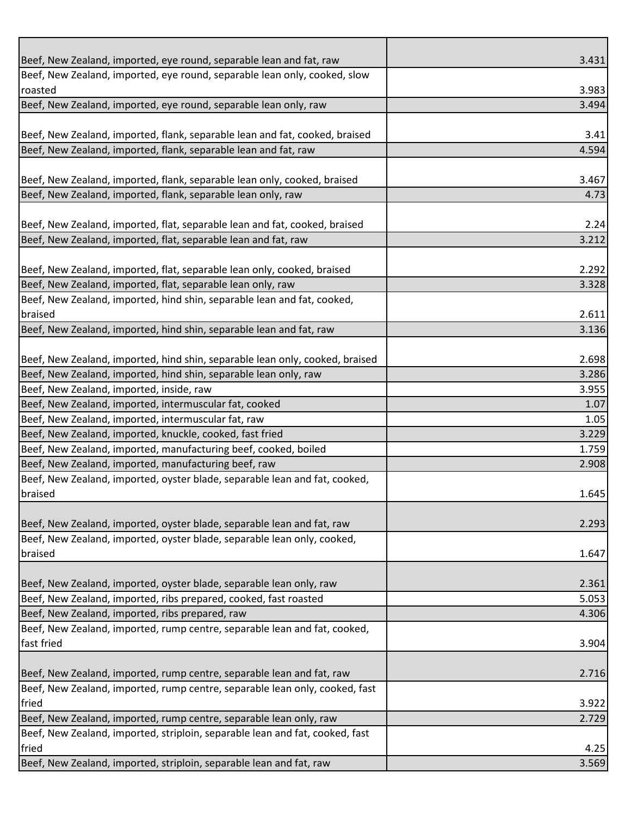| Beef, New Zealand, imported, eye round, separable lean and fat, raw          | 3.431 |
|------------------------------------------------------------------------------|-------|
| Beef, New Zealand, imported, eye round, separable lean only, cooked, slow    |       |
| roasted                                                                      | 3.983 |
| Beef, New Zealand, imported, eye round, separable lean only, raw             | 3.494 |
|                                                                              |       |
| Beef, New Zealand, imported, flank, separable lean and fat, cooked, braised  | 3.41  |
| Beef, New Zealand, imported, flank, separable lean and fat, raw              | 4.594 |
|                                                                              |       |
| Beef, New Zealand, imported, flank, separable lean only, cooked, braised     | 3.467 |
| Beef, New Zealand, imported, flank, separable lean only, raw                 | 4.73  |
|                                                                              |       |
| Beef, New Zealand, imported, flat, separable lean and fat, cooked, braised   | 2.24  |
| Beef, New Zealand, imported, flat, separable lean and fat, raw               | 3.212 |
|                                                                              |       |
| Beef, New Zealand, imported, flat, separable lean only, cooked, braised      | 2.292 |
| Beef, New Zealand, imported, flat, separable lean only, raw                  | 3.328 |
| Beef, New Zealand, imported, hind shin, separable lean and fat, cooked,      |       |
| braised                                                                      | 2.611 |
| Beef, New Zealand, imported, hind shin, separable lean and fat, raw          | 3.136 |
|                                                                              |       |
| Beef, New Zealand, imported, hind shin, separable lean only, cooked, braised | 2.698 |
| Beef, New Zealand, imported, hind shin, separable lean only, raw             | 3.286 |
| Beef, New Zealand, imported, inside, raw                                     | 3.955 |
| Beef, New Zealand, imported, intermuscular fat, cooked                       | 1.07  |
| Beef, New Zealand, imported, intermuscular fat, raw                          | 1.05  |
| Beef, New Zealand, imported, knuckle, cooked, fast fried                     | 3.229 |
| Beef, New Zealand, imported, manufacturing beef, cooked, boiled              | 1.759 |
| Beef, New Zealand, imported, manufacturing beef, raw                         | 2.908 |
| Beef, New Zealand, imported, oyster blade, separable lean and fat, cooked,   |       |
| braised                                                                      | 1.645 |
|                                                                              |       |
| Beef, New Zealand, imported, oyster blade, separable lean and fat, raw       | 2.293 |
| Beef, New Zealand, imported, oyster blade, separable lean only, cooked,      |       |
| braised                                                                      | 1.647 |
|                                                                              |       |
| Beef, New Zealand, imported, oyster blade, separable lean only, raw          | 2.361 |
| Beef, New Zealand, imported, ribs prepared, cooked, fast roasted             | 5.053 |
| Beef, New Zealand, imported, ribs prepared, raw                              | 4.306 |
| Beef, New Zealand, imported, rump centre, separable lean and fat, cooked,    |       |
| fast fried                                                                   | 3.904 |
|                                                                              |       |
| Beef, New Zealand, imported, rump centre, separable lean and fat, raw        | 2.716 |
| Beef, New Zealand, imported, rump centre, separable lean only, cooked, fast  |       |
| fried                                                                        | 3.922 |
| Beef, New Zealand, imported, rump centre, separable lean only, raw           | 2.729 |
| Beef, New Zealand, imported, striploin, separable lean and fat, cooked, fast |       |
| fried                                                                        | 4.25  |
|                                                                              |       |
| Beef, New Zealand, imported, striploin, separable lean and fat, raw          | 3.569 |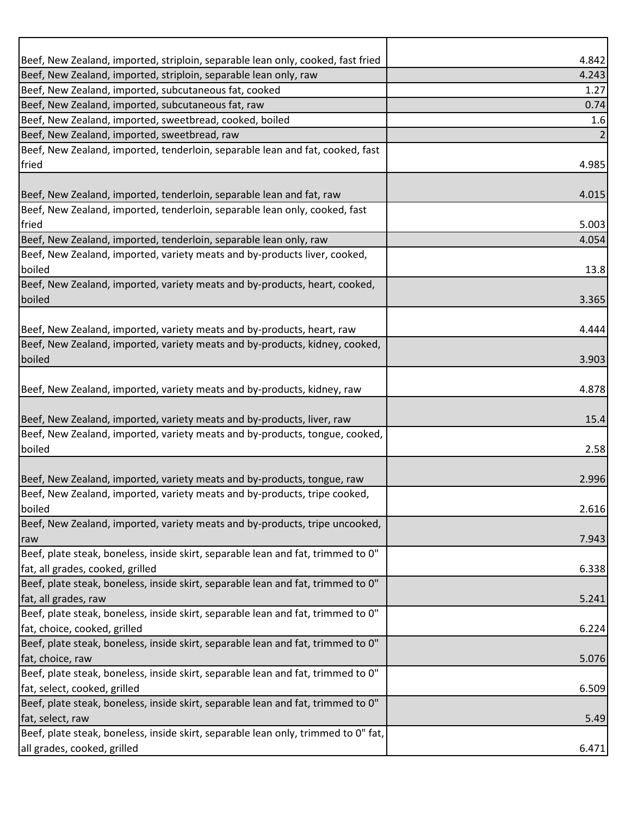| Beef, New Zealand, imported, striploin, separable lean only, cooked, fast fried    | 4.842 |
|------------------------------------------------------------------------------------|-------|
| Beef, New Zealand, imported, striploin, separable lean only, raw                   | 4.243 |
| Beef, New Zealand, imported, subcutaneous fat, cooked                              | 1.27  |
| Beef, New Zealand, imported, subcutaneous fat, raw                                 | 0.74  |
| Beef, New Zealand, imported, sweetbread, cooked, boiled                            | 1.6   |
| Beef, New Zealand, imported, sweetbread, raw                                       |       |
| Beef, New Zealand, imported, tenderloin, separable lean and fat, cooked, fast      |       |
| fried                                                                              | 4.985 |
|                                                                                    |       |
| Beef, New Zealand, imported, tenderloin, separable lean and fat, raw               | 4.015 |
| Beef, New Zealand, imported, tenderloin, separable lean only, cooked, fast         |       |
| fried                                                                              | 5.003 |
| Beef, New Zealand, imported, tenderloin, separable lean only, raw                  | 4.054 |
| Beef, New Zealand, imported, variety meats and by-products liver, cooked,          |       |
| boiled                                                                             | 13.8  |
| Beef, New Zealand, imported, variety meats and by-products, heart, cooked,         |       |
| boiled                                                                             | 3.365 |
|                                                                                    |       |
| Beef, New Zealand, imported, variety meats and by-products, heart, raw             | 4.444 |
| Beef, New Zealand, imported, variety meats and by-products, kidney, cooked,        |       |
| boiled                                                                             | 3.903 |
|                                                                                    |       |
| Beef, New Zealand, imported, variety meats and by-products, kidney, raw            | 4.878 |
|                                                                                    |       |
| Beef, New Zealand, imported, variety meats and by-products, liver, raw             | 15.4  |
| Beef, New Zealand, imported, variety meats and by-products, tongue, cooked,        |       |
| boiled                                                                             | 2.58  |
|                                                                                    |       |
| Beef, New Zealand, imported, variety meats and by-products, tongue, raw            | 2.996 |
| Beef, New Zealand, imported, variety meats and by-products, tripe cooked,          |       |
| boiled                                                                             | 2.616 |
| Beef, New Zealand, imported, variety meats and by-products, tripe uncooked,        |       |
| raw                                                                                | 7.943 |
| Beef, plate steak, boneless, inside skirt, separable lean and fat, trimmed to 0"   |       |
| fat, all grades, cooked, grilled                                                   | 6.338 |
| Beef, plate steak, boneless, inside skirt, separable lean and fat, trimmed to 0"   |       |
| fat, all grades, raw                                                               | 5.241 |
| Beef, plate steak, boneless, inside skirt, separable lean and fat, trimmed to 0"   |       |
| fat, choice, cooked, grilled                                                       | 6.224 |
| Beef, plate steak, boneless, inside skirt, separable lean and fat, trimmed to 0"   |       |
| fat, choice, raw                                                                   | 5.076 |
| Beef, plate steak, boneless, inside skirt, separable lean and fat, trimmed to 0"   |       |
| fat, select, cooked, grilled                                                       | 6.509 |
| Beef, plate steak, boneless, inside skirt, separable lean and fat, trimmed to 0"   |       |
| fat, select, raw                                                                   | 5.49  |
| Beef, plate steak, boneless, inside skirt, separable lean only, trimmed to 0" fat, |       |
| all grades, cooked, grilled                                                        | 6.471 |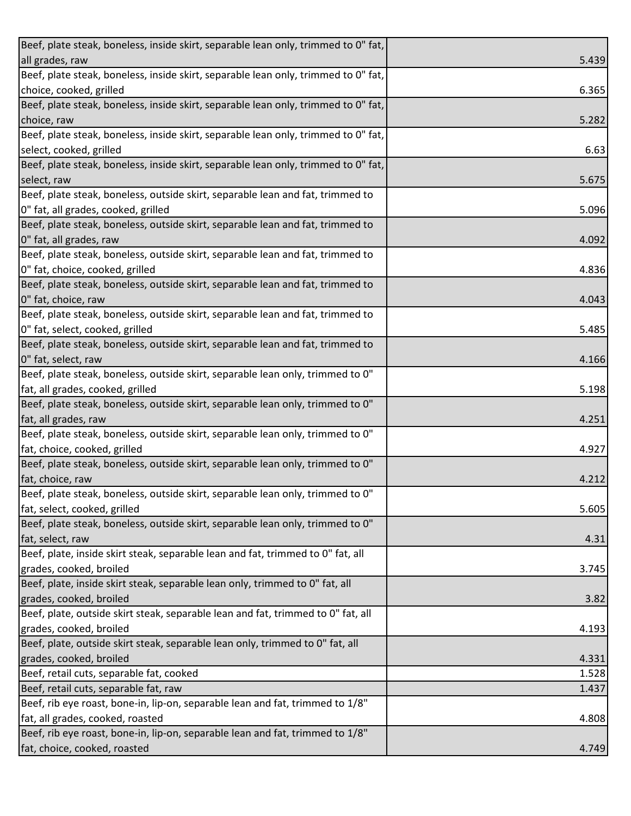| Beef, plate steak, boneless, inside skirt, separable lean only, trimmed to 0" fat, |       |
|------------------------------------------------------------------------------------|-------|
| all grades, raw                                                                    | 5.439 |
| Beef, plate steak, boneless, inside skirt, separable lean only, trimmed to 0" fat, |       |
| choice, cooked, grilled                                                            | 6.365 |
| Beef, plate steak, boneless, inside skirt, separable lean only, trimmed to 0" fat, |       |
| choice, raw                                                                        | 5.282 |
| Beef, plate steak, boneless, inside skirt, separable lean only, trimmed to 0" fat, |       |
| select, cooked, grilled                                                            | 6.63  |
| Beef, plate steak, boneless, inside skirt, separable lean only, trimmed to 0" fat, |       |
| select, raw                                                                        | 5.675 |
| Beef, plate steak, boneless, outside skirt, separable lean and fat, trimmed to     |       |
| 0" fat, all grades, cooked, grilled                                                | 5.096 |
| Beef, plate steak, boneless, outside skirt, separable lean and fat, trimmed to     |       |
| 0" fat, all grades, raw                                                            | 4.092 |
| Beef, plate steak, boneless, outside skirt, separable lean and fat, trimmed to     |       |
| 0" fat, choice, cooked, grilled                                                    | 4.836 |
| Beef, plate steak, boneless, outside skirt, separable lean and fat, trimmed to     |       |
| 0" fat, choice, raw                                                                | 4.043 |
| Beef, plate steak, boneless, outside skirt, separable lean and fat, trimmed to     |       |
| 0" fat, select, cooked, grilled                                                    | 5.485 |
| Beef, plate steak, boneless, outside skirt, separable lean and fat, trimmed to     |       |
| 0" fat, select, raw                                                                | 4.166 |
| Beef, plate steak, boneless, outside skirt, separable lean only, trimmed to 0"     |       |
| fat, all grades, cooked, grilled                                                   | 5.198 |
| Beef, plate steak, boneless, outside skirt, separable lean only, trimmed to 0"     |       |
| fat, all grades, raw                                                               | 4.251 |
| Beef, plate steak, boneless, outside skirt, separable lean only, trimmed to 0"     |       |
| fat, choice, cooked, grilled                                                       | 4.927 |
| Beef, plate steak, boneless, outside skirt, separable lean only, trimmed to 0"     |       |
| fat, choice, raw                                                                   | 4.212 |
| Beef, plate steak, boneless, outside skirt, separable lean only, trimmed to 0"     |       |
| fat, select, cooked, grilled                                                       | 5.605 |
| Beef, plate steak, boneless, outside skirt, separable lean only, trimmed to 0"     |       |
| fat, select, raw                                                                   | 4.31  |
| Beef, plate, inside skirt steak, separable lean and fat, trimmed to 0" fat, all    |       |
| grades, cooked, broiled                                                            | 3.745 |
| Beef, plate, inside skirt steak, separable lean only, trimmed to 0" fat, all       |       |
| grades, cooked, broiled                                                            | 3.82  |
| Beef, plate, outside skirt steak, separable lean and fat, trimmed to 0" fat, all   |       |
| grades, cooked, broiled                                                            | 4.193 |
| Beef, plate, outside skirt steak, separable lean only, trimmed to 0" fat, all      |       |
| grades, cooked, broiled                                                            | 4.331 |
| Beef, retail cuts, separable fat, cooked                                           | 1.528 |
| Beef, retail cuts, separable fat, raw                                              | 1.437 |
| Beef, rib eye roast, bone-in, lip-on, separable lean and fat, trimmed to 1/8"      |       |
| fat, all grades, cooked, roasted                                                   | 4.808 |
| Beef, rib eye roast, bone-in, lip-on, separable lean and fat, trimmed to 1/8"      |       |
| fat, choice, cooked, roasted                                                       | 4.749 |
|                                                                                    |       |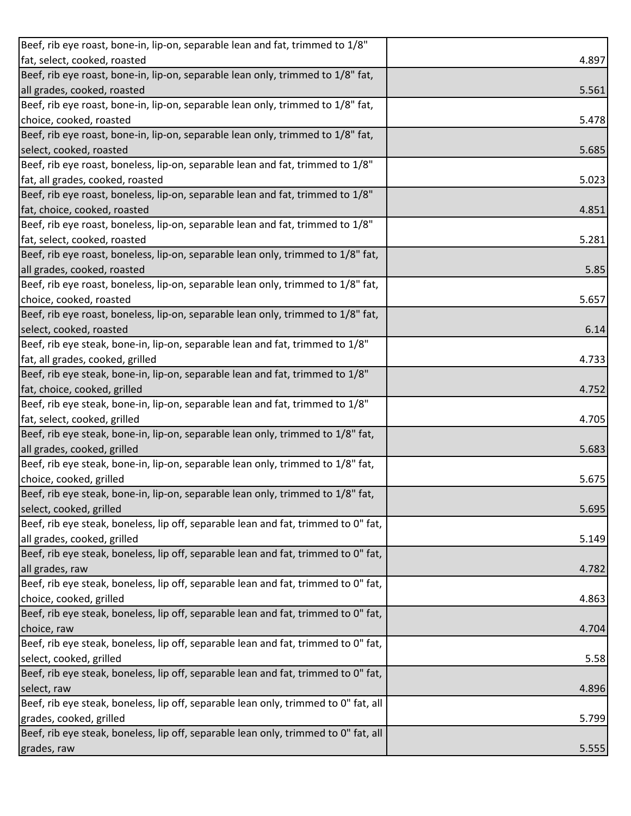| Beef, rib eye roast, bone-in, lip-on, separable lean and fat, trimmed to 1/8"       |       |
|-------------------------------------------------------------------------------------|-------|
| fat, select, cooked, roasted                                                        | 4.897 |
| Beef, rib eye roast, bone-in, lip-on, separable lean only, trimmed to 1/8" fat,     |       |
| all grades, cooked, roasted                                                         | 5.561 |
| Beef, rib eye roast, bone-in, lip-on, separable lean only, trimmed to 1/8" fat,     |       |
| choice, cooked, roasted                                                             | 5.478 |
| Beef, rib eye roast, bone-in, lip-on, separable lean only, trimmed to 1/8" fat,     |       |
| select, cooked, roasted                                                             | 5.685 |
| Beef, rib eye roast, boneless, lip-on, separable lean and fat, trimmed to 1/8"      |       |
| fat, all grades, cooked, roasted                                                    | 5.023 |
| Beef, rib eye roast, boneless, lip-on, separable lean and fat, trimmed to 1/8"      |       |
| fat, choice, cooked, roasted                                                        | 4.851 |
| Beef, rib eye roast, boneless, lip-on, separable lean and fat, trimmed to 1/8"      |       |
| fat, select, cooked, roasted                                                        | 5.281 |
| Beef, rib eye roast, boneless, lip-on, separable lean only, trimmed to 1/8" fat,    |       |
| all grades, cooked, roasted                                                         | 5.85  |
| Beef, rib eye roast, boneless, lip-on, separable lean only, trimmed to 1/8" fat,    |       |
| choice, cooked, roasted                                                             | 5.657 |
| Beef, rib eye roast, boneless, lip-on, separable lean only, trimmed to 1/8" fat,    |       |
| select, cooked, roasted                                                             | 6.14  |
| Beef, rib eye steak, bone-in, lip-on, separable lean and fat, trimmed to 1/8"       |       |
| fat, all grades, cooked, grilled                                                    | 4.733 |
| Beef, rib eye steak, bone-in, lip-on, separable lean and fat, trimmed to 1/8"       |       |
| fat, choice, cooked, grilled                                                        | 4.752 |
| Beef, rib eye steak, bone-in, lip-on, separable lean and fat, trimmed to 1/8"       |       |
| fat, select, cooked, grilled                                                        | 4.705 |
| Beef, rib eye steak, bone-in, lip-on, separable lean only, trimmed to 1/8" fat,     |       |
| all grades, cooked, grilled                                                         | 5.683 |
| Beef, rib eye steak, bone-in, lip-on, separable lean only, trimmed to 1/8" fat,     |       |
| choice, cooked, grilled                                                             | 5.675 |
| Beef, rib eye steak, bone-in, lip-on, separable lean only, trimmed to 1/8" fat,     |       |
| select, cooked, grilled                                                             | 5.695 |
| Beef, rib eye steak, boneless, lip off, separable lean and fat, trimmed to 0" fat,  |       |
| all grades, cooked, grilled                                                         | 5.149 |
| Beef, rib eye steak, boneless, lip off, separable lean and fat, trimmed to 0" fat,  |       |
| all grades, raw                                                                     | 4.782 |
| Beef, rib eye steak, boneless, lip off, separable lean and fat, trimmed to 0" fat,  |       |
| choice, cooked, grilled                                                             | 4.863 |
| Beef, rib eye steak, boneless, lip off, separable lean and fat, trimmed to 0" fat,  |       |
| choice, raw                                                                         | 4.704 |
| Beef, rib eye steak, boneless, lip off, separable lean and fat, trimmed to 0" fat,  |       |
| select, cooked, grilled                                                             | 5.58  |
| Beef, rib eye steak, boneless, lip off, separable lean and fat, trimmed to 0" fat,  |       |
| select, raw                                                                         | 4.896 |
| Beef, rib eye steak, boneless, lip off, separable lean only, trimmed to 0" fat, all |       |
| grades, cooked, grilled                                                             | 5.799 |
| Beef, rib eye steak, boneless, lip off, separable lean only, trimmed to 0" fat, all |       |
| grades, raw                                                                         | 5.555 |
|                                                                                     |       |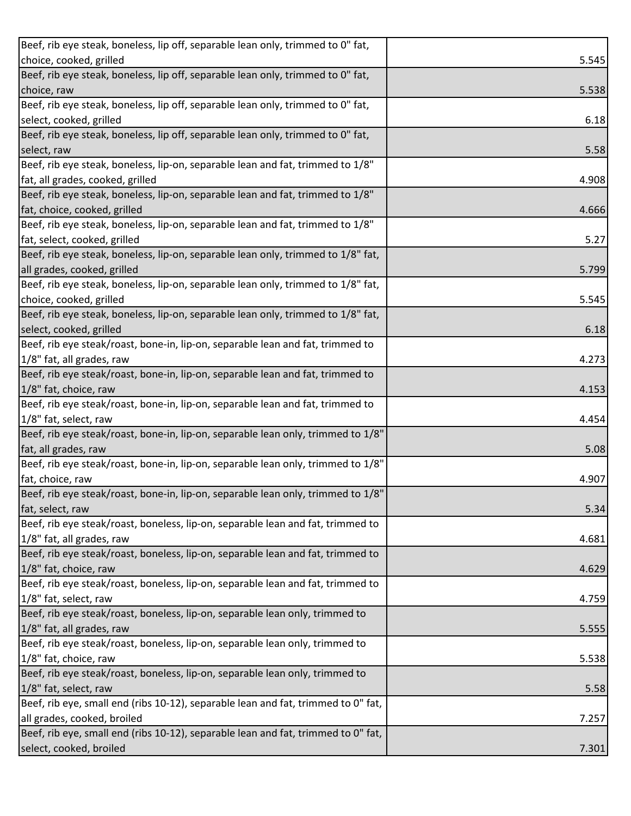| Beef, rib eye steak, boneless, lip off, separable lean only, trimmed to 0" fat,   |       |
|-----------------------------------------------------------------------------------|-------|
| choice, cooked, grilled                                                           | 5.545 |
| Beef, rib eye steak, boneless, lip off, separable lean only, trimmed to 0" fat,   |       |
| choice, raw                                                                       | 5.538 |
| Beef, rib eye steak, boneless, lip off, separable lean only, trimmed to 0" fat,   |       |
| select, cooked, grilled                                                           | 6.18  |
| Beef, rib eye steak, boneless, lip off, separable lean only, trimmed to 0" fat,   |       |
| select, raw                                                                       | 5.58  |
| Beef, rib eye steak, boneless, lip-on, separable lean and fat, trimmed to 1/8"    |       |
| fat, all grades, cooked, grilled                                                  | 4.908 |
| Beef, rib eye steak, boneless, lip-on, separable lean and fat, trimmed to 1/8"    |       |
| fat, choice, cooked, grilled                                                      | 4.666 |
| Beef, rib eye steak, boneless, lip-on, separable lean and fat, trimmed to 1/8"    |       |
| fat, select, cooked, grilled                                                      | 5.27  |
| Beef, rib eye steak, boneless, lip-on, separable lean only, trimmed to 1/8" fat,  |       |
| all grades, cooked, grilled                                                       | 5.799 |
| Beef, rib eye steak, boneless, lip-on, separable lean only, trimmed to 1/8" fat,  |       |
| choice, cooked, grilled                                                           | 5.545 |
| Beef, rib eye steak, boneless, lip-on, separable lean only, trimmed to 1/8" fat,  |       |
| select, cooked, grilled                                                           | 6.18  |
| Beef, rib eye steak/roast, bone-in, lip-on, separable lean and fat, trimmed to    |       |
| 1/8" fat, all grades, raw                                                         | 4.273 |
| Beef, rib eye steak/roast, bone-in, lip-on, separable lean and fat, trimmed to    |       |
| 1/8" fat, choice, raw                                                             | 4.153 |
| Beef, rib eye steak/roast, bone-in, lip-on, separable lean and fat, trimmed to    |       |
| 1/8" fat, select, raw                                                             | 4.454 |
| Beef, rib eye steak/roast, bone-in, lip-on, separable lean only, trimmed to 1/8"  |       |
| fat, all grades, raw                                                              | 5.08  |
| Beef, rib eye steak/roast, bone-in, lip-on, separable lean only, trimmed to 1/8"  |       |
| fat, choice, raw                                                                  | 4.907 |
| Beef, rib eye steak/roast, bone-in, lip-on, separable lean only, trimmed to 1/8"  |       |
| fat, select, raw                                                                  | 5.34  |
| Beef, rib eye steak/roast, boneless, lip-on, separable lean and fat, trimmed to   |       |
| 1/8" fat, all grades, raw                                                         | 4.681 |
| Beef, rib eye steak/roast, boneless, lip-on, separable lean and fat, trimmed to   |       |
| 1/8" fat, choice, raw                                                             | 4.629 |
| Beef, rib eye steak/roast, boneless, lip-on, separable lean and fat, trimmed to   |       |
| 1/8" fat, select, raw                                                             | 4.759 |
| Beef, rib eye steak/roast, boneless, lip-on, separable lean only, trimmed to      |       |
| 1/8" fat, all grades, raw                                                         | 5.555 |
| Beef, rib eye steak/roast, boneless, lip-on, separable lean only, trimmed to      |       |
| 1/8" fat, choice, raw                                                             | 5.538 |
| Beef, rib eye steak/roast, boneless, lip-on, separable lean only, trimmed to      |       |
| 1/8" fat, select, raw                                                             | 5.58  |
| Beef, rib eye, small end (ribs 10-12), separable lean and fat, trimmed to 0" fat, |       |
| all grades, cooked, broiled                                                       | 7.257 |
| Beef, rib eye, small end (ribs 10-12), separable lean and fat, trimmed to 0" fat, |       |
| select, cooked, broiled                                                           | 7.301 |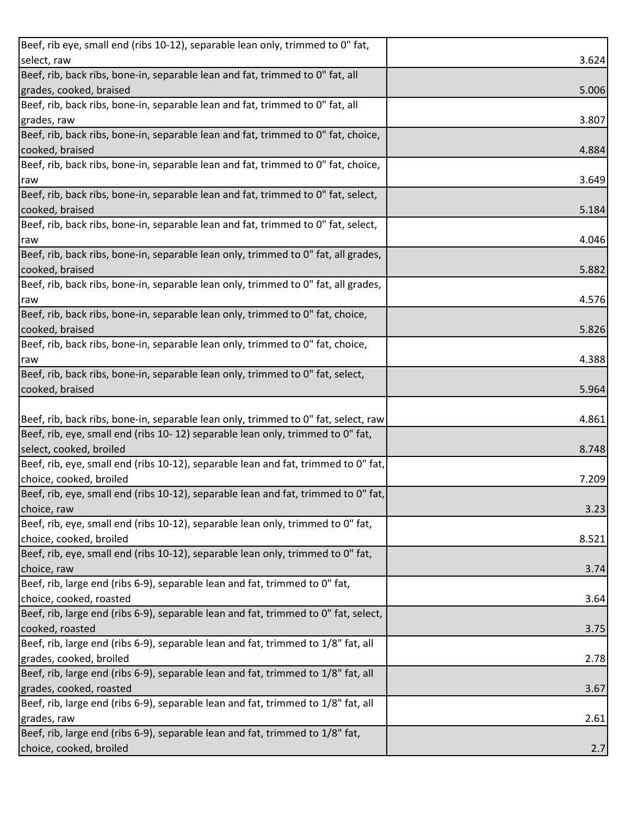| Beef, rib eye, small end (ribs 10-12), separable lean only, trimmed to 0" fat,      |       |
|-------------------------------------------------------------------------------------|-------|
| select, raw                                                                         | 3.624 |
| Beef, rib, back ribs, bone-in, separable lean and fat, trimmed to 0" fat, all       |       |
| grades, cooked, braised                                                             | 5.006 |
| Beef, rib, back ribs, bone-in, separable lean and fat, trimmed to 0" fat, all       |       |
| grades, raw                                                                         | 3.807 |
| Beef, rib, back ribs, bone-in, separable lean and fat, trimmed to 0" fat, choice,   |       |
| cooked, braised                                                                     | 4.884 |
| Beef, rib, back ribs, bone-in, separable lean and fat, trimmed to 0" fat, choice,   |       |
| raw                                                                                 | 3.649 |
| Beef, rib, back ribs, bone-in, separable lean and fat, trimmed to 0" fat, select,   |       |
| cooked, braised                                                                     | 5.184 |
| Beef, rib, back ribs, bone-in, separable lean and fat, trimmed to 0" fat, select,   |       |
| raw                                                                                 | 4.046 |
| Beef, rib, back ribs, bone-in, separable lean only, trimmed to 0" fat, all grades,  |       |
| cooked, braised                                                                     | 5.882 |
| Beef, rib, back ribs, bone-in, separable lean only, trimmed to 0" fat, all grades,  |       |
| raw                                                                                 | 4.576 |
| Beef, rib, back ribs, bone-in, separable lean only, trimmed to 0" fat, choice,      |       |
| cooked, braised                                                                     | 5.826 |
| Beef, rib, back ribs, bone-in, separable lean only, trimmed to 0" fat, choice,      |       |
| raw                                                                                 | 4.388 |
| Beef, rib, back ribs, bone-in, separable lean only, trimmed to 0" fat, select,      |       |
| cooked, braised                                                                     | 5.964 |
|                                                                                     |       |
| Beef, rib, back ribs, bone-in, separable lean only, trimmed to 0" fat, select, raw  | 4.861 |
| Beef, rib, eye, small end (ribs 10-12) separable lean only, trimmed to 0" fat,      |       |
| select, cooked, broiled                                                             | 8.748 |
| Beef, rib, eye, small end (ribs 10-12), separable lean and fat, trimmed to 0" fat,  |       |
| choice, cooked, broiled                                                             | 7.209 |
| Beef, rib, eye, small end (ribs 10-12), separable lean and fat, trimmed to 0" fat,  |       |
| choice, raw                                                                         | 3.23  |
| Beef, rib, eye, small end (ribs 10-12), separable lean only, trimmed to 0" fat,     |       |
| choice, cooked, broiled                                                             | 8.521 |
| Beef, rib, eye, small end (ribs 10-12), separable lean only, trimmed to 0" fat,     |       |
| choice, raw                                                                         | 3.74  |
| Beef, rib, large end (ribs 6-9), separable lean and fat, trimmed to 0" fat,         |       |
| choice, cooked, roasted                                                             | 3.64  |
| Beef, rib, large end (ribs 6-9), separable lean and fat, trimmed to 0" fat, select, |       |
| cooked, roasted                                                                     | 3.75  |
| Beef, rib, large end (ribs 6-9), separable lean and fat, trimmed to 1/8" fat, all   |       |
| grades, cooked, broiled                                                             | 2.78  |
| Beef, rib, large end (ribs 6-9), separable lean and fat, trimmed to 1/8" fat, all   |       |
| grades, cooked, roasted                                                             | 3.67  |
| Beef, rib, large end (ribs 6-9), separable lean and fat, trimmed to 1/8" fat, all   |       |
| grades, raw                                                                         |       |
|                                                                                     | 2.61  |
| Beef, rib, large end (ribs 6-9), separable lean and fat, trimmed to 1/8" fat,       | 2.7   |
| choice, cooked, broiled                                                             |       |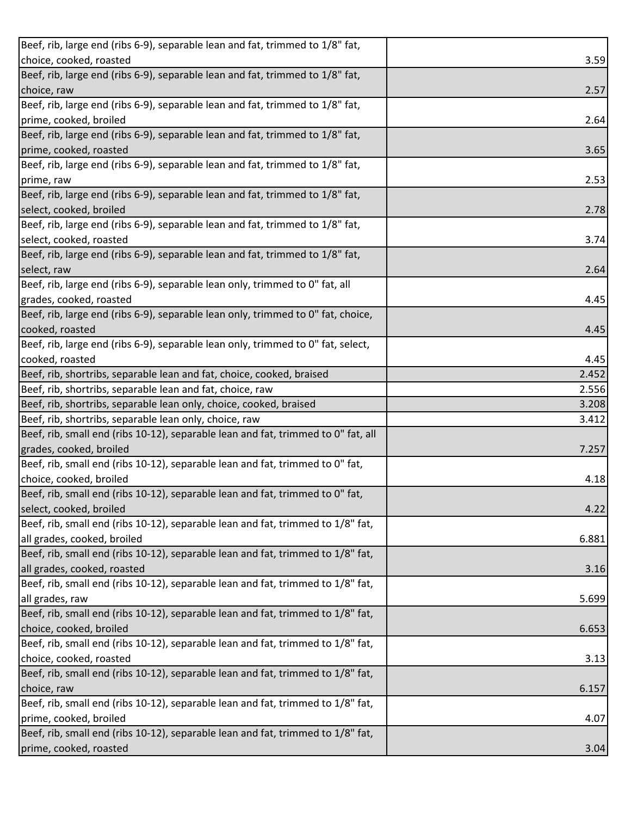| Beef, rib, large end (ribs 6-9), separable lean and fat, trimmed to 1/8" fat,     |       |
|-----------------------------------------------------------------------------------|-------|
| choice, cooked, roasted                                                           | 3.59  |
| Beef, rib, large end (ribs 6-9), separable lean and fat, trimmed to 1/8" fat,     |       |
| choice, raw                                                                       | 2.57  |
| Beef, rib, large end (ribs 6-9), separable lean and fat, trimmed to 1/8" fat,     |       |
| prime, cooked, broiled                                                            | 2.64  |
| Beef, rib, large end (ribs 6-9), separable lean and fat, trimmed to 1/8" fat,     |       |
| prime, cooked, roasted                                                            | 3.65  |
| Beef, rib, large end (ribs 6-9), separable lean and fat, trimmed to 1/8" fat,     |       |
| prime, raw                                                                        | 2.53  |
| Beef, rib, large end (ribs 6-9), separable lean and fat, trimmed to 1/8" fat,     |       |
| select, cooked, broiled                                                           | 2.78  |
| Beef, rib, large end (ribs 6-9), separable lean and fat, trimmed to 1/8" fat,     |       |
| select, cooked, roasted                                                           | 3.74  |
| Beef, rib, large end (ribs 6-9), separable lean and fat, trimmed to 1/8" fat,     |       |
| select, raw                                                                       | 2.64  |
| Beef, rib, large end (ribs 6-9), separable lean only, trimmed to 0" fat, all      |       |
| grades, cooked, roasted                                                           | 4.45  |
| Beef, rib, large end (ribs 6-9), separable lean only, trimmed to 0" fat, choice,  |       |
| cooked, roasted                                                                   | 4.45  |
| Beef, rib, large end (ribs 6-9), separable lean only, trimmed to 0" fat, select,  |       |
| cooked, roasted                                                                   | 4.45  |
| Beef, rib, shortribs, separable lean and fat, choice, cooked, braised             | 2.452 |
| Beef, rib, shortribs, separable lean and fat, choice, raw                         | 2.556 |
| Beef, rib, shortribs, separable lean only, choice, cooked, braised                | 3.208 |
| Beef, rib, shortribs, separable lean only, choice, raw                            | 3.412 |
| Beef, rib, small end (ribs 10-12), separable lean and fat, trimmed to 0" fat, all |       |
| grades, cooked, broiled                                                           | 7.257 |
| Beef, rib, small end (ribs 10-12), separable lean and fat, trimmed to 0" fat,     |       |
| choice, cooked, broiled                                                           | 4.18  |
| Beef, rib, small end (ribs 10-12), separable lean and fat, trimmed to 0" fat,     |       |
| select, cooked, broiled                                                           | 4.22  |
| Beef, rib, small end (ribs 10-12), separable lean and fat, trimmed to 1/8" fat,   |       |
| all grades, cooked, broiled                                                       | 6.881 |
| Beef, rib, small end (ribs 10-12), separable lean and fat, trimmed to 1/8" fat,   |       |
| all grades, cooked, roasted                                                       | 3.16  |
| Beef, rib, small end (ribs 10-12), separable lean and fat, trimmed to 1/8" fat,   |       |
| all grades, raw                                                                   | 5.699 |
| Beef, rib, small end (ribs 10-12), separable lean and fat, trimmed to 1/8" fat,   |       |
| choice, cooked, broiled                                                           | 6.653 |
| Beef, rib, small end (ribs 10-12), separable lean and fat, trimmed to 1/8" fat,   |       |
| choice, cooked, roasted                                                           | 3.13  |
| Beef, rib, small end (ribs 10-12), separable lean and fat, trimmed to 1/8" fat,   |       |
| choice, raw                                                                       | 6.157 |
| Beef, rib, small end (ribs 10-12), separable lean and fat, trimmed to 1/8" fat,   |       |
| prime, cooked, broiled                                                            | 4.07  |
| Beef, rib, small end (ribs 10-12), separable lean and fat, trimmed to 1/8" fat,   |       |
| prime, cooked, roasted                                                            | 3.04  |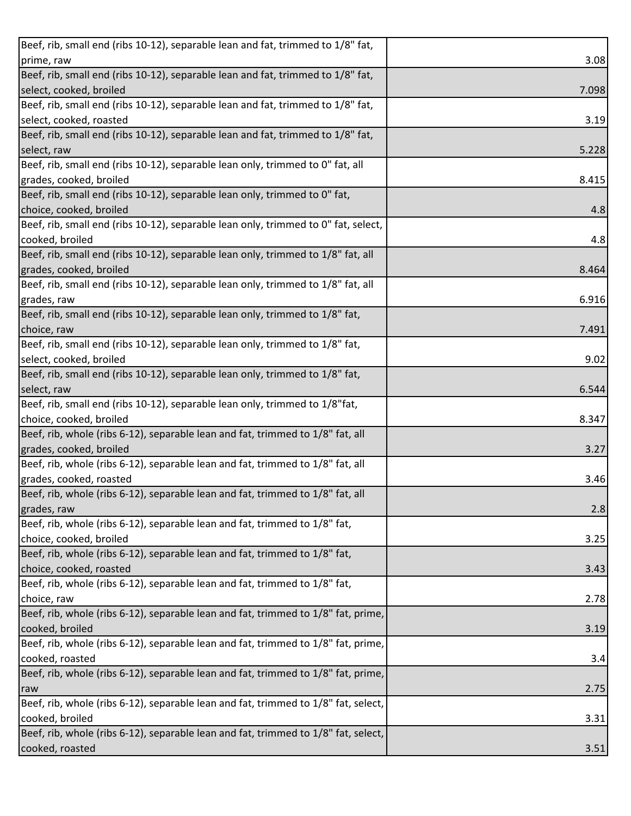| Beef, rib, small end (ribs 10-12), separable lean and fat, trimmed to 1/8" fat,    |       |
|------------------------------------------------------------------------------------|-------|
| prime, raw                                                                         | 3.08  |
| Beef, rib, small end (ribs 10-12), separable lean and fat, trimmed to 1/8" fat,    |       |
| select, cooked, broiled                                                            | 7.098 |
| Beef, rib, small end (ribs 10-12), separable lean and fat, trimmed to 1/8" fat,    |       |
| select, cooked, roasted                                                            | 3.19  |
| Beef, rib, small end (ribs 10-12), separable lean and fat, trimmed to 1/8" fat,    |       |
| select, raw                                                                        | 5.228 |
| Beef, rib, small end (ribs 10-12), separable lean only, trimmed to 0" fat, all     |       |
| grades, cooked, broiled                                                            | 8.415 |
| Beef, rib, small end (ribs 10-12), separable lean only, trimmed to 0" fat,         |       |
| choice, cooked, broiled                                                            | 4.8   |
| Beef, rib, small end (ribs 10-12), separable lean only, trimmed to 0" fat, select, |       |
| cooked, broiled                                                                    | 4.8   |
| Beef, rib, small end (ribs 10-12), separable lean only, trimmed to 1/8" fat, all   |       |
| grades, cooked, broiled                                                            | 8.464 |
| Beef, rib, small end (ribs 10-12), separable lean only, trimmed to 1/8" fat, all   |       |
| grades, raw                                                                        | 6.916 |
| Beef, rib, small end (ribs 10-12), separable lean only, trimmed to 1/8" fat,       |       |
| choice, raw                                                                        | 7.491 |
| Beef, rib, small end (ribs 10-12), separable lean only, trimmed to 1/8" fat,       |       |
| select, cooked, broiled                                                            | 9.02  |
| Beef, rib, small end (ribs 10-12), separable lean only, trimmed to 1/8" fat,       |       |
| select, raw                                                                        | 6.544 |
| Beef, rib, small end (ribs 10-12), separable lean only, trimmed to 1/8"fat,        |       |
| choice, cooked, broiled                                                            | 8.347 |
| Beef, rib, whole (ribs 6-12), separable lean and fat, trimmed to 1/8" fat, all     |       |
| grades, cooked, broiled                                                            | 3.27  |
| Beef, rib, whole (ribs 6-12), separable lean and fat, trimmed to 1/8" fat, all     |       |
| grades, cooked, roasted                                                            | 3.46  |
| Beef, rib, whole (ribs 6-12), separable lean and fat, trimmed to 1/8" fat, all     |       |
| grades, raw                                                                        | 2.8   |
| Beef, rib, whole (ribs 6-12), separable lean and fat, trimmed to 1/8" fat,         |       |
| choice, cooked, broiled                                                            | 3.25  |
| Beef, rib, whole (ribs 6-12), separable lean and fat, trimmed to 1/8" fat,         |       |
| choice, cooked, roasted                                                            | 3.43  |
| Beef, rib, whole (ribs 6-12), separable lean and fat, trimmed to 1/8" fat,         |       |
| choice, raw                                                                        | 2.78  |
| Beef, rib, whole (ribs 6-12), separable lean and fat, trimmed to 1/8" fat, prime,  |       |
| cooked, broiled                                                                    | 3.19  |
| Beef, rib, whole (ribs 6-12), separable lean and fat, trimmed to 1/8" fat, prime,  |       |
| cooked, roasted                                                                    | 3.4   |
| Beef, rib, whole (ribs 6-12), separable lean and fat, trimmed to 1/8" fat, prime,  |       |
| raw                                                                                | 2.75  |
| Beef, rib, whole (ribs 6-12), separable lean and fat, trimmed to 1/8" fat, select, |       |
| cooked, broiled                                                                    | 3.31  |
| Beef, rib, whole (ribs 6-12), separable lean and fat, trimmed to 1/8" fat, select, |       |
| cooked, roasted                                                                    | 3.51  |
|                                                                                    |       |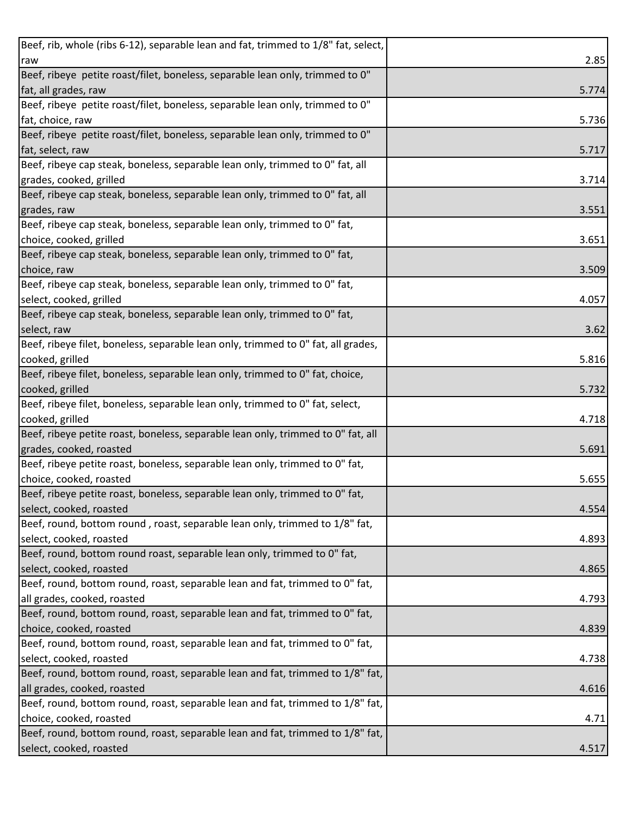| Beef, rib, whole (ribs 6-12), separable lean and fat, trimmed to 1/8" fat, select, |       |
|------------------------------------------------------------------------------------|-------|
| raw                                                                                | 2.85  |
| Beef, ribeye petite roast/filet, boneless, separable lean only, trimmed to 0"      |       |
| fat, all grades, raw                                                               | 5.774 |
| Beef, ribeye petite roast/filet, boneless, separable lean only, trimmed to 0"      |       |
| fat, choice, raw                                                                   | 5.736 |
| Beef, ribeye petite roast/filet, boneless, separable lean only, trimmed to 0"      |       |
| fat, select, raw                                                                   | 5.717 |
| Beef, ribeye cap steak, boneless, separable lean only, trimmed to 0" fat, all      |       |
| grades, cooked, grilled                                                            | 3.714 |
| Beef, ribeye cap steak, boneless, separable lean only, trimmed to 0" fat, all      |       |
| grades, raw                                                                        | 3.551 |
| Beef, ribeye cap steak, boneless, separable lean only, trimmed to 0" fat,          |       |
| choice, cooked, grilled                                                            | 3.651 |
| Beef, ribeye cap steak, boneless, separable lean only, trimmed to 0" fat,          |       |
| choice, raw                                                                        | 3.509 |
| Beef, ribeye cap steak, boneless, separable lean only, trimmed to 0" fat,          |       |
| select, cooked, grilled                                                            | 4.057 |
| Beef, ribeye cap steak, boneless, separable lean only, trimmed to 0" fat,          |       |
| select, raw                                                                        | 3.62  |
| Beef, ribeye filet, boneless, separable lean only, trimmed to 0" fat, all grades,  |       |
| cooked, grilled                                                                    | 5.816 |
| Beef, ribeye filet, boneless, separable lean only, trimmed to 0" fat, choice,      |       |
| cooked, grilled                                                                    | 5.732 |
| Beef, ribeye filet, boneless, separable lean only, trimmed to 0" fat, select,      |       |
| cooked, grilled                                                                    | 4.718 |
| Beef, ribeye petite roast, boneless, separable lean only, trimmed to 0" fat, all   |       |
| grades, cooked, roasted                                                            | 5.691 |
| Beef, ribeye petite roast, boneless, separable lean only, trimmed to 0" fat,       |       |
| choice, cooked, roasted                                                            | 5.655 |
| Beef, ribeye petite roast, boneless, separable lean only, trimmed to 0" fat,       |       |
| select, cooked, roasted                                                            | 4.554 |
| Beef, round, bottom round, roast, separable lean only, trimmed to 1/8" fat,        |       |
| select, cooked, roasted                                                            | 4.893 |
| Beef, round, bottom round roast, separable lean only, trimmed to 0" fat,           |       |
| select, cooked, roasted                                                            | 4.865 |
| Beef, round, bottom round, roast, separable lean and fat, trimmed to 0" fat,       |       |
| all grades, cooked, roasted                                                        | 4.793 |
| Beef, round, bottom round, roast, separable lean and fat, trimmed to 0" fat,       |       |
| choice, cooked, roasted                                                            | 4.839 |
| Beef, round, bottom round, roast, separable lean and fat, trimmed to 0" fat,       |       |
| select, cooked, roasted                                                            | 4.738 |
| Beef, round, bottom round, roast, separable lean and fat, trimmed to 1/8" fat,     |       |
| all grades, cooked, roasted                                                        | 4.616 |
| Beef, round, bottom round, roast, separable lean and fat, trimmed to 1/8" fat,     |       |
| choice, cooked, roasted                                                            | 4.71  |
| Beef, round, bottom round, roast, separable lean and fat, trimmed to 1/8" fat,     |       |
| select, cooked, roasted                                                            | 4.517 |
|                                                                                    |       |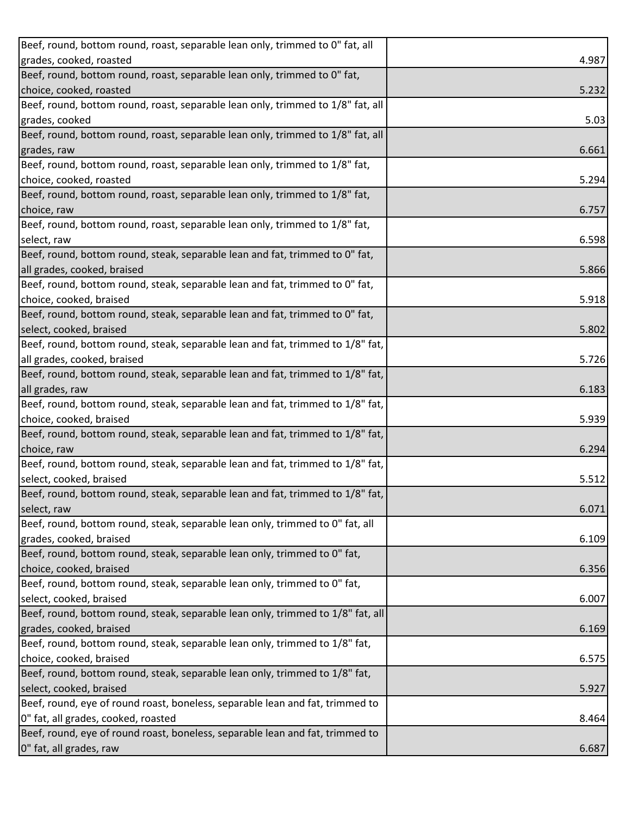| Beef, round, bottom round, roast, separable lean only, trimmed to 0" fat, all   |       |
|---------------------------------------------------------------------------------|-------|
| grades, cooked, roasted                                                         | 4.987 |
| Beef, round, bottom round, roast, separable lean only, trimmed to 0" fat,       |       |
| choice, cooked, roasted                                                         | 5.232 |
| Beef, round, bottom round, roast, separable lean only, trimmed to 1/8" fat, all |       |
| grades, cooked                                                                  | 5.03  |
| Beef, round, bottom round, roast, separable lean only, trimmed to 1/8" fat, all |       |
| grades, raw                                                                     | 6.661 |
| Beef, round, bottom round, roast, separable lean only, trimmed to 1/8" fat,     |       |
| choice, cooked, roasted                                                         | 5.294 |
| Beef, round, bottom round, roast, separable lean only, trimmed to 1/8" fat,     |       |
| choice, raw                                                                     | 6.757 |
| Beef, round, bottom round, roast, separable lean only, trimmed to 1/8" fat,     |       |
| select, raw                                                                     | 6.598 |
| Beef, round, bottom round, steak, separable lean and fat, trimmed to 0" fat,    |       |
| all grades, cooked, braised                                                     | 5.866 |
| Beef, round, bottom round, steak, separable lean and fat, trimmed to 0" fat,    |       |
| choice, cooked, braised                                                         | 5.918 |
| Beef, round, bottom round, steak, separable lean and fat, trimmed to 0" fat,    |       |
| select, cooked, braised                                                         | 5.802 |
| Beef, round, bottom round, steak, separable lean and fat, trimmed to 1/8" fat,  |       |
| all grades, cooked, braised                                                     | 5.726 |
| Beef, round, bottom round, steak, separable lean and fat, trimmed to 1/8" fat,  |       |
| all grades, raw                                                                 | 6.183 |
| Beef, round, bottom round, steak, separable lean and fat, trimmed to 1/8" fat,  |       |
| choice, cooked, braised                                                         | 5.939 |
| Beef, round, bottom round, steak, separable lean and fat, trimmed to 1/8" fat,  |       |
| choice, raw                                                                     | 6.294 |
| Beef, round, bottom round, steak, separable lean and fat, trimmed to 1/8" fat,  |       |
| select, cooked, braised                                                         | 5.512 |
| Beef, round, bottom round, steak, separable lean and fat, trimmed to 1/8" fat,  |       |
| select, raw                                                                     | 6.071 |
| Beef, round, bottom round, steak, separable lean only, trimmed to 0" fat, all   |       |
| grades, cooked, braised                                                         | 6.109 |
| Beef, round, bottom round, steak, separable lean only, trimmed to 0" fat,       |       |
| choice, cooked, braised                                                         | 6.356 |
| Beef, round, bottom round, steak, separable lean only, trimmed to 0" fat,       |       |
| select, cooked, braised                                                         | 6.007 |
| Beef, round, bottom round, steak, separable lean only, trimmed to 1/8" fat, all |       |
| grades, cooked, braised                                                         | 6.169 |
| Beef, round, bottom round, steak, separable lean only, trimmed to 1/8" fat,     |       |
| choice, cooked, braised                                                         |       |
| Beef, round, bottom round, steak, separable lean only, trimmed to 1/8" fat,     | 6.575 |
| select, cooked, braised                                                         | 5.927 |
| Beef, round, eye of round roast, boneless, separable lean and fat, trimmed to   |       |
| 0" fat, all grades, cooked, roasted                                             |       |
| Beef, round, eye of round roast, boneless, separable lean and fat, trimmed to   | 8.464 |
|                                                                                 |       |
| 0" fat, all grades, raw                                                         | 6.687 |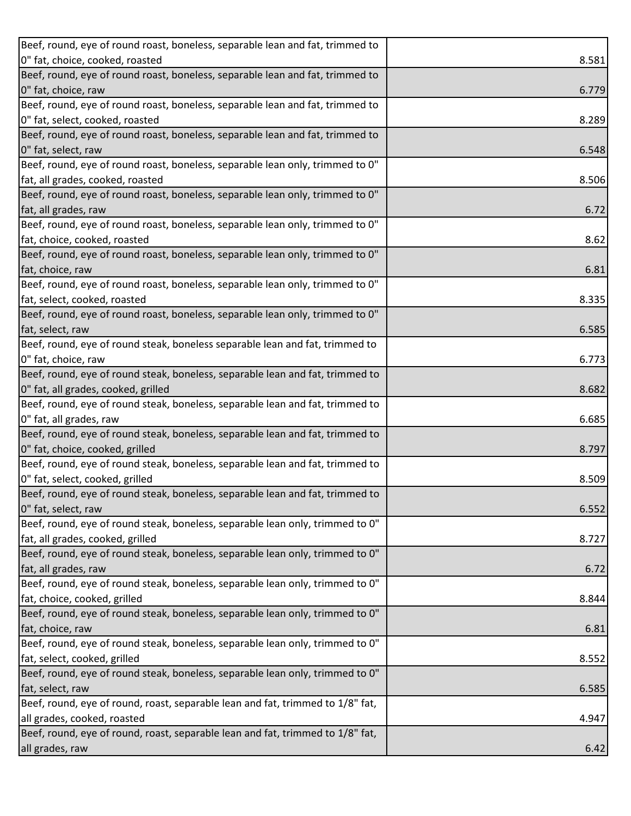| Beef, round, eye of round roast, boneless, separable lean and fat, trimmed to  |       |
|--------------------------------------------------------------------------------|-------|
| 0" fat, choice, cooked, roasted                                                | 8.581 |
| Beef, round, eye of round roast, boneless, separable lean and fat, trimmed to  |       |
| 0" fat, choice, raw                                                            | 6.779 |
| Beef, round, eye of round roast, boneless, separable lean and fat, trimmed to  |       |
| 0" fat, select, cooked, roasted                                                | 8.289 |
| Beef, round, eye of round roast, boneless, separable lean and fat, trimmed to  |       |
| 0" fat, select, raw                                                            | 6.548 |
| Beef, round, eye of round roast, boneless, separable lean only, trimmed to 0"  |       |
| fat, all grades, cooked, roasted                                               | 8.506 |
| Beef, round, eye of round roast, boneless, separable lean only, trimmed to 0"  |       |
| fat, all grades, raw                                                           | 6.72  |
| Beef, round, eye of round roast, boneless, separable lean only, trimmed to 0"  |       |
| fat, choice, cooked, roasted                                                   | 8.62  |
| Beef, round, eye of round roast, boneless, separable lean only, trimmed to 0"  |       |
| fat, choice, raw                                                               | 6.81  |
| Beef, round, eye of round roast, boneless, separable lean only, trimmed to 0"  |       |
| fat, select, cooked, roasted                                                   | 8.335 |
| Beef, round, eye of round roast, boneless, separable lean only, trimmed to 0"  |       |
| fat, select, raw                                                               | 6.585 |
| Beef, round, eye of round steak, boneless separable lean and fat, trimmed to   |       |
| 0" fat, choice, raw                                                            | 6.773 |
| Beef, round, eye of round steak, boneless, separable lean and fat, trimmed to  |       |
| 0" fat, all grades, cooked, grilled                                            | 8.682 |
| Beef, round, eye of round steak, boneless, separable lean and fat, trimmed to  |       |
| 0" fat, all grades, raw                                                        | 6.685 |
| Beef, round, eye of round steak, boneless, separable lean and fat, trimmed to  |       |
| 0" fat, choice, cooked, grilled                                                | 8.797 |
| Beef, round, eye of round steak, boneless, separable lean and fat, trimmed to  |       |
| 0" fat, select, cooked, grilled                                                | 8.509 |
| Beef, round, eye of round steak, boneless, separable lean and fat, trimmed to  |       |
| 0" fat, select, raw                                                            | 6.552 |
| Beef, round, eye of round steak, boneless, separable lean only, trimmed to 0"  |       |
| fat, all grades, cooked, grilled                                               | 8.727 |
| Beef, round, eye of round steak, boneless, separable lean only, trimmed to 0"  |       |
| fat, all grades, raw                                                           | 6.72  |
| Beef, round, eye of round steak, boneless, separable lean only, trimmed to 0"  |       |
| fat, choice, cooked, grilled                                                   | 8.844 |
| Beef, round, eye of round steak, boneless, separable lean only, trimmed to 0"  |       |
| fat, choice, raw                                                               | 6.81  |
| Beef, round, eye of round steak, boneless, separable lean only, trimmed to 0"  |       |
| fat, select, cooked, grilled                                                   | 8.552 |
| Beef, round, eye of round steak, boneless, separable lean only, trimmed to 0"  |       |
| fat, select, raw                                                               | 6.585 |
| Beef, round, eye of round, roast, separable lean and fat, trimmed to 1/8" fat, |       |
| all grades, cooked, roasted                                                    | 4.947 |
|                                                                                |       |
| Beef, round, eye of round, roast, separable lean and fat, trimmed to 1/8" fat, |       |
| all grades, raw                                                                | 6.42  |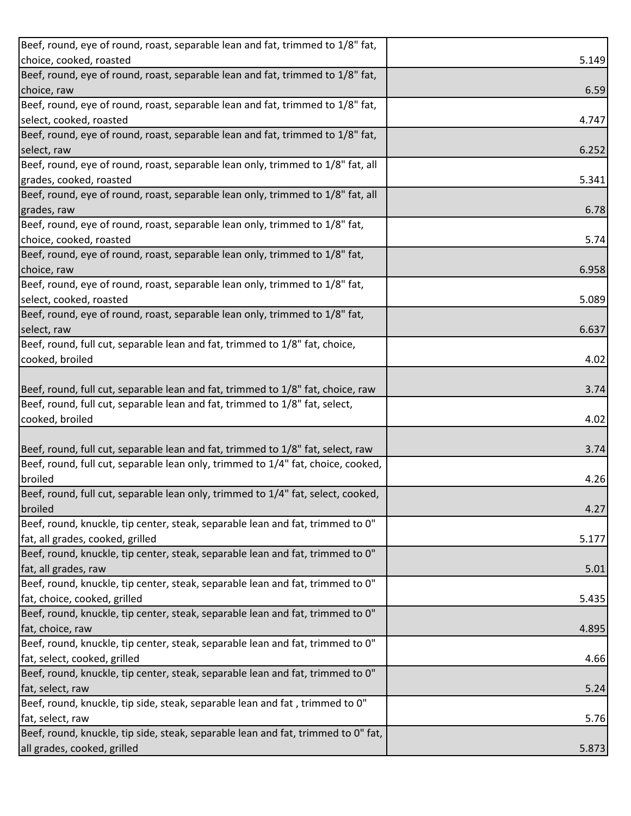| Beef, round, eye of round, roast, separable lean and fat, trimmed to 1/8" fat,    |       |
|-----------------------------------------------------------------------------------|-------|
| choice, cooked, roasted                                                           | 5.149 |
| Beef, round, eye of round, roast, separable lean and fat, trimmed to 1/8" fat,    |       |
| choice, raw                                                                       | 6.59  |
| Beef, round, eye of round, roast, separable lean and fat, trimmed to 1/8" fat,    |       |
| select, cooked, roasted                                                           | 4.747 |
| Beef, round, eye of round, roast, separable lean and fat, trimmed to 1/8" fat,    |       |
| select, raw                                                                       | 6.252 |
| Beef, round, eye of round, roast, separable lean only, trimmed to 1/8" fat, all   |       |
| grades, cooked, roasted                                                           | 5.341 |
| Beef, round, eye of round, roast, separable lean only, trimmed to 1/8" fat, all   |       |
| grades, raw                                                                       | 6.78  |
| Beef, round, eye of round, roast, separable lean only, trimmed to 1/8" fat,       |       |
| choice, cooked, roasted                                                           | 5.74  |
| Beef, round, eye of round, roast, separable lean only, trimmed to 1/8" fat,       |       |
| choice, raw                                                                       | 6.958 |
| Beef, round, eye of round, roast, separable lean only, trimmed to 1/8" fat,       |       |
| select, cooked, roasted                                                           | 5.089 |
| Beef, round, eye of round, roast, separable lean only, trimmed to 1/8" fat,       |       |
| select, raw                                                                       | 6.637 |
| Beef, round, full cut, separable lean and fat, trimmed to 1/8" fat, choice,       |       |
| cooked, broiled                                                                   | 4.02  |
|                                                                                   |       |
| Beef, round, full cut, separable lean and fat, trimmed to 1/8" fat, choice, raw   | 3.74  |
| Beef, round, full cut, separable lean and fat, trimmed to 1/8" fat, select,       |       |
| cooked, broiled                                                                   | 4.02  |
|                                                                                   |       |
| Beef, round, full cut, separable lean and fat, trimmed to 1/8" fat, select, raw   | 3.74  |
| Beef, round, full cut, separable lean only, trimmed to 1/4" fat, choice, cooked,  |       |
| broiled                                                                           | 4.26  |
| Beef, round, full cut, separable lean only, trimmed to 1/4" fat, select, cooked,  |       |
| broiled                                                                           | 4.27  |
| Beef, round, knuckle, tip center, steak, separable lean and fat, trimmed to 0"    |       |
| fat, all grades, cooked, grilled                                                  | 5.177 |
| Beef, round, knuckle, tip center, steak, separable lean and fat, trimmed to 0"    |       |
| fat, all grades, raw                                                              | 5.01  |
| Beef, round, knuckle, tip center, steak, separable lean and fat, trimmed to 0"    |       |
| fat, choice, cooked, grilled                                                      | 5.435 |
| Beef, round, knuckle, tip center, steak, separable lean and fat, trimmed to 0"    |       |
| fat, choice, raw                                                                  | 4.895 |
| Beef, round, knuckle, tip center, steak, separable lean and fat, trimmed to 0"    |       |
| fat, select, cooked, grilled                                                      | 4.66  |
| Beef, round, knuckle, tip center, steak, separable lean and fat, trimmed to 0"    |       |
| fat, select, raw                                                                  | 5.24  |
| Beef, round, knuckle, tip side, steak, separable lean and fat, trimmed to 0"      |       |
| fat, select, raw                                                                  | 5.76  |
| Beef, round, knuckle, tip side, steak, separable lean and fat, trimmed to 0" fat, |       |
| all grades, cooked, grilled                                                       | 5.873 |
|                                                                                   |       |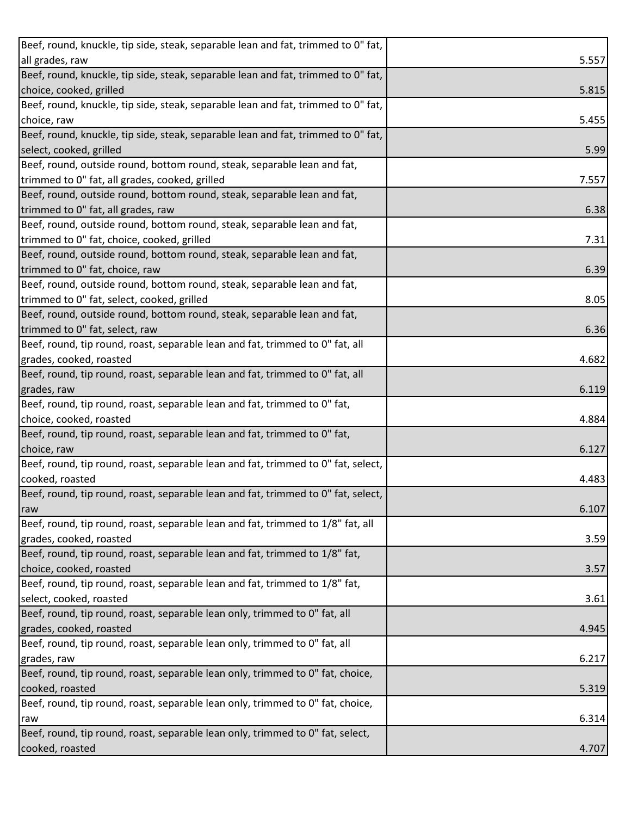| Beef, round, knuckle, tip side, steak, separable lean and fat, trimmed to 0" fat, |       |
|-----------------------------------------------------------------------------------|-------|
| all grades, raw                                                                   | 5.557 |
| Beef, round, knuckle, tip side, steak, separable lean and fat, trimmed to 0" fat, |       |
| choice, cooked, grilled                                                           | 5.815 |
| Beef, round, knuckle, tip side, steak, separable lean and fat, trimmed to 0" fat, |       |
| choice, raw                                                                       | 5.455 |
| Beef, round, knuckle, tip side, steak, separable lean and fat, trimmed to 0" fat, |       |
| select, cooked, grilled                                                           | 5.99  |
| Beef, round, outside round, bottom round, steak, separable lean and fat,          |       |
| trimmed to 0" fat, all grades, cooked, grilled                                    | 7.557 |
| Beef, round, outside round, bottom round, steak, separable lean and fat,          |       |
| trimmed to 0" fat, all grades, raw                                                | 6.38  |
| Beef, round, outside round, bottom round, steak, separable lean and fat,          |       |
| trimmed to 0" fat, choice, cooked, grilled                                        | 7.31  |
| Beef, round, outside round, bottom round, steak, separable lean and fat,          |       |
| trimmed to 0" fat, choice, raw                                                    | 6.39  |
| Beef, round, outside round, bottom round, steak, separable lean and fat,          |       |
| trimmed to 0" fat, select, cooked, grilled                                        | 8.05  |
| Beef, round, outside round, bottom round, steak, separable lean and fat,          |       |
| trimmed to 0" fat, select, raw                                                    | 6.36  |
| Beef, round, tip round, roast, separable lean and fat, trimmed to 0" fat, all     |       |
| grades, cooked, roasted                                                           | 4.682 |
| Beef, round, tip round, roast, separable lean and fat, trimmed to 0" fat, all     |       |
| grades, raw                                                                       | 6.119 |
| Beef, round, tip round, roast, separable lean and fat, trimmed to 0" fat,         |       |
| choice, cooked, roasted                                                           | 4.884 |
| Beef, round, tip round, roast, separable lean and fat, trimmed to 0" fat,         |       |
| choice, raw                                                                       | 6.127 |
| Beef, round, tip round, roast, separable lean and fat, trimmed to 0" fat, select, |       |
| cooked, roasted                                                                   | 4.483 |
| Beef, round, tip round, roast, separable lean and fat, trimmed to 0" fat, select, |       |
| raw                                                                               | 6.107 |
| Beef, round, tip round, roast, separable lean and fat, trimmed to 1/8" fat, all   |       |
| grades, cooked, roasted                                                           | 3.59  |
| Beef, round, tip round, roast, separable lean and fat, trimmed to 1/8" fat,       |       |
| choice, cooked, roasted                                                           | 3.57  |
| Beef, round, tip round, roast, separable lean and fat, trimmed to 1/8" fat,       |       |
| select, cooked, roasted                                                           | 3.61  |
| Beef, round, tip round, roast, separable lean only, trimmed to 0" fat, all        |       |
| grades, cooked, roasted                                                           | 4.945 |
| Beef, round, tip round, roast, separable lean only, trimmed to 0" fat, all        |       |
| grades, raw                                                                       | 6.217 |
| Beef, round, tip round, roast, separable lean only, trimmed to 0" fat, choice,    |       |
| cooked, roasted                                                                   | 5.319 |
| Beef, round, tip round, roast, separable lean only, trimmed to 0" fat, choice,    |       |
| raw                                                                               | 6.314 |
| Beef, round, tip round, roast, separable lean only, trimmed to 0" fat, select,    |       |
| cooked, roasted                                                                   | 4.707 |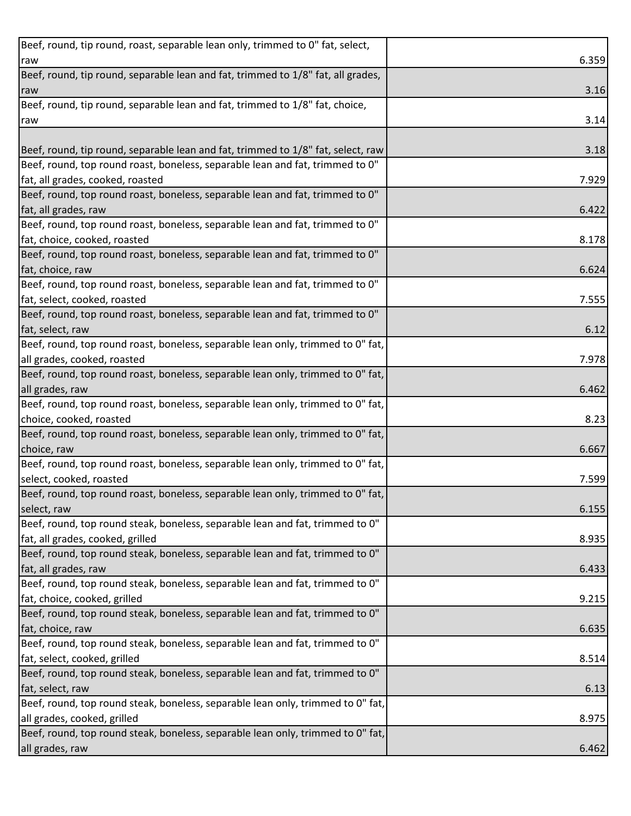| Beef, round, tip round, roast, separable lean only, trimmed to 0" fat, select,   |       |
|----------------------------------------------------------------------------------|-------|
| raw                                                                              | 6.359 |
| Beef, round, tip round, separable lean and fat, trimmed to 1/8" fat, all grades, |       |
| raw                                                                              | 3.16  |
| Beef, round, tip round, separable lean and fat, trimmed to 1/8" fat, choice,     |       |
| raw                                                                              | 3.14  |
|                                                                                  |       |
| Beef, round, tip round, separable lean and fat, trimmed to 1/8" fat, select, raw | 3.18  |
| Beef, round, top round roast, boneless, separable lean and fat, trimmed to 0"    |       |
| fat, all grades, cooked, roasted                                                 | 7.929 |
| Beef, round, top round roast, boneless, separable lean and fat, trimmed to 0"    |       |
| fat, all grades, raw                                                             | 6.422 |
| Beef, round, top round roast, boneless, separable lean and fat, trimmed to 0"    |       |
| fat, choice, cooked, roasted                                                     | 8.178 |
| Beef, round, top round roast, boneless, separable lean and fat, trimmed to 0"    |       |
| fat, choice, raw                                                                 | 6.624 |
| Beef, round, top round roast, boneless, separable lean and fat, trimmed to 0"    |       |
| fat, select, cooked, roasted                                                     | 7.555 |
| Beef, round, top round roast, boneless, separable lean and fat, trimmed to 0"    |       |
| fat, select, raw                                                                 | 6.12  |
| Beef, round, top round roast, boneless, separable lean only, trimmed to 0" fat,  |       |
| all grades, cooked, roasted                                                      | 7.978 |
| Beef, round, top round roast, boneless, separable lean only, trimmed to 0" fat,  |       |
| all grades, raw                                                                  | 6.462 |
| Beef, round, top round roast, boneless, separable lean only, trimmed to 0" fat,  |       |
| choice, cooked, roasted                                                          | 8.23  |
| Beef, round, top round roast, boneless, separable lean only, trimmed to 0" fat,  |       |
| choice, raw                                                                      | 6.667 |
| Beef, round, top round roast, boneless, separable lean only, trimmed to 0" fat,  |       |
| select, cooked, roasted                                                          | 7.599 |
| Beef, round, top round roast, boneless, separable lean only, trimmed to 0" fat,  |       |
| select, raw                                                                      | 6.155 |
| Beef, round, top round steak, boneless, separable lean and fat, trimmed to 0"    |       |
| fat, all grades, cooked, grilled                                                 | 8.935 |
| Beef, round, top round steak, boneless, separable lean and fat, trimmed to 0"    |       |
| fat, all grades, raw                                                             | 6.433 |
| Beef, round, top round steak, boneless, separable lean and fat, trimmed to 0"    |       |
| fat, choice, cooked, grilled                                                     | 9.215 |
| Beef, round, top round steak, boneless, separable lean and fat, trimmed to 0"    |       |
| fat, choice, raw                                                                 | 6.635 |
| Beef, round, top round steak, boneless, separable lean and fat, trimmed to 0"    |       |
| fat, select, cooked, grilled                                                     | 8.514 |
| Beef, round, top round steak, boneless, separable lean and fat, trimmed to 0"    |       |
| fat, select, raw                                                                 | 6.13  |
| Beef, round, top round steak, boneless, separable lean only, trimmed to 0" fat,  |       |
| all grades, cooked, grilled                                                      | 8.975 |
| Beef, round, top round steak, boneless, separable lean only, trimmed to 0" fat,  |       |
| all grades, raw                                                                  | 6.462 |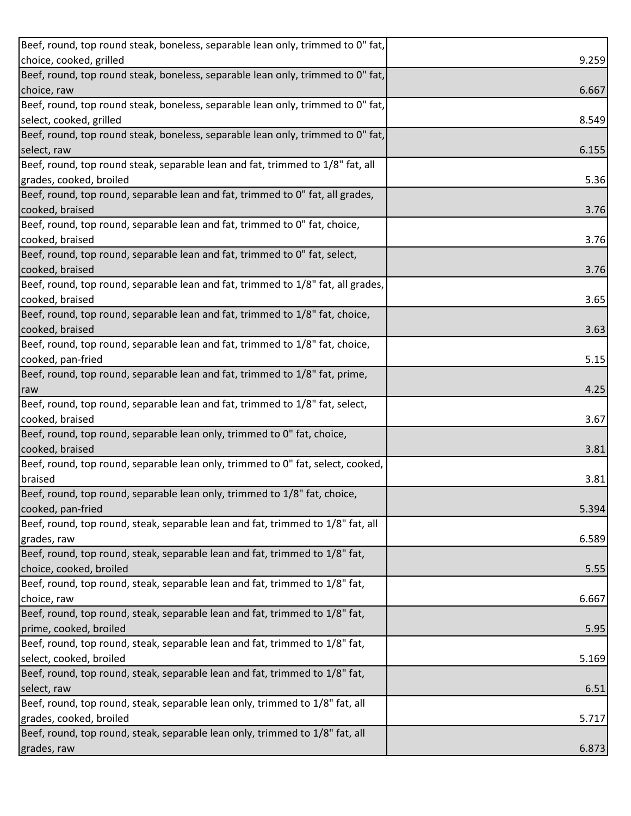| Beef, round, top round steak, boneless, separable lean only, trimmed to 0" fat,  |       |
|----------------------------------------------------------------------------------|-------|
| choice, cooked, grilled                                                          | 9.259 |
| Beef, round, top round steak, boneless, separable lean only, trimmed to 0" fat,  |       |
| choice, raw                                                                      | 6.667 |
| Beef, round, top round steak, boneless, separable lean only, trimmed to 0" fat,  |       |
| select, cooked, grilled                                                          | 8.549 |
| Beef, round, top round steak, boneless, separable lean only, trimmed to 0" fat,  |       |
| select, raw                                                                      | 6.155 |
| Beef, round, top round steak, separable lean and fat, trimmed to 1/8" fat, all   |       |
| grades, cooked, broiled                                                          | 5.36  |
| Beef, round, top round, separable lean and fat, trimmed to 0" fat, all grades,   |       |
| cooked, braised                                                                  | 3.76  |
| Beef, round, top round, separable lean and fat, trimmed to 0" fat, choice,       |       |
| cooked, braised                                                                  | 3.76  |
| Beef, round, top round, separable lean and fat, trimmed to 0" fat, select,       |       |
| cooked, braised                                                                  | 3.76  |
| Beef, round, top round, separable lean and fat, trimmed to 1/8" fat, all grades, |       |
| cooked, braised                                                                  | 3.65  |
| Beef, round, top round, separable lean and fat, trimmed to 1/8" fat, choice,     |       |
| cooked, braised                                                                  | 3.63  |
| Beef, round, top round, separable lean and fat, trimmed to 1/8" fat, choice,     |       |
| cooked, pan-fried                                                                | 5.15  |
| Beef, round, top round, separable lean and fat, trimmed to 1/8" fat, prime,      |       |
| raw                                                                              | 4.25  |
| Beef, round, top round, separable lean and fat, trimmed to 1/8" fat, select,     |       |
| cooked, braised                                                                  | 3.67  |
| Beef, round, top round, separable lean only, trimmed to 0" fat, choice,          |       |
| cooked, braised                                                                  | 3.81  |
| Beef, round, top round, separable lean only, trimmed to 0" fat, select, cooked,  |       |
| braised                                                                          | 3.81  |
| Beef, round, top round, separable lean only, trimmed to 1/8" fat, choice,        |       |
| cooked, pan-fried                                                                | 5.394 |
| Beef, round, top round, steak, separable lean and fat, trimmed to 1/8" fat, all  |       |
| grades, raw                                                                      | 6.589 |
| Beef, round, top round, steak, separable lean and fat, trimmed to 1/8" fat,      |       |
| choice, cooked, broiled                                                          | 5.55  |
| Beef, round, top round, steak, separable lean and fat, trimmed to 1/8" fat,      |       |
| choice, raw                                                                      | 6.667 |
| Beef, round, top round, steak, separable lean and fat, trimmed to 1/8" fat,      |       |
| prime, cooked, broiled                                                           | 5.95  |
| Beef, round, top round, steak, separable lean and fat, trimmed to 1/8" fat,      |       |
| select, cooked, broiled                                                          | 5.169 |
| Beef, round, top round, steak, separable lean and fat, trimmed to 1/8" fat,      |       |
| select, raw                                                                      | 6.51  |
| Beef, round, top round, steak, separable lean only, trimmed to 1/8" fat, all     |       |
| grades, cooked, broiled                                                          | 5.717 |
| Beef, round, top round, steak, separable lean only, trimmed to 1/8" fat, all     |       |
| grades, raw                                                                      | 6.873 |
|                                                                                  |       |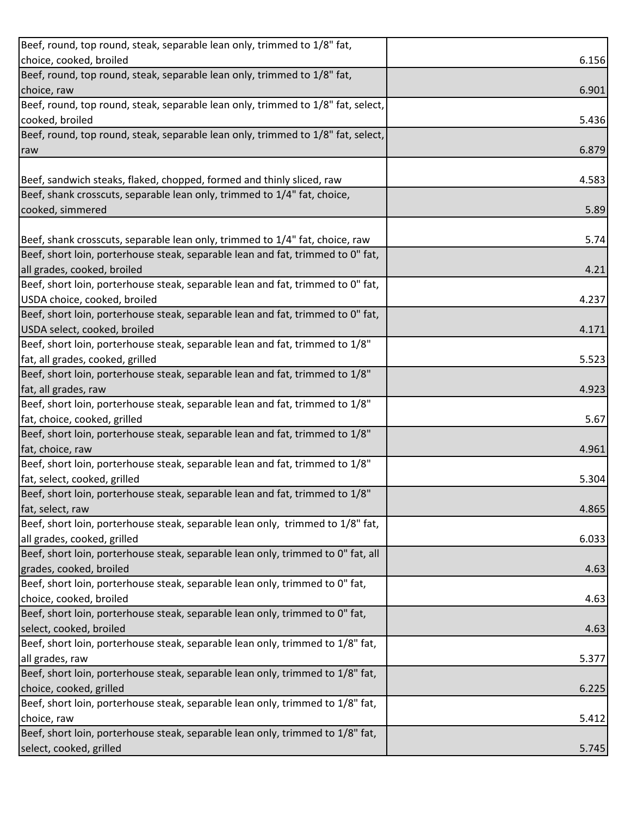| choice, cooked, broiled<br>6.156<br>Beef, round, top round, steak, separable lean only, trimmed to 1/8" fat,<br>choice, raw<br>6.901<br>Beef, round, top round, steak, separable lean only, trimmed to 1/8" fat, select,<br>cooked, broiled<br>5.436<br>Beef, round, top round, steak, separable lean only, trimmed to 1/8" fat, select,<br>6.879<br>raw<br>Beef, sandwich steaks, flaked, chopped, formed and thinly sliced, raw<br>4.583<br>Beef, shank crosscuts, separable lean only, trimmed to 1/4" fat, choice,<br>cooked, simmered<br>5.89<br>Beef, shank crosscuts, separable lean only, trimmed to 1/4" fat, choice, raw<br>5.74<br>Beef, short loin, porterhouse steak, separable lean and fat, trimmed to 0" fat,<br>all grades, cooked, broiled<br>4.21<br>Beef, short loin, porterhouse steak, separable lean and fat, trimmed to 0" fat,<br>USDA choice, cooked, broiled<br>4.237<br>Beef, short loin, porterhouse steak, separable lean and fat, trimmed to 0" fat,<br>USDA select, cooked, broiled<br>4.171<br>Beef, short loin, porterhouse steak, separable lean and fat, trimmed to 1/8"<br>fat, all grades, cooked, grilled<br>5.523<br>Beef, short loin, porterhouse steak, separable lean and fat, trimmed to 1/8"<br>fat, all grades, raw<br>4.923<br>Beef, short loin, porterhouse steak, separable lean and fat, trimmed to 1/8"<br>fat, choice, cooked, grilled<br>5.67<br>Beef, short loin, porterhouse steak, separable lean and fat, trimmed to 1/8"<br>fat, choice, raw<br>4.961<br>Beef, short loin, porterhouse steak, separable lean and fat, trimmed to 1/8"<br>fat, select, cooked, grilled<br>5.304<br>Beef, short loin, porterhouse steak, separable lean and fat, trimmed to 1/8"<br>fat, select, raw<br>4.865<br>Beef, short loin, porterhouse steak, separable lean only, trimmed to 1/8" fat,<br>all grades, cooked, grilled<br>6.033<br>Beef, short loin, porterhouse steak, separable lean only, trimmed to 0" fat, all<br>grades, cooked, broiled<br>4.63<br>Beef, short loin, porterhouse steak, separable lean only, trimmed to 0" fat,<br>choice, cooked, broiled<br>4.63<br>Beef, short loin, porterhouse steak, separable lean only, trimmed to 0" fat,<br>select, cooked, broiled<br>4.63<br>Beef, short loin, porterhouse steak, separable lean only, trimmed to 1/8" fat, |
|--------------------------------------------------------------------------------------------------------------------------------------------------------------------------------------------------------------------------------------------------------------------------------------------------------------------------------------------------------------------------------------------------------------------------------------------------------------------------------------------------------------------------------------------------------------------------------------------------------------------------------------------------------------------------------------------------------------------------------------------------------------------------------------------------------------------------------------------------------------------------------------------------------------------------------------------------------------------------------------------------------------------------------------------------------------------------------------------------------------------------------------------------------------------------------------------------------------------------------------------------------------------------------------------------------------------------------------------------------------------------------------------------------------------------------------------------------------------------------------------------------------------------------------------------------------------------------------------------------------------------------------------------------------------------------------------------------------------------------------------------------------------------------------------------------------------------------------------------------------------------------------------------------------------------------------------------------------------------------------------------------------------------------------------------------------------------------------------------------------------------------------------------------------------------------------------------------------------------------------------------------------------------------------------------------------------------------|
|                                                                                                                                                                                                                                                                                                                                                                                                                                                                                                                                                                                                                                                                                                                                                                                                                                                                                                                                                                                                                                                                                                                                                                                                                                                                                                                                                                                                                                                                                                                                                                                                                                                                                                                                                                                                                                                                                                                                                                                                                                                                                                                                                                                                                                                                                                                                |
|                                                                                                                                                                                                                                                                                                                                                                                                                                                                                                                                                                                                                                                                                                                                                                                                                                                                                                                                                                                                                                                                                                                                                                                                                                                                                                                                                                                                                                                                                                                                                                                                                                                                                                                                                                                                                                                                                                                                                                                                                                                                                                                                                                                                                                                                                                                                |
|                                                                                                                                                                                                                                                                                                                                                                                                                                                                                                                                                                                                                                                                                                                                                                                                                                                                                                                                                                                                                                                                                                                                                                                                                                                                                                                                                                                                                                                                                                                                                                                                                                                                                                                                                                                                                                                                                                                                                                                                                                                                                                                                                                                                                                                                                                                                |
|                                                                                                                                                                                                                                                                                                                                                                                                                                                                                                                                                                                                                                                                                                                                                                                                                                                                                                                                                                                                                                                                                                                                                                                                                                                                                                                                                                                                                                                                                                                                                                                                                                                                                                                                                                                                                                                                                                                                                                                                                                                                                                                                                                                                                                                                                                                                |
|                                                                                                                                                                                                                                                                                                                                                                                                                                                                                                                                                                                                                                                                                                                                                                                                                                                                                                                                                                                                                                                                                                                                                                                                                                                                                                                                                                                                                                                                                                                                                                                                                                                                                                                                                                                                                                                                                                                                                                                                                                                                                                                                                                                                                                                                                                                                |
|                                                                                                                                                                                                                                                                                                                                                                                                                                                                                                                                                                                                                                                                                                                                                                                                                                                                                                                                                                                                                                                                                                                                                                                                                                                                                                                                                                                                                                                                                                                                                                                                                                                                                                                                                                                                                                                                                                                                                                                                                                                                                                                                                                                                                                                                                                                                |
|                                                                                                                                                                                                                                                                                                                                                                                                                                                                                                                                                                                                                                                                                                                                                                                                                                                                                                                                                                                                                                                                                                                                                                                                                                                                                                                                                                                                                                                                                                                                                                                                                                                                                                                                                                                                                                                                                                                                                                                                                                                                                                                                                                                                                                                                                                                                |
|                                                                                                                                                                                                                                                                                                                                                                                                                                                                                                                                                                                                                                                                                                                                                                                                                                                                                                                                                                                                                                                                                                                                                                                                                                                                                                                                                                                                                                                                                                                                                                                                                                                                                                                                                                                                                                                                                                                                                                                                                                                                                                                                                                                                                                                                                                                                |
|                                                                                                                                                                                                                                                                                                                                                                                                                                                                                                                                                                                                                                                                                                                                                                                                                                                                                                                                                                                                                                                                                                                                                                                                                                                                                                                                                                                                                                                                                                                                                                                                                                                                                                                                                                                                                                                                                                                                                                                                                                                                                                                                                                                                                                                                                                                                |
|                                                                                                                                                                                                                                                                                                                                                                                                                                                                                                                                                                                                                                                                                                                                                                                                                                                                                                                                                                                                                                                                                                                                                                                                                                                                                                                                                                                                                                                                                                                                                                                                                                                                                                                                                                                                                                                                                                                                                                                                                                                                                                                                                                                                                                                                                                                                |
|                                                                                                                                                                                                                                                                                                                                                                                                                                                                                                                                                                                                                                                                                                                                                                                                                                                                                                                                                                                                                                                                                                                                                                                                                                                                                                                                                                                                                                                                                                                                                                                                                                                                                                                                                                                                                                                                                                                                                                                                                                                                                                                                                                                                                                                                                                                                |
|                                                                                                                                                                                                                                                                                                                                                                                                                                                                                                                                                                                                                                                                                                                                                                                                                                                                                                                                                                                                                                                                                                                                                                                                                                                                                                                                                                                                                                                                                                                                                                                                                                                                                                                                                                                                                                                                                                                                                                                                                                                                                                                                                                                                                                                                                                                                |
|                                                                                                                                                                                                                                                                                                                                                                                                                                                                                                                                                                                                                                                                                                                                                                                                                                                                                                                                                                                                                                                                                                                                                                                                                                                                                                                                                                                                                                                                                                                                                                                                                                                                                                                                                                                                                                                                                                                                                                                                                                                                                                                                                                                                                                                                                                                                |
|                                                                                                                                                                                                                                                                                                                                                                                                                                                                                                                                                                                                                                                                                                                                                                                                                                                                                                                                                                                                                                                                                                                                                                                                                                                                                                                                                                                                                                                                                                                                                                                                                                                                                                                                                                                                                                                                                                                                                                                                                                                                                                                                                                                                                                                                                                                                |
|                                                                                                                                                                                                                                                                                                                                                                                                                                                                                                                                                                                                                                                                                                                                                                                                                                                                                                                                                                                                                                                                                                                                                                                                                                                                                                                                                                                                                                                                                                                                                                                                                                                                                                                                                                                                                                                                                                                                                                                                                                                                                                                                                                                                                                                                                                                                |
|                                                                                                                                                                                                                                                                                                                                                                                                                                                                                                                                                                                                                                                                                                                                                                                                                                                                                                                                                                                                                                                                                                                                                                                                                                                                                                                                                                                                                                                                                                                                                                                                                                                                                                                                                                                                                                                                                                                                                                                                                                                                                                                                                                                                                                                                                                                                |
|                                                                                                                                                                                                                                                                                                                                                                                                                                                                                                                                                                                                                                                                                                                                                                                                                                                                                                                                                                                                                                                                                                                                                                                                                                                                                                                                                                                                                                                                                                                                                                                                                                                                                                                                                                                                                                                                                                                                                                                                                                                                                                                                                                                                                                                                                                                                |
|                                                                                                                                                                                                                                                                                                                                                                                                                                                                                                                                                                                                                                                                                                                                                                                                                                                                                                                                                                                                                                                                                                                                                                                                                                                                                                                                                                                                                                                                                                                                                                                                                                                                                                                                                                                                                                                                                                                                                                                                                                                                                                                                                                                                                                                                                                                                |
|                                                                                                                                                                                                                                                                                                                                                                                                                                                                                                                                                                                                                                                                                                                                                                                                                                                                                                                                                                                                                                                                                                                                                                                                                                                                                                                                                                                                                                                                                                                                                                                                                                                                                                                                                                                                                                                                                                                                                                                                                                                                                                                                                                                                                                                                                                                                |
|                                                                                                                                                                                                                                                                                                                                                                                                                                                                                                                                                                                                                                                                                                                                                                                                                                                                                                                                                                                                                                                                                                                                                                                                                                                                                                                                                                                                                                                                                                                                                                                                                                                                                                                                                                                                                                                                                                                                                                                                                                                                                                                                                                                                                                                                                                                                |
|                                                                                                                                                                                                                                                                                                                                                                                                                                                                                                                                                                                                                                                                                                                                                                                                                                                                                                                                                                                                                                                                                                                                                                                                                                                                                                                                                                                                                                                                                                                                                                                                                                                                                                                                                                                                                                                                                                                                                                                                                                                                                                                                                                                                                                                                                                                                |
|                                                                                                                                                                                                                                                                                                                                                                                                                                                                                                                                                                                                                                                                                                                                                                                                                                                                                                                                                                                                                                                                                                                                                                                                                                                                                                                                                                                                                                                                                                                                                                                                                                                                                                                                                                                                                                                                                                                                                                                                                                                                                                                                                                                                                                                                                                                                |
|                                                                                                                                                                                                                                                                                                                                                                                                                                                                                                                                                                                                                                                                                                                                                                                                                                                                                                                                                                                                                                                                                                                                                                                                                                                                                                                                                                                                                                                                                                                                                                                                                                                                                                                                                                                                                                                                                                                                                                                                                                                                                                                                                                                                                                                                                                                                |
|                                                                                                                                                                                                                                                                                                                                                                                                                                                                                                                                                                                                                                                                                                                                                                                                                                                                                                                                                                                                                                                                                                                                                                                                                                                                                                                                                                                                                                                                                                                                                                                                                                                                                                                                                                                                                                                                                                                                                                                                                                                                                                                                                                                                                                                                                                                                |
|                                                                                                                                                                                                                                                                                                                                                                                                                                                                                                                                                                                                                                                                                                                                                                                                                                                                                                                                                                                                                                                                                                                                                                                                                                                                                                                                                                                                                                                                                                                                                                                                                                                                                                                                                                                                                                                                                                                                                                                                                                                                                                                                                                                                                                                                                                                                |
|                                                                                                                                                                                                                                                                                                                                                                                                                                                                                                                                                                                                                                                                                                                                                                                                                                                                                                                                                                                                                                                                                                                                                                                                                                                                                                                                                                                                                                                                                                                                                                                                                                                                                                                                                                                                                                                                                                                                                                                                                                                                                                                                                                                                                                                                                                                                |
|                                                                                                                                                                                                                                                                                                                                                                                                                                                                                                                                                                                                                                                                                                                                                                                                                                                                                                                                                                                                                                                                                                                                                                                                                                                                                                                                                                                                                                                                                                                                                                                                                                                                                                                                                                                                                                                                                                                                                                                                                                                                                                                                                                                                                                                                                                                                |
|                                                                                                                                                                                                                                                                                                                                                                                                                                                                                                                                                                                                                                                                                                                                                                                                                                                                                                                                                                                                                                                                                                                                                                                                                                                                                                                                                                                                                                                                                                                                                                                                                                                                                                                                                                                                                                                                                                                                                                                                                                                                                                                                                                                                                                                                                                                                |
|                                                                                                                                                                                                                                                                                                                                                                                                                                                                                                                                                                                                                                                                                                                                                                                                                                                                                                                                                                                                                                                                                                                                                                                                                                                                                                                                                                                                                                                                                                                                                                                                                                                                                                                                                                                                                                                                                                                                                                                                                                                                                                                                                                                                                                                                                                                                |
|                                                                                                                                                                                                                                                                                                                                                                                                                                                                                                                                                                                                                                                                                                                                                                                                                                                                                                                                                                                                                                                                                                                                                                                                                                                                                                                                                                                                                                                                                                                                                                                                                                                                                                                                                                                                                                                                                                                                                                                                                                                                                                                                                                                                                                                                                                                                |
|                                                                                                                                                                                                                                                                                                                                                                                                                                                                                                                                                                                                                                                                                                                                                                                                                                                                                                                                                                                                                                                                                                                                                                                                                                                                                                                                                                                                                                                                                                                                                                                                                                                                                                                                                                                                                                                                                                                                                                                                                                                                                                                                                                                                                                                                                                                                |
|                                                                                                                                                                                                                                                                                                                                                                                                                                                                                                                                                                                                                                                                                                                                                                                                                                                                                                                                                                                                                                                                                                                                                                                                                                                                                                                                                                                                                                                                                                                                                                                                                                                                                                                                                                                                                                                                                                                                                                                                                                                                                                                                                                                                                                                                                                                                |
|                                                                                                                                                                                                                                                                                                                                                                                                                                                                                                                                                                                                                                                                                                                                                                                                                                                                                                                                                                                                                                                                                                                                                                                                                                                                                                                                                                                                                                                                                                                                                                                                                                                                                                                                                                                                                                                                                                                                                                                                                                                                                                                                                                                                                                                                                                                                |
|                                                                                                                                                                                                                                                                                                                                                                                                                                                                                                                                                                                                                                                                                                                                                                                                                                                                                                                                                                                                                                                                                                                                                                                                                                                                                                                                                                                                                                                                                                                                                                                                                                                                                                                                                                                                                                                                                                                                                                                                                                                                                                                                                                                                                                                                                                                                |
|                                                                                                                                                                                                                                                                                                                                                                                                                                                                                                                                                                                                                                                                                                                                                                                                                                                                                                                                                                                                                                                                                                                                                                                                                                                                                                                                                                                                                                                                                                                                                                                                                                                                                                                                                                                                                                                                                                                                                                                                                                                                                                                                                                                                                                                                                                                                |
|                                                                                                                                                                                                                                                                                                                                                                                                                                                                                                                                                                                                                                                                                                                                                                                                                                                                                                                                                                                                                                                                                                                                                                                                                                                                                                                                                                                                                                                                                                                                                                                                                                                                                                                                                                                                                                                                                                                                                                                                                                                                                                                                                                                                                                                                                                                                |
|                                                                                                                                                                                                                                                                                                                                                                                                                                                                                                                                                                                                                                                                                                                                                                                                                                                                                                                                                                                                                                                                                                                                                                                                                                                                                                                                                                                                                                                                                                                                                                                                                                                                                                                                                                                                                                                                                                                                                                                                                                                                                                                                                                                                                                                                                                                                |
|                                                                                                                                                                                                                                                                                                                                                                                                                                                                                                                                                                                                                                                                                                                                                                                                                                                                                                                                                                                                                                                                                                                                                                                                                                                                                                                                                                                                                                                                                                                                                                                                                                                                                                                                                                                                                                                                                                                                                                                                                                                                                                                                                                                                                                                                                                                                |
|                                                                                                                                                                                                                                                                                                                                                                                                                                                                                                                                                                                                                                                                                                                                                                                                                                                                                                                                                                                                                                                                                                                                                                                                                                                                                                                                                                                                                                                                                                                                                                                                                                                                                                                                                                                                                                                                                                                                                                                                                                                                                                                                                                                                                                                                                                                                |
|                                                                                                                                                                                                                                                                                                                                                                                                                                                                                                                                                                                                                                                                                                                                                                                                                                                                                                                                                                                                                                                                                                                                                                                                                                                                                                                                                                                                                                                                                                                                                                                                                                                                                                                                                                                                                                                                                                                                                                                                                                                                                                                                                                                                                                                                                                                                |
| all grades, raw<br>5.377                                                                                                                                                                                                                                                                                                                                                                                                                                                                                                                                                                                                                                                                                                                                                                                                                                                                                                                                                                                                                                                                                                                                                                                                                                                                                                                                                                                                                                                                                                                                                                                                                                                                                                                                                                                                                                                                                                                                                                                                                                                                                                                                                                                                                                                                                                       |
| Beef, short loin, porterhouse steak, separable lean only, trimmed to 1/8" fat,                                                                                                                                                                                                                                                                                                                                                                                                                                                                                                                                                                                                                                                                                                                                                                                                                                                                                                                                                                                                                                                                                                                                                                                                                                                                                                                                                                                                                                                                                                                                                                                                                                                                                                                                                                                                                                                                                                                                                                                                                                                                                                                                                                                                                                                 |
| choice, cooked, grilled<br>6.225                                                                                                                                                                                                                                                                                                                                                                                                                                                                                                                                                                                                                                                                                                                                                                                                                                                                                                                                                                                                                                                                                                                                                                                                                                                                                                                                                                                                                                                                                                                                                                                                                                                                                                                                                                                                                                                                                                                                                                                                                                                                                                                                                                                                                                                                                               |
| Beef, short loin, porterhouse steak, separable lean only, trimmed to 1/8" fat,                                                                                                                                                                                                                                                                                                                                                                                                                                                                                                                                                                                                                                                                                                                                                                                                                                                                                                                                                                                                                                                                                                                                                                                                                                                                                                                                                                                                                                                                                                                                                                                                                                                                                                                                                                                                                                                                                                                                                                                                                                                                                                                                                                                                                                                 |
| choice, raw<br>5.412                                                                                                                                                                                                                                                                                                                                                                                                                                                                                                                                                                                                                                                                                                                                                                                                                                                                                                                                                                                                                                                                                                                                                                                                                                                                                                                                                                                                                                                                                                                                                                                                                                                                                                                                                                                                                                                                                                                                                                                                                                                                                                                                                                                                                                                                                                           |
| Beef, short loin, porterhouse steak, separable lean only, trimmed to 1/8" fat,                                                                                                                                                                                                                                                                                                                                                                                                                                                                                                                                                                                                                                                                                                                                                                                                                                                                                                                                                                                                                                                                                                                                                                                                                                                                                                                                                                                                                                                                                                                                                                                                                                                                                                                                                                                                                                                                                                                                                                                                                                                                                                                                                                                                                                                 |
| select, cooked, grilled<br>5.745                                                                                                                                                                                                                                                                                                                                                                                                                                                                                                                                                                                                                                                                                                                                                                                                                                                                                                                                                                                                                                                                                                                                                                                                                                                                                                                                                                                                                                                                                                                                                                                                                                                                                                                                                                                                                                                                                                                                                                                                                                                                                                                                                                                                                                                                                               |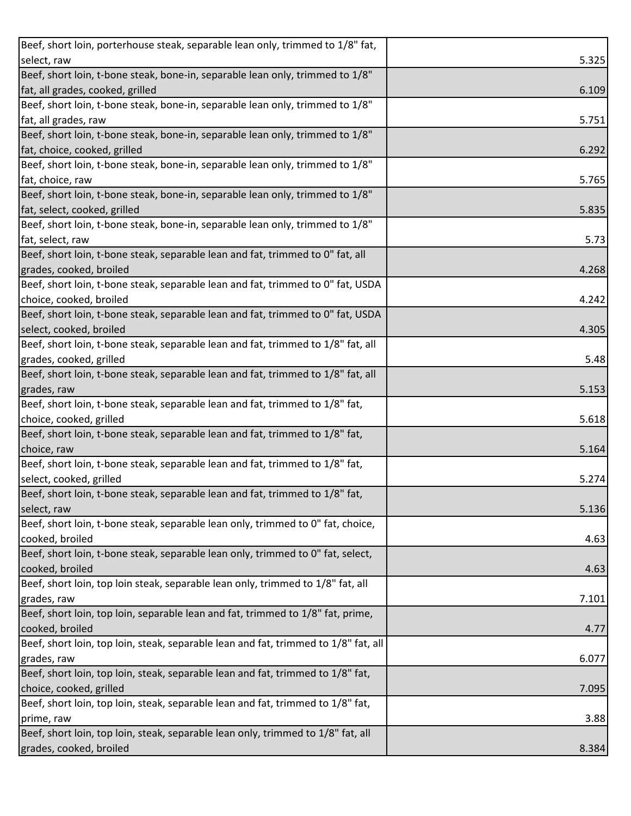| Beef, short loin, porterhouse steak, separable lean only, trimmed to 1/8" fat,      |       |
|-------------------------------------------------------------------------------------|-------|
| select, raw                                                                         | 5.325 |
| Beef, short loin, t-bone steak, bone-in, separable lean only, trimmed to 1/8"       |       |
| fat, all grades, cooked, grilled                                                    | 6.109 |
| Beef, short loin, t-bone steak, bone-in, separable lean only, trimmed to 1/8"       |       |
| fat, all grades, raw                                                                | 5.751 |
| Beef, short loin, t-bone steak, bone-in, separable lean only, trimmed to 1/8"       |       |
| fat, choice, cooked, grilled                                                        | 6.292 |
| Beef, short loin, t-bone steak, bone-in, separable lean only, trimmed to 1/8"       |       |
| fat, choice, raw                                                                    | 5.765 |
| Beef, short loin, t-bone steak, bone-in, separable lean only, trimmed to 1/8"       |       |
| fat, select, cooked, grilled                                                        | 5.835 |
| Beef, short loin, t-bone steak, bone-in, separable lean only, trimmed to 1/8"       |       |
| fat, select, raw                                                                    | 5.73  |
| Beef, short loin, t-bone steak, separable lean and fat, trimmed to 0" fat, all      |       |
| grades, cooked, broiled                                                             | 4.268 |
| Beef, short loin, t-bone steak, separable lean and fat, trimmed to 0" fat, USDA     |       |
| choice, cooked, broiled                                                             | 4.242 |
| Beef, short loin, t-bone steak, separable lean and fat, trimmed to 0" fat, USDA     |       |
| select, cooked, broiled                                                             | 4.305 |
| Beef, short loin, t-bone steak, separable lean and fat, trimmed to 1/8" fat, all    |       |
| grades, cooked, grilled                                                             | 5.48  |
| Beef, short loin, t-bone steak, separable lean and fat, trimmed to 1/8" fat, all    |       |
| grades, raw                                                                         | 5.153 |
| Beef, short loin, t-bone steak, separable lean and fat, trimmed to 1/8" fat,        |       |
| choice, cooked, grilled                                                             | 5.618 |
|                                                                                     |       |
| Beef, short loin, t-bone steak, separable lean and fat, trimmed to 1/8" fat,        |       |
| choice, raw                                                                         | 5.164 |
| Beef, short loin, t-bone steak, separable lean and fat, trimmed to 1/8" fat,        |       |
| select, cooked, grilled                                                             | 5.274 |
| Beef, short loin, t-bone steak, separable lean and fat, trimmed to 1/8" fat,        |       |
| select, raw                                                                         | 5.136 |
| Beef, short loin, t-bone steak, separable lean only, trimmed to 0" fat, choice,     |       |
| cooked, broiled                                                                     | 4.63  |
| Beef, short loin, t-bone steak, separable lean only, trimmed to 0" fat, select,     |       |
| cooked, broiled                                                                     | 4.63  |
| Beef, short loin, top loin steak, separable lean only, trimmed to 1/8" fat, all     |       |
| grades, raw                                                                         | 7.101 |
| Beef, short loin, top loin, separable lean and fat, trimmed to 1/8" fat, prime,     |       |
| cooked, broiled                                                                     | 4.77  |
| Beef, short loin, top loin, steak, separable lean and fat, trimmed to 1/8" fat, all |       |
| grades, raw                                                                         | 6.077 |
| Beef, short loin, top loin, steak, separable lean and fat, trimmed to 1/8" fat,     |       |
| choice, cooked, grilled                                                             | 7.095 |
| Beef, short loin, top loin, steak, separable lean and fat, trimmed to 1/8" fat,     |       |
| prime, raw                                                                          | 3.88  |
| Beef, short loin, top loin, steak, separable lean only, trimmed to 1/8" fat, all    |       |
| grades, cooked, broiled                                                             | 8.384 |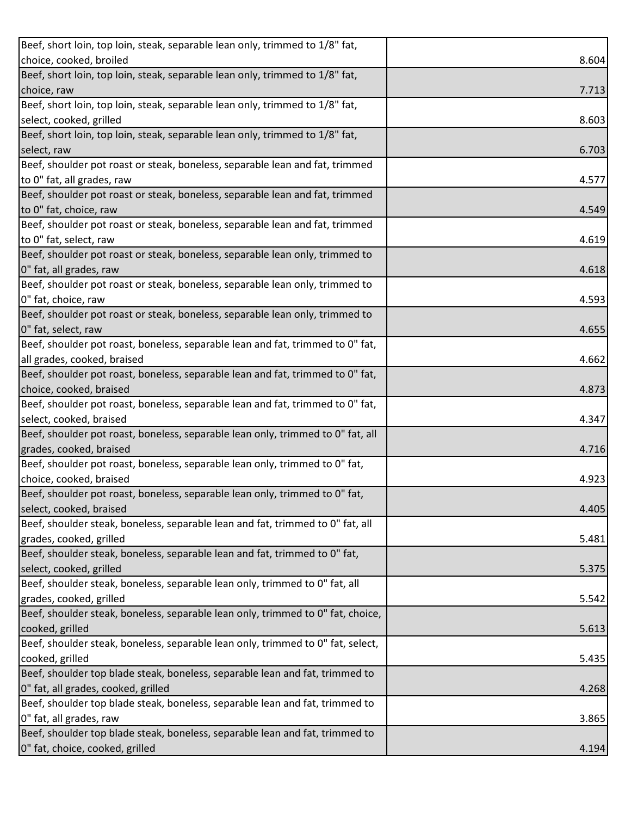| choice, cooked, broiled<br>8.604<br>Beef, short loin, top loin, steak, separable lean only, trimmed to 1/8" fat,<br>choice, raw<br>7.713<br>Beef, short loin, top loin, steak, separable lean only, trimmed to 1/8" fat,<br>select, cooked, grilled<br>8.603<br>Beef, short loin, top loin, steak, separable lean only, trimmed to 1/8" fat,<br>select, raw<br>6.703<br>Beef, shoulder pot roast or steak, boneless, separable lean and fat, trimmed<br>to 0" fat, all grades, raw<br>4.577<br>Beef, shoulder pot roast or steak, boneless, separable lean and fat, trimmed<br>to 0" fat, choice, raw<br>4.549<br>Beef, shoulder pot roast or steak, boneless, separable lean and fat, trimmed<br>to 0" fat, select, raw<br>4.619<br>Beef, shoulder pot roast or steak, boneless, separable lean only, trimmed to<br>0" fat, all grades, raw<br>4.618<br>Beef, shoulder pot roast or steak, boneless, separable lean only, trimmed to<br>0" fat, choice, raw<br>4.593<br>Beef, shoulder pot roast or steak, boneless, separable lean only, trimmed to<br>0" fat, select, raw<br>4.655<br>Beef, shoulder pot roast, boneless, separable lean and fat, trimmed to 0" fat,<br>all grades, cooked, braised<br>4.662<br>Beef, shoulder pot roast, boneless, separable lean and fat, trimmed to 0" fat,<br>choice, cooked, braised<br>4.873<br>Beef, shoulder pot roast, boneless, separable lean and fat, trimmed to 0" fat,<br>select, cooked, braised<br>4.347<br>Beef, shoulder pot roast, boneless, separable lean only, trimmed to 0" fat, all<br>grades, cooked, braised<br>4.716<br>Beef, shoulder pot roast, boneless, separable lean only, trimmed to 0" fat,<br>choice, cooked, braised<br>4.923 |
|-------------------------------------------------------------------------------------------------------------------------------------------------------------------------------------------------------------------------------------------------------------------------------------------------------------------------------------------------------------------------------------------------------------------------------------------------------------------------------------------------------------------------------------------------------------------------------------------------------------------------------------------------------------------------------------------------------------------------------------------------------------------------------------------------------------------------------------------------------------------------------------------------------------------------------------------------------------------------------------------------------------------------------------------------------------------------------------------------------------------------------------------------------------------------------------------------------------------------------------------------------------------------------------------------------------------------------------------------------------------------------------------------------------------------------------------------------------------------------------------------------------------------------------------------------------------------------------------------------------------------------------------------------------------------------------------------------|
|                                                                                                                                                                                                                                                                                                                                                                                                                                                                                                                                                                                                                                                                                                                                                                                                                                                                                                                                                                                                                                                                                                                                                                                                                                                                                                                                                                                                                                                                                                                                                                                                                                                                                                       |
|                                                                                                                                                                                                                                                                                                                                                                                                                                                                                                                                                                                                                                                                                                                                                                                                                                                                                                                                                                                                                                                                                                                                                                                                                                                                                                                                                                                                                                                                                                                                                                                                                                                                                                       |
|                                                                                                                                                                                                                                                                                                                                                                                                                                                                                                                                                                                                                                                                                                                                                                                                                                                                                                                                                                                                                                                                                                                                                                                                                                                                                                                                                                                                                                                                                                                                                                                                                                                                                                       |
|                                                                                                                                                                                                                                                                                                                                                                                                                                                                                                                                                                                                                                                                                                                                                                                                                                                                                                                                                                                                                                                                                                                                                                                                                                                                                                                                                                                                                                                                                                                                                                                                                                                                                                       |
|                                                                                                                                                                                                                                                                                                                                                                                                                                                                                                                                                                                                                                                                                                                                                                                                                                                                                                                                                                                                                                                                                                                                                                                                                                                                                                                                                                                                                                                                                                                                                                                                                                                                                                       |
|                                                                                                                                                                                                                                                                                                                                                                                                                                                                                                                                                                                                                                                                                                                                                                                                                                                                                                                                                                                                                                                                                                                                                                                                                                                                                                                                                                                                                                                                                                                                                                                                                                                                                                       |
|                                                                                                                                                                                                                                                                                                                                                                                                                                                                                                                                                                                                                                                                                                                                                                                                                                                                                                                                                                                                                                                                                                                                                                                                                                                                                                                                                                                                                                                                                                                                                                                                                                                                                                       |
|                                                                                                                                                                                                                                                                                                                                                                                                                                                                                                                                                                                                                                                                                                                                                                                                                                                                                                                                                                                                                                                                                                                                                                                                                                                                                                                                                                                                                                                                                                                                                                                                                                                                                                       |
|                                                                                                                                                                                                                                                                                                                                                                                                                                                                                                                                                                                                                                                                                                                                                                                                                                                                                                                                                                                                                                                                                                                                                                                                                                                                                                                                                                                                                                                                                                                                                                                                                                                                                                       |
|                                                                                                                                                                                                                                                                                                                                                                                                                                                                                                                                                                                                                                                                                                                                                                                                                                                                                                                                                                                                                                                                                                                                                                                                                                                                                                                                                                                                                                                                                                                                                                                                                                                                                                       |
|                                                                                                                                                                                                                                                                                                                                                                                                                                                                                                                                                                                                                                                                                                                                                                                                                                                                                                                                                                                                                                                                                                                                                                                                                                                                                                                                                                                                                                                                                                                                                                                                                                                                                                       |
|                                                                                                                                                                                                                                                                                                                                                                                                                                                                                                                                                                                                                                                                                                                                                                                                                                                                                                                                                                                                                                                                                                                                                                                                                                                                                                                                                                                                                                                                                                                                                                                                                                                                                                       |
|                                                                                                                                                                                                                                                                                                                                                                                                                                                                                                                                                                                                                                                                                                                                                                                                                                                                                                                                                                                                                                                                                                                                                                                                                                                                                                                                                                                                                                                                                                                                                                                                                                                                                                       |
|                                                                                                                                                                                                                                                                                                                                                                                                                                                                                                                                                                                                                                                                                                                                                                                                                                                                                                                                                                                                                                                                                                                                                                                                                                                                                                                                                                                                                                                                                                                                                                                                                                                                                                       |
|                                                                                                                                                                                                                                                                                                                                                                                                                                                                                                                                                                                                                                                                                                                                                                                                                                                                                                                                                                                                                                                                                                                                                                                                                                                                                                                                                                                                                                                                                                                                                                                                                                                                                                       |
|                                                                                                                                                                                                                                                                                                                                                                                                                                                                                                                                                                                                                                                                                                                                                                                                                                                                                                                                                                                                                                                                                                                                                                                                                                                                                                                                                                                                                                                                                                                                                                                                                                                                                                       |
|                                                                                                                                                                                                                                                                                                                                                                                                                                                                                                                                                                                                                                                                                                                                                                                                                                                                                                                                                                                                                                                                                                                                                                                                                                                                                                                                                                                                                                                                                                                                                                                                                                                                                                       |
|                                                                                                                                                                                                                                                                                                                                                                                                                                                                                                                                                                                                                                                                                                                                                                                                                                                                                                                                                                                                                                                                                                                                                                                                                                                                                                                                                                                                                                                                                                                                                                                                                                                                                                       |
|                                                                                                                                                                                                                                                                                                                                                                                                                                                                                                                                                                                                                                                                                                                                                                                                                                                                                                                                                                                                                                                                                                                                                                                                                                                                                                                                                                                                                                                                                                                                                                                                                                                                                                       |
|                                                                                                                                                                                                                                                                                                                                                                                                                                                                                                                                                                                                                                                                                                                                                                                                                                                                                                                                                                                                                                                                                                                                                                                                                                                                                                                                                                                                                                                                                                                                                                                                                                                                                                       |
|                                                                                                                                                                                                                                                                                                                                                                                                                                                                                                                                                                                                                                                                                                                                                                                                                                                                                                                                                                                                                                                                                                                                                                                                                                                                                                                                                                                                                                                                                                                                                                                                                                                                                                       |
|                                                                                                                                                                                                                                                                                                                                                                                                                                                                                                                                                                                                                                                                                                                                                                                                                                                                                                                                                                                                                                                                                                                                                                                                                                                                                                                                                                                                                                                                                                                                                                                                                                                                                                       |
|                                                                                                                                                                                                                                                                                                                                                                                                                                                                                                                                                                                                                                                                                                                                                                                                                                                                                                                                                                                                                                                                                                                                                                                                                                                                                                                                                                                                                                                                                                                                                                                                                                                                                                       |
|                                                                                                                                                                                                                                                                                                                                                                                                                                                                                                                                                                                                                                                                                                                                                                                                                                                                                                                                                                                                                                                                                                                                                                                                                                                                                                                                                                                                                                                                                                                                                                                                                                                                                                       |
|                                                                                                                                                                                                                                                                                                                                                                                                                                                                                                                                                                                                                                                                                                                                                                                                                                                                                                                                                                                                                                                                                                                                                                                                                                                                                                                                                                                                                                                                                                                                                                                                                                                                                                       |
|                                                                                                                                                                                                                                                                                                                                                                                                                                                                                                                                                                                                                                                                                                                                                                                                                                                                                                                                                                                                                                                                                                                                                                                                                                                                                                                                                                                                                                                                                                                                                                                                                                                                                                       |
|                                                                                                                                                                                                                                                                                                                                                                                                                                                                                                                                                                                                                                                                                                                                                                                                                                                                                                                                                                                                                                                                                                                                                                                                                                                                                                                                                                                                                                                                                                                                                                                                                                                                                                       |
|                                                                                                                                                                                                                                                                                                                                                                                                                                                                                                                                                                                                                                                                                                                                                                                                                                                                                                                                                                                                                                                                                                                                                                                                                                                                                                                                                                                                                                                                                                                                                                                                                                                                                                       |
|                                                                                                                                                                                                                                                                                                                                                                                                                                                                                                                                                                                                                                                                                                                                                                                                                                                                                                                                                                                                                                                                                                                                                                                                                                                                                                                                                                                                                                                                                                                                                                                                                                                                                                       |
| Beef, shoulder pot roast, boneless, separable lean only, trimmed to 0" fat,                                                                                                                                                                                                                                                                                                                                                                                                                                                                                                                                                                                                                                                                                                                                                                                                                                                                                                                                                                                                                                                                                                                                                                                                                                                                                                                                                                                                                                                                                                                                                                                                                           |
| select, cooked, braised<br>4.405                                                                                                                                                                                                                                                                                                                                                                                                                                                                                                                                                                                                                                                                                                                                                                                                                                                                                                                                                                                                                                                                                                                                                                                                                                                                                                                                                                                                                                                                                                                                                                                                                                                                      |
| Beef, shoulder steak, boneless, separable lean and fat, trimmed to 0" fat, all                                                                                                                                                                                                                                                                                                                                                                                                                                                                                                                                                                                                                                                                                                                                                                                                                                                                                                                                                                                                                                                                                                                                                                                                                                                                                                                                                                                                                                                                                                                                                                                                                        |
| grades, cooked, grilled<br>5.481                                                                                                                                                                                                                                                                                                                                                                                                                                                                                                                                                                                                                                                                                                                                                                                                                                                                                                                                                                                                                                                                                                                                                                                                                                                                                                                                                                                                                                                                                                                                                                                                                                                                      |
| Beef, shoulder steak, boneless, separable lean and fat, trimmed to 0" fat,                                                                                                                                                                                                                                                                                                                                                                                                                                                                                                                                                                                                                                                                                                                                                                                                                                                                                                                                                                                                                                                                                                                                                                                                                                                                                                                                                                                                                                                                                                                                                                                                                            |
| select, cooked, grilled<br>5.375                                                                                                                                                                                                                                                                                                                                                                                                                                                                                                                                                                                                                                                                                                                                                                                                                                                                                                                                                                                                                                                                                                                                                                                                                                                                                                                                                                                                                                                                                                                                                                                                                                                                      |
| Beef, shoulder steak, boneless, separable lean only, trimmed to 0" fat, all                                                                                                                                                                                                                                                                                                                                                                                                                                                                                                                                                                                                                                                                                                                                                                                                                                                                                                                                                                                                                                                                                                                                                                                                                                                                                                                                                                                                                                                                                                                                                                                                                           |
| grades, cooked, grilled<br>5.542                                                                                                                                                                                                                                                                                                                                                                                                                                                                                                                                                                                                                                                                                                                                                                                                                                                                                                                                                                                                                                                                                                                                                                                                                                                                                                                                                                                                                                                                                                                                                                                                                                                                      |
| Beef, shoulder steak, boneless, separable lean only, trimmed to 0" fat, choice,                                                                                                                                                                                                                                                                                                                                                                                                                                                                                                                                                                                                                                                                                                                                                                                                                                                                                                                                                                                                                                                                                                                                                                                                                                                                                                                                                                                                                                                                                                                                                                                                                       |
| cooked, grilled<br>5.613                                                                                                                                                                                                                                                                                                                                                                                                                                                                                                                                                                                                                                                                                                                                                                                                                                                                                                                                                                                                                                                                                                                                                                                                                                                                                                                                                                                                                                                                                                                                                                                                                                                                              |
| Beef, shoulder steak, boneless, separable lean only, trimmed to 0" fat, select,                                                                                                                                                                                                                                                                                                                                                                                                                                                                                                                                                                                                                                                                                                                                                                                                                                                                                                                                                                                                                                                                                                                                                                                                                                                                                                                                                                                                                                                                                                                                                                                                                       |
| cooked, grilled<br>5.435                                                                                                                                                                                                                                                                                                                                                                                                                                                                                                                                                                                                                                                                                                                                                                                                                                                                                                                                                                                                                                                                                                                                                                                                                                                                                                                                                                                                                                                                                                                                                                                                                                                                              |
| Beef, shoulder top blade steak, boneless, separable lean and fat, trimmed to                                                                                                                                                                                                                                                                                                                                                                                                                                                                                                                                                                                                                                                                                                                                                                                                                                                                                                                                                                                                                                                                                                                                                                                                                                                                                                                                                                                                                                                                                                                                                                                                                          |
| 0" fat, all grades, cooked, grilled<br>4.268                                                                                                                                                                                                                                                                                                                                                                                                                                                                                                                                                                                                                                                                                                                                                                                                                                                                                                                                                                                                                                                                                                                                                                                                                                                                                                                                                                                                                                                                                                                                                                                                                                                          |
| Beef, shoulder top blade steak, boneless, separable lean and fat, trimmed to                                                                                                                                                                                                                                                                                                                                                                                                                                                                                                                                                                                                                                                                                                                                                                                                                                                                                                                                                                                                                                                                                                                                                                                                                                                                                                                                                                                                                                                                                                                                                                                                                          |
| 0" fat, all grades, raw<br>3.865                                                                                                                                                                                                                                                                                                                                                                                                                                                                                                                                                                                                                                                                                                                                                                                                                                                                                                                                                                                                                                                                                                                                                                                                                                                                                                                                                                                                                                                                                                                                                                                                                                                                      |
| Beef, shoulder top blade steak, boneless, separable lean and fat, trimmed to                                                                                                                                                                                                                                                                                                                                                                                                                                                                                                                                                                                                                                                                                                                                                                                                                                                                                                                                                                                                                                                                                                                                                                                                                                                                                                                                                                                                                                                                                                                                                                                                                          |
| 0" fat, choice, cooked, grilled<br>4.194                                                                                                                                                                                                                                                                                                                                                                                                                                                                                                                                                                                                                                                                                                                                                                                                                                                                                                                                                                                                                                                                                                                                                                                                                                                                                                                                                                                                                                                                                                                                                                                                                                                              |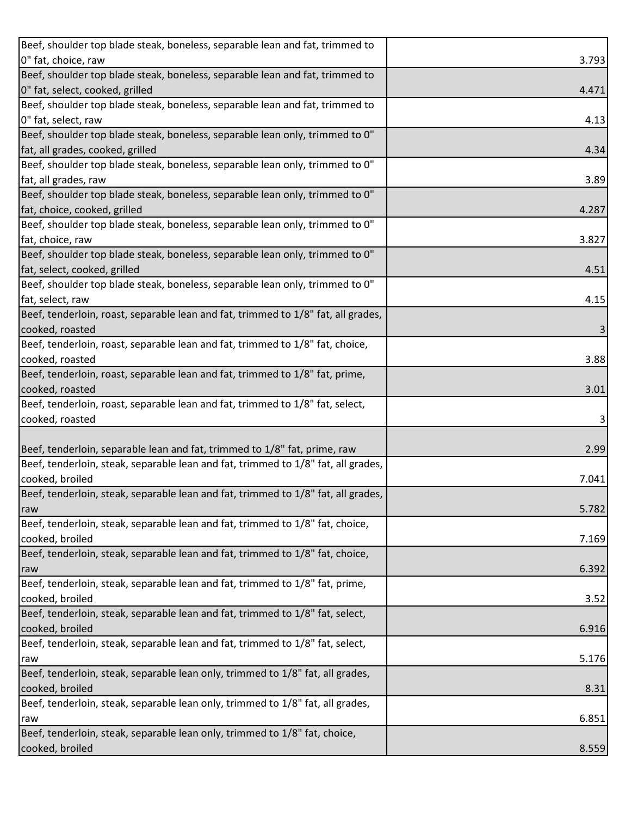| Beef, shoulder top blade steak, boneless, separable lean and fat, trimmed to      |       |
|-----------------------------------------------------------------------------------|-------|
| 0" fat, choice, raw                                                               | 3.793 |
| Beef, shoulder top blade steak, boneless, separable lean and fat, trimmed to      |       |
| 0" fat, select, cooked, grilled                                                   | 4.471 |
| Beef, shoulder top blade steak, boneless, separable lean and fat, trimmed to      |       |
| 0" fat, select, raw                                                               | 4.13  |
| Beef, shoulder top blade steak, boneless, separable lean only, trimmed to 0"      |       |
| fat, all grades, cooked, grilled                                                  | 4.34  |
| Beef, shoulder top blade steak, boneless, separable lean only, trimmed to 0"      |       |
| fat, all grades, raw                                                              | 3.89  |
| Beef, shoulder top blade steak, boneless, separable lean only, trimmed to 0"      |       |
| fat, choice, cooked, grilled                                                      | 4.287 |
| Beef, shoulder top blade steak, boneless, separable lean only, trimmed to 0"      |       |
| fat, choice, raw                                                                  | 3.827 |
| Beef, shoulder top blade steak, boneless, separable lean only, trimmed to 0"      |       |
| fat, select, cooked, grilled                                                      | 4.51  |
| Beef, shoulder top blade steak, boneless, separable lean only, trimmed to 0"      |       |
| fat, select, raw                                                                  | 4.15  |
| Beef, tenderloin, roast, separable lean and fat, trimmed to 1/8" fat, all grades, |       |
| cooked, roasted                                                                   | 3     |
| Beef, tenderloin, roast, separable lean and fat, trimmed to 1/8" fat, choice,     |       |
| cooked, roasted                                                                   | 3.88  |
| Beef, tenderloin, roast, separable lean and fat, trimmed to 1/8" fat, prime,      |       |
| cooked, roasted                                                                   | 3.01  |
| Beef, tenderloin, roast, separable lean and fat, trimmed to 1/8" fat, select,     |       |
| cooked, roasted                                                                   |       |
|                                                                                   |       |
| Beef, tenderloin, separable lean and fat, trimmed to 1/8" fat, prime, raw         | 2.99  |
| Beef, tenderloin, steak, separable lean and fat, trimmed to 1/8" fat, all grades, |       |
| cooked, broiled                                                                   | 7.041 |
| Beef, tenderloin, steak, separable lean and fat, trimmed to 1/8" fat, all grades, |       |
| raw                                                                               | 5.782 |
| Beef, tenderloin, steak, separable lean and fat, trimmed to 1/8" fat, choice,     |       |
| cooked, broiled                                                                   | 7.169 |
| Beef, tenderloin, steak, separable lean and fat, trimmed to 1/8" fat, choice,     |       |
| raw                                                                               | 6.392 |
| Beef, tenderloin, steak, separable lean and fat, trimmed to 1/8" fat, prime,      |       |
| cooked, broiled                                                                   | 3.52  |
| Beef, tenderloin, steak, separable lean and fat, trimmed to 1/8" fat, select,     |       |
| cooked, broiled                                                                   | 6.916 |
| Beef, tenderloin, steak, separable lean and fat, trimmed to 1/8" fat, select,     |       |
| raw                                                                               | 5.176 |
| Beef, tenderloin, steak, separable lean only, trimmed to 1/8" fat, all grades,    |       |
| cooked, broiled                                                                   | 8.31  |
| Beef, tenderloin, steak, separable lean only, trimmed to 1/8" fat, all grades,    |       |
| raw                                                                               | 6.851 |
| Beef, tenderloin, steak, separable lean only, trimmed to 1/8" fat, choice,        |       |
| cooked, broiled                                                                   | 8.559 |
|                                                                                   |       |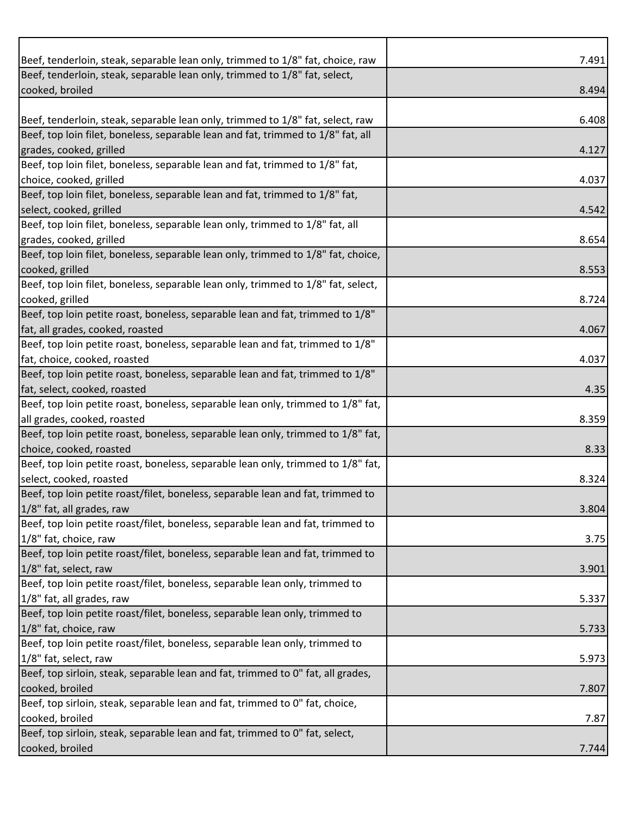| Beef, tenderloin, steak, separable lean only, trimmed to 1/8" fat, choice, raw                                  | 7.491 |
|-----------------------------------------------------------------------------------------------------------------|-------|
| Beef, tenderloin, steak, separable lean only, trimmed to 1/8" fat, select,<br>cooked, broiled                   |       |
|                                                                                                                 | 8.494 |
| Beef, tenderloin, steak, separable lean only, trimmed to 1/8" fat, select, raw                                  | 6.408 |
| Beef, top loin filet, boneless, separable lean and fat, trimmed to 1/8" fat, all                                |       |
| grades, cooked, grilled                                                                                         | 4.127 |
| Beef, top loin filet, boneless, separable lean and fat, trimmed to 1/8" fat,                                    |       |
| choice, cooked, grilled                                                                                         | 4.037 |
| Beef, top loin filet, boneless, separable lean and fat, trimmed to 1/8" fat,                                    |       |
| select, cooked, grilled                                                                                         | 4.542 |
| Beef, top loin filet, boneless, separable lean only, trimmed to 1/8" fat, all                                   |       |
| grades, cooked, grilled                                                                                         | 8.654 |
| Beef, top loin filet, boneless, separable lean only, trimmed to 1/8" fat, choice,                               |       |
| cooked, grilled                                                                                                 | 8.553 |
| Beef, top loin filet, boneless, separable lean only, trimmed to 1/8" fat, select,                               |       |
| cooked, grilled                                                                                                 | 8.724 |
| Beef, top loin petite roast, boneless, separable lean and fat, trimmed to 1/8"                                  |       |
| fat, all grades, cooked, roasted                                                                                | 4.067 |
| Beef, top loin petite roast, boneless, separable lean and fat, trimmed to 1/8"                                  |       |
| fat, choice, cooked, roasted                                                                                    | 4.037 |
| Beef, top loin petite roast, boneless, separable lean and fat, trimmed to 1/8"                                  |       |
| fat, select, cooked, roasted                                                                                    | 4.35  |
| Beef, top loin petite roast, boneless, separable lean only, trimmed to 1/8" fat,                                |       |
| all grades, cooked, roasted<br>Beef, top loin petite roast, boneless, separable lean only, trimmed to 1/8" fat, | 8.359 |
| choice, cooked, roasted                                                                                         | 8.33  |
| Beef, top loin petite roast, boneless, separable lean only, trimmed to 1/8" fat,                                |       |
| select, cooked, roasted                                                                                         | 8.324 |
| Beef, top loin petite roast/filet, boneless, separable lean and fat, trimmed to                                 |       |
| 1/8" fat, all grades, raw                                                                                       | 3.804 |
| Beef, top loin petite roast/filet, boneless, separable lean and fat, trimmed to                                 |       |
| 1/8" fat, choice, raw                                                                                           | 3.75  |
| Beef, top loin petite roast/filet, boneless, separable lean and fat, trimmed to                                 |       |
| 1/8" fat, select, raw                                                                                           | 3.901 |
| Beef, top loin petite roast/filet, boneless, separable lean only, trimmed to                                    |       |
| 1/8" fat, all grades, raw                                                                                       | 5.337 |
| Beef, top loin petite roast/filet, boneless, separable lean only, trimmed to                                    |       |
| 1/8" fat, choice, raw                                                                                           | 5.733 |
| Beef, top loin petite roast/filet, boneless, separable lean only, trimmed to                                    |       |
| 1/8" fat, select, raw                                                                                           | 5.973 |
| Beef, top sirloin, steak, separable lean and fat, trimmed to 0" fat, all grades,                                |       |
| cooked, broiled                                                                                                 | 7.807 |
| Beef, top sirloin, steak, separable lean and fat, trimmed to 0" fat, choice,                                    |       |
| cooked, broiled                                                                                                 | 7.87  |
| Beef, top sirloin, steak, separable lean and fat, trimmed to 0" fat, select,                                    |       |
| cooked, broiled                                                                                                 | 7.744 |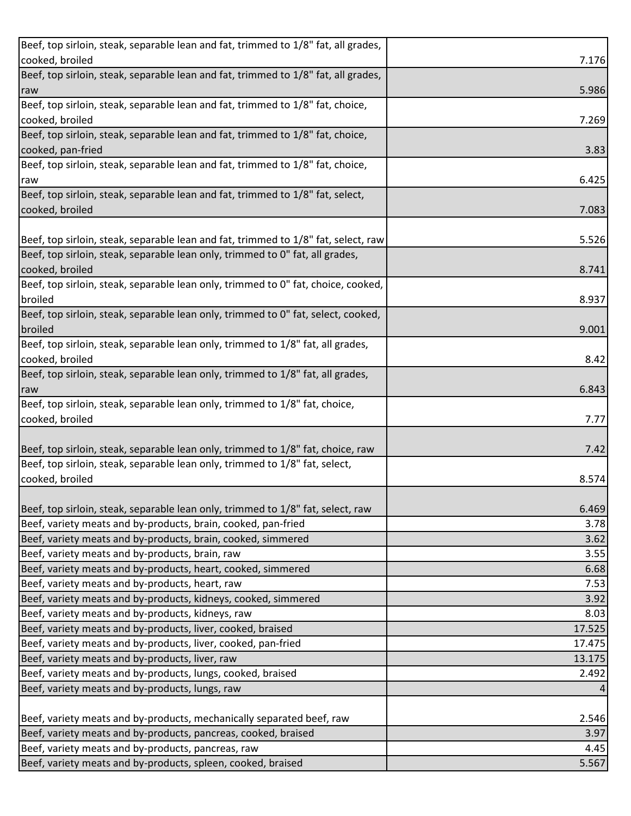| Beef, top sirloin, steak, separable lean and fat, trimmed to 1/8" fat, all grades, |        |
|------------------------------------------------------------------------------------|--------|
| cooked, broiled                                                                    | 7.176  |
| Beef, top sirloin, steak, separable lean and fat, trimmed to 1/8" fat, all grades, |        |
| raw                                                                                | 5.986  |
| Beef, top sirloin, steak, separable lean and fat, trimmed to 1/8" fat, choice,     |        |
| cooked, broiled                                                                    | 7.269  |
| Beef, top sirloin, steak, separable lean and fat, trimmed to 1/8" fat, choice,     |        |
| cooked, pan-fried                                                                  | 3.83   |
| Beef, top sirloin, steak, separable lean and fat, trimmed to 1/8" fat, choice,     |        |
| raw                                                                                | 6.425  |
| Beef, top sirloin, steak, separable lean and fat, trimmed to 1/8" fat, select,     |        |
| cooked, broiled                                                                    | 7.083  |
|                                                                                    |        |
| Beef, top sirloin, steak, separable lean and fat, trimmed to 1/8" fat, select, raw | 5.526  |
| Beef, top sirloin, steak, separable lean only, trimmed to 0" fat, all grades,      |        |
| cooked, broiled                                                                    | 8.741  |
| Beef, top sirloin, steak, separable lean only, trimmed to 0" fat, choice, cooked,  |        |
| broiled                                                                            | 8.937  |
| Beef, top sirloin, steak, separable lean only, trimmed to 0" fat, select, cooked,  |        |
| broiled                                                                            | 9.001  |
| Beef, top sirloin, steak, separable lean only, trimmed to 1/8" fat, all grades,    |        |
| cooked, broiled                                                                    | 8.42   |
| Beef, top sirloin, steak, separable lean only, trimmed to 1/8" fat, all grades,    |        |
| raw                                                                                | 6.843  |
| Beef, top sirloin, steak, separable lean only, trimmed to 1/8" fat, choice,        |        |
| cooked, broiled                                                                    | 7.77   |
|                                                                                    |        |
| Beef, top sirloin, steak, separable lean only, trimmed to 1/8" fat, choice, raw    | 7.42   |
| Beef, top sirloin, steak, separable lean only, trimmed to 1/8" fat, select,        |        |
| cooked, broiled                                                                    | 8.574  |
|                                                                                    |        |
| Beef, top sirloin, steak, separable lean only, trimmed to 1/8" fat, select, raw    | 6.469  |
| Beef, variety meats and by-products, brain, cooked, pan-fried                      | 3.78   |
| Beef, variety meats and by-products, brain, cooked, simmered                       | 3.62   |
| Beef, variety meats and by-products, brain, raw                                    | 3.55   |
| Beef, variety meats and by-products, heart, cooked, simmered                       | 6.68   |
| Beef, variety meats and by-products, heart, raw                                    | 7.53   |
| Beef, variety meats and by-products, kidneys, cooked, simmered                     | 3.92   |
| Beef, variety meats and by-products, kidneys, raw                                  | 8.03   |
| Beef, variety meats and by-products, liver, cooked, braised                        | 17.525 |
| Beef, variety meats and by-products, liver, cooked, pan-fried                      | 17.475 |
| Beef, variety meats and by-products, liver, raw                                    | 13.175 |
| Beef, variety meats and by-products, lungs, cooked, braised                        | 2.492  |
| Beef, variety meats and by-products, lungs, raw                                    |        |
|                                                                                    |        |
| Beef, variety meats and by-products, mechanically separated beef, raw              | 2.546  |
| Beef, variety meats and by-products, pancreas, cooked, braised                     | 3.97   |
| Beef, variety meats and by-products, pancreas, raw                                 | 4.45   |
| Beef, variety meats and by-products, spleen, cooked, braised                       | 5.567  |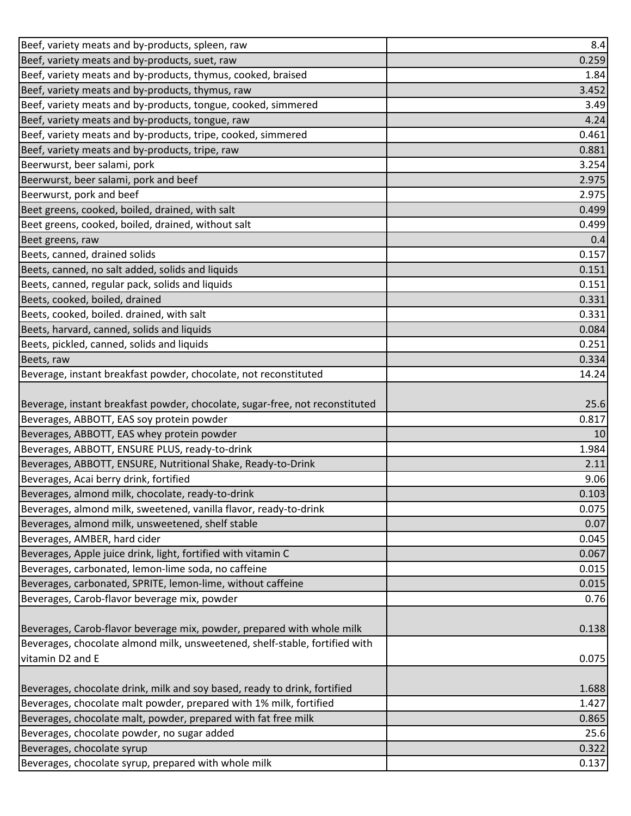| Beef, variety meats and by-products, spleen, raw                                                                                     | 8.4           |
|--------------------------------------------------------------------------------------------------------------------------------------|---------------|
| Beef, variety meats and by-products, suet, raw                                                                                       | 0.259         |
| Beef, variety meats and by-products, thymus, cooked, braised                                                                         | 1.84          |
| Beef, variety meats and by-products, thymus, raw                                                                                     | 3.452         |
| Beef, variety meats and by-products, tongue, cooked, simmered                                                                        | 3.49          |
| Beef, variety meats and by-products, tongue, raw                                                                                     | 4.24          |
| Beef, variety meats and by-products, tripe, cooked, simmered                                                                         | 0.461         |
| Beef, variety meats and by-products, tripe, raw                                                                                      | 0.881         |
| Beerwurst, beer salami, pork                                                                                                         | 3.254         |
| Beerwurst, beer salami, pork and beef                                                                                                | 2.975         |
| Beerwurst, pork and beef                                                                                                             | 2.975         |
| Beet greens, cooked, boiled, drained, with salt                                                                                      | 0.499         |
| Beet greens, cooked, boiled, drained, without salt                                                                                   | 0.499         |
| Beet greens, raw                                                                                                                     | 0.4           |
| Beets, canned, drained solids                                                                                                        | 0.157         |
| Beets, canned, no salt added, solids and liquids                                                                                     | 0.151         |
| Beets, canned, regular pack, solids and liquids                                                                                      | 0.151         |
| Beets, cooked, boiled, drained                                                                                                       | 0.331         |
| Beets, cooked, boiled. drained, with salt                                                                                            | 0.331         |
| Beets, harvard, canned, solids and liquids                                                                                           | 0.084         |
| Beets, pickled, canned, solids and liquids                                                                                           | 0.251         |
| Beets, raw                                                                                                                           | 0.334         |
| Beverage, instant breakfast powder, chocolate, not reconstituted                                                                     | 14.24         |
| Beverage, instant breakfast powder, chocolate, sugar-free, not reconstituted                                                         | 25.6          |
| Beverages, ABBOTT, EAS soy protein powder                                                                                            | 0.817         |
| Beverages, ABBOTT, EAS whey protein powder                                                                                           | 10            |
| Beverages, ABBOTT, ENSURE PLUS, ready-to-drink                                                                                       | 1.984         |
| Beverages, ABBOTT, ENSURE, Nutritional Shake, Ready-to-Drink                                                                         | 2.11          |
| Beverages, Acai berry drink, fortified                                                                                               | 9.06          |
| Beverages, almond milk, chocolate, ready-to-drink                                                                                    | 0.103         |
| Beverages, almond milk, sweetened, vanilla flavor, ready-to-drink                                                                    | 0.075         |
| Beverages, almond milk, unsweetened, shelf stable                                                                                    | 0.07          |
| Beverages, AMBER, hard cider                                                                                                         | 0.045         |
| Beverages, Apple juice drink, light, fortified with vitamin C                                                                        | 0.067         |
| Beverages, carbonated, lemon-lime soda, no caffeine                                                                                  | 0.015         |
| Beverages, carbonated, SPRITE, lemon-lime, without caffeine                                                                          | 0.015         |
| Beverages, Carob-flavor beverage mix, powder                                                                                         | 0.76          |
| Beverages, Carob-flavor beverage mix, powder, prepared with whole milk                                                               | 0.138         |
| Beverages, chocolate almond milk, unsweetened, shelf-stable, fortified with                                                          |               |
| vitamin D2 and E                                                                                                                     | 0.075         |
|                                                                                                                                      |               |
| Beverages, chocolate drink, milk and soy based, ready to drink, fortified                                                            | 1.688         |
| Beverages, chocolate malt powder, prepared with 1% milk, fortified<br>Beverages, chocolate malt, powder, prepared with fat free milk | 1.427         |
| Beverages, chocolate powder, no sugar added                                                                                          | 0.865<br>25.6 |
|                                                                                                                                      |               |
| Beverages, chocolate syrup                                                                                                           | 0.322         |
| Beverages, chocolate syrup, prepared with whole milk                                                                                 | 0.137         |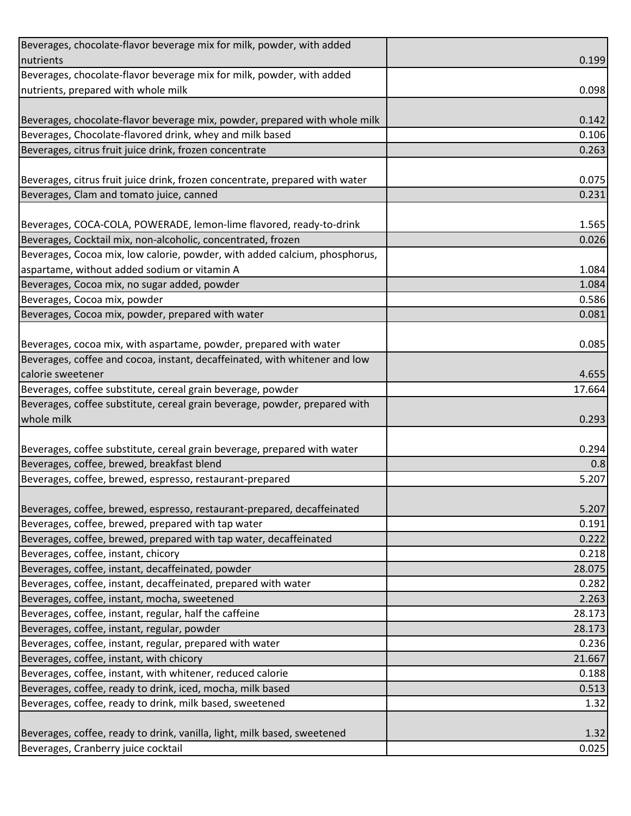| Beverages, chocolate-flavor beverage mix for milk, powder, with added        |        |
|------------------------------------------------------------------------------|--------|
| nutrients                                                                    | 0.199  |
| Beverages, chocolate-flavor beverage mix for milk, powder, with added        |        |
| nutrients, prepared with whole milk                                          | 0.098  |
|                                                                              |        |
| Beverages, chocolate-flavor beverage mix, powder, prepared with whole milk   | 0.142  |
| Beverages, Chocolate-flavored drink, whey and milk based                     | 0.106  |
| Beverages, citrus fruit juice drink, frozen concentrate                      | 0.263  |
|                                                                              |        |
| Beverages, citrus fruit juice drink, frozen concentrate, prepared with water | 0.075  |
| Beverages, Clam and tomato juice, canned                                     | 0.231  |
|                                                                              |        |
| Beverages, COCA-COLA, POWERADE, lemon-lime flavored, ready-to-drink          | 1.565  |
| Beverages, Cocktail mix, non-alcoholic, concentrated, frozen                 | 0.026  |
| Beverages, Cocoa mix, low calorie, powder, with added calcium, phosphorus,   |        |
| aspartame, without added sodium or vitamin A                                 | 1.084  |
| Beverages, Cocoa mix, no sugar added, powder                                 | 1.084  |
| Beverages, Cocoa mix, powder                                                 | 0.586  |
| Beverages, Cocoa mix, powder, prepared with water                            | 0.081  |
|                                                                              |        |
| Beverages, cocoa mix, with aspartame, powder, prepared with water            | 0.085  |
| Beverages, coffee and cocoa, instant, decaffeinated, with whitener and low   |        |
| calorie sweetener                                                            | 4.655  |
| Beverages, coffee substitute, cereal grain beverage, powder                  | 17.664 |
| Beverages, coffee substitute, cereal grain beverage, powder, prepared with   |        |
| whole milk                                                                   | 0.293  |
|                                                                              |        |
| Beverages, coffee substitute, cereal grain beverage, prepared with water     | 0.294  |
| Beverages, coffee, brewed, breakfast blend                                   | 0.8    |
| Beverages, coffee, brewed, espresso, restaurant-prepared                     | 5.207  |
|                                                                              |        |
| Beverages, coffee, brewed, espresso, restaurant-prepared, decaffeinated      | 5.207  |
| Beverages, coffee, brewed, prepared with tap water                           | 0.191  |
| Beverages, coffee, brewed, prepared with tap water, decaffeinated            | 0.222  |
| Beverages, coffee, instant, chicory                                          | 0.218  |
| Beverages, coffee, instant, decaffeinated, powder                            | 28.075 |
| Beverages, coffee, instant, decaffeinated, prepared with water               | 0.282  |
| Beverages, coffee, instant, mocha, sweetened                                 | 2.263  |
| Beverages, coffee, instant, regular, half the caffeine                       | 28.173 |
| Beverages, coffee, instant, regular, powder                                  | 28.173 |
| Beverages, coffee, instant, regular, prepared with water                     | 0.236  |
| Beverages, coffee, instant, with chicory                                     | 21.667 |
| Beverages, coffee, instant, with whitener, reduced calorie                   | 0.188  |
| Beverages, coffee, ready to drink, iced, mocha, milk based                   | 0.513  |
| Beverages, coffee, ready to drink, milk based, sweetened                     | 1.32   |
|                                                                              |        |
| Beverages, coffee, ready to drink, vanilla, light, milk based, sweetened     | 1.32   |
| Beverages, Cranberry juice cocktail                                          | 0.025  |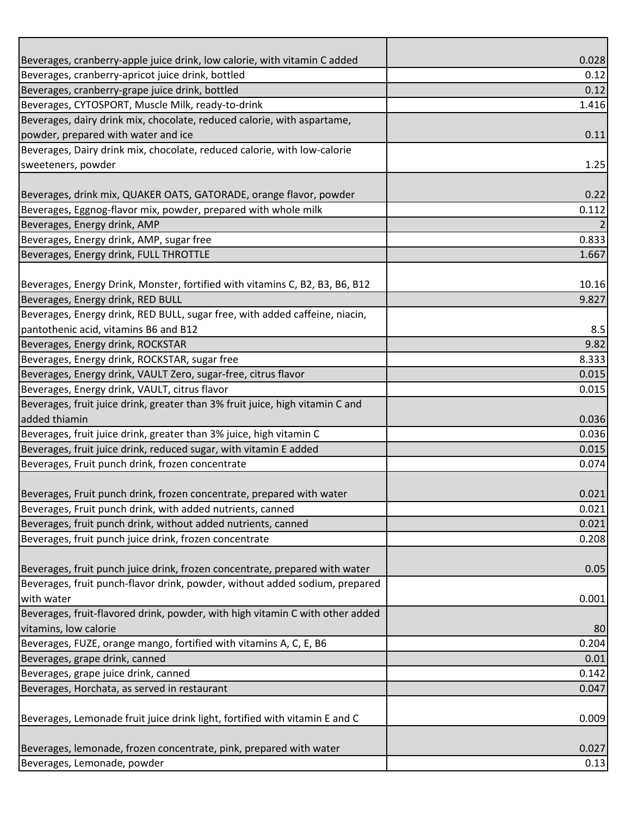| Beverages, cranberry-apple juice drink, low calorie, with vitamin C added                                                           | 0.028          |
|-------------------------------------------------------------------------------------------------------------------------------------|----------------|
| Beverages, cranberry-apricot juice drink, bottled                                                                                   | 0.12           |
| Beverages, cranberry-grape juice drink, bottled                                                                                     | 0.12           |
| Beverages, CYTOSPORT, Muscle Milk, ready-to-drink                                                                                   | 1.416          |
| Beverages, dairy drink mix, chocolate, reduced calorie, with aspartame,                                                             |                |
| powder, prepared with water and ice                                                                                                 | 0.11           |
| Beverages, Dairy drink mix, chocolate, reduced calorie, with low-calorie                                                            |                |
| sweeteners, powder                                                                                                                  | 1.25           |
|                                                                                                                                     |                |
| Beverages, drink mix, QUAKER OATS, GATORADE, orange flavor, powder                                                                  | 0.22           |
| Beverages, Eggnog-flavor mix, powder, prepared with whole milk                                                                      | 0.112          |
| Beverages, Energy drink, AMP                                                                                                        |                |
| Beverages, Energy drink, AMP, sugar free                                                                                            | 0.833          |
| Beverages, Energy drink, FULL THROTTLE                                                                                              | 1.667          |
|                                                                                                                                     |                |
| Beverages, Energy Drink, Monster, fortified with vitamins C, B2, B3, B6, B12                                                        | 10.16          |
| Beverages, Energy drink, RED BULL                                                                                                   | 9.827          |
| Beverages, Energy drink, RED BULL, sugar free, with added caffeine, niacin,                                                         |                |
| pantothenic acid, vitamins B6 and B12                                                                                               | 8.5            |
| Beverages, Energy drink, ROCKSTAR                                                                                                   | 9.82           |
| Beverages, Energy drink, ROCKSTAR, sugar free                                                                                       | 8.333          |
| Beverages, Energy drink, VAULT Zero, sugar-free, citrus flavor                                                                      | 0.015          |
| Beverages, Energy drink, VAULT, citrus flavor                                                                                       | 0.015          |
| Beverages, fruit juice drink, greater than 3% fruit juice, high vitamin C and                                                       |                |
| added thiamin                                                                                                                       | 0.036          |
| Beverages, fruit juice drink, greater than 3% juice, high vitamin C                                                                 | 0.036          |
| Beverages, fruit juice drink, reduced sugar, with vitamin E added                                                                   | 0.015          |
| Beverages, Fruit punch drink, frozen concentrate                                                                                    | 0.074          |
|                                                                                                                                     |                |
| Beverages, Fruit punch drink, frozen concentrate, prepared with water<br>Beverages, Fruit punch drink, with added nutrients, canned | 0.021          |
|                                                                                                                                     | 0.021<br>0.021 |
| Beverages, fruit punch drink, without added nutrients, canned<br>Beverages, fruit punch juice drink, frozen concentrate             | 0.208          |
|                                                                                                                                     |                |
| Beverages, fruit punch juice drink, frozen concentrate, prepared with water                                                         | 0.05           |
| Beverages, fruit punch-flavor drink, powder, without added sodium, prepared                                                         |                |
| with water                                                                                                                          | 0.001          |
| Beverages, fruit-flavored drink, powder, with high vitamin C with other added                                                       |                |
| vitamins, low calorie                                                                                                               | 80             |
| Beverages, FUZE, orange mango, fortified with vitamins A, C, E, B6                                                                  | 0.204          |
| Beverages, grape drink, canned                                                                                                      | 0.01           |
| Beverages, grape juice drink, canned                                                                                                | 0.142          |
| Beverages, Horchata, as served in restaurant                                                                                        | 0.047          |
|                                                                                                                                     |                |
| Beverages, Lemonade fruit juice drink light, fortified with vitamin E and C                                                         | 0.009          |
|                                                                                                                                     |                |
| Beverages, lemonade, frozen concentrate, pink, prepared with water                                                                  | 0.027          |
| Beverages, Lemonade, powder                                                                                                         | 0.13           |
|                                                                                                                                     |                |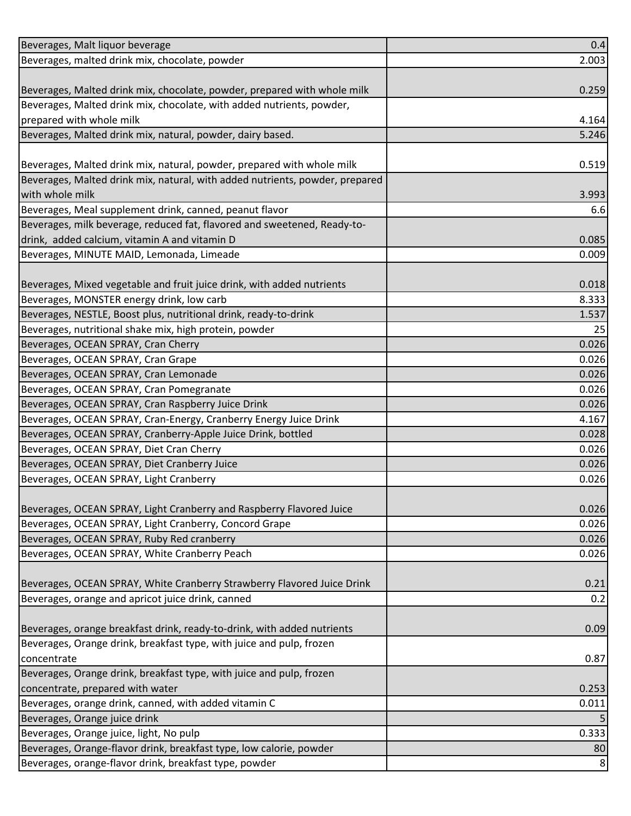| Beverages, Malt liquor beverage                                              | 0.4   |
|------------------------------------------------------------------------------|-------|
| Beverages, malted drink mix, chocolate, powder                               | 2.003 |
|                                                                              |       |
| Beverages, Malted drink mix, chocolate, powder, prepared with whole milk     | 0.259 |
| Beverages, Malted drink mix, chocolate, with added nutrients, powder,        |       |
| prepared with whole milk                                                     | 4.164 |
| Beverages, Malted drink mix, natural, powder, dairy based.                   | 5.246 |
|                                                                              |       |
| Beverages, Malted drink mix, natural, powder, prepared with whole milk       | 0.519 |
| Beverages, Malted drink mix, natural, with added nutrients, powder, prepared |       |
| with whole milk                                                              | 3.993 |
| Beverages, Meal supplement drink, canned, peanut flavor                      | 6.6   |
| Beverages, milk beverage, reduced fat, flavored and sweetened, Ready-to-     |       |
| drink, added calcium, vitamin A and vitamin D                                | 0.085 |
| Beverages, MINUTE MAID, Lemonada, Limeade                                    | 0.009 |
|                                                                              |       |
| Beverages, Mixed vegetable and fruit juice drink, with added nutrients       | 0.018 |
| Beverages, MONSTER energy drink, low carb                                    | 8.333 |
| Beverages, NESTLE, Boost plus, nutritional drink, ready-to-drink             | 1.537 |
| Beverages, nutritional shake mix, high protein, powder                       | 25    |
| Beverages, OCEAN SPRAY, Cran Cherry                                          | 0.026 |
| Beverages, OCEAN SPRAY, Cran Grape                                           | 0.026 |
| Beverages, OCEAN SPRAY, Cran Lemonade                                        | 0.026 |
| Beverages, OCEAN SPRAY, Cran Pomegranate                                     | 0.026 |
| Beverages, OCEAN SPRAY, Cran Raspberry Juice Drink                           | 0.026 |
| Beverages, OCEAN SPRAY, Cran-Energy, Cranberry Energy Juice Drink            | 4.167 |
| Beverages, OCEAN SPRAY, Cranberry-Apple Juice Drink, bottled                 | 0.028 |
| Beverages, OCEAN SPRAY, Diet Cran Cherry                                     | 0.026 |
| Beverages, OCEAN SPRAY, Diet Cranberry Juice                                 | 0.026 |
| Beverages, OCEAN SPRAY, Light Cranberry                                      | 0.026 |
|                                                                              |       |
| Beverages, OCEAN SPRAY, Light Cranberry and Raspberry Flavored Juice         | 0.026 |
| Beverages, OCEAN SPRAY, Light Cranberry, Concord Grape                       | 0.026 |
| Beverages, OCEAN SPRAY, Ruby Red cranberry                                   | 0.026 |
| Beverages, OCEAN SPRAY, White Cranberry Peach                                | 0.026 |
|                                                                              |       |
| Beverages, OCEAN SPRAY, White Cranberry Strawberry Flavored Juice Drink      | 0.21  |
| Beverages, orange and apricot juice drink, canned                            | 0.2   |
| Beverages, orange breakfast drink, ready-to-drink, with added nutrients      | 0.09  |
| Beverages, Orange drink, breakfast type, with juice and pulp, frozen         |       |
| concentrate                                                                  | 0.87  |
| Beverages, Orange drink, breakfast type, with juice and pulp, frozen         |       |
| concentrate, prepared with water                                             | 0.253 |
| Beverages, orange drink, canned, with added vitamin C                        | 0.011 |
| Beverages, Orange juice drink                                                |       |
| Beverages, Orange juice, light, No pulp                                      | 0.333 |
| Beverages, Orange-flavor drink, breakfast type, low calorie, powder          | 80    |
| Beverages, orange-flavor drink, breakfast type, powder                       | 8     |
|                                                                              |       |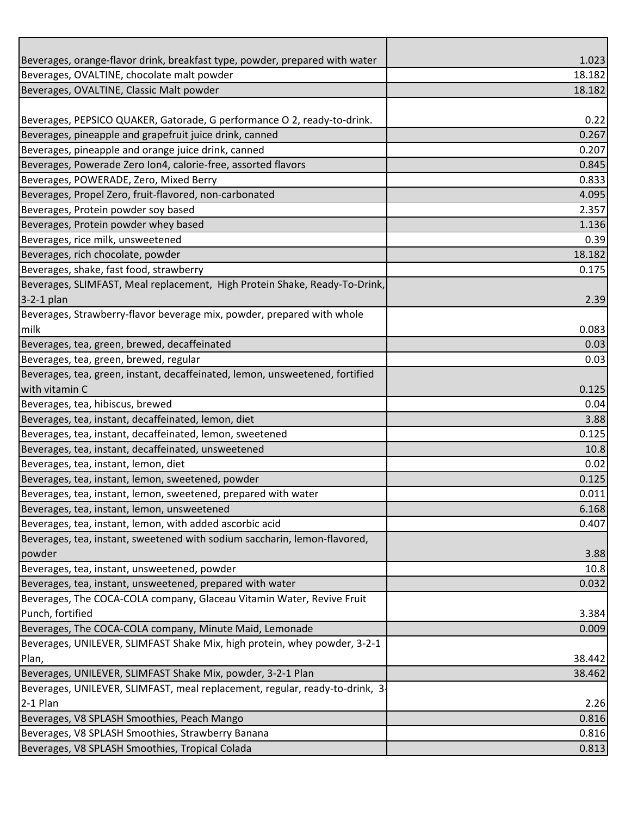| Beverages, orange-flavor drink, breakfast type, powder, prepared with water  | 1.023  |
|------------------------------------------------------------------------------|--------|
| Beverages, OVALTINE, chocolate malt powder                                   | 18.182 |
| Beverages, OVALTINE, Classic Malt powder                                     | 18.182 |
|                                                                              |        |
| Beverages, PEPSICO QUAKER, Gatorade, G performance O 2, ready-to-drink.      | 0.22   |
| Beverages, pineapple and grapefruit juice drink, canned                      | 0.267  |
| Beverages, pineapple and orange juice drink, canned                          | 0.207  |
| Beverages, Powerade Zero Ion4, calorie-free, assorted flavors                | 0.845  |
| Beverages, POWERADE, Zero, Mixed Berry                                       | 0.833  |
| Beverages, Propel Zero, fruit-flavored, non-carbonated                       | 4.095  |
| Beverages, Protein powder soy based                                          | 2.357  |
| Beverages, Protein powder whey based                                         | 1.136  |
| Beverages, rice milk, unsweetened                                            | 0.39   |
| Beverages, rich chocolate, powder                                            | 18.182 |
| Beverages, shake, fast food, strawberry                                      | 0.175  |
| Beverages, SLIMFAST, Meal replacement, High Protein Shake, Ready-To-Drink,   |        |
| $3-2-1$ plan                                                                 | 2.39   |
| Beverages, Strawberry-flavor beverage mix, powder, prepared with whole       |        |
| milk                                                                         | 0.083  |
| Beverages, tea, green, brewed, decaffeinated                                 | 0.03   |
| Beverages, tea, green, brewed, regular                                       | 0.03   |
| Beverages, tea, green, instant, decaffeinated, lemon, unsweetened, fortified |        |
| with vitamin C                                                               | 0.125  |
| Beverages, tea, hibiscus, brewed                                             | 0.04   |
| Beverages, tea, instant, decaffeinated, lemon, diet                          | 3.88   |
| Beverages, tea, instant, decaffeinated, lemon, sweetened                     | 0.125  |
| Beverages, tea, instant, decaffeinated, unsweetened                          | 10.8   |
| Beverages, tea, instant, lemon, diet                                         | 0.02   |
| Beverages, tea, instant, lemon, sweetened, powder                            | 0.125  |
| Beverages, tea, instant, lemon, sweetened, prepared with water               | 0.011  |
| Beverages, tea, instant, lemon, unsweetened                                  | 6.168  |
| Beverages, tea, instant, lemon, with added ascorbic acid                     | 0.407  |
| Beverages, tea, instant, sweetened with sodium saccharin, lemon-flavored,    |        |
| powder                                                                       | 3.88   |
| Beverages, tea, instant, unsweetened, powder                                 | 10.8   |
| Beverages, tea, instant, unsweetened, prepared with water                    | 0.032  |
| Beverages, The COCA-COLA company, Glaceau Vitamin Water, Revive Fruit        |        |
| Punch, fortified                                                             | 3.384  |
| Beverages, The COCA-COLA company, Minute Maid, Lemonade                      | 0.009  |
| Beverages, UNILEVER, SLIMFAST Shake Mix, high protein, whey powder, 3-2-1    |        |
| Plan,                                                                        | 38.442 |
| Beverages, UNILEVER, SLIMFAST Shake Mix, powder, 3-2-1 Plan                  | 38.462 |
| Beverages, UNILEVER, SLIMFAST, meal replacement, regular, ready-to-drink, 3- |        |
| $2-1$ Plan                                                                   | 2.26   |
| Beverages, V8 SPLASH Smoothies, Peach Mango                                  | 0.816  |
| Beverages, V8 SPLASH Smoothies, Strawberry Banana                            | 0.816  |
| Beverages, V8 SPLASH Smoothies, Tropical Colada                              | 0.813  |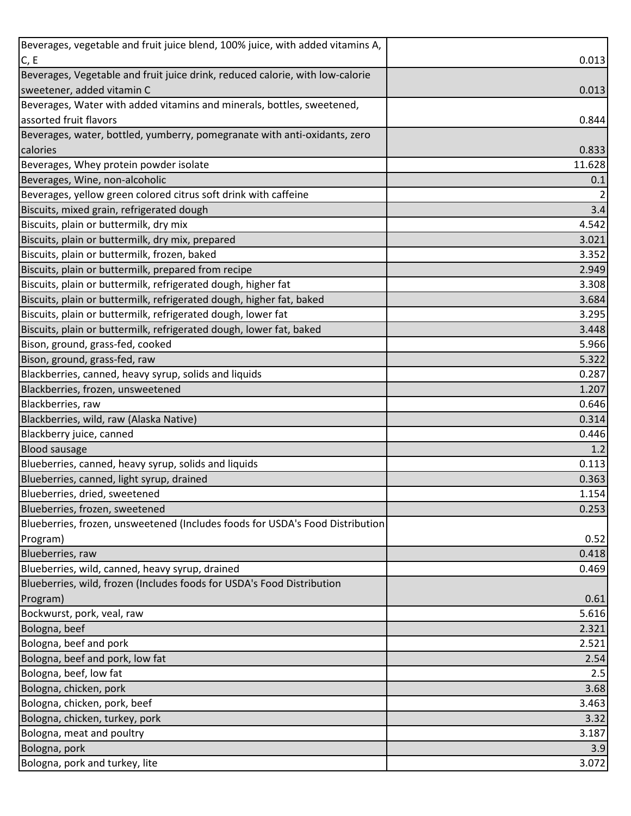| 0.013<br>0.013<br>0.833<br>0.1<br>$\overline{2}$<br>3.4<br>4.542<br>3.021<br>3.352<br>2.949<br>3.308<br>3.684<br>3.295<br>3.448<br>5.966<br>5.322<br>0.287<br>1.207<br>0.646<br>0.314<br>Blackberry juice, canned<br>0.446<br>1.2<br>0.113<br>Blueberries, canned, light syrup, drained<br>0.363<br>0.52<br>0.418<br>0.469<br>0.61<br>Bockwurst, pork, veal, raw<br>5.616<br>2.321<br>2.521<br>2.54<br>2.5<br>3.68<br>3.463<br>3.187<br>3.9<br>3.072 | Beverages, vegetable and fruit juice blend, 100% juice, with added vitamins A, |  |
|------------------------------------------------------------------------------------------------------------------------------------------------------------------------------------------------------------------------------------------------------------------------------------------------------------------------------------------------------------------------------------------------------------------------------------------------------|--------------------------------------------------------------------------------|--|
| 0.844<br>11.628<br>1.154<br>0.253<br>3.32                                                                                                                                                                                                                                                                                                                                                                                                            | C, E                                                                           |  |
|                                                                                                                                                                                                                                                                                                                                                                                                                                                      | Beverages, Vegetable and fruit juice drink, reduced calorie, with low-calorie  |  |
|                                                                                                                                                                                                                                                                                                                                                                                                                                                      | sweetener, added vitamin C                                                     |  |
|                                                                                                                                                                                                                                                                                                                                                                                                                                                      | Beverages, Water with added vitamins and minerals, bottles, sweetened,         |  |
|                                                                                                                                                                                                                                                                                                                                                                                                                                                      | assorted fruit flavors                                                         |  |
|                                                                                                                                                                                                                                                                                                                                                                                                                                                      | Beverages, water, bottled, yumberry, pomegranate with anti-oxidants, zero      |  |
|                                                                                                                                                                                                                                                                                                                                                                                                                                                      | calories                                                                       |  |
|                                                                                                                                                                                                                                                                                                                                                                                                                                                      | Beverages, Whey protein powder isolate                                         |  |
|                                                                                                                                                                                                                                                                                                                                                                                                                                                      | Beverages, Wine, non-alcoholic                                                 |  |
|                                                                                                                                                                                                                                                                                                                                                                                                                                                      | Beverages, yellow green colored citrus soft drink with caffeine                |  |
|                                                                                                                                                                                                                                                                                                                                                                                                                                                      | Biscuits, mixed grain, refrigerated dough                                      |  |
|                                                                                                                                                                                                                                                                                                                                                                                                                                                      | Biscuits, plain or buttermilk, dry mix                                         |  |
|                                                                                                                                                                                                                                                                                                                                                                                                                                                      | Biscuits, plain or buttermilk, dry mix, prepared                               |  |
|                                                                                                                                                                                                                                                                                                                                                                                                                                                      | Biscuits, plain or buttermilk, frozen, baked                                   |  |
|                                                                                                                                                                                                                                                                                                                                                                                                                                                      | Biscuits, plain or buttermilk, prepared from recipe                            |  |
|                                                                                                                                                                                                                                                                                                                                                                                                                                                      | Biscuits, plain or buttermilk, refrigerated dough, higher fat                  |  |
|                                                                                                                                                                                                                                                                                                                                                                                                                                                      | Biscuits, plain or buttermilk, refrigerated dough, higher fat, baked           |  |
|                                                                                                                                                                                                                                                                                                                                                                                                                                                      | Biscuits, plain or buttermilk, refrigerated dough, lower fat                   |  |
|                                                                                                                                                                                                                                                                                                                                                                                                                                                      | Biscuits, plain or buttermilk, refrigerated dough, lower fat, baked            |  |
|                                                                                                                                                                                                                                                                                                                                                                                                                                                      | Bison, ground, grass-fed, cooked                                               |  |
|                                                                                                                                                                                                                                                                                                                                                                                                                                                      | Bison, ground, grass-fed, raw                                                  |  |
|                                                                                                                                                                                                                                                                                                                                                                                                                                                      | Blackberries, canned, heavy syrup, solids and liquids                          |  |
|                                                                                                                                                                                                                                                                                                                                                                                                                                                      | Blackberries, frozen, unsweetened                                              |  |
|                                                                                                                                                                                                                                                                                                                                                                                                                                                      | Blackberries, raw                                                              |  |
|                                                                                                                                                                                                                                                                                                                                                                                                                                                      | Blackberries, wild, raw (Alaska Native)                                        |  |
|                                                                                                                                                                                                                                                                                                                                                                                                                                                      |                                                                                |  |
|                                                                                                                                                                                                                                                                                                                                                                                                                                                      | <b>Blood sausage</b>                                                           |  |
|                                                                                                                                                                                                                                                                                                                                                                                                                                                      | Blueberries, canned, heavy syrup, solids and liquids                           |  |
|                                                                                                                                                                                                                                                                                                                                                                                                                                                      |                                                                                |  |
|                                                                                                                                                                                                                                                                                                                                                                                                                                                      | Blueberries, dried, sweetened                                                  |  |
|                                                                                                                                                                                                                                                                                                                                                                                                                                                      | Blueberries, frozen, sweetened                                                 |  |
|                                                                                                                                                                                                                                                                                                                                                                                                                                                      | Blueberries, frozen, unsweetened (Includes foods for USDA's Food Distribution  |  |
|                                                                                                                                                                                                                                                                                                                                                                                                                                                      | Program)                                                                       |  |
|                                                                                                                                                                                                                                                                                                                                                                                                                                                      | Blueberries, raw                                                               |  |
|                                                                                                                                                                                                                                                                                                                                                                                                                                                      | Blueberries, wild, canned, heavy syrup, drained                                |  |
|                                                                                                                                                                                                                                                                                                                                                                                                                                                      | Blueberries, wild, frozen (Includes foods for USDA's Food Distribution         |  |
|                                                                                                                                                                                                                                                                                                                                                                                                                                                      | Program)                                                                       |  |
|                                                                                                                                                                                                                                                                                                                                                                                                                                                      |                                                                                |  |
|                                                                                                                                                                                                                                                                                                                                                                                                                                                      | Bologna, beef                                                                  |  |
|                                                                                                                                                                                                                                                                                                                                                                                                                                                      | Bologna, beef and pork                                                         |  |
|                                                                                                                                                                                                                                                                                                                                                                                                                                                      | Bologna, beef and pork, low fat                                                |  |
|                                                                                                                                                                                                                                                                                                                                                                                                                                                      | Bologna, beef, low fat                                                         |  |
|                                                                                                                                                                                                                                                                                                                                                                                                                                                      | Bologna, chicken, pork                                                         |  |
|                                                                                                                                                                                                                                                                                                                                                                                                                                                      | Bologna, chicken, pork, beef                                                   |  |
|                                                                                                                                                                                                                                                                                                                                                                                                                                                      | Bologna, chicken, turkey, pork                                                 |  |
|                                                                                                                                                                                                                                                                                                                                                                                                                                                      | Bologna, meat and poultry                                                      |  |
|                                                                                                                                                                                                                                                                                                                                                                                                                                                      | Bologna, pork                                                                  |  |
|                                                                                                                                                                                                                                                                                                                                                                                                                                                      | Bologna, pork and turkey, lite                                                 |  |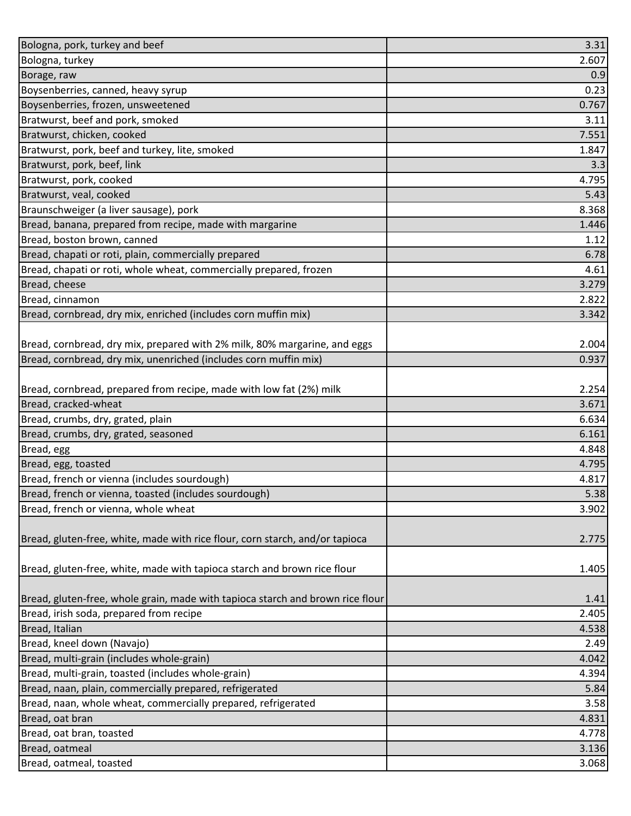| Bologna, pork, turkey and beef                                                 | 3.31  |
|--------------------------------------------------------------------------------|-------|
| Bologna, turkey                                                                | 2.607 |
| Borage, raw                                                                    | 0.9   |
| Boysenberries, canned, heavy syrup                                             | 0.23  |
| Boysenberries, frozen, unsweetened                                             | 0.767 |
| Bratwurst, beef and pork, smoked                                               | 3.11  |
| Bratwurst, chicken, cooked                                                     | 7.551 |
| Bratwurst, pork, beef and turkey, lite, smoked                                 | 1.847 |
| Bratwurst, pork, beef, link                                                    | 3.3   |
| Bratwurst, pork, cooked                                                        | 4.795 |
| Bratwurst, veal, cooked                                                        | 5.43  |
| Braunschweiger (a liver sausage), pork                                         | 8.368 |
| Bread, banana, prepared from recipe, made with margarine                       | 1.446 |
| Bread, boston brown, canned                                                    | 1.12  |
| Bread, chapati or roti, plain, commercially prepared                           | 6.78  |
| Bread, chapati or roti, whole wheat, commercially prepared, frozen             | 4.61  |
| Bread, cheese                                                                  | 3.279 |
| Bread, cinnamon                                                                | 2.822 |
| Bread, cornbread, dry mix, enriched (includes corn muffin mix)                 | 3.342 |
|                                                                                |       |
| Bread, cornbread, dry mix, prepared with 2% milk, 80% margarine, and eggs      | 2.004 |
| Bread, cornbread, dry mix, unenriched (includes corn muffin mix)               | 0.937 |
|                                                                                |       |
| Bread, cornbread, prepared from recipe, made with low fat (2%) milk            | 2.254 |
| Bread, cracked-wheat                                                           | 3.671 |
| Bread, crumbs, dry, grated, plain                                              | 6.634 |
| Bread, crumbs, dry, grated, seasoned                                           | 6.161 |
| Bread, egg                                                                     | 4.848 |
| Bread, egg, toasted                                                            | 4.795 |
| Bread, french or vienna (includes sourdough)                                   | 4.817 |
| Bread, french or vienna, toasted (includes sourdough)                          | 5.38  |
| Bread, french or vienna, whole wheat                                           | 3.902 |
|                                                                                |       |
| Bread, gluten-free, white, made with rice flour, corn starch, and/or tapioca   | 2.775 |
|                                                                                |       |
| Bread, gluten-free, white, made with tapioca starch and brown rice flour       | 1.405 |
|                                                                                |       |
| Bread, gluten-free, whole grain, made with tapioca starch and brown rice flour | 1.41  |
| Bread, irish soda, prepared from recipe                                        | 2.405 |
| Bread, Italian                                                                 | 4.538 |
| Bread, kneel down (Navajo)                                                     | 2.49  |
| Bread, multi-grain (includes whole-grain)                                      | 4.042 |
| Bread, multi-grain, toasted (includes whole-grain)                             | 4.394 |
| Bread, naan, plain, commercially prepared, refrigerated                        | 5.84  |
| Bread, naan, whole wheat, commercially prepared, refrigerated                  | 3.58  |
| Bread, oat bran                                                                | 4.831 |
| Bread, oat bran, toasted                                                       | 4.778 |
| Bread, oatmeal                                                                 | 3.136 |
| Bread, oatmeal, toasted                                                        | 3.068 |
|                                                                                |       |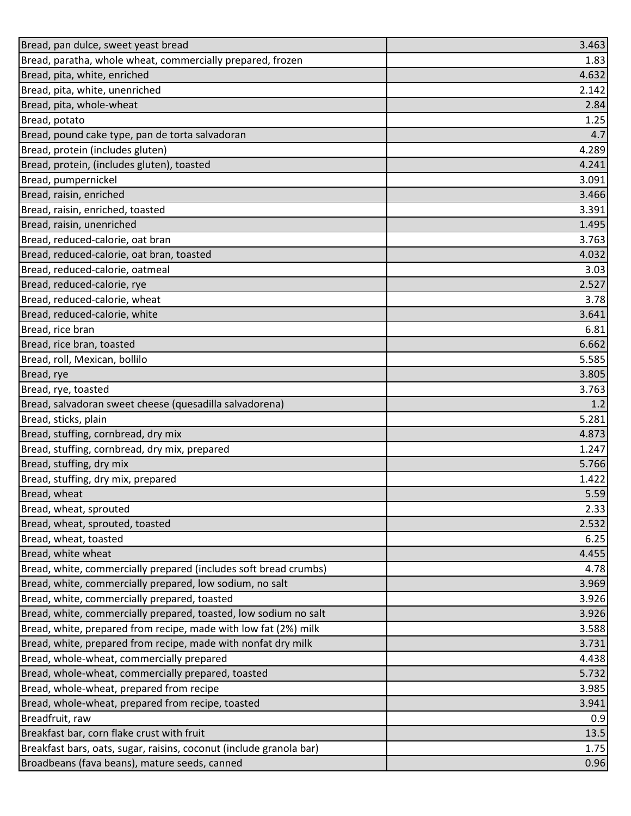| Bread, pan dulce, sweet yeast bread                                 | 3.463 |
|---------------------------------------------------------------------|-------|
| Bread, paratha, whole wheat, commercially prepared, frozen          | 1.83  |
| Bread, pita, white, enriched                                        | 4.632 |
| Bread, pita, white, unenriched                                      | 2.142 |
| Bread, pita, whole-wheat                                            | 2.84  |
| Bread, potato                                                       | 1.25  |
| Bread, pound cake type, pan de torta salvadoran                     | 4.7   |
| Bread, protein (includes gluten)                                    | 4.289 |
| Bread, protein, (includes gluten), toasted                          | 4.241 |
| Bread, pumpernickel                                                 | 3.091 |
| Bread, raisin, enriched                                             | 3.466 |
| Bread, raisin, enriched, toasted                                    | 3.391 |
| Bread, raisin, unenriched                                           | 1.495 |
| Bread, reduced-calorie, oat bran                                    | 3.763 |
| Bread, reduced-calorie, oat bran, toasted                           | 4.032 |
| Bread, reduced-calorie, oatmeal                                     | 3.03  |
| Bread, reduced-calorie, rye                                         | 2.527 |
| Bread, reduced-calorie, wheat                                       | 3.78  |
| Bread, reduced-calorie, white                                       | 3.641 |
| Bread, rice bran                                                    | 6.81  |
| Bread, rice bran, toasted                                           | 6.662 |
| Bread, roll, Mexican, bollilo                                       | 5.585 |
| Bread, rye                                                          | 3.805 |
| Bread, rye, toasted                                                 | 3.763 |
| Bread, salvadoran sweet cheese (quesadilla salvadorena)             | 1.2   |
| Bread, sticks, plain                                                | 5.281 |
| Bread, stuffing, cornbread, dry mix                                 | 4.873 |
| Bread, stuffing, cornbread, dry mix, prepared                       | 1.247 |
| Bread, stuffing, dry mix                                            | 5.766 |
| Bread, stuffing, dry mix, prepared                                  | 1.422 |
| Bread, wheat                                                        | 5.59  |
| Bread, wheat, sprouted                                              | 2.33  |
| Bread, wheat, sprouted, toasted                                     | 2.532 |
| Bread, wheat, toasted                                               | 6.25  |
| Bread, white wheat                                                  | 4.455 |
| Bread, white, commercially prepared (includes soft bread crumbs)    | 4.78  |
| Bread, white, commercially prepared, low sodium, no salt            | 3.969 |
| Bread, white, commercially prepared, toasted                        | 3.926 |
| Bread, white, commercially prepared, toasted, low sodium no salt    | 3.926 |
| Bread, white, prepared from recipe, made with low fat (2%) milk     | 3.588 |
| Bread, white, prepared from recipe, made with nonfat dry milk       | 3.731 |
| Bread, whole-wheat, commercially prepared                           | 4.438 |
| Bread, whole-wheat, commercially prepared, toasted                  | 5.732 |
| Bread, whole-wheat, prepared from recipe                            | 3.985 |
| Bread, whole-wheat, prepared from recipe, toasted                   | 3.941 |
| Breadfruit, raw                                                     | 0.9   |
| Breakfast bar, corn flake crust with fruit                          | 13.5  |
| Breakfast bars, oats, sugar, raisins, coconut (include granola bar) | 1.75  |
| Broadbeans (fava beans), mature seeds, canned                       | 0.96  |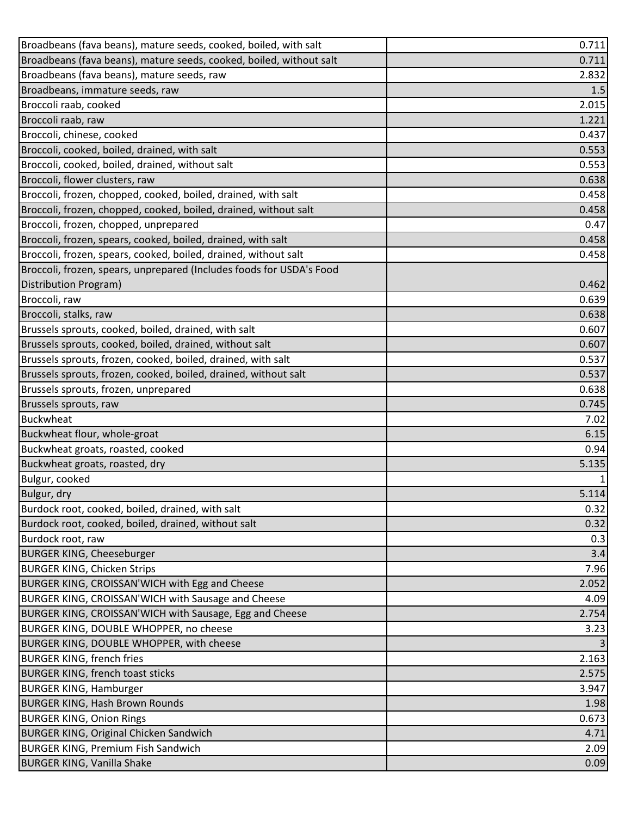| Broadbeans (fava beans), mature seeds, cooked, boiled, with salt     | 0.711 |
|----------------------------------------------------------------------|-------|
| Broadbeans (fava beans), mature seeds, cooked, boiled, without salt  | 0.711 |
| Broadbeans (fava beans), mature seeds, raw                           | 2.832 |
| Broadbeans, immature seeds, raw                                      | 1.5   |
| Broccoli raab, cooked                                                | 2.015 |
| Broccoli raab, raw                                                   | 1.221 |
| Broccoli, chinese, cooked                                            | 0.437 |
| Broccoli, cooked, boiled, drained, with salt                         | 0.553 |
| Broccoli, cooked, boiled, drained, without salt                      | 0.553 |
| Broccoli, flower clusters, raw                                       | 0.638 |
| Broccoli, frozen, chopped, cooked, boiled, drained, with salt        | 0.458 |
| Broccoli, frozen, chopped, cooked, boiled, drained, without salt     | 0.458 |
| Broccoli, frozen, chopped, unprepared                                | 0.47  |
| Broccoli, frozen, spears, cooked, boiled, drained, with salt         | 0.458 |
| Broccoli, frozen, spears, cooked, boiled, drained, without salt      | 0.458 |
| Broccoli, frozen, spears, unprepared (Includes foods for USDA's Food |       |
| Distribution Program)                                                | 0.462 |
| Broccoli, raw                                                        | 0.639 |
| Broccoli, stalks, raw                                                | 0.638 |
| Brussels sprouts, cooked, boiled, drained, with salt                 | 0.607 |
| Brussels sprouts, cooked, boiled, drained, without salt              | 0.607 |
| Brussels sprouts, frozen, cooked, boiled, drained, with salt         | 0.537 |
| Brussels sprouts, frozen, cooked, boiled, drained, without salt      | 0.537 |
| Brussels sprouts, frozen, unprepared                                 | 0.638 |
| Brussels sprouts, raw                                                | 0.745 |
| <b>Buckwheat</b>                                                     | 7.02  |
| Buckwheat flour, whole-groat                                         | 6.15  |
| Buckwheat groats, roasted, cooked                                    | 0.94  |
| Buckwheat groats, roasted, dry                                       | 5.135 |
| Bulgur, cooked                                                       | 1     |
| Bulgur, dry                                                          | 5.114 |
| Burdock root, cooked, boiled, drained, with salt                     | 0.32  |
| Burdock root, cooked, boiled, drained, without salt                  | 0.32  |
| Burdock root, raw                                                    | 0.3   |
| <b>BURGER KING, Cheeseburger</b>                                     | 3.4   |
| <b>BURGER KING, Chicken Strips</b>                                   | 7.96  |
| BURGER KING, CROISSAN'WICH with Egg and Cheese                       | 2.052 |
| BURGER KING, CROISSAN'WICH with Sausage and Cheese                   | 4.09  |
| BURGER KING, CROISSAN'WICH with Sausage, Egg and Cheese              | 2.754 |
| BURGER KING, DOUBLE WHOPPER, no cheese                               | 3.23  |
| BURGER KING, DOUBLE WHOPPER, with cheese                             |       |
| <b>BURGER KING, french fries</b>                                     | 2.163 |
| <b>BURGER KING, french toast sticks</b>                              | 2.575 |
| <b>BURGER KING, Hamburger</b>                                        | 3.947 |
| <b>BURGER KING, Hash Brown Rounds</b>                                | 1.98  |
| <b>BURGER KING, Onion Rings</b>                                      | 0.673 |
| <b>BURGER KING, Original Chicken Sandwich</b>                        | 4.71  |
| <b>BURGER KING, Premium Fish Sandwich</b>                            | 2.09  |
| <b>BURGER KING, Vanilla Shake</b>                                    | 0.09  |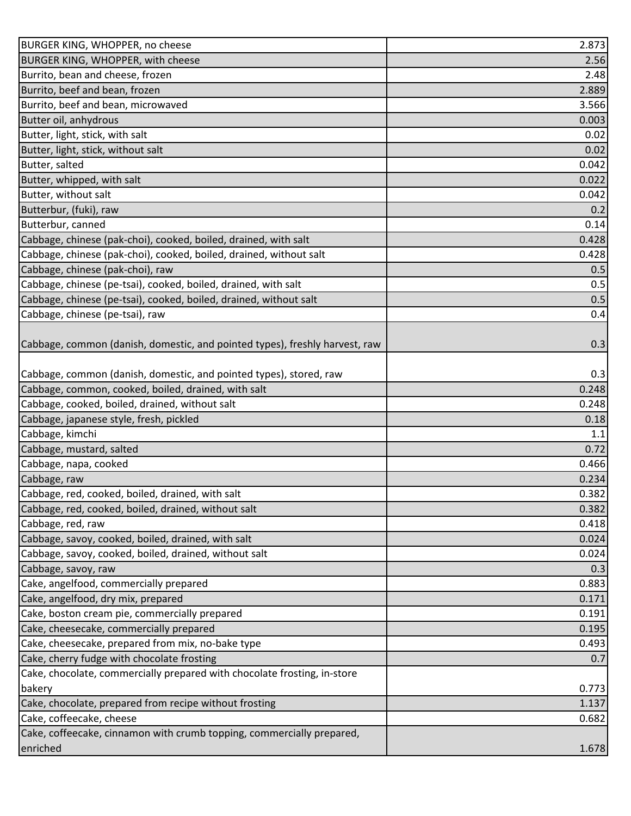| BURGER KING, WHOPPER, no cheese                                             | 2.873 |
|-----------------------------------------------------------------------------|-------|
| BURGER KING, WHOPPER, with cheese                                           | 2.56  |
| Burrito, bean and cheese, frozen                                            | 2.48  |
| Burrito, beef and bean, frozen                                              | 2.889 |
| Burrito, beef and bean, microwaved                                          | 3.566 |
| Butter oil, anhydrous                                                       | 0.003 |
| Butter, light, stick, with salt                                             | 0.02  |
| Butter, light, stick, without salt                                          | 0.02  |
| Butter, salted                                                              | 0.042 |
| Butter, whipped, with salt                                                  | 0.022 |
| Butter, without salt                                                        | 0.042 |
| Butterbur, (fuki), raw                                                      | 0.2   |
| Butterbur, canned                                                           | 0.14  |
| Cabbage, chinese (pak-choi), cooked, boiled, drained, with salt             | 0.428 |
| Cabbage, chinese (pak-choi), cooked, boiled, drained, without salt          | 0.428 |
| Cabbage, chinese (pak-choi), raw                                            | 0.5   |
| Cabbage, chinese (pe-tsai), cooked, boiled, drained, with salt              | 0.5   |
| Cabbage, chinese (pe-tsai), cooked, boiled, drained, without salt           | 0.5   |
| Cabbage, chinese (pe-tsai), raw                                             | 0.4   |
|                                                                             |       |
| Cabbage, common (danish, domestic, and pointed types), freshly harvest, raw | 0.3   |
|                                                                             |       |
| Cabbage, common (danish, domestic, and pointed types), stored, raw          | 0.3   |
| Cabbage, common, cooked, boiled, drained, with salt                         | 0.248 |
| Cabbage, cooked, boiled, drained, without salt                              | 0.248 |
| Cabbage, japanese style, fresh, pickled                                     | 0.18  |
| Cabbage, kimchi                                                             | 1.1   |
| Cabbage, mustard, salted                                                    | 0.72  |
| Cabbage, napa, cooked                                                       | 0.466 |
| Cabbage, raw                                                                | 0.234 |
| Cabbage, red, cooked, boiled, drained, with salt                            | 0.382 |
| Cabbage, red, cooked, boiled, drained, without salt                         | 0.382 |
| Cabbage, red, raw                                                           | 0.418 |
| Cabbage, savoy, cooked, boiled, drained, with salt                          | 0.024 |
| Cabbage, savoy, cooked, boiled, drained, without salt                       | 0.024 |
| Cabbage, savoy, raw                                                         | 0.3   |
| Cake, angelfood, commercially prepared                                      | 0.883 |
| Cake, angelfood, dry mix, prepared                                          | 0.171 |
| Cake, boston cream pie, commercially prepared                               | 0.191 |
| Cake, cheesecake, commercially prepared                                     | 0.195 |
| Cake, cheesecake, prepared from mix, no-bake type                           | 0.493 |
| Cake, cherry fudge with chocolate frosting                                  | 0.7   |
| Cake, chocolate, commercially prepared with chocolate frosting, in-store    |       |
| bakery                                                                      | 0.773 |
| Cake, chocolate, prepared from recipe without frosting                      | 1.137 |
| Cake, coffeecake, cheese                                                    | 0.682 |
| Cake, coffeecake, cinnamon with crumb topping, commercially prepared,       |       |
| enriched                                                                    | 1.678 |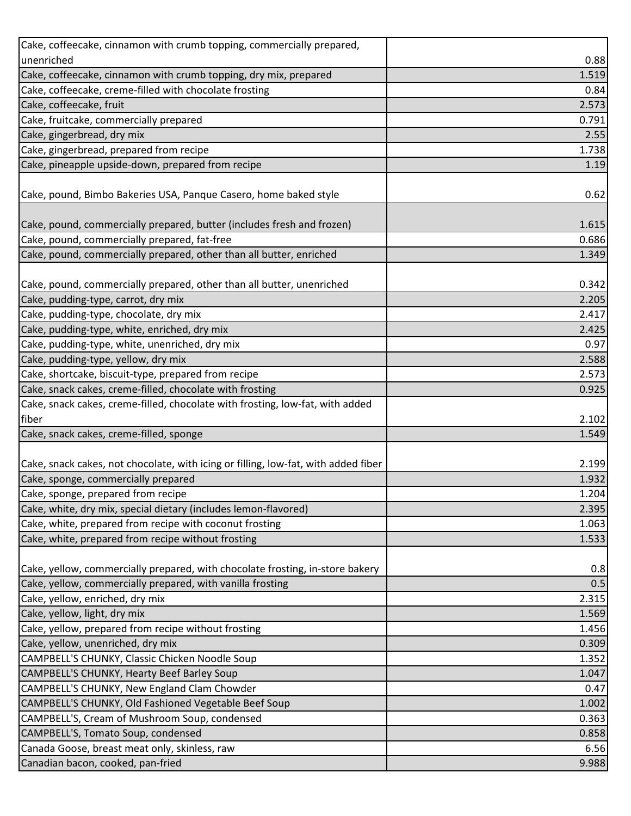| Cake, coffeecake, cinnamon with crumb topping, commercially prepared,              |       |
|------------------------------------------------------------------------------------|-------|
| unenriched                                                                         | 0.88  |
| Cake, coffeecake, cinnamon with crumb topping, dry mix, prepared                   | 1.519 |
| Cake, coffeecake, creme-filled with chocolate frosting                             | 0.84  |
| Cake, coffeecake, fruit                                                            | 2.573 |
| Cake, fruitcake, commercially prepared                                             | 0.791 |
| Cake, gingerbread, dry mix                                                         | 2.55  |
| Cake, gingerbread, prepared from recipe                                            | 1.738 |
| Cake, pineapple upside-down, prepared from recipe                                  | 1.19  |
|                                                                                    |       |
| Cake, pound, Bimbo Bakeries USA, Panque Casero, home baked style                   | 0.62  |
|                                                                                    |       |
| Cake, pound, commercially prepared, butter (includes fresh and frozen)             | 1.615 |
| Cake, pound, commercially prepared, fat-free                                       | 0.686 |
| Cake, pound, commercially prepared, other than all butter, enriched                | 1.349 |
|                                                                                    |       |
| Cake, pound, commercially prepared, other than all butter, unenriched              | 0.342 |
| Cake, pudding-type, carrot, dry mix                                                | 2.205 |
| Cake, pudding-type, chocolate, dry mix                                             | 2.417 |
| Cake, pudding-type, white, enriched, dry mix                                       | 2.425 |
| Cake, pudding-type, white, unenriched, dry mix                                     | 0.97  |
| Cake, pudding-type, yellow, dry mix                                                | 2.588 |
| Cake, shortcake, biscuit-type, prepared from recipe                                | 2.573 |
| Cake, snack cakes, creme-filled, chocolate with frosting                           | 0.925 |
| Cake, snack cakes, creme-filled, chocolate with frosting, low-fat, with added      |       |
| fiber                                                                              | 2.102 |
| Cake, snack cakes, creme-filled, sponge                                            | 1.549 |
|                                                                                    |       |
| Cake, snack cakes, not chocolate, with icing or filling, low-fat, with added fiber | 2.199 |
| Cake, sponge, commercially prepared                                                | 1.932 |
| Cake, sponge, prepared from recipe                                                 | 1.204 |
| Cake, white, dry mix, special dietary (includes lemon-flavored)                    | 2.395 |
| Cake, white, prepared from recipe with coconut frosting                            | 1.063 |
| Cake, white, prepared from recipe without frosting                                 | 1.533 |
|                                                                                    |       |
| Cake, yellow, commercially prepared, with chocolate frosting, in-store bakery      | 0.8   |
| Cake, yellow, commercially prepared, with vanilla frosting                         | 0.5   |
| Cake, yellow, enriched, dry mix                                                    | 2.315 |
| Cake, yellow, light, dry mix                                                       | 1.569 |
| Cake, yellow, prepared from recipe without frosting                                | 1.456 |
| Cake, yellow, unenriched, dry mix                                                  | 0.309 |
| CAMPBELL'S CHUNKY, Classic Chicken Noodle Soup                                     | 1.352 |
| CAMPBELL'S CHUNKY, Hearty Beef Barley Soup                                         | 1.047 |
| CAMPBELL'S CHUNKY, New England Clam Chowder                                        | 0.47  |
| CAMPBELL'S CHUNKY, Old Fashioned Vegetable Beef Soup                               | 1.002 |
| CAMPBELL'S, Cream of Mushroom Soup, condensed                                      | 0.363 |
| CAMPBELL'S, Tomato Soup, condensed                                                 | 0.858 |
| Canada Goose, breast meat only, skinless, raw                                      | 6.56  |
| Canadian bacon, cooked, pan-fried                                                  | 9.988 |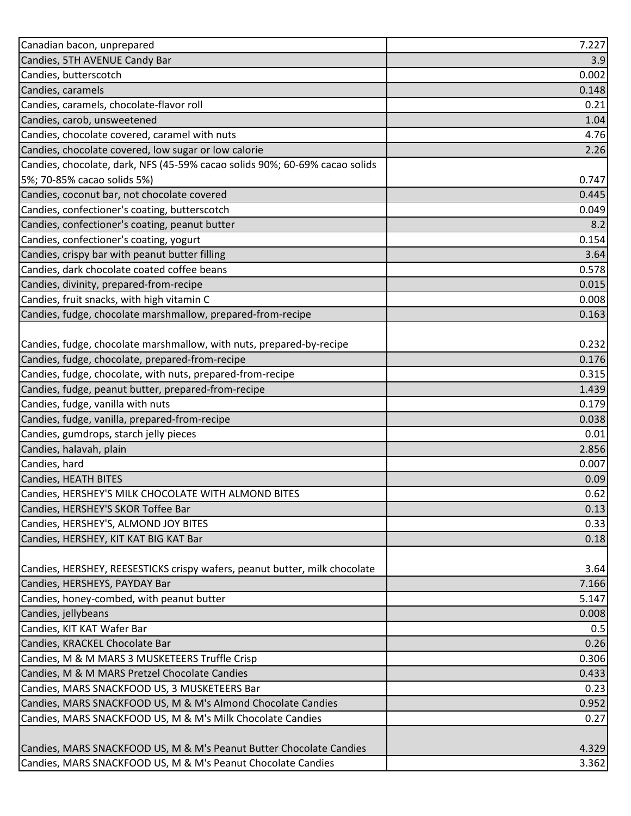| Canadian bacon, unprepared                                                  | 7.227 |
|-----------------------------------------------------------------------------|-------|
| Candies, 5TH AVENUE Candy Bar                                               | 3.9   |
| Candies, butterscotch                                                       | 0.002 |
| Candies, caramels                                                           | 0.148 |
| Candies, caramels, chocolate-flavor roll                                    | 0.21  |
| Candies, carob, unsweetened                                                 | 1.04  |
| Candies, chocolate covered, caramel with nuts                               | 4.76  |
| Candies, chocolate covered, low sugar or low calorie                        | 2.26  |
| Candies, chocolate, dark, NFS (45-59% cacao solids 90%; 60-69% cacao solids |       |
| 5%; 70-85% cacao solids 5%)                                                 | 0.747 |
| Candies, coconut bar, not chocolate covered                                 | 0.445 |
| Candies, confectioner's coating, butterscotch                               | 0.049 |
| Candies, confectioner's coating, peanut butter                              | 8.2   |
| Candies, confectioner's coating, yogurt                                     | 0.154 |
| Candies, crispy bar with peanut butter filling                              | 3.64  |
| Candies, dark chocolate coated coffee beans                                 | 0.578 |
| Candies, divinity, prepared-from-recipe                                     | 0.015 |
| Candies, fruit snacks, with high vitamin C                                  | 0.008 |
| Candies, fudge, chocolate marshmallow, prepared-from-recipe                 | 0.163 |
|                                                                             |       |
| Candies, fudge, chocolate marshmallow, with nuts, prepared-by-recipe        | 0.232 |
| Candies, fudge, chocolate, prepared-from-recipe                             | 0.176 |
| Candies, fudge, chocolate, with nuts, prepared-from-recipe                  | 0.315 |
| Candies, fudge, peanut butter, prepared-from-recipe                         | 1.439 |
| Candies, fudge, vanilla with nuts                                           | 0.179 |
| Candies, fudge, vanilla, prepared-from-recipe                               | 0.038 |
| Candies, gumdrops, starch jelly pieces                                      | 0.01  |
| Candies, halavah, plain                                                     | 2.856 |
| Candies, hard                                                               | 0.007 |
| Candies, HEATH BITES                                                        | 0.09  |
| Candies, HERSHEY'S MILK CHOCOLATE WITH ALMOND BITES                         | 0.62  |
| Candies, HERSHEY'S SKOR Toffee Bar                                          | 0.13  |
| Candies, HERSHEY'S, ALMOND JOY BITES                                        | 0.33  |
| Candies, HERSHEY, KIT KAT BIG KAT Bar                                       | 0.18  |
|                                                                             |       |
| Candies, HERSHEY, REESESTICKS crispy wafers, peanut butter, milk chocolate  | 3.64  |
| Candies, HERSHEYS, PAYDAY Bar                                               | 7.166 |
| Candies, honey-combed, with peanut butter                                   | 5.147 |
| Candies, jellybeans                                                         | 0.008 |
| Candies, KIT KAT Wafer Bar                                                  | 0.5   |
| Candies, KRACKEL Chocolate Bar                                              | 0.26  |
| Candies, M & M MARS 3 MUSKETEERS Truffle Crisp                              | 0.306 |
| Candies, M & M MARS Pretzel Chocolate Candies                               | 0.433 |
| Candies, MARS SNACKFOOD US, 3 MUSKETEERS Bar                                | 0.23  |
| Candies, MARS SNACKFOOD US, M & M's Almond Chocolate Candies                | 0.952 |
| Candies, MARS SNACKFOOD US, M & M's Milk Chocolate Candies                  | 0.27  |
|                                                                             |       |
| Candies, MARS SNACKFOOD US, M & M's Peanut Butter Chocolate Candies         | 4.329 |
| Candies, MARS SNACKFOOD US, M & M's Peanut Chocolate Candies                | 3.362 |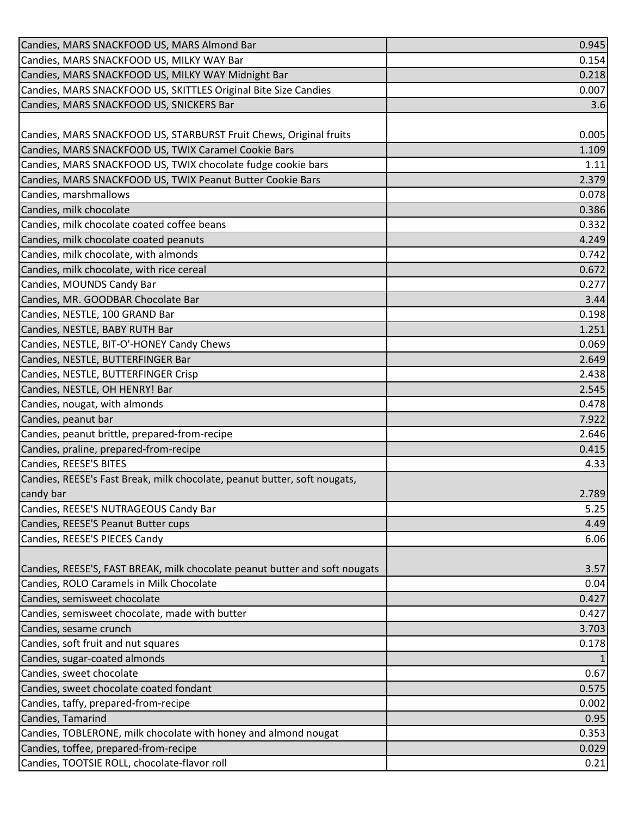| Candies, MARS SNACKFOOD US, MARS Almond Bar                                 | 0.945 |
|-----------------------------------------------------------------------------|-------|
| Candies, MARS SNACKFOOD US, MILKY WAY Bar                                   | 0.154 |
| Candies, MARS SNACKFOOD US, MILKY WAY Midnight Bar                          | 0.218 |
| Candies, MARS SNACKFOOD US, SKITTLES Original Bite Size Candies             | 0.007 |
| Candies, MARS SNACKFOOD US, SNICKERS Bar                                    | 3.6   |
|                                                                             |       |
| Candies, MARS SNACKFOOD US, STARBURST Fruit Chews, Original fruits          | 0.005 |
| Candies, MARS SNACKFOOD US, TWIX Caramel Cookie Bars                        | 1.109 |
| Candies, MARS SNACKFOOD US, TWIX chocolate fudge cookie bars                | 1.11  |
| Candies, MARS SNACKFOOD US, TWIX Peanut Butter Cookie Bars                  | 2.379 |
| Candies, marshmallows                                                       | 0.078 |
| Candies, milk chocolate                                                     | 0.386 |
| Candies, milk chocolate coated coffee beans                                 | 0.332 |
| Candies, milk chocolate coated peanuts                                      | 4.249 |
| Candies, milk chocolate, with almonds                                       | 0.742 |
| Candies, milk chocolate, with rice cereal                                   | 0.672 |
| Candies, MOUNDS Candy Bar                                                   | 0.277 |
| Candies, MR. GOODBAR Chocolate Bar                                          | 3.44  |
| Candies, NESTLE, 100 GRAND Bar                                              | 0.198 |
| Candies, NESTLE, BABY RUTH Bar                                              | 1.251 |
| Candies, NESTLE, BIT-O'-HONEY Candy Chews                                   | 0.069 |
| Candies, NESTLE, BUTTERFINGER Bar                                           | 2.649 |
| Candies, NESTLE, BUTTERFINGER Crisp                                         | 2.438 |
| Candies, NESTLE, OH HENRY! Bar                                              | 2.545 |
| Candies, nougat, with almonds                                               | 0.478 |
| Candies, peanut bar                                                         | 7.922 |
| Candies, peanut brittle, prepared-from-recipe                               | 2.646 |
| Candies, praline, prepared-from-recipe                                      | 0.415 |
| Candies, REESE'S BITES                                                      | 4.33  |
| Candies, REESE's Fast Break, milk chocolate, peanut butter, soft nougats,   |       |
| candy bar                                                                   | 2.789 |
| Candies, REESE'S NUTRAGEOUS Candy Bar                                       | 5.25  |
| Candies, REESE'S Peanut Butter cups                                         | 4.49  |
| Candies, REESE'S PIECES Candy                                               | 6.06  |
|                                                                             |       |
| Candies, REESE'S, FAST BREAK, milk chocolate peanut butter and soft nougats | 3.57  |
| Candies, ROLO Caramels in Milk Chocolate                                    | 0.04  |
| Candies, semisweet chocolate                                                | 0.427 |
| Candies, semisweet chocolate, made with butter                              | 0.427 |
| Candies, sesame crunch                                                      | 3.703 |
| Candies, soft fruit and nut squares                                         | 0.178 |
| Candies, sugar-coated almonds                                               |       |
| Candies, sweet chocolate                                                    | 0.67  |
| Candies, sweet chocolate coated fondant                                     | 0.575 |
| Candies, taffy, prepared-from-recipe                                        | 0.002 |
| Candies, Tamarind                                                           | 0.95  |
| Candies, TOBLERONE, milk chocolate with honey and almond nougat             | 0.353 |
| Candies, toffee, prepared-from-recipe                                       | 0.029 |
| Candies, TOOTSIE ROLL, chocolate-flavor roll                                | 0.21  |
|                                                                             |       |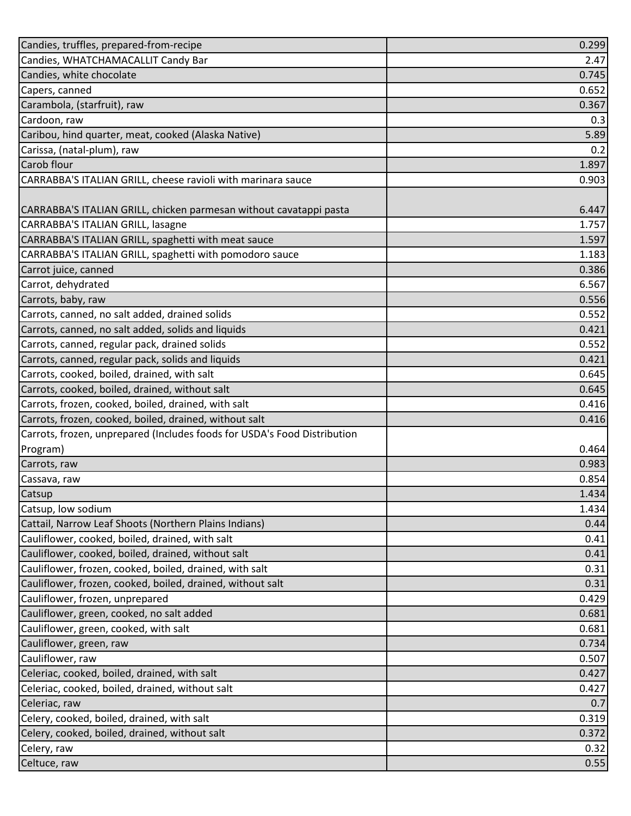| Candies, truffles, prepared-from-recipe                                  | 0.299 |
|--------------------------------------------------------------------------|-------|
| Candies, WHATCHAMACALLIT Candy Bar                                       | 2.47  |
| Candies, white chocolate                                                 | 0.745 |
| Capers, canned                                                           | 0.652 |
| Carambola, (starfruit), raw                                              | 0.367 |
| Cardoon, raw                                                             | 0.3   |
| Caribou, hind quarter, meat, cooked (Alaska Native)                      | 5.89  |
| Carissa, (natal-plum), raw                                               | 0.2   |
| Carob flour                                                              | 1.897 |
| CARRABBA'S ITALIAN GRILL, cheese ravioli with marinara sauce             | 0.903 |
|                                                                          |       |
| CARRABBA'S ITALIAN GRILL, chicken parmesan without cavatappi pasta       | 6.447 |
| CARRABBA'S ITALIAN GRILL, lasagne                                        | 1.757 |
| CARRABBA'S ITALIAN GRILL, spaghetti with meat sauce                      | 1.597 |
| CARRABBA'S ITALIAN GRILL, spaghetti with pomodoro sauce                  | 1.183 |
| Carrot juice, canned                                                     | 0.386 |
| Carrot, dehydrated                                                       | 6.567 |
| Carrots, baby, raw                                                       | 0.556 |
| Carrots, canned, no salt added, drained solids                           | 0.552 |
| Carrots, canned, no salt added, solids and liquids                       | 0.421 |
| Carrots, canned, regular pack, drained solids                            | 0.552 |
| Carrots, canned, regular pack, solids and liquids                        | 0.421 |
| Carrots, cooked, boiled, drained, with salt                              | 0.645 |
| Carrots, cooked, boiled, drained, without salt                           | 0.645 |
| Carrots, frozen, cooked, boiled, drained, with salt                      | 0.416 |
| Carrots, frozen, cooked, boiled, drained, without salt                   | 0.416 |
| Carrots, frozen, unprepared (Includes foods for USDA's Food Distribution |       |
| Program)                                                                 | 0.464 |
| Carrots, raw                                                             | 0.983 |
| Cassava, raw                                                             | 0.854 |
| Catsup                                                                   | 1.434 |
| Catsup, low sodium                                                       | 1.434 |
| Cattail, Narrow Leaf Shoots (Northern Plains Indians)                    | 0.44  |
| Cauliflower, cooked, boiled, drained, with salt                          | 0.41  |
| Cauliflower, cooked, boiled, drained, without salt                       | 0.41  |
| Cauliflower, frozen, cooked, boiled, drained, with salt                  | 0.31  |
| Cauliflower, frozen, cooked, boiled, drained, without salt               | 0.31  |
| Cauliflower, frozen, unprepared                                          | 0.429 |
| Cauliflower, green, cooked, no salt added                                | 0.681 |
| Cauliflower, green, cooked, with salt                                    | 0.681 |
| Cauliflower, green, raw                                                  | 0.734 |
| Cauliflower, raw                                                         | 0.507 |
| Celeriac, cooked, boiled, drained, with salt                             | 0.427 |
| Celeriac, cooked, boiled, drained, without salt                          | 0.427 |
| Celeriac, raw                                                            | 0.7   |
| Celery, cooked, boiled, drained, with salt                               | 0.319 |
| Celery, cooked, boiled, drained, without salt                            | 0.372 |
| Celery, raw                                                              | 0.32  |
| Celtuce, raw                                                             | 0.55  |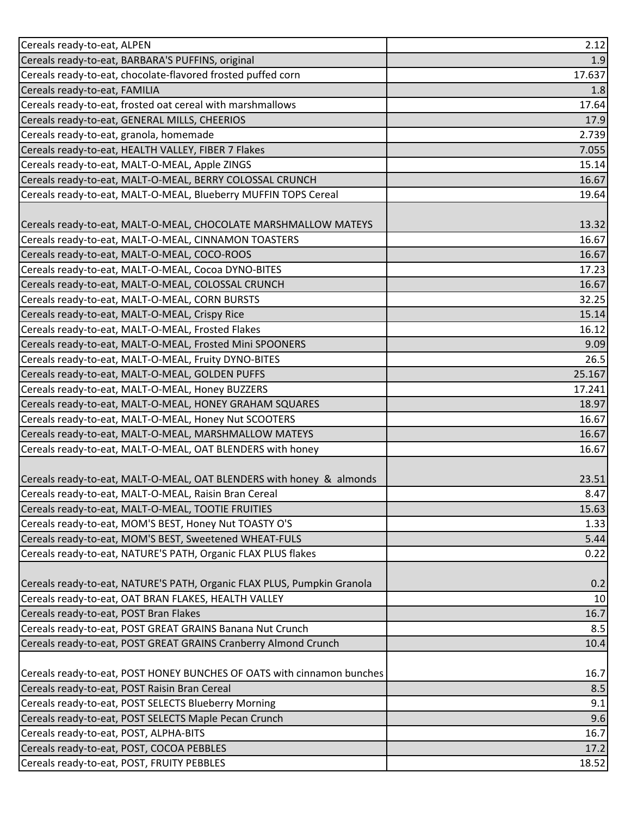| Cereals ready-to-eat, ALPEN                                             | 2.12   |
|-------------------------------------------------------------------------|--------|
| Cereals ready-to-eat, BARBARA'S PUFFINS, original                       | 1.9    |
| Cereals ready-to-eat, chocolate-flavored frosted puffed corn            | 17.637 |
| Cereals ready-to-eat, FAMILIA                                           | 1.8    |
| Cereals ready-to-eat, frosted oat cereal with marshmallows              | 17.64  |
| Cereals ready-to-eat, GENERAL MILLS, CHEERIOS                           | 17.9   |
| Cereals ready-to-eat, granola, homemade                                 | 2.739  |
| Cereals ready-to-eat, HEALTH VALLEY, FIBER 7 Flakes                     | 7.055  |
| Cereals ready-to-eat, MALT-O-MEAL, Apple ZINGS                          | 15.14  |
| Cereals ready-to-eat, MALT-O-MEAL, BERRY COLOSSAL CRUNCH                | 16.67  |
| Cereals ready-to-eat, MALT-O-MEAL, Blueberry MUFFIN TOPS Cereal         | 19.64  |
|                                                                         |        |
| Cereals ready-to-eat, MALT-O-MEAL, CHOCOLATE MARSHMALLOW MATEYS         | 13.32  |
| Cereals ready-to-eat, MALT-O-MEAL, CINNAMON TOASTERS                    | 16.67  |
| Cereals ready-to-eat, MALT-O-MEAL, COCO-ROOS                            | 16.67  |
| Cereals ready-to-eat, MALT-O-MEAL, Cocoa DYNO-BITES                     | 17.23  |
| Cereals ready-to-eat, MALT-O-MEAL, COLOSSAL CRUNCH                      | 16.67  |
| Cereals ready-to-eat, MALT-O-MEAL, CORN BURSTS                          | 32.25  |
| Cereals ready-to-eat, MALT-O-MEAL, Crispy Rice                          | 15.14  |
| Cereals ready-to-eat, MALT-O-MEAL, Frosted Flakes                       | 16.12  |
| Cereals ready-to-eat, MALT-O-MEAL, Frosted Mini SPOONERS                | 9.09   |
| Cereals ready-to-eat, MALT-O-MEAL, Fruity DYNO-BITES                    | 26.5   |
| Cereals ready-to-eat, MALT-O-MEAL, GOLDEN PUFFS                         | 25.167 |
| Cereals ready-to-eat, MALT-O-MEAL, Honey BUZZERS                        | 17.241 |
| Cereals ready-to-eat, MALT-O-MEAL, HONEY GRAHAM SQUARES                 | 18.97  |
| Cereals ready-to-eat, MALT-O-MEAL, Honey Nut SCOOTERS                   | 16.67  |
| Cereals ready-to-eat, MALT-O-MEAL, MARSHMALLOW MATEYS                   | 16.67  |
| Cereals ready-to-eat, MALT-O-MEAL, OAT BLENDERS with honey              | 16.67  |
|                                                                         |        |
| Cereals ready-to-eat, MALT-O-MEAL, OAT BLENDERS with honey & almonds    | 23.51  |
| Cereals ready-to-eat, MALT-O-MEAL, Raisin Bran Cereal                   | 8.47   |
| Cereals ready-to-eat, MALT-O-MEAL, TOOTIE FRUITIES                      | 15.63  |
| Cereals ready-to-eat, MOM'S BEST, Honey Nut TOASTY O'S                  | 1.33   |
| Cereals ready-to-eat, MOM'S BEST, Sweetened WHEAT-FULS                  | 5.44   |
| Cereals ready-to-eat, NATURE'S PATH, Organic FLAX PLUS flakes           | 0.22   |
|                                                                         |        |
| Cereals ready-to-eat, NATURE'S PATH, Organic FLAX PLUS, Pumpkin Granola | 0.2    |
| Cereals ready-to-eat, OAT BRAN FLAKES, HEALTH VALLEY                    | 10     |
| Cereals ready-to-eat, POST Bran Flakes                                  | 16.7   |
| Cereals ready-to-eat, POST GREAT GRAINS Banana Nut Crunch               | 8.5    |
| Cereals ready-to-eat, POST GREAT GRAINS Cranberry Almond Crunch         | 10.4   |
|                                                                         |        |
| Cereals ready-to-eat, POST HONEY BUNCHES OF OATS with cinnamon bunches  | 16.7   |
| Cereals ready-to-eat, POST Raisin Bran Cereal                           | 8.5    |
| Cereals ready-to-eat, POST SELECTS Blueberry Morning                    | 9.1    |
| Cereals ready-to-eat, POST SELECTS Maple Pecan Crunch                   | 9.6    |
| Cereals ready-to-eat, POST, ALPHA-BITS                                  | 16.7   |
| Cereals ready-to-eat, POST, COCOA PEBBLES                               | 17.2   |
| Cereals ready-to-eat, POST, FRUITY PEBBLES                              | 18.52  |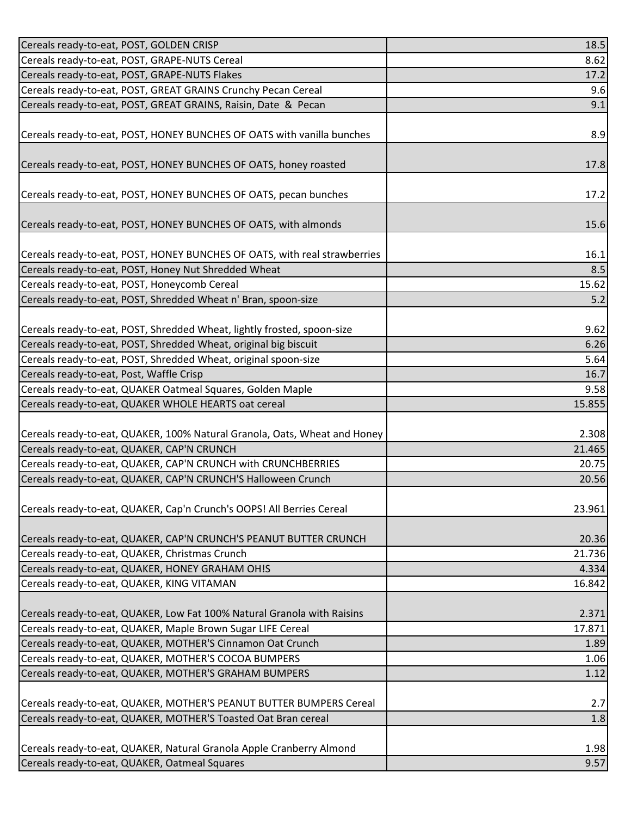| Cereals ready-to-eat, POST, GOLDEN CRISP                                  | 18.5    |
|---------------------------------------------------------------------------|---------|
| Cereals ready-to-eat, POST, GRAPE-NUTS Cereal                             | 8.62    |
| Cereals ready-to-eat, POST, GRAPE-NUTS Flakes                             | 17.2    |
| Cereals ready-to-eat, POST, GREAT GRAINS Crunchy Pecan Cereal             | 9.6     |
| Cereals ready-to-eat, POST, GREAT GRAINS, Raisin, Date & Pecan            | 9.1     |
|                                                                           |         |
| Cereals ready-to-eat, POST, HONEY BUNCHES OF OATS with vanilla bunches    | 8.9     |
|                                                                           |         |
| Cereals ready-to-eat, POST, HONEY BUNCHES OF OATS, honey roasted          | 17.8    |
|                                                                           |         |
| Cereals ready-to-eat, POST, HONEY BUNCHES OF OATS, pecan bunches          | 17.2    |
|                                                                           |         |
| Cereals ready-to-eat, POST, HONEY BUNCHES OF OATS, with almonds           | 15.6    |
|                                                                           |         |
| Cereals ready-to-eat, POST, HONEY BUNCHES OF OATS, with real strawberries | 16.1    |
| Cereals ready-to-eat, POST, Honey Nut Shredded Wheat                      | 8.5     |
| Cereals ready-to-eat, POST, Honeycomb Cereal                              | 15.62   |
| Cereals ready-to-eat, POST, Shredded Wheat n' Bran, spoon-size            | 5.2     |
|                                                                           |         |
| Cereals ready-to-eat, POST, Shredded Wheat, lightly frosted, spoon-size   | 9.62    |
| Cereals ready-to-eat, POST, Shredded Wheat, original big biscuit          | 6.26    |
| Cereals ready-to-eat, POST, Shredded Wheat, original spoon-size           | 5.64    |
| Cereals ready-to-eat, Post, Waffle Crisp                                  | 16.7    |
| Cereals ready-to-eat, QUAKER Oatmeal Squares, Golden Maple                | 9.58    |
| Cereals ready-to-eat, QUAKER WHOLE HEARTS oat cereal                      | 15.855  |
|                                                                           |         |
| Cereals ready-to-eat, QUAKER, 100% Natural Granola, Oats, Wheat and Honey | 2.308   |
| Cereals ready-to-eat, QUAKER, CAP'N CRUNCH                                | 21.465  |
| Cereals ready-to-eat, QUAKER, CAP'N CRUNCH with CRUNCHBERRIES             | 20.75   |
| Cereals ready-to-eat, QUAKER, CAP'N CRUNCH'S Halloween Crunch             | 20.56   |
|                                                                           |         |
| Cereals ready-to-eat, QUAKER, Cap'n Crunch's OOPS! All Berries Cereal     | 23.961  |
|                                                                           |         |
| Cereals ready-to-eat, QUAKER, CAP'N CRUNCH'S PEANUT BUTTER CRUNCH         | 20.36   |
| Cereals ready-to-eat, QUAKER, Christmas Crunch                            | 21.736  |
| Cereals ready-to-eat, QUAKER, HONEY GRAHAM OH!S                           | 4.334   |
| Cereals ready-to-eat, QUAKER, KING VITAMAN                                | 16.842  |
|                                                                           |         |
| Cereals ready-to-eat, QUAKER, Low Fat 100% Natural Granola with Raisins   | 2.371   |
| Cereals ready-to-eat, QUAKER, Maple Brown Sugar LIFE Cereal               | 17.871  |
| Cereals ready-to-eat, QUAKER, MOTHER'S Cinnamon Oat Crunch                | 1.89    |
| Cereals ready-to-eat, QUAKER, MOTHER'S COCOA BUMPERS                      | 1.06    |
| Cereals ready-to-eat, QUAKER, MOTHER'S GRAHAM BUMPERS                     | 1.12    |
|                                                                           |         |
| Cereals ready-to-eat, QUAKER, MOTHER'S PEANUT BUTTER BUMPERS Cereal       | 2.7     |
| Cereals ready-to-eat, QUAKER, MOTHER'S Toasted Oat Bran cereal            | $1.8\,$ |
|                                                                           |         |
| Cereals ready-to-eat, QUAKER, Natural Granola Apple Cranberry Almond      | 1.98    |
| Cereals ready-to-eat, QUAKER, Oatmeal Squares                             | 9.57    |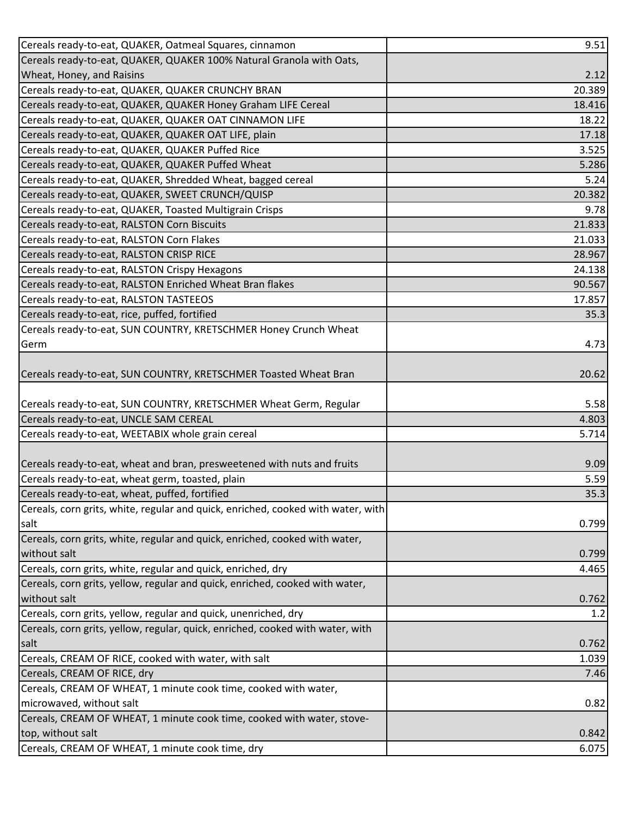| Cereals ready-to-eat, QUAKER, Oatmeal Squares, cinnamon                          | 9.51   |
|----------------------------------------------------------------------------------|--------|
| Cereals ready-to-eat, QUAKER, QUAKER 100% Natural Granola with Oats,             |        |
| Wheat, Honey, and Raisins                                                        | 2.12   |
| Cereals ready-to-eat, QUAKER, QUAKER CRUNCHY BRAN                                | 20.389 |
| Cereals ready-to-eat, QUAKER, QUAKER Honey Graham LIFE Cereal                    | 18.416 |
| Cereals ready-to-eat, QUAKER, QUAKER OAT CINNAMON LIFE                           | 18.22  |
| Cereals ready-to-eat, QUAKER, QUAKER OAT LIFE, plain                             | 17.18  |
| Cereals ready-to-eat, QUAKER, QUAKER Puffed Rice                                 | 3.525  |
| Cereals ready-to-eat, QUAKER, QUAKER Puffed Wheat                                | 5.286  |
| Cereals ready-to-eat, QUAKER, Shredded Wheat, bagged cereal                      | 5.24   |
| Cereals ready-to-eat, QUAKER, SWEET CRUNCH/QUISP                                 | 20.382 |
| Cereals ready-to-eat, QUAKER, Toasted Multigrain Crisps                          | 9.78   |
| Cereals ready-to-eat, RALSTON Corn Biscuits                                      | 21.833 |
| Cereals ready-to-eat, RALSTON Corn Flakes                                        | 21.033 |
| Cereals ready-to-eat, RALSTON CRISP RICE                                         | 28.967 |
| Cereals ready-to-eat, RALSTON Crispy Hexagons                                    | 24.138 |
| Cereals ready-to-eat, RALSTON Enriched Wheat Bran flakes                         | 90.567 |
| Cereals ready-to-eat, RALSTON TASTEEOS                                           | 17.857 |
| Cereals ready-to-eat, rice, puffed, fortified                                    | 35.3   |
| Cereals ready-to-eat, SUN COUNTRY, KRETSCHMER Honey Crunch Wheat                 |        |
| Germ                                                                             | 4.73   |
|                                                                                  |        |
| Cereals ready-to-eat, SUN COUNTRY, KRETSCHMER Toasted Wheat Bran                 | 20.62  |
|                                                                                  |        |
| Cereals ready-to-eat, SUN COUNTRY, KRETSCHMER Wheat Germ, Regular                | 5.58   |
| Cereals ready-to-eat, UNCLE SAM CEREAL                                           | 4.803  |
| Cereals ready-to-eat, WEETABIX whole grain cereal                                | 5.714  |
|                                                                                  |        |
| Cereals ready-to-eat, wheat and bran, presweetened with nuts and fruits          | 9.09   |
| Cereals ready-to-eat, wheat germ, toasted, plain                                 | 5.59   |
| Cereals ready-to-eat, wheat, puffed, fortified                                   | 35.3   |
| Cereals, corn grits, white, regular and quick, enriched, cooked with water, with |        |
| salt                                                                             | 0.799  |
| Cereals, corn grits, white, regular and quick, enriched, cooked with water,      |        |
| without salt                                                                     | 0.799  |
| Cereals, corn grits, white, regular and quick, enriched, dry                     | 4.465  |
| Cereals, corn grits, yellow, regular and quick, enriched, cooked with water,     |        |
| without salt                                                                     | 0.762  |
| Cereals, corn grits, yellow, regular and quick, unenriched, dry                  | 1.2    |
| Cereals, corn grits, yellow, regular, quick, enriched, cooked with water, with   |        |
| salt                                                                             | 0.762  |
| Cereals, CREAM OF RICE, cooked with water, with salt                             | 1.039  |
| Cereals, CREAM OF RICE, dry                                                      | 7.46   |
| Cereals, CREAM OF WHEAT, 1 minute cook time, cooked with water,                  |        |
| microwaved, without salt                                                         | 0.82   |
| Cereals, CREAM OF WHEAT, 1 minute cook time, cooked with water, stove-           |        |
| top, without salt                                                                | 0.842  |
| Cereals, CREAM OF WHEAT, 1 minute cook time, dry                                 | 6.075  |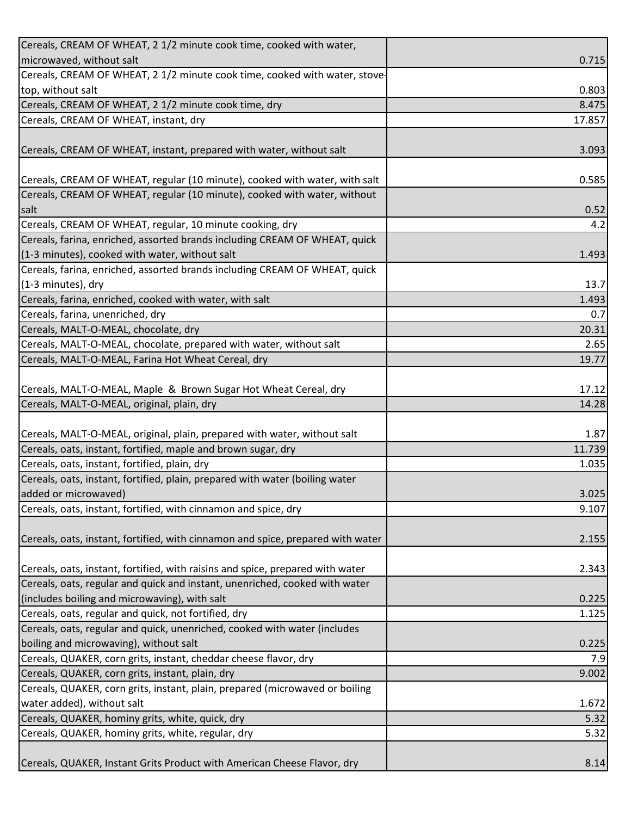| Cereals, CREAM OF WHEAT, 2 1/2 minute cook time, cooked with water,             |        |
|---------------------------------------------------------------------------------|--------|
| microwaved, without salt                                                        | 0.715  |
| Cereals, CREAM OF WHEAT, 2 1/2 minute cook time, cooked with water, stove-      |        |
| top, without salt                                                               | 0.803  |
| Cereals, CREAM OF WHEAT, 2 1/2 minute cook time, dry                            | 8.475  |
| Cereals, CREAM OF WHEAT, instant, dry                                           | 17.857 |
|                                                                                 |        |
| Cereals, CREAM OF WHEAT, instant, prepared with water, without salt             | 3.093  |
|                                                                                 |        |
| Cereals, CREAM OF WHEAT, regular (10 minute), cooked with water, with salt      | 0.585  |
| Cereals, CREAM OF WHEAT, regular (10 minute), cooked with water, without        |        |
| salt                                                                            | 0.52   |
| Cereals, CREAM OF WHEAT, regular, 10 minute cooking, dry                        | 4.2    |
| Cereals, farina, enriched, assorted brands including CREAM OF WHEAT, quick      |        |
| (1-3 minutes), cooked with water, without salt                                  | 1.493  |
| Cereals, farina, enriched, assorted brands including CREAM OF WHEAT, quick      |        |
| (1-3 minutes), dry                                                              | 13.7   |
| Cereals, farina, enriched, cooked with water, with salt                         | 1.493  |
| Cereals, farina, unenriched, dry                                                | 0.7    |
| Cereals, MALT-O-MEAL, chocolate, dry                                            | 20.31  |
| Cereals, MALT-O-MEAL, chocolate, prepared with water, without salt              | 2.65   |
| Cereals, MALT-O-MEAL, Farina Hot Wheat Cereal, dry                              | 19.77  |
|                                                                                 |        |
| Cereals, MALT-O-MEAL, Maple & Brown Sugar Hot Wheat Cereal, dry                 | 17.12  |
| Cereals, MALT-O-MEAL, original, plain, dry                                      | 14.28  |
|                                                                                 |        |
| Cereals, MALT-O-MEAL, original, plain, prepared with water, without salt        | 1.87   |
| Cereals, oats, instant, fortified, maple and brown sugar, dry                   | 11.739 |
| Cereals, oats, instant, fortified, plain, dry                                   | 1.035  |
| Cereals, oats, instant, fortified, plain, prepared with water (boiling water    |        |
| added or microwaved)                                                            | 3.025  |
| Cereals, oats, instant, fortified, with cinnamon and spice, dry                 | 9.107  |
|                                                                                 |        |
| Cereals, oats, instant, fortified, with cinnamon and spice, prepared with water | 2.155  |
|                                                                                 |        |
| Cereals, oats, instant, fortified, with raisins and spice, prepared with water  | 2.343  |
| Cereals, oats, regular and quick and instant, unenriched, cooked with water     |        |
| (includes boiling and microwaving), with salt                                   | 0.225  |
| Cereals, oats, regular and quick, not fortified, dry                            | 1.125  |
| Cereals, oats, regular and quick, unenriched, cooked with water (includes       |        |
| boiling and microwaving), without salt                                          | 0.225  |
| Cereals, QUAKER, corn grits, instant, cheddar cheese flavor, dry                | 7.9    |
| Cereals, QUAKER, corn grits, instant, plain, dry                                | 9.002  |
| Cereals, QUAKER, corn grits, instant, plain, prepared (microwaved or boiling    |        |
| water added), without salt                                                      | 1.672  |
| Cereals, QUAKER, hominy grits, white, quick, dry                                | 5.32   |
| Cereals, QUAKER, hominy grits, white, regular, dry                              | 5.32   |
|                                                                                 |        |
| Cereals, QUAKER, Instant Grits Product with American Cheese Flavor, dry         | 8.14   |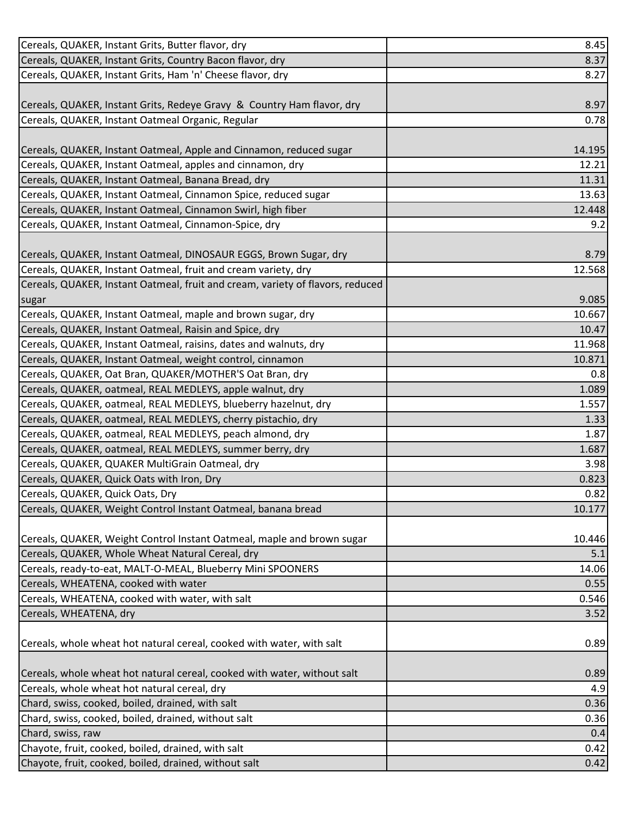| Cereals, QUAKER, Instant Grits, Butter flavor, dry                             | 8.45   |
|--------------------------------------------------------------------------------|--------|
| Cereals, QUAKER, Instant Grits, Country Bacon flavor, dry                      | 8.37   |
| Cereals, QUAKER, Instant Grits, Ham 'n' Cheese flavor, dry                     | 8.27   |
|                                                                                |        |
| Cereals, QUAKER, Instant Grits, Redeye Gravy & Country Ham flavor, dry         | 8.97   |
| Cereals, QUAKER, Instant Oatmeal Organic, Regular                              | 0.78   |
|                                                                                |        |
| Cereals, QUAKER, Instant Oatmeal, Apple and Cinnamon, reduced sugar            | 14.195 |
| Cereals, QUAKER, Instant Oatmeal, apples and cinnamon, dry                     | 12.21  |
| Cereals, QUAKER, Instant Oatmeal, Banana Bread, dry                            | 11.31  |
| Cereals, QUAKER, Instant Oatmeal, Cinnamon Spice, reduced sugar                | 13.63  |
| Cereals, QUAKER, Instant Oatmeal, Cinnamon Swirl, high fiber                   | 12.448 |
| Cereals, QUAKER, Instant Oatmeal, Cinnamon-Spice, dry                          | 9.2    |
|                                                                                |        |
| Cereals, QUAKER, Instant Oatmeal, DINOSAUR EGGS, Brown Sugar, dry              | 8.79   |
| Cereals, QUAKER, Instant Oatmeal, fruit and cream variety, dry                 | 12.568 |
| Cereals, QUAKER, Instant Oatmeal, fruit and cream, variety of flavors, reduced |        |
| sugar                                                                          | 9.085  |
| Cereals, QUAKER, Instant Oatmeal, maple and brown sugar, dry                   | 10.667 |
| Cereals, QUAKER, Instant Oatmeal, Raisin and Spice, dry                        | 10.47  |
| Cereals, QUAKER, Instant Oatmeal, raisins, dates and walnuts, dry              | 11.968 |
| Cereals, QUAKER, Instant Oatmeal, weight control, cinnamon                     | 10.871 |
| Cereals, QUAKER, Oat Bran, QUAKER/MOTHER'S Oat Bran, dry                       | 0.8    |
| Cereals, QUAKER, oatmeal, REAL MEDLEYS, apple walnut, dry                      | 1.089  |
| Cereals, QUAKER, oatmeal, REAL MEDLEYS, blueberry hazelnut, dry                | 1.557  |
| Cereals, QUAKER, oatmeal, REAL MEDLEYS, cherry pistachio, dry                  | 1.33   |
| Cereals, QUAKER, oatmeal, REAL MEDLEYS, peach almond, dry                      | 1.87   |
| Cereals, QUAKER, oatmeal, REAL MEDLEYS, summer berry, dry                      | 1.687  |
| Cereals, QUAKER, QUAKER MultiGrain Oatmeal, dry                                | 3.98   |
| Cereals, QUAKER, Quick Oats with Iron, Dry                                     | 0.823  |
| Cereals, QUAKER, Quick Oats, Dry                                               | 0.82   |
| Cereals, QUAKER, Weight Control Instant Oatmeal, banana bread                  | 10.177 |
|                                                                                |        |
| Cereals, QUAKER, Weight Control Instant Oatmeal, maple and brown sugar         | 10.446 |
| Cereals, QUAKER, Whole Wheat Natural Cereal, dry                               | 5.1    |
| Cereals, ready-to-eat, MALT-O-MEAL, Blueberry Mini SPOONERS                    | 14.06  |
| Cereals, WHEATENA, cooked with water                                           | 0.55   |
| Cereals, WHEATENA, cooked with water, with salt                                | 0.546  |
| Cereals, WHEATENA, dry                                                         | 3.52   |
|                                                                                |        |
| Cereals, whole wheat hot natural cereal, cooked with water, with salt          | 0.89   |
|                                                                                |        |
| Cereals, whole wheat hot natural cereal, cooked with water, without salt       | 0.89   |
| Cereals, whole wheat hot natural cereal, dry                                   | 4.9    |
| Chard, swiss, cooked, boiled, drained, with salt                               | 0.36   |
| Chard, swiss, cooked, boiled, drained, without salt                            | 0.36   |
| Chard, swiss, raw                                                              | 0.4    |
| Chayote, fruit, cooked, boiled, drained, with salt                             | 0.42   |
| Chayote, fruit, cooked, boiled, drained, without salt                          | 0.42   |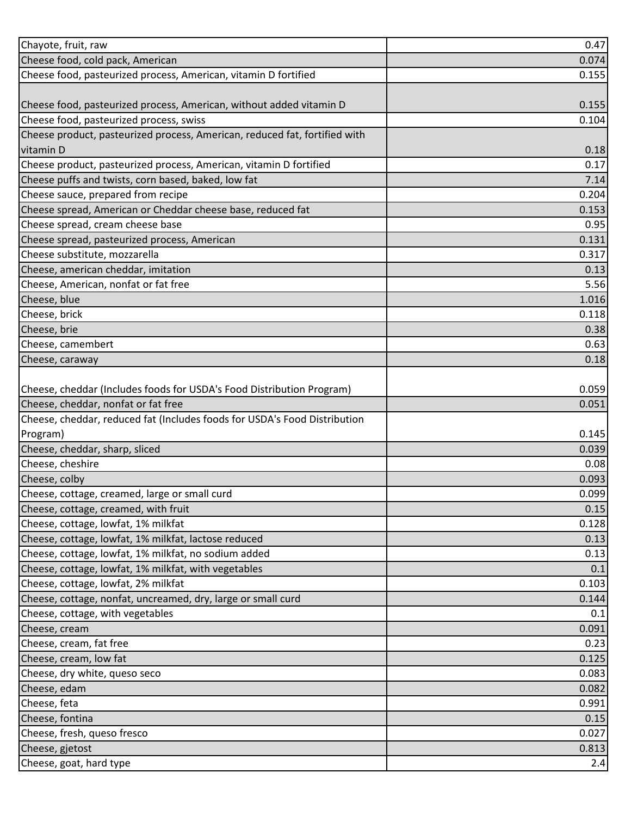| Chayote, fruit, raw                                                        | 0.47  |
|----------------------------------------------------------------------------|-------|
| Cheese food, cold pack, American                                           | 0.074 |
| Cheese food, pasteurized process, American, vitamin D fortified            | 0.155 |
|                                                                            |       |
| Cheese food, pasteurized process, American, without added vitamin D        | 0.155 |
| Cheese food, pasteurized process, swiss                                    | 0.104 |
| Cheese product, pasteurized process, American, reduced fat, fortified with |       |
| vitamin D                                                                  | 0.18  |
| Cheese product, pasteurized process, American, vitamin D fortified         | 0.17  |
| Cheese puffs and twists, corn based, baked, low fat                        | 7.14  |
| Cheese sauce, prepared from recipe                                         | 0.204 |
| Cheese spread, American or Cheddar cheese base, reduced fat                | 0.153 |
| Cheese spread, cream cheese base                                           | 0.95  |
| Cheese spread, pasteurized process, American                               | 0.131 |
| Cheese substitute, mozzarella                                              | 0.317 |
| Cheese, american cheddar, imitation                                        | 0.13  |
| Cheese, American, nonfat or fat free                                       | 5.56  |
| Cheese, blue                                                               | 1.016 |
| Cheese, brick                                                              | 0.118 |
| Cheese, brie                                                               | 0.38  |
| Cheese, camembert                                                          | 0.63  |
| Cheese, caraway                                                            | 0.18  |
|                                                                            |       |
| Cheese, cheddar (Includes foods for USDA's Food Distribution Program)      | 0.059 |
| Cheese, cheddar, nonfat or fat free                                        | 0.051 |
| Cheese, cheddar, reduced fat (Includes foods for USDA's Food Distribution  |       |
| Program)                                                                   | 0.145 |
| Cheese, cheddar, sharp, sliced                                             | 0.039 |
| Cheese, cheshire                                                           | 0.08  |
| Cheese, colby                                                              | 0.093 |
| Cheese, cottage, creamed, large or small curd                              | 0.099 |
| Cheese, cottage, creamed, with fruit                                       | 0.15  |
| Cheese, cottage, lowfat, 1% milkfat                                        | 0.128 |
| Cheese, cottage, lowfat, 1% milkfat, lactose reduced                       | 0.13  |
| Cheese, cottage, lowfat, 1% milkfat, no sodium added                       | 0.13  |
| Cheese, cottage, lowfat, 1% milkfat, with vegetables                       | 0.1   |
| Cheese, cottage, lowfat, 2% milkfat                                        | 0.103 |
| Cheese, cottage, nonfat, uncreamed, dry, large or small curd               | 0.144 |
| Cheese, cottage, with vegetables                                           | 0.1   |
| Cheese, cream                                                              | 0.091 |
| Cheese, cream, fat free                                                    | 0.23  |
| Cheese, cream, low fat                                                     | 0.125 |
| Cheese, dry white, queso seco                                              | 0.083 |
| Cheese, edam                                                               | 0.082 |
| Cheese, feta                                                               | 0.991 |
| Cheese, fontina                                                            | 0.15  |
| Cheese, fresh, queso fresco                                                | 0.027 |
| Cheese, gjetost                                                            | 0.813 |
| Cheese, goat, hard type                                                    | 2.4   |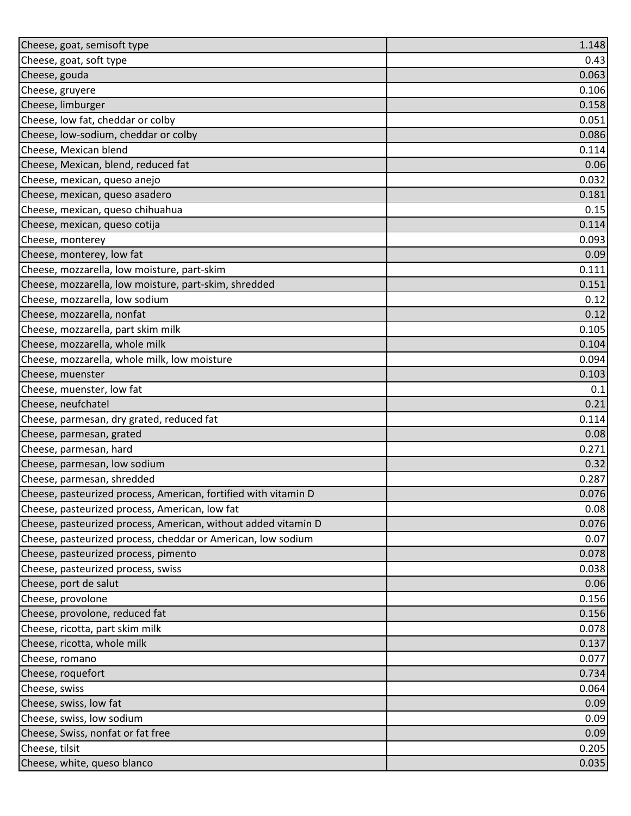| Cheese, goat, semisoft type                                     | 1.148 |
|-----------------------------------------------------------------|-------|
| Cheese, goat, soft type                                         | 0.43  |
| Cheese, gouda                                                   | 0.063 |
| Cheese, gruyere                                                 | 0.106 |
| Cheese, limburger                                               | 0.158 |
| Cheese, low fat, cheddar or colby                               | 0.051 |
| Cheese, low-sodium, cheddar or colby                            | 0.086 |
| Cheese, Mexican blend                                           | 0.114 |
| Cheese, Mexican, blend, reduced fat                             | 0.06  |
| Cheese, mexican, queso anejo                                    | 0.032 |
| Cheese, mexican, queso asadero                                  | 0.181 |
| Cheese, mexican, queso chihuahua                                | 0.15  |
| Cheese, mexican, queso cotija                                   | 0.114 |
| Cheese, monterey                                                | 0.093 |
| Cheese, monterey, low fat                                       | 0.09  |
| Cheese, mozzarella, low moisture, part-skim                     | 0.111 |
| Cheese, mozzarella, low moisture, part-skim, shredded           | 0.151 |
| Cheese, mozzarella, low sodium                                  | 0.12  |
| Cheese, mozzarella, nonfat                                      | 0.12  |
| Cheese, mozzarella, part skim milk                              | 0.105 |
| Cheese, mozzarella, whole milk                                  | 0.104 |
| Cheese, mozzarella, whole milk, low moisture                    | 0.094 |
| Cheese, muenster                                                | 0.103 |
| Cheese, muenster, low fat                                       | 0.1   |
| Cheese, neufchatel                                              | 0.21  |
| Cheese, parmesan, dry grated, reduced fat                       | 0.114 |
| Cheese, parmesan, grated                                        | 0.08  |
| Cheese, parmesan, hard                                          | 0.271 |
| Cheese, parmesan, low sodium                                    | 0.32  |
| Cheese, parmesan, shredded                                      | 0.287 |
| Cheese, pasteurized process, American, fortified with vitamin D | 0.076 |
| Cheese, pasteurized process, American, low fat                  | 0.08  |
| Cheese, pasteurized process, American, without added vitamin D  | 0.076 |
| Cheese, pasteurized process, cheddar or American, low sodium    | 0.07  |
| Cheese, pasteurized process, pimento                            | 0.078 |
| Cheese, pasteurized process, swiss                              | 0.038 |
| Cheese, port de salut                                           | 0.06  |
| Cheese, provolone                                               | 0.156 |
| Cheese, provolone, reduced fat                                  | 0.156 |
| Cheese, ricotta, part skim milk                                 | 0.078 |
| Cheese, ricotta, whole milk                                     | 0.137 |
| Cheese, romano                                                  | 0.077 |
| Cheese, roquefort                                               | 0.734 |
| Cheese, swiss                                                   | 0.064 |
| Cheese, swiss, low fat                                          | 0.09  |
| Cheese, swiss, low sodium                                       | 0.09  |
| Cheese, Swiss, nonfat or fat free                               | 0.09  |
| Cheese, tilsit                                                  | 0.205 |
| Cheese, white, queso blanco                                     | 0.035 |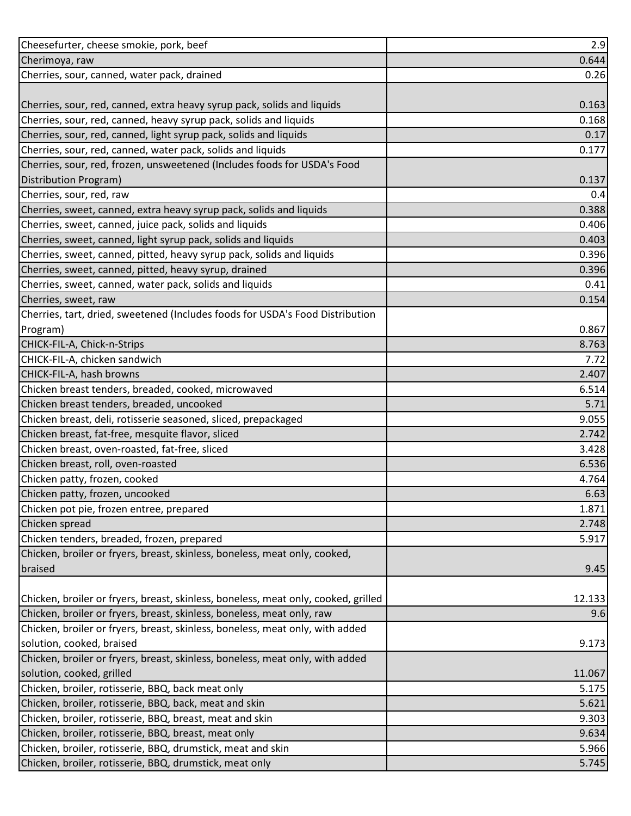| Cheesefurter, cheese smokie, pork, beef                                                                          | 2.9            |
|------------------------------------------------------------------------------------------------------------------|----------------|
| Cherimoya, raw                                                                                                   | 0.644          |
| Cherries, sour, canned, water pack, drained                                                                      | 0.26           |
|                                                                                                                  |                |
| Cherries, sour, red, canned, extra heavy syrup pack, solids and liquids                                          | 0.163          |
| Cherries, sour, red, canned, heavy syrup pack, solids and liquids                                                | 0.168          |
| Cherries, sour, red, canned, light syrup pack, solids and liquids                                                | 0.17           |
| Cherries, sour, red, canned, water pack, solids and liquids                                                      | 0.177          |
| Cherries, sour, red, frozen, unsweetened (Includes foods for USDA's Food                                         |                |
| Distribution Program)                                                                                            | 0.137          |
| Cherries, sour, red, raw                                                                                         | 0.4            |
| Cherries, sweet, canned, extra heavy syrup pack, solids and liquids                                              | 0.388          |
| Cherries, sweet, canned, juice pack, solids and liquids                                                          | 0.406          |
| Cherries, sweet, canned, light syrup pack, solids and liquids                                                    | 0.403          |
| Cherries, sweet, canned, pitted, heavy syrup pack, solids and liquids                                            | 0.396          |
| Cherries, sweet, canned, pitted, heavy syrup, drained                                                            | 0.396          |
| Cherries, sweet, canned, water pack, solids and liquids                                                          | 0.41           |
| Cherries, sweet, raw                                                                                             | 0.154          |
| Cherries, tart, dried, sweetened (Includes foods for USDA's Food Distribution                                    |                |
| Program)                                                                                                         | 0.867          |
| CHICK-FIL-A, Chick-n-Strips                                                                                      | 8.763          |
| CHICK-FIL-A, chicken sandwich                                                                                    | 7.72           |
| CHICK-FIL-A, hash browns                                                                                         | 2.407          |
| Chicken breast tenders, breaded, cooked, microwaved                                                              | 6.514          |
| Chicken breast tenders, breaded, uncooked                                                                        | 5.71           |
| Chicken breast, deli, rotisserie seasoned, sliced, prepackaged                                                   | 9.055          |
| Chicken breast, fat-free, mesquite flavor, sliced                                                                | 2.742          |
| Chicken breast, oven-roasted, fat-free, sliced                                                                   | 3.428          |
| Chicken breast, roll, oven-roasted                                                                               | 6.536          |
| Chicken patty, frozen, cooked                                                                                    | 4.764          |
| Chicken patty, frozen, uncooked                                                                                  | 6.63           |
| Chicken pot pie, frozen entree, prepared                                                                         | 1.871          |
| Chicken spread                                                                                                   | 2.748          |
| Chicken tenders, breaded, frozen, prepared                                                                       | 5.917          |
| Chicken, broiler or fryers, breast, skinless, boneless, meat only, cooked,                                       |                |
| braised                                                                                                          | 9.45           |
|                                                                                                                  |                |
| Chicken, broiler or fryers, breast, skinless, boneless, meat only, cooked, grilled                               | 12.133         |
| Chicken, broiler or fryers, breast, skinless, boneless, meat only, raw                                           | 9.6            |
| Chicken, broiler or fryers, breast, skinless, boneless, meat only, with added                                    |                |
| solution, cooked, braised                                                                                        | 9.173          |
| Chicken, broiler or fryers, breast, skinless, boneless, meat only, with added                                    |                |
| solution, cooked, grilled                                                                                        | 11.067         |
| Chicken, broiler, rotisserie, BBQ, back meat only                                                                | 5.175          |
| Chicken, broiler, rotisserie, BBQ, back, meat and skin                                                           | 5.621          |
| Chicken, broiler, rotisserie, BBQ, breast, meat and skin<br>Chicken, broiler, rotisserie, BBQ, breast, meat only | 9.303          |
| Chicken, broiler, rotisserie, BBQ, drumstick, meat and skin                                                      | 9.634<br>5.966 |
|                                                                                                                  |                |
| Chicken, broiler, rotisserie, BBQ, drumstick, meat only                                                          | 5.745          |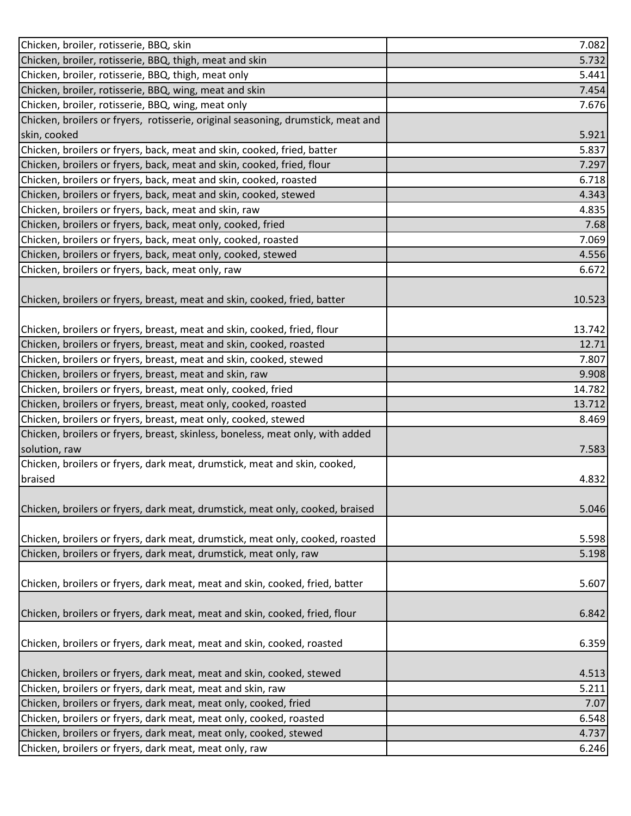| Chicken, broiler, rotisserie, BBQ, skin                                          | 7.082  |
|----------------------------------------------------------------------------------|--------|
| Chicken, broiler, rotisserie, BBQ, thigh, meat and skin                          | 5.732  |
| Chicken, broiler, rotisserie, BBQ, thigh, meat only                              | 5.441  |
| Chicken, broiler, rotisserie, BBQ, wing, meat and skin                           | 7.454  |
| Chicken, broiler, rotisserie, BBQ, wing, meat only                               | 7.676  |
| Chicken, broilers or fryers, rotisserie, original seasoning, drumstick, meat and |        |
| skin, cooked                                                                     | 5.921  |
| Chicken, broilers or fryers, back, meat and skin, cooked, fried, batter          | 5.837  |
| Chicken, broilers or fryers, back, meat and skin, cooked, fried, flour           | 7.297  |
| Chicken, broilers or fryers, back, meat and skin, cooked, roasted                | 6.718  |
| Chicken, broilers or fryers, back, meat and skin, cooked, stewed                 | 4.343  |
| Chicken, broilers or fryers, back, meat and skin, raw                            | 4.835  |
| Chicken, broilers or fryers, back, meat only, cooked, fried                      | 7.68   |
| Chicken, broilers or fryers, back, meat only, cooked, roasted                    | 7.069  |
| Chicken, broilers or fryers, back, meat only, cooked, stewed                     | 4.556  |
| Chicken, broilers or fryers, back, meat only, raw                                | 6.672  |
|                                                                                  |        |
| Chicken, broilers or fryers, breast, meat and skin, cooked, fried, batter        | 10.523 |
|                                                                                  |        |
| Chicken, broilers or fryers, breast, meat and skin, cooked, fried, flour         | 13.742 |
| Chicken, broilers or fryers, breast, meat and skin, cooked, roasted              | 12.71  |
| Chicken, broilers or fryers, breast, meat and skin, cooked, stewed               | 7.807  |
| Chicken, broilers or fryers, breast, meat and skin, raw                          | 9.908  |
| Chicken, broilers or fryers, breast, meat only, cooked, fried                    | 14.782 |
| Chicken, broilers or fryers, breast, meat only, cooked, roasted                  | 13.712 |
| Chicken, broilers or fryers, breast, meat only, cooked, stewed                   | 8.469  |
| Chicken, broilers or fryers, breast, skinless, boneless, meat only, with added   |        |
| solution, raw                                                                    | 7.583  |
| Chicken, broilers or fryers, dark meat, drumstick, meat and skin, cooked,        |        |
| braised                                                                          | 4.832  |
|                                                                                  |        |
| Chicken, broilers or fryers, dark meat, drumstick, meat only, cooked, braised    | 5.046  |
|                                                                                  |        |
| Chicken, broilers or fryers, dark meat, drumstick, meat only, cooked, roasted    | 5.598  |
| Chicken, broilers or fryers, dark meat, drumstick, meat only, raw                | 5.198  |
|                                                                                  |        |
| Chicken, broilers or fryers, dark meat, meat and skin, cooked, fried, batter     | 5.607  |
|                                                                                  |        |
| Chicken, broilers or fryers, dark meat, meat and skin, cooked, fried, flour      | 6.842  |
|                                                                                  |        |
| Chicken, broilers or fryers, dark meat, meat and skin, cooked, roasted           | 6.359  |
|                                                                                  |        |
| Chicken, broilers or fryers, dark meat, meat and skin, cooked, stewed            | 4.513  |
| Chicken, broilers or fryers, dark meat, meat and skin, raw                       | 5.211  |
| Chicken, broilers or fryers, dark meat, meat only, cooked, fried                 | 7.07   |
| Chicken, broilers or fryers, dark meat, meat only, cooked, roasted               | 6.548  |
| Chicken, broilers or fryers, dark meat, meat only, cooked, stewed                | 4.737  |
| Chicken, broilers or fryers, dark meat, meat only, raw                           | 6.246  |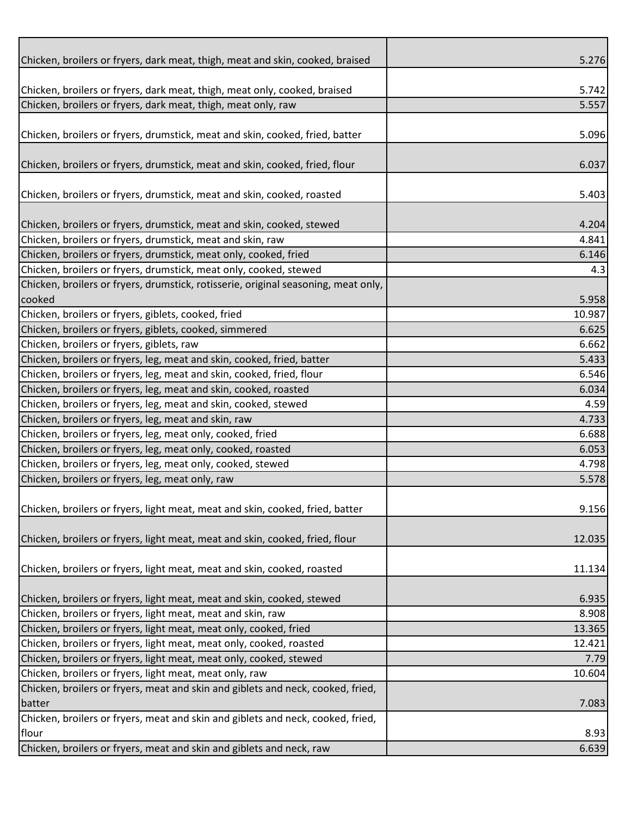| Chicken, broilers or fryers, dark meat, thigh, meat and skin, cooked, braised      | 5.276  |
|------------------------------------------------------------------------------------|--------|
|                                                                                    |        |
| Chicken, broilers or fryers, dark meat, thigh, meat only, cooked, braised          | 5.742  |
| Chicken, broilers or fryers, dark meat, thigh, meat only, raw                      | 5.557  |
|                                                                                    |        |
| Chicken, broilers or fryers, drumstick, meat and skin, cooked, fried, batter       | 5.096  |
|                                                                                    |        |
| Chicken, broilers or fryers, drumstick, meat and skin, cooked, fried, flour        | 6.037  |
|                                                                                    |        |
| Chicken, broilers or fryers, drumstick, meat and skin, cooked, roasted             | 5.403  |
|                                                                                    |        |
| Chicken, broilers or fryers, drumstick, meat and skin, cooked, stewed              | 4.204  |
| Chicken, broilers or fryers, drumstick, meat and skin, raw                         | 4.841  |
| Chicken, broilers or fryers, drumstick, meat only, cooked, fried                   | 6.146  |
| Chicken, broilers or fryers, drumstick, meat only, cooked, stewed                  |        |
|                                                                                    | 4.3    |
| Chicken, broilers or fryers, drumstick, rotisserie, original seasoning, meat only, |        |
| cooked                                                                             | 5.958  |
| Chicken, broilers or fryers, giblets, cooked, fried                                | 10.987 |
| Chicken, broilers or fryers, giblets, cooked, simmered                             | 6.625  |
| Chicken, broilers or fryers, giblets, raw                                          | 6.662  |
| Chicken, broilers or fryers, leg, meat and skin, cooked, fried, batter             | 5.433  |
| Chicken, broilers or fryers, leg, meat and skin, cooked, fried, flour              | 6.546  |
| Chicken, broilers or fryers, leg, meat and skin, cooked, roasted                   | 6.034  |
| Chicken, broilers or fryers, leg, meat and skin, cooked, stewed                    | 4.59   |
| Chicken, broilers or fryers, leg, meat and skin, raw                               | 4.733  |
| Chicken, broilers or fryers, leg, meat only, cooked, fried                         | 6.688  |
| Chicken, broilers or fryers, leg, meat only, cooked, roasted                       | 6.053  |
| Chicken, broilers or fryers, leg, meat only, cooked, stewed                        | 4.798  |
| Chicken, broilers or fryers, leg, meat only, raw                                   | 5.578  |
|                                                                                    |        |
| Chicken, broilers or fryers, light meat, meat and skin, cooked, fried, batter      | 9.156  |
|                                                                                    |        |
| Chicken, broilers or fryers, light meat, meat and skin, cooked, fried, flour       | 12.035 |
|                                                                                    |        |
| Chicken, broilers or fryers, light meat, meat and skin, cooked, roasted            | 11.134 |
|                                                                                    |        |
| Chicken, broilers or fryers, light meat, meat and skin, cooked, stewed             | 6.935  |
| Chicken, broilers or fryers, light meat, meat and skin, raw                        | 8.908  |
| Chicken, broilers or fryers, light meat, meat only, cooked, fried                  | 13.365 |
|                                                                                    |        |
| Chicken, broilers or fryers, light meat, meat only, cooked, roasted                | 12.421 |
| Chicken, broilers or fryers, light meat, meat only, cooked, stewed                 | 7.79   |
| Chicken, broilers or fryers, light meat, meat only, raw                            | 10.604 |
| Chicken, broilers or fryers, meat and skin and giblets and neck, cooked, fried,    |        |
| batter                                                                             | 7.083  |
| Chicken, broilers or fryers, meat and skin and giblets and neck, cooked, fried,    |        |
| flour                                                                              | 8.93   |
| Chicken, broilers or fryers, meat and skin and giblets and neck, raw               | 6.639  |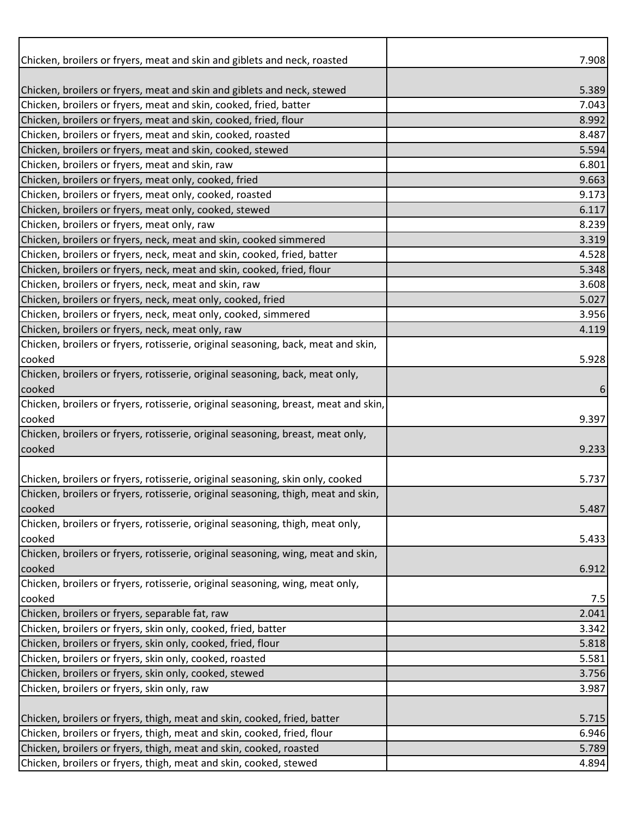| Chicken, broilers or fryers, meat and skin and giblets and neck, roasted            | 7.908        |
|-------------------------------------------------------------------------------------|--------------|
|                                                                                     |              |
| Chicken, broilers or fryers, meat and skin and giblets and neck, stewed             | 5.389        |
| Chicken, broilers or fryers, meat and skin, cooked, fried, batter                   | 7.043        |
| Chicken, broilers or fryers, meat and skin, cooked, fried, flour                    | 8.992        |
| Chicken, broilers or fryers, meat and skin, cooked, roasted                         | 8.487        |
| Chicken, broilers or fryers, meat and skin, cooked, stewed                          | 5.594        |
| Chicken, broilers or fryers, meat and skin, raw                                     | 6.801        |
| Chicken, broilers or fryers, meat only, cooked, fried                               | 9.663        |
| Chicken, broilers or fryers, meat only, cooked, roasted                             | 9.173        |
| Chicken, broilers or fryers, meat only, cooked, stewed                              | 6.117        |
| Chicken, broilers or fryers, meat only, raw                                         | 8.239        |
| Chicken, broilers or fryers, neck, meat and skin, cooked simmered                   | 3.319        |
| Chicken, broilers or fryers, neck, meat and skin, cooked, fried, batter             | 4.528        |
| Chicken, broilers or fryers, neck, meat and skin, cooked, fried, flour              | 5.348        |
| Chicken, broilers or fryers, neck, meat and skin, raw                               | 3.608        |
| Chicken, broilers or fryers, neck, meat only, cooked, fried                         | 5.027        |
| Chicken, broilers or fryers, neck, meat only, cooked, simmered                      | 3.956        |
| Chicken, broilers or fryers, neck, meat only, raw                                   | 4.119        |
| Chicken, broilers or fryers, rotisserie, original seasoning, back, meat and skin,   |              |
| cooked                                                                              | 5.928        |
| Chicken, broilers or fryers, rotisserie, original seasoning, back, meat only,       |              |
| cooked                                                                              | 6            |
| Chicken, broilers or fryers, rotisserie, original seasoning, breast, meat and skin, |              |
| cooked                                                                              | 9.397        |
| Chicken, broilers or fryers, rotisserie, original seasoning, breast, meat only,     |              |
| cooked                                                                              | 9.233        |
|                                                                                     |              |
| Chicken, broilers or fryers, rotisserie, original seasoning, skin only, cooked      | 5.737        |
| Chicken, broilers or fryers, rotisserie, original seasoning, thigh, meat and skin,  |              |
| cooked                                                                              | 5.487        |
| Chicken, broilers or fryers, rotisserie, original seasoning, thigh, meat only,      |              |
| cooked                                                                              | 5.433        |
| Chicken, broilers or fryers, rotisserie, original seasoning, wing, meat and skin,   |              |
| cooked                                                                              | 6.912        |
| Chicken, broilers or fryers, rotisserie, original seasoning, wing, meat only,       |              |
| cooked<br>Chicken, broilers or fryers, separable fat, raw                           | 7.5<br>2.041 |
| Chicken, broilers or fryers, skin only, cooked, fried, batter                       | 3.342        |
| Chicken, broilers or fryers, skin only, cooked, fried, flour                        | 5.818        |
| Chicken, broilers or fryers, skin only, cooked, roasted                             |              |
| Chicken, broilers or fryers, skin only, cooked, stewed                              | 5.581        |
|                                                                                     | 3.756        |
| Chicken, broilers or fryers, skin only, raw                                         | 3.987        |
| Chicken, broilers or fryers, thigh, meat and skin, cooked, fried, batter            | 5.715        |
| Chicken, broilers or fryers, thigh, meat and skin, cooked, fried, flour             | 6.946        |
| Chicken, broilers or fryers, thigh, meat and skin, cooked, roasted                  | 5.789        |
|                                                                                     |              |
| Chicken, broilers or fryers, thigh, meat and skin, cooked, stewed                   | 4.894        |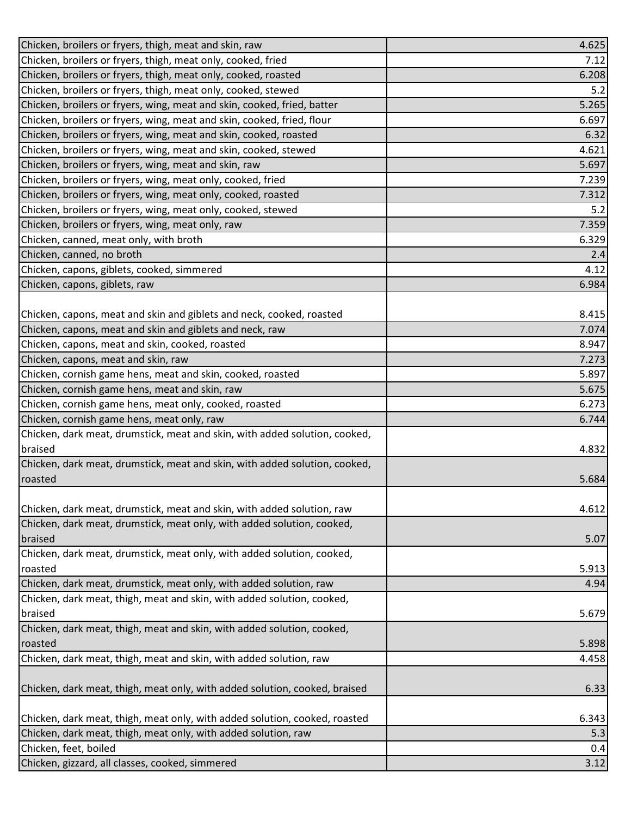| Chicken, broilers or fryers, thigh, meat and skin, raw                     | 4.625 |
|----------------------------------------------------------------------------|-------|
| Chicken, broilers or fryers, thigh, meat only, cooked, fried               | 7.12  |
| Chicken, broilers or fryers, thigh, meat only, cooked, roasted             | 6.208 |
| Chicken, broilers or fryers, thigh, meat only, cooked, stewed              | 5.2   |
| Chicken, broilers or fryers, wing, meat and skin, cooked, fried, batter    | 5.265 |
| Chicken, broilers or fryers, wing, meat and skin, cooked, fried, flour     | 6.697 |
| Chicken, broilers or fryers, wing, meat and skin, cooked, roasted          | 6.32  |
| Chicken, broilers or fryers, wing, meat and skin, cooked, stewed           | 4.621 |
| Chicken, broilers or fryers, wing, meat and skin, raw                      | 5.697 |
| Chicken, broilers or fryers, wing, meat only, cooked, fried                | 7.239 |
| Chicken, broilers or fryers, wing, meat only, cooked, roasted              | 7.312 |
| Chicken, broilers or fryers, wing, meat only, cooked, stewed               | 5.2   |
| Chicken, broilers or fryers, wing, meat only, raw                          | 7.359 |
| Chicken, canned, meat only, with broth                                     | 6.329 |
| Chicken, canned, no broth                                                  | 2.4   |
| Chicken, capons, giblets, cooked, simmered                                 | 4.12  |
| Chicken, capons, giblets, raw                                              | 6.984 |
|                                                                            |       |
| Chicken, capons, meat and skin and giblets and neck, cooked, roasted       | 8.415 |
| Chicken, capons, meat and skin and giblets and neck, raw                   | 7.074 |
| Chicken, capons, meat and skin, cooked, roasted                            | 8.947 |
| Chicken, capons, meat and skin, raw                                        | 7.273 |
| Chicken, cornish game hens, meat and skin, cooked, roasted                 | 5.897 |
| Chicken, cornish game hens, meat and skin, raw                             | 5.675 |
| Chicken, cornish game hens, meat only, cooked, roasted                     | 6.273 |
| Chicken, cornish game hens, meat only, raw                                 | 6.744 |
| Chicken, dark meat, drumstick, meat and skin, with added solution, cooked, |       |
| braised                                                                    | 4.832 |
| Chicken, dark meat, drumstick, meat and skin, with added solution, cooked, |       |
| roasted                                                                    | 5.684 |
|                                                                            |       |
| Chicken, dark meat, drumstick, meat and skin, with added solution, raw     | 4.612 |
| Chicken, dark meat, drumstick, meat only, with added solution, cooked,     |       |
| braised                                                                    | 5.07  |
| Chicken, dark meat, drumstick, meat only, with added solution, cooked,     |       |
| roasted                                                                    | 5.913 |
| Chicken, dark meat, drumstick, meat only, with added solution, raw         | 4.94  |
| Chicken, dark meat, thigh, meat and skin, with added solution, cooked,     |       |
| braised                                                                    | 5.679 |
| Chicken, dark meat, thigh, meat and skin, with added solution, cooked,     |       |
| roasted                                                                    | 5.898 |
| Chicken, dark meat, thigh, meat and skin, with added solution, raw         | 4.458 |
|                                                                            |       |
| Chicken, dark meat, thigh, meat only, with added solution, cooked, braised | 6.33  |
|                                                                            |       |
| Chicken, dark meat, thigh, meat only, with added solution, cooked, roasted | 6.343 |
| Chicken, dark meat, thigh, meat only, with added solution, raw             | 5.3   |
| Chicken, feet, boiled                                                      | 0.4   |
| Chicken, gizzard, all classes, cooked, simmered                            | 3.12  |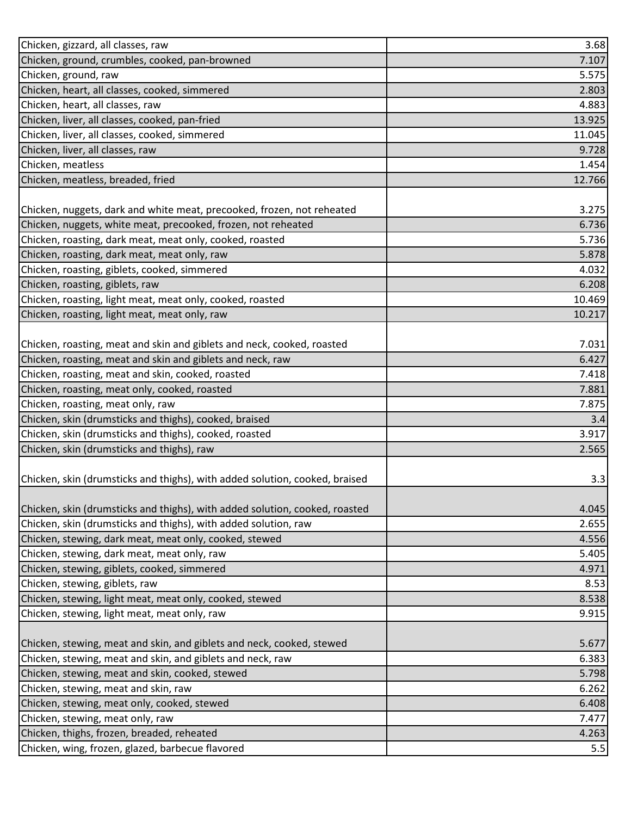| Chicken, gizzard, all classes, raw                                          | 3.68   |
|-----------------------------------------------------------------------------|--------|
| Chicken, ground, crumbles, cooked, pan-browned                              | 7.107  |
| Chicken, ground, raw                                                        | 5.575  |
| Chicken, heart, all classes, cooked, simmered                               | 2.803  |
| Chicken, heart, all classes, raw                                            | 4.883  |
| Chicken, liver, all classes, cooked, pan-fried                              | 13.925 |
| Chicken, liver, all classes, cooked, simmered                               | 11.045 |
| Chicken, liver, all classes, raw                                            | 9.728  |
| Chicken, meatless                                                           | 1.454  |
| Chicken, meatless, breaded, fried                                           | 12.766 |
|                                                                             |        |
| Chicken, nuggets, dark and white meat, precooked, frozen, not reheated      | 3.275  |
| Chicken, nuggets, white meat, precooked, frozen, not reheated               | 6.736  |
| Chicken, roasting, dark meat, meat only, cooked, roasted                    | 5.736  |
| Chicken, roasting, dark meat, meat only, raw                                | 5.878  |
| Chicken, roasting, giblets, cooked, simmered                                | 4.032  |
| Chicken, roasting, giblets, raw                                             | 6.208  |
| Chicken, roasting, light meat, meat only, cooked, roasted                   | 10.469 |
| Chicken, roasting, light meat, meat only, raw                               | 10.217 |
|                                                                             |        |
| Chicken, roasting, meat and skin and giblets and neck, cooked, roasted      | 7.031  |
| Chicken, roasting, meat and skin and giblets and neck, raw                  | 6.427  |
| Chicken, roasting, meat and skin, cooked, roasted                           | 7.418  |
| Chicken, roasting, meat only, cooked, roasted                               | 7.881  |
| Chicken, roasting, meat only, raw                                           | 7.875  |
| Chicken, skin (drumsticks and thighs), cooked, braised                      | 3.4    |
| Chicken, skin (drumsticks and thighs), cooked, roasted                      | 3.917  |
| Chicken, skin (drumsticks and thighs), raw                                  | 2.565  |
|                                                                             |        |
| Chicken, skin (drumsticks and thighs), with added solution, cooked, braised | 3.3    |
|                                                                             |        |
| Chicken, skin (drumsticks and thighs), with added solution, cooked, roasted | 4.045  |
| Chicken, skin (drumsticks and thighs), with added solution, raw             | 2.655  |
| Chicken, stewing, dark meat, meat only, cooked, stewed                      | 4.556  |
| Chicken, stewing, dark meat, meat only, raw                                 | 5.405  |
| Chicken, stewing, giblets, cooked, simmered                                 | 4.971  |
| Chicken, stewing, giblets, raw                                              | 8.53   |
| Chicken, stewing, light meat, meat only, cooked, stewed                     | 8.538  |
| Chicken, stewing, light meat, meat only, raw                                | 9.915  |
|                                                                             |        |
| Chicken, stewing, meat and skin, and giblets and neck, cooked, stewed       | 5.677  |
| Chicken, stewing, meat and skin, and giblets and neck, raw                  | 6.383  |
| Chicken, stewing, meat and skin, cooked, stewed                             | 5.798  |
| Chicken, stewing, meat and skin, raw                                        | 6.262  |
| Chicken, stewing, meat only, cooked, stewed                                 | 6.408  |
| Chicken, stewing, meat only, raw                                            | 7.477  |
| Chicken, thighs, frozen, breaded, reheated                                  | 4.263  |
| Chicken, wing, frozen, glazed, barbecue flavored                            | 5.5    |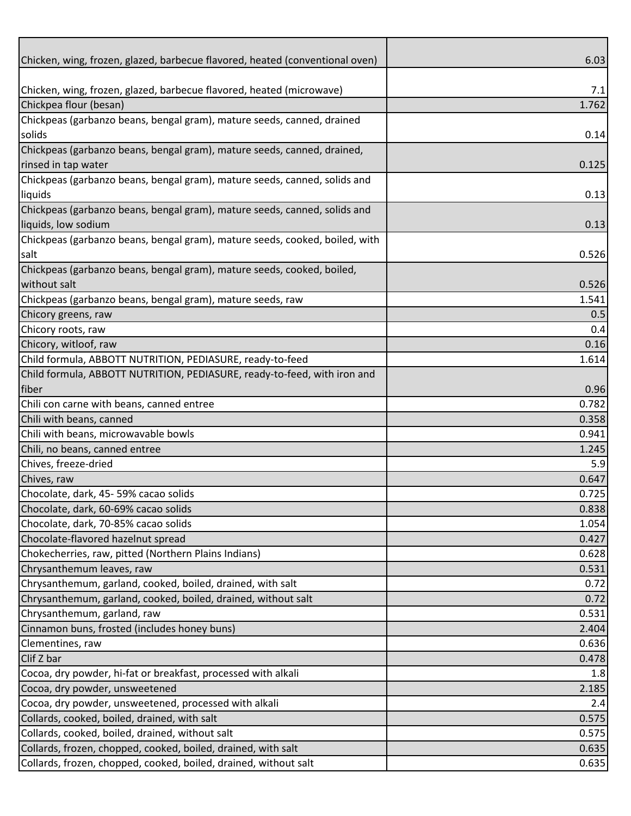| Chicken, wing, frozen, glazed, barbecue flavored, heated (conventional oven) | 6.03  |
|------------------------------------------------------------------------------|-------|
|                                                                              |       |
| Chicken, wing, frozen, glazed, barbecue flavored, heated (microwave)         | 7.1   |
| Chickpea flour (besan)                                                       | 1.762 |
| Chickpeas (garbanzo beans, bengal gram), mature seeds, canned, drained       |       |
| solids                                                                       | 0.14  |
| Chickpeas (garbanzo beans, bengal gram), mature seeds, canned, drained,      |       |
| rinsed in tap water                                                          | 0.125 |
| Chickpeas (garbanzo beans, bengal gram), mature seeds, canned, solids and    |       |
| liquids                                                                      | 0.13  |
| Chickpeas (garbanzo beans, bengal gram), mature seeds, canned, solids and    |       |
| liquids, low sodium                                                          | 0.13  |
| Chickpeas (garbanzo beans, bengal gram), mature seeds, cooked, boiled, with  |       |
| salt                                                                         | 0.526 |
| Chickpeas (garbanzo beans, bengal gram), mature seeds, cooked, boiled,       |       |
| without salt                                                                 | 0.526 |
| Chickpeas (garbanzo beans, bengal gram), mature seeds, raw                   | 1.541 |
| Chicory greens, raw                                                          | 0.5   |
| Chicory roots, raw                                                           | 0.4   |
| Chicory, witloof, raw                                                        | 0.16  |
| Child formula, ABBOTT NUTRITION, PEDIASURE, ready-to-feed                    | 1.614 |
| Child formula, ABBOTT NUTRITION, PEDIASURE, ready-to-feed, with iron and     |       |
| fiber                                                                        | 0.96  |
| Chili con carne with beans, canned entree                                    | 0.782 |
| Chili with beans, canned                                                     | 0.358 |
| Chili with beans, microwavable bowls                                         | 0.941 |
| Chili, no beans, canned entree                                               | 1.245 |
| Chives, freeze-dried                                                         | 5.9   |
| Chives, raw                                                                  | 0.647 |
| Chocolate, dark, 45-59% cacao solids                                         | 0.725 |
| Chocolate, dark, 60-69% cacao solids                                         | 0.838 |
| Chocolate, dark, 70-85% cacao solids                                         | 1.054 |
| Chocolate-flavored hazelnut spread                                           | 0.427 |
| Chokecherries, raw, pitted (Northern Plains Indians)                         | 0.628 |
| Chrysanthemum leaves, raw                                                    | 0.531 |
| Chrysanthemum, garland, cooked, boiled, drained, with salt                   | 0.72  |
| Chrysanthemum, garland, cooked, boiled, drained, without salt                | 0.72  |
| Chrysanthemum, garland, raw                                                  | 0.531 |
| Cinnamon buns, frosted (includes honey buns)                                 | 2.404 |
| Clementines, raw                                                             | 0.636 |
| Clif Z bar                                                                   | 0.478 |
| Cocoa, dry powder, hi-fat or breakfast, processed with alkali                | 1.8   |
| Cocoa, dry powder, unsweetened                                               | 2.185 |
| Cocoa, dry powder, unsweetened, processed with alkali                        | 2.4   |
| Collards, cooked, boiled, drained, with salt                                 | 0.575 |
| Collards, cooked, boiled, drained, without salt                              | 0.575 |
| Collards, frozen, chopped, cooked, boiled, drained, with salt                | 0.635 |
| Collards, frozen, chopped, cooked, boiled, drained, without salt             | 0.635 |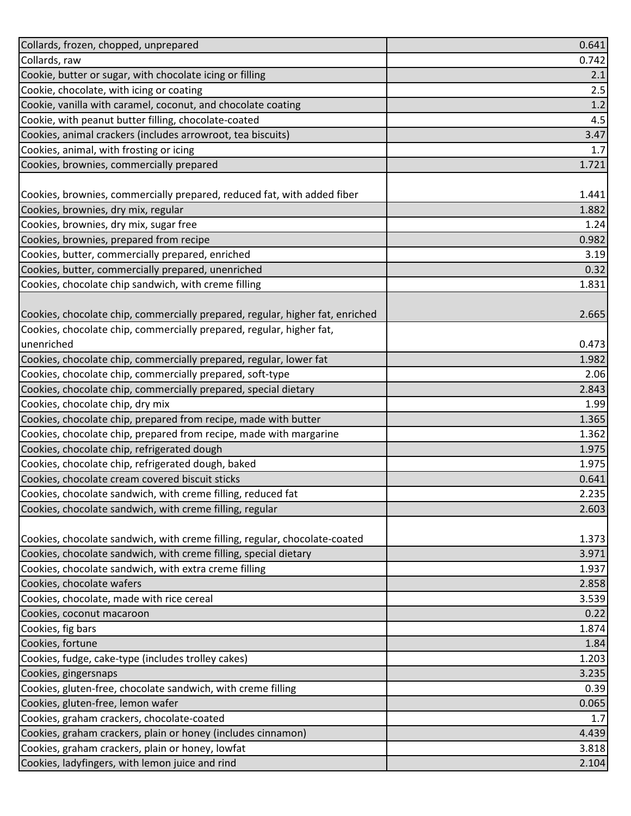| Collards, frozen, chopped, unprepared                                         | 0.641 |
|-------------------------------------------------------------------------------|-------|
| Collards, raw                                                                 | 0.742 |
| Cookie, butter or sugar, with chocolate icing or filling                      | 2.1   |
| Cookie, chocolate, with icing or coating                                      | 2.5   |
| Cookie, vanilla with caramel, coconut, and chocolate coating                  | 1.2   |
| Cookie, with peanut butter filling, chocolate-coated                          | 4.5   |
| Cookies, animal crackers (includes arrowroot, tea biscuits)                   | 3.47  |
| Cookies, animal, with frosting or icing                                       | 1.7   |
| Cookies, brownies, commercially prepared                                      | 1.721 |
|                                                                               |       |
| Cookies, brownies, commercially prepared, reduced fat, with added fiber       | 1.441 |
| Cookies, brownies, dry mix, regular                                           | 1.882 |
| Cookies, brownies, dry mix, sugar free                                        | 1.24  |
| Cookies, brownies, prepared from recipe                                       | 0.982 |
| Cookies, butter, commercially prepared, enriched                              | 3.19  |
| Cookies, butter, commercially prepared, unenriched                            | 0.32  |
| Cookies, chocolate chip sandwich, with creme filling                          | 1.831 |
|                                                                               |       |
| Cookies, chocolate chip, commercially prepared, regular, higher fat, enriched | 2.665 |
| Cookies, chocolate chip, commercially prepared, regular, higher fat,          |       |
| unenriched                                                                    | 0.473 |
| Cookies, chocolate chip, commercially prepared, regular, lower fat            | 1.982 |
| Cookies, chocolate chip, commercially prepared, soft-type                     | 2.06  |
| Cookies, chocolate chip, commercially prepared, special dietary               | 2.843 |
| Cookies, chocolate chip, dry mix                                              | 1.99  |
| Cookies, chocolate chip, prepared from recipe, made with butter               | 1.365 |
| Cookies, chocolate chip, prepared from recipe, made with margarine            | 1.362 |
| Cookies, chocolate chip, refrigerated dough                                   | 1.975 |
| Cookies, chocolate chip, refrigerated dough, baked                            | 1.975 |
| Cookies, chocolate cream covered biscuit sticks                               | 0.641 |
| Cookies, chocolate sandwich, with creme filling, reduced fat                  | 2.235 |
| Cookies, chocolate sandwich, with creme filling, regular                      | 2.603 |
|                                                                               |       |
| Cookies, chocolate sandwich, with creme filling, regular, chocolate-coated    | 1.373 |
| Cookies, chocolate sandwich, with creme filling, special dietary              | 3.971 |
| Cookies, chocolate sandwich, with extra creme filling                         | 1.937 |
| Cookies, chocolate wafers                                                     | 2.858 |
| Cookies, chocolate, made with rice cereal                                     | 3.539 |
| Cookies, coconut macaroon                                                     | 0.22  |
| Cookies, fig bars                                                             | 1.874 |
| Cookies, fortune                                                              | 1.84  |
| Cookies, fudge, cake-type (includes trolley cakes)                            | 1.203 |
| Cookies, gingersnaps                                                          | 3.235 |
| Cookies, gluten-free, chocolate sandwich, with creme filling                  | 0.39  |
| Cookies, gluten-free, lemon wafer                                             | 0.065 |
| Cookies, graham crackers, chocolate-coated                                    | 1.7   |
| Cookies, graham crackers, plain or honey (includes cinnamon)                  | 4.439 |
| Cookies, graham crackers, plain or honey, lowfat                              | 3.818 |
| Cookies, ladyfingers, with lemon juice and rind                               | 2.104 |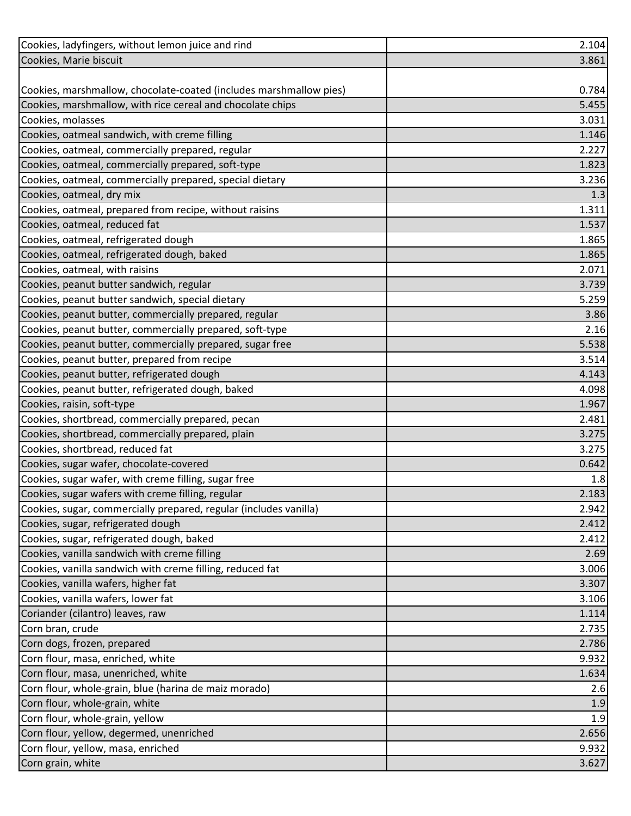| Cookies, ladyfingers, without lemon juice and rind                 | 2.104 |
|--------------------------------------------------------------------|-------|
| Cookies, Marie biscuit                                             | 3.861 |
|                                                                    |       |
| Cookies, marshmallow, chocolate-coated (includes marshmallow pies) | 0.784 |
| Cookies, marshmallow, with rice cereal and chocolate chips         | 5.455 |
| Cookies, molasses                                                  | 3.031 |
| Cookies, oatmeal sandwich, with creme filling                      | 1.146 |
| Cookies, oatmeal, commercially prepared, regular                   | 2.227 |
| Cookies, oatmeal, commercially prepared, soft-type                 | 1.823 |
| Cookies, oatmeal, commercially prepared, special dietary           | 3.236 |
| Cookies, oatmeal, dry mix                                          | 1.3   |
| Cookies, oatmeal, prepared from recipe, without raisins            | 1.311 |
| Cookies, oatmeal, reduced fat                                      | 1.537 |
| Cookies, oatmeal, refrigerated dough                               | 1.865 |
| Cookies, oatmeal, refrigerated dough, baked                        | 1.865 |
| Cookies, oatmeal, with raisins                                     | 2.071 |
| Cookies, peanut butter sandwich, regular                           | 3.739 |
| Cookies, peanut butter sandwich, special dietary                   | 5.259 |
| Cookies, peanut butter, commercially prepared, regular             | 3.86  |
| Cookies, peanut butter, commercially prepared, soft-type           | 2.16  |
| Cookies, peanut butter, commercially prepared, sugar free          | 5.538 |
| Cookies, peanut butter, prepared from recipe                       | 3.514 |
| Cookies, peanut butter, refrigerated dough                         | 4.143 |
| Cookies, peanut butter, refrigerated dough, baked                  | 4.098 |
| Cookies, raisin, soft-type                                         | 1.967 |
| Cookies, shortbread, commercially prepared, pecan                  | 2.481 |
| Cookies, shortbread, commercially prepared, plain                  | 3.275 |
| Cookies, shortbread, reduced fat                                   | 3.275 |
| Cookies, sugar wafer, chocolate-covered                            | 0.642 |
| Cookies, sugar wafer, with creme filling, sugar free               | 1.8   |
| Cookies, sugar wafers with creme filling, regular                  | 2.183 |
| Cookies, sugar, commercially prepared, regular (includes vanilla)  | 2.942 |
| Cookies, sugar, refrigerated dough                                 | 2.412 |
| Cookies, sugar, refrigerated dough, baked                          | 2.412 |
| Cookies, vanilla sandwich with creme filling                       | 2.69  |
| Cookies, vanilla sandwich with creme filling, reduced fat          | 3.006 |
| Cookies, vanilla wafers, higher fat                                | 3.307 |
| Cookies, vanilla wafers, lower fat                                 | 3.106 |
| Coriander (cilantro) leaves, raw                                   | 1.114 |
| Corn bran, crude                                                   | 2.735 |
| Corn dogs, frozen, prepared                                        | 2.786 |
| Corn flour, masa, enriched, white                                  | 9.932 |
| Corn flour, masa, unenriched, white                                | 1.634 |
| Corn flour, whole-grain, blue (harina de maiz morado)              | 2.6   |
| Corn flour, whole-grain, white                                     | 1.9   |
| Corn flour, whole-grain, yellow                                    | 1.9   |
| Corn flour, yellow, degermed, unenriched                           | 2.656 |
| Corn flour, yellow, masa, enriched                                 | 9.932 |
| Corn grain, white                                                  | 3.627 |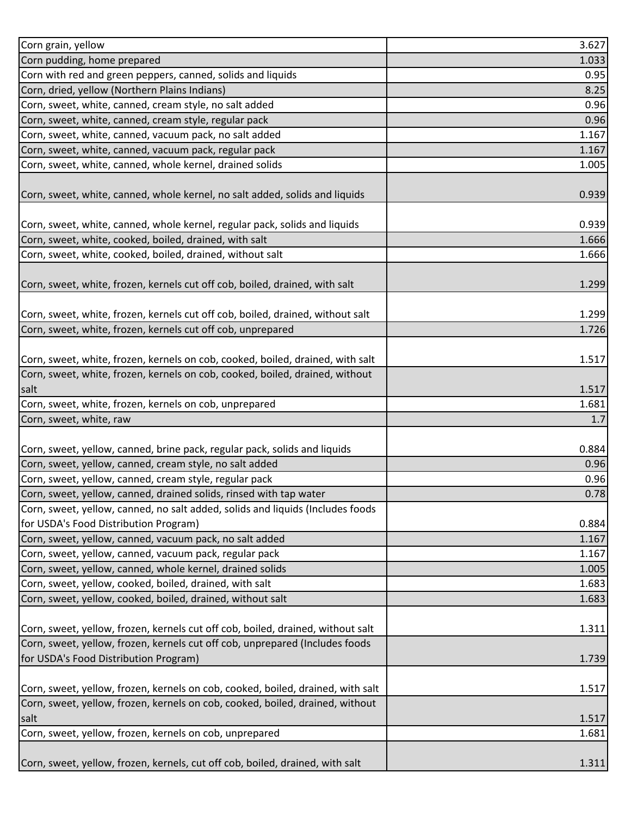| Corn grain, yellow                                                                                                                                              | 3.627 |
|-----------------------------------------------------------------------------------------------------------------------------------------------------------------|-------|
| Corn pudding, home prepared                                                                                                                                     | 1.033 |
| Corn with red and green peppers, canned, solids and liquids                                                                                                     | 0.95  |
| Corn, dried, yellow (Northern Plains Indians)                                                                                                                   | 8.25  |
| Corn, sweet, white, canned, cream style, no salt added                                                                                                          | 0.96  |
| Corn, sweet, white, canned, cream style, regular pack                                                                                                           | 0.96  |
| Corn, sweet, white, canned, vacuum pack, no salt added                                                                                                          | 1.167 |
| Corn, sweet, white, canned, vacuum pack, regular pack                                                                                                           | 1.167 |
| Corn, sweet, white, canned, whole kernel, drained solids                                                                                                        | 1.005 |
|                                                                                                                                                                 |       |
| Corn, sweet, white, canned, whole kernel, no salt added, solids and liquids                                                                                     | 0.939 |
|                                                                                                                                                                 |       |
| Corn, sweet, white, canned, whole kernel, regular pack, solids and liquids                                                                                      | 0.939 |
| Corn, sweet, white, cooked, boiled, drained, with salt                                                                                                          | 1.666 |
| Corn, sweet, white, cooked, boiled, drained, without salt                                                                                                       | 1.666 |
|                                                                                                                                                                 |       |
| Corn, sweet, white, frozen, kernels cut off cob, boiled, drained, with salt                                                                                     | 1.299 |
|                                                                                                                                                                 |       |
| Corn, sweet, white, frozen, kernels cut off cob, boiled, drained, without salt                                                                                  | 1.299 |
| Corn, sweet, white, frozen, kernels cut off cob, unprepared                                                                                                     | 1.726 |
|                                                                                                                                                                 |       |
| Corn, sweet, white, frozen, kernels on cob, cooked, boiled, drained, with salt                                                                                  | 1.517 |
| Corn, sweet, white, frozen, kernels on cob, cooked, boiled, drained, without                                                                                    |       |
| salt                                                                                                                                                            | 1.517 |
| Corn, sweet, white, frozen, kernels on cob, unprepared                                                                                                          | 1.681 |
| Corn, sweet, white, raw                                                                                                                                         | 1.7   |
|                                                                                                                                                                 |       |
| Corn, sweet, yellow, canned, brine pack, regular pack, solids and liquids                                                                                       | 0.884 |
| Corn, sweet, yellow, canned, cream style, no salt added                                                                                                         | 0.96  |
| Corn, sweet, yellow, canned, cream style, regular pack                                                                                                          | 0.96  |
| Corn, sweet, yellow, canned, drained solids, rinsed with tap water                                                                                              | 0.78  |
| Corn, sweet, yellow, canned, no salt added, solids and liquids (Includes foods                                                                                  |       |
| for USDA's Food Distribution Program)                                                                                                                           | 0.884 |
| Corn, sweet, yellow, canned, vacuum pack, no salt added                                                                                                         | 1.167 |
| Corn, sweet, yellow, canned, vacuum pack, regular pack                                                                                                          | 1.167 |
| Corn, sweet, yellow, canned, whole kernel, drained solids                                                                                                       | 1.005 |
| Corn, sweet, yellow, cooked, boiled, drained, with salt                                                                                                         | 1.683 |
|                                                                                                                                                                 |       |
| Corn, sweet, yellow, cooked, boiled, drained, without salt                                                                                                      | 1.683 |
|                                                                                                                                                                 |       |
| Corn, sweet, yellow, frozen, kernels cut off cob, boiled, drained, without salt<br>Corn, sweet, yellow, frozen, kernels cut off cob, unprepared (Includes foods | 1.311 |
|                                                                                                                                                                 |       |
| for USDA's Food Distribution Program)                                                                                                                           | 1.739 |
|                                                                                                                                                                 |       |
| Corn, sweet, yellow, frozen, kernels on cob, cooked, boiled, drained, with salt                                                                                 | 1.517 |
| Corn, sweet, yellow, frozen, kernels on cob, cooked, boiled, drained, without                                                                                   |       |
| salt                                                                                                                                                            | 1.517 |
| Corn, sweet, yellow, frozen, kernels on cob, unprepared                                                                                                         | 1.681 |
|                                                                                                                                                                 |       |
| Corn, sweet, yellow, frozen, kernels, cut off cob, boiled, drained, with salt                                                                                   | 1.311 |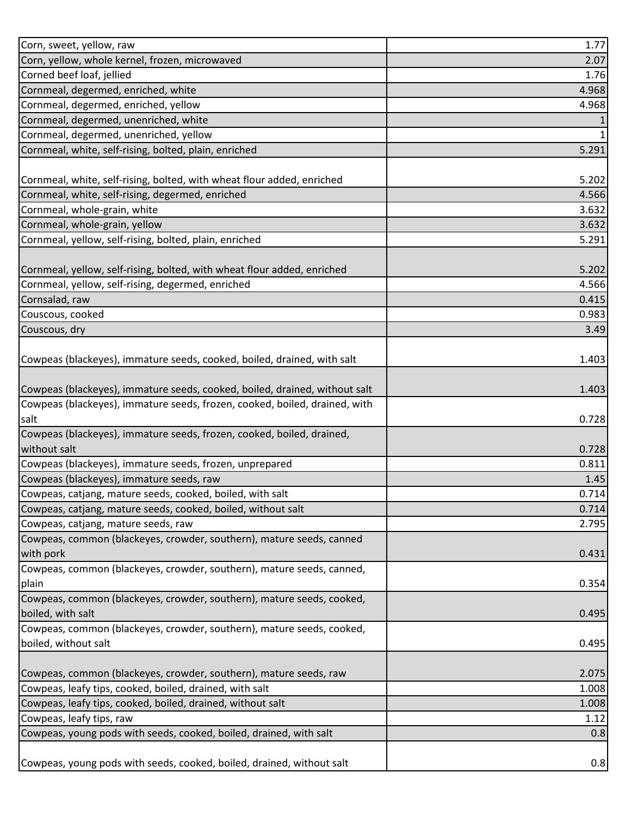| Corn, sweet, yellow, raw                                                   | 1.77  |
|----------------------------------------------------------------------------|-------|
| Corn, yellow, whole kernel, frozen, microwaved                             | 2.07  |
| Corned beef loaf, jellied                                                  | 1.76  |
| Cornmeal, degermed, enriched, white                                        | 4.968 |
| Cornmeal, degermed, enriched, yellow                                       | 4.968 |
| Cornmeal, degermed, unenriched, white                                      |       |
| Cornmeal, degermed, unenriched, yellow                                     |       |
| Cornmeal, white, self-rising, bolted, plain, enriched                      | 5.291 |
|                                                                            |       |
| Cornmeal, white, self-rising, bolted, with wheat flour added, enriched     | 5.202 |
| Cornmeal, white, self-rising, degermed, enriched                           | 4.566 |
| Cornmeal, whole-grain, white                                               | 3.632 |
| Cornmeal, whole-grain, yellow                                              | 3.632 |
| Cornmeal, yellow, self-rising, bolted, plain, enriched                     | 5.291 |
|                                                                            |       |
| Cornmeal, yellow, self-rising, bolted, with wheat flour added, enriched    | 5.202 |
| Cornmeal, yellow, self-rising, degermed, enriched                          | 4.566 |
| Cornsalad, raw                                                             | 0.415 |
| Couscous, cooked                                                           | 0.983 |
| Couscous, dry                                                              | 3.49  |
|                                                                            |       |
| Cowpeas (blackeyes), immature seeds, cooked, boiled, drained, with salt    | 1.403 |
|                                                                            |       |
| Cowpeas (blackeyes), immature seeds, cooked, boiled, drained, without salt | 1.403 |
| Cowpeas (blackeyes), immature seeds, frozen, cooked, boiled, drained, with |       |
| salt                                                                       | 0.728 |
| Cowpeas (blackeyes), immature seeds, frozen, cooked, boiled, drained,      |       |
| without salt                                                               | 0.728 |
| Cowpeas (blackeyes), immature seeds, frozen, unprepared                    | 0.811 |
| Cowpeas (blackeyes), immature seeds, raw                                   | 1.45  |
| Cowpeas, catjang, mature seeds, cooked, boiled, with salt                  | 0.714 |
| Cowpeas, catjang, mature seeds, cooked, boiled, without salt               | 0.714 |
| Cowpeas, catjang, mature seeds, raw                                        | 2.795 |
| Cowpeas, common (blackeyes, crowder, southern), mature seeds, canned       |       |
| with pork                                                                  | 0.431 |
| Cowpeas, common (blackeyes, crowder, southern), mature seeds, canned,      |       |
| plain                                                                      | 0.354 |
| Cowpeas, common (blackeyes, crowder, southern), mature seeds, cooked,      |       |
| boiled, with salt                                                          | 0.495 |
| Cowpeas, common (blackeyes, crowder, southern), mature seeds, cooked,      |       |
| boiled, without salt                                                       | 0.495 |
|                                                                            |       |
| Cowpeas, common (blackeyes, crowder, southern), mature seeds, raw          | 2.075 |
| Cowpeas, leafy tips, cooked, boiled, drained, with salt                    | 1.008 |
| Cowpeas, leafy tips, cooked, boiled, drained, without salt                 | 1.008 |
| Cowpeas, leafy tips, raw                                                   | 1.12  |
| Cowpeas, young pods with seeds, cooked, boiled, drained, with salt         | 0.8   |
|                                                                            |       |
| Cowpeas, young pods with seeds, cooked, boiled, drained, without salt      | 0.8   |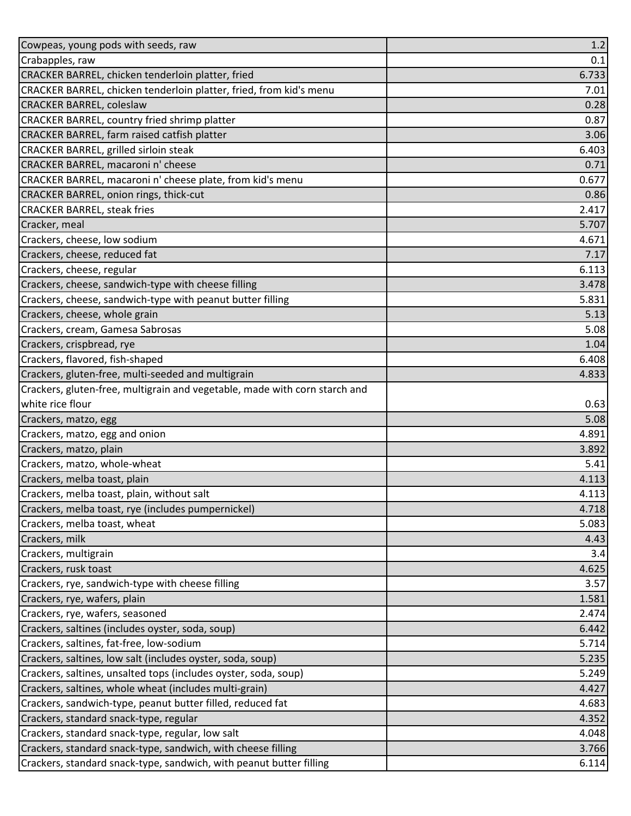| Cowpeas, young pods with seeds, raw                                        | 1.2   |
|----------------------------------------------------------------------------|-------|
| Crabapples, raw                                                            | 0.1   |
| CRACKER BARREL, chicken tenderloin platter, fried                          | 6.733 |
| CRACKER BARREL, chicken tenderloin platter, fried, from kid's menu         | 7.01  |
| <b>CRACKER BARREL, coleslaw</b>                                            | 0.28  |
| CRACKER BARREL, country fried shrimp platter                               | 0.87  |
| CRACKER BARREL, farm raised catfish platter                                | 3.06  |
| <b>CRACKER BARREL, grilled sirloin steak</b>                               | 6.403 |
| CRACKER BARREL, macaroni n' cheese                                         | 0.71  |
| CRACKER BARREL, macaroni n' cheese plate, from kid's menu                  | 0.677 |
| CRACKER BARREL, onion rings, thick-cut                                     | 0.86  |
| <b>CRACKER BARREL, steak fries</b>                                         | 2.417 |
| Cracker, meal                                                              | 5.707 |
| Crackers, cheese, low sodium                                               | 4.671 |
| Crackers, cheese, reduced fat                                              | 7.17  |
| Crackers, cheese, regular                                                  | 6.113 |
| Crackers, cheese, sandwich-type with cheese filling                        | 3.478 |
| Crackers, cheese, sandwich-type with peanut butter filling                 | 5.831 |
| Crackers, cheese, whole grain                                              | 5.13  |
| Crackers, cream, Gamesa Sabrosas                                           | 5.08  |
| Crackers, crispbread, rye                                                  | 1.04  |
| Crackers, flavored, fish-shaped                                            | 6.408 |
| Crackers, gluten-free, multi-seeded and multigrain                         | 4.833 |
| Crackers, gluten-free, multigrain and vegetable, made with corn starch and |       |
| white rice flour                                                           | 0.63  |
| Crackers, matzo, egg                                                       | 5.08  |
| Crackers, matzo, egg and onion                                             | 4.891 |
| Crackers, matzo, plain                                                     | 3.892 |
| Crackers, matzo, whole-wheat                                               | 5.41  |
| Crackers, melba toast, plain                                               | 4.113 |
| Crackers, melba toast, plain, without salt                                 | 4.113 |
| Crackers, melba toast, rye (includes pumpernickel)                         | 4.718 |
| Crackers, melba toast, wheat                                               | 5.083 |
| Crackers, milk                                                             | 4.43  |
| Crackers, multigrain                                                       | 3.4   |
| Crackers, rusk toast                                                       | 4.625 |
| Crackers, rye, sandwich-type with cheese filling                           | 3.57  |
| Crackers, rye, wafers, plain                                               | 1.581 |
| Crackers, rye, wafers, seasoned                                            | 2.474 |
| Crackers, saltines (includes oyster, soda, soup)                           | 6.442 |
| Crackers, saltines, fat-free, low-sodium                                   | 5.714 |
| Crackers, saltines, low salt (includes oyster, soda, soup)                 | 5.235 |
| Crackers, saltines, unsalted tops (includes oyster, soda, soup)            | 5.249 |
| Crackers, saltines, whole wheat (includes multi-grain)                     | 4.427 |
| Crackers, sandwich-type, peanut butter filled, reduced fat                 | 4.683 |
| Crackers, standard snack-type, regular                                     | 4.352 |
| Crackers, standard snack-type, regular, low salt                           | 4.048 |
| Crackers, standard snack-type, sandwich, with cheese filling               | 3.766 |
| Crackers, standard snack-type, sandwich, with peanut butter filling        | 6.114 |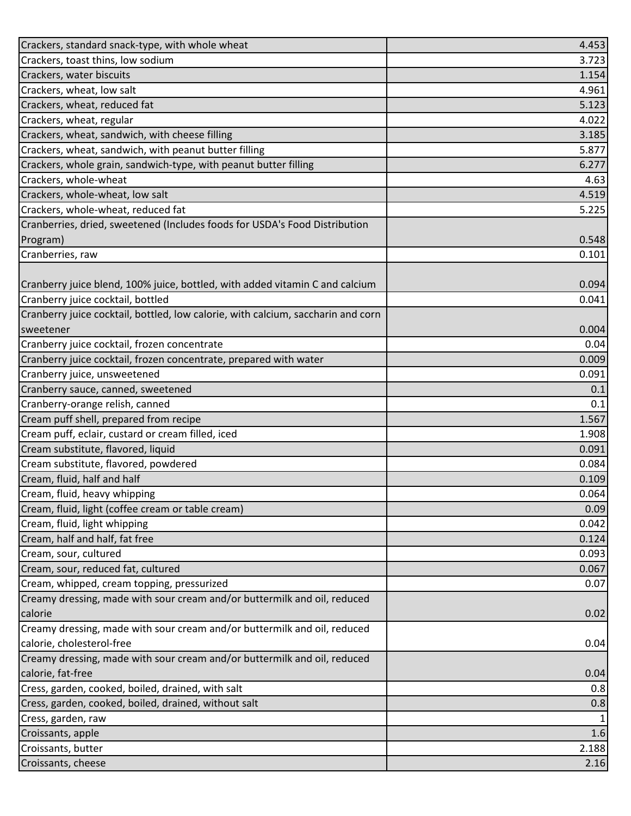| Crackers, standard snack-type, with whole wheat                                  | 4.453 |
|----------------------------------------------------------------------------------|-------|
| Crackers, toast thins, low sodium                                                | 3.723 |
| Crackers, water biscuits                                                         | 1.154 |
| Crackers, wheat, low salt                                                        | 4.961 |
| Crackers, wheat, reduced fat                                                     | 5.123 |
| Crackers, wheat, regular                                                         | 4.022 |
| Crackers, wheat, sandwich, with cheese filling                                   | 3.185 |
| Crackers, wheat, sandwich, with peanut butter filling                            | 5.877 |
| Crackers, whole grain, sandwich-type, with peanut butter filling                 | 6.277 |
| Crackers, whole-wheat                                                            | 4.63  |
| Crackers, whole-wheat, low salt                                                  | 4.519 |
| Crackers, whole-wheat, reduced fat                                               | 5.225 |
| Cranberries, dried, sweetened (Includes foods for USDA's Food Distribution       |       |
| Program)                                                                         | 0.548 |
| Cranberries, raw                                                                 | 0.101 |
|                                                                                  |       |
| Cranberry juice blend, 100% juice, bottled, with added vitamin C and calcium     | 0.094 |
| Cranberry juice cocktail, bottled                                                | 0.041 |
| Cranberry juice cocktail, bottled, low calorie, with calcium, saccharin and corn |       |
| sweetener                                                                        | 0.004 |
| Cranberry juice cocktail, frozen concentrate                                     | 0.04  |
| Cranberry juice cocktail, frozen concentrate, prepared with water                | 0.009 |
| Cranberry juice, unsweetened                                                     | 0.091 |
| Cranberry sauce, canned, sweetened                                               | 0.1   |
| Cranberry-orange relish, canned                                                  | 0.1   |
| Cream puff shell, prepared from recipe                                           | 1.567 |
| Cream puff, eclair, custard or cream filled, iced                                | 1.908 |
| Cream substitute, flavored, liquid                                               | 0.091 |
| Cream substitute, flavored, powdered                                             | 0.084 |
| Cream, fluid, half and half                                                      | 0.109 |
| Cream, fluid, heavy whipping                                                     | 0.064 |
| Cream, fluid, light (coffee cream or table cream)                                | 0.09  |
| Cream, fluid, light whipping                                                     | 0.042 |
| Cream, half and half, fat free                                                   | 0.124 |
| Cream, sour, cultured                                                            | 0.093 |
| Cream, sour, reduced fat, cultured                                               | 0.067 |
| Cream, whipped, cream topping, pressurized                                       | 0.07  |
| Creamy dressing, made with sour cream and/or buttermilk and oil, reduced         |       |
| calorie                                                                          | 0.02  |
| Creamy dressing, made with sour cream and/or buttermilk and oil, reduced         |       |
| calorie, cholesterol-free                                                        | 0.04  |
| Creamy dressing, made with sour cream and/or buttermilk and oil, reduced         |       |
| calorie, fat-free                                                                | 0.04  |
| Cress, garden, cooked, boiled, drained, with salt                                | 0.8   |
| Cress, garden, cooked, boiled, drained, without salt                             | 0.8   |
| Cress, garden, raw                                                               |       |
| Croissants, apple                                                                | 1.6   |
| Croissants, butter                                                               | 2.188 |
| Croissants, cheese                                                               | 2.16  |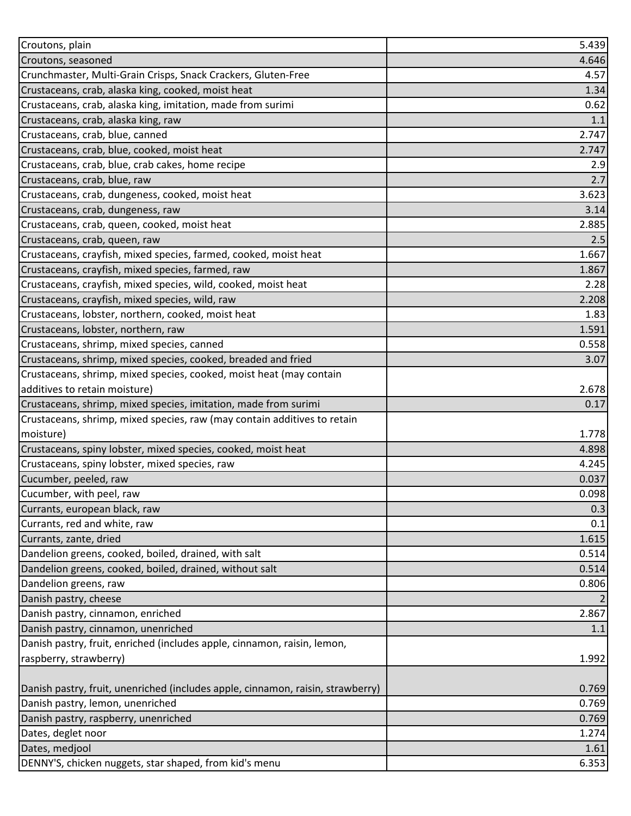| Croutons, plain                                                                 | 5.439 |
|---------------------------------------------------------------------------------|-------|
| Croutons, seasoned                                                              | 4.646 |
| Crunchmaster, Multi-Grain Crisps, Snack Crackers, Gluten-Free                   | 4.57  |
| Crustaceans, crab, alaska king, cooked, moist heat                              | 1.34  |
| Crustaceans, crab, alaska king, imitation, made from surimi                     | 0.62  |
| Crustaceans, crab, alaska king, raw                                             | 1.1   |
| Crustaceans, crab, blue, canned                                                 | 2.747 |
| Crustaceans, crab, blue, cooked, moist heat                                     | 2.747 |
| Crustaceans, crab, blue, crab cakes, home recipe                                | 2.9   |
| Crustaceans, crab, blue, raw                                                    | 2.7   |
| Crustaceans, crab, dungeness, cooked, moist heat                                | 3.623 |
| Crustaceans, crab, dungeness, raw                                               | 3.14  |
| Crustaceans, crab, queen, cooked, moist heat                                    | 2.885 |
| Crustaceans, crab, queen, raw                                                   | 2.5   |
| Crustaceans, crayfish, mixed species, farmed, cooked, moist heat                | 1.667 |
| Crustaceans, crayfish, mixed species, farmed, raw                               | 1.867 |
| Crustaceans, crayfish, mixed species, wild, cooked, moist heat                  | 2.28  |
| Crustaceans, crayfish, mixed species, wild, raw                                 | 2.208 |
| Crustaceans, lobster, northern, cooked, moist heat                              | 1.83  |
| Crustaceans, lobster, northern, raw                                             | 1.591 |
| Crustaceans, shrimp, mixed species, canned                                      | 0.558 |
| Crustaceans, shrimp, mixed species, cooked, breaded and fried                   | 3.07  |
| Crustaceans, shrimp, mixed species, cooked, moist heat (may contain             |       |
| additives to retain moisture)                                                   | 2.678 |
| Crustaceans, shrimp, mixed species, imitation, made from surimi                 | 0.17  |
| Crustaceans, shrimp, mixed species, raw (may contain additives to retain        |       |
| moisture)                                                                       | 1.778 |
| Crustaceans, spiny lobster, mixed species, cooked, moist heat                   | 4.898 |
| Crustaceans, spiny lobster, mixed species, raw                                  | 4.245 |
| Cucumber, peeled, raw                                                           | 0.037 |
| Cucumber, with peel, raw                                                        | 0.098 |
| Currants, european black, raw                                                   | 0.3   |
| Currants, red and white, raw                                                    | 0.1   |
| Currants, zante, dried                                                          | 1.615 |
| Dandelion greens, cooked, boiled, drained, with salt                            | 0.514 |
| Dandelion greens, cooked, boiled, drained, without salt                         | 0.514 |
| Dandelion greens, raw                                                           | 0.806 |
| Danish pastry, cheese                                                           |       |
| Danish pastry, cinnamon, enriched                                               | 2.867 |
| Danish pastry, cinnamon, unenriched                                             | 1.1   |
| Danish pastry, fruit, enriched (includes apple, cinnamon, raisin, lemon,        |       |
| raspberry, strawberry)                                                          | 1.992 |
|                                                                                 |       |
| Danish pastry, fruit, unenriched (includes apple, cinnamon, raisin, strawberry) | 0.769 |
| Danish pastry, lemon, unenriched                                                | 0.769 |
| Danish pastry, raspberry, unenriched                                            | 0.769 |
| Dates, deglet noor                                                              | 1.274 |
| Dates, medjool                                                                  | 1.61  |
| DENNY'S, chicken nuggets, star shaped, from kid's menu                          | 6.353 |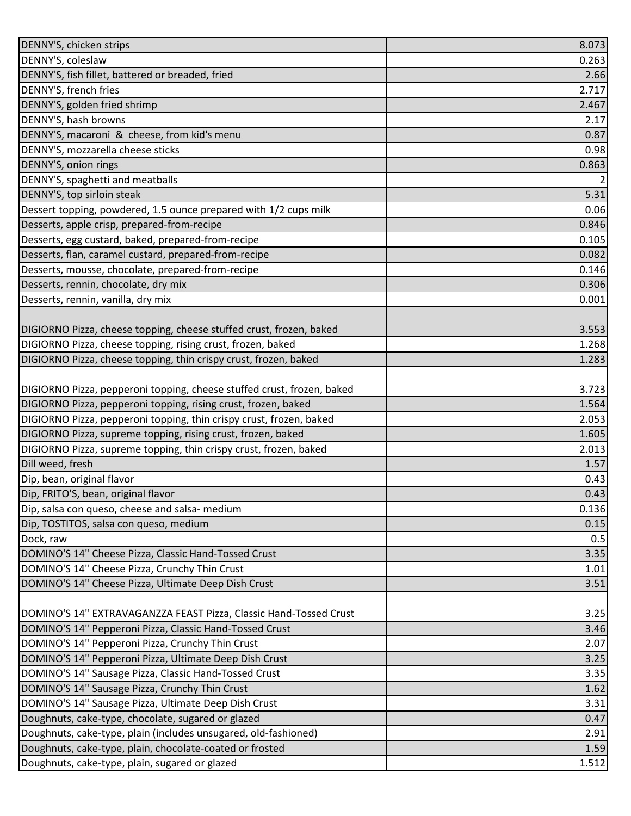| DENNY'S, chicken strips                                                | 8.073 |
|------------------------------------------------------------------------|-------|
| DENNY'S, coleslaw                                                      | 0.263 |
| DENNY'S, fish fillet, battered or breaded, fried                       | 2.66  |
| DENNY'S, french fries                                                  | 2.717 |
| DENNY'S, golden fried shrimp                                           | 2.467 |
| DENNY'S, hash browns                                                   | 2.17  |
| DENNY'S, macaroni & cheese, from kid's menu                            | 0.87  |
| DENNY'S, mozzarella cheese sticks                                      | 0.98  |
| DENNY'S, onion rings                                                   | 0.863 |
| DENNY'S, spaghetti and meatballs                                       | 2     |
| DENNY'S, top sirloin steak                                             | 5.31  |
| Dessert topping, powdered, 1.5 ounce prepared with 1/2 cups milk       | 0.06  |
| Desserts, apple crisp, prepared-from-recipe                            | 0.846 |
| Desserts, egg custard, baked, prepared-from-recipe                     | 0.105 |
| Desserts, flan, caramel custard, prepared-from-recipe                  | 0.082 |
| Desserts, mousse, chocolate, prepared-from-recipe                      | 0.146 |
| Desserts, rennin, chocolate, dry mix                                   | 0.306 |
| Desserts, rennin, vanilla, dry mix                                     | 0.001 |
|                                                                        |       |
| DIGIORNO Pizza, cheese topping, cheese stuffed crust, frozen, baked    | 3.553 |
| DIGIORNO Pizza, cheese topping, rising crust, frozen, baked            | 1.268 |
| DIGIORNO Pizza, cheese topping, thin crispy crust, frozen, baked       | 1.283 |
|                                                                        |       |
| DIGIORNO Pizza, pepperoni topping, cheese stuffed crust, frozen, baked | 3.723 |
| DIGIORNO Pizza, pepperoni topping, rising crust, frozen, baked         | 1.564 |
| DIGIORNO Pizza, pepperoni topping, thin crispy crust, frozen, baked    | 2.053 |
| DIGIORNO Pizza, supreme topping, rising crust, frozen, baked           | 1.605 |
| DIGIORNO Pizza, supreme topping, thin crispy crust, frozen, baked      | 2.013 |
| Dill weed, fresh                                                       | 1.57  |
| Dip, bean, original flavor                                             | 0.43  |
| Dip, FRITO'S, bean, original flavor                                    | 0.43  |
| Dip, salsa con queso, cheese and salsa- medium                         | 0.136 |
| Dip, TOSTITOS, salsa con queso, medium                                 | 0.15  |
| Dock, raw                                                              | 0.5   |
| DOMINO'S 14" Cheese Pizza, Classic Hand-Tossed Crust                   | 3.35  |
| DOMINO'S 14" Cheese Pizza, Crunchy Thin Crust                          | 1.01  |
| DOMINO'S 14" Cheese Pizza, Ultimate Deep Dish Crust                    | 3.51  |
|                                                                        |       |
| DOMINO'S 14" EXTRAVAGANZZA FEAST Pizza, Classic Hand-Tossed Crust      | 3.25  |
| DOMINO'S 14" Pepperoni Pizza, Classic Hand-Tossed Crust                | 3.46  |
| DOMINO'S 14" Pepperoni Pizza, Crunchy Thin Crust                       | 2.07  |
| DOMINO'S 14" Pepperoni Pizza, Ultimate Deep Dish Crust                 | 3.25  |
| DOMINO'S 14" Sausage Pizza, Classic Hand-Tossed Crust                  | 3.35  |
| DOMINO'S 14" Sausage Pizza, Crunchy Thin Crust                         | 1.62  |
| DOMINO'S 14" Sausage Pizza, Ultimate Deep Dish Crust                   | 3.31  |
| Doughnuts, cake-type, chocolate, sugared or glazed                     | 0.47  |
| Doughnuts, cake-type, plain (includes unsugared, old-fashioned)        | 2.91  |
| Doughnuts, cake-type, plain, chocolate-coated or frosted               | 1.59  |
| Doughnuts, cake-type, plain, sugared or glazed                         | 1.512 |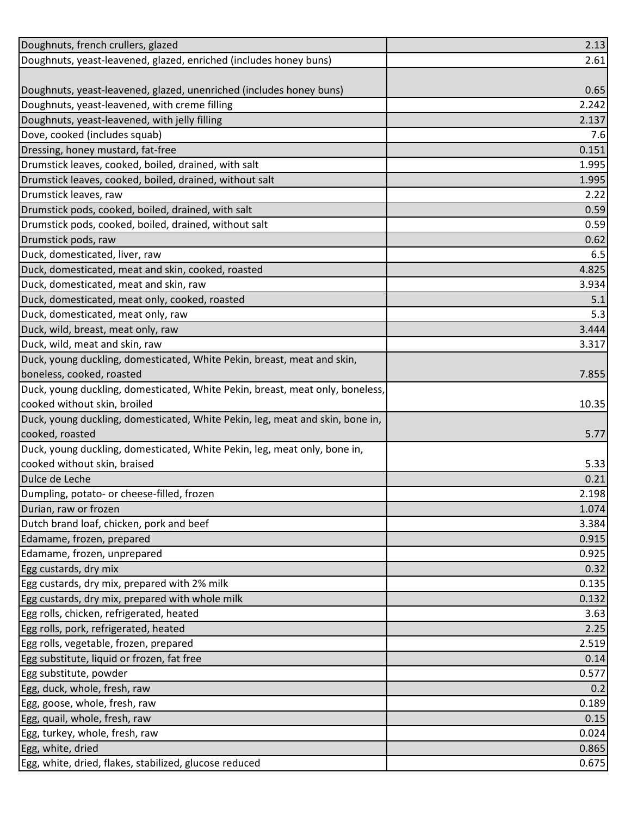| Doughnuts, french crullers, glazed                                            | 2.13  |
|-------------------------------------------------------------------------------|-------|
| Doughnuts, yeast-leavened, glazed, enriched (includes honey buns)             | 2.61  |
|                                                                               |       |
| Doughnuts, yeast-leavened, glazed, unenriched (includes honey buns)           | 0.65  |
| Doughnuts, yeast-leavened, with creme filling                                 | 2.242 |
| Doughnuts, yeast-leavened, with jelly filling                                 | 2.137 |
| Dove, cooked (includes squab)                                                 | 7.6   |
| Dressing, honey mustard, fat-free                                             | 0.151 |
| Drumstick leaves, cooked, boiled, drained, with salt                          | 1.995 |
| Drumstick leaves, cooked, boiled, drained, without salt                       | 1.995 |
| Drumstick leaves, raw                                                         | 2.22  |
| Drumstick pods, cooked, boiled, drained, with salt                            | 0.59  |
| Drumstick pods, cooked, boiled, drained, without salt                         | 0.59  |
| Drumstick pods, raw                                                           | 0.62  |
| Duck, domesticated, liver, raw                                                | 6.5   |
| Duck, domesticated, meat and skin, cooked, roasted                            | 4.825 |
| Duck, domesticated, meat and skin, raw                                        | 3.934 |
| Duck, domesticated, meat only, cooked, roasted                                | 5.1   |
| Duck, domesticated, meat only, raw                                            | 5.3   |
| Duck, wild, breast, meat only, raw                                            | 3.444 |
| Duck, wild, meat and skin, raw                                                | 3.317 |
| Duck, young duckling, domesticated, White Pekin, breast, meat and skin,       |       |
| boneless, cooked, roasted                                                     | 7.855 |
| Duck, young duckling, domesticated, White Pekin, breast, meat only, boneless, |       |
| cooked without skin, broiled                                                  | 10.35 |
| Duck, young duckling, domesticated, White Pekin, leg, meat and skin, bone in, |       |
| cooked, roasted                                                               | 5.77  |
| Duck, young duckling, domesticated, White Pekin, leg, meat only, bone in,     |       |
| cooked without skin, braised                                                  | 5.33  |
| Dulce de Leche                                                                | 0.21  |
| Dumpling, potato- or cheese-filled, frozen                                    | 2.198 |
| Durian, raw or frozen                                                         | 1.074 |
| Dutch brand loaf, chicken, pork and beef                                      | 3.384 |
| Edamame, frozen, prepared                                                     | 0.915 |
| Edamame, frozen, unprepared                                                   | 0.925 |
| Egg custards, dry mix                                                         | 0.32  |
| Egg custards, dry mix, prepared with 2% milk                                  | 0.135 |
| Egg custards, dry mix, prepared with whole milk                               | 0.132 |
| Egg rolls, chicken, refrigerated, heated                                      | 3.63  |
| Egg rolls, pork, refrigerated, heated                                         | 2.25  |
| Egg rolls, vegetable, frozen, prepared                                        | 2.519 |
| Egg substitute, liquid or frozen, fat free                                    | 0.14  |
| Egg substitute, powder                                                        | 0.577 |
| Egg, duck, whole, fresh, raw                                                  | 0.2   |
| Egg, goose, whole, fresh, raw                                                 | 0.189 |
| Egg, quail, whole, fresh, raw                                                 | 0.15  |
| Egg, turkey, whole, fresh, raw                                                | 0.024 |
| Egg, white, dried                                                             | 0.865 |
| Egg, white, dried, flakes, stabilized, glucose reduced                        | 0.675 |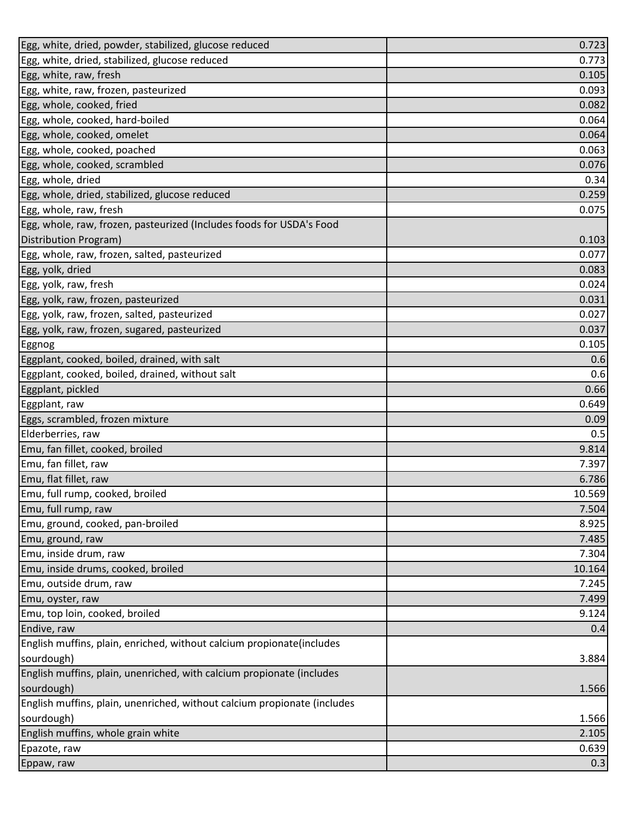| Egg, white, dried, powder, stabilized, glucose reduced                   | 0.723  |
|--------------------------------------------------------------------------|--------|
| Egg, white, dried, stabilized, glucose reduced                           | 0.773  |
| Egg, white, raw, fresh                                                   | 0.105  |
| Egg, white, raw, frozen, pasteurized                                     | 0.093  |
| Egg, whole, cooked, fried                                                | 0.082  |
| Egg, whole, cooked, hard-boiled                                          | 0.064  |
| Egg, whole, cooked, omelet                                               | 0.064  |
| Egg, whole, cooked, poached                                              | 0.063  |
| Egg, whole, cooked, scrambled                                            | 0.076  |
| Egg, whole, dried                                                        | 0.34   |
| Egg, whole, dried, stabilized, glucose reduced                           | 0.259  |
| Egg, whole, raw, fresh                                                   | 0.075  |
| Egg, whole, raw, frozen, pasteurized (Includes foods for USDA's Food     |        |
| Distribution Program)                                                    | 0.103  |
| Egg, whole, raw, frozen, salted, pasteurized                             | 0.077  |
| Egg, yolk, dried                                                         | 0.083  |
| Egg, yolk, raw, fresh                                                    | 0.024  |
| Egg, yolk, raw, frozen, pasteurized                                      | 0.031  |
| Egg, yolk, raw, frozen, salted, pasteurized                              | 0.027  |
| Egg, yolk, raw, frozen, sugared, pasteurized                             | 0.037  |
| Eggnog                                                                   | 0.105  |
| Eggplant, cooked, boiled, drained, with salt                             | 0.6    |
| Eggplant, cooked, boiled, drained, without salt                          | 0.6    |
| Eggplant, pickled                                                        | 0.66   |
| Eggplant, raw                                                            | 0.649  |
| Eggs, scrambled, frozen mixture                                          | 0.09   |
| Elderberries, raw                                                        | 0.5    |
| Emu, fan fillet, cooked, broiled                                         | 9.814  |
| Emu, fan fillet, raw                                                     | 7.397  |
| Emu, flat fillet, raw                                                    | 6.786  |
| Emu, full rump, cooked, broiled                                          | 10.569 |
| Emu, full rump, raw                                                      | 7.504  |
| Emu, ground, cooked, pan-broiled                                         | 8.925  |
| Emu, ground, raw                                                         | 7.485  |
| Emu, inside drum, raw                                                    | 7.304  |
| Emu, inside drums, cooked, broiled                                       | 10.164 |
| Emu, outside drum, raw                                                   | 7.245  |
| Emu, oyster, raw                                                         | 7.499  |
| Emu, top loin, cooked, broiled                                           | 9.124  |
| Endive, raw                                                              | 0.4    |
| English muffins, plain, enriched, without calcium propionate(includes    |        |
| sourdough)                                                               | 3.884  |
| English muffins, plain, unenriched, with calcium propionate (includes    |        |
| sourdough)                                                               | 1.566  |
| English muffins, plain, unenriched, without calcium propionate (includes |        |
| sourdough)                                                               | 1.566  |
| English muffins, whole grain white                                       | 2.105  |
| Epazote, raw                                                             | 0.639  |
| Eppaw, raw                                                               | 0.3    |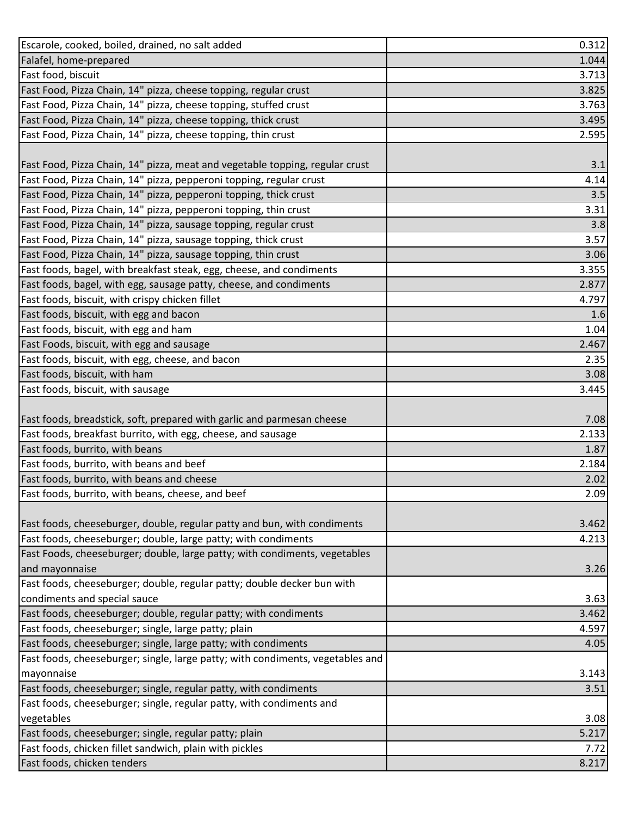| Escarole, cooked, boiled, drained, no salt added                               | 0.312 |
|--------------------------------------------------------------------------------|-------|
| Falafel, home-prepared                                                         | 1.044 |
| Fast food, biscuit                                                             | 3.713 |
| Fast Food, Pizza Chain, 14" pizza, cheese topping, regular crust               | 3.825 |
| Fast Food, Pizza Chain, 14" pizza, cheese topping, stuffed crust               | 3.763 |
| Fast Food, Pizza Chain, 14" pizza, cheese topping, thick crust                 | 3.495 |
| Fast Food, Pizza Chain, 14" pizza, cheese topping, thin crust                  | 2.595 |
|                                                                                |       |
| Fast Food, Pizza Chain, 14" pizza, meat and vegetable topping, regular crust   | 3.1   |
| Fast Food, Pizza Chain, 14" pizza, pepperoni topping, regular crust            | 4.14  |
| Fast Food, Pizza Chain, 14" pizza, pepperoni topping, thick crust              | 3.5   |
| Fast Food, Pizza Chain, 14" pizza, pepperoni topping, thin crust               | 3.31  |
| Fast Food, Pizza Chain, 14" pizza, sausage topping, regular crust              | 3.8   |
| Fast Food, Pizza Chain, 14" pizza, sausage topping, thick crust                | 3.57  |
| Fast Food, Pizza Chain, 14" pizza, sausage topping, thin crust                 | 3.06  |
| Fast foods, bagel, with breakfast steak, egg, cheese, and condiments           | 3.355 |
| Fast foods, bagel, with egg, sausage patty, cheese, and condiments             | 2.877 |
| Fast foods, biscuit, with crispy chicken fillet                                | 4.797 |
| Fast foods, biscuit, with egg and bacon                                        | 1.6   |
| Fast foods, biscuit, with egg and ham                                          | 1.04  |
| Fast Foods, biscuit, with egg and sausage                                      | 2.467 |
| Fast foods, biscuit, with egg, cheese, and bacon                               | 2.35  |
| Fast foods, biscuit, with ham                                                  | 3.08  |
| Fast foods, biscuit, with sausage                                              | 3.445 |
|                                                                                |       |
| Fast foods, breadstick, soft, prepared with garlic and parmesan cheese         | 7.08  |
| Fast foods, breakfast burrito, with egg, cheese, and sausage                   | 2.133 |
| Fast foods, burrito, with beans                                                | 1.87  |
| Fast foods, burrito, with beans and beef                                       | 2.184 |
| Fast foods, burrito, with beans and cheese                                     | 2.02  |
| Fast foods, burrito, with beans, cheese, and beef                              | 2.09  |
|                                                                                |       |
| Fast foods, cheeseburger, double, regular patty and bun, with condiments       | 3.462 |
| Fast foods, cheeseburger; double, large patty; with condiments                 | 4.213 |
| Fast Foods, cheeseburger; double, large patty; with condiments, vegetables     |       |
| and mayonnaise                                                                 | 3.26  |
| Fast foods, cheeseburger; double, regular patty; double decker bun with        |       |
| condiments and special sauce                                                   | 3.63  |
| Fast foods, cheeseburger; double, regular patty; with condiments               | 3.462 |
| Fast foods, cheeseburger; single, large patty; plain                           | 4.597 |
| Fast foods, cheeseburger; single, large patty; with condiments                 | 4.05  |
| Fast foods, cheeseburger; single, large patty; with condiments, vegetables and |       |
| mayonnaise                                                                     | 3.143 |
| Fast foods, cheeseburger; single, regular patty, with condiments               | 3.51  |
| Fast foods, cheeseburger; single, regular patty, with condiments and           |       |
| vegetables                                                                     | 3.08  |
| Fast foods, cheeseburger; single, regular patty; plain                         | 5.217 |
| Fast foods, chicken fillet sandwich, plain with pickles                        | 7.72  |
| Fast foods, chicken tenders                                                    | 8.217 |
|                                                                                |       |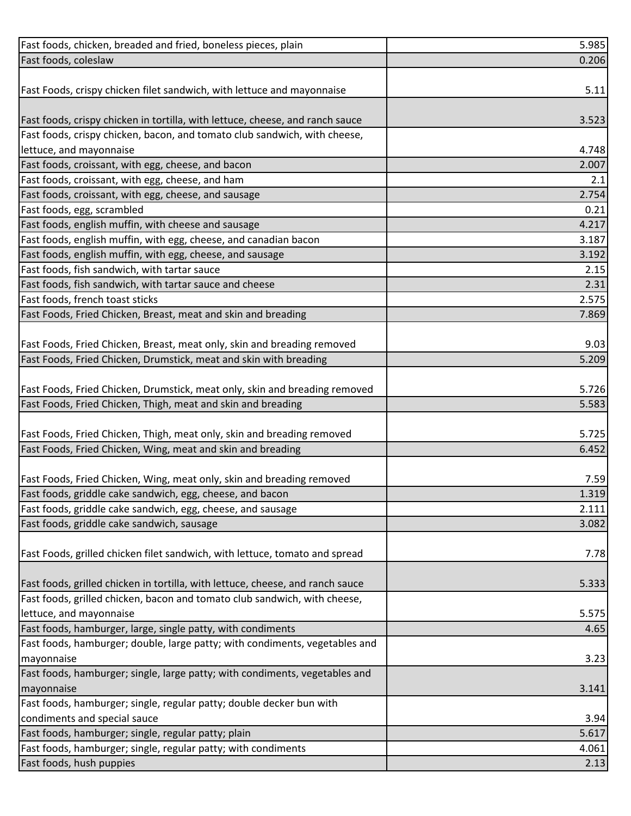| Fast foods, chicken, breaded and fried, boneless pieces, plain                 | 5.985 |
|--------------------------------------------------------------------------------|-------|
| Fast foods, coleslaw                                                           | 0.206 |
|                                                                                |       |
| Fast Foods, crispy chicken filet sandwich, with lettuce and mayonnaise         | 5.11  |
|                                                                                |       |
| Fast foods, crispy chicken in tortilla, with lettuce, cheese, and ranch sauce  | 3.523 |
| Fast foods, crispy chicken, bacon, and tomato club sandwich, with cheese,      |       |
| lettuce, and mayonnaise                                                        | 4.748 |
| Fast foods, croissant, with egg, cheese, and bacon                             | 2.007 |
| Fast foods, croissant, with egg, cheese, and ham                               | 2.1   |
| Fast foods, croissant, with egg, cheese, and sausage                           | 2.754 |
| Fast foods, egg, scrambled                                                     | 0.21  |
| Fast foods, english muffin, with cheese and sausage                            | 4.217 |
| Fast foods, english muffin, with egg, cheese, and canadian bacon               | 3.187 |
| Fast foods, english muffin, with egg, cheese, and sausage                      | 3.192 |
| Fast foods, fish sandwich, with tartar sauce                                   | 2.15  |
| Fast foods, fish sandwich, with tartar sauce and cheese                        | 2.31  |
| Fast foods, french toast sticks                                                | 2.575 |
| Fast Foods, Fried Chicken, Breast, meat and skin and breading                  | 7.869 |
|                                                                                |       |
| Fast Foods, Fried Chicken, Breast, meat only, skin and breading removed        | 9.03  |
| Fast Foods, Fried Chicken, Drumstick, meat and skin with breading              | 5.209 |
|                                                                                |       |
| Fast Foods, Fried Chicken, Drumstick, meat only, skin and breading removed     | 5.726 |
| Fast Foods, Fried Chicken, Thigh, meat and skin and breading                   | 5.583 |
|                                                                                |       |
| Fast Foods, Fried Chicken, Thigh, meat only, skin and breading removed         | 5.725 |
| Fast Foods, Fried Chicken, Wing, meat and skin and breading                    | 6.452 |
|                                                                                |       |
| Fast Foods, Fried Chicken, Wing, meat only, skin and breading removed          | 7.59  |
| Fast foods, griddle cake sandwich, egg, cheese, and bacon                      | 1.319 |
| Fast foods, griddle cake sandwich, egg, cheese, and sausage                    | 2.111 |
| Fast foods, griddle cake sandwich, sausage                                     | 3.082 |
|                                                                                |       |
| Fast Foods, grilled chicken filet sandwich, with lettuce, tomato and spread    | 7.78  |
| Fast foods, grilled chicken in tortilla, with lettuce, cheese, and ranch sauce | 5.333 |
| Fast foods, grilled chicken, bacon and tomato club sandwich, with cheese,      |       |
| lettuce, and mayonnaise                                                        | 5.575 |
| Fast foods, hamburger, large, single patty, with condiments                    | 4.65  |
| Fast foods, hamburger; double, large patty; with condiments, vegetables and    |       |
| mayonnaise                                                                     | 3.23  |
| Fast foods, hamburger; single, large patty; with condiments, vegetables and    |       |
| mayonnaise                                                                     | 3.141 |
| Fast foods, hamburger; single, regular patty; double decker bun with           |       |
| condiments and special sauce                                                   | 3.94  |
| Fast foods, hamburger; single, regular patty; plain                            | 5.617 |
| Fast foods, hamburger; single, regular patty; with condiments                  | 4.061 |
| Fast foods, hush puppies                                                       | 2.13  |
|                                                                                |       |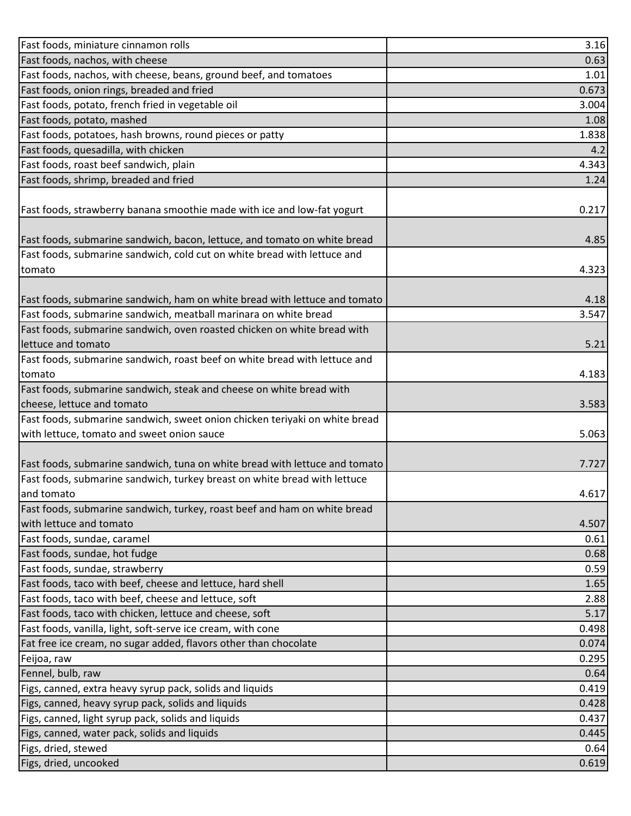| Fast foods, nachos, with cheese<br>0.63<br>Fast foods, nachos, with cheese, beans, ground beef, and tomatoes<br>1.01<br>Fast foods, onion rings, breaded and fried<br>0.673<br>Fast foods, potato, french fried in vegetable oil<br>3.004<br>Fast foods, potato, mashed<br>1.08<br>Fast foods, potatoes, hash browns, round pieces or patty<br>1.838<br>Fast foods, quesadilla, with chicken<br>4.2<br>Fast foods, roast beef sandwich, plain<br>4.343<br>Fast foods, shrimp, breaded and fried<br>1.24<br>Fast foods, strawberry banana smoothie made with ice and low-fat yogurt<br>0.217<br>Fast foods, submarine sandwich, bacon, lettuce, and tomato on white bread<br>4.85<br>Fast foods, submarine sandwich, cold cut on white bread with lettuce and<br>4.323<br>tomato |
|---------------------------------------------------------------------------------------------------------------------------------------------------------------------------------------------------------------------------------------------------------------------------------------------------------------------------------------------------------------------------------------------------------------------------------------------------------------------------------------------------------------------------------------------------------------------------------------------------------------------------------------------------------------------------------------------------------------------------------------------------------------------------------|
|                                                                                                                                                                                                                                                                                                                                                                                                                                                                                                                                                                                                                                                                                                                                                                                 |
|                                                                                                                                                                                                                                                                                                                                                                                                                                                                                                                                                                                                                                                                                                                                                                                 |
|                                                                                                                                                                                                                                                                                                                                                                                                                                                                                                                                                                                                                                                                                                                                                                                 |
|                                                                                                                                                                                                                                                                                                                                                                                                                                                                                                                                                                                                                                                                                                                                                                                 |
|                                                                                                                                                                                                                                                                                                                                                                                                                                                                                                                                                                                                                                                                                                                                                                                 |
|                                                                                                                                                                                                                                                                                                                                                                                                                                                                                                                                                                                                                                                                                                                                                                                 |
|                                                                                                                                                                                                                                                                                                                                                                                                                                                                                                                                                                                                                                                                                                                                                                                 |
|                                                                                                                                                                                                                                                                                                                                                                                                                                                                                                                                                                                                                                                                                                                                                                                 |
|                                                                                                                                                                                                                                                                                                                                                                                                                                                                                                                                                                                                                                                                                                                                                                                 |
|                                                                                                                                                                                                                                                                                                                                                                                                                                                                                                                                                                                                                                                                                                                                                                                 |
|                                                                                                                                                                                                                                                                                                                                                                                                                                                                                                                                                                                                                                                                                                                                                                                 |
|                                                                                                                                                                                                                                                                                                                                                                                                                                                                                                                                                                                                                                                                                                                                                                                 |
|                                                                                                                                                                                                                                                                                                                                                                                                                                                                                                                                                                                                                                                                                                                                                                                 |
|                                                                                                                                                                                                                                                                                                                                                                                                                                                                                                                                                                                                                                                                                                                                                                                 |
|                                                                                                                                                                                                                                                                                                                                                                                                                                                                                                                                                                                                                                                                                                                                                                                 |
|                                                                                                                                                                                                                                                                                                                                                                                                                                                                                                                                                                                                                                                                                                                                                                                 |
| Fast foods, submarine sandwich, ham on white bread with lettuce and tomato<br>4.18                                                                                                                                                                                                                                                                                                                                                                                                                                                                                                                                                                                                                                                                                              |
| Fast foods, submarine sandwich, meatball marinara on white bread<br>3.547                                                                                                                                                                                                                                                                                                                                                                                                                                                                                                                                                                                                                                                                                                       |
| Fast foods, submarine sandwich, oven roasted chicken on white bread with                                                                                                                                                                                                                                                                                                                                                                                                                                                                                                                                                                                                                                                                                                        |
| lettuce and tomato<br>5.21                                                                                                                                                                                                                                                                                                                                                                                                                                                                                                                                                                                                                                                                                                                                                      |
| Fast foods, submarine sandwich, roast beef on white bread with lettuce and                                                                                                                                                                                                                                                                                                                                                                                                                                                                                                                                                                                                                                                                                                      |
| tomato<br>4.183                                                                                                                                                                                                                                                                                                                                                                                                                                                                                                                                                                                                                                                                                                                                                                 |
| Fast foods, submarine sandwich, steak and cheese on white bread with                                                                                                                                                                                                                                                                                                                                                                                                                                                                                                                                                                                                                                                                                                            |
| cheese, lettuce and tomato<br>3.583                                                                                                                                                                                                                                                                                                                                                                                                                                                                                                                                                                                                                                                                                                                                             |
| Fast foods, submarine sandwich, sweet onion chicken teriyaki on white bread                                                                                                                                                                                                                                                                                                                                                                                                                                                                                                                                                                                                                                                                                                     |
| with lettuce, tomato and sweet onion sauce<br>5.063                                                                                                                                                                                                                                                                                                                                                                                                                                                                                                                                                                                                                                                                                                                             |
|                                                                                                                                                                                                                                                                                                                                                                                                                                                                                                                                                                                                                                                                                                                                                                                 |
| Fast foods, submarine sandwich, tuna on white bread with lettuce and tomato<br>7.727                                                                                                                                                                                                                                                                                                                                                                                                                                                                                                                                                                                                                                                                                            |
| Fast foods, submarine sandwich, turkey breast on white bread with lettuce                                                                                                                                                                                                                                                                                                                                                                                                                                                                                                                                                                                                                                                                                                       |
| and tomato<br>4.617                                                                                                                                                                                                                                                                                                                                                                                                                                                                                                                                                                                                                                                                                                                                                             |
| Fast foods, submarine sandwich, turkey, roast beef and ham on white bread                                                                                                                                                                                                                                                                                                                                                                                                                                                                                                                                                                                                                                                                                                       |
| with lettuce and tomato<br>4.507                                                                                                                                                                                                                                                                                                                                                                                                                                                                                                                                                                                                                                                                                                                                                |
| Fast foods, sundae, caramel<br>0.61                                                                                                                                                                                                                                                                                                                                                                                                                                                                                                                                                                                                                                                                                                                                             |
| Fast foods, sundae, hot fudge<br>0.68                                                                                                                                                                                                                                                                                                                                                                                                                                                                                                                                                                                                                                                                                                                                           |
| Fast foods, sundae, strawberry<br>0.59                                                                                                                                                                                                                                                                                                                                                                                                                                                                                                                                                                                                                                                                                                                                          |
| Fast foods, taco with beef, cheese and lettuce, hard shell<br>1.65                                                                                                                                                                                                                                                                                                                                                                                                                                                                                                                                                                                                                                                                                                              |
| Fast foods, taco with beef, cheese and lettuce, soft<br>2.88                                                                                                                                                                                                                                                                                                                                                                                                                                                                                                                                                                                                                                                                                                                    |
| Fast foods, taco with chicken, lettuce and cheese, soft<br>5.17                                                                                                                                                                                                                                                                                                                                                                                                                                                                                                                                                                                                                                                                                                                 |
| Fast foods, vanilla, light, soft-serve ice cream, with cone<br>0.498                                                                                                                                                                                                                                                                                                                                                                                                                                                                                                                                                                                                                                                                                                            |
| Fat free ice cream, no sugar added, flavors other than chocolate<br>0.074                                                                                                                                                                                                                                                                                                                                                                                                                                                                                                                                                                                                                                                                                                       |
| Feijoa, raw<br>0.295                                                                                                                                                                                                                                                                                                                                                                                                                                                                                                                                                                                                                                                                                                                                                            |
| Fennel, bulb, raw<br>0.64                                                                                                                                                                                                                                                                                                                                                                                                                                                                                                                                                                                                                                                                                                                                                       |
| Figs, canned, extra heavy syrup pack, solids and liquids<br>0.419                                                                                                                                                                                                                                                                                                                                                                                                                                                                                                                                                                                                                                                                                                               |
| Figs, canned, heavy syrup pack, solids and liquids<br>0.428                                                                                                                                                                                                                                                                                                                                                                                                                                                                                                                                                                                                                                                                                                                     |
| Figs, canned, light syrup pack, solids and liquids<br>0.437                                                                                                                                                                                                                                                                                                                                                                                                                                                                                                                                                                                                                                                                                                                     |
| Figs, canned, water pack, solids and liquids<br>0.445                                                                                                                                                                                                                                                                                                                                                                                                                                                                                                                                                                                                                                                                                                                           |
| Figs, dried, stewed<br>0.64                                                                                                                                                                                                                                                                                                                                                                                                                                                                                                                                                                                                                                                                                                                                                     |
| Figs, dried, uncooked<br>0.619                                                                                                                                                                                                                                                                                                                                                                                                                                                                                                                                                                                                                                                                                                                                                  |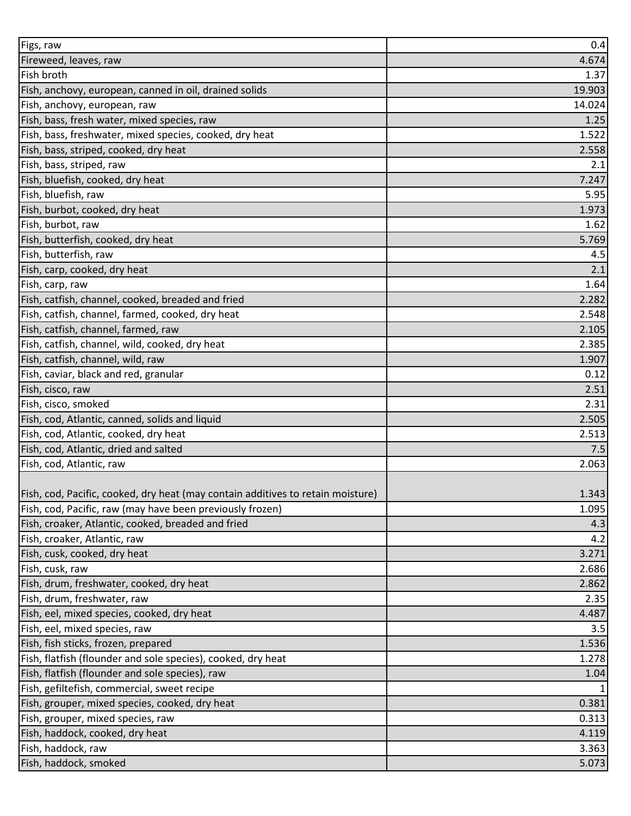| Figs, raw                                                                       | 0.4    |
|---------------------------------------------------------------------------------|--------|
| Fireweed, leaves, raw                                                           | 4.674  |
| Fish broth                                                                      | 1.37   |
| Fish, anchovy, european, canned in oil, drained solids                          | 19.903 |
| Fish, anchovy, european, raw                                                    | 14.024 |
| Fish, bass, fresh water, mixed species, raw                                     | 1.25   |
| Fish, bass, freshwater, mixed species, cooked, dry heat                         | 1.522  |
| Fish, bass, striped, cooked, dry heat                                           | 2.558  |
| Fish, bass, striped, raw                                                        | 2.1    |
| Fish, bluefish, cooked, dry heat                                                | 7.247  |
| Fish, bluefish, raw                                                             | 5.95   |
| Fish, burbot, cooked, dry heat                                                  | 1.973  |
| Fish, burbot, raw                                                               | 1.62   |
| Fish, butterfish, cooked, dry heat                                              | 5.769  |
| Fish, butterfish, raw                                                           | 4.5    |
| Fish, carp, cooked, dry heat                                                    | 2.1    |
| Fish, carp, raw                                                                 | 1.64   |
| Fish, catfish, channel, cooked, breaded and fried                               | 2.282  |
| Fish, catfish, channel, farmed, cooked, dry heat                                | 2.548  |
| Fish, catfish, channel, farmed, raw                                             | 2.105  |
| Fish, catfish, channel, wild, cooked, dry heat                                  | 2.385  |
| Fish, catfish, channel, wild, raw                                               | 1.907  |
| Fish, caviar, black and red, granular                                           | 0.12   |
| Fish, cisco, raw                                                                | 2.51   |
| Fish, cisco, smoked                                                             | 2.31   |
| Fish, cod, Atlantic, canned, solids and liquid                                  | 2.505  |
| Fish, cod, Atlantic, cooked, dry heat                                           | 2.513  |
| Fish, cod, Atlantic, dried and salted                                           | 7.5    |
| Fish, cod, Atlantic, raw                                                        | 2.063  |
|                                                                                 |        |
| Fish, cod, Pacific, cooked, dry heat (may contain additives to retain moisture) | 1.343  |
| Fish, cod, Pacific, raw (may have been previously frozen)                       | 1.095  |
| Fish, croaker, Atlantic, cooked, breaded and fried                              | 4.3    |
| Fish, croaker, Atlantic, raw                                                    | 4.2    |
| Fish, cusk, cooked, dry heat                                                    | 3.271  |
| Fish, cusk, raw                                                                 | 2.686  |
| Fish, drum, freshwater, cooked, dry heat                                        | 2.862  |
| Fish, drum, freshwater, raw                                                     | 2.35   |
| Fish, eel, mixed species, cooked, dry heat                                      | 4.487  |
| Fish, eel, mixed species, raw                                                   | 3.5    |
| Fish, fish sticks, frozen, prepared                                             | 1.536  |
| Fish, flatfish (flounder and sole species), cooked, dry heat                    | 1.278  |
| Fish, flatfish (flounder and sole species), raw                                 | 1.04   |
| Fish, gefiltefish, commercial, sweet recipe                                     |        |
| Fish, grouper, mixed species, cooked, dry heat                                  | 0.381  |
| Fish, grouper, mixed species, raw                                               | 0.313  |
| Fish, haddock, cooked, dry heat                                                 | 4.119  |
| Fish, haddock, raw                                                              | 3.363  |
| Fish, haddock, smoked                                                           | 5.073  |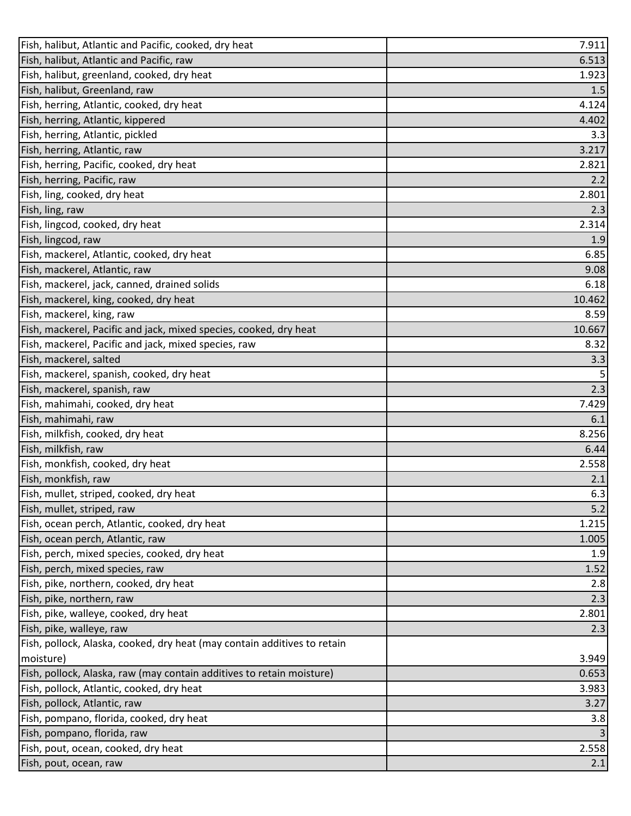| Fish, halibut, Atlantic and Pacific, cooked, dry heat                    | 7.911  |
|--------------------------------------------------------------------------|--------|
| Fish, halibut, Atlantic and Pacific, raw                                 | 6.513  |
| Fish, halibut, greenland, cooked, dry heat                               | 1.923  |
| Fish, halibut, Greenland, raw                                            | 1.5    |
| Fish, herring, Atlantic, cooked, dry heat                                | 4.124  |
| Fish, herring, Atlantic, kippered                                        | 4.402  |
| Fish, herring, Atlantic, pickled                                         | 3.3    |
| Fish, herring, Atlantic, raw                                             | 3.217  |
| Fish, herring, Pacific, cooked, dry heat                                 | 2.821  |
| Fish, herring, Pacific, raw                                              | 2.2    |
| Fish, ling, cooked, dry heat                                             | 2.801  |
| Fish, ling, raw                                                          | 2.3    |
| Fish, lingcod, cooked, dry heat                                          | 2.314  |
| Fish, lingcod, raw                                                       | 1.9    |
| Fish, mackerel, Atlantic, cooked, dry heat                               | 6.85   |
| Fish, mackerel, Atlantic, raw                                            | 9.08   |
| Fish, mackerel, jack, canned, drained solids                             | 6.18   |
| Fish, mackerel, king, cooked, dry heat                                   | 10.462 |
| Fish, mackerel, king, raw                                                | 8.59   |
| Fish, mackerel, Pacific and jack, mixed species, cooked, dry heat        | 10.667 |
| Fish, mackerel, Pacific and jack, mixed species, raw                     | 8.32   |
| Fish, mackerel, salted                                                   | 3.3    |
| Fish, mackerel, spanish, cooked, dry heat                                | 5      |
| Fish, mackerel, spanish, raw                                             | 2.3    |
| Fish, mahimahi, cooked, dry heat                                         | 7.429  |
| Fish, mahimahi, raw                                                      | 6.1    |
| Fish, milkfish, cooked, dry heat                                         | 8.256  |
| Fish, milkfish, raw                                                      | 6.44   |
| Fish, monkfish, cooked, dry heat                                         | 2.558  |
| Fish, monkfish, raw                                                      | 2.1    |
| Fish, mullet, striped, cooked, dry heat                                  | 6.3    |
| Fish, mullet, striped, raw                                               | 5.2    |
| Fish, ocean perch, Atlantic, cooked, dry heat                            | 1.215  |
| Fish, ocean perch, Atlantic, raw                                         | 1.005  |
| Fish, perch, mixed species, cooked, dry heat                             | 1.9    |
| Fish, perch, mixed species, raw                                          | 1.52   |
| Fish, pike, northern, cooked, dry heat                                   | 2.8    |
| Fish, pike, northern, raw                                                | 2.3    |
| Fish, pike, walleye, cooked, dry heat                                    | 2.801  |
| Fish, pike, walleye, raw                                                 | 2.3    |
| Fish, pollock, Alaska, cooked, dry heat (may contain additives to retain |        |
| moisture)                                                                | 3.949  |
| Fish, pollock, Alaska, raw (may contain additives to retain moisture)    | 0.653  |
| Fish, pollock, Atlantic, cooked, dry heat                                | 3.983  |
| Fish, pollock, Atlantic, raw                                             | 3.27   |
| Fish, pompano, florida, cooked, dry heat                                 | 3.8    |
| Fish, pompano, florida, raw                                              | 3      |
| Fish, pout, ocean, cooked, dry heat                                      | 2.558  |
| Fish, pout, ocean, raw                                                   | 2.1    |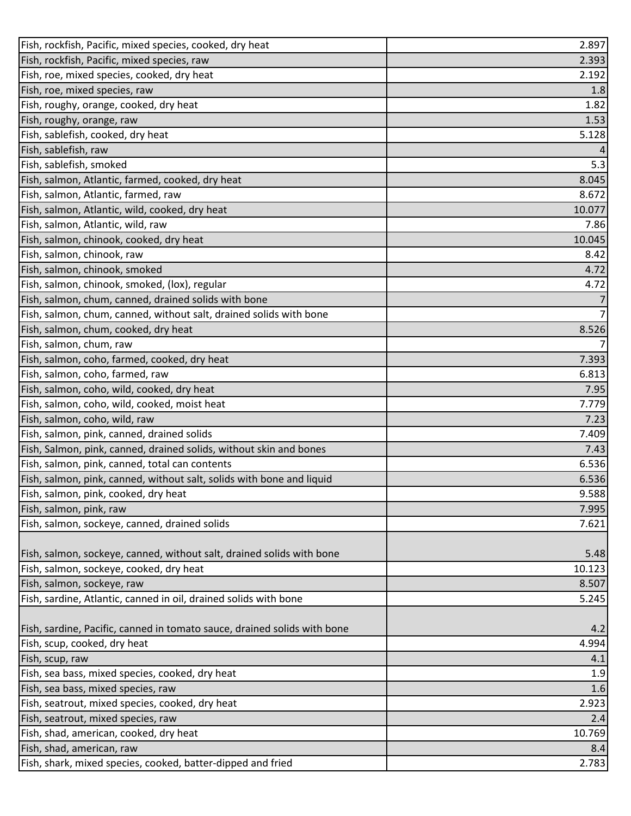| Fish, rockfish, Pacific, mixed species, cooked, dry heat                 | 2.897          |
|--------------------------------------------------------------------------|----------------|
| Fish, rockfish, Pacific, mixed species, raw                              | 2.393          |
| Fish, roe, mixed species, cooked, dry heat                               | 2.192          |
| Fish, roe, mixed species, raw                                            | 1.8            |
| Fish, roughy, orange, cooked, dry heat                                   | 1.82           |
| Fish, roughy, orange, raw                                                | 1.53           |
| Fish, sablefish, cooked, dry heat                                        | 5.128          |
| Fish, sablefish, raw                                                     | 4              |
| Fish, sablefish, smoked                                                  | 5.3            |
| Fish, salmon, Atlantic, farmed, cooked, dry heat                         | 8.045          |
| Fish, salmon, Atlantic, farmed, raw                                      | 8.672          |
| Fish, salmon, Atlantic, wild, cooked, dry heat                           | 10.077         |
| Fish, salmon, Atlantic, wild, raw                                        | 7.86           |
| Fish, salmon, chinook, cooked, dry heat                                  | 10.045         |
| Fish, salmon, chinook, raw                                               | 8.42           |
| Fish, salmon, chinook, smoked                                            | 4.72           |
| Fish, salmon, chinook, smoked, (lox), regular                            | 4.72           |
| Fish, salmon, chum, canned, drained solids with bone                     | 7              |
| Fish, salmon, chum, canned, without salt, drained solids with bone       | $\overline{7}$ |
| Fish, salmon, chum, cooked, dry heat                                     | 8.526          |
| Fish, salmon, chum, raw                                                  | $\overline{7}$ |
| Fish, salmon, coho, farmed, cooked, dry heat                             | 7.393          |
| Fish, salmon, coho, farmed, raw                                          | 6.813          |
| Fish, salmon, coho, wild, cooked, dry heat                               | 7.95           |
| Fish, salmon, coho, wild, cooked, moist heat                             | 7.779          |
| Fish, salmon, coho, wild, raw                                            | 7.23           |
| Fish, salmon, pink, canned, drained solids                               | 7.409          |
| Fish, Salmon, pink, canned, drained solids, without skin and bones       | 7.43           |
| Fish, salmon, pink, canned, total can contents                           | 6.536          |
| Fish, salmon, pink, canned, without salt, solids with bone and liquid    | 6.536          |
| Fish, salmon, pink, cooked, dry heat                                     | 9.588          |
| Fish, salmon, pink, raw                                                  | 7.995          |
| Fish, salmon, sockeye, canned, drained solids                            | 7.621          |
|                                                                          |                |
| Fish, salmon, sockeye, canned, without salt, drained solids with bone    | 5.48           |
| Fish, salmon, sockeye, cooked, dry heat                                  | 10.123         |
| Fish, salmon, sockeye, raw                                               | 8.507          |
| Fish, sardine, Atlantic, canned in oil, drained solids with bone         | 5.245          |
|                                                                          |                |
| Fish, sardine, Pacific, canned in tomato sauce, drained solids with bone | 4.2            |
| Fish, scup, cooked, dry heat                                             | 4.994          |
| Fish, scup, raw                                                          | 4.1            |
| Fish, sea bass, mixed species, cooked, dry heat                          | 1.9            |
| Fish, sea bass, mixed species, raw                                       | 1.6            |
| Fish, seatrout, mixed species, cooked, dry heat                          | 2.923          |
| Fish, seatrout, mixed species, raw                                       | 2.4            |
| Fish, shad, american, cooked, dry heat                                   | 10.769         |
| Fish, shad, american, raw                                                | 8.4            |
| Fish, shark, mixed species, cooked, batter-dipped and fried              | 2.783          |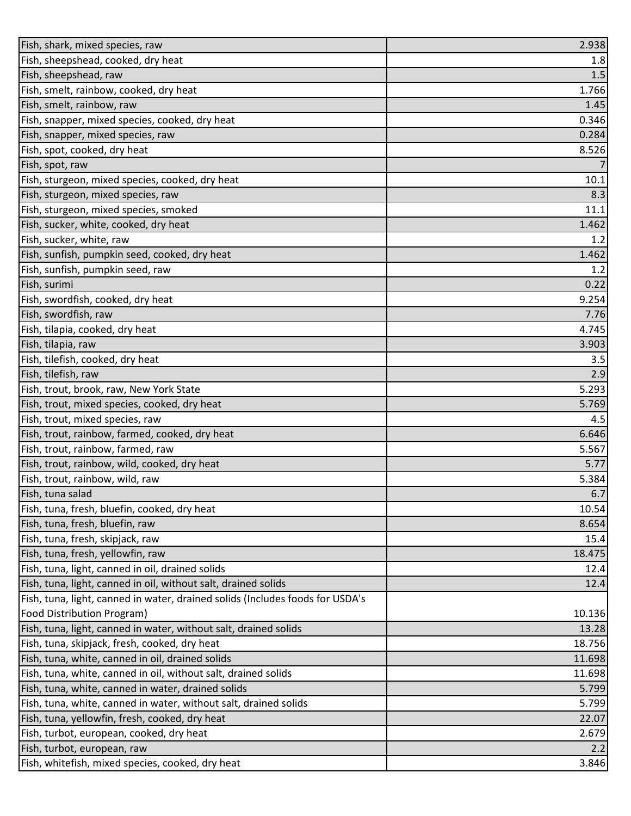| Fish, shark, mixed species, raw                                               | 2.938  |
|-------------------------------------------------------------------------------|--------|
| Fish, sheepshead, cooked, dry heat                                            | 1.8    |
| Fish, sheepshead, raw                                                         | 1.5    |
| Fish, smelt, rainbow, cooked, dry heat                                        | 1.766  |
| Fish, smelt, rainbow, raw                                                     | 1.45   |
| Fish, snapper, mixed species, cooked, dry heat                                | 0.346  |
| Fish, snapper, mixed species, raw                                             | 0.284  |
| Fish, spot, cooked, dry heat                                                  | 8.526  |
| Fish, spot, raw                                                               | 7      |
| Fish, sturgeon, mixed species, cooked, dry heat                               | 10.1   |
| Fish, sturgeon, mixed species, raw                                            | 8.3    |
| Fish, sturgeon, mixed species, smoked                                         | 11.1   |
| Fish, sucker, white, cooked, dry heat                                         | 1.462  |
| Fish, sucker, white, raw                                                      | 1.2    |
| Fish, sunfish, pumpkin seed, cooked, dry heat                                 | 1.462  |
| Fish, sunfish, pumpkin seed, raw                                              | 1.2    |
| Fish, surimi                                                                  | 0.22   |
| Fish, swordfish, cooked, dry heat                                             | 9.254  |
| Fish, swordfish, raw                                                          | 7.76   |
| Fish, tilapia, cooked, dry heat                                               | 4.745  |
| Fish, tilapia, raw                                                            | 3.903  |
| Fish, tilefish, cooked, dry heat                                              | 3.5    |
| Fish, tilefish, raw                                                           | 2.9    |
| Fish, trout, brook, raw, New York State                                       | 5.293  |
| Fish, trout, mixed species, cooked, dry heat                                  | 5.769  |
| Fish, trout, mixed species, raw                                               | 4.5    |
| Fish, trout, rainbow, farmed, cooked, dry heat                                | 6.646  |
| Fish, trout, rainbow, farmed, raw                                             | 5.567  |
| Fish, trout, rainbow, wild, cooked, dry heat                                  | 5.77   |
| Fish, trout, rainbow, wild, raw                                               | 5.384  |
| Fish, tuna salad                                                              | 6.7    |
| Fish, tuna, fresh, bluefin, cooked, dry heat                                  | 10.54  |
| Fish, tuna, fresh, bluefin, raw                                               | 8.654  |
| Fish, tuna, fresh, skipjack, raw                                              | 15.4   |
| Fish, tuna, fresh, yellowfin, raw                                             | 18.475 |
| Fish, tuna, light, canned in oil, drained solids                              | 12.4   |
| Fish, tuna, light, canned in oil, without salt, drained solids                | 12.4   |
| Fish, tuna, light, canned in water, drained solids (Includes foods for USDA's |        |
| Food Distribution Program)                                                    | 10.136 |
| Fish, tuna, light, canned in water, without salt, drained solids              | 13.28  |
| Fish, tuna, skipjack, fresh, cooked, dry heat                                 | 18.756 |
| Fish, tuna, white, canned in oil, drained solids                              | 11.698 |
| Fish, tuna, white, canned in oil, without salt, drained solids                | 11.698 |
| Fish, tuna, white, canned in water, drained solids                            | 5.799  |
| Fish, tuna, white, canned in water, without salt, drained solids              | 5.799  |
| Fish, tuna, yellowfin, fresh, cooked, dry heat                                | 22.07  |
| Fish, turbot, european, cooked, dry heat                                      | 2.679  |
| Fish, turbot, european, raw                                                   | 2.2    |
| Fish, whitefish, mixed species, cooked, dry heat                              | 3.846  |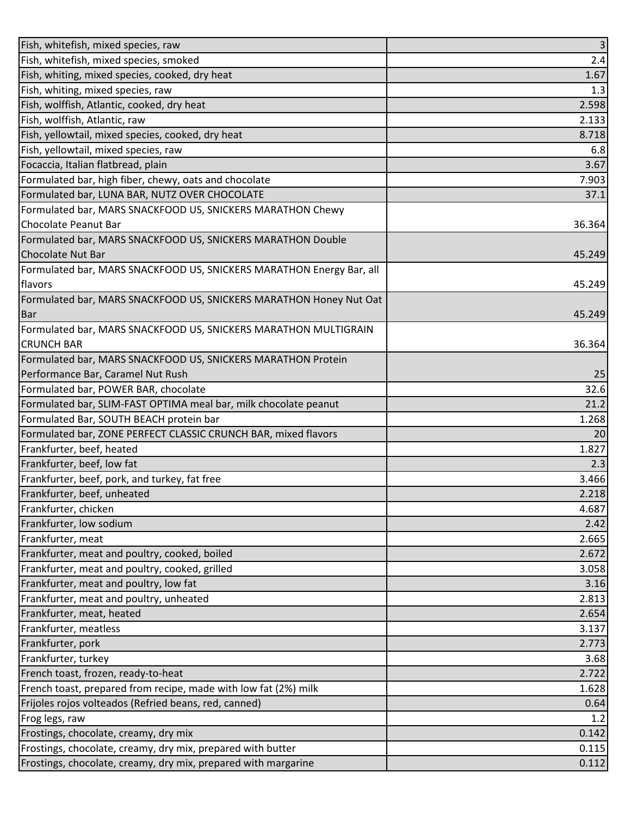| Fish, whitefish, mixed species, raw                                  | $\overline{\mathbf{3}}$ |
|----------------------------------------------------------------------|-------------------------|
| Fish, whitefish, mixed species, smoked                               | 2.4                     |
| Fish, whiting, mixed species, cooked, dry heat                       | 1.67                    |
| Fish, whiting, mixed species, raw                                    | 1.3                     |
| Fish, wolffish, Atlantic, cooked, dry heat                           | 2.598                   |
| Fish, wolffish, Atlantic, raw                                        | 2.133                   |
| Fish, yellowtail, mixed species, cooked, dry heat                    | 8.718                   |
| Fish, yellowtail, mixed species, raw                                 | 6.8                     |
| Focaccia, Italian flatbread, plain                                   | 3.67                    |
| Formulated bar, high fiber, chewy, oats and chocolate                | 7.903                   |
| Formulated bar, LUNA BAR, NUTZ OVER CHOCOLATE                        | 37.1                    |
| Formulated bar, MARS SNACKFOOD US, SNICKERS MARATHON Chewy           |                         |
| Chocolate Peanut Bar                                                 | 36.364                  |
| Formulated bar, MARS SNACKFOOD US, SNICKERS MARATHON Double          |                         |
| <b>Chocolate Nut Bar</b>                                             | 45.249                  |
| Formulated bar, MARS SNACKFOOD US, SNICKERS MARATHON Energy Bar, all |                         |
| flavors                                                              | 45.249                  |
| Formulated bar, MARS SNACKFOOD US, SNICKERS MARATHON Honey Nut Oat   |                         |
| <b>Bar</b>                                                           | 45.249                  |
| Formulated bar, MARS SNACKFOOD US, SNICKERS MARATHON MULTIGRAIN      |                         |
| <b>CRUNCH BAR</b>                                                    | 36.364                  |
| Formulated bar, MARS SNACKFOOD US, SNICKERS MARATHON Protein         |                         |
| Performance Bar, Caramel Nut Rush                                    | 25                      |
| Formulated bar, POWER BAR, chocolate                                 | 32.6                    |
| Formulated bar, SLIM-FAST OPTIMA meal bar, milk chocolate peanut     | 21.2                    |
| Formulated Bar, SOUTH BEACH protein bar                              | 1.268                   |
| Formulated bar, ZONE PERFECT CLASSIC CRUNCH BAR, mixed flavors       | 20                      |
| Frankfurter, beef, heated                                            | 1.827                   |
| Frankfurter, beef, low fat                                           | 2.3                     |
| Frankfurter, beef, pork, and turkey, fat free                        | 3.466                   |
| Frankfurter, beef, unheated                                          | 2.218                   |
| Frankfurter, chicken                                                 | 4.687                   |
| Frankfurter, low sodium                                              | 2.42                    |
| Frankfurter, meat                                                    | 2.665                   |
| Frankfurter, meat and poultry, cooked, boiled                        | 2.672                   |
| Frankfurter, meat and poultry, cooked, grilled                       | 3.058                   |
| Frankfurter, meat and poultry, low fat                               | 3.16                    |
| Frankfurter, meat and poultry, unheated                              | 2.813                   |
| Frankfurter, meat, heated                                            | 2.654                   |
| Frankfurter, meatless                                                | 3.137                   |
| Frankfurter, pork                                                    | 2.773                   |
| Frankfurter, turkey                                                  | 3.68                    |
| French toast, frozen, ready-to-heat                                  | 2.722                   |
| French toast, prepared from recipe, made with low fat (2%) milk      | 1.628                   |
| Frijoles rojos volteados (Refried beans, red, canned)                | 0.64                    |
| Frog legs, raw                                                       | 1.2                     |
| Frostings, chocolate, creamy, dry mix                                | 0.142                   |
| Frostings, chocolate, creamy, dry mix, prepared with butter          | 0.115                   |
| Frostings, chocolate, creamy, dry mix, prepared with margarine       | 0.112                   |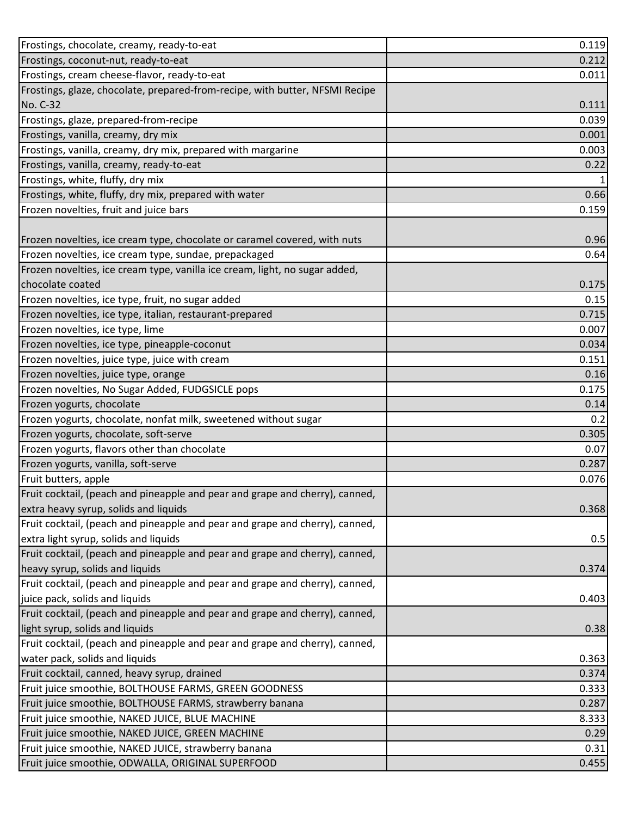| Frostings, chocolate, creamy, ready-to-eat                                   | 0.119 |
|------------------------------------------------------------------------------|-------|
| Frostings, coconut-nut, ready-to-eat                                         | 0.212 |
| Frostings, cream cheese-flavor, ready-to-eat                                 | 0.011 |
| Frostings, glaze, chocolate, prepared-from-recipe, with butter, NFSMI Recipe |       |
| No. C-32                                                                     | 0.111 |
| Frostings, glaze, prepared-from-recipe                                       | 0.039 |
| Frostings, vanilla, creamy, dry mix                                          | 0.001 |
| Frostings, vanilla, creamy, dry mix, prepared with margarine                 | 0.003 |
| Frostings, vanilla, creamy, ready-to-eat                                     | 0.22  |
| Frostings, white, fluffy, dry mix                                            |       |
| Frostings, white, fluffy, dry mix, prepared with water                       | 0.66  |
| Frozen novelties, fruit and juice bars                                       | 0.159 |
|                                                                              |       |
| Frozen novelties, ice cream type, chocolate or caramel covered, with nuts    | 0.96  |
| Frozen novelties, ice cream type, sundae, prepackaged                        | 0.64  |
| Frozen novelties, ice cream type, vanilla ice cream, light, no sugar added,  |       |
| chocolate coated                                                             | 0.175 |
| Frozen novelties, ice type, fruit, no sugar added                            | 0.15  |
| Frozen novelties, ice type, italian, restaurant-prepared                     | 0.715 |
| Frozen novelties, ice type, lime                                             | 0.007 |
| Frozen novelties, ice type, pineapple-coconut                                | 0.034 |
| Frozen novelties, juice type, juice with cream                               | 0.151 |
| Frozen novelties, juice type, orange                                         | 0.16  |
| Frozen novelties, No Sugar Added, FUDGSICLE pops                             | 0.175 |
| Frozen yogurts, chocolate                                                    | 0.14  |
| Frozen yogurts, chocolate, nonfat milk, sweetened without sugar              | 0.2   |
| Frozen yogurts, chocolate, soft-serve                                        | 0.305 |
| Frozen yogurts, flavors other than chocolate                                 | 0.07  |
| Frozen yogurts, vanilla, soft-serve                                          | 0.287 |
| Fruit butters, apple                                                         | 0.076 |
| Fruit cocktail, (peach and pineapple and pear and grape and cherry), canned, |       |
| extra heavy syrup, solids and liquids                                        | 0.368 |
| Fruit cocktail, (peach and pineapple and pear and grape and cherry), canned, |       |
| extra light syrup, solids and liquids                                        | 0.5   |
| Fruit cocktail, (peach and pineapple and pear and grape and cherry), canned, |       |
| heavy syrup, solids and liquids                                              | 0.374 |
| Fruit cocktail, (peach and pineapple and pear and grape and cherry), canned, |       |
| juice pack, solids and liquids                                               | 0.403 |
| Fruit cocktail, (peach and pineapple and pear and grape and cherry), canned, |       |
| light syrup, solids and liquids                                              | 0.38  |
| Fruit cocktail, (peach and pineapple and pear and grape and cherry), canned, |       |
| water pack, solids and liquids                                               | 0.363 |
| Fruit cocktail, canned, heavy syrup, drained                                 | 0.374 |
| Fruit juice smoothie, BOLTHOUSE FARMS, GREEN GOODNESS                        | 0.333 |
| Fruit juice smoothie, BOLTHOUSE FARMS, strawberry banana                     | 0.287 |
| Fruit juice smoothie, NAKED JUICE, BLUE MACHINE                              | 8.333 |
| Fruit juice smoothie, NAKED JUICE, GREEN MACHINE                             | 0.29  |
| Fruit juice smoothie, NAKED JUICE, strawberry banana                         | 0.31  |
| Fruit juice smoothie, ODWALLA, ORIGINAL SUPERFOOD                            | 0.455 |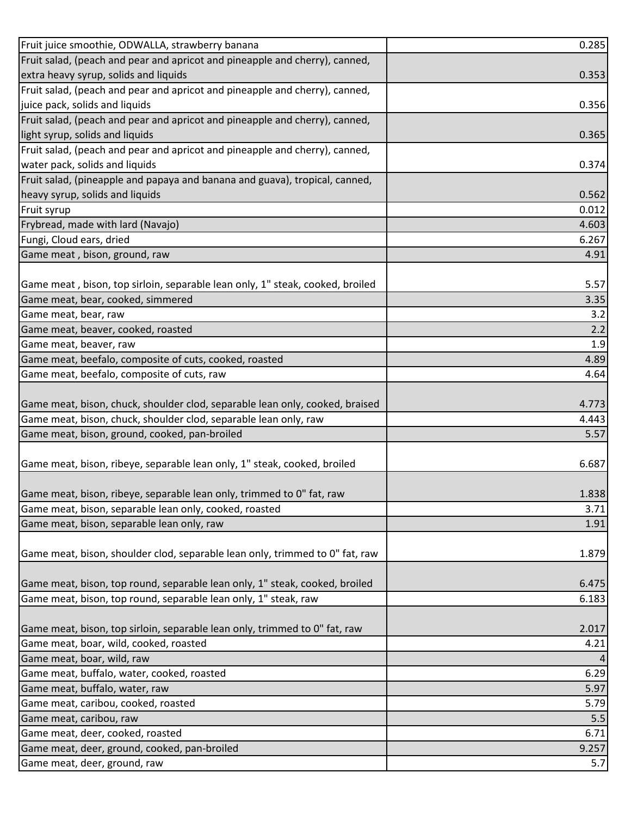| Fruit juice smoothie, ODWALLA, strawberry banana                              | 0.285 |
|-------------------------------------------------------------------------------|-------|
| Fruit salad, (peach and pear and apricot and pineapple and cherry), canned,   |       |
| extra heavy syrup, solids and liquids                                         | 0.353 |
| Fruit salad, (peach and pear and apricot and pineapple and cherry), canned,   |       |
| juice pack, solids and liquids                                                | 0.356 |
| Fruit salad, (peach and pear and apricot and pineapple and cherry), canned,   |       |
| light syrup, solids and liquids                                               | 0.365 |
| Fruit salad, (peach and pear and apricot and pineapple and cherry), canned,   |       |
| water pack, solids and liquids                                                | 0.374 |
| Fruit salad, (pineapple and papaya and banana and guava), tropical, canned,   |       |
| heavy syrup, solids and liquids                                               | 0.562 |
| Fruit syrup                                                                   | 0.012 |
| Frybread, made with lard (Navajo)                                             | 4.603 |
| Fungi, Cloud ears, dried                                                      | 6.267 |
| Game meat, bison, ground, raw                                                 | 4.91  |
|                                                                               |       |
| Game meat, bison, top sirloin, separable lean only, 1" steak, cooked, broiled | 5.57  |
| Game meat, bear, cooked, simmered                                             | 3.35  |
| Game meat, bear, raw                                                          | 3.2   |
| Game meat, beaver, cooked, roasted                                            | 2.2   |
| Game meat, beaver, raw                                                        | 1.9   |
| Game meat, beefalo, composite of cuts, cooked, roasted                        | 4.89  |
| Game meat, beefalo, composite of cuts, raw                                    | 4.64  |
|                                                                               |       |
| Game meat, bison, chuck, shoulder clod, separable lean only, cooked, braised  | 4.773 |
| Game meat, bison, chuck, shoulder clod, separable lean only, raw              | 4.443 |
| Game meat, bison, ground, cooked, pan-broiled                                 | 5.57  |
|                                                                               |       |
| Game meat, bison, ribeye, separable lean only, 1" steak, cooked, broiled      | 6.687 |
|                                                                               |       |
| Game meat, bison, ribeye, separable lean only, trimmed to 0" fat, raw         | 1.838 |
| Game meat, bison, separable lean only, cooked, roasted                        | 3.71  |
| Game meat, bison, separable lean only, raw                                    | 1.91  |
|                                                                               |       |
| Game meat, bison, shoulder clod, separable lean only, trimmed to 0" fat, raw  | 1.879 |
|                                                                               |       |
| Game meat, bison, top round, separable lean only, 1" steak, cooked, broiled   | 6.475 |
| Game meat, bison, top round, separable lean only, 1" steak, raw               | 6.183 |
|                                                                               |       |
| Game meat, bison, top sirloin, separable lean only, trimmed to 0" fat, raw    | 2.017 |
| Game meat, boar, wild, cooked, roasted                                        | 4.21  |
| Game meat, boar, wild, raw                                                    |       |
| Game meat, buffalo, water, cooked, roasted                                    | 6.29  |
| Game meat, buffalo, water, raw                                                | 5.97  |
| Game meat, caribou, cooked, roasted                                           | 5.79  |
| Game meat, caribou, raw                                                       | 5.5   |
| Game meat, deer, cooked, roasted                                              | 6.71  |
| Game meat, deer, ground, cooked, pan-broiled                                  | 9.257 |
| Game meat, deer, ground, raw                                                  | 5.7   |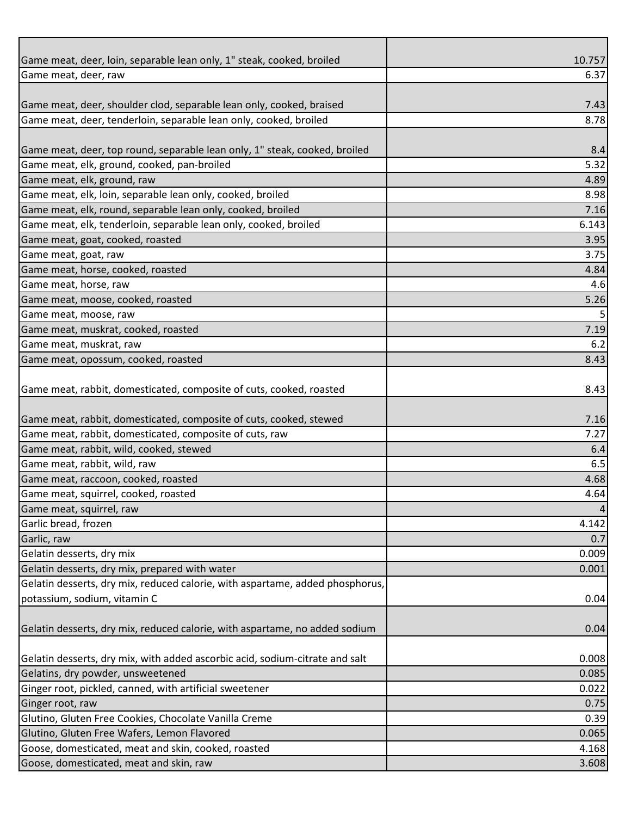| Game meat, deer, loin, separable lean only, 1" steak, cooked, broiled         | 10.757          |
|-------------------------------------------------------------------------------|-----------------|
| Game meat, deer, raw                                                          | 6.37            |
|                                                                               |                 |
| Game meat, deer, shoulder clod, separable lean only, cooked, braised          | 7.43            |
| Game meat, deer, tenderloin, separable lean only, cooked, broiled             | 8.78            |
|                                                                               |                 |
| Game meat, deer, top round, separable lean only, 1" steak, cooked, broiled    | 8.4             |
| Game meat, elk, ground, cooked, pan-broiled                                   | 5.32            |
| Game meat, elk, ground, raw                                                   | 4.89            |
| Game meat, elk, loin, separable lean only, cooked, broiled                    | 8.98            |
| Game meat, elk, round, separable lean only, cooked, broiled                   | 7.16            |
| Game meat, elk, tenderloin, separable lean only, cooked, broiled              | 6.143           |
| Game meat, goat, cooked, roasted                                              | 3.95            |
| Game meat, goat, raw                                                          | 3.75            |
| Game meat, horse, cooked, roasted                                             | 4.84            |
| Game meat, horse, raw                                                         | 4.6             |
| Game meat, moose, cooked, roasted                                             | 5.26            |
| Game meat, moose, raw                                                         | 5               |
| Game meat, muskrat, cooked, roasted                                           | 7.19            |
| Game meat, muskrat, raw                                                       | 6.2             |
| Game meat, opossum, cooked, roasted                                           | 8.43            |
|                                                                               |                 |
| Game meat, rabbit, domesticated, composite of cuts, cooked, roasted           | 8.43            |
|                                                                               |                 |
| Game meat, rabbit, domesticated, composite of cuts, cooked, stewed            | 7.16            |
| Game meat, rabbit, domesticated, composite of cuts, raw                       | 7.27            |
| Game meat, rabbit, wild, cooked, stewed                                       | 6.4             |
| Game meat, rabbit, wild, raw                                                  | 6.5             |
| Game meat, raccoon, cooked, roasted                                           | 4.68            |
| Game meat, squirrel, cooked, roasted                                          | 4.64            |
| Game meat, squirrel, raw                                                      | $\vert 4 \vert$ |
| Garlic bread, frozen                                                          | 4.142           |
| Garlic, raw                                                                   | 0.7             |
| Gelatin desserts, dry mix                                                     | 0.009           |
| Gelatin desserts, dry mix, prepared with water                                | 0.001           |
| Gelatin desserts, dry mix, reduced calorie, with aspartame, added phosphorus, |                 |
| potassium, sodium, vitamin C                                                  | 0.04            |
|                                                                               |                 |
| Gelatin desserts, dry mix, reduced calorie, with aspartame, no added sodium   | 0.04            |
|                                                                               |                 |
| Gelatin desserts, dry mix, with added ascorbic acid, sodium-citrate and salt  | 0.008           |
| Gelatins, dry powder, unsweetened                                             | 0.085           |
| Ginger root, pickled, canned, with artificial sweetener                       | 0.022           |
| Ginger root, raw                                                              | 0.75            |
| Glutino, Gluten Free Cookies, Chocolate Vanilla Creme                         | 0.39            |
| Glutino, Gluten Free Wafers, Lemon Flavored                                   | 0.065           |
| Goose, domesticated, meat and skin, cooked, roasted                           | 4.168           |
|                                                                               |                 |
| Goose, domesticated, meat and skin, raw                                       | 3.608           |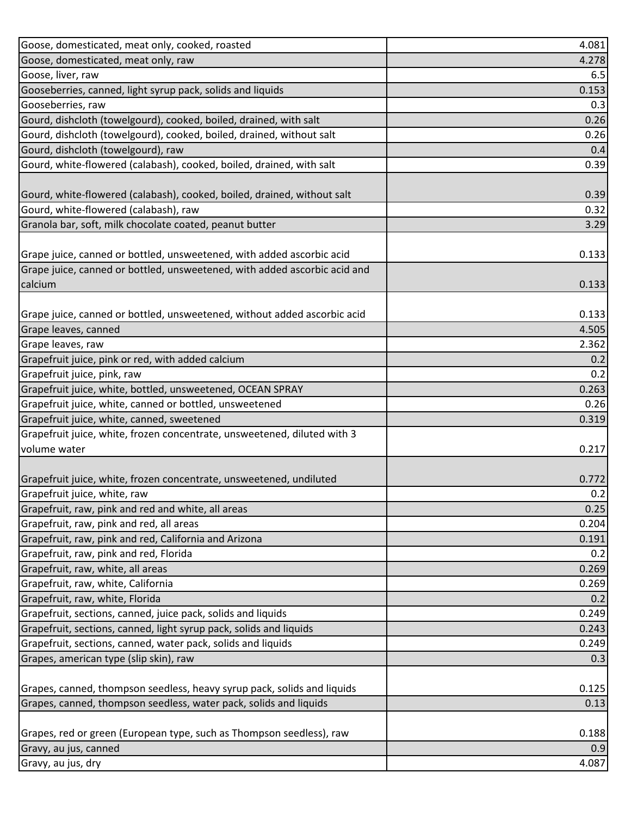| Goose, domesticated, meat only, raw<br>4.278<br>Goose, liver, raw<br>6.5<br>Gooseberries, canned, light syrup pack, solids and liquids<br>0.153<br>Gooseberries, raw<br>0.3<br>Gourd, dishcloth (towelgourd), cooked, boiled, drained, with salt<br>0.26<br>Gourd, dishcloth (towelgourd), cooked, boiled, drained, without salt<br>0.26<br>Gourd, dishcloth (towelgourd), raw<br>0.4<br>Gourd, white-flowered (calabash), cooked, boiled, drained, with salt<br>0.39<br>Gourd, white-flowered (calabash), cooked, boiled, drained, without salt<br>0.39<br>Gourd, white-flowered (calabash), raw<br>0.32<br>Granola bar, soft, milk chocolate coated, peanut butter<br>3.29<br>Grape juice, canned or bottled, unsweetened, with added ascorbic acid<br>0.133<br>Grape juice, canned or bottled, unsweetened, with added ascorbic acid and<br>calcium<br>0.133<br>Grape juice, canned or bottled, unsweetened, without added ascorbic acid<br>0.133<br>Grape leaves, canned<br>4.505<br>Grape leaves, raw<br>2.362<br>Grapefruit juice, pink or red, with added calcium<br>0.2<br>Grapefruit juice, pink, raw<br>0.2<br>Grapefruit juice, white, bottled, unsweetened, OCEAN SPRAY<br>0.263<br>Grapefruit juice, white, canned or bottled, unsweetened<br>0.26<br>Grapefruit juice, white, canned, sweetened<br>0.319<br>Grapefruit juice, white, frozen concentrate, unsweetened, diluted with 3<br>volume water<br>0.217<br>0.772<br>Grapefruit juice, white, raw<br>0.2<br>Grapefruit, raw, pink and red and white, all areas<br>0.25<br>Grapefruit, raw, pink and red, all areas<br>0.204<br>Grapefruit, raw, pink and red, California and Arizona<br>0.191<br>Grapefruit, raw, pink and red, Florida<br>0.2<br>Grapefruit, raw, white, all areas<br>0.269<br>Grapefruit, raw, white, California<br>0.269<br>Grapefruit, raw, white, Florida<br>0.2<br>Grapefruit, sections, canned, juice pack, solids and liquids<br>0.249<br>Grapefruit, sections, canned, light syrup pack, solids and liquids<br>0.243<br>Grapefruit, sections, canned, water pack, solids and liquids<br>0.249<br>Grapes, american type (slip skin), raw<br>0.3<br>Grapes, canned, thompson seedless, heavy syrup pack, solids and liquids<br>0.125<br>Grapes, canned, thompson seedless, water pack, solids and liquids<br>0.13<br>Grapes, red or green (European type, such as Thompson seedless), raw<br>0.188<br>Gravy, au jus, canned<br>0.9<br>4.087<br>Gravy, au jus, dry | Goose, domesticated, meat only, cooked, roasted                     | 4.081 |
|-------------------------------------------------------------------------------------------------------------------------------------------------------------------------------------------------------------------------------------------------------------------------------------------------------------------------------------------------------------------------------------------------------------------------------------------------------------------------------------------------------------------------------------------------------------------------------------------------------------------------------------------------------------------------------------------------------------------------------------------------------------------------------------------------------------------------------------------------------------------------------------------------------------------------------------------------------------------------------------------------------------------------------------------------------------------------------------------------------------------------------------------------------------------------------------------------------------------------------------------------------------------------------------------------------------------------------------------------------------------------------------------------------------------------------------------------------------------------------------------------------------------------------------------------------------------------------------------------------------------------------------------------------------------------------------------------------------------------------------------------------------------------------------------------------------------------------------------------------------------------------------------------------------------------------------------------------------------------------------------------------------------------------------------------------------------------------------------------------------------------------------------------------------------------------------------------------------------------------------------------------------------------------------------------------------------------------------------------------------------------------------------------------------------------------------------------------------|---------------------------------------------------------------------|-------|
|                                                                                                                                                                                                                                                                                                                                                                                                                                                                                                                                                                                                                                                                                                                                                                                                                                                                                                                                                                                                                                                                                                                                                                                                                                                                                                                                                                                                                                                                                                                                                                                                                                                                                                                                                                                                                                                                                                                                                                                                                                                                                                                                                                                                                                                                                                                                                                                                                                                             |                                                                     |       |
|                                                                                                                                                                                                                                                                                                                                                                                                                                                                                                                                                                                                                                                                                                                                                                                                                                                                                                                                                                                                                                                                                                                                                                                                                                                                                                                                                                                                                                                                                                                                                                                                                                                                                                                                                                                                                                                                                                                                                                                                                                                                                                                                                                                                                                                                                                                                                                                                                                                             |                                                                     |       |
|                                                                                                                                                                                                                                                                                                                                                                                                                                                                                                                                                                                                                                                                                                                                                                                                                                                                                                                                                                                                                                                                                                                                                                                                                                                                                                                                                                                                                                                                                                                                                                                                                                                                                                                                                                                                                                                                                                                                                                                                                                                                                                                                                                                                                                                                                                                                                                                                                                                             |                                                                     |       |
|                                                                                                                                                                                                                                                                                                                                                                                                                                                                                                                                                                                                                                                                                                                                                                                                                                                                                                                                                                                                                                                                                                                                                                                                                                                                                                                                                                                                                                                                                                                                                                                                                                                                                                                                                                                                                                                                                                                                                                                                                                                                                                                                                                                                                                                                                                                                                                                                                                                             |                                                                     |       |
|                                                                                                                                                                                                                                                                                                                                                                                                                                                                                                                                                                                                                                                                                                                                                                                                                                                                                                                                                                                                                                                                                                                                                                                                                                                                                                                                                                                                                                                                                                                                                                                                                                                                                                                                                                                                                                                                                                                                                                                                                                                                                                                                                                                                                                                                                                                                                                                                                                                             |                                                                     |       |
|                                                                                                                                                                                                                                                                                                                                                                                                                                                                                                                                                                                                                                                                                                                                                                                                                                                                                                                                                                                                                                                                                                                                                                                                                                                                                                                                                                                                                                                                                                                                                                                                                                                                                                                                                                                                                                                                                                                                                                                                                                                                                                                                                                                                                                                                                                                                                                                                                                                             |                                                                     |       |
|                                                                                                                                                                                                                                                                                                                                                                                                                                                                                                                                                                                                                                                                                                                                                                                                                                                                                                                                                                                                                                                                                                                                                                                                                                                                                                                                                                                                                                                                                                                                                                                                                                                                                                                                                                                                                                                                                                                                                                                                                                                                                                                                                                                                                                                                                                                                                                                                                                                             |                                                                     |       |
|                                                                                                                                                                                                                                                                                                                                                                                                                                                                                                                                                                                                                                                                                                                                                                                                                                                                                                                                                                                                                                                                                                                                                                                                                                                                                                                                                                                                                                                                                                                                                                                                                                                                                                                                                                                                                                                                                                                                                                                                                                                                                                                                                                                                                                                                                                                                                                                                                                                             |                                                                     |       |
|                                                                                                                                                                                                                                                                                                                                                                                                                                                                                                                                                                                                                                                                                                                                                                                                                                                                                                                                                                                                                                                                                                                                                                                                                                                                                                                                                                                                                                                                                                                                                                                                                                                                                                                                                                                                                                                                                                                                                                                                                                                                                                                                                                                                                                                                                                                                                                                                                                                             |                                                                     |       |
|                                                                                                                                                                                                                                                                                                                                                                                                                                                                                                                                                                                                                                                                                                                                                                                                                                                                                                                                                                                                                                                                                                                                                                                                                                                                                                                                                                                                                                                                                                                                                                                                                                                                                                                                                                                                                                                                                                                                                                                                                                                                                                                                                                                                                                                                                                                                                                                                                                                             |                                                                     |       |
|                                                                                                                                                                                                                                                                                                                                                                                                                                                                                                                                                                                                                                                                                                                                                                                                                                                                                                                                                                                                                                                                                                                                                                                                                                                                                                                                                                                                                                                                                                                                                                                                                                                                                                                                                                                                                                                                                                                                                                                                                                                                                                                                                                                                                                                                                                                                                                                                                                                             |                                                                     |       |
|                                                                                                                                                                                                                                                                                                                                                                                                                                                                                                                                                                                                                                                                                                                                                                                                                                                                                                                                                                                                                                                                                                                                                                                                                                                                                                                                                                                                                                                                                                                                                                                                                                                                                                                                                                                                                                                                                                                                                                                                                                                                                                                                                                                                                                                                                                                                                                                                                                                             |                                                                     |       |
|                                                                                                                                                                                                                                                                                                                                                                                                                                                                                                                                                                                                                                                                                                                                                                                                                                                                                                                                                                                                                                                                                                                                                                                                                                                                                                                                                                                                                                                                                                                                                                                                                                                                                                                                                                                                                                                                                                                                                                                                                                                                                                                                                                                                                                                                                                                                                                                                                                                             |                                                                     |       |
|                                                                                                                                                                                                                                                                                                                                                                                                                                                                                                                                                                                                                                                                                                                                                                                                                                                                                                                                                                                                                                                                                                                                                                                                                                                                                                                                                                                                                                                                                                                                                                                                                                                                                                                                                                                                                                                                                                                                                                                                                                                                                                                                                                                                                                                                                                                                                                                                                                                             |                                                                     |       |
|                                                                                                                                                                                                                                                                                                                                                                                                                                                                                                                                                                                                                                                                                                                                                                                                                                                                                                                                                                                                                                                                                                                                                                                                                                                                                                                                                                                                                                                                                                                                                                                                                                                                                                                                                                                                                                                                                                                                                                                                                                                                                                                                                                                                                                                                                                                                                                                                                                                             |                                                                     |       |
|                                                                                                                                                                                                                                                                                                                                                                                                                                                                                                                                                                                                                                                                                                                                                                                                                                                                                                                                                                                                                                                                                                                                                                                                                                                                                                                                                                                                                                                                                                                                                                                                                                                                                                                                                                                                                                                                                                                                                                                                                                                                                                                                                                                                                                                                                                                                                                                                                                                             |                                                                     |       |
|                                                                                                                                                                                                                                                                                                                                                                                                                                                                                                                                                                                                                                                                                                                                                                                                                                                                                                                                                                                                                                                                                                                                                                                                                                                                                                                                                                                                                                                                                                                                                                                                                                                                                                                                                                                                                                                                                                                                                                                                                                                                                                                                                                                                                                                                                                                                                                                                                                                             |                                                                     |       |
|                                                                                                                                                                                                                                                                                                                                                                                                                                                                                                                                                                                                                                                                                                                                                                                                                                                                                                                                                                                                                                                                                                                                                                                                                                                                                                                                                                                                                                                                                                                                                                                                                                                                                                                                                                                                                                                                                                                                                                                                                                                                                                                                                                                                                                                                                                                                                                                                                                                             |                                                                     |       |
|                                                                                                                                                                                                                                                                                                                                                                                                                                                                                                                                                                                                                                                                                                                                                                                                                                                                                                                                                                                                                                                                                                                                                                                                                                                                                                                                                                                                                                                                                                                                                                                                                                                                                                                                                                                                                                                                                                                                                                                                                                                                                                                                                                                                                                                                                                                                                                                                                                                             |                                                                     |       |
|                                                                                                                                                                                                                                                                                                                                                                                                                                                                                                                                                                                                                                                                                                                                                                                                                                                                                                                                                                                                                                                                                                                                                                                                                                                                                                                                                                                                                                                                                                                                                                                                                                                                                                                                                                                                                                                                                                                                                                                                                                                                                                                                                                                                                                                                                                                                                                                                                                                             |                                                                     |       |
|                                                                                                                                                                                                                                                                                                                                                                                                                                                                                                                                                                                                                                                                                                                                                                                                                                                                                                                                                                                                                                                                                                                                                                                                                                                                                                                                                                                                                                                                                                                                                                                                                                                                                                                                                                                                                                                                                                                                                                                                                                                                                                                                                                                                                                                                                                                                                                                                                                                             |                                                                     |       |
|                                                                                                                                                                                                                                                                                                                                                                                                                                                                                                                                                                                                                                                                                                                                                                                                                                                                                                                                                                                                                                                                                                                                                                                                                                                                                                                                                                                                                                                                                                                                                                                                                                                                                                                                                                                                                                                                                                                                                                                                                                                                                                                                                                                                                                                                                                                                                                                                                                                             |                                                                     |       |
|                                                                                                                                                                                                                                                                                                                                                                                                                                                                                                                                                                                                                                                                                                                                                                                                                                                                                                                                                                                                                                                                                                                                                                                                                                                                                                                                                                                                                                                                                                                                                                                                                                                                                                                                                                                                                                                                                                                                                                                                                                                                                                                                                                                                                                                                                                                                                                                                                                                             |                                                                     |       |
|                                                                                                                                                                                                                                                                                                                                                                                                                                                                                                                                                                                                                                                                                                                                                                                                                                                                                                                                                                                                                                                                                                                                                                                                                                                                                                                                                                                                                                                                                                                                                                                                                                                                                                                                                                                                                                                                                                                                                                                                                                                                                                                                                                                                                                                                                                                                                                                                                                                             |                                                                     |       |
|                                                                                                                                                                                                                                                                                                                                                                                                                                                                                                                                                                                                                                                                                                                                                                                                                                                                                                                                                                                                                                                                                                                                                                                                                                                                                                                                                                                                                                                                                                                                                                                                                                                                                                                                                                                                                                                                                                                                                                                                                                                                                                                                                                                                                                                                                                                                                                                                                                                             |                                                                     |       |
|                                                                                                                                                                                                                                                                                                                                                                                                                                                                                                                                                                                                                                                                                                                                                                                                                                                                                                                                                                                                                                                                                                                                                                                                                                                                                                                                                                                                                                                                                                                                                                                                                                                                                                                                                                                                                                                                                                                                                                                                                                                                                                                                                                                                                                                                                                                                                                                                                                                             |                                                                     |       |
|                                                                                                                                                                                                                                                                                                                                                                                                                                                                                                                                                                                                                                                                                                                                                                                                                                                                                                                                                                                                                                                                                                                                                                                                                                                                                                                                                                                                                                                                                                                                                                                                                                                                                                                                                                                                                                                                                                                                                                                                                                                                                                                                                                                                                                                                                                                                                                                                                                                             |                                                                     |       |
|                                                                                                                                                                                                                                                                                                                                                                                                                                                                                                                                                                                                                                                                                                                                                                                                                                                                                                                                                                                                                                                                                                                                                                                                                                                                                                                                                                                                                                                                                                                                                                                                                                                                                                                                                                                                                                                                                                                                                                                                                                                                                                                                                                                                                                                                                                                                                                                                                                                             |                                                                     |       |
|                                                                                                                                                                                                                                                                                                                                                                                                                                                                                                                                                                                                                                                                                                                                                                                                                                                                                                                                                                                                                                                                                                                                                                                                                                                                                                                                                                                                                                                                                                                                                                                                                                                                                                                                                                                                                                                                                                                                                                                                                                                                                                                                                                                                                                                                                                                                                                                                                                                             | Grapefruit juice, white, frozen concentrate, unsweetened, undiluted |       |
|                                                                                                                                                                                                                                                                                                                                                                                                                                                                                                                                                                                                                                                                                                                                                                                                                                                                                                                                                                                                                                                                                                                                                                                                                                                                                                                                                                                                                                                                                                                                                                                                                                                                                                                                                                                                                                                                                                                                                                                                                                                                                                                                                                                                                                                                                                                                                                                                                                                             |                                                                     |       |
|                                                                                                                                                                                                                                                                                                                                                                                                                                                                                                                                                                                                                                                                                                                                                                                                                                                                                                                                                                                                                                                                                                                                                                                                                                                                                                                                                                                                                                                                                                                                                                                                                                                                                                                                                                                                                                                                                                                                                                                                                                                                                                                                                                                                                                                                                                                                                                                                                                                             |                                                                     |       |
|                                                                                                                                                                                                                                                                                                                                                                                                                                                                                                                                                                                                                                                                                                                                                                                                                                                                                                                                                                                                                                                                                                                                                                                                                                                                                                                                                                                                                                                                                                                                                                                                                                                                                                                                                                                                                                                                                                                                                                                                                                                                                                                                                                                                                                                                                                                                                                                                                                                             |                                                                     |       |
|                                                                                                                                                                                                                                                                                                                                                                                                                                                                                                                                                                                                                                                                                                                                                                                                                                                                                                                                                                                                                                                                                                                                                                                                                                                                                                                                                                                                                                                                                                                                                                                                                                                                                                                                                                                                                                                                                                                                                                                                                                                                                                                                                                                                                                                                                                                                                                                                                                                             |                                                                     |       |
|                                                                                                                                                                                                                                                                                                                                                                                                                                                                                                                                                                                                                                                                                                                                                                                                                                                                                                                                                                                                                                                                                                                                                                                                                                                                                                                                                                                                                                                                                                                                                                                                                                                                                                                                                                                                                                                                                                                                                                                                                                                                                                                                                                                                                                                                                                                                                                                                                                                             |                                                                     |       |
|                                                                                                                                                                                                                                                                                                                                                                                                                                                                                                                                                                                                                                                                                                                                                                                                                                                                                                                                                                                                                                                                                                                                                                                                                                                                                                                                                                                                                                                                                                                                                                                                                                                                                                                                                                                                                                                                                                                                                                                                                                                                                                                                                                                                                                                                                                                                                                                                                                                             |                                                                     |       |
|                                                                                                                                                                                                                                                                                                                                                                                                                                                                                                                                                                                                                                                                                                                                                                                                                                                                                                                                                                                                                                                                                                                                                                                                                                                                                                                                                                                                                                                                                                                                                                                                                                                                                                                                                                                                                                                                                                                                                                                                                                                                                                                                                                                                                                                                                                                                                                                                                                                             |                                                                     |       |
|                                                                                                                                                                                                                                                                                                                                                                                                                                                                                                                                                                                                                                                                                                                                                                                                                                                                                                                                                                                                                                                                                                                                                                                                                                                                                                                                                                                                                                                                                                                                                                                                                                                                                                                                                                                                                                                                                                                                                                                                                                                                                                                                                                                                                                                                                                                                                                                                                                                             |                                                                     |       |
|                                                                                                                                                                                                                                                                                                                                                                                                                                                                                                                                                                                                                                                                                                                                                                                                                                                                                                                                                                                                                                                                                                                                                                                                                                                                                                                                                                                                                                                                                                                                                                                                                                                                                                                                                                                                                                                                                                                                                                                                                                                                                                                                                                                                                                                                                                                                                                                                                                                             |                                                                     |       |
|                                                                                                                                                                                                                                                                                                                                                                                                                                                                                                                                                                                                                                                                                                                                                                                                                                                                                                                                                                                                                                                                                                                                                                                                                                                                                                                                                                                                                                                                                                                                                                                                                                                                                                                                                                                                                                                                                                                                                                                                                                                                                                                                                                                                                                                                                                                                                                                                                                                             |                                                                     |       |
|                                                                                                                                                                                                                                                                                                                                                                                                                                                                                                                                                                                                                                                                                                                                                                                                                                                                                                                                                                                                                                                                                                                                                                                                                                                                                                                                                                                                                                                                                                                                                                                                                                                                                                                                                                                                                                                                                                                                                                                                                                                                                                                                                                                                                                                                                                                                                                                                                                                             |                                                                     |       |
|                                                                                                                                                                                                                                                                                                                                                                                                                                                                                                                                                                                                                                                                                                                                                                                                                                                                                                                                                                                                                                                                                                                                                                                                                                                                                                                                                                                                                                                                                                                                                                                                                                                                                                                                                                                                                                                                                                                                                                                                                                                                                                                                                                                                                                                                                                                                                                                                                                                             |                                                                     |       |
|                                                                                                                                                                                                                                                                                                                                                                                                                                                                                                                                                                                                                                                                                                                                                                                                                                                                                                                                                                                                                                                                                                                                                                                                                                                                                                                                                                                                                                                                                                                                                                                                                                                                                                                                                                                                                                                                                                                                                                                                                                                                                                                                                                                                                                                                                                                                                                                                                                                             |                                                                     |       |
|                                                                                                                                                                                                                                                                                                                                                                                                                                                                                                                                                                                                                                                                                                                                                                                                                                                                                                                                                                                                                                                                                                                                                                                                                                                                                                                                                                                                                                                                                                                                                                                                                                                                                                                                                                                                                                                                                                                                                                                                                                                                                                                                                                                                                                                                                                                                                                                                                                                             |                                                                     |       |
|                                                                                                                                                                                                                                                                                                                                                                                                                                                                                                                                                                                                                                                                                                                                                                                                                                                                                                                                                                                                                                                                                                                                                                                                                                                                                                                                                                                                                                                                                                                                                                                                                                                                                                                                                                                                                                                                                                                                                                                                                                                                                                                                                                                                                                                                                                                                                                                                                                                             |                                                                     |       |
|                                                                                                                                                                                                                                                                                                                                                                                                                                                                                                                                                                                                                                                                                                                                                                                                                                                                                                                                                                                                                                                                                                                                                                                                                                                                                                                                                                                                                                                                                                                                                                                                                                                                                                                                                                                                                                                                                                                                                                                                                                                                                                                                                                                                                                                                                                                                                                                                                                                             |                                                                     |       |
|                                                                                                                                                                                                                                                                                                                                                                                                                                                                                                                                                                                                                                                                                                                                                                                                                                                                                                                                                                                                                                                                                                                                                                                                                                                                                                                                                                                                                                                                                                                                                                                                                                                                                                                                                                                                                                                                                                                                                                                                                                                                                                                                                                                                                                                                                                                                                                                                                                                             |                                                                     |       |
|                                                                                                                                                                                                                                                                                                                                                                                                                                                                                                                                                                                                                                                                                                                                                                                                                                                                                                                                                                                                                                                                                                                                                                                                                                                                                                                                                                                                                                                                                                                                                                                                                                                                                                                                                                                                                                                                                                                                                                                                                                                                                                                                                                                                                                                                                                                                                                                                                                                             |                                                                     |       |
|                                                                                                                                                                                                                                                                                                                                                                                                                                                                                                                                                                                                                                                                                                                                                                                                                                                                                                                                                                                                                                                                                                                                                                                                                                                                                                                                                                                                                                                                                                                                                                                                                                                                                                                                                                                                                                                                                                                                                                                                                                                                                                                                                                                                                                                                                                                                                                                                                                                             |                                                                     |       |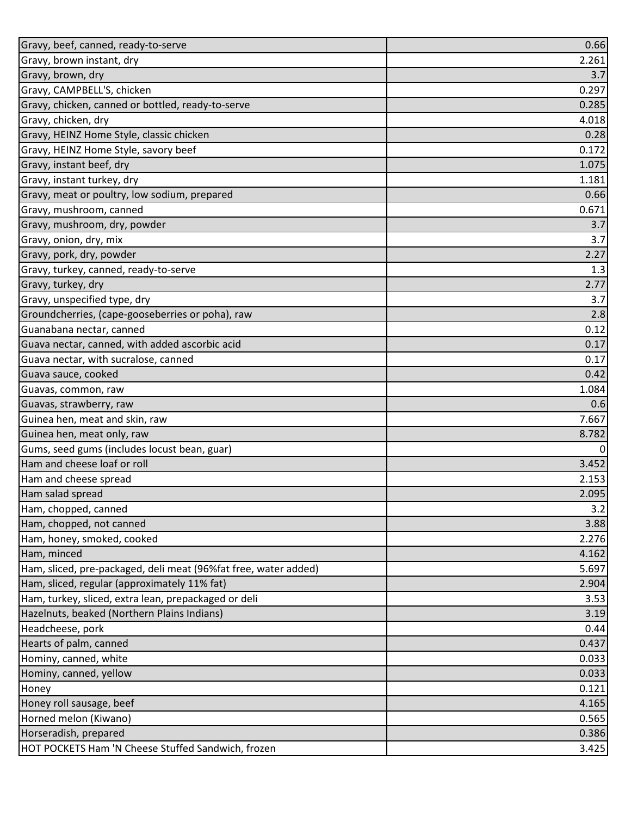| Gravy, beef, canned, ready-to-serve                             | 0.66           |
|-----------------------------------------------------------------|----------------|
| Gravy, brown instant, dry                                       | 2.261          |
| Gravy, brown, dry                                               | 3.7            |
| Gravy, CAMPBELL'S, chicken                                      | 0.297          |
| Gravy, chicken, canned or bottled, ready-to-serve               | 0.285          |
| Gravy, chicken, dry                                             | 4.018          |
| Gravy, HEINZ Home Style, classic chicken                        | 0.28           |
| Gravy, HEINZ Home Style, savory beef                            | 0.172          |
| Gravy, instant beef, dry                                        | 1.075          |
| Gravy, instant turkey, dry                                      | 1.181          |
| Gravy, meat or poultry, low sodium, prepared                    | 0.66           |
| Gravy, mushroom, canned                                         | 0.671          |
| Gravy, mushroom, dry, powder                                    | 3.7            |
| Gravy, onion, dry, mix                                          | 3.7            |
| Gravy, pork, dry, powder                                        | 2.27           |
| Gravy, turkey, canned, ready-to-serve                           | 1.3            |
| Gravy, turkey, dry                                              | 2.77           |
| Gravy, unspecified type, dry                                    | 3.7            |
| Groundcherries, (cape-gooseberries or poha), raw                | 2.8            |
| Guanabana nectar, canned                                        | 0.12           |
| Guava nectar, canned, with added ascorbic acid                  | 0.17           |
| Guava nectar, with sucralose, canned                            | 0.17           |
| Guava sauce, cooked                                             | 0.42           |
| Guavas, common, raw                                             | 1.084          |
| Guavas, strawberry, raw                                         | 0.6            |
| Guinea hen, meat and skin, raw                                  | 7.667          |
| Guinea hen, meat only, raw                                      | 8.782          |
| Gums, seed gums (includes locust bean, guar)                    | $\overline{0}$ |
| Ham and cheese loaf or roll                                     | 3.452          |
| Ham and cheese spread                                           | 2.153          |
| Ham salad spread                                                | 2.095          |
| Ham, chopped, canned                                            | 3.2            |
| Ham, chopped, not canned                                        | 3.88           |
| Ham, honey, smoked, cooked                                      | 2.276          |
| Ham, minced                                                     | 4.162          |
| Ham, sliced, pre-packaged, deli meat (96%fat free, water added) | 5.697          |
| Ham, sliced, regular (approximately 11% fat)                    | 2.904          |
| Ham, turkey, sliced, extra lean, prepackaged or deli            | 3.53           |
| Hazelnuts, beaked (Northern Plains Indians)                     | 3.19           |
| Headcheese, pork                                                | 0.44           |
| Hearts of palm, canned                                          | 0.437          |
| Hominy, canned, white                                           | 0.033          |
| Hominy, canned, yellow                                          | 0.033          |
| Honey                                                           | 0.121          |
| Honey roll sausage, beef                                        | 4.165          |
| Horned melon (Kiwano)                                           | 0.565          |
| Horseradish, prepared                                           | 0.386          |
| HOT POCKETS Ham 'N Cheese Stuffed Sandwich, frozen              | 3.425          |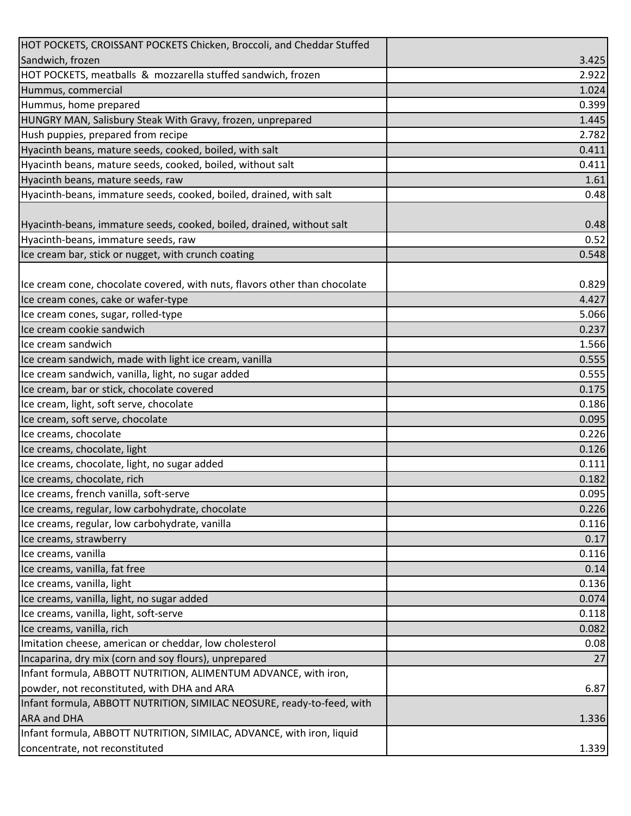| HOT POCKETS, CROISSANT POCKETS Chicken, Broccoli, and Cheddar Stuffed      |       |
|----------------------------------------------------------------------------|-------|
| Sandwich, frozen                                                           | 3.425 |
| HOT POCKETS, meatballs & mozzarella stuffed sandwich, frozen               | 2.922 |
| Hummus, commercial                                                         | 1.024 |
| Hummus, home prepared                                                      | 0.399 |
| HUNGRY MAN, Salisbury Steak With Gravy, frozen, unprepared                 | 1.445 |
| Hush puppies, prepared from recipe                                         | 2.782 |
| Hyacinth beans, mature seeds, cooked, boiled, with salt                    | 0.411 |
| Hyacinth beans, mature seeds, cooked, boiled, without salt                 | 0.411 |
| Hyacinth beans, mature seeds, raw                                          | 1.61  |
| Hyacinth-beans, immature seeds, cooked, boiled, drained, with salt         | 0.48  |
|                                                                            |       |
| Hyacinth-beans, immature seeds, cooked, boiled, drained, without salt      | 0.48  |
| Hyacinth-beans, immature seeds, raw                                        | 0.52  |
| Ice cream bar, stick or nugget, with crunch coating                        | 0.548 |
|                                                                            |       |
| Ice cream cone, chocolate covered, with nuts, flavors other than chocolate | 0.829 |
| Ice cream cones, cake or wafer-type                                        | 4.427 |
| Ice cream cones, sugar, rolled-type                                        | 5.066 |
| Ice cream cookie sandwich                                                  | 0.237 |
| Ice cream sandwich                                                         | 1.566 |
| Ice cream sandwich, made with light ice cream, vanilla                     | 0.555 |
| Ice cream sandwich, vanilla, light, no sugar added                         | 0.555 |
| Ice cream, bar or stick, chocolate covered                                 | 0.175 |
| Ice cream, light, soft serve, chocolate                                    | 0.186 |
| Ice cream, soft serve, chocolate                                           | 0.095 |
| Ice creams, chocolate                                                      | 0.226 |
| Ice creams, chocolate, light                                               | 0.126 |
| Ice creams, chocolate, light, no sugar added                               | 0.111 |
| Ice creams, chocolate, rich                                                | 0.182 |
| Ice creams, french vanilla, soft-serve                                     | 0.095 |
| Ice creams, regular, low carbohydrate, chocolate                           | 0.226 |
| Ice creams, regular, low carbohydrate, vanilla                             | 0.116 |
| Ice creams, strawberry                                                     | 0.17  |
| Ice creams, vanilla                                                        | 0.116 |
| Ice creams, vanilla, fat free                                              | 0.14  |
| Ice creams, vanilla, light                                                 | 0.136 |
| Ice creams, vanilla, light, no sugar added                                 | 0.074 |
| Ice creams, vanilla, light, soft-serve                                     | 0.118 |
| Ice creams, vanilla, rich                                                  | 0.082 |
| Imitation cheese, american or cheddar, low cholesterol                     | 0.08  |
| Incaparina, dry mix (corn and soy flours), unprepared                      | 27    |
| Infant formula, ABBOTT NUTRITION, ALIMENTUM ADVANCE, with iron,            |       |
| powder, not reconstituted, with DHA and ARA                                | 6.87  |
| Infant formula, ABBOTT NUTRITION, SIMILAC NEOSURE, ready-to-feed, with     |       |
| <b>ARA and DHA</b>                                                         | 1.336 |
| Infant formula, ABBOTT NUTRITION, SIMILAC, ADVANCE, with iron, liquid      |       |
| concentrate, not reconstituted                                             | 1.339 |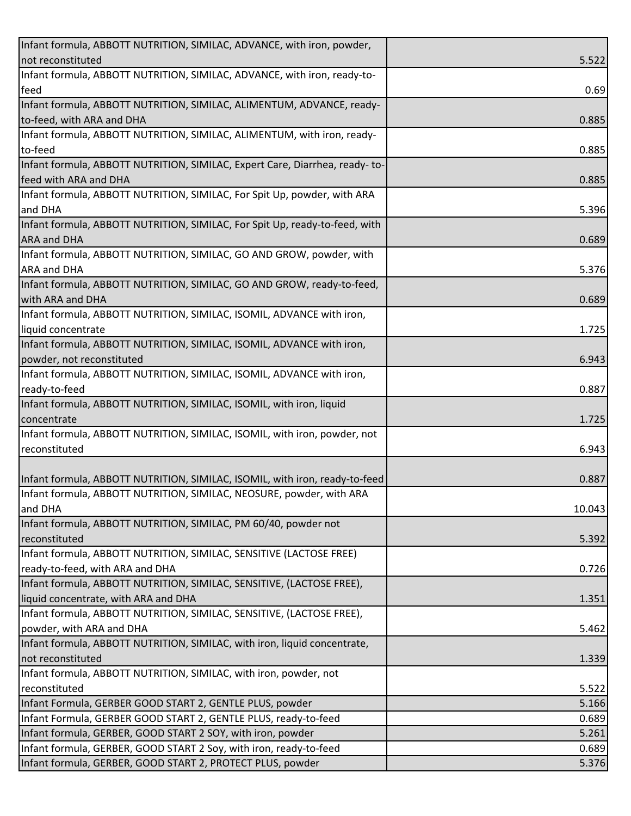| Infant formula, ABBOTT NUTRITION, SIMILAC, ADVANCE, with iron, powder,      |        |
|-----------------------------------------------------------------------------|--------|
| not reconstituted                                                           | 5.522  |
| Infant formula, ABBOTT NUTRITION, SIMILAC, ADVANCE, with iron, ready-to-    |        |
| feed                                                                        | 0.69   |
| Infant formula, ABBOTT NUTRITION, SIMILAC, ALIMENTUM, ADVANCE, ready-       |        |
| to-feed, with ARA and DHA                                                   | 0.885  |
| Infant formula, ABBOTT NUTRITION, SIMILAC, ALIMENTUM, with iron, ready-     |        |
| to-feed                                                                     | 0.885  |
| Infant formula, ABBOTT NUTRITION, SIMILAC, Expert Care, Diarrhea, ready-to- |        |
| feed with ARA and DHA                                                       | 0.885  |
| Infant formula, ABBOTT NUTRITION, SIMILAC, For Spit Up, powder, with ARA    |        |
| and DHA                                                                     | 5.396  |
| Infant formula, ABBOTT NUTRITION, SIMILAC, For Spit Up, ready-to-feed, with |        |
| <b>ARA and DHA</b>                                                          | 0.689  |
| Infant formula, ABBOTT NUTRITION, SIMILAC, GO AND GROW, powder, with        |        |
| <b>ARA and DHA</b>                                                          | 5.376  |
| Infant formula, ABBOTT NUTRITION, SIMILAC, GO AND GROW, ready-to-feed,      |        |
| with ARA and DHA                                                            | 0.689  |
| Infant formula, ABBOTT NUTRITION, SIMILAC, ISOMIL, ADVANCE with iron,       |        |
| liquid concentrate                                                          | 1.725  |
| Infant formula, ABBOTT NUTRITION, SIMILAC, ISOMIL, ADVANCE with iron,       |        |
| powder, not reconstituted                                                   | 6.943  |
| Infant formula, ABBOTT NUTRITION, SIMILAC, ISOMIL, ADVANCE with iron,       |        |
| ready-to-feed                                                               | 0.887  |
| Infant formula, ABBOTT NUTRITION, SIMILAC, ISOMIL, with iron, liquid        |        |
| concentrate                                                                 | 1.725  |
| Infant formula, ABBOTT NUTRITION, SIMILAC, ISOMIL, with iron, powder, not   |        |
| reconstituted                                                               | 6.943  |
|                                                                             |        |
| Infant formula, ABBOTT NUTRITION, SIMILAC, ISOMIL, with iron, ready-to-feed | 0.887  |
| Infant formula, ABBOTT NUTRITION, SIMILAC, NEOSURE, powder, with ARA        |        |
| and DHA                                                                     | 10.043 |
| Infant formula, ABBOTT NUTRITION, SIMILAC, PM 60/40, powder not             |        |
| reconstituted                                                               | 5.392  |
| Infant formula, ABBOTT NUTRITION, SIMILAC, SENSITIVE (LACTOSE FREE)         |        |
| ready-to-feed, with ARA and DHA                                             | 0.726  |
| Infant formula, ABBOTT NUTRITION, SIMILAC, SENSITIVE, (LACTOSE FREE),       |        |
| liquid concentrate, with ARA and DHA                                        | 1.351  |
| Infant formula, ABBOTT NUTRITION, SIMILAC, SENSITIVE, (LACTOSE FREE),       |        |
| powder, with ARA and DHA                                                    | 5.462  |
| Infant formula, ABBOTT NUTRITION, SIMILAC, with iron, liquid concentrate,   |        |
| not reconstituted                                                           | 1.339  |
| Infant formula, ABBOTT NUTRITION, SIMILAC, with iron, powder, not           |        |
| reconstituted                                                               | 5.522  |
| Infant Formula, GERBER GOOD START 2, GENTLE PLUS, powder                    | 5.166  |
| Infant Formula, GERBER GOOD START 2, GENTLE PLUS, ready-to-feed             | 0.689  |
| Infant formula, GERBER, GOOD START 2 SOY, with iron, powder                 | 5.261  |
| Infant formula, GERBER, GOOD START 2 Soy, with iron, ready-to-feed          | 0.689  |
| Infant formula, GERBER, GOOD START 2, PROTECT PLUS, powder                  | 5.376  |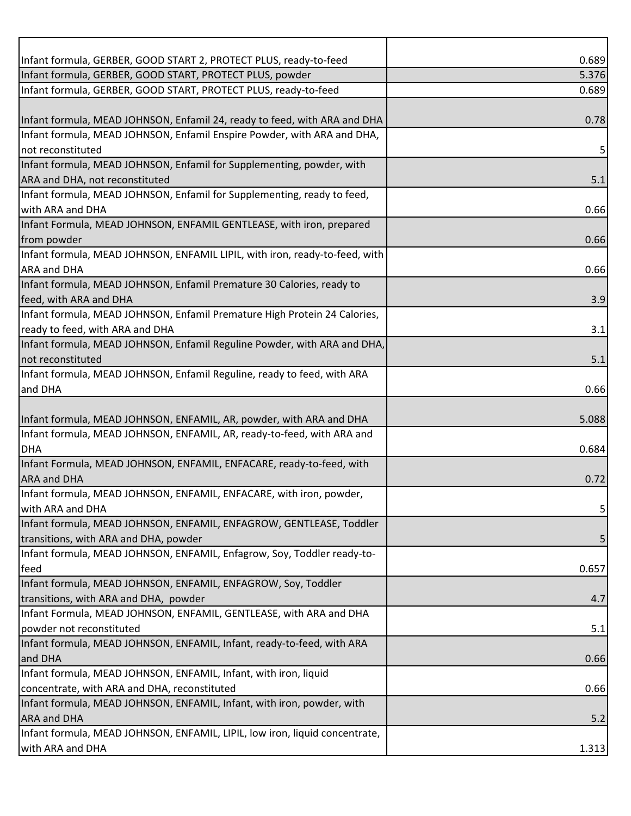| Infant formula, GERBER, GOOD START 2, PROTECT PLUS, ready-to-feed           | 0.689 |
|-----------------------------------------------------------------------------|-------|
| Infant formula, GERBER, GOOD START, PROTECT PLUS, powder                    | 5.376 |
| Infant formula, GERBER, GOOD START, PROTECT PLUS, ready-to-feed             | 0.689 |
|                                                                             |       |
| Infant formula, MEAD JOHNSON, Enfamil 24, ready to feed, with ARA and DHA   | 0.78  |
| Infant formula, MEAD JOHNSON, Enfamil Enspire Powder, with ARA and DHA,     |       |
| not reconstituted                                                           |       |
| Infant formula, MEAD JOHNSON, Enfamil for Supplementing, powder, with       |       |
| ARA and DHA, not reconstituted                                              | 5.1   |
| Infant formula, MEAD JOHNSON, Enfamil for Supplementing, ready to feed,     |       |
| with ARA and DHA                                                            | 0.66  |
| Infant Formula, MEAD JOHNSON, ENFAMIL GENTLEASE, with iron, prepared        |       |
| from powder                                                                 | 0.66  |
| Infant formula, MEAD JOHNSON, ENFAMIL LIPIL, with iron, ready-to-feed, with |       |
| <b>ARA and DHA</b>                                                          | 0.66  |
| Infant formula, MEAD JOHNSON, Enfamil Premature 30 Calories, ready to       |       |
| feed, with ARA and DHA                                                      | 3.9   |
| Infant formula, MEAD JOHNSON, Enfamil Premature High Protein 24 Calories,   |       |
| ready to feed, with ARA and DHA                                             | 3.1   |
| Infant formula, MEAD JOHNSON, Enfamil Reguline Powder, with ARA and DHA,    |       |
| not reconstituted                                                           | 5.1   |
| Infant formula, MEAD JOHNSON, Enfamil Reguline, ready to feed, with ARA     |       |
| and DHA                                                                     | 0.66  |
|                                                                             |       |
| Infant formula, MEAD JOHNSON, ENFAMIL, AR, powder, with ARA and DHA         | 5.088 |
| Infant formula, MEAD JOHNSON, ENFAMIL, AR, ready-to-feed, with ARA and      |       |
| <b>DHA</b>                                                                  | 0.684 |
| Infant Formula, MEAD JOHNSON, ENFAMIL, ENFACARE, ready-to-feed, with        |       |
| <b>ARA and DHA</b>                                                          | 0.72  |
| Infant formula, MEAD JOHNSON, ENFAMIL, ENFACARE, with iron, powder,         |       |
| with ARA and DHA                                                            | 5     |
| Infant formula, MEAD JOHNSON, ENFAMIL, ENFAGROW, GENTLEASE, Toddler         |       |
| transitions, with ARA and DHA, powder                                       | 5     |
| Infant formula, MEAD JOHNSON, ENFAMIL, Enfagrow, Soy, Toddler ready-to-     |       |
| feed                                                                        | 0.657 |
| Infant formula, MEAD JOHNSON, ENFAMIL, ENFAGROW, Soy, Toddler               |       |
| transitions, with ARA and DHA, powder                                       | 4.7   |
| Infant Formula, MEAD JOHNSON, ENFAMIL, GENTLEASE, with ARA and DHA          |       |
| powder not reconstituted                                                    | 5.1   |
| Infant formula, MEAD JOHNSON, ENFAMIL, Infant, ready-to-feed, with ARA      |       |
| and DHA                                                                     | 0.66  |
| Infant formula, MEAD JOHNSON, ENFAMIL, Infant, with iron, liquid            |       |
| concentrate, with ARA and DHA, reconstituted                                | 0.66  |
| Infant formula, MEAD JOHNSON, ENFAMIL, Infant, with iron, powder, with      |       |
| <b>ARA and DHA</b>                                                          | 5.2   |
| Infant formula, MEAD JOHNSON, ENFAMIL, LIPIL, low iron, liquid concentrate, |       |
| with ARA and DHA                                                            | 1.313 |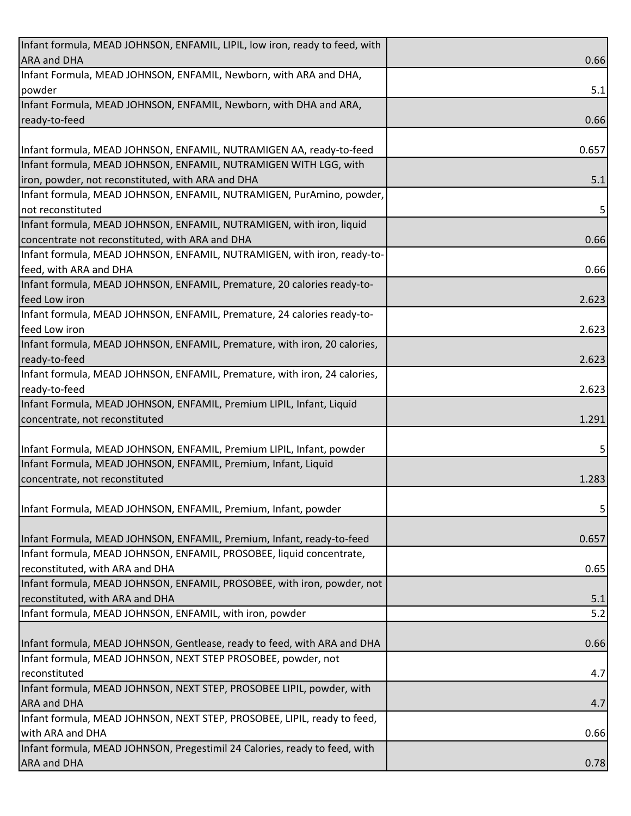| Infant formula, MEAD JOHNSON, ENFAMIL, LIPIL, low iron, ready to feed, with |       |
|-----------------------------------------------------------------------------|-------|
| <b>ARA and DHA</b>                                                          | 0.66  |
| Infant Formula, MEAD JOHNSON, ENFAMIL, Newborn, with ARA and DHA,           |       |
| powder                                                                      | 5.1   |
| Infant Formula, MEAD JOHNSON, ENFAMIL, Newborn, with DHA and ARA,           |       |
| ready-to-feed                                                               | 0.66  |
|                                                                             |       |
| Infant formula, MEAD JOHNSON, ENFAMIL, NUTRAMIGEN AA, ready-to-feed         | 0.657 |
| Infant formula, MEAD JOHNSON, ENFAMIL, NUTRAMIGEN WITH LGG, with            |       |
| iron, powder, not reconstituted, with ARA and DHA                           | 5.1   |
| Infant formula, MEAD JOHNSON, ENFAMIL, NUTRAMIGEN, PurAmino, powder,        |       |
| not reconstituted                                                           | 5     |
| Infant formula, MEAD JOHNSON, ENFAMIL, NUTRAMIGEN, with iron, liquid        |       |
| concentrate not reconstituted, with ARA and DHA                             | 0.66  |
| Infant formula, MEAD JOHNSON, ENFAMIL, NUTRAMIGEN, with iron, ready-to-     |       |
| feed, with ARA and DHA                                                      | 0.66  |
| Infant formula, MEAD JOHNSON, ENFAMIL, Premature, 20 calories ready-to-     |       |
| feed Low iron                                                               | 2.623 |
| Infant formula, MEAD JOHNSON, ENFAMIL, Premature, 24 calories ready-to-     |       |
| feed Low iron                                                               | 2.623 |
| Infant formula, MEAD JOHNSON, ENFAMIL, Premature, with iron, 20 calories,   |       |
| ready-to-feed                                                               | 2.623 |
| Infant formula, MEAD JOHNSON, ENFAMIL, Premature, with iron, 24 calories,   |       |
| ready-to-feed                                                               | 2.623 |
| Infant Formula, MEAD JOHNSON, ENFAMIL, Premium LIPIL, Infant, Liquid        |       |
| concentrate, not reconstituted                                              | 1.291 |
| Infant Formula, MEAD JOHNSON, ENFAMIL, Premium LIPIL, Infant, powder        |       |
| Infant Formula, MEAD JOHNSON, ENFAMIL, Premium, Infant, Liquid              | 5     |
| concentrate, not reconstituted                                              | 1.283 |
|                                                                             |       |
| Infant Formula, MEAD JOHNSON, ENFAMIL, Premium, Infant, powder              | 5     |
|                                                                             |       |
| Infant Formula, MEAD JOHNSON, ENFAMIL, Premium, Infant, ready-to-feed       | 0.657 |
| Infant formula, MEAD JOHNSON, ENFAMIL, PROSOBEE, liquid concentrate,        |       |
| reconstituted, with ARA and DHA                                             | 0.65  |
| Infant formula, MEAD JOHNSON, ENFAMIL, PROSOBEE, with iron, powder, not     |       |
| reconstituted, with ARA and DHA                                             | 5.1   |
| Infant formula, MEAD JOHNSON, ENFAMIL, with iron, powder                    | 5.2   |
|                                                                             |       |
| Infant formula, MEAD JOHNSON, Gentlease, ready to feed, with ARA and DHA    | 0.66  |
| Infant formula, MEAD JOHNSON, NEXT STEP PROSOBEE, powder, not               |       |
| reconstituted                                                               | 4.7   |
| Infant formula, MEAD JOHNSON, NEXT STEP, PROSOBEE LIPIL, powder, with       |       |
| <b>ARA and DHA</b>                                                          | 4.7   |
| Infant formula, MEAD JOHNSON, NEXT STEP, PROSOBEE, LIPIL, ready to feed,    |       |
| with ARA and DHA                                                            | 0.66  |
| Infant formula, MEAD JOHNSON, Pregestimil 24 Calories, ready to feed, with  |       |
| ARA and DHA                                                                 | 0.78  |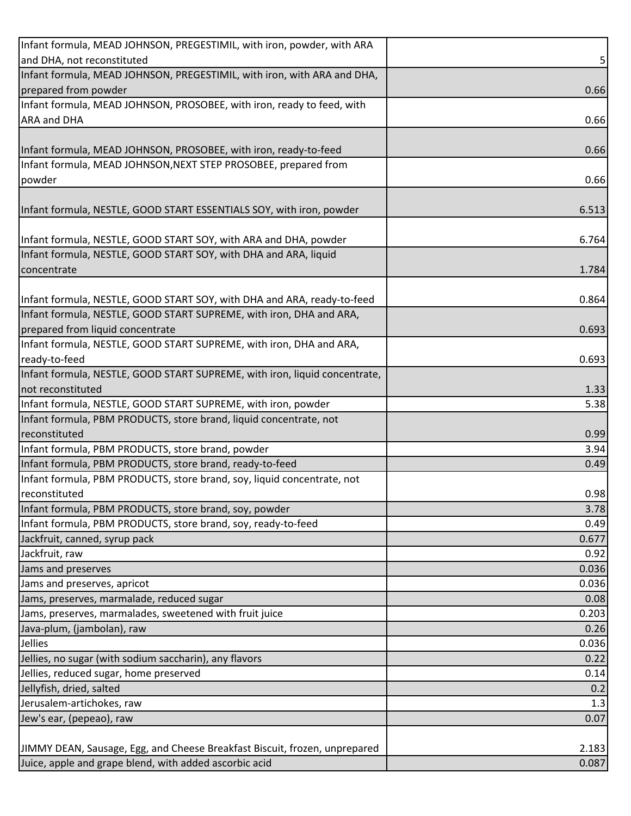| Infant formula, MEAD JOHNSON, PREGESTIMIL, with iron, powder, with ARA     |       |
|----------------------------------------------------------------------------|-------|
| and DHA, not reconstituted                                                 | 5     |
| Infant formula, MEAD JOHNSON, PREGESTIMIL, with iron, with ARA and DHA,    |       |
| prepared from powder                                                       | 0.66  |
| Infant formula, MEAD JOHNSON, PROSOBEE, with iron, ready to feed, with     |       |
| <b>ARA and DHA</b>                                                         | 0.66  |
|                                                                            |       |
| Infant formula, MEAD JOHNSON, PROSOBEE, with iron, ready-to-feed           | 0.66  |
| Infant formula, MEAD JOHNSON, NEXT STEP PROSOBEE, prepared from            |       |
| powder                                                                     | 0.66  |
|                                                                            |       |
| Infant formula, NESTLE, GOOD START ESSENTIALS SOY, with iron, powder       | 6.513 |
|                                                                            |       |
| Infant formula, NESTLE, GOOD START SOY, with ARA and DHA, powder           | 6.764 |
| Infant formula, NESTLE, GOOD START SOY, with DHA and ARA, liquid           |       |
| concentrate                                                                | 1.784 |
|                                                                            |       |
| Infant formula, NESTLE, GOOD START SOY, with DHA and ARA, ready-to-feed    | 0.864 |
| Infant formula, NESTLE, GOOD START SUPREME, with iron, DHA and ARA,        |       |
| prepared from liquid concentrate                                           | 0.693 |
| Infant formula, NESTLE, GOOD START SUPREME, with iron, DHA and ARA,        |       |
| ready-to-feed                                                              | 0.693 |
| Infant formula, NESTLE, GOOD START SUPREME, with iron, liquid concentrate, |       |
| not reconstituted                                                          | 1.33  |
| Infant formula, NESTLE, GOOD START SUPREME, with iron, powder              | 5.38  |
| Infant formula, PBM PRODUCTS, store brand, liquid concentrate, not         |       |
| reconstituted                                                              | 0.99  |
| Infant formula, PBM PRODUCTS, store brand, powder                          | 3.94  |
| Infant formula, PBM PRODUCTS, store brand, ready-to-feed                   | 0.49  |
| Infant formula, PBM PRODUCTS, store brand, soy, liquid concentrate, not    |       |
| reconstituted                                                              | 0.98  |
| Infant formula, PBM PRODUCTS, store brand, soy, powder                     | 3.78  |
| Infant formula, PBM PRODUCTS, store brand, soy, ready-to-feed              | 0.49  |
| Jackfruit, canned, syrup pack                                              | 0.677 |
| Jackfruit, raw                                                             | 0.92  |
| Jams and preserves                                                         | 0.036 |
| Jams and preserves, apricot                                                | 0.036 |
| Jams, preserves, marmalade, reduced sugar                                  | 0.08  |
| Jams, preserves, marmalades, sweetened with fruit juice                    | 0.203 |
| Java-plum, (jambolan), raw                                                 | 0.26  |
| Jellies                                                                    | 0.036 |
| Jellies, no sugar (with sodium saccharin), any flavors                     | 0.22  |
| Jellies, reduced sugar, home preserved                                     | 0.14  |
| Jellyfish, dried, salted                                                   | 0.2   |
| Jerusalem-artichokes, raw                                                  | 1.3   |
| Jew's ear, (pepeao), raw                                                   | 0.07  |
|                                                                            |       |
| JIMMY DEAN, Sausage, Egg, and Cheese Breakfast Biscuit, frozen, unprepared | 2.183 |
| Juice, apple and grape blend, with added ascorbic acid                     | 0.087 |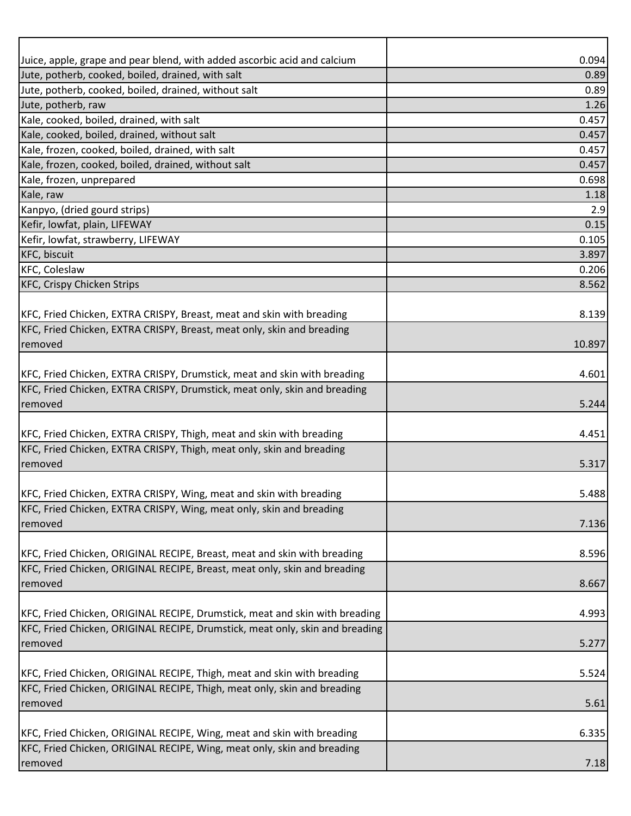| Juice, apple, grape and pear blend, with added ascorbic acid and calcium                                                                              | 0.094  |
|-------------------------------------------------------------------------------------------------------------------------------------------------------|--------|
| Jute, potherb, cooked, boiled, drained, with salt                                                                                                     | 0.89   |
| Jute, potherb, cooked, boiled, drained, without salt                                                                                                  | 0.89   |
| Jute, potherb, raw                                                                                                                                    | 1.26   |
| Kale, cooked, boiled, drained, with salt                                                                                                              | 0.457  |
| Kale, cooked, boiled, drained, without salt                                                                                                           | 0.457  |
| Kale, frozen, cooked, boiled, drained, with salt                                                                                                      | 0.457  |
| Kale, frozen, cooked, boiled, drained, without salt                                                                                                   | 0.457  |
| Kale, frozen, unprepared                                                                                                                              | 0.698  |
| Kale, raw                                                                                                                                             | 1.18   |
| Kanpyo, (dried gourd strips)                                                                                                                          | 2.9    |
| Kefir, lowfat, plain, LIFEWAY                                                                                                                         | 0.15   |
| Kefir, lowfat, strawberry, LIFEWAY                                                                                                                    | 0.105  |
| <b>KFC, biscuit</b>                                                                                                                                   | 3.897  |
| <b>KFC, Coleslaw</b>                                                                                                                                  | 0.206  |
| <b>KFC, Crispy Chicken Strips</b>                                                                                                                     | 8.562  |
|                                                                                                                                                       |        |
| KFC, Fried Chicken, EXTRA CRISPY, Breast, meat and skin with breading                                                                                 | 8.139  |
| KFC, Fried Chicken, EXTRA CRISPY, Breast, meat only, skin and breading                                                                                |        |
| removed                                                                                                                                               | 10.897 |
|                                                                                                                                                       |        |
| KFC, Fried Chicken, EXTRA CRISPY, Drumstick, meat and skin with breading                                                                              | 4.601  |
| KFC, Fried Chicken, EXTRA CRISPY, Drumstick, meat only, skin and breading                                                                             |        |
| removed                                                                                                                                               | 5.244  |
|                                                                                                                                                       |        |
| KFC, Fried Chicken, EXTRA CRISPY, Thigh, meat and skin with breading                                                                                  | 4.451  |
| KFC, Fried Chicken, EXTRA CRISPY, Thigh, meat only, skin and breading                                                                                 |        |
| removed                                                                                                                                               | 5.317  |
|                                                                                                                                                       |        |
| KFC, Fried Chicken, EXTRA CRISPY, Wing, meat and skin with breading                                                                                   | 5.488  |
| KFC, Fried Chicken, EXTRA CRISPY, Wing, meat only, skin and breading                                                                                  |        |
| removed                                                                                                                                               | 7.136  |
|                                                                                                                                                       |        |
| KFC, Fried Chicken, ORIGINAL RECIPE, Breast, meat and skin with breading<br>KFC, Fried Chicken, ORIGINAL RECIPE, Breast, meat only, skin and breading | 8.596  |
|                                                                                                                                                       |        |
| removed                                                                                                                                               | 8.667  |
| KFC, Fried Chicken, ORIGINAL RECIPE, Drumstick, meat and skin with breading                                                                           | 4.993  |
| KFC, Fried Chicken, ORIGINAL RECIPE, Drumstick, meat only, skin and breading                                                                          |        |
| removed                                                                                                                                               | 5.277  |
|                                                                                                                                                       |        |
| KFC, Fried Chicken, ORIGINAL RECIPE, Thigh, meat and skin with breading                                                                               | 5.524  |
| KFC, Fried Chicken, ORIGINAL RECIPE, Thigh, meat only, skin and breading                                                                              |        |
| removed                                                                                                                                               | 5.61   |
|                                                                                                                                                       |        |
| KFC, Fried Chicken, ORIGINAL RECIPE, Wing, meat and skin with breading                                                                                | 6.335  |
| KFC, Fried Chicken, ORIGINAL RECIPE, Wing, meat only, skin and breading                                                                               |        |
| removed                                                                                                                                               | 7.18   |
|                                                                                                                                                       |        |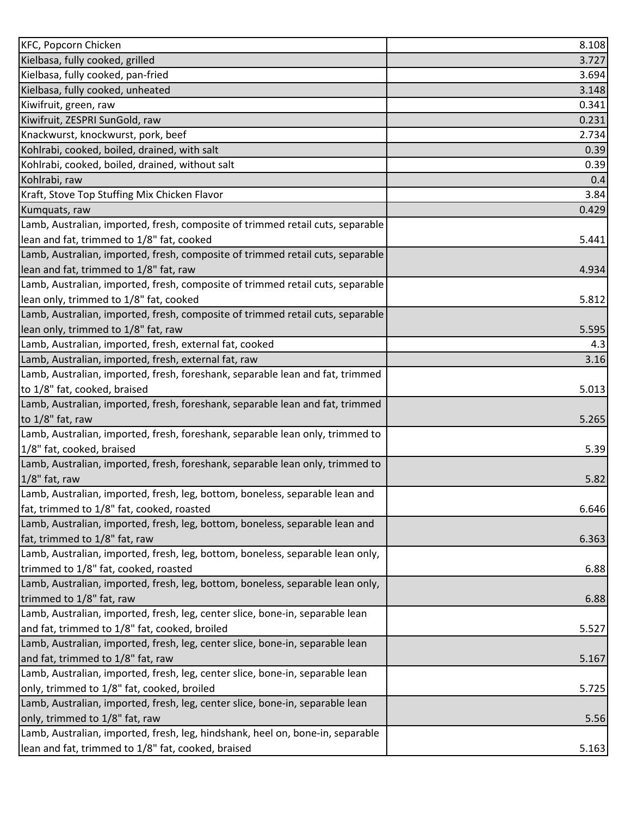| <b>KFC, Popcorn Chicken</b>                                                    | 8.108 |
|--------------------------------------------------------------------------------|-------|
| Kielbasa, fully cooked, grilled                                                | 3.727 |
| Kielbasa, fully cooked, pan-fried                                              | 3.694 |
| Kielbasa, fully cooked, unheated                                               | 3.148 |
| Kiwifruit, green, raw                                                          | 0.341 |
| Kiwifruit, ZESPRI SunGold, raw                                                 | 0.231 |
| Knackwurst, knockwurst, pork, beef                                             | 2.734 |
| Kohlrabi, cooked, boiled, drained, with salt                                   | 0.39  |
| Kohlrabi, cooked, boiled, drained, without salt                                | 0.39  |
| Kohlrabi, raw                                                                  | 0.4   |
| Kraft, Stove Top Stuffing Mix Chicken Flavor                                   | 3.84  |
| Kumquats, raw                                                                  | 0.429 |
| Lamb, Australian, imported, fresh, composite of trimmed retail cuts, separable |       |
| lean and fat, trimmed to 1/8" fat, cooked                                      | 5.441 |
| Lamb, Australian, imported, fresh, composite of trimmed retail cuts, separable |       |
| lean and fat, trimmed to 1/8" fat, raw                                         | 4.934 |
| Lamb, Australian, imported, fresh, composite of trimmed retail cuts, separable |       |
| lean only, trimmed to 1/8" fat, cooked                                         | 5.812 |
| Lamb, Australian, imported, fresh, composite of trimmed retail cuts, separable |       |
| lean only, trimmed to 1/8" fat, raw                                            | 5.595 |
| Lamb, Australian, imported, fresh, external fat, cooked                        | 4.3   |
| Lamb, Australian, imported, fresh, external fat, raw                           | 3.16  |
| Lamb, Australian, imported, fresh, foreshank, separable lean and fat, trimmed  |       |
| to 1/8" fat, cooked, braised                                                   | 5.013 |
| Lamb, Australian, imported, fresh, foreshank, separable lean and fat, trimmed  |       |
| to 1/8" fat, raw                                                               | 5.265 |
| Lamb, Australian, imported, fresh, foreshank, separable lean only, trimmed to  |       |
| 1/8" fat, cooked, braised                                                      | 5.39  |
| Lamb, Australian, imported, fresh, foreshank, separable lean only, trimmed to  |       |
| $1/8$ " fat, raw                                                               | 5.82  |
| Lamb, Australian, imported, fresh, leg, bottom, boneless, separable lean and   |       |
| fat, trimmed to 1/8" fat, cooked, roasted                                      | 6.646 |
| Lamb, Australian, imported, fresh, leg, bottom, boneless, separable lean and   |       |
| fat, trimmed to 1/8" fat, raw                                                  | 6.363 |
| Lamb, Australian, imported, fresh, leg, bottom, boneless, separable lean only, |       |
| trimmed to 1/8" fat, cooked, roasted                                           | 6.88  |
| Lamb, Australian, imported, fresh, leg, bottom, boneless, separable lean only, |       |
| trimmed to 1/8" fat, raw                                                       | 6.88  |
| Lamb, Australian, imported, fresh, leg, center slice, bone-in, separable lean  |       |
| and fat, trimmed to 1/8" fat, cooked, broiled                                  | 5.527 |
| Lamb, Australian, imported, fresh, leg, center slice, bone-in, separable lean  |       |
| and fat, trimmed to 1/8" fat, raw                                              | 5.167 |
| Lamb, Australian, imported, fresh, leg, center slice, bone-in, separable lean  |       |
| only, trimmed to 1/8" fat, cooked, broiled                                     | 5.725 |
| Lamb, Australian, imported, fresh, leg, center slice, bone-in, separable lean  |       |
| only, trimmed to 1/8" fat, raw                                                 | 5.56  |
| Lamb, Australian, imported, fresh, leg, hindshank, heel on, bone-in, separable |       |
| lean and fat, trimmed to 1/8" fat, cooked, braised                             | 5.163 |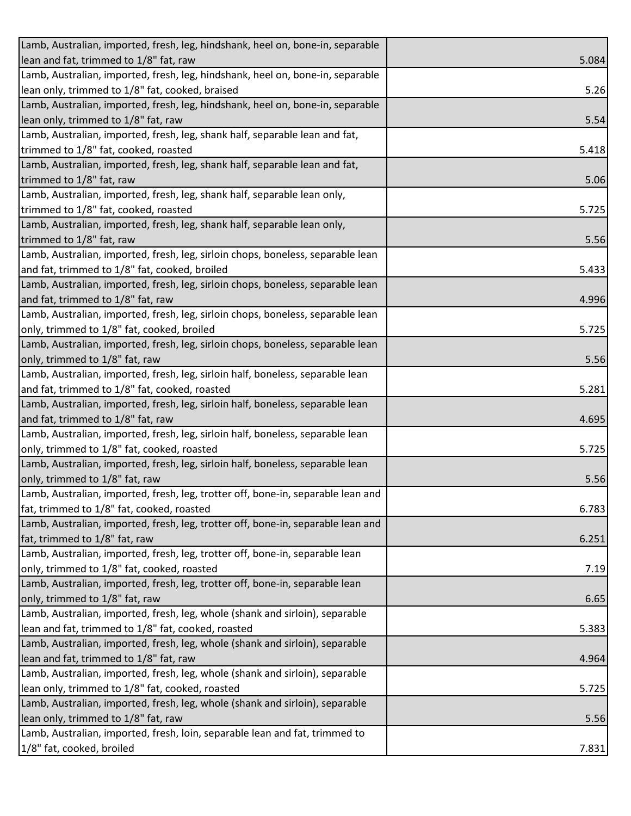| Lamb, Australian, imported, fresh, leg, hindshank, heel on, bone-in, separable   |       |
|----------------------------------------------------------------------------------|-------|
| lean and fat, trimmed to 1/8" fat, raw                                           | 5.084 |
| Lamb, Australian, imported, fresh, leg, hindshank, heel on, bone-in, separable   |       |
| lean only, trimmed to 1/8" fat, cooked, braised                                  | 5.26  |
| Lamb, Australian, imported, fresh, leg, hindshank, heel on, bone-in, separable   |       |
| lean only, trimmed to 1/8" fat, raw                                              | 5.54  |
| Lamb, Australian, imported, fresh, leg, shank half, separable lean and fat,      |       |
| trimmed to 1/8" fat, cooked, roasted                                             | 5.418 |
| Lamb, Australian, imported, fresh, leg, shank half, separable lean and fat,      |       |
| trimmed to 1/8" fat, raw                                                         | 5.06  |
| Lamb, Australian, imported, fresh, leg, shank half, separable lean only,         |       |
| trimmed to 1/8" fat, cooked, roasted                                             | 5.725 |
| Lamb, Australian, imported, fresh, leg, shank half, separable lean only,         |       |
| trimmed to 1/8" fat, raw                                                         | 5.56  |
| Lamb, Australian, imported, fresh, leg, sirloin chops, boneless, separable lean  |       |
| and fat, trimmed to 1/8" fat, cooked, broiled                                    | 5.433 |
| Lamb, Australian, imported, fresh, leg, sirloin chops, boneless, separable lean  |       |
| and fat, trimmed to 1/8" fat, raw                                                | 4.996 |
| Lamb, Australian, imported, fresh, leg, sirloin chops, boneless, separable lean  |       |
| only, trimmed to 1/8" fat, cooked, broiled                                       | 5.725 |
| Lamb, Australian, imported, fresh, leg, sirloin chops, boneless, separable lean  |       |
| only, trimmed to 1/8" fat, raw                                                   | 5.56  |
| Lamb, Australian, imported, fresh, leg, sirloin half, boneless, separable lean   |       |
| and fat, trimmed to 1/8" fat, cooked, roasted                                    | 5.281 |
| Lamb, Australian, imported, fresh, leg, sirloin half, boneless, separable lean   |       |
| and fat, trimmed to 1/8" fat, raw                                                | 4.695 |
| Lamb, Australian, imported, fresh, leg, sirloin half, boneless, separable lean   |       |
| only, trimmed to 1/8" fat, cooked, roasted                                       | 5.725 |
| Lamb, Australian, imported, fresh, leg, sirloin half, boneless, separable lean   |       |
| only, trimmed to 1/8" fat, raw                                                   | 5.56  |
| Lamb, Australian, imported, fresh, leg, trotter off, bone-in, separable lean and |       |
| fat, trimmed to 1/8" fat, cooked, roasted                                        | 6.783 |
| Lamb, Australian, imported, fresh, leg, trotter off, bone-in, separable lean and |       |
| fat, trimmed to 1/8" fat, raw                                                    | 6.251 |
| Lamb, Australian, imported, fresh, leg, trotter off, bone-in, separable lean     |       |
| only, trimmed to 1/8" fat, cooked, roasted                                       | 7.19  |
| Lamb, Australian, imported, fresh, leg, trotter off, bone-in, separable lean     |       |
| only, trimmed to 1/8" fat, raw                                                   | 6.65  |
| Lamb, Australian, imported, fresh, leg, whole (shank and sirloin), separable     |       |
| lean and fat, trimmed to 1/8" fat, cooked, roasted                               | 5.383 |
| Lamb, Australian, imported, fresh, leg, whole (shank and sirloin), separable     |       |
| lean and fat, trimmed to 1/8" fat, raw                                           | 4.964 |
| Lamb, Australian, imported, fresh, leg, whole (shank and sirloin), separable     |       |
| lean only, trimmed to 1/8" fat, cooked, roasted                                  | 5.725 |
| Lamb, Australian, imported, fresh, leg, whole (shank and sirloin), separable     |       |
| lean only, trimmed to 1/8" fat, raw                                              | 5.56  |
| Lamb, Australian, imported, fresh, loin, separable lean and fat, trimmed to      |       |
| 1/8" fat, cooked, broiled                                                        | 7.831 |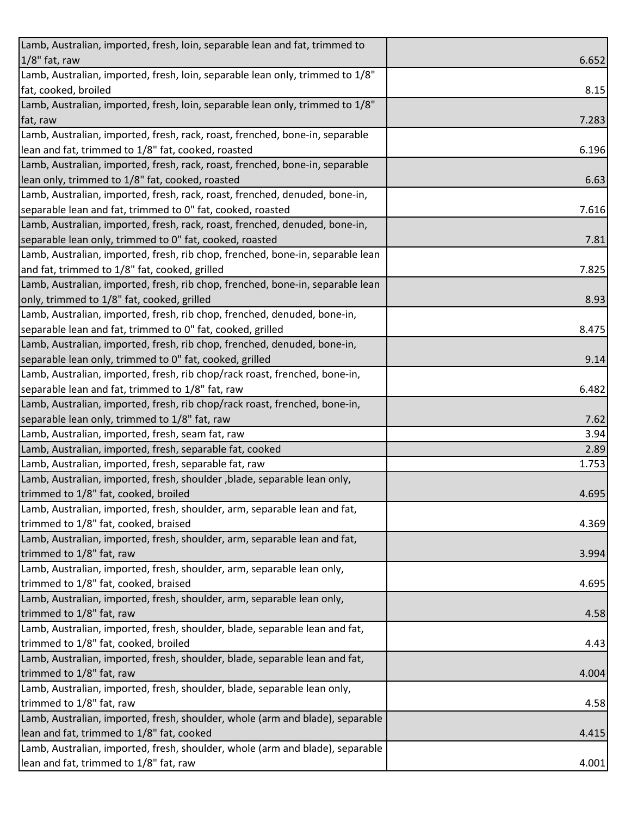| Lamb, Australian, imported, fresh, loin, separable lean and fat, trimmed to                                             |       |
|-------------------------------------------------------------------------------------------------------------------------|-------|
| $1/8$ " fat, raw                                                                                                        | 6.652 |
| Lamb, Australian, imported, fresh, loin, separable lean only, trimmed to 1/8"                                           |       |
| fat, cooked, broiled                                                                                                    | 8.15  |
| Lamb, Australian, imported, fresh, loin, separable lean only, trimmed to 1/8"                                           |       |
| fat, raw                                                                                                                | 7.283 |
| Lamb, Australian, imported, fresh, rack, roast, frenched, bone-in, separable                                            |       |
| lean and fat, trimmed to 1/8" fat, cooked, roasted                                                                      | 6.196 |
| Lamb, Australian, imported, fresh, rack, roast, frenched, bone-in, separable                                            |       |
| lean only, trimmed to 1/8" fat, cooked, roasted                                                                         | 6.63  |
| Lamb, Australian, imported, fresh, rack, roast, frenched, denuded, bone-in,                                             |       |
| separable lean and fat, trimmed to 0" fat, cooked, roasted                                                              | 7.616 |
| Lamb, Australian, imported, fresh, rack, roast, frenched, denuded, bone-in,                                             |       |
| separable lean only, trimmed to 0" fat, cooked, roasted                                                                 | 7.81  |
| Lamb, Australian, imported, fresh, rib chop, frenched, bone-in, separable lean                                          |       |
| and fat, trimmed to 1/8" fat, cooked, grilled                                                                           | 7.825 |
| Lamb, Australian, imported, fresh, rib chop, frenched, bone-in, separable lean                                          |       |
| only, trimmed to 1/8" fat, cooked, grilled                                                                              | 8.93  |
| Lamb, Australian, imported, fresh, rib chop, frenched, denuded, bone-in,                                                |       |
| separable lean and fat, trimmed to 0" fat, cooked, grilled                                                              | 8.475 |
| Lamb, Australian, imported, fresh, rib chop, frenched, denuded, bone-in,                                                |       |
| separable lean only, trimmed to 0" fat, cooked, grilled                                                                 | 9.14  |
| Lamb, Australian, imported, fresh, rib chop/rack roast, frenched, bone-in,                                              |       |
| separable lean and fat, trimmed to 1/8" fat, raw                                                                        | 6.482 |
| Lamb, Australian, imported, fresh, rib chop/rack roast, frenched, bone-in,                                              |       |
| separable lean only, trimmed to 1/8" fat, raw                                                                           | 7.62  |
| Lamb, Australian, imported, fresh, seam fat, raw                                                                        | 3.94  |
| Lamb, Australian, imported, fresh, separable fat, cooked                                                                | 2.89  |
| Lamb, Australian, imported, fresh, separable fat, raw                                                                   | 1.753 |
| Lamb, Australian, imported, fresh, shoulder, blade, separable lean only,                                                |       |
| trimmed to 1/8" fat, cooked, broiled                                                                                    | 4.695 |
| Lamb, Australian, imported, fresh, shoulder, arm, separable lean and fat,                                               |       |
| trimmed to 1/8" fat, cooked, braised                                                                                    | 4.369 |
| Lamb, Australian, imported, fresh, shoulder, arm, separable lean and fat,                                               |       |
| trimmed to 1/8" fat, raw                                                                                                | 3.994 |
| Lamb, Australian, imported, fresh, shoulder, arm, separable lean only,                                                  |       |
| trimmed to 1/8" fat, cooked, braised                                                                                    | 4.695 |
| Lamb, Australian, imported, fresh, shoulder, arm, separable lean only,                                                  |       |
| trimmed to 1/8" fat, raw                                                                                                | 4.58  |
| Lamb, Australian, imported, fresh, shoulder, blade, separable lean and fat,                                             |       |
|                                                                                                                         |       |
| trimmed to 1/8" fat, cooked, broiled                                                                                    | 4.43  |
| Lamb, Australian, imported, fresh, shoulder, blade, separable lean and fat,                                             |       |
| trimmed to 1/8" fat, raw                                                                                                | 4.004 |
| Lamb, Australian, imported, fresh, shoulder, blade, separable lean only,                                                |       |
| trimmed to 1/8" fat, raw                                                                                                | 4.58  |
| Lamb, Australian, imported, fresh, shoulder, whole (arm and blade), separable                                           |       |
| lean and fat, trimmed to 1/8" fat, cooked                                                                               | 4.415 |
| Lamb, Australian, imported, fresh, shoulder, whole (arm and blade), separable<br>lean and fat, trimmed to 1/8" fat, raw | 4.001 |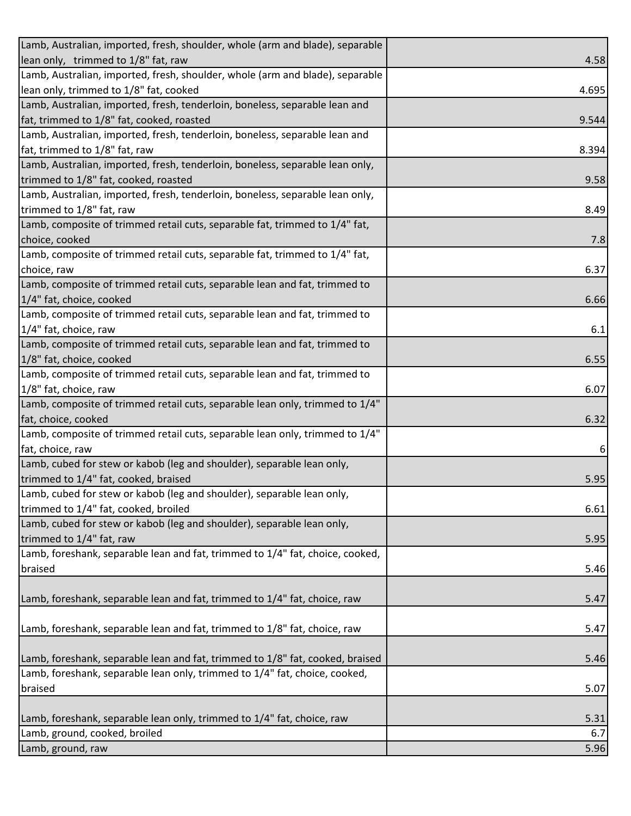| Lamb, Australian, imported, fresh, shoulder, whole (arm and blade), separable |       |
|-------------------------------------------------------------------------------|-------|
| lean only, trimmed to 1/8" fat, raw                                           | 4.58  |
| Lamb, Australian, imported, fresh, shoulder, whole (arm and blade), separable |       |
| lean only, trimmed to 1/8" fat, cooked                                        | 4.695 |
| Lamb, Australian, imported, fresh, tenderloin, boneless, separable lean and   |       |
| fat, trimmed to 1/8" fat, cooked, roasted                                     | 9.544 |
| Lamb, Australian, imported, fresh, tenderloin, boneless, separable lean and   |       |
| fat, trimmed to 1/8" fat, raw                                                 | 8.394 |
| Lamb, Australian, imported, fresh, tenderloin, boneless, separable lean only, |       |
| trimmed to 1/8" fat, cooked, roasted                                          | 9.58  |
| Lamb, Australian, imported, fresh, tenderloin, boneless, separable lean only, |       |
| trimmed to 1/8" fat, raw                                                      | 8.49  |
| Lamb, composite of trimmed retail cuts, separable fat, trimmed to 1/4" fat,   |       |
| choice, cooked                                                                | 7.8   |
| Lamb, composite of trimmed retail cuts, separable fat, trimmed to 1/4" fat,   |       |
| choice, raw                                                                   | 6.37  |
| Lamb, composite of trimmed retail cuts, separable lean and fat, trimmed to    |       |
| 1/4" fat, choice, cooked                                                      | 6.66  |
| Lamb, composite of trimmed retail cuts, separable lean and fat, trimmed to    |       |
| 1/4" fat, choice, raw                                                         | 6.1   |
| Lamb, composite of trimmed retail cuts, separable lean and fat, trimmed to    |       |
| 1/8" fat, choice, cooked                                                      | 6.55  |
| Lamb, composite of trimmed retail cuts, separable lean and fat, trimmed to    |       |
| 1/8" fat, choice, raw                                                         | 6.07  |
| Lamb, composite of trimmed retail cuts, separable lean only, trimmed to 1/4"  |       |
| fat, choice, cooked                                                           | 6.32  |
| Lamb, composite of trimmed retail cuts, separable lean only, trimmed to 1/4"  |       |
| fat, choice, raw                                                              | 6     |
| Lamb, cubed for stew or kabob (leg and shoulder), separable lean only,        |       |
| trimmed to 1/4" fat, cooked, braised                                          | 5.95  |
| Lamb, cubed for stew or kabob (leg and shoulder), separable lean only,        |       |
| trimmed to 1/4" fat, cooked, broiled                                          | 6.61  |
| Lamb, cubed for stew or kabob (leg and shoulder), separable lean only,        |       |
| trimmed to 1/4" fat, raw                                                      | 5.95  |
| Lamb, foreshank, separable lean and fat, trimmed to 1/4" fat, choice, cooked, |       |
| braised                                                                       | 5.46  |
|                                                                               |       |
| Lamb, foreshank, separable lean and fat, trimmed to 1/4" fat, choice, raw     | 5.47  |
|                                                                               |       |
| Lamb, foreshank, separable lean and fat, trimmed to 1/8" fat, choice, raw     | 5.47  |
|                                                                               |       |
| Lamb, foreshank, separable lean and fat, trimmed to 1/8" fat, cooked, braised | 5.46  |
| Lamb, foreshank, separable lean only, trimmed to 1/4" fat, choice, cooked,    |       |
| braised                                                                       | 5.07  |
|                                                                               |       |
| Lamb, foreshank, separable lean only, trimmed to 1/4" fat, choice, raw        | 5.31  |
| Lamb, ground, cooked, broiled                                                 | 6.7   |
| Lamb, ground, raw                                                             | 5.96  |
|                                                                               |       |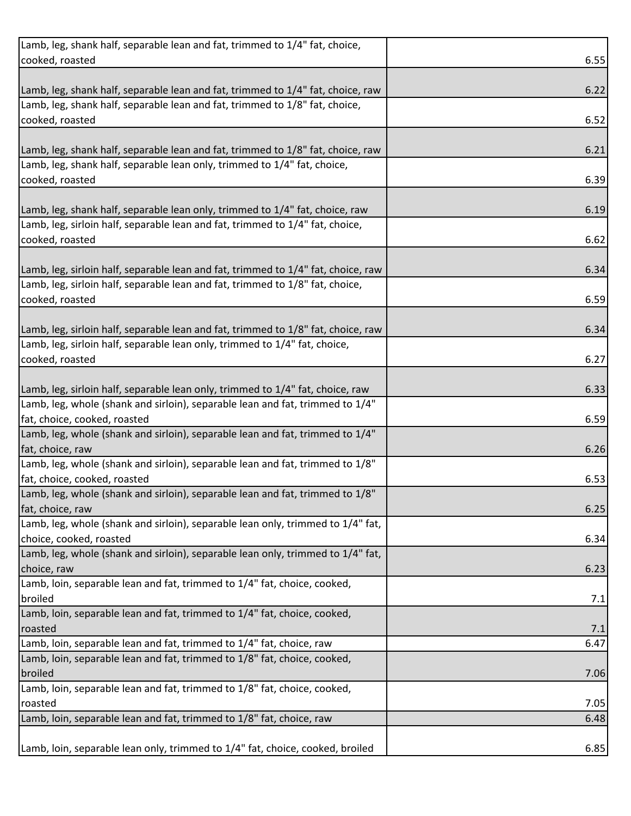| Lamb, leg, shank half, separable lean and fat, trimmed to 1/4" fat, choice,       |      |
|-----------------------------------------------------------------------------------|------|
| cooked, roasted                                                                   | 6.55 |
|                                                                                   |      |
| Lamb, leg, shank half, separable lean and fat, trimmed to 1/4" fat, choice, raw   | 6.22 |
| Lamb, leg, shank half, separable lean and fat, trimmed to 1/8" fat, choice,       |      |
| cooked, roasted                                                                   | 6.52 |
|                                                                                   |      |
| Lamb, leg, shank half, separable lean and fat, trimmed to 1/8" fat, choice, raw   | 6.21 |
| Lamb, leg, shank half, separable lean only, trimmed to 1/4" fat, choice,          |      |
| cooked, roasted                                                                   | 6.39 |
|                                                                                   |      |
| Lamb, leg, shank half, separable lean only, trimmed to 1/4" fat, choice, raw      | 6.19 |
| Lamb, leg, sirloin half, separable lean and fat, trimmed to 1/4" fat, choice,     |      |
|                                                                                   |      |
| cooked, roasted                                                                   | 6.62 |
|                                                                                   |      |
| Lamb, leg, sirloin half, separable lean and fat, trimmed to 1/4" fat, choice, raw | 6.34 |
| Lamb, leg, sirloin half, separable lean and fat, trimmed to 1/8" fat, choice,     |      |
| cooked, roasted                                                                   | 6.59 |
|                                                                                   |      |
| Lamb, leg, sirloin half, separable lean and fat, trimmed to 1/8" fat, choice, raw | 6.34 |
| Lamb, leg, sirloin half, separable lean only, trimmed to 1/4" fat, choice,        |      |
| cooked, roasted                                                                   | 6.27 |
|                                                                                   |      |
| Lamb, leg, sirloin half, separable lean only, trimmed to 1/4" fat, choice, raw    | 6.33 |
| Lamb, leg, whole (shank and sirloin), separable lean and fat, trimmed to 1/4"     |      |
| fat, choice, cooked, roasted                                                      | 6.59 |
| Lamb, leg, whole (shank and sirloin), separable lean and fat, trimmed to 1/4"     |      |
| fat, choice, raw                                                                  | 6.26 |
| Lamb, leg, whole (shank and sirloin), separable lean and fat, trimmed to 1/8"     |      |
| fat, choice, cooked, roasted                                                      | 6.53 |
| Lamb, leg, whole (shank and sirloin), separable lean and fat, trimmed to 1/8"     |      |
| fat, choice, raw                                                                  | 6.25 |
| Lamb, leg, whole (shank and sirloin), separable lean only, trimmed to 1/4" fat,   |      |
| choice, cooked, roasted                                                           | 6.34 |
| Lamb, leg, whole (shank and sirloin), separable lean only, trimmed to 1/4" fat,   |      |
| choice, raw                                                                       |      |
| Lamb, loin, separable lean and fat, trimmed to 1/4" fat, choice, cooked,          | 6.23 |
| broiled                                                                           |      |
|                                                                                   | 7.1  |
| Lamb, loin, separable lean and fat, trimmed to 1/4" fat, choice, cooked,          |      |
| roasted                                                                           | 7.1  |
| Lamb, loin, separable lean and fat, trimmed to 1/4" fat, choice, raw              | 6.47 |
| Lamb, loin, separable lean and fat, trimmed to 1/8" fat, choice, cooked,          |      |
| broiled                                                                           | 7.06 |
| Lamb, loin, separable lean and fat, trimmed to 1/8" fat, choice, cooked,          |      |
| roasted                                                                           | 7.05 |
| Lamb, loin, separable lean and fat, trimmed to 1/8" fat, choice, raw              | 6.48 |
|                                                                                   |      |
| Lamb, loin, separable lean only, trimmed to 1/4" fat, choice, cooked, broiled     | 6.85 |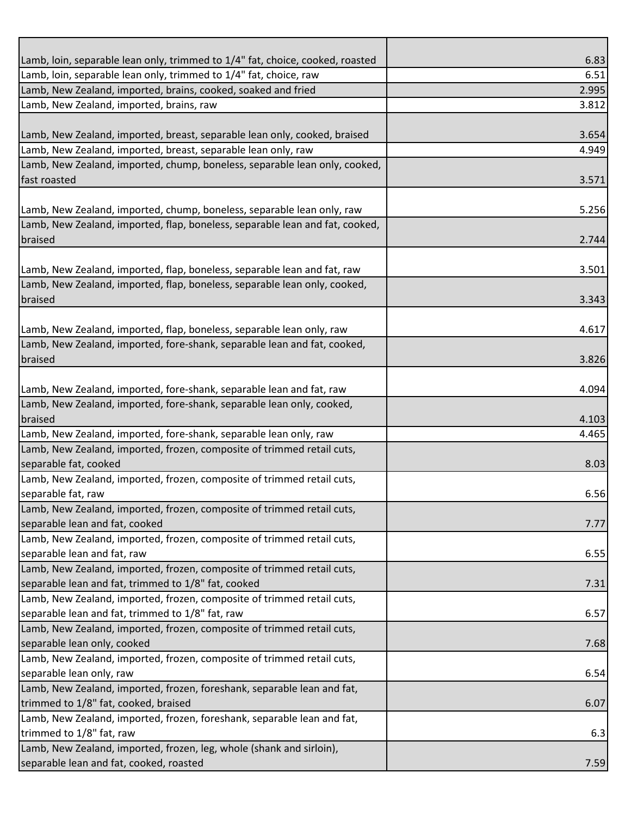| Lamb, loin, separable lean only, trimmed to 1/4" fat, choice, cooked, roasted                                                                 | 6.83  |
|-----------------------------------------------------------------------------------------------------------------------------------------------|-------|
| Lamb, loin, separable lean only, trimmed to 1/4" fat, choice, raw                                                                             | 6.51  |
| Lamb, New Zealand, imported, brains, cooked, soaked and fried                                                                                 | 2.995 |
| Lamb, New Zealand, imported, brains, raw                                                                                                      | 3.812 |
|                                                                                                                                               |       |
| Lamb, New Zealand, imported, breast, separable lean only, cooked, braised                                                                     | 3.654 |
| Lamb, New Zealand, imported, breast, separable lean only, raw                                                                                 | 4.949 |
| Lamb, New Zealand, imported, chump, boneless, separable lean only, cooked,                                                                    |       |
| fast roasted                                                                                                                                  | 3.571 |
|                                                                                                                                               |       |
| Lamb, New Zealand, imported, chump, boneless, separable lean only, raw                                                                        | 5.256 |
| Lamb, New Zealand, imported, flap, boneless, separable lean and fat, cooked,                                                                  |       |
| braised                                                                                                                                       | 2.744 |
|                                                                                                                                               |       |
| Lamb, New Zealand, imported, flap, boneless, separable lean and fat, raw                                                                      | 3.501 |
| Lamb, New Zealand, imported, flap, boneless, separable lean only, cooked,                                                                     |       |
| braised                                                                                                                                       | 3.343 |
|                                                                                                                                               |       |
| Lamb, New Zealand, imported, flap, boneless, separable lean only, raw                                                                         | 4.617 |
| Lamb, New Zealand, imported, fore-shank, separable lean and fat, cooked,                                                                      |       |
| braised                                                                                                                                       | 3.826 |
|                                                                                                                                               | 4.094 |
| Lamb, New Zealand, imported, fore-shank, separable lean and fat, raw<br>Lamb, New Zealand, imported, fore-shank, separable lean only, cooked, |       |
| braised                                                                                                                                       | 4.103 |
| Lamb, New Zealand, imported, fore-shank, separable lean only, raw                                                                             | 4.465 |
| Lamb, New Zealand, imported, frozen, composite of trimmed retail cuts,                                                                        |       |
| separable fat, cooked                                                                                                                         | 8.03  |
| Lamb, New Zealand, imported, frozen, composite of trimmed retail cuts,                                                                        |       |
| separable fat, raw                                                                                                                            | 6.56  |
| Lamb, New Zealand, imported, frozen, composite of trimmed retail cuts,                                                                        |       |
| separable lean and fat, cooked                                                                                                                | 7.77  |
| Lamb, New Zealand, imported, frozen, composite of trimmed retail cuts,                                                                        |       |
| separable lean and fat, raw                                                                                                                   | 6.55  |
| Lamb, New Zealand, imported, frozen, composite of trimmed retail cuts,                                                                        |       |
| separable lean and fat, trimmed to 1/8" fat, cooked                                                                                           | 7.31  |
| Lamb, New Zealand, imported, frozen, composite of trimmed retail cuts,                                                                        |       |
| separable lean and fat, trimmed to 1/8" fat, raw                                                                                              | 6.57  |
| Lamb, New Zealand, imported, frozen, composite of trimmed retail cuts,                                                                        |       |
| separable lean only, cooked                                                                                                                   | 7.68  |
| Lamb, New Zealand, imported, frozen, composite of trimmed retail cuts,                                                                        |       |
| separable lean only, raw                                                                                                                      | 6.54  |
| Lamb, New Zealand, imported, frozen, foreshank, separable lean and fat,                                                                       |       |
| trimmed to 1/8" fat, cooked, braised                                                                                                          | 6.07  |
| Lamb, New Zealand, imported, frozen, foreshank, separable lean and fat,                                                                       |       |
| trimmed to 1/8" fat, raw                                                                                                                      | 6.3   |
| Lamb, New Zealand, imported, frozen, leg, whole (shank and sirloin),                                                                          |       |
| separable lean and fat, cooked, roasted                                                                                                       | 7.59  |
|                                                                                                                                               |       |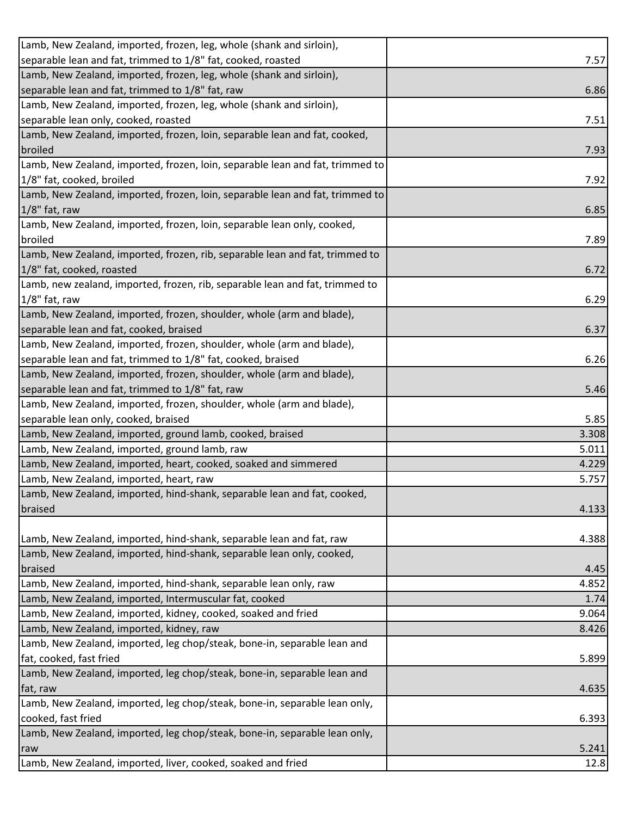| Lamb, New Zealand, imported, frozen, leg, whole (shank and sirloin),                                                                                                                                               |               |
|--------------------------------------------------------------------------------------------------------------------------------------------------------------------------------------------------------------------|---------------|
| separable lean and fat, trimmed to 1/8" fat, cooked, roasted                                                                                                                                                       | 7.57          |
| Lamb, New Zealand, imported, frozen, leg, whole (shank and sirloin),                                                                                                                                               |               |
| separable lean and fat, trimmed to 1/8" fat, raw                                                                                                                                                                   | 6.86          |
| Lamb, New Zealand, imported, frozen, leg, whole (shank and sirloin),                                                                                                                                               |               |
| separable lean only, cooked, roasted                                                                                                                                                                               | 7.51          |
| Lamb, New Zealand, imported, frozen, loin, separable lean and fat, cooked,                                                                                                                                         |               |
| broiled                                                                                                                                                                                                            | 7.93          |
| Lamb, New Zealand, imported, frozen, loin, separable lean and fat, trimmed to                                                                                                                                      |               |
| 1/8" fat, cooked, broiled                                                                                                                                                                                          | 7.92          |
| Lamb, New Zealand, imported, frozen, loin, separable lean and fat, trimmed to                                                                                                                                      |               |
| 1/8" fat, raw                                                                                                                                                                                                      | 6.85          |
| Lamb, New Zealand, imported, frozen, loin, separable lean only, cooked,                                                                                                                                            |               |
| broiled                                                                                                                                                                                                            | 7.89          |
| Lamb, New Zealand, imported, frozen, rib, separable lean and fat, trimmed to                                                                                                                                       |               |
| 1/8" fat, cooked, roasted                                                                                                                                                                                          | 6.72          |
| Lamb, new zealand, imported, frozen, rib, separable lean and fat, trimmed to                                                                                                                                       |               |
| $1/8$ " fat, raw                                                                                                                                                                                                   | 6.29          |
| Lamb, New Zealand, imported, frozen, shoulder, whole (arm and blade),                                                                                                                                              |               |
| separable lean and fat, cooked, braised                                                                                                                                                                            | 6.37          |
| Lamb, New Zealand, imported, frozen, shoulder, whole (arm and blade),                                                                                                                                              |               |
| separable lean and fat, trimmed to 1/8" fat, cooked, braised                                                                                                                                                       | 6.26          |
| Lamb, New Zealand, imported, frozen, shoulder, whole (arm and blade),                                                                                                                                              |               |
| separable lean and fat, trimmed to 1/8" fat, raw                                                                                                                                                                   | 5.46          |
| Lamb, New Zealand, imported, frozen, shoulder, whole (arm and blade),                                                                                                                                              |               |
| separable lean only, cooked, braised                                                                                                                                                                               | 5.85          |
| Lamb, New Zealand, imported, ground lamb, cooked, braised                                                                                                                                                          | 3.308         |
| Lamb, New Zealand, imported, ground lamb, raw                                                                                                                                                                      | 5.011         |
| Lamb, New Zealand, imported, heart, cooked, soaked and simmered                                                                                                                                                    | 4.229         |
|                                                                                                                                                                                                                    |               |
| Lamb, New Zealand, imported, heart, raw                                                                                                                                                                            | 5.757         |
| Lamb, New Zealand, imported, hind-shank, separable lean and fat, cooked,                                                                                                                                           |               |
|                                                                                                                                                                                                                    | 4.133         |
| braised                                                                                                                                                                                                            |               |
|                                                                                                                                                                                                                    | 4.388         |
|                                                                                                                                                                                                                    |               |
| braised                                                                                                                                                                                                            | 4.45          |
| Lamb, New Zealand, imported, hind-shank, separable lean and fat, raw<br>Lamb, New Zealand, imported, hind-shank, separable lean only, cooked,<br>Lamb, New Zealand, imported, hind-shank, separable lean only, raw | 4.852         |
| Lamb, New Zealand, imported, Intermuscular fat, cooked                                                                                                                                                             | 1.74          |
| Lamb, New Zealand, imported, kidney, cooked, soaked and fried                                                                                                                                                      | 9.064         |
|                                                                                                                                                                                                                    | 8.426         |
| Lamb, New Zealand, imported, kidney, raw<br>Lamb, New Zealand, imported, leg chop/steak, bone-in, separable lean and                                                                                               |               |
| fat, cooked, fast fried                                                                                                                                                                                            | 5.899         |
| Lamb, New Zealand, imported, leg chop/steak, bone-in, separable lean and                                                                                                                                           |               |
| fat, raw                                                                                                                                                                                                           | 4.635         |
| Lamb, New Zealand, imported, leg chop/steak, bone-in, separable lean only,                                                                                                                                         |               |
| cooked, fast fried                                                                                                                                                                                                 | 6.393         |
| Lamb, New Zealand, imported, leg chop/steak, bone-in, separable lean only,                                                                                                                                         |               |
| raw<br>Lamb, New Zealand, imported, liver, cooked, soaked and fried                                                                                                                                                | 5.241<br>12.8 |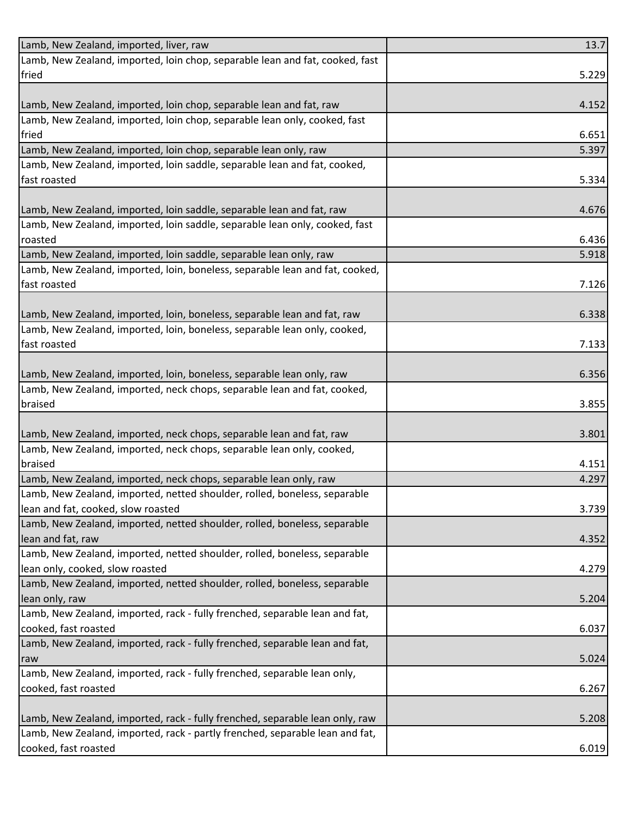| Lamb, New Zealand, imported, liver, raw                                      | 13.7  |
|------------------------------------------------------------------------------|-------|
| Lamb, New Zealand, imported, loin chop, separable lean and fat, cooked, fast |       |
| fried                                                                        | 5.229 |
|                                                                              |       |
| Lamb, New Zealand, imported, loin chop, separable lean and fat, raw          | 4.152 |
| Lamb, New Zealand, imported, loin chop, separable lean only, cooked, fast    |       |
| fried                                                                        | 6.651 |
| Lamb, New Zealand, imported, loin chop, separable lean only, raw             | 5.397 |
| Lamb, New Zealand, imported, loin saddle, separable lean and fat, cooked,    |       |
| fast roasted                                                                 | 5.334 |
|                                                                              |       |
| Lamb, New Zealand, imported, loin saddle, separable lean and fat, raw        | 4.676 |
| Lamb, New Zealand, imported, loin saddle, separable lean only, cooked, fast  |       |
| roasted                                                                      | 6.436 |
| Lamb, New Zealand, imported, loin saddle, separable lean only, raw           | 5.918 |
| Lamb, New Zealand, imported, loin, boneless, separable lean and fat, cooked, |       |
| fast roasted                                                                 | 7.126 |
|                                                                              |       |
| Lamb, New Zealand, imported, loin, boneless, separable lean and fat, raw     | 6.338 |
| Lamb, New Zealand, imported, loin, boneless, separable lean only, cooked,    |       |
| fast roasted                                                                 | 7.133 |
|                                                                              |       |
| Lamb, New Zealand, imported, loin, boneless, separable lean only, raw        | 6.356 |
| Lamb, New Zealand, imported, neck chops, separable lean and fat, cooked,     |       |
| braised                                                                      | 3.855 |
| Lamb, New Zealand, imported, neck chops, separable lean and fat, raw         | 3.801 |
| Lamb, New Zealand, imported, neck chops, separable lean only, cooked,        |       |
| braised                                                                      | 4.151 |
| Lamb, New Zealand, imported, neck chops, separable lean only, raw            | 4.297 |
| Lamb, New Zealand, imported, netted shoulder, rolled, boneless, separable    |       |
| lean and fat, cooked, slow roasted                                           | 3.739 |
| Lamb, New Zealand, imported, netted shoulder, rolled, boneless, separable    |       |
| lean and fat, raw                                                            | 4.352 |
| Lamb, New Zealand, imported, netted shoulder, rolled, boneless, separable    |       |
| lean only, cooked, slow roasted                                              | 4.279 |
| Lamb, New Zealand, imported, netted shoulder, rolled, boneless, separable    |       |
| lean only, raw                                                               | 5.204 |
| Lamb, New Zealand, imported, rack - fully frenched, separable lean and fat,  |       |
| cooked, fast roasted                                                         | 6.037 |
| Lamb, New Zealand, imported, rack - fully frenched, separable lean and fat,  |       |
| raw                                                                          | 5.024 |
| Lamb, New Zealand, imported, rack - fully frenched, separable lean only,     |       |
| cooked, fast roasted                                                         | 6.267 |
|                                                                              |       |
| Lamb, New Zealand, imported, rack - fully frenched, separable lean only, raw | 5.208 |
| Lamb, New Zealand, imported, rack - partly frenched, separable lean and fat, |       |
| cooked, fast roasted                                                         | 6.019 |
|                                                                              |       |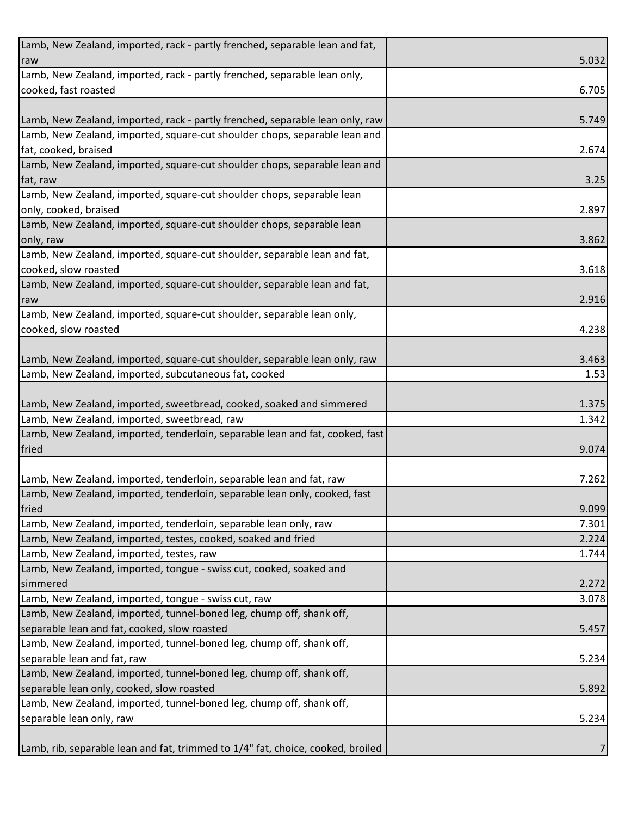| Lamb, New Zealand, imported, rack - partly frenched, separable lean and fat,    |       |
|---------------------------------------------------------------------------------|-------|
| raw                                                                             | 5.032 |
| Lamb, New Zealand, imported, rack - partly frenched, separable lean only,       |       |
| cooked, fast roasted                                                            | 6.705 |
|                                                                                 |       |
| Lamb, New Zealand, imported, rack - partly frenched, separable lean only, raw   | 5.749 |
| Lamb, New Zealand, imported, square-cut shoulder chops, separable lean and      |       |
| fat, cooked, braised                                                            | 2.674 |
| Lamb, New Zealand, imported, square-cut shoulder chops, separable lean and      |       |
| fat, raw                                                                        | 3.25  |
| Lamb, New Zealand, imported, square-cut shoulder chops, separable lean          |       |
| only, cooked, braised                                                           | 2.897 |
| Lamb, New Zealand, imported, square-cut shoulder chops, separable lean          |       |
| only, raw                                                                       | 3.862 |
| Lamb, New Zealand, imported, square-cut shoulder, separable lean and fat,       |       |
| cooked, slow roasted                                                            | 3.618 |
| Lamb, New Zealand, imported, square-cut shoulder, separable lean and fat,       |       |
| raw                                                                             | 2.916 |
| Lamb, New Zealand, imported, square-cut shoulder, separable lean only,          |       |
| cooked, slow roasted                                                            | 4.238 |
|                                                                                 |       |
| Lamb, New Zealand, imported, square-cut shoulder, separable lean only, raw      | 3.463 |
| Lamb, New Zealand, imported, subcutaneous fat, cooked                           | 1.53  |
|                                                                                 |       |
| Lamb, New Zealand, imported, sweetbread, cooked, soaked and simmered            | 1.375 |
| Lamb, New Zealand, imported, sweetbread, raw                                    | 1.342 |
| Lamb, New Zealand, imported, tenderloin, separable lean and fat, cooked, fast   |       |
| fried                                                                           | 9.074 |
|                                                                                 |       |
| Lamb, New Zealand, imported, tenderloin, separable lean and fat, raw            | 7.262 |
| Lamb, New Zealand, imported, tenderloin, separable lean only, cooked, fast      |       |
| fried                                                                           | 9.099 |
| Lamb, New Zealand, imported, tenderloin, separable lean only, raw               | 7.301 |
| Lamb, New Zealand, imported, testes, cooked, soaked and fried                   | 2.224 |
| Lamb, New Zealand, imported, testes, raw                                        | 1.744 |
| Lamb, New Zealand, imported, tongue - swiss cut, cooked, soaked and             |       |
| simmered                                                                        | 2.272 |
| Lamb, New Zealand, imported, tongue - swiss cut, raw                            | 3.078 |
| Lamb, New Zealand, imported, tunnel-boned leg, chump off, shank off,            |       |
| separable lean and fat, cooked, slow roasted                                    | 5.457 |
| Lamb, New Zealand, imported, tunnel-boned leg, chump off, shank off,            |       |
| separable lean and fat, raw                                                     | 5.234 |
| Lamb, New Zealand, imported, tunnel-boned leg, chump off, shank off,            |       |
| separable lean only, cooked, slow roasted                                       | 5.892 |
| Lamb, New Zealand, imported, tunnel-boned leg, chump off, shank off,            |       |
| separable lean only, raw                                                        | 5.234 |
|                                                                                 |       |
|                                                                                 |       |
| Lamb, rib, separable lean and fat, trimmed to 1/4" fat, choice, cooked, broiled |       |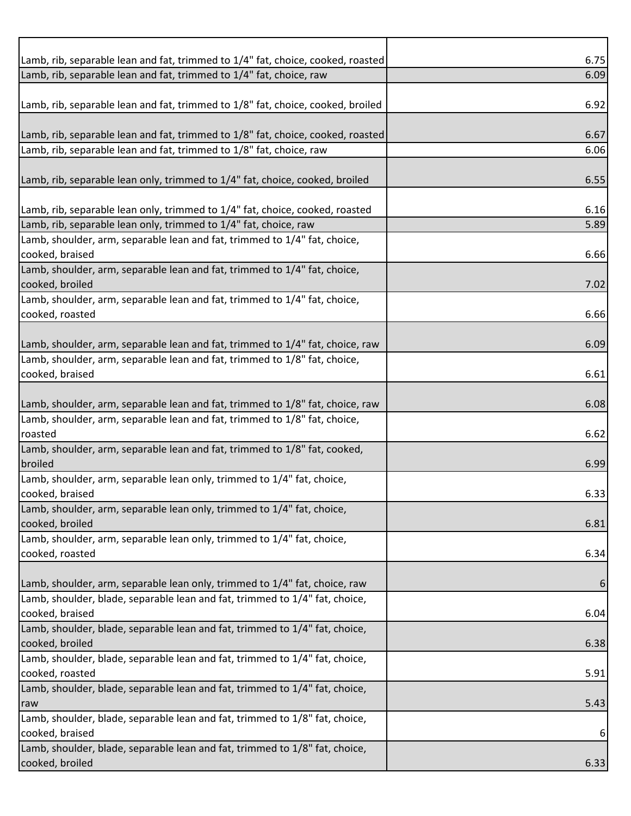| Lamb, rib, separable lean and fat, trimmed to 1/4" fat, choice, cooked, roasted | 6.75 |
|---------------------------------------------------------------------------------|------|
| Lamb, rib, separable lean and fat, trimmed to 1/4" fat, choice, raw             | 6.09 |
|                                                                                 |      |
| Lamb, rib, separable lean and fat, trimmed to 1/8" fat, choice, cooked, broiled | 6.92 |
|                                                                                 |      |
| Lamb, rib, separable lean and fat, trimmed to 1/8" fat, choice, cooked, roasted | 6.67 |
| Lamb, rib, separable lean and fat, trimmed to 1/8" fat, choice, raw             | 6.06 |
|                                                                                 |      |
| Lamb, rib, separable lean only, trimmed to 1/4" fat, choice, cooked, broiled    | 6.55 |
|                                                                                 |      |
| Lamb, rib, separable lean only, trimmed to 1/4" fat, choice, cooked, roasted    | 6.16 |
| Lamb, rib, separable lean only, trimmed to 1/4" fat, choice, raw                | 5.89 |
| Lamb, shoulder, arm, separable lean and fat, trimmed to 1/4" fat, choice,       |      |
| cooked, braised                                                                 | 6.66 |
| Lamb, shoulder, arm, separable lean and fat, trimmed to 1/4" fat, choice,       |      |
| cooked, broiled                                                                 | 7.02 |
| Lamb, shoulder, arm, separable lean and fat, trimmed to 1/4" fat, choice,       |      |
| cooked, roasted                                                                 | 6.66 |
|                                                                                 |      |
| Lamb, shoulder, arm, separable lean and fat, trimmed to 1/4" fat, choice, raw   | 6.09 |
| Lamb, shoulder, arm, separable lean and fat, trimmed to 1/8" fat, choice,       |      |
| cooked, braised                                                                 | 6.61 |
|                                                                                 |      |
| Lamb, shoulder, arm, separable lean and fat, trimmed to 1/8" fat, choice, raw   | 6.08 |
| Lamb, shoulder, arm, separable lean and fat, trimmed to 1/8" fat, choice,       |      |
| roasted                                                                         | 6.62 |
| Lamb, shoulder, arm, separable lean and fat, trimmed to 1/8" fat, cooked,       |      |
| broiled                                                                         | 6.99 |
| Lamb, shoulder, arm, separable lean only, trimmed to 1/4" fat, choice,          |      |
| cooked, braised                                                                 | 6.33 |
| Lamb, shoulder, arm, separable lean only, trimmed to 1/4" fat, choice,          |      |
| cooked, broiled                                                                 | 6.81 |
| Lamb, shoulder, arm, separable lean only, trimmed to 1/4" fat, choice,          |      |
| cooked, roasted                                                                 | 6.34 |
|                                                                                 |      |
| Lamb, shoulder, arm, separable lean only, trimmed to 1/4" fat, choice, raw      | 6    |
| Lamb, shoulder, blade, separable lean and fat, trimmed to 1/4" fat, choice,     |      |
| cooked, braised                                                                 | 6.04 |
| Lamb, shoulder, blade, separable lean and fat, trimmed to 1/4" fat, choice,     |      |
| cooked, broiled                                                                 | 6.38 |
| Lamb, shoulder, blade, separable lean and fat, trimmed to 1/4" fat, choice,     |      |
| cooked, roasted                                                                 | 5.91 |
| Lamb, shoulder, blade, separable lean and fat, trimmed to 1/4" fat, choice,     |      |
| raw                                                                             | 5.43 |
| Lamb, shoulder, blade, separable lean and fat, trimmed to 1/8" fat, choice,     |      |
| cooked, braised                                                                 | 6    |
| Lamb, shoulder, blade, separable lean and fat, trimmed to 1/8" fat, choice,     |      |
| cooked, broiled                                                                 | 6.33 |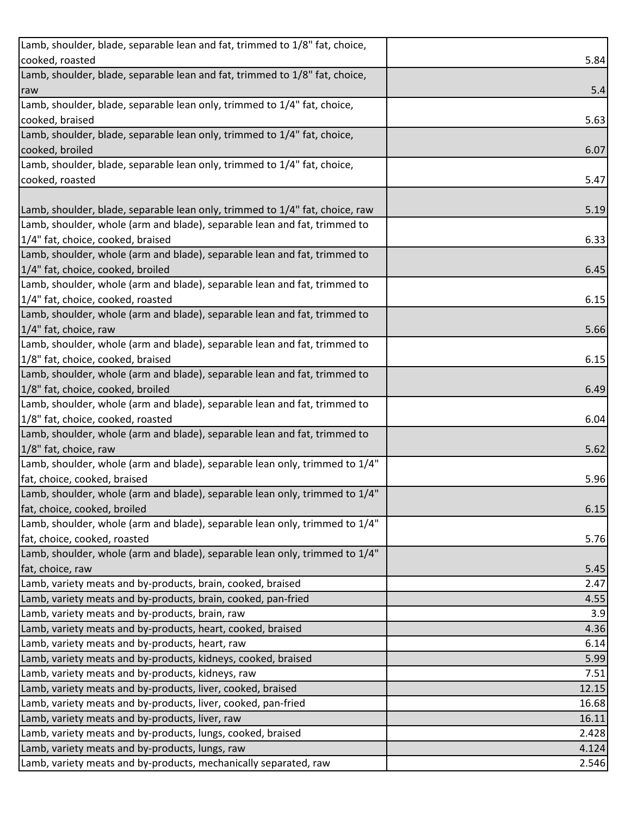| Lamb, shoulder, blade, separable lean and fat, trimmed to 1/8" fat, choice,  |       |
|------------------------------------------------------------------------------|-------|
| cooked, roasted                                                              | 5.84  |
| Lamb, shoulder, blade, separable lean and fat, trimmed to 1/8" fat, choice,  |       |
| raw                                                                          | 5.4   |
| Lamb, shoulder, blade, separable lean only, trimmed to 1/4" fat, choice,     |       |
| cooked, braised                                                              | 5.63  |
| Lamb, shoulder, blade, separable lean only, trimmed to 1/4" fat, choice,     |       |
| cooked, broiled                                                              | 6.07  |
| Lamb, shoulder, blade, separable lean only, trimmed to 1/4" fat, choice,     |       |
| cooked, roasted                                                              | 5.47  |
|                                                                              |       |
| Lamb, shoulder, blade, separable lean only, trimmed to 1/4" fat, choice, raw | 5.19  |
| Lamb, shoulder, whole (arm and blade), separable lean and fat, trimmed to    |       |
| 1/4" fat, choice, cooked, braised                                            | 6.33  |
| Lamb, shoulder, whole (arm and blade), separable lean and fat, trimmed to    |       |
| 1/4" fat, choice, cooked, broiled                                            | 6.45  |
| Lamb, shoulder, whole (arm and blade), separable lean and fat, trimmed to    |       |
| 1/4" fat, choice, cooked, roasted                                            | 6.15  |
| Lamb, shoulder, whole (arm and blade), separable lean and fat, trimmed to    |       |
| 1/4" fat, choice, raw                                                        | 5.66  |
| Lamb, shoulder, whole (arm and blade), separable lean and fat, trimmed to    |       |
| 1/8" fat, choice, cooked, braised                                            | 6.15  |
| Lamb, shoulder, whole (arm and blade), separable lean and fat, trimmed to    |       |
| 1/8" fat, choice, cooked, broiled                                            | 6.49  |
| Lamb, shoulder, whole (arm and blade), separable lean and fat, trimmed to    |       |
| 1/8" fat, choice, cooked, roasted                                            | 6.04  |
| Lamb, shoulder, whole (arm and blade), separable lean and fat, trimmed to    |       |
| 1/8" fat, choice, raw                                                        | 5.62  |
| Lamb, shoulder, whole (arm and blade), separable lean only, trimmed to 1/4"  |       |
| fat, choice, cooked, braised                                                 | 5.96  |
| Lamb, shoulder, whole (arm and blade), separable lean only, trimmed to 1/4"  |       |
| fat, choice, cooked, broiled                                                 | 6.15  |
| Lamb, shoulder, whole (arm and blade), separable lean only, trimmed to 1/4"  |       |
| fat, choice, cooked, roasted                                                 | 5.76  |
| Lamb, shoulder, whole (arm and blade), separable lean only, trimmed to 1/4"  |       |
| fat, choice, raw                                                             | 5.45  |
| Lamb, variety meats and by-products, brain, cooked, braised                  | 2.47  |
| Lamb, variety meats and by-products, brain, cooked, pan-fried                | 4.55  |
| Lamb, variety meats and by-products, brain, raw                              | 3.9   |
| Lamb, variety meats and by-products, heart, cooked, braised                  | 4.36  |
| Lamb, variety meats and by-products, heart, raw                              | 6.14  |
| Lamb, variety meats and by-products, kidneys, cooked, braised                | 5.99  |
| Lamb, variety meats and by-products, kidneys, raw                            | 7.51  |
| Lamb, variety meats and by-products, liver, cooked, braised                  | 12.15 |
| Lamb, variety meats and by-products, liver, cooked, pan-fried                | 16.68 |
| Lamb, variety meats and by-products, liver, raw                              | 16.11 |
| Lamb, variety meats and by-products, lungs, cooked, braised                  | 2.428 |
| Lamb, variety meats and by-products, lungs, raw                              | 4.124 |
| Lamb, variety meats and by-products, mechanically separated, raw             | 2.546 |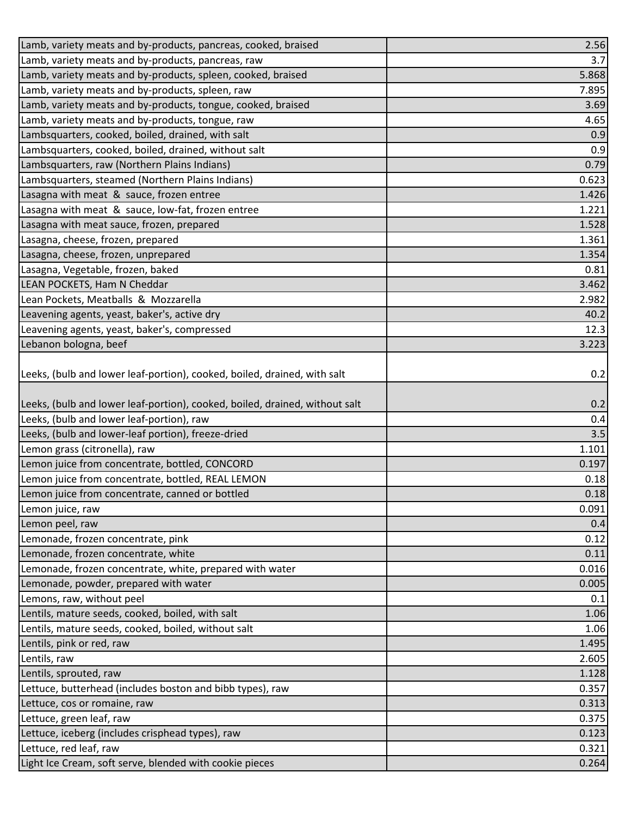| Lamb, variety meats and by-products, pancreas, cooked, braised              | 2.56  |
|-----------------------------------------------------------------------------|-------|
| Lamb, variety meats and by-products, pancreas, raw                          | 3.7   |
| Lamb, variety meats and by-products, spleen, cooked, braised                | 5.868 |
| Lamb, variety meats and by-products, spleen, raw                            | 7.895 |
| Lamb, variety meats and by-products, tongue, cooked, braised                | 3.69  |
| Lamb, variety meats and by-products, tongue, raw                            | 4.65  |
| Lambsquarters, cooked, boiled, drained, with salt                           | 0.9   |
| Lambsquarters, cooked, boiled, drained, without salt                        | 0.9   |
| Lambsquarters, raw (Northern Plains Indians)                                | 0.79  |
| Lambsquarters, steamed (Northern Plains Indians)                            | 0.623 |
| Lasagna with meat & sauce, frozen entree                                    | 1.426 |
| Lasagna with meat & sauce, low-fat, frozen entree                           | 1.221 |
| Lasagna with meat sauce, frozen, prepared                                   | 1.528 |
| Lasagna, cheese, frozen, prepared                                           | 1.361 |
| Lasagna, cheese, frozen, unprepared                                         | 1.354 |
| Lasagna, Vegetable, frozen, baked                                           | 0.81  |
| LEAN POCKETS, Ham N Cheddar                                                 | 3.462 |
| Lean Pockets, Meatballs & Mozzarella                                        | 2.982 |
| Leavening agents, yeast, baker's, active dry                                | 40.2  |
| Leavening agents, yeast, baker's, compressed                                | 12.3  |
| Lebanon bologna, beef                                                       | 3.223 |
| Leeks, (bulb and lower leaf-portion), cooked, boiled, drained, with salt    | 0.2   |
| Leeks, (bulb and lower leaf-portion), cooked, boiled, drained, without salt | 0.2   |
| Leeks, (bulb and lower leaf-portion), raw                                   | 0.4   |
| Leeks, (bulb and lower-leaf portion), freeze-dried                          | 3.5   |
| Lemon grass (citronella), raw                                               | 1.101 |
| Lemon juice from concentrate, bottled, CONCORD                              | 0.197 |
| Lemon juice from concentrate, bottled, REAL LEMON                           | 0.18  |
| Lemon juice from concentrate, canned or bottled                             | 0.18  |
| Lemon juice, raw                                                            | 0.091 |
| Lemon peel, raw                                                             | 0.4   |
| Lemonade, frozen concentrate, pink                                          | 0.12  |
| Lemonade, frozen concentrate, white                                         | 0.11  |
| Lemonade, frozen concentrate, white, prepared with water                    | 0.016 |
| Lemonade, powder, prepared with water                                       | 0.005 |
| Lemons, raw, without peel                                                   | 0.1   |
| Lentils, mature seeds, cooked, boiled, with salt                            | 1.06  |
| Lentils, mature seeds, cooked, boiled, without salt                         | 1.06  |
| Lentils, pink or red, raw                                                   | 1.495 |
| Lentils, raw                                                                | 2.605 |
| Lentils, sprouted, raw                                                      | 1.128 |
| Lettuce, butterhead (includes boston and bibb types), raw                   | 0.357 |
| Lettuce, cos or romaine, raw                                                | 0.313 |
| Lettuce, green leaf, raw                                                    | 0.375 |
| Lettuce, iceberg (includes crisphead types), raw                            | 0.123 |
| Lettuce, red leaf, raw                                                      | 0.321 |
| Light Ice Cream, soft serve, blended with cookie pieces                     | 0.264 |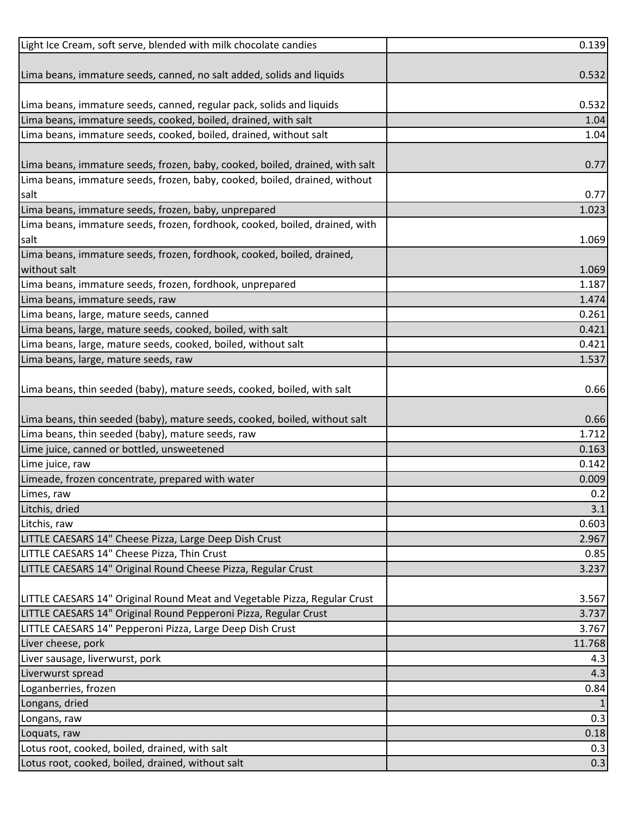| Light Ice Cream, soft serve, blended with milk chocolate candies             | 0.139  |
|------------------------------------------------------------------------------|--------|
|                                                                              |        |
| Lima beans, immature seeds, canned, no salt added, solids and liquids        | 0.532  |
|                                                                              |        |
| Lima beans, immature seeds, canned, regular pack, solids and liquids         | 0.532  |
| Lima beans, immature seeds, cooked, boiled, drained, with salt               | 1.04   |
| Lima beans, immature seeds, cooked, boiled, drained, without salt            | 1.04   |
|                                                                              |        |
| Lima beans, immature seeds, frozen, baby, cooked, boiled, drained, with salt | 0.77   |
| Lima beans, immature seeds, frozen, baby, cooked, boiled, drained, without   |        |
| salt                                                                         | 0.77   |
| Lima beans, immature seeds, frozen, baby, unprepared                         | 1.023  |
| Lima beans, immature seeds, frozen, fordhook, cooked, boiled, drained, with  |        |
| salt                                                                         | 1.069  |
| Lima beans, immature seeds, frozen, fordhook, cooked, boiled, drained,       |        |
| without salt                                                                 | 1.069  |
| Lima beans, immature seeds, frozen, fordhook, unprepared                     | 1.187  |
| Lima beans, immature seeds, raw                                              | 1.474  |
| Lima beans, large, mature seeds, canned                                      | 0.261  |
| Lima beans, large, mature seeds, cooked, boiled, with salt                   | 0.421  |
| Lima beans, large, mature seeds, cooked, boiled, without salt                | 0.421  |
| Lima beans, large, mature seeds, raw                                         | 1.537  |
|                                                                              |        |
| Lima beans, thin seeded (baby), mature seeds, cooked, boiled, with salt      | 0.66   |
|                                                                              |        |
| Lima beans, thin seeded (baby), mature seeds, cooked, boiled, without salt   | 0.66   |
| Lima beans, thin seeded (baby), mature seeds, raw                            | 1.712  |
| Lime juice, canned or bottled, unsweetened                                   | 0.163  |
| Lime juice, raw                                                              | 0.142  |
| Limeade, frozen concentrate, prepared with water                             | 0.009  |
| Limes, raw                                                                   | 0.2    |
| Litchis, dried                                                               | 3.1    |
| Litchis, raw                                                                 | 0.603  |
| LITTLE CAESARS 14" Cheese Pizza, Large Deep Dish Crust                       | 2.967  |
| LITTLE CAESARS 14" Cheese Pizza, Thin Crust                                  | 0.85   |
| LITTLE CAESARS 14" Original Round Cheese Pizza, Regular Crust                | 3.237  |
|                                                                              |        |
| LITTLE CAESARS 14" Original Round Meat and Vegetable Pizza, Regular Crust    | 3.567  |
| LITTLE CAESARS 14" Original Round Pepperoni Pizza, Regular Crust             | 3.737  |
| LITTLE CAESARS 14" Pepperoni Pizza, Large Deep Dish Crust                    | 3.767  |
| Liver cheese, pork                                                           | 11.768 |
| Liver sausage, liverwurst, pork                                              | 4.3    |
| Liverwurst spread                                                            | 4.3    |
| Loganberries, frozen                                                         | 0.84   |
| Longans, dried                                                               |        |
| Longans, raw                                                                 | 0.3    |
| Loquats, raw                                                                 | 0.18   |
| Lotus root, cooked, boiled, drained, with salt                               | 0.3    |
| Lotus root, cooked, boiled, drained, without salt                            | 0.3    |
|                                                                              |        |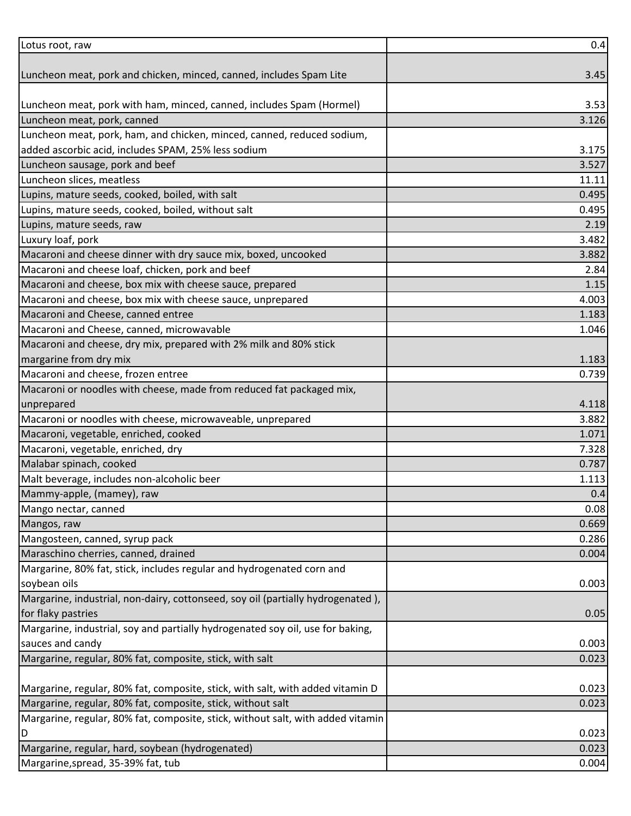| 3.527<br>1.071<br>0.669<br>0.286<br>0.004<br>0.05<br>D | Lotus root, raw                                                                 | 0.4   |
|--------------------------------------------------------|---------------------------------------------------------------------------------|-------|
|                                                        |                                                                                 |       |
|                                                        | Luncheon meat, pork and chicken, minced, canned, includes Spam Lite             | 3.45  |
|                                                        |                                                                                 |       |
|                                                        | Luncheon meat, pork with ham, minced, canned, includes Spam (Hormel)            | 3.53  |
|                                                        | Luncheon meat, pork, canned                                                     | 3.126 |
|                                                        | Luncheon meat, pork, ham, and chicken, minced, canned, reduced sodium,          |       |
|                                                        | added ascorbic acid, includes SPAM, 25% less sodium                             | 3.175 |
|                                                        | Luncheon sausage, pork and beef                                                 |       |
|                                                        | Luncheon slices, meatless                                                       | 11.11 |
|                                                        | Lupins, mature seeds, cooked, boiled, with salt                                 | 0.495 |
|                                                        | Lupins, mature seeds, cooked, boiled, without salt                              | 0.495 |
|                                                        | Lupins, mature seeds, raw                                                       | 2.19  |
|                                                        | Luxury loaf, pork                                                               | 3.482 |
|                                                        | Macaroni and cheese dinner with dry sauce mix, boxed, uncooked                  | 3.882 |
|                                                        | Macaroni and cheese loaf, chicken, pork and beef                                | 2.84  |
|                                                        | Macaroni and cheese, box mix with cheese sauce, prepared                        | 1.15  |
|                                                        | Macaroni and cheese, box mix with cheese sauce, unprepared                      | 4.003 |
|                                                        | Macaroni and Cheese, canned entree                                              | 1.183 |
|                                                        | Macaroni and Cheese, canned, microwavable                                       | 1.046 |
|                                                        | Macaroni and cheese, dry mix, prepared with 2% milk and 80% stick               |       |
|                                                        | margarine from dry mix                                                          | 1.183 |
|                                                        | Macaroni and cheese, frozen entree                                              | 0.739 |
|                                                        | Macaroni or noodles with cheese, made from reduced fat packaged mix,            |       |
|                                                        | unprepared                                                                      | 4.118 |
|                                                        | Macaroni or noodles with cheese, microwaveable, unprepared                      | 3.882 |
|                                                        | Macaroni, vegetable, enriched, cooked                                           |       |
|                                                        | Macaroni, vegetable, enriched, dry                                              | 7.328 |
|                                                        | Malabar spinach, cooked                                                         | 0.787 |
|                                                        | Malt beverage, includes non-alcoholic beer                                      | 1.113 |
|                                                        | Mammy-apple, (mamey), raw                                                       | 0.4   |
|                                                        | Mango nectar, canned                                                            | 0.08  |
|                                                        | Mangos, raw                                                                     |       |
|                                                        | Mangosteen, canned, syrup pack                                                  |       |
|                                                        | Maraschino cherries, canned, drained                                            |       |
|                                                        | Margarine, 80% fat, stick, includes regular and hydrogenated corn and           |       |
|                                                        | soybean oils                                                                    | 0.003 |
|                                                        | Margarine, industrial, non-dairy, cottonseed, soy oil (partially hydrogenated), |       |
|                                                        | for flaky pastries                                                              |       |
|                                                        | Margarine, industrial, soy and partially hydrogenated soy oil, use for baking,  |       |
|                                                        | sauces and candy                                                                | 0.003 |
|                                                        | Margarine, regular, 80% fat, composite, stick, with salt                        | 0.023 |
|                                                        |                                                                                 |       |
|                                                        | Margarine, regular, 80% fat, composite, stick, with salt, with added vitamin D  | 0.023 |
|                                                        | Margarine, regular, 80% fat, composite, stick, without salt                     | 0.023 |
|                                                        | Margarine, regular, 80% fat, composite, stick, without salt, with added vitamin |       |
|                                                        |                                                                                 | 0.023 |
|                                                        | Margarine, regular, hard, soybean (hydrogenated)                                | 0.023 |
|                                                        | Margarine, spread, 35-39% fat, tub                                              | 0.004 |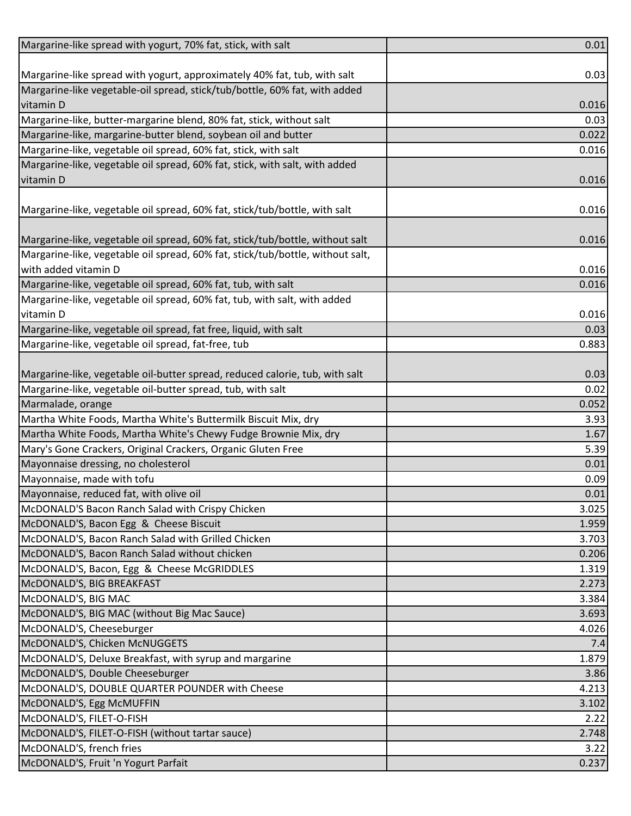| Margarine-like spread with yogurt, 70% fat, stick, with salt                   | 0.01  |
|--------------------------------------------------------------------------------|-------|
|                                                                                |       |
| Margarine-like spread with yogurt, approximately 40% fat, tub, with salt       | 0.03  |
| Margarine-like vegetable-oil spread, stick/tub/bottle, 60% fat, with added     |       |
| vitamin D                                                                      | 0.016 |
| Margarine-like, butter-margarine blend, 80% fat, stick, without salt           | 0.03  |
| Margarine-like, margarine-butter blend, soybean oil and butter                 | 0.022 |
| Margarine-like, vegetable oil spread, 60% fat, stick, with salt                | 0.016 |
| Margarine-like, vegetable oil spread, 60% fat, stick, with salt, with added    |       |
| vitamin D                                                                      | 0.016 |
|                                                                                |       |
| Margarine-like, vegetable oil spread, 60% fat, stick/tub/bottle, with salt     | 0.016 |
|                                                                                |       |
| Margarine-like, vegetable oil spread, 60% fat, stick/tub/bottle, without salt  | 0.016 |
| Margarine-like, vegetable oil spread, 60% fat, stick/tub/bottle, without salt, |       |
| with added vitamin D                                                           | 0.016 |
| Margarine-like, vegetable oil spread, 60% fat, tub, with salt                  | 0.016 |
| Margarine-like, vegetable oil spread, 60% fat, tub, with salt, with added      |       |
| vitamin D                                                                      | 0.016 |
| Margarine-like, vegetable oil spread, fat free, liquid, with salt              | 0.03  |
| Margarine-like, vegetable oil spread, fat-free, tub                            | 0.883 |
|                                                                                |       |
| Margarine-like, vegetable oil-butter spread, reduced calorie, tub, with salt   | 0.03  |
| Margarine-like, vegetable oil-butter spread, tub, with salt                    | 0.02  |
| Marmalade, orange                                                              | 0.052 |
| Martha White Foods, Martha White's Buttermilk Biscuit Mix, dry                 | 3.93  |
| Martha White Foods, Martha White's Chewy Fudge Brownie Mix, dry                | 1.67  |
| Mary's Gone Crackers, Original Crackers, Organic Gluten Free                   | 5.39  |
| Mayonnaise dressing, no cholesterol                                            | 0.01  |
| Mayonnaise, made with tofu                                                     | 0.09  |
| Mayonnaise, reduced fat, with olive oil                                        | 0.01  |
| McDONALD'S Bacon Ranch Salad with Crispy Chicken                               | 3.025 |
| McDONALD'S, Bacon Egg & Cheese Biscuit                                         | 1.959 |
| McDONALD'S, Bacon Ranch Salad with Grilled Chicken                             | 3.703 |
| McDONALD'S, Bacon Ranch Salad without chicken                                  | 0.206 |
| McDONALD'S, Bacon, Egg & Cheese McGRIDDLES                                     | 1.319 |
| McDONALD'S, BIG BREAKFAST                                                      | 2.273 |
| McDONALD'S, BIG MAC                                                            | 3.384 |
| McDONALD'S, BIG MAC (without Big Mac Sauce)                                    | 3.693 |
| McDONALD'S, Cheeseburger                                                       | 4.026 |
| McDONALD'S, Chicken McNUGGETS                                                  | 7.4   |
| McDONALD'S, Deluxe Breakfast, with syrup and margarine                         | 1.879 |
| McDONALD'S, Double Cheeseburger                                                | 3.86  |
| McDONALD'S, DOUBLE QUARTER POUNDER with Cheese                                 | 4.213 |
| McDONALD'S, Egg McMUFFIN                                                       | 3.102 |
| McDONALD'S, FILET-O-FISH                                                       | 2.22  |
| McDONALD'S, FILET-O-FISH (without tartar sauce)                                | 2.748 |
| McDONALD'S, french fries                                                       | 3.22  |
| McDONALD'S, Fruit 'n Yogurt Parfait                                            | 0.237 |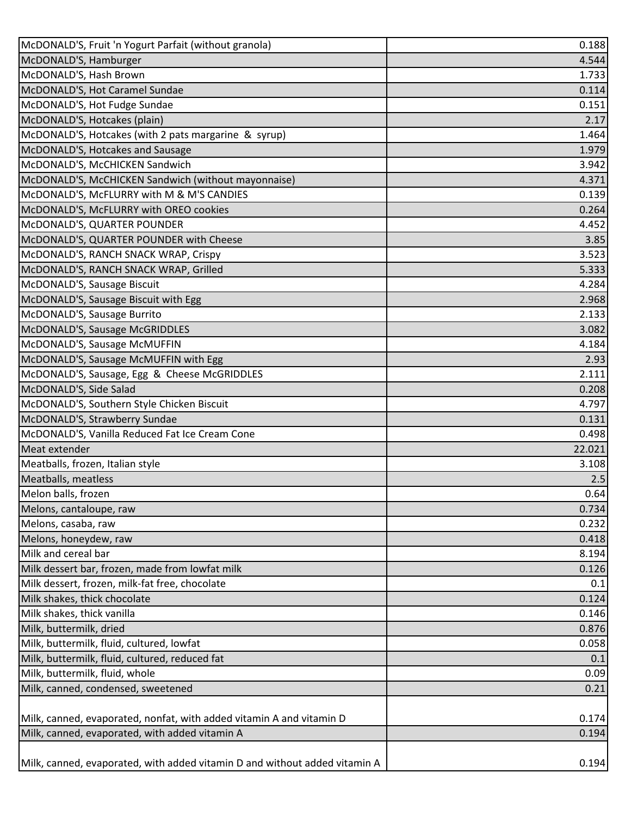| McDONALD'S, Fruit 'n Yogurt Parfait (without granola)                      | 0.188  |
|----------------------------------------------------------------------------|--------|
| McDONALD'S, Hamburger                                                      | 4.544  |
| McDONALD'S, Hash Brown                                                     | 1.733  |
| McDONALD'S, Hot Caramel Sundae                                             | 0.114  |
| McDONALD'S, Hot Fudge Sundae                                               | 0.151  |
| McDONALD'S, Hotcakes (plain)                                               | 2.17   |
| McDONALD'S, Hotcakes (with 2 pats margarine & syrup)                       | 1.464  |
| McDONALD'S, Hotcakes and Sausage                                           | 1.979  |
| McDONALD'S, McCHICKEN Sandwich                                             | 3.942  |
| McDONALD'S, McCHICKEN Sandwich (without mayonnaise)                        | 4.371  |
| McDONALD'S, McFLURRY with M & M'S CANDIES                                  | 0.139  |
| McDONALD'S, McFLURRY with OREO cookies                                     | 0.264  |
| McDONALD'S, QUARTER POUNDER                                                | 4.452  |
| McDONALD'S, QUARTER POUNDER with Cheese                                    | 3.85   |
| McDONALD'S, RANCH SNACK WRAP, Crispy                                       | 3.523  |
| McDONALD'S, RANCH SNACK WRAP, Grilled                                      | 5.333  |
| McDONALD'S, Sausage Biscuit                                                | 4.284  |
| McDONALD'S, Sausage Biscuit with Egg                                       | 2.968  |
| McDONALD'S, Sausage Burrito                                                | 2.133  |
| McDONALD'S, Sausage McGRIDDLES                                             | 3.082  |
| McDONALD'S, Sausage McMUFFIN                                               | 4.184  |
| McDONALD'S, Sausage McMUFFIN with Egg                                      | 2.93   |
| McDONALD'S, Sausage, Egg & Cheese McGRIDDLES                               | 2.111  |
| McDONALD'S, Side Salad                                                     | 0.208  |
| McDONALD'S, Southern Style Chicken Biscuit                                 | 4.797  |
| McDONALD'S, Strawberry Sundae                                              | 0.131  |
| McDONALD'S, Vanilla Reduced Fat Ice Cream Cone                             | 0.498  |
| Meat extender                                                              | 22.021 |
| Meatballs, frozen, Italian style                                           | 3.108  |
| Meatballs, meatless                                                        | 2.5    |
| Melon balls, frozen                                                        | 0.64   |
| Melons, cantaloupe, raw                                                    | 0.734  |
| Melons, casaba, raw                                                        | 0.232  |
| Melons, honeydew, raw                                                      | 0.418  |
| Milk and cereal bar                                                        | 8.194  |
| Milk dessert bar, frozen, made from lowfat milk                            | 0.126  |
| Milk dessert, frozen, milk-fat free, chocolate                             | 0.1    |
| Milk shakes, thick chocolate                                               | 0.124  |
| Milk shakes, thick vanilla                                                 | 0.146  |
| Milk, buttermilk, dried                                                    | 0.876  |
| Milk, buttermilk, fluid, cultured, lowfat                                  | 0.058  |
| Milk, buttermilk, fluid, cultured, reduced fat                             | 0.1    |
| Milk, buttermilk, fluid, whole                                             | 0.09   |
| Milk, canned, condensed, sweetened                                         | 0.21   |
|                                                                            |        |
| Milk, canned, evaporated, nonfat, with added vitamin A and vitamin D       | 0.174  |
| Milk, canned, evaporated, with added vitamin A                             | 0.194  |
|                                                                            |        |
| Milk, canned, evaporated, with added vitamin D and without added vitamin A | 0.194  |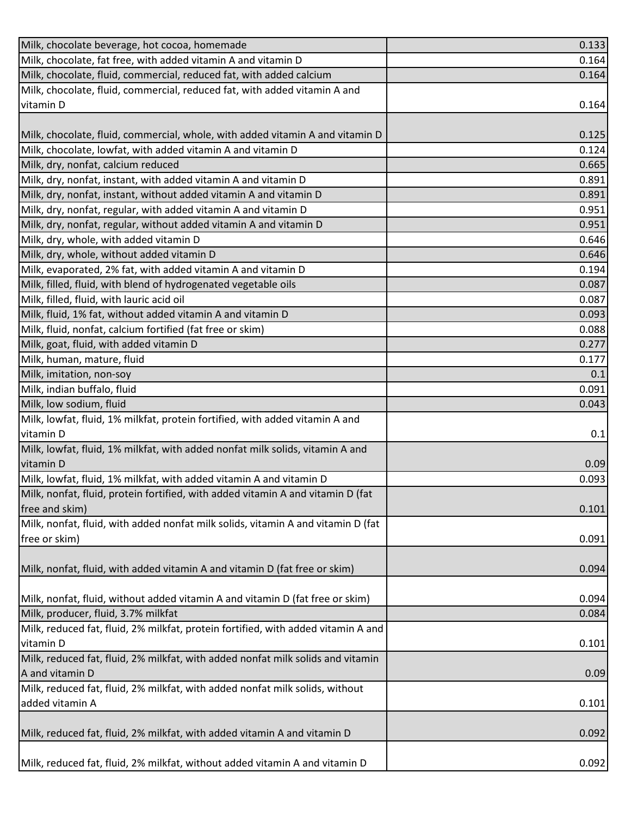| Milk, chocolate beverage, hot cocoa, homemade                                     | 0.133 |
|-----------------------------------------------------------------------------------|-------|
| Milk, chocolate, fat free, with added vitamin A and vitamin D                     | 0.164 |
| Milk, chocolate, fluid, commercial, reduced fat, with added calcium               | 0.164 |
| Milk, chocolate, fluid, commercial, reduced fat, with added vitamin A and         |       |
| vitamin D                                                                         | 0.164 |
|                                                                                   |       |
| Milk, chocolate, fluid, commercial, whole, with added vitamin A and vitamin D     | 0.125 |
| Milk, chocolate, lowfat, with added vitamin A and vitamin D                       | 0.124 |
| Milk, dry, nonfat, calcium reduced                                                | 0.665 |
| Milk, dry, nonfat, instant, with added vitamin A and vitamin D                    | 0.891 |
| Milk, dry, nonfat, instant, without added vitamin A and vitamin D                 | 0.891 |
| Milk, dry, nonfat, regular, with added vitamin A and vitamin D                    | 0.951 |
| Milk, dry, nonfat, regular, without added vitamin A and vitamin D                 | 0.951 |
| Milk, dry, whole, with added vitamin D                                            | 0.646 |
| Milk, dry, whole, without added vitamin D                                         | 0.646 |
| Milk, evaporated, 2% fat, with added vitamin A and vitamin D                      | 0.194 |
| Milk, filled, fluid, with blend of hydrogenated vegetable oils                    | 0.087 |
| Milk, filled, fluid, with lauric acid oil                                         | 0.087 |
| Milk, fluid, 1% fat, without added vitamin A and vitamin D                        | 0.093 |
| Milk, fluid, nonfat, calcium fortified (fat free or skim)                         | 0.088 |
| Milk, goat, fluid, with added vitamin D                                           | 0.277 |
| Milk, human, mature, fluid                                                        | 0.177 |
| Milk, imitation, non-soy                                                          | 0.1   |
| Milk, indian buffalo, fluid                                                       | 0.091 |
| Milk, low sodium, fluid                                                           | 0.043 |
| Milk, lowfat, fluid, 1% milkfat, protein fortified, with added vitamin A and      |       |
| vitamin D                                                                         | 0.1   |
| Milk, lowfat, fluid, 1% milkfat, with added nonfat milk solids, vitamin A and     |       |
| vitamin D                                                                         | 0.09  |
| Milk, lowfat, fluid, 1% milkfat, with added vitamin A and vitamin D               | 0.093 |
| Milk, nonfat, fluid, protein fortified, with added vitamin A and vitamin D (fat   |       |
| free and skim)                                                                    | 0.101 |
| Milk, nonfat, fluid, with added nonfat milk solids, vitamin A and vitamin D (fat  |       |
| free or skim)                                                                     | 0.091 |
|                                                                                   |       |
| Milk, nonfat, fluid, with added vitamin A and vitamin D (fat free or skim)        | 0.094 |
|                                                                                   |       |
| Milk, nonfat, fluid, without added vitamin A and vitamin D (fat free or skim)     | 0.094 |
| Milk, producer, fluid, 3.7% milkfat                                               | 0.084 |
| Milk, reduced fat, fluid, 2% milkfat, protein fortified, with added vitamin A and |       |
| vitamin D                                                                         | 0.101 |
| Milk, reduced fat, fluid, 2% milkfat, with added nonfat milk solids and vitamin   |       |
| A and vitamin D                                                                   | 0.09  |
| Milk, reduced fat, fluid, 2% milkfat, with added nonfat milk solids, without      |       |
| added vitamin A                                                                   | 0.101 |
|                                                                                   |       |
| Milk, reduced fat, fluid, 2% milkfat, with added vitamin A and vitamin D          | 0.092 |
|                                                                                   |       |
| Milk, reduced fat, fluid, 2% milkfat, without added vitamin A and vitamin D       | 0.092 |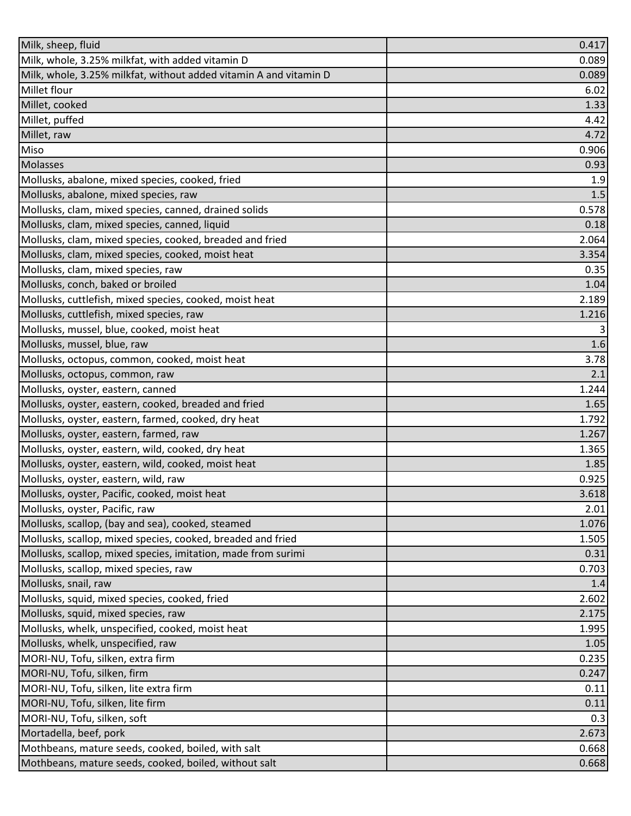| Milk, sheep, fluid                                                | 0.417 |
|-------------------------------------------------------------------|-------|
| Milk, whole, 3.25% milkfat, with added vitamin D                  | 0.089 |
| Milk, whole, 3.25% milkfat, without added vitamin A and vitamin D | 0.089 |
| Millet flour                                                      | 6.02  |
| Millet, cooked                                                    | 1.33  |
| Millet, puffed                                                    | 4.42  |
| Millet, raw                                                       | 4.72  |
| Miso                                                              | 0.906 |
| <b>Molasses</b>                                                   | 0.93  |
| Mollusks, abalone, mixed species, cooked, fried                   | 1.9   |
| Mollusks, abalone, mixed species, raw                             | 1.5   |
| Mollusks, clam, mixed species, canned, drained solids             | 0.578 |
| Mollusks, clam, mixed species, canned, liquid                     | 0.18  |
| Mollusks, clam, mixed species, cooked, breaded and fried          | 2.064 |
| Mollusks, clam, mixed species, cooked, moist heat                 | 3.354 |
| Mollusks, clam, mixed species, raw                                | 0.35  |
| Mollusks, conch, baked or broiled                                 | 1.04  |
| Mollusks, cuttlefish, mixed species, cooked, moist heat           | 2.189 |
| Mollusks, cuttlefish, mixed species, raw                          | 1.216 |
| Mollusks, mussel, blue, cooked, moist heat                        | 3     |
| Mollusks, mussel, blue, raw                                       | 1.6   |
| Mollusks, octopus, common, cooked, moist heat                     | 3.78  |
| Mollusks, octopus, common, raw                                    | 2.1   |
| Mollusks, oyster, eastern, canned                                 | 1.244 |
| Mollusks, oyster, eastern, cooked, breaded and fried              | 1.65  |
| Mollusks, oyster, eastern, farmed, cooked, dry heat               | 1.792 |
| Mollusks, oyster, eastern, farmed, raw                            | 1.267 |
| Mollusks, oyster, eastern, wild, cooked, dry heat                 | 1.365 |
| Mollusks, oyster, eastern, wild, cooked, moist heat               | 1.85  |
| Mollusks, oyster, eastern, wild, raw                              | 0.925 |
| Mollusks, oyster, Pacific, cooked, moist heat                     | 3.618 |
| Mollusks, oyster, Pacific, raw                                    | 2.01  |
| Mollusks, scallop, (bay and sea), cooked, steamed                 | 1.076 |
| Mollusks, scallop, mixed species, cooked, breaded and fried       | 1.505 |
| Mollusks, scallop, mixed species, imitation, made from surimi     | 0.31  |
| Mollusks, scallop, mixed species, raw                             | 0.703 |
| Mollusks, snail, raw                                              | 1.4   |
| Mollusks, squid, mixed species, cooked, fried                     | 2.602 |
| Mollusks, squid, mixed species, raw                               | 2.175 |
| Mollusks, whelk, unspecified, cooked, moist heat                  | 1.995 |
| Mollusks, whelk, unspecified, raw                                 | 1.05  |
| MORI-NU, Tofu, silken, extra firm                                 | 0.235 |
| MORI-NU, Tofu, silken, firm                                       | 0.247 |
| MORI-NU, Tofu, silken, lite extra firm                            | 0.11  |
| MORI-NU, Tofu, silken, lite firm                                  | 0.11  |
| MORI-NU, Tofu, silken, soft                                       | 0.3   |
| Mortadella, beef, pork                                            | 2.673 |
| Mothbeans, mature seeds, cooked, boiled, with salt                | 0.668 |
| Mothbeans, mature seeds, cooked, boiled, without salt             | 0.668 |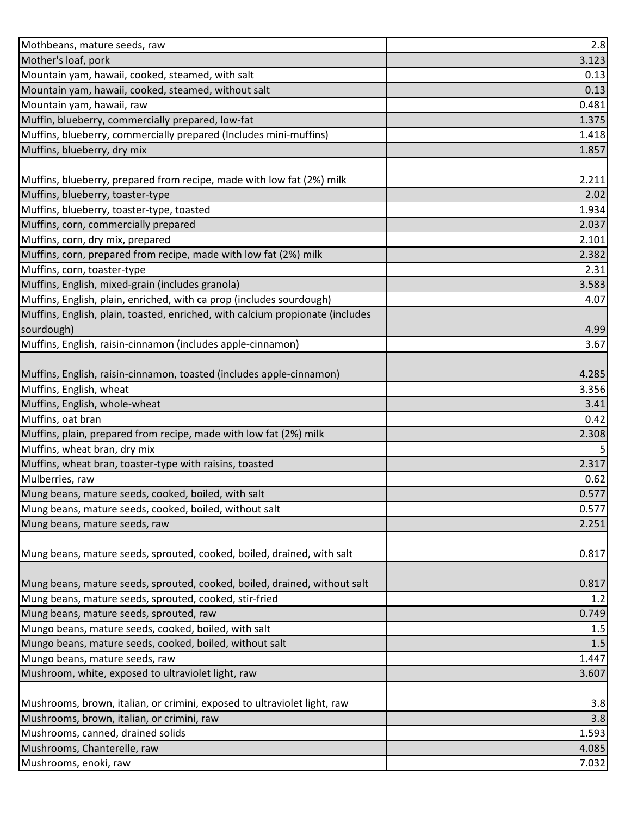| Mothbeans, mature seeds, raw                                                  | 2.8          |
|-------------------------------------------------------------------------------|--------------|
| Mother's loaf, pork                                                           | 3.123        |
| Mountain yam, hawaii, cooked, steamed, with salt                              | 0.13         |
| Mountain yam, hawaii, cooked, steamed, without salt                           | 0.13         |
| Mountain yam, hawaii, raw                                                     | 0.481        |
| Muffin, blueberry, commercially prepared, low-fat                             | 1.375        |
| Muffins, blueberry, commercially prepared (Includes mini-muffins)             | 1.418        |
| Muffins, blueberry, dry mix                                                   | 1.857        |
|                                                                               |              |
| Muffins, blueberry, prepared from recipe, made with low fat (2%) milk         | 2.211        |
| Muffins, blueberry, toaster-type                                              | 2.02         |
| Muffins, blueberry, toaster-type, toasted                                     | 1.934        |
| Muffins, corn, commercially prepared                                          | 2.037        |
| Muffins, corn, dry mix, prepared                                              | 2.101        |
| Muffins, corn, prepared from recipe, made with low fat (2%) milk              | 2.382        |
| Muffins, corn, toaster-type                                                   | 2.31         |
| Muffins, English, mixed-grain (includes granola)                              | 3.583        |
| Muffins, English, plain, enriched, with ca prop (includes sourdough)          | 4.07         |
| Muffins, English, plain, toasted, enriched, with calcium propionate (includes |              |
| sourdough)                                                                    | 4.99         |
| Muffins, English, raisin-cinnamon (includes apple-cinnamon)                   | 3.67         |
|                                                                               |              |
| Muffins, English, raisin-cinnamon, toasted (includes apple-cinnamon)          | 4.285        |
| Muffins, English, wheat                                                       | 3.356        |
| Muffins, English, whole-wheat                                                 | 3.41         |
| Muffins, oat bran                                                             | 0.42         |
| Muffins, plain, prepared from recipe, made with low fat (2%) milk             | 2.308        |
| Muffins, wheat bran, dry mix                                                  | 5            |
| Muffins, wheat bran, toaster-type with raisins, toasted                       | 2.317        |
| Mulberries, raw                                                               | 0.62         |
| Mung beans, mature seeds, cooked, boiled, with salt                           | 0.577        |
| Mung beans, mature seeds, cooked, boiled, without salt                        | 0.577        |
| Mung beans, mature seeds, raw                                                 | 2.251        |
|                                                                               |              |
| Mung beans, mature seeds, sprouted, cooked, boiled, drained, with salt        | 0.817        |
| Mung beans, mature seeds, sprouted, cooked, boiled, drained, without salt     |              |
| Mung beans, mature seeds, sprouted, cooked, stir-fried                        | 0.817<br>1.2 |
| Mung beans, mature seeds, sprouted, raw                                       | 0.749        |
| Mungo beans, mature seeds, cooked, boiled, with salt                          | 1.5          |
| Mungo beans, mature seeds, cooked, boiled, without salt                       | 1.5          |
| Mungo beans, mature seeds, raw                                                | 1.447        |
| Mushroom, white, exposed to ultraviolet light, raw                            | 3.607        |
|                                                                               |              |
| Mushrooms, brown, italian, or crimini, exposed to ultraviolet light, raw      | 3.8          |
| Mushrooms, brown, italian, or crimini, raw                                    | 3.8          |
| Mushrooms, canned, drained solids                                             | 1.593        |
| Mushrooms, Chanterelle, raw                                                   | 4.085        |
| Mushrooms, enoki, raw                                                         | 7.032        |
|                                                                               |              |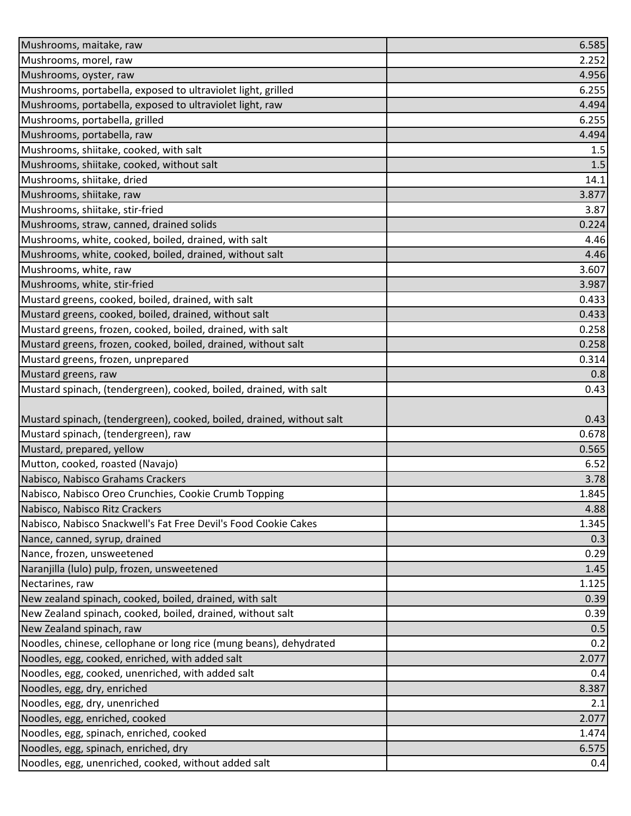| Mushrooms, maitake, raw                                                                      | 6.585         |
|----------------------------------------------------------------------------------------------|---------------|
| Mushrooms, morel, raw                                                                        | 2.252         |
| Mushrooms, oyster, raw                                                                       | 4.956         |
| Mushrooms, portabella, exposed to ultraviolet light, grilled                                 | 6.255         |
| Mushrooms, portabella, exposed to ultraviolet light, raw                                     | 4.494         |
| Mushrooms, portabella, grilled                                                               | 6.255         |
| Mushrooms, portabella, raw                                                                   | 4.494         |
| Mushrooms, shiitake, cooked, with salt                                                       | 1.5           |
| Mushrooms, shiitake, cooked, without salt                                                    | 1.5           |
| Mushrooms, shiitake, dried                                                                   | 14.1          |
| Mushrooms, shiitake, raw                                                                     | 3.877         |
| Mushrooms, shiitake, stir-fried                                                              | 3.87          |
| Mushrooms, straw, canned, drained solids                                                     | 0.224         |
| Mushrooms, white, cooked, boiled, drained, with salt                                         | 4.46          |
| Mushrooms, white, cooked, boiled, drained, without salt                                      | 4.46          |
| Mushrooms, white, raw                                                                        | 3.607         |
| Mushrooms, white, stir-fried                                                                 | 3.987         |
| Mustard greens, cooked, boiled, drained, with salt                                           | 0.433         |
| Mustard greens, cooked, boiled, drained, without salt                                        | 0.433         |
| Mustard greens, frozen, cooked, boiled, drained, with salt                                   | 0.258         |
| Mustard greens, frozen, cooked, boiled, drained, without salt                                | 0.258         |
| Mustard greens, frozen, unprepared                                                           | 0.314         |
| Mustard greens, raw                                                                          | 0.8           |
| Mustard spinach, (tendergreen), cooked, boiled, drained, with salt                           | 0.43          |
|                                                                                              |               |
|                                                                                              |               |
| Mustard spinach, (tendergreen), cooked, boiled, drained, without salt                        | 0.43          |
| Mustard spinach, (tendergreen), raw                                                          | 0.678         |
| Mustard, prepared, yellow                                                                    | 0.565         |
| Mutton, cooked, roasted (Navajo)                                                             | 6.52          |
| Nabisco, Nabisco Grahams Crackers                                                            | 3.78          |
| Nabisco, Nabisco Oreo Crunchies, Cookie Crumb Topping                                        |               |
| Nabisco, Nabisco Ritz Crackers                                                               | 4.88          |
| Nabisco, Nabisco Snackwell's Fat Free Devil's Food Cookie Cakes                              | 1.345         |
| Nance, canned, syrup, drained                                                                | 0.3           |
| Nance, frozen, unsweetened                                                                   | 1.845<br>0.29 |
| Naranjilla (lulo) pulp, frozen, unsweetened                                                  | 1.45          |
| Nectarines, raw                                                                              | 1.125         |
| New zealand spinach, cooked, boiled, drained, with salt                                      | 0.39          |
| New Zealand spinach, cooked, boiled, drained, without salt                                   | 0.39          |
| New Zealand spinach, raw                                                                     | 0.5           |
| Noodles, chinese, cellophane or long rice (mung beans), dehydrated                           | 0.2           |
| Noodles, egg, cooked, enriched, with added salt                                              | 2.077         |
| Noodles, egg, cooked, unenriched, with added salt                                            | 0.4           |
| Noodles, egg, dry, enriched                                                                  | 8.387         |
| Noodles, egg, dry, unenriched                                                                | 2.1           |
| Noodles, egg, enriched, cooked                                                               | 2.077         |
| Noodles, egg, spinach, enriched, cooked                                                      | 1.474         |
| Noodles, egg, spinach, enriched, dry<br>Noodles, egg, unenriched, cooked, without added salt | 6.575<br>0.4  |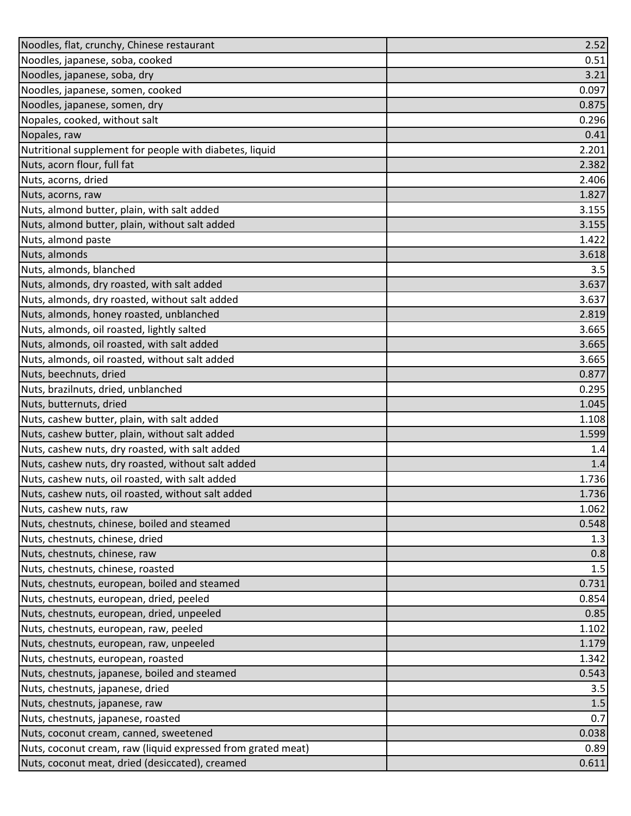| Noodles, flat, crunchy, Chinese restaurant                   | 2.52  |
|--------------------------------------------------------------|-------|
| Noodles, japanese, soba, cooked                              | 0.51  |
| Noodles, japanese, soba, dry                                 | 3.21  |
| Noodles, japanese, somen, cooked                             | 0.097 |
| Noodles, japanese, somen, dry                                | 0.875 |
| Nopales, cooked, without salt                                | 0.296 |
| Nopales, raw                                                 | 0.41  |
| Nutritional supplement for people with diabetes, liquid      | 2.201 |
| Nuts, acorn flour, full fat                                  | 2.382 |
| Nuts, acorns, dried                                          | 2.406 |
| Nuts, acorns, raw                                            | 1.827 |
| Nuts, almond butter, plain, with salt added                  | 3.155 |
| Nuts, almond butter, plain, without salt added               | 3.155 |
| Nuts, almond paste                                           | 1.422 |
| Nuts, almonds                                                | 3.618 |
| Nuts, almonds, blanched                                      | 3.5   |
| Nuts, almonds, dry roasted, with salt added                  | 3.637 |
| Nuts, almonds, dry roasted, without salt added               | 3.637 |
| Nuts, almonds, honey roasted, unblanched                     | 2.819 |
| Nuts, almonds, oil roasted, lightly salted                   | 3.665 |
| Nuts, almonds, oil roasted, with salt added                  | 3.665 |
| Nuts, almonds, oil roasted, without salt added               | 3.665 |
| Nuts, beechnuts, dried                                       | 0.877 |
| Nuts, brazilnuts, dried, unblanched                          | 0.295 |
| Nuts, butternuts, dried                                      | 1.045 |
| Nuts, cashew butter, plain, with salt added                  | 1.108 |
| Nuts, cashew butter, plain, without salt added               | 1.599 |
| Nuts, cashew nuts, dry roasted, with salt added              | 1.4   |
| Nuts, cashew nuts, dry roasted, without salt added           | 1.4   |
| Nuts, cashew nuts, oil roasted, with salt added              | 1.736 |
| Nuts, cashew nuts, oil roasted, without salt added           | 1.736 |
| Nuts, cashew nuts, raw                                       | 1.062 |
| Nuts, chestnuts, chinese, boiled and steamed                 | 0.548 |
| Nuts, chestnuts, chinese, dried                              | 1.3   |
| Nuts, chestnuts, chinese, raw                                | 0.8   |
| Nuts, chestnuts, chinese, roasted                            | 1.5   |
| Nuts, chestnuts, european, boiled and steamed                | 0.731 |
| Nuts, chestnuts, european, dried, peeled                     | 0.854 |
| Nuts, chestnuts, european, dried, unpeeled                   | 0.85  |
| Nuts, chestnuts, european, raw, peeled                       | 1.102 |
| Nuts, chestnuts, european, raw, unpeeled                     | 1.179 |
| Nuts, chestnuts, european, roasted                           | 1.342 |
| Nuts, chestnuts, japanese, boiled and steamed                | 0.543 |
| Nuts, chestnuts, japanese, dried                             | 3.5   |
| Nuts, chestnuts, japanese, raw                               | 1.5   |
| Nuts, chestnuts, japanese, roasted                           | 0.7   |
| Nuts, coconut cream, canned, sweetened                       | 0.038 |
| Nuts, coconut cream, raw (liquid expressed from grated meat) | 0.89  |
| Nuts, coconut meat, dried (desiccated), creamed              | 0.611 |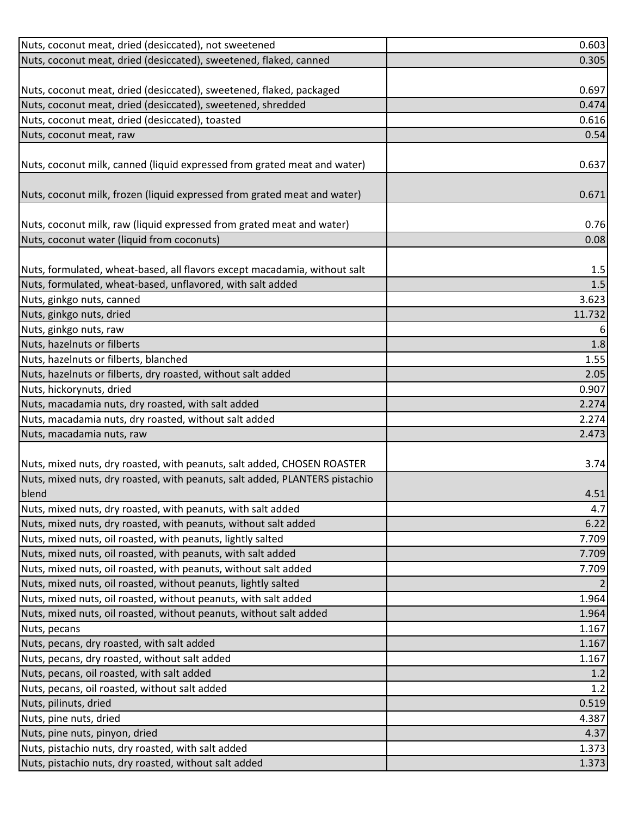| Nuts, coconut meat, dried (desiccated), not sweetened                       | 0.603  |
|-----------------------------------------------------------------------------|--------|
| Nuts, coconut meat, dried (desiccated), sweetened, flaked, canned           | 0.305  |
|                                                                             |        |
| Nuts, coconut meat, dried (desiccated), sweetened, flaked, packaged         | 0.697  |
| Nuts, coconut meat, dried (desiccated), sweetened, shredded                 | 0.474  |
| Nuts, coconut meat, dried (desiccated), toasted                             | 0.616  |
| Nuts, coconut meat, raw                                                     | 0.54   |
|                                                                             |        |
| Nuts, coconut milk, canned (liquid expressed from grated meat and water)    | 0.637  |
|                                                                             |        |
| Nuts, coconut milk, frozen (liquid expressed from grated meat and water)    | 0.671  |
|                                                                             |        |
| Nuts, coconut milk, raw (liquid expressed from grated meat and water)       | 0.76   |
| Nuts, coconut water (liquid from coconuts)                                  | 0.08   |
|                                                                             |        |
| Nuts, formulated, wheat-based, all flavors except macadamia, without salt   | 1.5    |
| Nuts, formulated, wheat-based, unflavored, with salt added                  | 1.5    |
| Nuts, ginkgo nuts, canned                                                   | 3.623  |
| Nuts, ginkgo nuts, dried                                                    | 11.732 |
| Nuts, ginkgo nuts, raw                                                      | 6      |
| Nuts, hazelnuts or filberts                                                 | 1.8    |
| Nuts, hazelnuts or filberts, blanched                                       | 1.55   |
| Nuts, hazelnuts or filberts, dry roasted, without salt added                | 2.05   |
| Nuts, hickorynuts, dried                                                    | 0.907  |
| Nuts, macadamia nuts, dry roasted, with salt added                          | 2.274  |
| Nuts, macadamia nuts, dry roasted, without salt added                       | 2.274  |
| Nuts, macadamia nuts, raw                                                   | 2.473  |
|                                                                             |        |
| Nuts, mixed nuts, dry roasted, with peanuts, salt added, CHOSEN ROASTER     | 3.74   |
| Nuts, mixed nuts, dry roasted, with peanuts, salt added, PLANTERS pistachio |        |
| blend                                                                       | 4.51   |
| Nuts, mixed nuts, dry roasted, with peanuts, with salt added                | 4.7    |
| Nuts, mixed nuts, dry roasted, with peanuts, without salt added             | 6.22   |
| Nuts, mixed nuts, oil roasted, with peanuts, lightly salted                 | 7.709  |
| Nuts, mixed nuts, oil roasted, with peanuts, with salt added                | 7.709  |
| Nuts, mixed nuts, oil roasted, with peanuts, without salt added             | 7.709  |
| Nuts, mixed nuts, oil roasted, without peanuts, lightly salted              |        |
| Nuts, mixed nuts, oil roasted, without peanuts, with salt added             | 1.964  |
| Nuts, mixed nuts, oil roasted, without peanuts, without salt added          | 1.964  |
| Nuts, pecans                                                                | 1.167  |
| Nuts, pecans, dry roasted, with salt added                                  | 1.167  |
| Nuts, pecans, dry roasted, without salt added                               | 1.167  |
| Nuts, pecans, oil roasted, with salt added                                  | 1.2    |
| Nuts, pecans, oil roasted, without salt added                               | 1.2    |
| Nuts, pilinuts, dried                                                       | 0.519  |
| Nuts, pine nuts, dried                                                      | 4.387  |
| Nuts, pine nuts, pinyon, dried                                              | 4.37   |
| Nuts, pistachio nuts, dry roasted, with salt added                          | 1.373  |
| Nuts, pistachio nuts, dry roasted, without salt added                       | 1.373  |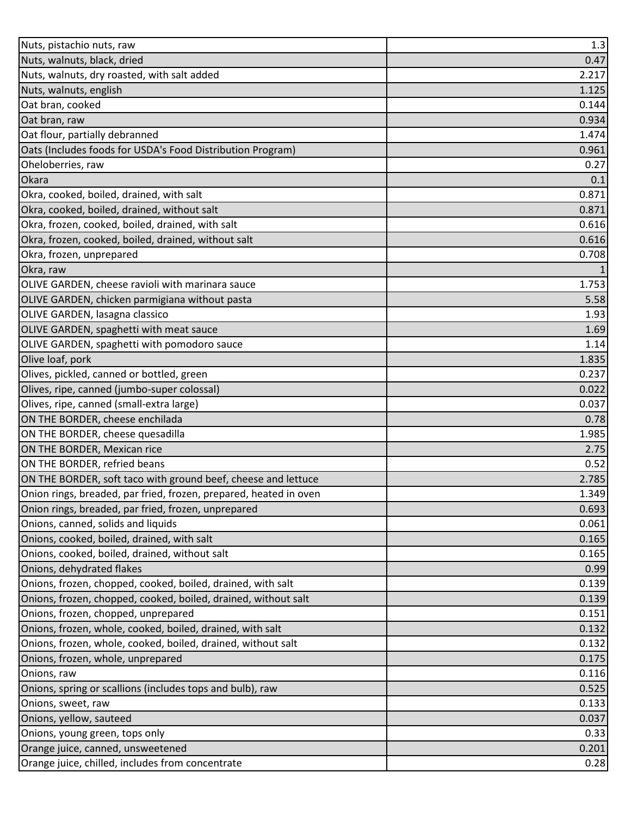| Nuts, pistachio nuts, raw                                         | 1.3   |
|-------------------------------------------------------------------|-------|
| Nuts, walnuts, black, dried                                       | 0.47  |
| Nuts, walnuts, dry roasted, with salt added                       | 2.217 |
| Nuts, walnuts, english                                            | 1.125 |
| Oat bran, cooked                                                  | 0.144 |
| Oat bran, raw                                                     | 0.934 |
| Oat flour, partially debranned                                    | 1.474 |
| Oats (Includes foods for USDA's Food Distribution Program)        | 0.961 |
| Oheloberries, raw                                                 | 0.27  |
| Okara                                                             | 0.1   |
| Okra, cooked, boiled, drained, with salt                          | 0.871 |
| Okra, cooked, boiled, drained, without salt                       | 0.871 |
| Okra, frozen, cooked, boiled, drained, with salt                  | 0.616 |
| Okra, frozen, cooked, boiled, drained, without salt               | 0.616 |
| Okra, frozen, unprepared                                          | 0.708 |
| Okra, raw                                                         |       |
| OLIVE GARDEN, cheese ravioli with marinara sauce                  | 1.753 |
| OLIVE GARDEN, chicken parmigiana without pasta                    | 5.58  |
| <b>OLIVE GARDEN, lasagna classico</b>                             | 1.93  |
| OLIVE GARDEN, spaghetti with meat sauce                           | 1.69  |
| OLIVE GARDEN, spaghetti with pomodoro sauce                       | 1.14  |
| Olive loaf, pork                                                  | 1.835 |
| Olives, pickled, canned or bottled, green                         | 0.237 |
| Olives, ripe, canned (jumbo-super colossal)                       | 0.022 |
| Olives, ripe, canned (small-extra large)                          | 0.037 |
| ON THE BORDER, cheese enchilada                                   | 0.78  |
| ON THE BORDER, cheese quesadilla                                  | 1.985 |
| ON THE BORDER, Mexican rice                                       | 2.75  |
| ON THE BORDER, refried beans                                      | 0.52  |
| ON THE BORDER, soft taco with ground beef, cheese and lettuce     | 2.785 |
| Onion rings, breaded, par fried, frozen, prepared, heated in oven | 1.349 |
| Onion rings, breaded, par fried, frozen, unprepared               | 0.693 |
| Onions, canned, solids and liquids                                | 0.061 |
| Onions, cooked, boiled, drained, with salt                        | 0.165 |
| Onions, cooked, boiled, drained, without salt                     | 0.165 |
| Onions, dehydrated flakes                                         | 0.99  |
| Onions, frozen, chopped, cooked, boiled, drained, with salt       | 0.139 |
| Onions, frozen, chopped, cooked, boiled, drained, without salt    | 0.139 |
| Onions, frozen, chopped, unprepared                               | 0.151 |
| Onions, frozen, whole, cooked, boiled, drained, with salt         | 0.132 |
| Onions, frozen, whole, cooked, boiled, drained, without salt      | 0.132 |
| Onions, frozen, whole, unprepared                                 | 0.175 |
| Onions, raw                                                       | 0.116 |
| Onions, spring or scallions (includes tops and bulb), raw         | 0.525 |
| Onions, sweet, raw                                                | 0.133 |
| Onions, yellow, sauteed                                           | 0.037 |
| Onions, young green, tops only                                    | 0.33  |
| Orange juice, canned, unsweetened                                 | 0.201 |
| Orange juice, chilled, includes from concentrate                  | 0.28  |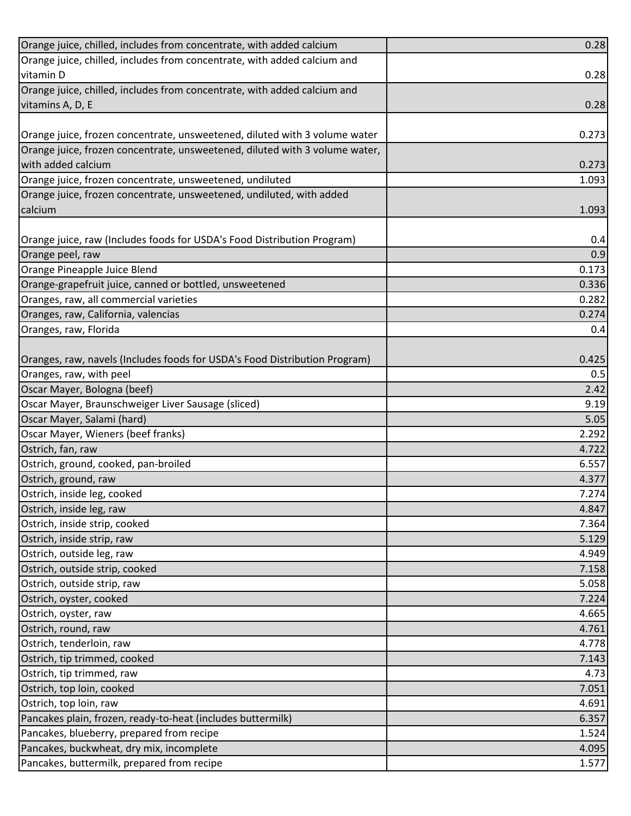| Orange juice, chilled, includes from concentrate, with added calcium        | 0.28  |
|-----------------------------------------------------------------------------|-------|
| Orange juice, chilled, includes from concentrate, with added calcium and    |       |
| vitamin D                                                                   | 0.28  |
| Orange juice, chilled, includes from concentrate, with added calcium and    |       |
| vitamins A, D, E                                                            | 0.28  |
|                                                                             |       |
| Orange juice, frozen concentrate, unsweetened, diluted with 3 volume water  | 0.273 |
| Orange juice, frozen concentrate, unsweetened, diluted with 3 volume water, |       |
| with added calcium                                                          | 0.273 |
| Orange juice, frozen concentrate, unsweetened, undiluted                    | 1.093 |
| Orange juice, frozen concentrate, unsweetened, undiluted, with added        |       |
| calcium                                                                     | 1.093 |
|                                                                             |       |
| Orange juice, raw (Includes foods for USDA's Food Distribution Program)     | 0.4   |
| Orange peel, raw                                                            | 0.9   |
| Orange Pineapple Juice Blend                                                | 0.173 |
| Orange-grapefruit juice, canned or bottled, unsweetened                     | 0.336 |
| Oranges, raw, all commercial varieties                                      | 0.282 |
| Oranges, raw, California, valencias                                         | 0.274 |
| Oranges, raw, Florida                                                       | 0.4   |
|                                                                             |       |
| Oranges, raw, navels (Includes foods for USDA's Food Distribution Program)  | 0.425 |
| Oranges, raw, with peel                                                     | 0.5   |
| Oscar Mayer, Bologna (beef)                                                 | 2.42  |
| Oscar Mayer, Braunschweiger Liver Sausage (sliced)                          | 9.19  |
| Oscar Mayer, Salami (hard)                                                  | 5.05  |
| Oscar Mayer, Wieners (beef franks)                                          | 2.292 |
| Ostrich, fan, raw                                                           | 4.722 |
| Ostrich, ground, cooked, pan-broiled                                        | 6.557 |
| Ostrich, ground, raw                                                        | 4.377 |
| Ostrich, inside leg, cooked                                                 | 7.274 |
| Ostrich, inside leg, raw                                                    | 4.847 |
| Ostrich, inside strip, cooked                                               | 7.364 |
| Ostrich, inside strip, raw                                                  | 5.129 |
| Ostrich, outside leg, raw                                                   | 4.949 |
| Ostrich, outside strip, cooked                                              | 7.158 |
| Ostrich, outside strip, raw                                                 | 5.058 |
| Ostrich, oyster, cooked                                                     | 7.224 |
| Ostrich, oyster, raw                                                        | 4.665 |
| Ostrich, round, raw                                                         | 4.761 |
| Ostrich, tenderloin, raw                                                    | 4.778 |
| Ostrich, tip trimmed, cooked                                                | 7.143 |
| Ostrich, tip trimmed, raw                                                   | 4.73  |
| Ostrich, top loin, cooked                                                   | 7.051 |
| Ostrich, top loin, raw                                                      | 4.691 |
| Pancakes plain, frozen, ready-to-heat (includes buttermilk)                 | 6.357 |
| Pancakes, blueberry, prepared from recipe                                   | 1.524 |
| Pancakes, buckwheat, dry mix, incomplete                                    | 4.095 |
| Pancakes, buttermilk, prepared from recipe                                  | 1.577 |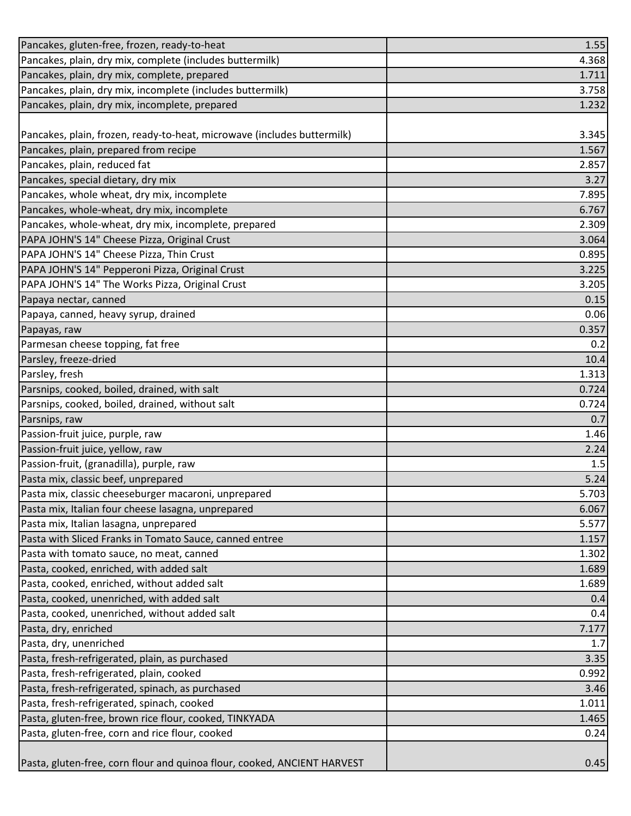| Pancakes, gluten-free, frozen, ready-to-heat                             | 1.55  |
|--------------------------------------------------------------------------|-------|
| Pancakes, plain, dry mix, complete (includes buttermilk)                 | 4.368 |
| Pancakes, plain, dry mix, complete, prepared                             | 1.711 |
| Pancakes, plain, dry mix, incomplete (includes buttermilk)               | 3.758 |
| Pancakes, plain, dry mix, incomplete, prepared                           | 1.232 |
|                                                                          |       |
| Pancakes, plain, frozen, ready-to-heat, microwave (includes buttermilk)  | 3.345 |
| Pancakes, plain, prepared from recipe                                    | 1.567 |
| Pancakes, plain, reduced fat                                             | 2.857 |
| Pancakes, special dietary, dry mix                                       | 3.27  |
| Pancakes, whole wheat, dry mix, incomplete                               | 7.895 |
| Pancakes, whole-wheat, dry mix, incomplete                               | 6.767 |
| Pancakes, whole-wheat, dry mix, incomplete, prepared                     | 2.309 |
| PAPA JOHN'S 14" Cheese Pizza, Original Crust                             | 3.064 |
| PAPA JOHN'S 14" Cheese Pizza, Thin Crust                                 | 0.895 |
| PAPA JOHN'S 14" Pepperoni Pizza, Original Crust                          | 3.225 |
| PAPA JOHN'S 14" The Works Pizza, Original Crust                          | 3.205 |
| Papaya nectar, canned                                                    | 0.15  |
| Papaya, canned, heavy syrup, drained                                     | 0.06  |
| Papayas, raw                                                             | 0.357 |
| Parmesan cheese topping, fat free                                        | 0.2   |
| Parsley, freeze-dried                                                    | 10.4  |
| Parsley, fresh                                                           | 1.313 |
| Parsnips, cooked, boiled, drained, with salt                             | 0.724 |
| Parsnips, cooked, boiled, drained, without salt                          | 0.724 |
| Parsnips, raw                                                            | 0.7   |
| Passion-fruit juice, purple, raw                                         | 1.46  |
| Passion-fruit juice, yellow, raw                                         | 2.24  |
| Passion-fruit, (granadilla), purple, raw                                 | 1.5   |
| Pasta mix, classic beef, unprepared                                      | 5.24  |
| Pasta mix, classic cheeseburger macaroni, unprepared                     | 5.703 |
| Pasta mix, Italian four cheese lasagna, unprepared                       | 6.067 |
| Pasta mix, Italian lasagna, unprepared                                   | 5.577 |
| Pasta with Sliced Franks in Tomato Sauce, canned entree                  | 1.157 |
| Pasta with tomato sauce, no meat, canned                                 | 1.302 |
| Pasta, cooked, enriched, with added salt                                 | 1.689 |
| Pasta, cooked, enriched, without added salt                              | 1.689 |
| Pasta, cooked, unenriched, with added salt                               | 0.4   |
| Pasta, cooked, unenriched, without added salt                            | 0.4   |
| Pasta, dry, enriched                                                     | 7.177 |
| Pasta, dry, unenriched                                                   | 1.7   |
| Pasta, fresh-refrigerated, plain, as purchased                           | 3.35  |
| Pasta, fresh-refrigerated, plain, cooked                                 | 0.992 |
| Pasta, fresh-refrigerated, spinach, as purchased                         | 3.46  |
| Pasta, fresh-refrigerated, spinach, cooked                               | 1.011 |
| Pasta, gluten-free, brown rice flour, cooked, TINKYADA                   | 1.465 |
| Pasta, gluten-free, corn and rice flour, cooked                          | 0.24  |
|                                                                          |       |
| Pasta, gluten-free, corn flour and quinoa flour, cooked, ANCIENT HARVEST | 0.45  |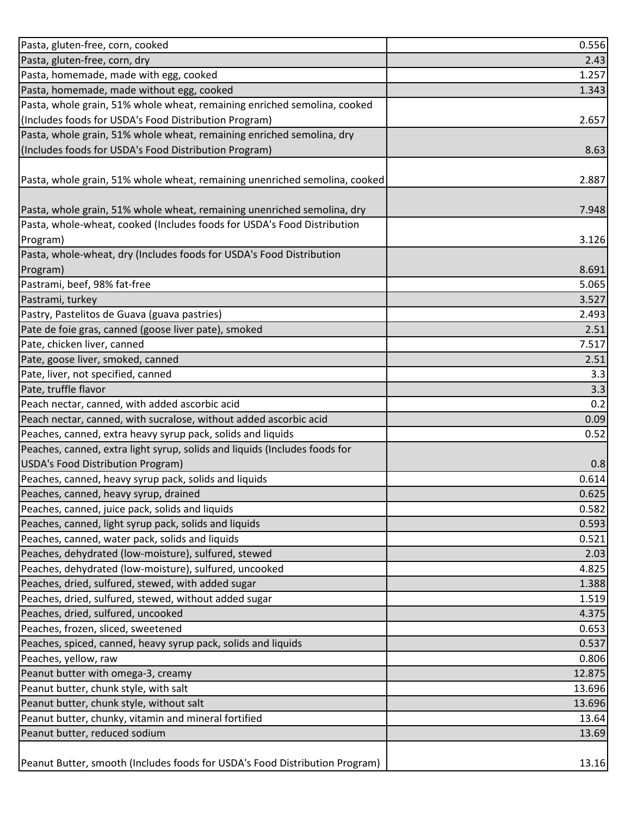| Pasta, gluten-free, corn, cooked                                            | 0.556  |
|-----------------------------------------------------------------------------|--------|
| Pasta, gluten-free, corn, dry                                               | 2.43   |
| Pasta, homemade, made with egg, cooked                                      | 1.257  |
| Pasta, homemade, made without egg, cooked                                   | 1.343  |
| Pasta, whole grain, 51% whole wheat, remaining enriched semolina, cooked    |        |
| (Includes foods for USDA's Food Distribution Program)                       | 2.657  |
| Pasta, whole grain, 51% whole wheat, remaining enriched semolina, dry       |        |
| (Includes foods for USDA's Food Distribution Program)                       | 8.63   |
|                                                                             |        |
| Pasta, whole grain, 51% whole wheat, remaining unenriched semolina, cooked  | 2.887  |
|                                                                             |        |
| Pasta, whole grain, 51% whole wheat, remaining unenriched semolina, dry     | 7.948  |
| Pasta, whole-wheat, cooked (Includes foods for USDA's Food Distribution     |        |
| Program)                                                                    | 3.126  |
| Pasta, whole-wheat, dry (Includes foods for USDA's Food Distribution        |        |
| Program)                                                                    | 8.691  |
| Pastrami, beef, 98% fat-free                                                | 5.065  |
| Pastrami, turkey                                                            | 3.527  |
| Pastry, Pastelitos de Guava (guava pastries)                                | 2.493  |
| Pate de foie gras, canned (goose liver pate), smoked                        | 2.51   |
| Pate, chicken liver, canned                                                 | 7.517  |
| Pate, goose liver, smoked, canned                                           | 2.51   |
| Pate, liver, not specified, canned                                          | 3.3    |
| Pate, truffle flavor                                                        | 3.3    |
| Peach nectar, canned, with added ascorbic acid                              | 0.2    |
| Peach nectar, canned, with sucralose, without added ascorbic acid           | 0.09   |
| Peaches, canned, extra heavy syrup pack, solids and liquids                 | 0.52   |
| Peaches, canned, extra light syrup, solids and liquids (Includes foods for  |        |
| USDA's Food Distribution Program)                                           | 0.8    |
| Peaches, canned, heavy syrup pack, solids and liquids                       | 0.614  |
| Peaches, canned, heavy syrup, drained                                       | 0.625  |
| Peaches, canned, juice pack, solids and liquids                             | 0.582  |
| Peaches, canned, light syrup pack, solids and liquids                       | 0.593  |
| Peaches, canned, water pack, solids and liquids                             | 0.521  |
| Peaches, dehydrated (low-moisture), sulfured, stewed                        | 2.03   |
| Peaches, dehydrated (low-moisture), sulfured, uncooked                      | 4.825  |
| Peaches, dried, sulfured, stewed, with added sugar                          | 1.388  |
| Peaches, dried, sulfured, stewed, without added sugar                       | 1.519  |
| Peaches, dried, sulfured, uncooked                                          | 4.375  |
| Peaches, frozen, sliced, sweetened                                          | 0.653  |
| Peaches, spiced, canned, heavy syrup pack, solids and liquids               | 0.537  |
| Peaches, yellow, raw                                                        | 0.806  |
| Peanut butter with omega-3, creamy                                          | 12.875 |
| Peanut butter, chunk style, with salt                                       | 13.696 |
| Peanut butter, chunk style, without salt                                    | 13.696 |
| Peanut butter, chunky, vitamin and mineral fortified                        | 13.64  |
| Peanut butter, reduced sodium                                               | 13.69  |
|                                                                             |        |
| Peanut Butter, smooth (Includes foods for USDA's Food Distribution Program) | 13.16  |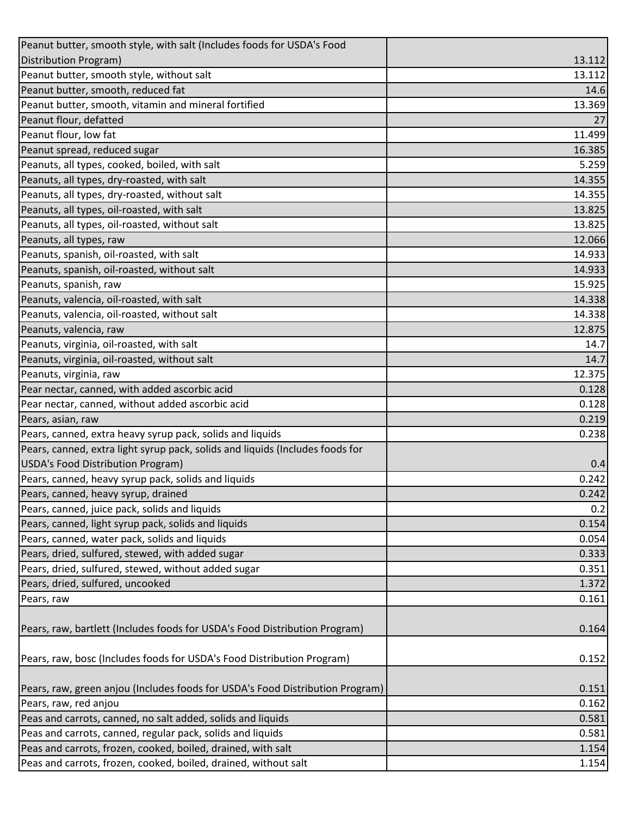| Peanut butter, smooth style, with salt (Includes foods for USDA's Food                                 |                |
|--------------------------------------------------------------------------------------------------------|----------------|
| Distribution Program)                                                                                  | 13.112         |
| Peanut butter, smooth style, without salt                                                              | 13.112         |
| Peanut butter, smooth, reduced fat                                                                     | 14.6           |
| Peanut butter, smooth, vitamin and mineral fortified                                                   | 13.369         |
| Peanut flour, defatted                                                                                 | 27             |
| Peanut flour, low fat                                                                                  | 11.499         |
| Peanut spread, reduced sugar                                                                           | 16.385         |
| Peanuts, all types, cooked, boiled, with salt                                                          | 5.259          |
| Peanuts, all types, dry-roasted, with salt                                                             | 14.355         |
| Peanuts, all types, dry-roasted, without salt                                                          | 14.355         |
| Peanuts, all types, oil-roasted, with salt                                                             | 13.825         |
| Peanuts, all types, oil-roasted, without salt                                                          | 13.825         |
| Peanuts, all types, raw                                                                                | 12.066         |
| Peanuts, spanish, oil-roasted, with salt                                                               | 14.933         |
| Peanuts, spanish, oil-roasted, without salt                                                            | 14.933         |
| Peanuts, spanish, raw                                                                                  | 15.925         |
| Peanuts, valencia, oil-roasted, with salt                                                              | 14.338         |
| Peanuts, valencia, oil-roasted, without salt                                                           | 14.338         |
| Peanuts, valencia, raw                                                                                 | 12.875         |
| Peanuts, virginia, oil-roasted, with salt                                                              | 14.7           |
| Peanuts, virginia, oil-roasted, without salt                                                           | 14.7           |
| Peanuts, virginia, raw                                                                                 | 12.375         |
| Pear nectar, canned, with added ascorbic acid                                                          | 0.128          |
| Pear nectar, canned, without added ascorbic acid                                                       | 0.128          |
| Pears, asian, raw                                                                                      | 0.219          |
| Pears, canned, extra heavy syrup pack, solids and liquids                                              | 0.238          |
| Pears, canned, extra light syrup pack, solids and liquids (Includes foods for                          |                |
| USDA's Food Distribution Program)                                                                      | 0.4            |
| Pears, canned, heavy syrup pack, solids and liquids                                                    | 0.242          |
| Pears, canned, heavy syrup, drained                                                                    | 0.242          |
| Pears, canned, juice pack, solids and liquids                                                          | 0.2            |
| Pears, canned, light syrup pack, solids and liquids                                                    | 0.154          |
| Pears, canned, water pack, solids and liquids                                                          | 0.054          |
| Pears, dried, sulfured, stewed, with added sugar                                                       | 0.333          |
| Pears, dried, sulfured, stewed, without added sugar                                                    | 0.351          |
| Pears, dried, sulfured, uncooked                                                                       | 1.372          |
| Pears, raw                                                                                             | 0.161          |
| Pears, raw, bartlett (Includes foods for USDA's Food Distribution Program)                             | 0.164          |
| Pears, raw, bosc (Includes foods for USDA's Food Distribution Program)                                 | 0.152          |
|                                                                                                        |                |
| Pears, raw, green anjou (Includes foods for USDA's Food Distribution Program)<br>Pears, raw, red anjou | 0.151<br>0.162 |
|                                                                                                        |                |
| Peas and carrots, canned, no salt added, solids and liquids                                            | 0.581          |
| Peas and carrots, canned, regular pack, solids and liquids                                             | 0.581          |
| Peas and carrots, frozen, cooked, boiled, drained, with salt                                           | 1.154          |
| Peas and carrots, frozen, cooked, boiled, drained, without salt                                        | 1.154          |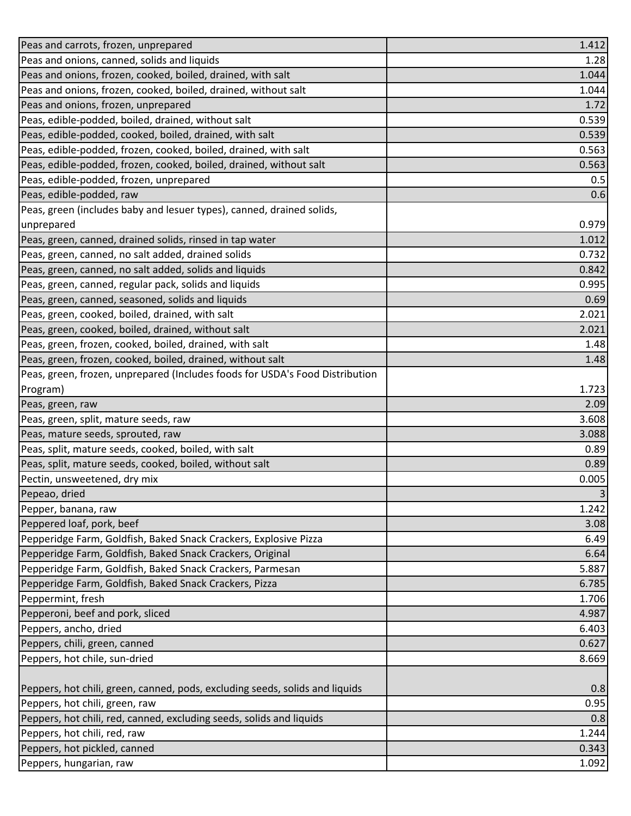| Peas and carrots, frozen, unprepared                                         | 1.412 |
|------------------------------------------------------------------------------|-------|
| Peas and onions, canned, solids and liquids                                  | 1.28  |
| Peas and onions, frozen, cooked, boiled, drained, with salt                  | 1.044 |
| Peas and onions, frozen, cooked, boiled, drained, without salt               | 1.044 |
| Peas and onions, frozen, unprepared                                          | 1.72  |
| Peas, edible-podded, boiled, drained, without salt                           | 0.539 |
| Peas, edible-podded, cooked, boiled, drained, with salt                      | 0.539 |
| Peas, edible-podded, frozen, cooked, boiled, drained, with salt              | 0.563 |
| Peas, edible-podded, frozen, cooked, boiled, drained, without salt           | 0.563 |
| Peas, edible-podded, frozen, unprepared                                      | 0.5   |
| Peas, edible-podded, raw                                                     | 0.6   |
| Peas, green (includes baby and lesuer types), canned, drained solids,        |       |
| unprepared                                                                   | 0.979 |
| Peas, green, canned, drained solids, rinsed in tap water                     | 1.012 |
| Peas, green, canned, no salt added, drained solids                           | 0.732 |
| Peas, green, canned, no salt added, solids and liquids                       | 0.842 |
| Peas, green, canned, regular pack, solids and liquids                        | 0.995 |
| Peas, green, canned, seasoned, solids and liquids                            | 0.69  |
| Peas, green, cooked, boiled, drained, with salt                              | 2.021 |
| Peas, green, cooked, boiled, drained, without salt                           | 2.021 |
| Peas, green, frozen, cooked, boiled, drained, with salt                      | 1.48  |
| Peas, green, frozen, cooked, boiled, drained, without salt                   | 1.48  |
| Peas, green, frozen, unprepared (Includes foods for USDA's Food Distribution |       |
| Program)                                                                     | 1.723 |
| Peas, green, raw                                                             | 2.09  |
| Peas, green, split, mature seeds, raw                                        | 3.608 |
| Peas, mature seeds, sprouted, raw                                            | 3.088 |
| Peas, split, mature seeds, cooked, boiled, with salt                         | 0.89  |
| Peas, split, mature seeds, cooked, boiled, without salt                      | 0.89  |
| Pectin, unsweetened, dry mix                                                 | 0.005 |
| Pepeao, dried                                                                | 3     |
| Pepper, banana, raw                                                          | 1.242 |
| Peppered loaf, pork, beef                                                    | 3.08  |
| Pepperidge Farm, Goldfish, Baked Snack Crackers, Explosive Pizza             | 6.49  |
| Pepperidge Farm, Goldfish, Baked Snack Crackers, Original                    | 6.64  |
| Pepperidge Farm, Goldfish, Baked Snack Crackers, Parmesan                    | 5.887 |
| Pepperidge Farm, Goldfish, Baked Snack Crackers, Pizza                       | 6.785 |
| Peppermint, fresh                                                            | 1.706 |
| Pepperoni, beef and pork, sliced                                             | 4.987 |
| Peppers, ancho, dried                                                        | 6.403 |
| Peppers, chili, green, canned                                                | 0.627 |
| Peppers, hot chile, sun-dried                                                | 8.669 |
|                                                                              |       |
| Peppers, hot chili, green, canned, pods, excluding seeds, solids and liquids | 0.8   |
| Peppers, hot chili, green, raw                                               | 0.95  |
| Peppers, hot chili, red, canned, excluding seeds, solids and liquids         | 0.8   |
| Peppers, hot chili, red, raw                                                 | 1.244 |
| Peppers, hot pickled, canned                                                 | 0.343 |
| Peppers, hungarian, raw                                                      | 1.092 |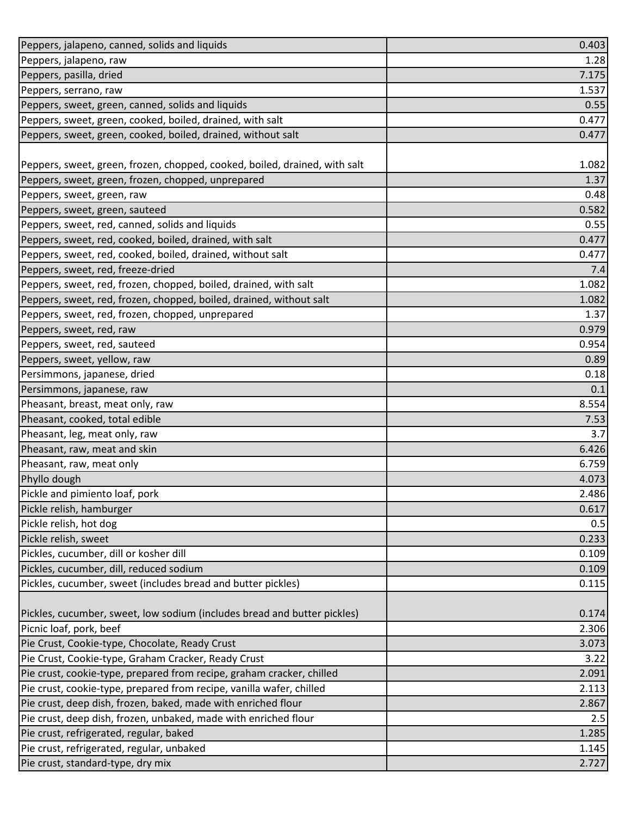| Peppers, jalapeno, canned, solids and liquids                              | 0.403 |
|----------------------------------------------------------------------------|-------|
| Peppers, jalapeno, raw                                                     | 1.28  |
| Peppers, pasilla, dried                                                    | 7.175 |
| Peppers, serrano, raw                                                      | 1.537 |
| Peppers, sweet, green, canned, solids and liquids                          | 0.55  |
| Peppers, sweet, green, cooked, boiled, drained, with salt                  | 0.477 |
| Peppers, sweet, green, cooked, boiled, drained, without salt               | 0.477 |
|                                                                            |       |
| Peppers, sweet, green, frozen, chopped, cooked, boiled, drained, with salt | 1.082 |
| Peppers, sweet, green, frozen, chopped, unprepared                         | 1.37  |
| Peppers, sweet, green, raw                                                 | 0.48  |
| Peppers, sweet, green, sauteed                                             | 0.582 |
| Peppers, sweet, red, canned, solids and liquids                            | 0.55  |
| Peppers, sweet, red, cooked, boiled, drained, with salt                    | 0.477 |
| Peppers, sweet, red, cooked, boiled, drained, without salt                 | 0.477 |
| Peppers, sweet, red, freeze-dried                                          | 7.4   |
| Peppers, sweet, red, frozen, chopped, boiled, drained, with salt           | 1.082 |
| Peppers, sweet, red, frozen, chopped, boiled, drained, without salt        | 1.082 |
| Peppers, sweet, red, frozen, chopped, unprepared                           | 1.37  |
| Peppers, sweet, red, raw                                                   | 0.979 |
| Peppers, sweet, red, sauteed                                               | 0.954 |
| Peppers, sweet, yellow, raw                                                | 0.89  |
| Persimmons, japanese, dried                                                | 0.18  |
| Persimmons, japanese, raw                                                  | 0.1   |
| Pheasant, breast, meat only, raw                                           | 8.554 |
| Pheasant, cooked, total edible                                             | 7.53  |
| Pheasant, leg, meat only, raw                                              | 3.7   |
| Pheasant, raw, meat and skin                                               | 6.426 |
| Pheasant, raw, meat only                                                   | 6.759 |
| Phyllo dough                                                               | 4.073 |
| Pickle and pimiento loaf, pork                                             | 2.486 |
| Pickle relish, hamburger                                                   | 0.617 |
| Pickle relish, hot dog                                                     | 0.5   |
| Pickle relish, sweet                                                       | 0.233 |
| Pickles, cucumber, dill or kosher dill                                     | 0.109 |
| Pickles, cucumber, dill, reduced sodium                                    | 0.109 |
| Pickles, cucumber, sweet (includes bread and butter pickles)               | 0.115 |
| Pickles, cucumber, sweet, low sodium (includes bread and butter pickles)   | 0.174 |
| Picnic loaf, pork, beef                                                    | 2.306 |
| Pie Crust, Cookie-type, Chocolate, Ready Crust                             | 3.073 |
| Pie Crust, Cookie-type, Graham Cracker, Ready Crust                        | 3.22  |
| Pie crust, cookie-type, prepared from recipe, graham cracker, chilled      | 2.091 |
| Pie crust, cookie-type, prepared from recipe, vanilla wafer, chilled       | 2.113 |
| Pie crust, deep dish, frozen, baked, made with enriched flour              | 2.867 |
| Pie crust, deep dish, frozen, unbaked, made with enriched flour            | 2.5   |
| Pie crust, refrigerated, regular, baked                                    | 1.285 |
| Pie crust, refrigerated, regular, unbaked                                  | 1.145 |
| Pie crust, standard-type, dry mix                                          | 2.727 |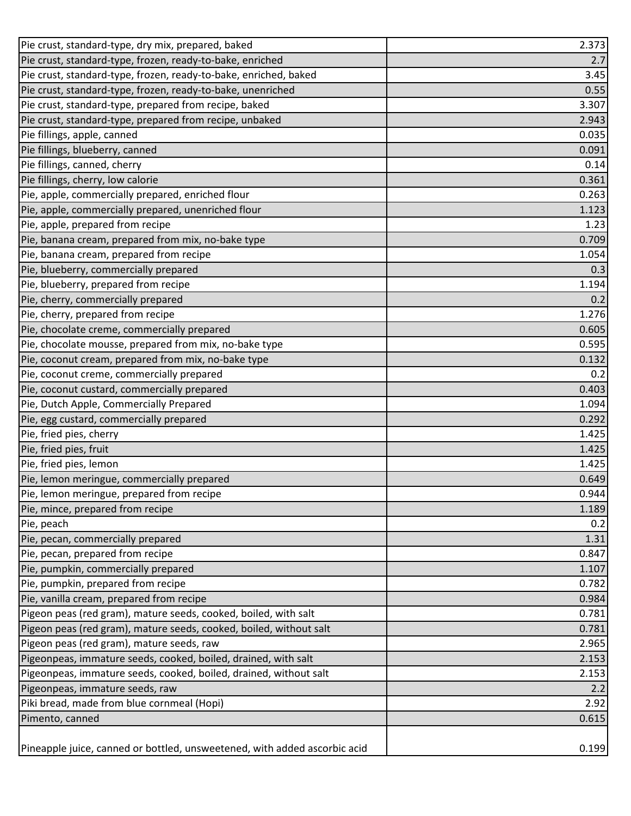| Pie crust, standard-type, dry mix, prepared, baked                        | 2.373 |
|---------------------------------------------------------------------------|-------|
| Pie crust, standard-type, frozen, ready-to-bake, enriched                 | 2.7   |
| Pie crust, standard-type, frozen, ready-to-bake, enriched, baked          | 3.45  |
| Pie crust, standard-type, frozen, ready-to-bake, unenriched               | 0.55  |
| Pie crust, standard-type, prepared from recipe, baked                     | 3.307 |
| Pie crust, standard-type, prepared from recipe, unbaked                   | 2.943 |
| Pie fillings, apple, canned                                               | 0.035 |
| Pie fillings, blueberry, canned                                           | 0.091 |
| Pie fillings, canned, cherry                                              | 0.14  |
| Pie fillings, cherry, low calorie                                         | 0.361 |
| Pie, apple, commercially prepared, enriched flour                         | 0.263 |
| Pie, apple, commercially prepared, unenriched flour                       | 1.123 |
| Pie, apple, prepared from recipe                                          | 1.23  |
| Pie, banana cream, prepared from mix, no-bake type                        | 0.709 |
| Pie, banana cream, prepared from recipe                                   | 1.054 |
| Pie, blueberry, commercially prepared                                     | 0.3   |
| Pie, blueberry, prepared from recipe                                      | 1.194 |
| Pie, cherry, commercially prepared                                        | 0.2   |
| Pie, cherry, prepared from recipe                                         | 1.276 |
| Pie, chocolate creme, commercially prepared                               | 0.605 |
| Pie, chocolate mousse, prepared from mix, no-bake type                    | 0.595 |
| Pie, coconut cream, prepared from mix, no-bake type                       | 0.132 |
| Pie, coconut creme, commercially prepared                                 | 0.2   |
| Pie, coconut custard, commercially prepared                               | 0.403 |
| Pie, Dutch Apple, Commercially Prepared                                   | 1.094 |
| Pie, egg custard, commercially prepared                                   | 0.292 |
| Pie, fried pies, cherry                                                   | 1.425 |
| Pie, fried pies, fruit                                                    | 1.425 |
| Pie, fried pies, lemon                                                    | 1.425 |
| Pie, lemon meringue, commercially prepared                                | 0.649 |
| Pie, lemon meringue, prepared from recipe                                 | 0.944 |
| Pie, mince, prepared from recipe                                          | 1.189 |
| Pie, peach                                                                | 0.2   |
| Pie, pecan, commercially prepared                                         | 1.31  |
| Pie, pecan, prepared from recipe                                          | 0.847 |
| Pie, pumpkin, commercially prepared                                       | 1.107 |
| Pie, pumpkin, prepared from recipe                                        | 0.782 |
| Pie, vanilla cream, prepared from recipe                                  | 0.984 |
| Pigeon peas (red gram), mature seeds, cooked, boiled, with salt           | 0.781 |
| Pigeon peas (red gram), mature seeds, cooked, boiled, without salt        | 0.781 |
| Pigeon peas (red gram), mature seeds, raw                                 | 2.965 |
| Pigeonpeas, immature seeds, cooked, boiled, drained, with salt            | 2.153 |
| Pigeonpeas, immature seeds, cooked, boiled, drained, without salt         | 2.153 |
| Pigeonpeas, immature seeds, raw                                           | 2.2   |
| Piki bread, made from blue cornmeal (Hopi)                                | 2.92  |
| Pimento, canned                                                           | 0.615 |
|                                                                           |       |
| Pineapple juice, canned or bottled, unsweetened, with added ascorbic acid | 0.199 |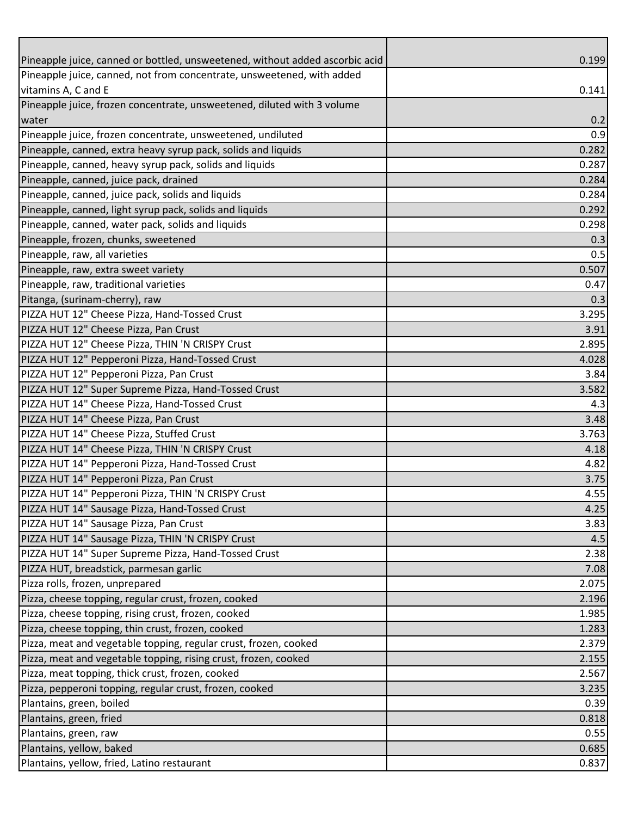| Pineapple juice, canned or bottled, unsweetened, without added ascorbic acid | 0.199 |
|------------------------------------------------------------------------------|-------|
| Pineapple juice, canned, not from concentrate, unsweetened, with added       |       |
| vitamins A, C and E                                                          | 0.141 |
| Pineapple juice, frozen concentrate, unsweetened, diluted with 3 volume      |       |
| water                                                                        | 0.2   |
| Pineapple juice, frozen concentrate, unsweetened, undiluted                  | 0.9   |
| Pineapple, canned, extra heavy syrup pack, solids and liquids                | 0.282 |
| Pineapple, canned, heavy syrup pack, solids and liquids                      | 0.287 |
| Pineapple, canned, juice pack, drained                                       | 0.284 |
| Pineapple, canned, juice pack, solids and liquids                            | 0.284 |
| Pineapple, canned, light syrup pack, solids and liquids                      | 0.292 |
| Pineapple, canned, water pack, solids and liquids                            | 0.298 |
| Pineapple, frozen, chunks, sweetened                                         | 0.3   |
| Pineapple, raw, all varieties                                                | 0.5   |
| Pineapple, raw, extra sweet variety                                          | 0.507 |
| Pineapple, raw, traditional varieties                                        | 0.47  |
| Pitanga, (surinam-cherry), raw                                               | 0.3   |
| PIZZA HUT 12" Cheese Pizza, Hand-Tossed Crust                                | 3.295 |
| PIZZA HUT 12" Cheese Pizza, Pan Crust                                        | 3.91  |
| PIZZA HUT 12" Cheese Pizza, THIN 'N CRISPY Crust                             | 2.895 |
| PIZZA HUT 12" Pepperoni Pizza, Hand-Tossed Crust                             | 4.028 |
| PIZZA HUT 12" Pepperoni Pizza, Pan Crust                                     | 3.84  |
| PIZZA HUT 12" Super Supreme Pizza, Hand-Tossed Crust                         | 3.582 |
| PIZZA HUT 14" Cheese Pizza, Hand-Tossed Crust                                | 4.3   |
| PIZZA HUT 14" Cheese Pizza, Pan Crust                                        | 3.48  |
| PIZZA HUT 14" Cheese Pizza, Stuffed Crust                                    | 3.763 |
| PIZZA HUT 14" Cheese Pizza, THIN 'N CRISPY Crust                             | 4.18  |
| PIZZA HUT 14" Pepperoni Pizza, Hand-Tossed Crust                             | 4.82  |
| PIZZA HUT 14" Pepperoni Pizza, Pan Crust                                     | 3.75  |
| PIZZA HUT 14" Pepperoni Pizza, THIN 'N CRISPY Crust                          | 4.55  |
| PIZZA HUT 14" Sausage Pizza, Hand-Tossed Crust                               | 4.25  |
| PIZZA HUT 14" Sausage Pizza, Pan Crust                                       | 3.83  |
| PIZZA HUT 14" Sausage Pizza, THIN 'N CRISPY Crust                            | 4.5   |
| PIZZA HUT 14" Super Supreme Pizza, Hand-Tossed Crust                         | 2.38  |
| PIZZA HUT, breadstick, parmesan garlic                                       | 7.08  |
| Pizza rolls, frozen, unprepared                                              | 2.075 |
| Pizza, cheese topping, regular crust, frozen, cooked                         | 2.196 |
| Pizza, cheese topping, rising crust, frozen, cooked                          | 1.985 |
| Pizza, cheese topping, thin crust, frozen, cooked                            | 1.283 |
| Pizza, meat and vegetable topping, regular crust, frozen, cooked             | 2.379 |
| Pizza, meat and vegetable topping, rising crust, frozen, cooked              | 2.155 |
| Pizza, meat topping, thick crust, frozen, cooked                             | 2.567 |
| Pizza, pepperoni topping, regular crust, frozen, cooked                      | 3.235 |
| Plantains, green, boiled                                                     | 0.39  |
| Plantains, green, fried                                                      | 0.818 |
| Plantains, green, raw                                                        | 0.55  |
| Plantains, yellow, baked                                                     | 0.685 |
| Plantains, yellow, fried, Latino restaurant                                  | 0.837 |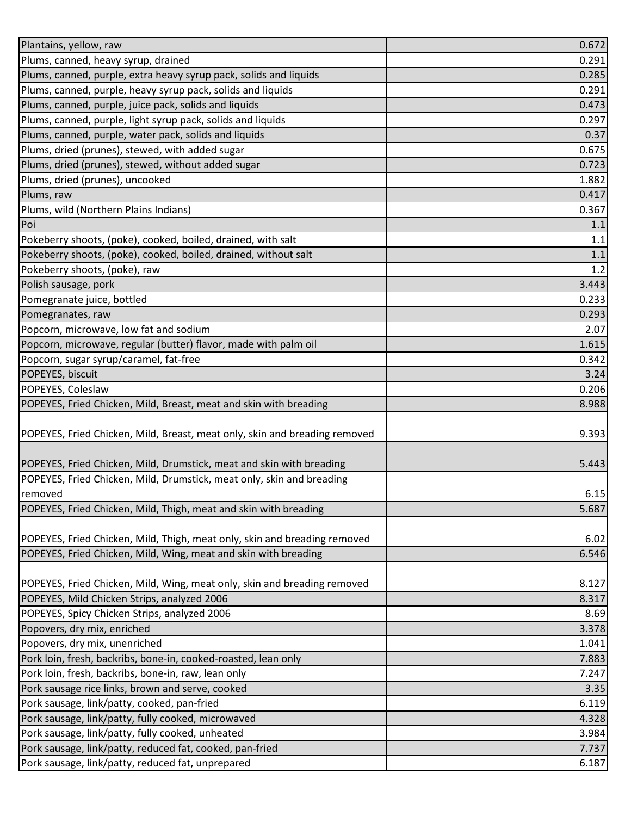| Plantains, yellow, raw                                                     | 0.672          |
|----------------------------------------------------------------------------|----------------|
| Plums, canned, heavy syrup, drained                                        | 0.291          |
| Plums, canned, purple, extra heavy syrup pack, solids and liquids          | 0.285          |
| Plums, canned, purple, heavy syrup pack, solids and liquids                | 0.291          |
| Plums, canned, purple, juice pack, solids and liquids                      | 0.473          |
| Plums, canned, purple, light syrup pack, solids and liquids                | 0.297          |
| Plums, canned, purple, water pack, solids and liquids                      | 0.37           |
| Plums, dried (prunes), stewed, with added sugar                            | 0.675          |
| Plums, dried (prunes), stewed, without added sugar                         | 0.723          |
| Plums, dried (prunes), uncooked                                            | 1.882          |
| Plums, raw                                                                 | 0.417          |
| Plums, wild (Northern Plains Indians)                                      | 0.367          |
| Poi                                                                        | 1.1            |
| Pokeberry shoots, (poke), cooked, boiled, drained, with salt               | 1.1            |
| Pokeberry shoots, (poke), cooked, boiled, drained, without salt            | 1.1            |
| Pokeberry shoots, (poke), raw                                              | 1.2            |
| Polish sausage, pork                                                       | 3.443          |
| Pomegranate juice, bottled                                                 | 0.233          |
| Pomegranates, raw                                                          | 0.293          |
| Popcorn, microwave, low fat and sodium                                     | 2.07           |
| Popcorn, microwave, regular (butter) flavor, made with palm oil            | 1.615          |
| Popcorn, sugar syrup/caramel, fat-free                                     | 0.342          |
| POPEYES, biscuit                                                           | 3.24           |
| POPEYES, Coleslaw                                                          | 0.206          |
| POPEYES, Fried Chicken, Mild, Breast, meat and skin with breading          | 8.988          |
|                                                                            |                |
| POPEYES, Fried Chicken, Mild, Breast, meat only, skin and breading removed | 9.393          |
|                                                                            |                |
| POPEYES, Fried Chicken, Mild, Drumstick, meat and skin with breading       | 5.443          |
| POPEYES, Fried Chicken, Mild, Drumstick, meat only, skin and breading      |                |
| removed                                                                    | 6.15           |
| POPEYES, Fried Chicken, Mild, Thigh, meat and skin with breading           | 5.687          |
| POPEYES, Fried Chicken, Mild, Thigh, meat only, skin and breading removed  | 6.02           |
| POPEYES, Fried Chicken, Mild, Wing, meat and skin with breading            | 6.546          |
|                                                                            |                |
| POPEYES, Fried Chicken, Mild, Wing, meat only, skin and breading removed   | 8.127          |
| POPEYES, Mild Chicken Strips, analyzed 2006                                | 8.317          |
| POPEYES, Spicy Chicken Strips, analyzed 2006                               | 8.69           |
| Popovers, dry mix, enriched                                                | 3.378          |
| Popovers, dry mix, unenriched                                              | 1.041          |
| Pork loin, fresh, backribs, bone-in, cooked-roasted, lean only             | 7.883          |
| Pork loin, fresh, backribs, bone-in, raw, lean only                        | 7.247          |
| Pork sausage rice links, brown and serve, cooked                           | 3.35           |
| Pork sausage, link/patty, cooked, pan-fried                                | 6.119          |
| Pork sausage, link/patty, fully cooked, microwaved                         | 4.328          |
| Pork sausage, link/patty, fully cooked, unheated                           | 3.984          |
| Pork sausage, link/patty, reduced fat, cooked, pan-fried                   |                |
| Pork sausage, link/patty, reduced fat, unprepared                          | 7.737<br>6.187 |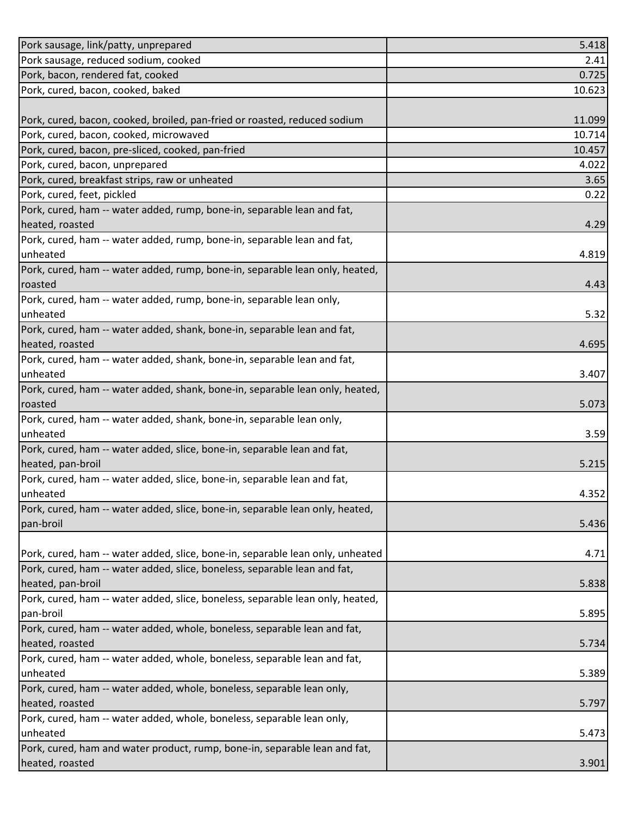| Pork sausage, link/patty, unprepared                                           | 5.418  |
|--------------------------------------------------------------------------------|--------|
| Pork sausage, reduced sodium, cooked                                           | 2.41   |
| Pork, bacon, rendered fat, cooked                                              | 0.725  |
| Pork, cured, bacon, cooked, baked                                              | 10.623 |
|                                                                                |        |
| Pork, cured, bacon, cooked, broiled, pan-fried or roasted, reduced sodium      | 11.099 |
| Pork, cured, bacon, cooked, microwaved                                         | 10.714 |
| Pork, cured, bacon, pre-sliced, cooked, pan-fried                              | 10.457 |
| Pork, cured, bacon, unprepared                                                 | 4.022  |
| Pork, cured, breakfast strips, raw or unheated                                 | 3.65   |
| Pork, cured, feet, pickled                                                     | 0.22   |
| Pork, cured, ham -- water added, rump, bone-in, separable lean and fat,        |        |
| heated, roasted                                                                | 4.29   |
| Pork, cured, ham -- water added, rump, bone-in, separable lean and fat,        |        |
| unheated                                                                       | 4.819  |
| Pork, cured, ham -- water added, rump, bone-in, separable lean only, heated,   |        |
| roasted                                                                        | 4.43   |
| Pork, cured, ham -- water added, rump, bone-in, separable lean only,           |        |
| unheated                                                                       | 5.32   |
| Pork, cured, ham -- water added, shank, bone-in, separable lean and fat,       |        |
| heated, roasted                                                                | 4.695  |
| Pork, cured, ham -- water added, shank, bone-in, separable lean and fat,       |        |
| unheated                                                                       | 3.407  |
| Pork, cured, ham -- water added, shank, bone-in, separable lean only, heated,  |        |
| roasted                                                                        | 5.073  |
| Pork, cured, ham -- water added, shank, bone-in, separable lean only,          |        |
| unheated                                                                       | 3.59   |
| Pork, cured, ham -- water added, slice, bone-in, separable lean and fat,       |        |
| heated, pan-broil                                                              | 5.215  |
| Pork, cured, ham -- water added, slice, bone-in, separable lean and fat,       |        |
| unheated                                                                       | 4.352  |
| Pork, cured, ham -- water added, slice, bone-in, separable lean only, heated,  |        |
| pan-broil                                                                      | 5.436  |
|                                                                                |        |
| Pork, cured, ham -- water added, slice, bone-in, separable lean only, unheated | 4.71   |
| Pork, cured, ham -- water added, slice, boneless, separable lean and fat,      |        |
| heated, pan-broil                                                              | 5.838  |
| Pork, cured, ham -- water added, slice, boneless, separable lean only, heated, |        |
| pan-broil                                                                      | 5.895  |
| Pork, cured, ham -- water added, whole, boneless, separable lean and fat,      |        |
| heated, roasted                                                                | 5.734  |
| Pork, cured, ham -- water added, whole, boneless, separable lean and fat,      |        |
| unheated                                                                       | 5.389  |
| Pork, cured, ham -- water added, whole, boneless, separable lean only,         |        |
| heated, roasted                                                                | 5.797  |
| Pork, cured, ham -- water added, whole, boneless, separable lean only,         |        |
| unheated                                                                       | 5.473  |
| Pork, cured, ham and water product, rump, bone-in, separable lean and fat,     |        |
| heated, roasted                                                                | 3.901  |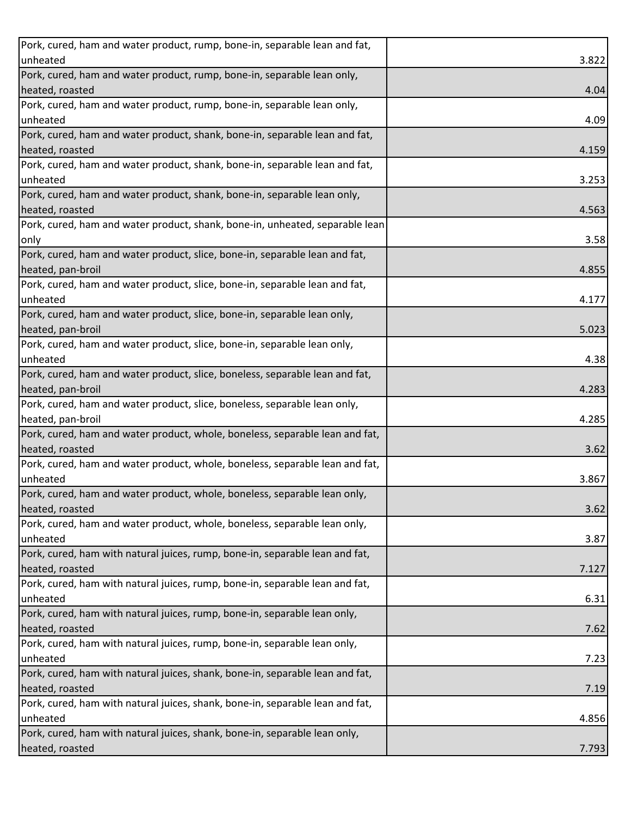| Pork, cured, ham and water product, rump, bone-in, separable lean and fat,    |       |
|-------------------------------------------------------------------------------|-------|
| unheated                                                                      | 3.822 |
| Pork, cured, ham and water product, rump, bone-in, separable lean only,       |       |
| heated, roasted                                                               | 4.04  |
| Pork, cured, ham and water product, rump, bone-in, separable lean only,       |       |
| unheated                                                                      | 4.09  |
| Pork, cured, ham and water product, shank, bone-in, separable lean and fat,   |       |
| heated, roasted                                                               | 4.159 |
| Pork, cured, ham and water product, shank, bone-in, separable lean and fat,   |       |
| unheated                                                                      | 3.253 |
| Pork, cured, ham and water product, shank, bone-in, separable lean only,      |       |
| heated, roasted                                                               | 4.563 |
| Pork, cured, ham and water product, shank, bone-in, unheated, separable lean  |       |
| only                                                                          | 3.58  |
| Pork, cured, ham and water product, slice, bone-in, separable lean and fat,   |       |
| heated, pan-broil                                                             | 4.855 |
| Pork, cured, ham and water product, slice, bone-in, separable lean and fat,   |       |
| unheated                                                                      | 4.177 |
| Pork, cured, ham and water product, slice, bone-in, separable lean only,      |       |
| heated, pan-broil                                                             | 5.023 |
| Pork, cured, ham and water product, slice, bone-in, separable lean only,      |       |
| unheated                                                                      | 4.38  |
| Pork, cured, ham and water product, slice, boneless, separable lean and fat,  |       |
| heated, pan-broil                                                             | 4.283 |
| Pork, cured, ham and water product, slice, boneless, separable lean only,     |       |
| heated, pan-broil                                                             | 4.285 |
| Pork, cured, ham and water product, whole, boneless, separable lean and fat,  |       |
| heated, roasted                                                               | 3.62  |
| Pork, cured, ham and water product, whole, boneless, separable lean and fat,  |       |
| unheated                                                                      | 3.867 |
| Pork, cured, ham and water product, whole, boneless, separable lean only,     |       |
| heated, roasted                                                               |       |
|                                                                               | 3.62  |
| Pork, cured, ham and water product, whole, boneless, separable lean only,     |       |
| unheated                                                                      | 3.87  |
| Pork, cured, ham with natural juices, rump, bone-in, separable lean and fat,  |       |
| heated, roasted                                                               | 7.127 |
| Pork, cured, ham with natural juices, rump, bone-in, separable lean and fat,  |       |
| unheated                                                                      | 6.31  |
| Pork, cured, ham with natural juices, rump, bone-in, separable lean only,     |       |
| heated, roasted                                                               | 7.62  |
| Pork, cured, ham with natural juices, rump, bone-in, separable lean only,     |       |
| unheated                                                                      | 7.23  |
| Pork, cured, ham with natural juices, shank, bone-in, separable lean and fat, |       |
| heated, roasted                                                               | 7.19  |
| Pork, cured, ham with natural juices, shank, bone-in, separable lean and fat, |       |
| unheated                                                                      | 4.856 |
| Pork, cured, ham with natural juices, shank, bone-in, separable lean only,    |       |
| heated, roasted                                                               | 7.793 |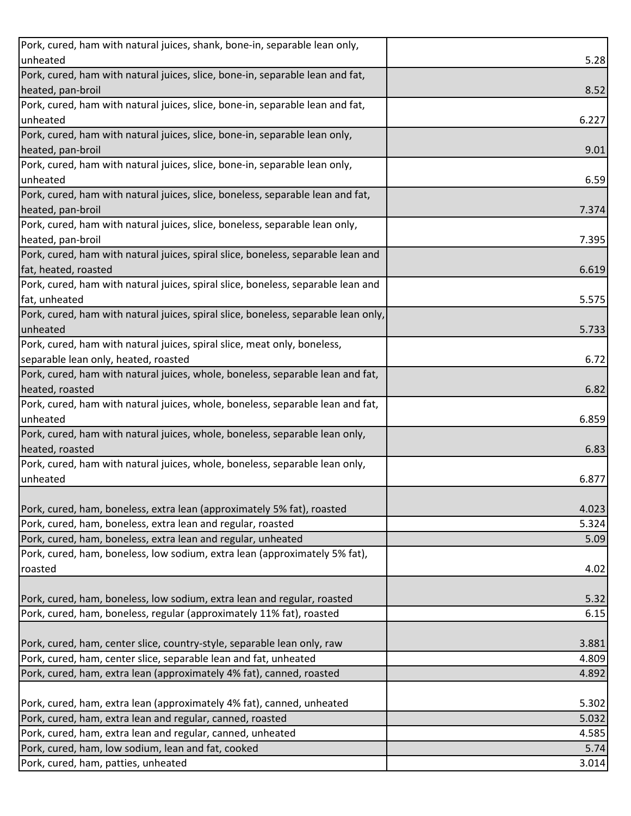| Pork, cured, ham with natural juices, shank, bone-in, separable lean only,            |       |
|---------------------------------------------------------------------------------------|-------|
| unheated                                                                              | 5.28  |
| Pork, cured, ham with natural juices, slice, bone-in, separable lean and fat,         |       |
| heated, pan-broil                                                                     | 8.52  |
| Pork, cured, ham with natural juices, slice, bone-in, separable lean and fat,         |       |
| unheated                                                                              | 6.227 |
| Pork, cured, ham with natural juices, slice, bone-in, separable lean only,            |       |
| heated, pan-broil                                                                     | 9.01  |
| Pork, cured, ham with natural juices, slice, bone-in, separable lean only,            |       |
| unheated                                                                              | 6.59  |
| Pork, cured, ham with natural juices, slice, boneless, separable lean and fat,        |       |
| heated, pan-broil                                                                     | 7.374 |
| Pork, cured, ham with natural juices, slice, boneless, separable lean only,           |       |
| heated, pan-broil                                                                     | 7.395 |
| Pork, cured, ham with natural juices, spiral slice, boneless, separable lean and      |       |
| fat, heated, roasted                                                                  | 6.619 |
| Pork, cured, ham with natural juices, spiral slice, boneless, separable lean and      |       |
| fat, unheated                                                                         | 5.575 |
| Pork, cured, ham with natural juices, spiral slice, boneless, separable lean only,    |       |
| unheated                                                                              | 5.733 |
| Pork, cured, ham with natural juices, spiral slice, meat only, boneless,              |       |
| separable lean only, heated, roasted                                                  | 6.72  |
| Pork, cured, ham with natural juices, whole, boneless, separable lean and fat,        |       |
| heated, roasted                                                                       | 6.82  |
| Pork, cured, ham with natural juices, whole, boneless, separable lean and fat,        |       |
| unheated                                                                              | 6.859 |
| Pork, cured, ham with natural juices, whole, boneless, separable lean only,           |       |
| heated, roasted                                                                       | 6.83  |
| Pork, cured, ham with natural juices, whole, boneless, separable lean only,           |       |
| unheated                                                                              | 6.877 |
|                                                                                       |       |
| Pork, cured, ham, boneless, extra lean (approximately 5% fat), roasted                | 4.023 |
| Pork, cured, ham, boneless, extra lean and regular, roasted                           | 5.324 |
| Pork, cured, ham, boneless, extra lean and regular, unheated                          | 5.09  |
| Pork, cured, ham, boneless, low sodium, extra lean (approximately 5% fat),<br>roasted |       |
|                                                                                       | 4.02  |
| Pork, cured, ham, boneless, low sodium, extra lean and regular, roasted               | 5.32  |
| Pork, cured, ham, boneless, regular (approximately 11% fat), roasted                  | 6.15  |
|                                                                                       |       |
| Pork, cured, ham, center slice, country-style, separable lean only, raw               | 3.881 |
| Pork, cured, ham, center slice, separable lean and fat, unheated                      | 4.809 |
| Pork, cured, ham, extra lean (approximately 4% fat), canned, roasted                  | 4.892 |
|                                                                                       |       |
| Pork, cured, ham, extra lean (approximately 4% fat), canned, unheated                 | 5.302 |
| Pork, cured, ham, extra lean and regular, canned, roasted                             | 5.032 |
| Pork, cured, ham, extra lean and regular, canned, unheated                            | 4.585 |
| Pork, cured, ham, low sodium, lean and fat, cooked                                    | 5.74  |
| Pork, cured, ham, patties, unheated                                                   | 3.014 |
|                                                                                       |       |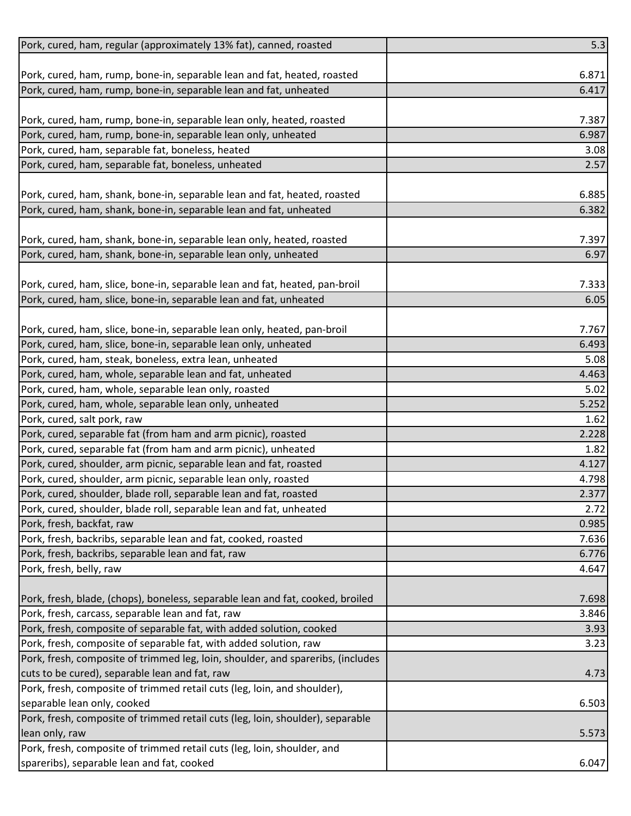| Pork, cured, ham, regular (approximately 13% fat), canned, roasted              | 5.3   |
|---------------------------------------------------------------------------------|-------|
|                                                                                 |       |
| Pork, cured, ham, rump, bone-in, separable lean and fat, heated, roasted        | 6.871 |
| Pork, cured, ham, rump, bone-in, separable lean and fat, unheated               | 6.417 |
|                                                                                 |       |
| Pork, cured, ham, rump, bone-in, separable lean only, heated, roasted           | 7.387 |
| Pork, cured, ham, rump, bone-in, separable lean only, unheated                  | 6.987 |
| Pork, cured, ham, separable fat, boneless, heated                               | 3.08  |
| Pork, cured, ham, separable fat, boneless, unheated                             | 2.57  |
|                                                                                 |       |
| Pork, cured, ham, shank, bone-in, separable lean and fat, heated, roasted       | 6.885 |
| Pork, cured, ham, shank, bone-in, separable lean and fat, unheated              | 6.382 |
|                                                                                 |       |
| Pork, cured, ham, shank, bone-in, separable lean only, heated, roasted          | 7.397 |
| Pork, cured, ham, shank, bone-in, separable lean only, unheated                 | 6.97  |
|                                                                                 |       |
| Pork, cured, ham, slice, bone-in, separable lean and fat, heated, pan-broil     | 7.333 |
| Pork, cured, ham, slice, bone-in, separable lean and fat, unheated              | 6.05  |
|                                                                                 |       |
| Pork, cured, ham, slice, bone-in, separable lean only, heated, pan-broil        | 7.767 |
| Pork, cured, ham, slice, bone-in, separable lean only, unheated                 | 6.493 |
| Pork, cured, ham, steak, boneless, extra lean, unheated                         | 5.08  |
| Pork, cured, ham, whole, separable lean and fat, unheated                       | 4.463 |
| Pork, cured, ham, whole, separable lean only, roasted                           | 5.02  |
| Pork, cured, ham, whole, separable lean only, unheated                          | 5.252 |
| Pork, cured, salt pork, raw                                                     | 1.62  |
| Pork, cured, separable fat (from ham and arm picnic), roasted                   | 2.228 |
| Pork, cured, separable fat (from ham and arm picnic), unheated                  | 1.82  |
| Pork, cured, shoulder, arm picnic, separable lean and fat, roasted              | 4.127 |
| Pork, cured, shoulder, arm picnic, separable lean only, roasted                 | 4.798 |
| Pork, cured, shoulder, blade roll, separable lean and fat, roasted              | 2.377 |
| Pork, cured, shoulder, blade roll, separable lean and fat, unheated             | 2.72  |
| Pork, fresh, backfat, raw                                                       | 0.985 |
| Pork, fresh, backribs, separable lean and fat, cooked, roasted                  | 7.636 |
| Pork, fresh, backribs, separable lean and fat, raw                              | 6.776 |
| Pork, fresh, belly, raw                                                         | 4.647 |
|                                                                                 |       |
| Pork, fresh, blade, (chops), boneless, separable lean and fat, cooked, broiled  | 7.698 |
| Pork, fresh, carcass, separable lean and fat, raw                               | 3.846 |
| Pork, fresh, composite of separable fat, with added solution, cooked            | 3.93  |
| Pork, fresh, composite of separable fat, with added solution, raw               | 3.23  |
| Pork, fresh, composite of trimmed leg, loin, shoulder, and spareribs, (includes |       |
| cuts to be cured), separable lean and fat, raw                                  | 4.73  |
| Pork, fresh, composite of trimmed retail cuts (leg, loin, and shoulder),        |       |
| separable lean only, cooked                                                     | 6.503 |
| Pork, fresh, composite of trimmed retail cuts (leg, loin, shoulder), separable  |       |
| lean only, raw                                                                  | 5.573 |
| Pork, fresh, composite of trimmed retail cuts (leg, loin, shoulder, and         |       |
| spareribs), separable lean and fat, cooked                                      | 6.047 |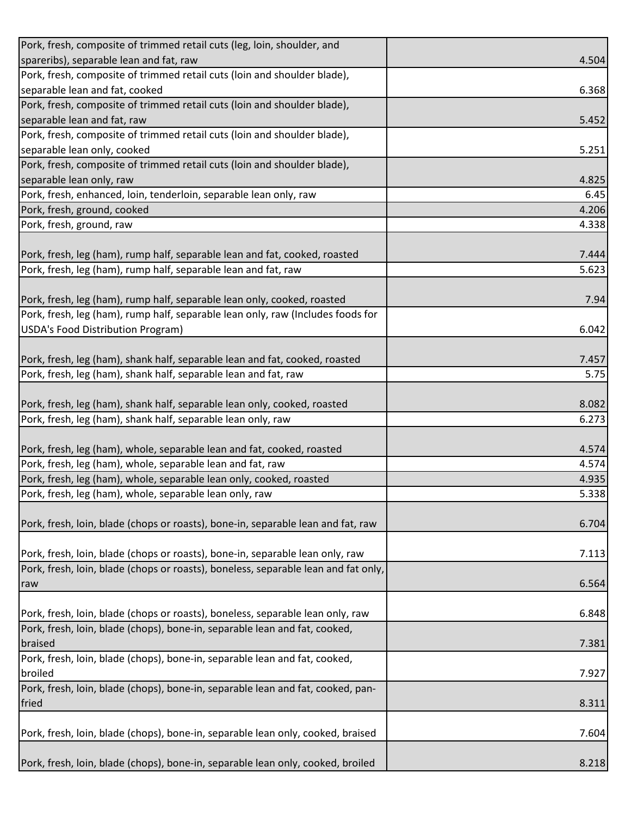| Pork, fresh, composite of trimmed retail cuts (leg, loin, shoulder, and            |       |
|------------------------------------------------------------------------------------|-------|
| spareribs), separable lean and fat, raw                                            | 4.504 |
| Pork, fresh, composite of trimmed retail cuts (loin and shoulder blade),           |       |
| separable lean and fat, cooked                                                     | 6.368 |
| Pork, fresh, composite of trimmed retail cuts (loin and shoulder blade),           |       |
| separable lean and fat, raw                                                        | 5.452 |
| Pork, fresh, composite of trimmed retail cuts (loin and shoulder blade),           |       |
| separable lean only, cooked                                                        | 5.251 |
| Pork, fresh, composite of trimmed retail cuts (loin and shoulder blade),           |       |
| separable lean only, raw                                                           | 4.825 |
| Pork, fresh, enhanced, loin, tenderloin, separable lean only, raw                  | 6.45  |
| Pork, fresh, ground, cooked                                                        | 4.206 |
| Pork, fresh, ground, raw                                                           | 4.338 |
|                                                                                    |       |
| Pork, fresh, leg (ham), rump half, separable lean and fat, cooked, roasted         | 7.444 |
| Pork, fresh, leg (ham), rump half, separable lean and fat, raw                     | 5.623 |
|                                                                                    |       |
| Pork, fresh, leg (ham), rump half, separable lean only, cooked, roasted            | 7.94  |
| Pork, fresh, leg (ham), rump half, separable lean only, raw (Includes foods for    |       |
| USDA's Food Distribution Program)                                                  | 6.042 |
|                                                                                    |       |
| Pork, fresh, leg (ham), shank half, separable lean and fat, cooked, roasted        | 7.457 |
| Pork, fresh, leg (ham), shank half, separable lean and fat, raw                    | 5.75  |
|                                                                                    |       |
| Pork, fresh, leg (ham), shank half, separable lean only, cooked, roasted           | 8.082 |
| Pork, fresh, leg (ham), shank half, separable lean only, raw                       | 6.273 |
|                                                                                    |       |
| Pork, fresh, leg (ham), whole, separable lean and fat, cooked, roasted             | 4.574 |
| Pork, fresh, leg (ham), whole, separable lean and fat, raw                         | 4.574 |
| Pork, fresh, leg (ham), whole, separable lean only, cooked, roasted                | 4.935 |
| Pork, fresh, leg (ham), whole, separable lean only, raw                            | 5.338 |
|                                                                                    |       |
| Pork, fresh, loin, blade (chops or roasts), bone-in, separable lean and fat, raw   | 6.704 |
|                                                                                    |       |
| Pork, fresh, loin, blade (chops or roasts), bone-in, separable lean only, raw      | 7.113 |
| Pork, fresh, loin, blade (chops or roasts), boneless, separable lean and fat only, |       |
| raw                                                                                | 6.564 |
|                                                                                    |       |
| Pork, fresh, loin, blade (chops or roasts), boneless, separable lean only, raw     | 6.848 |
| Pork, fresh, loin, blade (chops), bone-in, separable lean and fat, cooked,         |       |
| braised                                                                            | 7.381 |
| Pork, fresh, loin, blade (chops), bone-in, separable lean and fat, cooked,         |       |
| broiled                                                                            | 7.927 |
| Pork, fresh, loin, blade (chops), bone-in, separable lean and fat, cooked, pan-    |       |
| fried                                                                              | 8.311 |
|                                                                                    |       |
| Pork, fresh, loin, blade (chops), bone-in, separable lean only, cooked, braised    | 7.604 |
|                                                                                    |       |
| Pork, fresh, loin, blade (chops), bone-in, separable lean only, cooked, broiled    | 8.218 |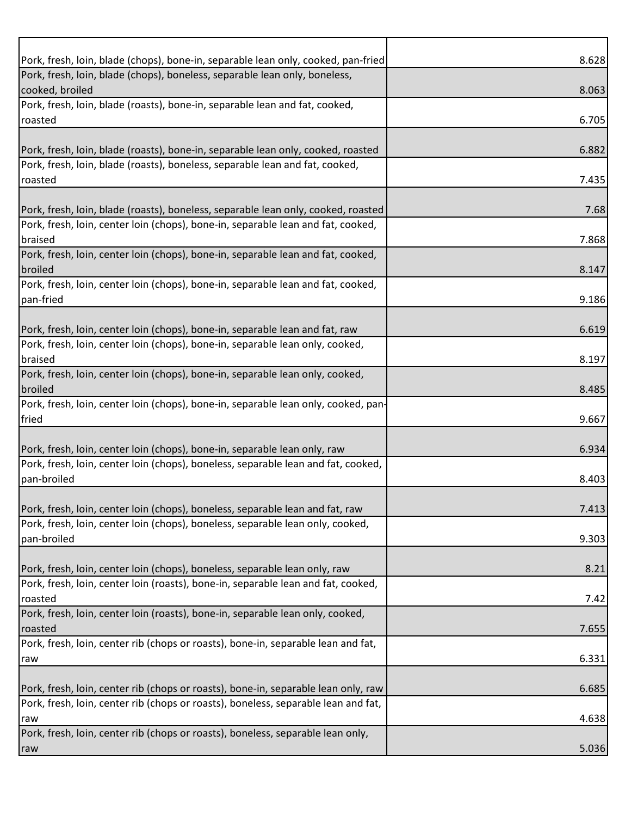| Pork, fresh, loin, blade (chops), bone-in, separable lean only, cooked, pan-fried  | 8.628 |
|------------------------------------------------------------------------------------|-------|
| Pork, fresh, loin, blade (chops), boneless, separable lean only, boneless,         |       |
| cooked, broiled                                                                    | 8.063 |
| Pork, fresh, loin, blade (roasts), bone-in, separable lean and fat, cooked,        |       |
| roasted                                                                            | 6.705 |
|                                                                                    |       |
| Pork, fresh, loin, blade (roasts), bone-in, separable lean only, cooked, roasted   | 6.882 |
| Pork, fresh, loin, blade (roasts), boneless, separable lean and fat, cooked,       |       |
| roasted                                                                            | 7.435 |
|                                                                                    |       |
| Pork, fresh, loin, blade (roasts), boneless, separable lean only, cooked, roasted  | 7.68  |
| Pork, fresh, loin, center loin (chops), bone-in, separable lean and fat, cooked,   |       |
| braised                                                                            | 7.868 |
| Pork, fresh, loin, center loin (chops), bone-in, separable lean and fat, cooked,   |       |
| broiled                                                                            | 8.147 |
| Pork, fresh, loin, center loin (chops), bone-in, separable lean and fat, cooked,   |       |
| pan-fried                                                                          | 9.186 |
|                                                                                    |       |
| Pork, fresh, loin, center loin (chops), bone-in, separable lean and fat, raw       | 6.619 |
| Pork, fresh, loin, center loin (chops), bone-in, separable lean only, cooked,      |       |
| braised                                                                            | 8.197 |
| Pork, fresh, loin, center loin (chops), bone-in, separable lean only, cooked,      |       |
| broiled                                                                            | 8.485 |
| Pork, fresh, loin, center loin (chops), bone-in, separable lean only, cooked, pan- |       |
| fried                                                                              | 9.667 |
|                                                                                    |       |
| Pork, fresh, loin, center loin (chops), bone-in, separable lean only, raw          | 6.934 |
| Pork, fresh, loin, center loin (chops), boneless, separable lean and fat, cooked,  |       |
| pan-broiled                                                                        |       |
|                                                                                    | 8.403 |
|                                                                                    |       |
| Pork, fresh, loin, center loin (chops), boneless, separable lean and fat, raw      | 7.413 |
| Pork, fresh, loin, center loin (chops), boneless, separable lean only, cooked,     |       |
| pan-broiled                                                                        | 9.303 |
|                                                                                    |       |
| Pork, fresh, loin, center loin (chops), boneless, separable lean only, raw         | 8.21  |
| Pork, fresh, loin, center loin (roasts), bone-in, separable lean and fat, cooked,  |       |
| roasted                                                                            | 7.42  |
| Pork, fresh, loin, center loin (roasts), bone-in, separable lean only, cooked,     |       |
| roasted                                                                            | 7.655 |
| Pork, fresh, loin, center rib (chops or roasts), bone-in, separable lean and fat,  |       |
| raw                                                                                | 6.331 |
|                                                                                    |       |
| Pork, fresh, loin, center rib (chops or roasts), bone-in, separable lean only, raw | 6.685 |
| Pork, fresh, loin, center rib (chops or roasts), boneless, separable lean and fat, |       |
| raw                                                                                | 4.638 |
| Pork, fresh, loin, center rib (chops or roasts), boneless, separable lean only,    |       |
| raw                                                                                | 5.036 |
|                                                                                    |       |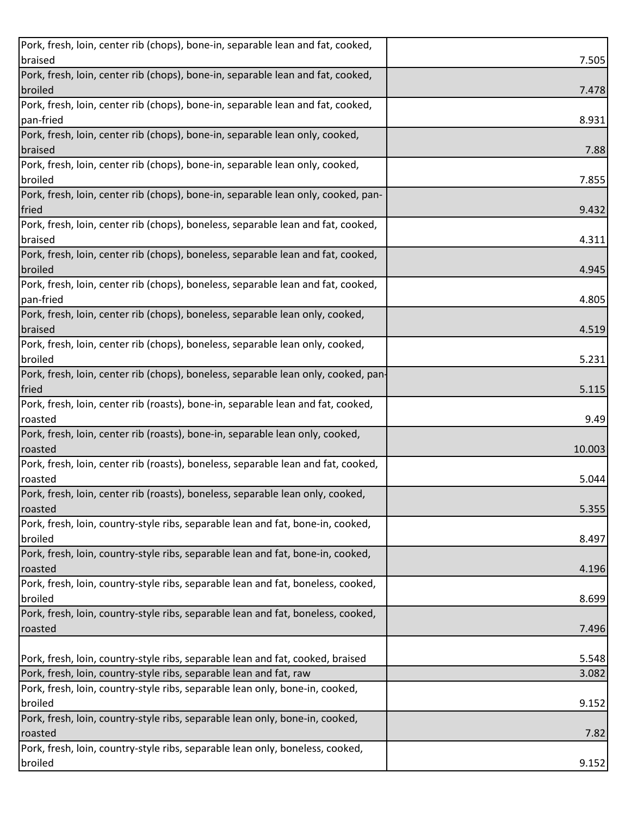| Pork, fresh, loin, center rib (chops), bone-in, separable lean and fat, cooked,           |        |
|-------------------------------------------------------------------------------------------|--------|
| braised                                                                                   | 7.505  |
| Pork, fresh, loin, center rib (chops), bone-in, separable lean and fat, cooked,           |        |
| broiled                                                                                   | 7.478  |
| Pork, fresh, loin, center rib (chops), bone-in, separable lean and fat, cooked,           |        |
| pan-fried                                                                                 | 8.931  |
| Pork, fresh, loin, center rib (chops), bone-in, separable lean only, cooked,              |        |
| braised                                                                                   | 7.88   |
| Pork, fresh, loin, center rib (chops), bone-in, separable lean only, cooked,              |        |
| broiled                                                                                   | 7.855  |
| Pork, fresh, loin, center rib (chops), bone-in, separable lean only, cooked, pan-         |        |
| fried                                                                                     | 9.432  |
| Pork, fresh, loin, center rib (chops), boneless, separable lean and fat, cooked,          |        |
| braised                                                                                   | 4.311  |
| Pork, fresh, loin, center rib (chops), boneless, separable lean and fat, cooked,          |        |
| broiled                                                                                   | 4.945  |
| Pork, fresh, loin, center rib (chops), boneless, separable lean and fat, cooked,          |        |
| pan-fried                                                                                 | 4.805  |
| Pork, fresh, loin, center rib (chops), boneless, separable lean only, cooked,             |        |
| braised                                                                                   | 4.519  |
| Pork, fresh, loin, center rib (chops), boneless, separable lean only, cooked,             |        |
| broiled                                                                                   | 5.231  |
| Pork, fresh, loin, center rib (chops), boneless, separable lean only, cooked, pan-        |        |
| fried                                                                                     | 5.115  |
| Pork, fresh, loin, center rib (roasts), bone-in, separable lean and fat, cooked,          |        |
| roasted                                                                                   | 9.49   |
| Pork, fresh, loin, center rib (roasts), bone-in, separable lean only, cooked,             |        |
|                                                                                           |        |
|                                                                                           |        |
| roasted                                                                                   | 10.003 |
| Pork, fresh, loin, center rib (roasts), boneless, separable lean and fat, cooked,         |        |
| roasted                                                                                   | 5.044  |
| Pork, fresh, loin, center rib (roasts), boneless, separable lean only, cooked,            |        |
| roasted                                                                                   | 5.355  |
| Pork, fresh, loin, country-style ribs, separable lean and fat, bone-in, cooked,           |        |
| broiled                                                                                   | 8.497  |
| Pork, fresh, loin, country-style ribs, separable lean and fat, bone-in, cooked,           |        |
| roasted                                                                                   | 4.196  |
| Pork, fresh, loin, country-style ribs, separable lean and fat, boneless, cooked,          |        |
| broiled                                                                                   | 8.699  |
| Pork, fresh, loin, country-style ribs, separable lean and fat, boneless, cooked,          |        |
| roasted                                                                                   | 7.496  |
|                                                                                           |        |
|                                                                                           | 5.548  |
| Pork, fresh, loin, country-style ribs, separable lean and fat, raw                        | 3.082  |
| Pork, fresh, loin, country-style ribs, separable lean only, bone-in, cooked,              |        |
| Pork, fresh, loin, country-style ribs, separable lean and fat, cooked, braised<br>broiled | 9.152  |
| Pork, fresh, loin, country-style ribs, separable lean only, bone-in, cooked,              |        |
| roasted                                                                                   | 7.82   |
| Pork, fresh, loin, country-style ribs, separable lean only, boneless, cooked,<br>broiled  | 9.152  |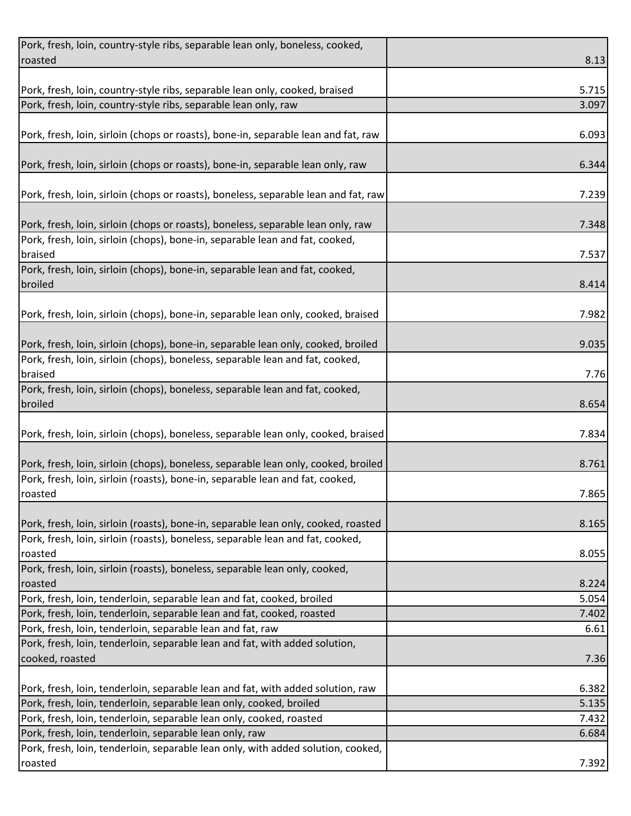| Pork, fresh, loin, country-style ribs, separable lean only, boneless, cooked,       |       |
|-------------------------------------------------------------------------------------|-------|
| roasted                                                                             | 8.13  |
|                                                                                     |       |
| Pork, fresh, loin, country-style ribs, separable lean only, cooked, braised         | 5.715 |
| Pork, fresh, loin, country-style ribs, separable lean only, raw                     | 3.097 |
|                                                                                     |       |
| Pork, fresh, loin, sirloin (chops or roasts), bone-in, separable lean and fat, raw  | 6.093 |
|                                                                                     |       |
| Pork, fresh, loin, sirloin (chops or roasts), bone-in, separable lean only, raw     | 6.344 |
|                                                                                     |       |
| Pork, fresh, loin, sirloin (chops or roasts), boneless, separable lean and fat, raw | 7.239 |
|                                                                                     |       |
| Pork, fresh, loin, sirloin (chops or roasts), boneless, separable lean only, raw    | 7.348 |
| Pork, fresh, loin, sirloin (chops), bone-in, separable lean and fat, cooked,        |       |
| braised                                                                             | 7.537 |
| Pork, fresh, loin, sirloin (chops), bone-in, separable lean and fat, cooked,        |       |
| broiled                                                                             | 8.414 |
|                                                                                     |       |
| Pork, fresh, loin, sirloin (chops), bone-in, separable lean only, cooked, braised   | 7.982 |
|                                                                                     |       |
| Pork, fresh, loin, sirloin (chops), bone-in, separable lean only, cooked, broiled   | 9.035 |
| Pork, fresh, loin, sirloin (chops), boneless, separable lean and fat, cooked,       |       |
| braised                                                                             | 7.76  |
| Pork, fresh, loin, sirloin (chops), boneless, separable lean and fat, cooked,       |       |
| broiled                                                                             | 8.654 |
|                                                                                     |       |
| Pork, fresh, loin, sirloin (chops), boneless, separable lean only, cooked, braised  | 7.834 |
|                                                                                     |       |
| Pork, fresh, loin, sirloin (chops), boneless, separable lean only, cooked, broiled  | 8.761 |
| Pork, fresh, loin, sirloin (roasts), bone-in, separable lean and fat, cooked,       |       |
| roasted                                                                             | 7.865 |
|                                                                                     |       |
| Pork, fresh, loin, sirloin (roasts), bone-in, separable lean only, cooked, roasted  | 8.165 |
| Pork, fresh, loin, sirloin (roasts), boneless, separable lean and fat, cooked,      |       |
| roasted                                                                             | 8.055 |
| Pork, fresh, loin, sirloin (roasts), boneless, separable lean only, cooked,         |       |
| roasted                                                                             | 8.224 |
| Pork, fresh, loin, tenderloin, separable lean and fat, cooked, broiled              | 5.054 |
| Pork, fresh, loin, tenderloin, separable lean and fat, cooked, roasted              | 7.402 |
| Pork, fresh, loin, tenderloin, separable lean and fat, raw                          | 6.61  |
| Pork, fresh, loin, tenderloin, separable lean and fat, with added solution,         |       |
| cooked, roasted                                                                     | 7.36  |
|                                                                                     |       |
| Pork, fresh, loin, tenderloin, separable lean and fat, with added solution, raw     | 6.382 |
| Pork, fresh, loin, tenderloin, separable lean only, cooked, broiled                 | 5.135 |
| Pork, fresh, loin, tenderloin, separable lean only, cooked, roasted                 | 7.432 |
| Pork, fresh, loin, tenderloin, separable lean only, raw                             | 6.684 |
| Pork, fresh, loin, tenderloin, separable lean only, with added solution, cooked,    |       |
| roasted                                                                             | 7.392 |
|                                                                                     |       |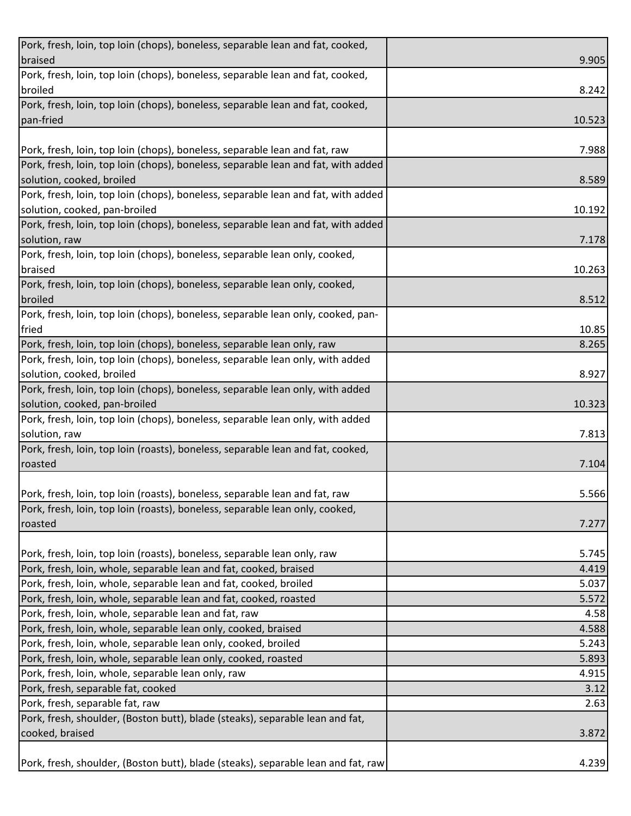| Pork, fresh, loin, top loin (chops), boneless, separable lean and fat, cooked,    |        |
|-----------------------------------------------------------------------------------|--------|
| braised                                                                           | 9.905  |
| Pork, fresh, loin, top loin (chops), boneless, separable lean and fat, cooked,    |        |
| broiled                                                                           | 8.242  |
| Pork, fresh, loin, top loin (chops), boneless, separable lean and fat, cooked,    |        |
| pan-fried                                                                         | 10.523 |
|                                                                                   |        |
| Pork, fresh, loin, top loin (chops), boneless, separable lean and fat, raw        | 7.988  |
| Pork, fresh, loin, top loin (chops), boneless, separable lean and fat, with added |        |
| solution, cooked, broiled                                                         | 8.589  |
| Pork, fresh, loin, top loin (chops), boneless, separable lean and fat, with added |        |
| solution, cooked, pan-broiled                                                     | 10.192 |
| Pork, fresh, loin, top loin (chops), boneless, separable lean and fat, with added |        |
| solution, raw                                                                     | 7.178  |
| Pork, fresh, loin, top loin (chops), boneless, separable lean only, cooked,       |        |
| braised                                                                           | 10.263 |
| Pork, fresh, loin, top loin (chops), boneless, separable lean only, cooked,       |        |
| broiled                                                                           | 8.512  |
| Pork, fresh, loin, top loin (chops), boneless, separable lean only, cooked, pan-  |        |
| fried                                                                             | 10.85  |
| Pork, fresh, loin, top loin (chops), boneless, separable lean only, raw           | 8.265  |
| Pork, fresh, loin, top loin (chops), boneless, separable lean only, with added    |        |
| solution, cooked, broiled                                                         | 8.927  |
| Pork, fresh, loin, top loin (chops), boneless, separable lean only, with added    |        |
| solution, cooked, pan-broiled                                                     | 10.323 |
| Pork, fresh, loin, top loin (chops), boneless, separable lean only, with added    |        |
| solution, raw                                                                     | 7.813  |
| Pork, fresh, loin, top loin (roasts), boneless, separable lean and fat, cooked,   |        |
| roasted                                                                           | 7.104  |
|                                                                                   |        |
| Pork, fresh, loin, top loin (roasts), boneless, separable lean and fat, raw       | 5.566  |
| Pork, fresh, loin, top loin (roasts), boneless, separable lean only, cooked,      |        |
| roasted                                                                           | 7.277  |
|                                                                                   |        |
| Pork, fresh, loin, top loin (roasts), boneless, separable lean only, raw          | 5.745  |
| Pork, fresh, loin, whole, separable lean and fat, cooked, braised                 | 4.419  |
| Pork, fresh, loin, whole, separable lean and fat, cooked, broiled                 | 5.037  |
| Pork, fresh, loin, whole, separable lean and fat, cooked, roasted                 | 5.572  |
| Pork, fresh, loin, whole, separable lean and fat, raw                             | 4.58   |
| Pork, fresh, loin, whole, separable lean only, cooked, braised                    | 4.588  |
| Pork, fresh, loin, whole, separable lean only, cooked, broiled                    | 5.243  |
| Pork, fresh, loin, whole, separable lean only, cooked, roasted                    | 5.893  |
| Pork, fresh, loin, whole, separable lean only, raw                                | 4.915  |
| Pork, fresh, separable fat, cooked                                                | 3.12   |
| Pork, fresh, separable fat, raw                                                   | 2.63   |
| Pork, fresh, shoulder, (Boston butt), blade (steaks), separable lean and fat,     |        |
| cooked, braised                                                                   | 3.872  |
|                                                                                   |        |
| Pork, fresh, shoulder, (Boston butt), blade (steaks), separable lean and fat, raw | 4.239  |
|                                                                                   |        |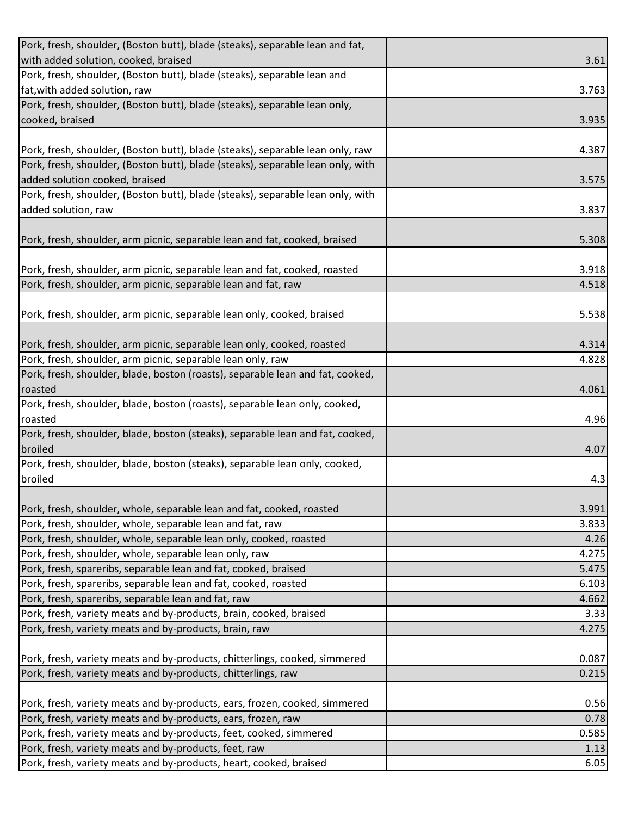| Pork, fresh, shoulder, (Boston butt), blade (steaks), separable lean and fat,                                               |              |
|-----------------------------------------------------------------------------------------------------------------------------|--------------|
| with added solution, cooked, braised                                                                                        | 3.61         |
| Pork, fresh, shoulder, (Boston butt), blade (steaks), separable lean and                                                    |              |
| fat, with added solution, raw                                                                                               | 3.763        |
| Pork, fresh, shoulder, (Boston butt), blade (steaks), separable lean only,                                                  |              |
| cooked, braised                                                                                                             | 3.935        |
|                                                                                                                             |              |
| Pork, fresh, shoulder, (Boston butt), blade (steaks), separable lean only, raw                                              | 4.387        |
| Pork, fresh, shoulder, (Boston butt), blade (steaks), separable lean only, with                                             |              |
| added solution cooked, braised                                                                                              | 3.575        |
| Pork, fresh, shoulder, (Boston butt), blade (steaks), separable lean only, with                                             |              |
| added solution, raw                                                                                                         | 3.837        |
|                                                                                                                             |              |
| Pork, fresh, shoulder, arm picnic, separable lean and fat, cooked, braised                                                  | 5.308        |
|                                                                                                                             |              |
| Pork, fresh, shoulder, arm picnic, separable lean and fat, cooked, roasted                                                  | 3.918        |
| Pork, fresh, shoulder, arm picnic, separable lean and fat, raw                                                              | 4.518        |
|                                                                                                                             |              |
| Pork, fresh, shoulder, arm picnic, separable lean only, cooked, braised                                                     | 5.538        |
|                                                                                                                             |              |
| Pork, fresh, shoulder, arm picnic, separable lean only, cooked, roasted                                                     | 4.314        |
| Pork, fresh, shoulder, arm picnic, separable lean only, raw                                                                 | 4.828        |
| Pork, fresh, shoulder, blade, boston (roasts), separable lean and fat, cooked,                                              |              |
| roasted<br>Pork, fresh, shoulder, blade, boston (roasts), separable lean only, cooked,                                      | 4.061        |
| roasted                                                                                                                     | 4.96         |
| Pork, fresh, shoulder, blade, boston (steaks), separable lean and fat, cooked,                                              |              |
| broiled                                                                                                                     | 4.07         |
| Pork, fresh, shoulder, blade, boston (steaks), separable lean only, cooked,                                                 |              |
|                                                                                                                             | 4.3          |
|                                                                                                                             |              |
| broiled                                                                                                                     |              |
| Pork, fresh, shoulder, whole, separable lean and fat, cooked, roasted                                                       | 3.991        |
| Pork, fresh, shoulder, whole, separable lean and fat, raw                                                                   | 3.833        |
| Pork, fresh, shoulder, whole, separable lean only, cooked, roasted                                                          | 4.26         |
| Pork, fresh, shoulder, whole, separable lean only, raw                                                                      | 4.275        |
| Pork, fresh, spareribs, separable lean and fat, cooked, braised                                                             | 5.475        |
| Pork, fresh, spareribs, separable lean and fat, cooked, roasted                                                             | 6.103        |
| Pork, fresh, spareribs, separable lean and fat, raw                                                                         | 4.662        |
| Pork, fresh, variety meats and by-products, brain, cooked, braised                                                          | 3.33         |
| Pork, fresh, variety meats and by-products, brain, raw                                                                      | 4.275        |
|                                                                                                                             |              |
| Pork, fresh, variety meats and by-products, chitterlings, cooked, simmered                                                  | 0.087        |
| Pork, fresh, variety meats and by-products, chitterlings, raw                                                               | 0.215        |
|                                                                                                                             |              |
| Pork, fresh, variety meats and by-products, ears, frozen, cooked, simmered                                                  | 0.56         |
| Pork, fresh, variety meats and by-products, ears, frozen, raw                                                               | 0.78         |
| Pork, fresh, variety meats and by-products, feet, cooked, simmered                                                          | 0.585        |
| Pork, fresh, variety meats and by-products, feet, raw<br>Pork, fresh, variety meats and by-products, heart, cooked, braised | 1.13<br>6.05 |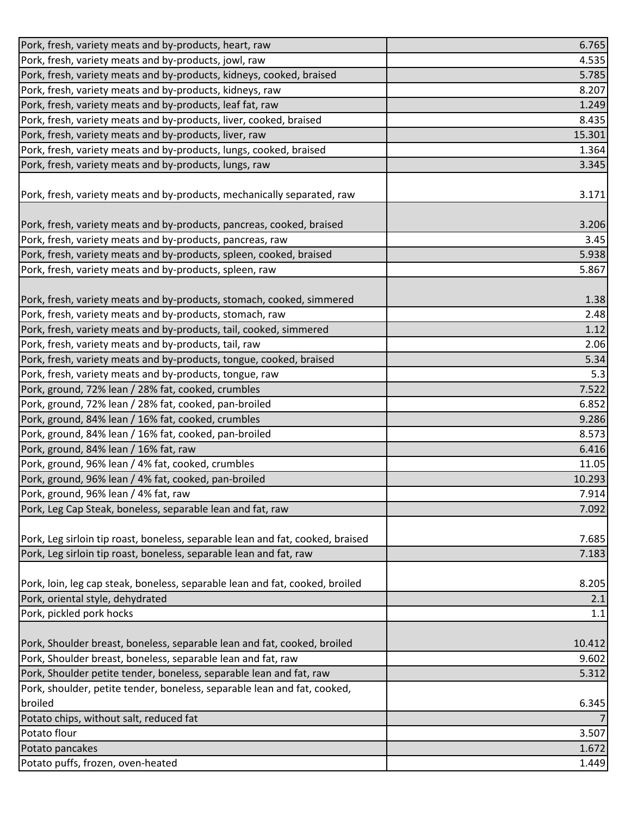| Pork, fresh, variety meats and by-products, heart, raw                         | 6.765  |
|--------------------------------------------------------------------------------|--------|
| Pork, fresh, variety meats and by-products, jowl, raw                          | 4.535  |
| Pork, fresh, variety meats and by-products, kidneys, cooked, braised           | 5.785  |
| Pork, fresh, variety meats and by-products, kidneys, raw                       | 8.207  |
| Pork, fresh, variety meats and by-products, leaf fat, raw                      | 1.249  |
| Pork, fresh, variety meats and by-products, liver, cooked, braised             | 8.435  |
| Pork, fresh, variety meats and by-products, liver, raw                         | 15.301 |
| Pork, fresh, variety meats and by-products, lungs, cooked, braised             | 1.364  |
| Pork, fresh, variety meats and by-products, lungs, raw                         | 3.345  |
|                                                                                |        |
| Pork, fresh, variety meats and by-products, mechanically separated, raw        | 3.171  |
|                                                                                |        |
| Pork, fresh, variety meats and by-products, pancreas, cooked, braised          | 3.206  |
| Pork, fresh, variety meats and by-products, pancreas, raw                      | 3.45   |
| Pork, fresh, variety meats and by-products, spleen, cooked, braised            | 5.938  |
| Pork, fresh, variety meats and by-products, spleen, raw                        | 5.867  |
|                                                                                |        |
| Pork, fresh, variety meats and by-products, stomach, cooked, simmered          | 1.38   |
| Pork, fresh, variety meats and by-products, stomach, raw                       | 2.48   |
| Pork, fresh, variety meats and by-products, tail, cooked, simmered             | 1.12   |
| Pork, fresh, variety meats and by-products, tail, raw                          | 2.06   |
| Pork, fresh, variety meats and by-products, tongue, cooked, braised            | 5.34   |
| Pork, fresh, variety meats and by-products, tongue, raw                        | 5.3    |
| Pork, ground, 72% lean / 28% fat, cooked, crumbles                             | 7.522  |
| Pork, ground, 72% lean / 28% fat, cooked, pan-broiled                          | 6.852  |
| Pork, ground, 84% lean / 16% fat, cooked, crumbles                             | 9.286  |
| Pork, ground, 84% lean / 16% fat, cooked, pan-broiled                          | 8.573  |
| Pork, ground, 84% lean / 16% fat, raw                                          | 6.416  |
| Pork, ground, 96% lean / 4% fat, cooked, crumbles                              | 11.05  |
| Pork, ground, 96% lean / 4% fat, cooked, pan-broiled                           | 10.293 |
| Pork, ground, 96% lean / 4% fat, raw                                           | 7.914  |
| Pork, Leg Cap Steak, boneless, separable lean and fat, raw                     | 7.092  |
|                                                                                |        |
| Pork, Leg sirloin tip roast, boneless, separable lean and fat, cooked, braised | 7.685  |
| Pork, Leg sirloin tip roast, boneless, separable lean and fat, raw             | 7.183  |
|                                                                                |        |
| Pork, loin, leg cap steak, boneless, separable lean and fat, cooked, broiled   | 8.205  |
| Pork, oriental style, dehydrated                                               | 2.1    |
| Pork, pickled pork hocks                                                       | 1.1    |
|                                                                                |        |
| Pork, Shoulder breast, boneless, separable lean and fat, cooked, broiled       | 10.412 |
| Pork, Shoulder breast, boneless, separable lean and fat, raw                   | 9.602  |
| Pork, Shoulder petite tender, boneless, separable lean and fat, raw            | 5.312  |
| Pork, shoulder, petite tender, boneless, separable lean and fat, cooked,       |        |
| broiled                                                                        | 6.345  |
| Potato chips, without salt, reduced fat                                        |        |
| Potato flour                                                                   | 3.507  |
| Potato pancakes                                                                | 1.672  |
| Potato puffs, frozen, oven-heated                                              | 1.449  |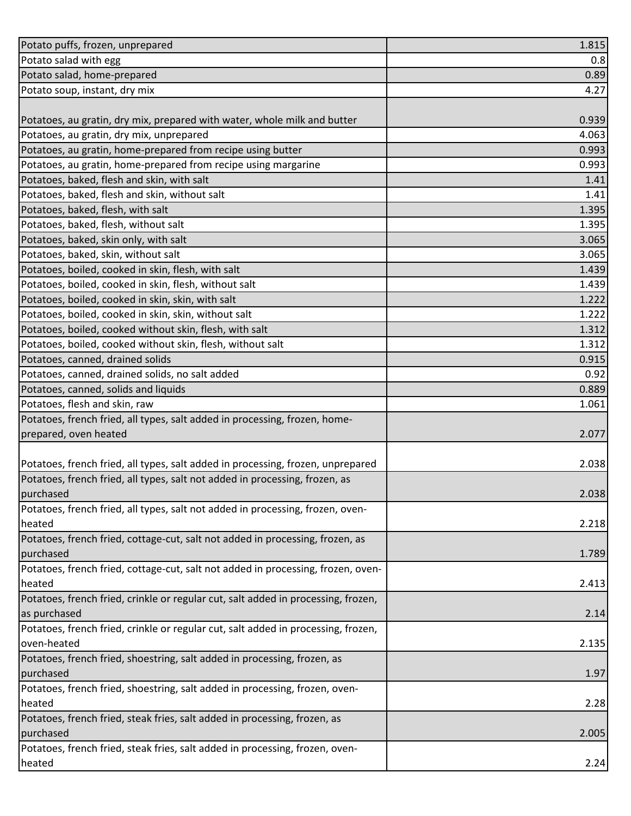| Potato puffs, frozen, unprepared                                                  | 1.815 |
|-----------------------------------------------------------------------------------|-------|
| Potato salad with egg                                                             | 0.8   |
| Potato salad, home-prepared                                                       | 0.89  |
| Potato soup, instant, dry mix                                                     | 4.27  |
|                                                                                   |       |
| Potatoes, au gratin, dry mix, prepared with water, whole milk and butter          | 0.939 |
| Potatoes, au gratin, dry mix, unprepared                                          | 4.063 |
| Potatoes, au gratin, home-prepared from recipe using butter                       | 0.993 |
| Potatoes, au gratin, home-prepared from recipe using margarine                    | 0.993 |
| Potatoes, baked, flesh and skin, with salt                                        | 1.41  |
| Potatoes, baked, flesh and skin, without salt                                     | 1.41  |
| Potatoes, baked, flesh, with salt                                                 | 1.395 |
| Potatoes, baked, flesh, without salt                                              | 1.395 |
| Potatoes, baked, skin only, with salt                                             | 3.065 |
| Potatoes, baked, skin, without salt                                               | 3.065 |
| Potatoes, boiled, cooked in skin, flesh, with salt                                | 1.439 |
| Potatoes, boiled, cooked in skin, flesh, without salt                             | 1.439 |
| Potatoes, boiled, cooked in skin, skin, with salt                                 | 1.222 |
| Potatoes, boiled, cooked in skin, skin, without salt                              | 1.222 |
| Potatoes, boiled, cooked without skin, flesh, with salt                           | 1.312 |
| Potatoes, boiled, cooked without skin, flesh, without salt                        | 1.312 |
| Potatoes, canned, drained solids                                                  | 0.915 |
| Potatoes, canned, drained solids, no salt added                                   | 0.92  |
| Potatoes, canned, solids and liquids                                              | 0.889 |
| Potatoes, flesh and skin, raw                                                     | 1.061 |
| Potatoes, french fried, all types, salt added in processing, frozen, home-        |       |
| prepared, oven heated                                                             | 2.077 |
|                                                                                   |       |
| Potatoes, french fried, all types, salt added in processing, frozen, unprepared   | 2.038 |
| Potatoes, french fried, all types, salt not added in processing, frozen, as       |       |
| purchased                                                                         | 2.038 |
| Potatoes, french fried, all types, salt not added in processing, frozen, oven-    |       |
| heated                                                                            | 2.218 |
| Potatoes, french fried, cottage-cut, salt not added in processing, frozen, as     |       |
| purchased                                                                         | 1.789 |
| Potatoes, french fried, cottage-cut, salt not added in processing, frozen, oven-  |       |
| heated                                                                            | 2.413 |
| Potatoes, french fried, crinkle or regular cut, salt added in processing, frozen, |       |
| as purchased                                                                      | 2.14  |
| Potatoes, french fried, crinkle or regular cut, salt added in processing, frozen, |       |
| oven-heated                                                                       | 2.135 |
| Potatoes, french fried, shoestring, salt added in processing, frozen, as          |       |
| purchased                                                                         | 1.97  |
| Potatoes, french fried, shoestring, salt added in processing, frozen, oven-       |       |
| heated                                                                            | 2.28  |
| Potatoes, french fried, steak fries, salt added in processing, frozen, as         |       |
| purchased                                                                         | 2.005 |
| Potatoes, french fried, steak fries, salt added in processing, frozen, oven-      |       |
| heated                                                                            | 2.24  |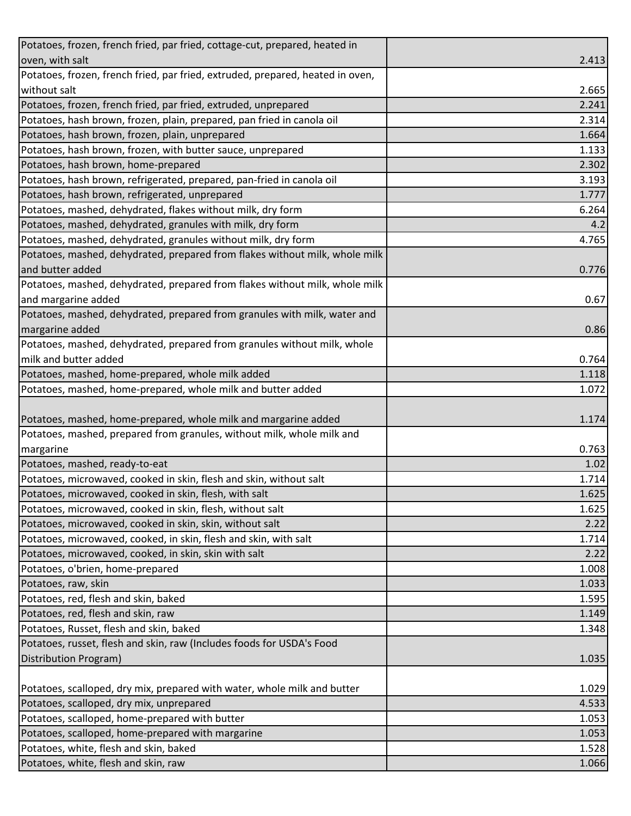| Potatoes, frozen, french fried, par fried, cottage-cut, prepared, heated in    |                |
|--------------------------------------------------------------------------------|----------------|
| oven, with salt                                                                | 2.413          |
| Potatoes, frozen, french fried, par fried, extruded, prepared, heated in oven, |                |
| without salt                                                                   | 2.665          |
| Potatoes, frozen, french fried, par fried, extruded, unprepared                | 2.241          |
| Potatoes, hash brown, frozen, plain, prepared, pan fried in canola oil         | 2.314          |
| Potatoes, hash brown, frozen, plain, unprepared                                | 1.664          |
| Potatoes, hash brown, frozen, with butter sauce, unprepared                    | 1.133          |
| Potatoes, hash brown, home-prepared                                            | 2.302          |
| Potatoes, hash brown, refrigerated, prepared, pan-fried in canola oil          | 3.193          |
| Potatoes, hash brown, refrigerated, unprepared                                 | 1.777          |
| Potatoes, mashed, dehydrated, flakes without milk, dry form                    | 6.264          |
| Potatoes, mashed, dehydrated, granules with milk, dry form                     | 4.2            |
| Potatoes, mashed, dehydrated, granules without milk, dry form                  | 4.765          |
| Potatoes, mashed, dehydrated, prepared from flakes without milk, whole milk    |                |
| and butter added                                                               | 0.776          |
| Potatoes, mashed, dehydrated, prepared from flakes without milk, whole milk    |                |
| and margarine added                                                            | 0.67           |
| Potatoes, mashed, dehydrated, prepared from granules with milk, water and      |                |
| margarine added                                                                | 0.86           |
| Potatoes, mashed, dehydrated, prepared from granules without milk, whole       |                |
| milk and butter added                                                          | 0.764          |
| Potatoes, mashed, home-prepared, whole milk added                              | 1.118          |
| Potatoes, mashed, home-prepared, whole milk and butter added                   | 1.072          |
|                                                                                |                |
|                                                                                |                |
| Potatoes, mashed, home-prepared, whole milk and margarine added                | 1.174          |
| Potatoes, mashed, prepared from granules, without milk, whole milk and         |                |
| margarine                                                                      | 0.763          |
| Potatoes, mashed, ready-to-eat                                                 | 1.02           |
| Potatoes, microwaved, cooked in skin, flesh and skin, without salt             | 1.714          |
| Potatoes, microwaved, cooked in skin, flesh, with salt                         |                |
| Potatoes, microwaved, cooked in skin, flesh, without salt                      | 1.625          |
| Potatoes, microwaved, cooked in skin, skin, without salt                       | 2.22           |
| Potatoes, microwaved, cooked, in skin, flesh and skin, with salt               | 1.625<br>1.714 |
| Potatoes, microwaved, cooked, in skin, skin with salt                          | 2.22           |
| Potatoes, o'brien, home-prepared                                               | 1.008          |
| Potatoes, raw, skin                                                            | 1.033          |
| Potatoes, red, flesh and skin, baked                                           | 1.595          |
| Potatoes, red, flesh and skin, raw                                             | 1.149          |
| Potatoes, Russet, flesh and skin, baked                                        | 1.348          |
| Potatoes, russet, flesh and skin, raw (Includes foods for USDA's Food          |                |
| Distribution Program)                                                          | 1.035          |
|                                                                                |                |
| Potatoes, scalloped, dry mix, prepared with water, whole milk and butter       | 1.029          |
| Potatoes, scalloped, dry mix, unprepared                                       | 4.533          |
| Potatoes, scalloped, home-prepared with butter                                 | 1.053          |
| Potatoes, scalloped, home-prepared with margarine                              | 1.053          |
| Potatoes, white, flesh and skin, baked<br>Potatoes, white, flesh and skin, raw | 1.528<br>1.066 |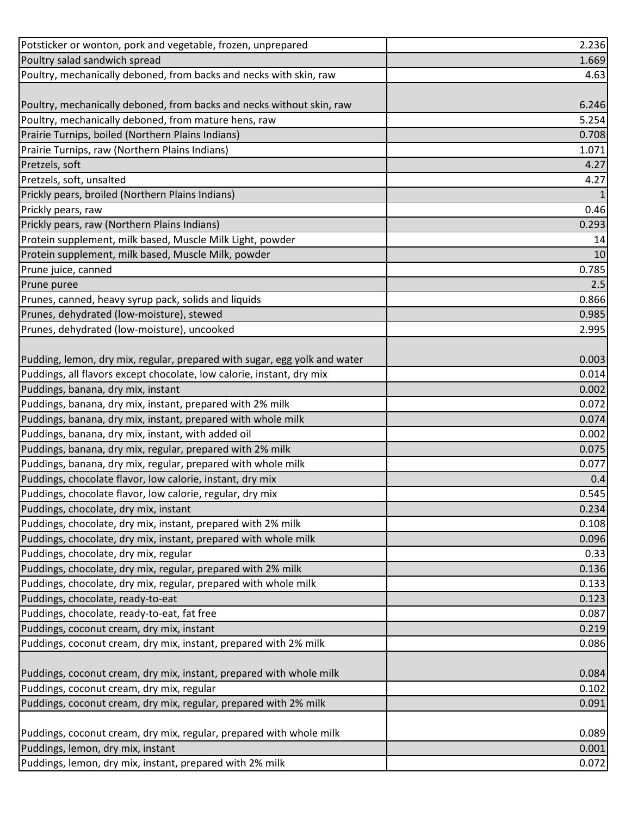| Potsticker or wonton, pork and vegetable, frozen, unprepared              | 2.236        |
|---------------------------------------------------------------------------|--------------|
| Poultry salad sandwich spread                                             | 1.669        |
| Poultry, mechanically deboned, from backs and necks with skin, raw        | 4.63         |
|                                                                           |              |
| Poultry, mechanically deboned, from backs and necks without skin, raw     | 6.246        |
| Poultry, mechanically deboned, from mature hens, raw                      | 5.254        |
| Prairie Turnips, boiled (Northern Plains Indians)                         | 0.708        |
| Prairie Turnips, raw (Northern Plains Indians)                            | 1.071        |
| Pretzels, soft                                                            | 4.27         |
| Pretzels, soft, unsalted                                                  | 4.27         |
| Prickly pears, broiled (Northern Plains Indians)                          | $\mathbf{1}$ |
| Prickly pears, raw                                                        | 0.46         |
| Prickly pears, raw (Northern Plains Indians)                              | 0.293        |
| Protein supplement, milk based, Muscle Milk Light, powder                 | 14           |
| Protein supplement, milk based, Muscle Milk, powder                       | 10           |
| Prune juice, canned                                                       | 0.785        |
| Prune puree                                                               | 2.5          |
| Prunes, canned, heavy syrup pack, solids and liquids                      | 0.866        |
| Prunes, dehydrated (low-moisture), stewed                                 | 0.985        |
| Prunes, dehydrated (low-moisture), uncooked                               | 2.995        |
|                                                                           |              |
| Pudding, lemon, dry mix, regular, prepared with sugar, egg yolk and water | 0.003        |
| Puddings, all flavors except chocolate, low calorie, instant, dry mix     | 0.014        |
| Puddings, banana, dry mix, instant                                        | 0.002        |
| Puddings, banana, dry mix, instant, prepared with 2% milk                 | 0.072        |
| Puddings, banana, dry mix, instant, prepared with whole milk              | 0.074        |
| Puddings, banana, dry mix, instant, with added oil                        | 0.002        |
| Puddings, banana, dry mix, regular, prepared with 2% milk                 | 0.075        |
| Puddings, banana, dry mix, regular, prepared with whole milk              | 0.077        |
| Puddings, chocolate flavor, low calorie, instant, dry mix                 | 0.4          |
| Puddings, chocolate flavor, low calorie, regular, dry mix                 | 0.545        |
| Puddings, chocolate, dry mix, instant                                     | 0.234        |
| Puddings, chocolate, dry mix, instant, prepared with 2% milk              | 0.108        |
| Puddings, chocolate, dry mix, instant, prepared with whole milk           | 0.096        |
| Puddings, chocolate, dry mix, regular                                     | 0.33         |
| Puddings, chocolate, dry mix, regular, prepared with 2% milk              | 0.136        |
| Puddings, chocolate, dry mix, regular, prepared with whole milk           | 0.133        |
| Puddings, chocolate, ready-to-eat                                         | 0.123        |
| Puddings, chocolate, ready-to-eat, fat free                               | 0.087        |
| Puddings, coconut cream, dry mix, instant                                 | 0.219        |
| Puddings, coconut cream, dry mix, instant, prepared with 2% milk          | 0.086        |
|                                                                           |              |
| Puddings, coconut cream, dry mix, instant, prepared with whole milk       | 0.084        |
| Puddings, coconut cream, dry mix, regular                                 | 0.102        |
| Puddings, coconut cream, dry mix, regular, prepared with 2% milk          | 0.091        |
|                                                                           |              |
| Puddings, coconut cream, dry mix, regular, prepared with whole milk       | 0.089        |
| Puddings, lemon, dry mix, instant                                         | 0.001        |
| Puddings, lemon, dry mix, instant, prepared with 2% milk                  | 0.072        |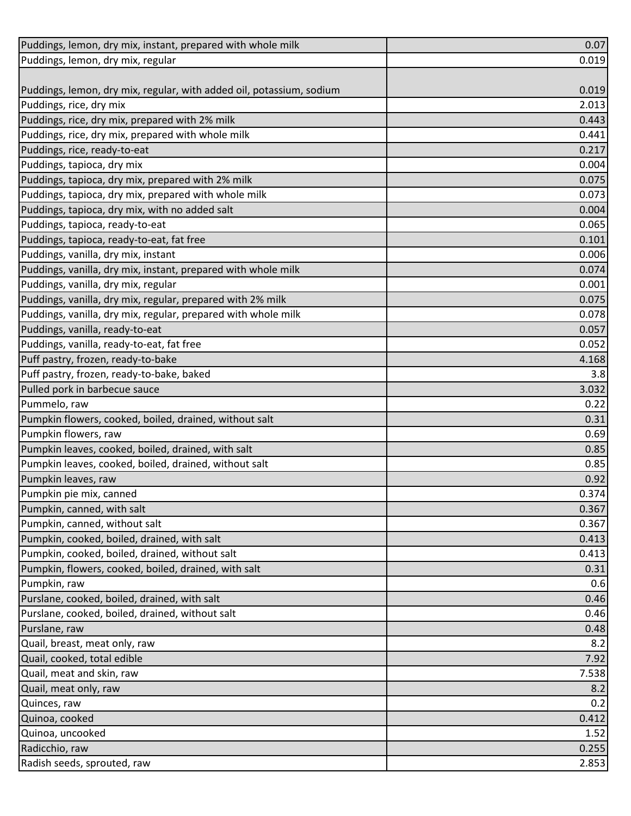| Puddings, lemon, dry mix, instant, prepared with whole milk          | 0.07  |
|----------------------------------------------------------------------|-------|
| Puddings, lemon, dry mix, regular                                    | 0.019 |
|                                                                      |       |
| Puddings, lemon, dry mix, regular, with added oil, potassium, sodium | 0.019 |
| Puddings, rice, dry mix                                              | 2.013 |
| Puddings, rice, dry mix, prepared with 2% milk                       | 0.443 |
| Puddings, rice, dry mix, prepared with whole milk                    | 0.441 |
| Puddings, rice, ready-to-eat                                         | 0.217 |
| Puddings, tapioca, dry mix                                           | 0.004 |
| Puddings, tapioca, dry mix, prepared with 2% milk                    | 0.075 |
| Puddings, tapioca, dry mix, prepared with whole milk                 | 0.073 |
| Puddings, tapioca, dry mix, with no added salt                       | 0.004 |
| Puddings, tapioca, ready-to-eat                                      | 0.065 |
| Puddings, tapioca, ready-to-eat, fat free                            | 0.101 |
| Puddings, vanilla, dry mix, instant                                  | 0.006 |
| Puddings, vanilla, dry mix, instant, prepared with whole milk        | 0.074 |
| Puddings, vanilla, dry mix, regular                                  | 0.001 |
| Puddings, vanilla, dry mix, regular, prepared with 2% milk           | 0.075 |
| Puddings, vanilla, dry mix, regular, prepared with whole milk        | 0.078 |
| Puddings, vanilla, ready-to-eat                                      | 0.057 |
| Puddings, vanilla, ready-to-eat, fat free                            | 0.052 |
| Puff pastry, frozen, ready-to-bake                                   | 4.168 |
| Puff pastry, frozen, ready-to-bake, baked                            | 3.8   |
| Pulled pork in barbecue sauce                                        | 3.032 |
| Pummelo, raw                                                         | 0.22  |
| Pumpkin flowers, cooked, boiled, drained, without salt               | 0.31  |
| Pumpkin flowers, raw                                                 | 0.69  |
| Pumpkin leaves, cooked, boiled, drained, with salt                   | 0.85  |
| Pumpkin leaves, cooked, boiled, drained, without salt                | 0.85  |
| Pumpkin leaves, raw                                                  | 0.92  |
| Pumpkin pie mix, canned                                              | 0.374 |
| Pumpkin, canned, with salt                                           | 0.367 |
| Pumpkin, canned, without salt                                        | 0.367 |
| Pumpkin, cooked, boiled, drained, with salt                          | 0.413 |
| Pumpkin, cooked, boiled, drained, without salt                       | 0.413 |
| Pumpkin, flowers, cooked, boiled, drained, with salt                 | 0.31  |
| Pumpkin, raw                                                         | 0.6   |
| Purslane, cooked, boiled, drained, with salt                         | 0.46  |
| Purslane, cooked, boiled, drained, without salt                      | 0.46  |
| Purslane, raw                                                        | 0.48  |
| Quail, breast, meat only, raw                                        | 8.2   |
| Quail, cooked, total edible                                          | 7.92  |
| Quail, meat and skin, raw                                            | 7.538 |
| Quail, meat only, raw                                                | 8.2   |
| Quinces, raw                                                         | 0.2   |
| Quinoa, cooked                                                       | 0.412 |
| Quinoa, uncooked                                                     | 1.52  |
| Radicchio, raw                                                       | 0.255 |
| Radish seeds, sprouted, raw                                          | 2.853 |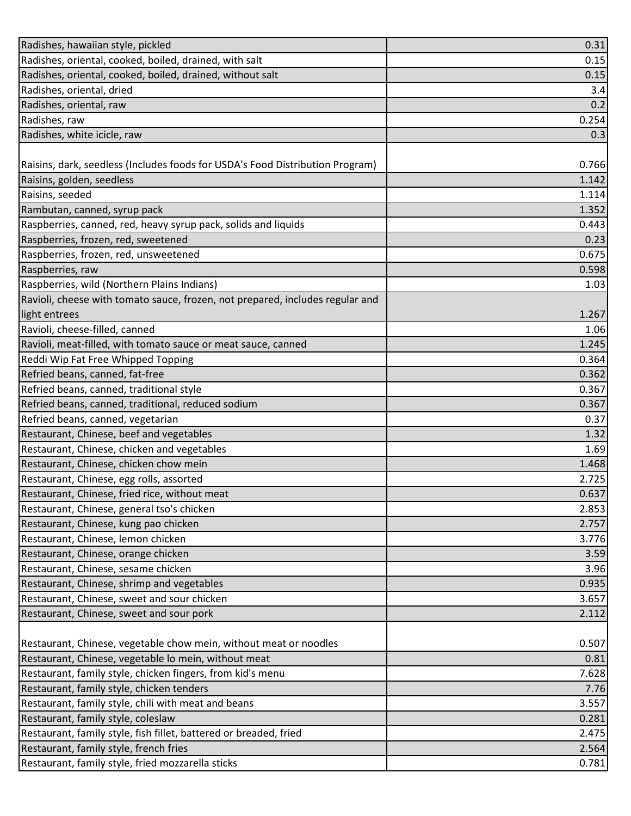| Radishes, hawaiian style, pickled                                             | 0.31  |
|-------------------------------------------------------------------------------|-------|
| Radishes, oriental, cooked, boiled, drained, with salt                        | 0.15  |
| Radishes, oriental, cooked, boiled, drained, without salt                     | 0.15  |
| Radishes, oriental, dried                                                     | 3.4   |
| Radishes, oriental, raw                                                       | 0.2   |
| Radishes, raw                                                                 | 0.254 |
| Radishes, white icicle, raw                                                   | 0.3   |
|                                                                               |       |
| Raisins, dark, seedless (Includes foods for USDA's Food Distribution Program) | 0.766 |
| Raisins, golden, seedless                                                     | 1.142 |
| Raisins, seeded                                                               | 1.114 |
| Rambutan, canned, syrup pack                                                  | 1.352 |
| Raspberries, canned, red, heavy syrup pack, solids and liquids                | 0.443 |
| Raspberries, frozen, red, sweetened                                           | 0.23  |
| Raspberries, frozen, red, unsweetened                                         | 0.675 |
| Raspberries, raw                                                              | 0.598 |
| Raspberries, wild (Northern Plains Indians)                                   | 1.03  |
| Ravioli, cheese with tomato sauce, frozen, not prepared, includes regular and |       |
| light entrees                                                                 | 1.267 |
| Ravioli, cheese-filled, canned                                                | 1.06  |
| Ravioli, meat-filled, with tomato sauce or meat sauce, canned                 | 1.245 |
| Reddi Wip Fat Free Whipped Topping                                            | 0.364 |
| Refried beans, canned, fat-free                                               | 0.362 |
| Refried beans, canned, traditional style                                      | 0.367 |
| Refried beans, canned, traditional, reduced sodium                            | 0.367 |
| Refried beans, canned, vegetarian                                             | 0.37  |
| Restaurant, Chinese, beef and vegetables                                      | 1.32  |
| Restaurant, Chinese, chicken and vegetables                                   | 1.69  |
| Restaurant, Chinese, chicken chow mein                                        | 1.468 |
| Restaurant, Chinese, egg rolls, assorted                                      | 2.725 |
| Restaurant, Chinese, fried rice, without meat                                 | 0.637 |
| Restaurant, Chinese, general tso's chicken                                    | 2.853 |
| Restaurant, Chinese, kung pao chicken                                         | 2.757 |
| Restaurant, Chinese, lemon chicken                                            | 3.776 |
| Restaurant, Chinese, orange chicken                                           | 3.59  |
| Restaurant, Chinese, sesame chicken                                           | 3.96  |
| Restaurant, Chinese, shrimp and vegetables                                    | 0.935 |
| Restaurant, Chinese, sweet and sour chicken                                   | 3.657 |
| Restaurant, Chinese, sweet and sour pork                                      | 2.112 |
|                                                                               |       |
| Restaurant, Chinese, vegetable chow mein, without meat or noodles             | 0.507 |
| Restaurant, Chinese, vegetable lo mein, without meat                          | 0.81  |
| Restaurant, family style, chicken fingers, from kid's menu                    | 7.628 |
| Restaurant, family style, chicken tenders                                     | 7.76  |
| Restaurant, family style, chili with meat and beans                           | 3.557 |
| Restaurant, family style, coleslaw                                            | 0.281 |
| Restaurant, family style, fish fillet, battered or breaded, fried             | 2.475 |
| Restaurant, family style, french fries                                        | 2.564 |
| Restaurant, family style, fried mozzarella sticks                             | 0.781 |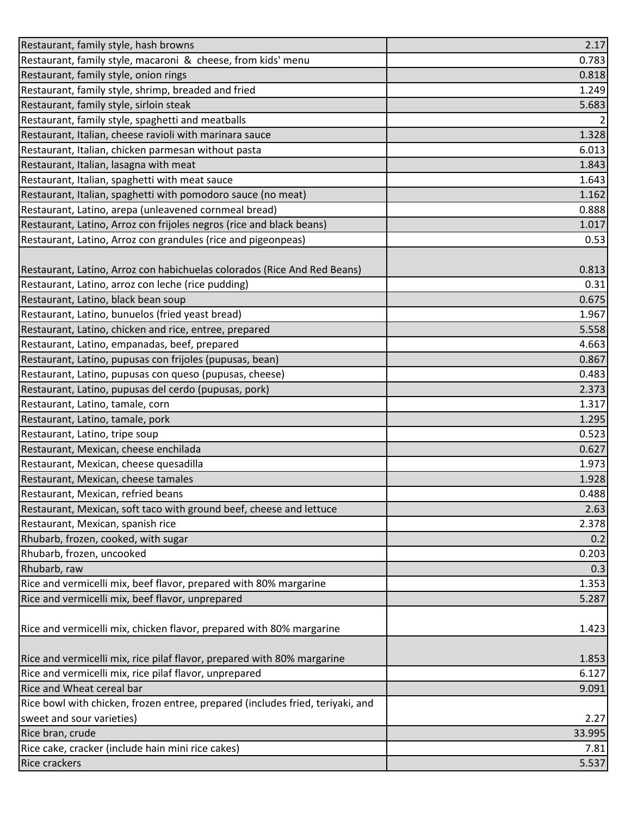| Restaurant, family style, hash browns                                          | 2.17           |
|--------------------------------------------------------------------------------|----------------|
| Restaurant, family style, macaroni & cheese, from kids' menu                   | 0.783          |
| Restaurant, family style, onion rings                                          | 0.818          |
| Restaurant, family style, shrimp, breaded and fried                            | 1.249          |
| Restaurant, family style, sirloin steak                                        | 5.683          |
| Restaurant, family style, spaghetti and meatballs                              | $\overline{2}$ |
| Restaurant, Italian, cheese ravioli with marinara sauce                        | 1.328          |
| Restaurant, Italian, chicken parmesan without pasta                            | 6.013          |
| Restaurant, Italian, lasagna with meat                                         | 1.843          |
| Restaurant, Italian, spaghetti with meat sauce                                 | 1.643          |
| Restaurant, Italian, spaghetti with pomodoro sauce (no meat)                   | 1.162          |
| Restaurant, Latino, arepa (unleavened cornmeal bread)                          | 0.888          |
| Restaurant, Latino, Arroz con frijoles negros (rice and black beans)           | 1.017          |
| Restaurant, Latino, Arroz con grandules (rice and pigeonpeas)                  | 0.53           |
|                                                                                |                |
| Restaurant, Latino, Arroz con habichuelas colorados (Rice And Red Beans)       | 0.813          |
| Restaurant, Latino, arroz con leche (rice pudding)                             | 0.31           |
| Restaurant, Latino, black bean soup                                            | 0.675          |
| Restaurant, Latino, bunuelos (fried yeast bread)                               | 1.967          |
| Restaurant, Latino, chicken and rice, entree, prepared                         | 5.558          |
| Restaurant, Latino, empanadas, beef, prepared                                  | 4.663          |
| Restaurant, Latino, pupusas con frijoles (pupusas, bean)                       | 0.867          |
| Restaurant, Latino, pupusas con queso (pupusas, cheese)                        | 0.483          |
| Restaurant, Latino, pupusas del cerdo (pupusas, pork)                          | 2.373          |
| Restaurant, Latino, tamale, corn                                               | 1.317          |
| Restaurant, Latino, tamale, pork                                               | 1.295          |
| Restaurant, Latino, tripe soup                                                 | 0.523          |
| Restaurant, Mexican, cheese enchilada                                          | 0.627          |
| Restaurant, Mexican, cheese quesadilla                                         | 1.973          |
| Restaurant, Mexican, cheese tamales                                            | 1.928          |
| Restaurant, Mexican, refried beans                                             | 0.488          |
| Restaurant, Mexican, soft taco with ground beef, cheese and lettuce            | 2.63           |
| Restaurant, Mexican, spanish rice                                              | 2.378          |
| Rhubarb, frozen, cooked, with sugar                                            | 0.2            |
| Rhubarb, frozen, uncooked                                                      | 0.203          |
| Rhubarb, raw                                                                   | 0.3            |
| Rice and vermicelli mix, beef flavor, prepared with 80% margarine              | 1.353          |
| Rice and vermicelli mix, beef flavor, unprepared                               | 5.287          |
|                                                                                |                |
| Rice and vermicelli mix, chicken flavor, prepared with 80% margarine           | 1.423          |
|                                                                                |                |
| Rice and vermicelli mix, rice pilaf flavor, prepared with 80% margarine        | 1.853          |
| Rice and vermicelli mix, rice pilaf flavor, unprepared                         | 6.127          |
| Rice and Wheat cereal bar                                                      | 9.091          |
| Rice bowl with chicken, frozen entree, prepared (includes fried, teriyaki, and |                |
| sweet and sour varieties)                                                      | 2.27           |
| Rice bran, crude                                                               | 33.995         |
| Rice cake, cracker (include hain mini rice cakes)                              | 7.81           |
| <b>Rice crackers</b>                                                           | 5.537          |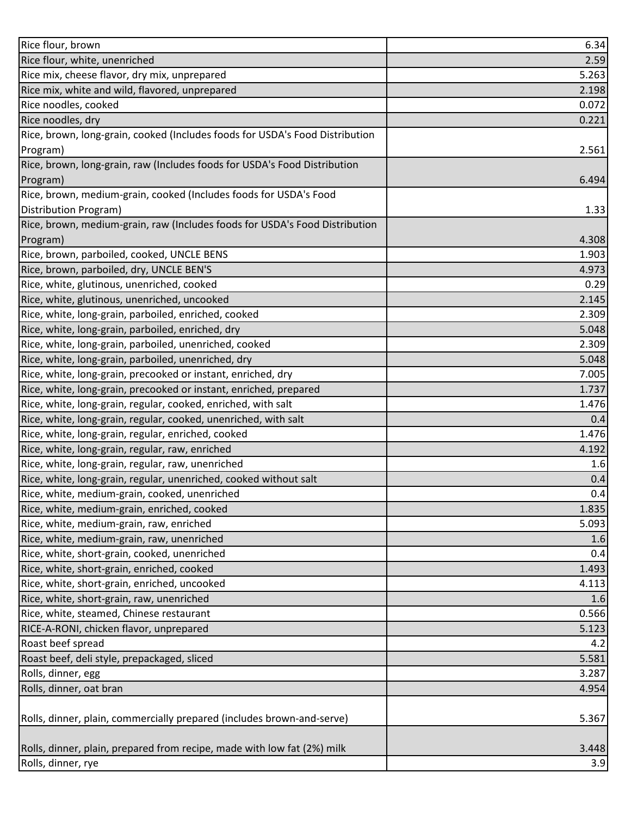| Rice flour, brown                                                            | 6.34  |
|------------------------------------------------------------------------------|-------|
| Rice flour, white, unenriched                                                | 2.59  |
| Rice mix, cheese flavor, dry mix, unprepared                                 | 5.263 |
| Rice mix, white and wild, flavored, unprepared                               | 2.198 |
| Rice noodles, cooked                                                         | 0.072 |
| Rice noodles, dry                                                            | 0.221 |
| Rice, brown, long-grain, cooked (Includes foods for USDA's Food Distribution |       |
| Program)                                                                     | 2.561 |
| Rice, brown, long-grain, raw (Includes foods for USDA's Food Distribution    |       |
| Program)                                                                     | 6.494 |
| Rice, brown, medium-grain, cooked (Includes foods for USDA's Food            |       |
| Distribution Program)                                                        | 1.33  |
| Rice, brown, medium-grain, raw (Includes foods for USDA's Food Distribution  |       |
| Program)                                                                     | 4.308 |
| Rice, brown, parboiled, cooked, UNCLE BENS                                   | 1.903 |
| Rice, brown, parboiled, dry, UNCLE BEN'S                                     | 4.973 |
| Rice, white, glutinous, unenriched, cooked                                   | 0.29  |
| Rice, white, glutinous, unenriched, uncooked                                 | 2.145 |
| Rice, white, long-grain, parboiled, enriched, cooked                         | 2.309 |
| Rice, white, long-grain, parboiled, enriched, dry                            | 5.048 |
| Rice, white, long-grain, parboiled, unenriched, cooked                       | 2.309 |
| Rice, white, long-grain, parboiled, unenriched, dry                          | 5.048 |
| Rice, white, long-grain, precooked or instant, enriched, dry                 | 7.005 |
| Rice, white, long-grain, precooked or instant, enriched, prepared            | 1.737 |
| Rice, white, long-grain, regular, cooked, enriched, with salt                | 1.476 |
| Rice, white, long-grain, regular, cooked, unenriched, with salt              | 0.4   |
| Rice, white, long-grain, regular, enriched, cooked                           | 1.476 |
| Rice, white, long-grain, regular, raw, enriched                              | 4.192 |
| Rice, white, long-grain, regular, raw, unenriched                            | 1.6   |
| Rice, white, long-grain, regular, unenriched, cooked without salt            | 0.4   |
| Rice, white, medium-grain, cooked, unenriched                                | 0.4   |
| Rice, white, medium-grain, enriched, cooked                                  | 1.835 |
| Rice, white, medium-grain, raw, enriched                                     | 5.093 |
| Rice, white, medium-grain, raw, unenriched                                   | 1.6   |
| Rice, white, short-grain, cooked, unenriched                                 | 0.4   |
| Rice, white, short-grain, enriched, cooked                                   | 1.493 |
| Rice, white, short-grain, enriched, uncooked                                 | 4.113 |
| Rice, white, short-grain, raw, unenriched                                    | 1.6   |
| Rice, white, steamed, Chinese restaurant                                     | 0.566 |
| RICE-A-RONI, chicken flavor, unprepared                                      | 5.123 |
| Roast beef spread                                                            | 4.2   |
| Roast beef, deli style, prepackaged, sliced                                  | 5.581 |
| Rolls, dinner, egg                                                           | 3.287 |
| Rolls, dinner, oat bran                                                      | 4.954 |
|                                                                              |       |
| Rolls, dinner, plain, commercially prepared (includes brown-and-serve)       | 5.367 |
|                                                                              |       |
| Rolls, dinner, plain, prepared from recipe, made with low fat (2%) milk      | 3.448 |
| Rolls, dinner, rye                                                           | 3.9   |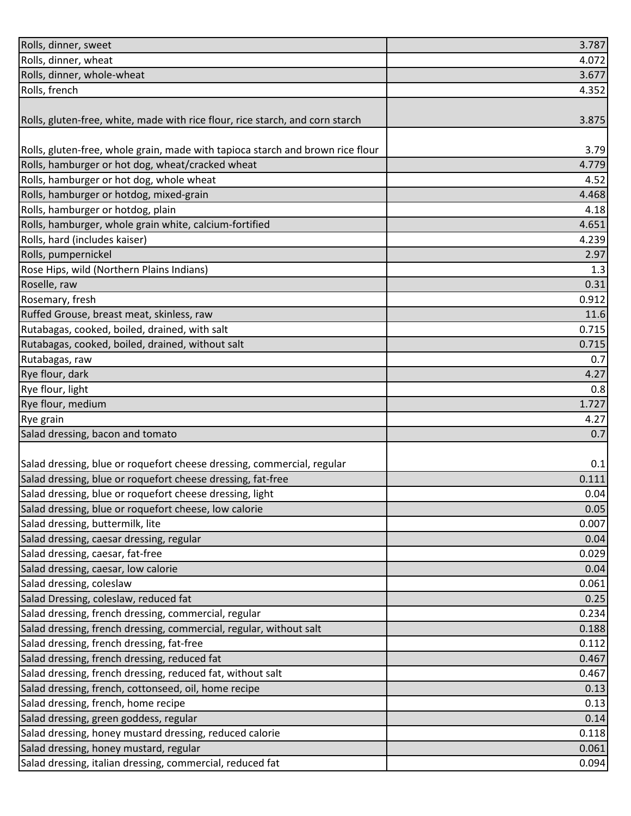| Rolls, dinner, wheat                                                           | 4.072 |
|--------------------------------------------------------------------------------|-------|
| Rolls, dinner, whole-wheat                                                     | 3.677 |
| Rolls, french                                                                  | 4.352 |
|                                                                                |       |
| Rolls, gluten-free, white, made with rice flour, rice starch, and corn starch  | 3.875 |
|                                                                                |       |
| Rolls, gluten-free, whole grain, made with tapioca starch and brown rice flour | 3.79  |
| Rolls, hamburger or hot dog, wheat/cracked wheat                               | 4.779 |
| Rolls, hamburger or hot dog, whole wheat                                       | 4.52  |
| Rolls, hamburger or hotdog, mixed-grain                                        | 4.468 |
| Rolls, hamburger or hotdog, plain                                              | 4.18  |
| Rolls, hamburger, whole grain white, calcium-fortified                         | 4.651 |
| Rolls, hard (includes kaiser)                                                  | 4.239 |
| Rolls, pumpernickel                                                            | 2.97  |
| Rose Hips, wild (Northern Plains Indians)                                      | 1.3   |
| Roselle, raw                                                                   | 0.31  |
| Rosemary, fresh                                                                | 0.912 |
| Ruffed Grouse, breast meat, skinless, raw                                      | 11.6  |
| Rutabagas, cooked, boiled, drained, with salt                                  | 0.715 |
| Rutabagas, cooked, boiled, drained, without salt                               | 0.715 |
| Rutabagas, raw                                                                 | 0.7   |
| Rye flour, dark                                                                | 4.27  |
| Rye flour, light                                                               | 0.8   |
| Rye flour, medium                                                              | 1.727 |
| Rye grain                                                                      | 4.27  |
| Salad dressing, bacon and tomato                                               | 0.7   |
| Salad dressing, blue or roquefort cheese dressing, commercial, regular         | 0.1   |
| Salad dressing, blue or roquefort cheese dressing, fat-free                    | 0.111 |
| Salad dressing, blue or roquefort cheese dressing, light                       | 0.04  |
| Salad dressing, blue or roquefort cheese, low calorie                          | 0.05  |
| Salad dressing, buttermilk, lite                                               | 0.007 |
| Salad dressing, caesar dressing, regular                                       | 0.04  |
| Salad dressing, caesar, fat-free                                               | 0.029 |
| Salad dressing, caesar, low calorie                                            | 0.04  |
| Salad dressing, coleslaw                                                       | 0.061 |
| Salad Dressing, coleslaw, reduced fat                                          | 0.25  |
| Salad dressing, french dressing, commercial, regular                           | 0.234 |
| Salad dressing, french dressing, commercial, regular, without salt             | 0.188 |
| Salad dressing, french dressing, fat-free                                      | 0.112 |
| Salad dressing, french dressing, reduced fat                                   | 0.467 |
| Salad dressing, french dressing, reduced fat, without salt                     | 0.467 |
| Salad dressing, french, cottonseed, oil, home recipe                           | 0.13  |
| Salad dressing, french, home recipe                                            | 0.13  |
| Salad dressing, green goddess, regular                                         | 0.14  |
| Salad dressing, honey mustard dressing, reduced calorie                        | 0.118 |
| Salad dressing, honey mustard, regular                                         | 0.061 |
| Salad dressing, italian dressing, commercial, reduced fat                      | 0.094 |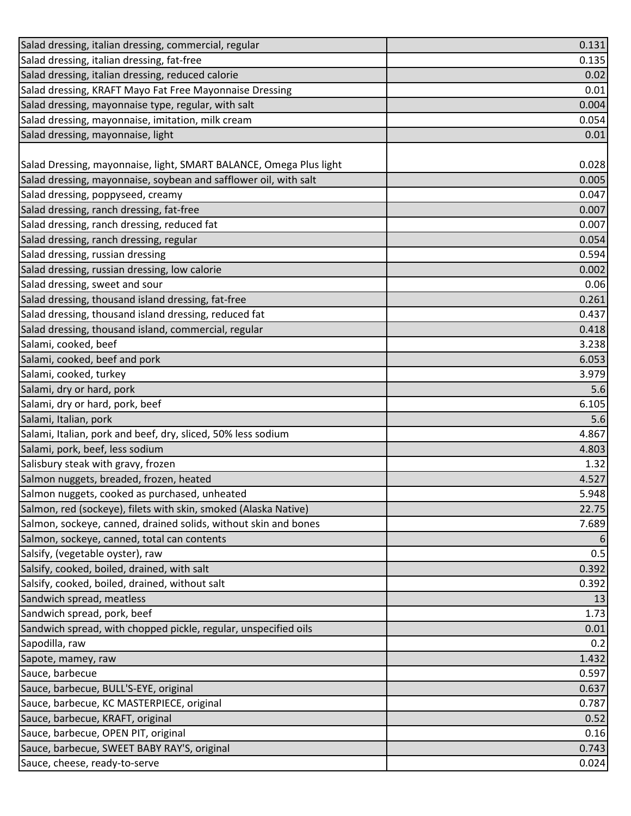| Salad dressing, italian dressing, commercial, regular              | 0.131 |
|--------------------------------------------------------------------|-------|
| Salad dressing, italian dressing, fat-free                         | 0.135 |
| Salad dressing, italian dressing, reduced calorie                  | 0.02  |
| Salad dressing, KRAFT Mayo Fat Free Mayonnaise Dressing            | 0.01  |
| Salad dressing, mayonnaise type, regular, with salt                | 0.004 |
| Salad dressing, mayonnaise, imitation, milk cream                  | 0.054 |
| Salad dressing, mayonnaise, light                                  | 0.01  |
|                                                                    |       |
| Salad Dressing, mayonnaise, light, SMART BALANCE, Omega Plus light | 0.028 |
| Salad dressing, mayonnaise, soybean and safflower oil, with salt   | 0.005 |
| Salad dressing, poppyseed, creamy                                  | 0.047 |
| Salad dressing, ranch dressing, fat-free                           | 0.007 |
| Salad dressing, ranch dressing, reduced fat                        | 0.007 |
| Salad dressing, ranch dressing, regular                            | 0.054 |
| Salad dressing, russian dressing                                   | 0.594 |
| Salad dressing, russian dressing, low calorie                      | 0.002 |
| Salad dressing, sweet and sour                                     | 0.06  |
| Salad dressing, thousand island dressing, fat-free                 | 0.261 |
| Salad dressing, thousand island dressing, reduced fat              | 0.437 |
| Salad dressing, thousand island, commercial, regular               | 0.418 |
| Salami, cooked, beef                                               | 3.238 |
| Salami, cooked, beef and pork                                      | 6.053 |
| Salami, cooked, turkey                                             | 3.979 |
| Salami, dry or hard, pork                                          | 5.6   |
| Salami, dry or hard, pork, beef                                    | 6.105 |
| Salami, Italian, pork                                              | 5.6   |
| Salami, Italian, pork and beef, dry, sliced, 50% less sodium       | 4.867 |
| Salami, pork, beef, less sodium                                    | 4.803 |
| Salisbury steak with gravy, frozen                                 | 1.32  |
| Salmon nuggets, breaded, frozen, heated                            | 4.527 |
| Salmon nuggets, cooked as purchased, unheated                      | 5.948 |
| Salmon, red (sockeye), filets with skin, smoked (Alaska Native)    | 22.75 |
| Salmon, sockeye, canned, drained solids, without skin and bones    | 7.689 |
| Salmon, sockeye, canned, total can contents                        | 6     |
| Salsify, (vegetable oyster), raw                                   | 0.5   |
| Salsify, cooked, boiled, drained, with salt                        | 0.392 |
| Salsify, cooked, boiled, drained, without salt                     | 0.392 |
| Sandwich spread, meatless                                          | 13    |
| Sandwich spread, pork, beef                                        | 1.73  |
| Sandwich spread, with chopped pickle, regular, unspecified oils    | 0.01  |
| Sapodilla, raw                                                     | 0.2   |
| Sapote, mamey, raw                                                 | 1.432 |
| Sauce, barbecue                                                    | 0.597 |
| Sauce, barbecue, BULL'S-EYE, original                              | 0.637 |
| Sauce, barbecue, KC MASTERPIECE, original                          | 0.787 |
| Sauce, barbecue, KRAFT, original                                   | 0.52  |
| Sauce, barbecue, OPEN PIT, original                                | 0.16  |
| Sauce, barbecue, SWEET BABY RAY'S, original                        | 0.743 |
| Sauce, cheese, ready-to-serve                                      | 0.024 |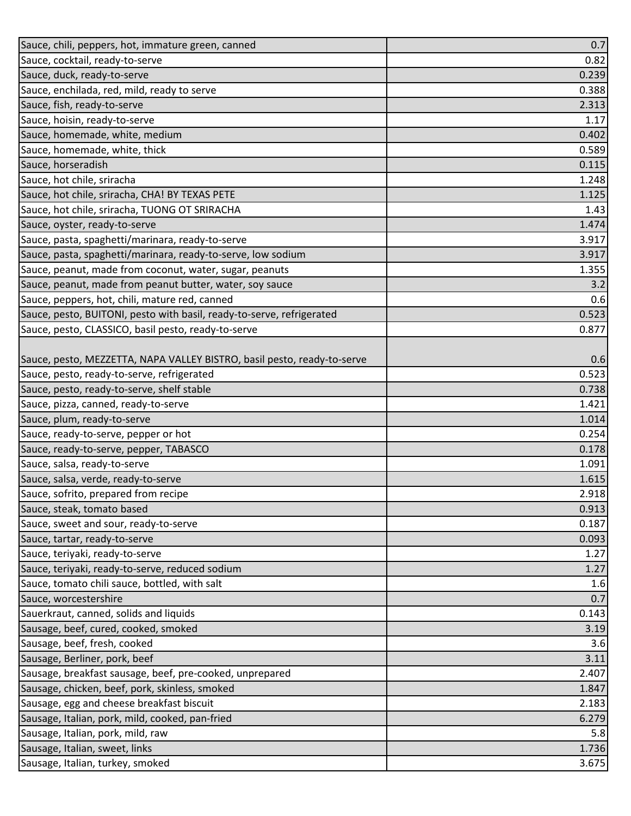| Sauce, chili, peppers, hot, immature green, canned                      | 0.7   |
|-------------------------------------------------------------------------|-------|
| Sauce, cocktail, ready-to-serve                                         | 0.82  |
| Sauce, duck, ready-to-serve                                             | 0.239 |
| Sauce, enchilada, red, mild, ready to serve                             | 0.388 |
| Sauce, fish, ready-to-serve                                             | 2.313 |
| Sauce, hoisin, ready-to-serve                                           | 1.17  |
| Sauce, homemade, white, medium                                          | 0.402 |
| Sauce, homemade, white, thick                                           | 0.589 |
| Sauce, horseradish                                                      | 0.115 |
| Sauce, hot chile, sriracha                                              | 1.248 |
| Sauce, hot chile, sriracha, CHA! BY TEXAS PETE                          | 1.125 |
| Sauce, hot chile, sriracha, TUONG OT SRIRACHA                           | 1.43  |
| Sauce, oyster, ready-to-serve                                           | 1.474 |
| Sauce, pasta, spaghetti/marinara, ready-to-serve                        | 3.917 |
| Sauce, pasta, spaghetti/marinara, ready-to-serve, low sodium            | 3.917 |
| Sauce, peanut, made from coconut, water, sugar, peanuts                 | 1.355 |
| Sauce, peanut, made from peanut butter, water, soy sauce                | 3.2   |
| Sauce, peppers, hot, chili, mature red, canned                          | 0.6   |
| Sauce, pesto, BUITONI, pesto with basil, ready-to-serve, refrigerated   | 0.523 |
| Sauce, pesto, CLASSICO, basil pesto, ready-to-serve                     | 0.877 |
|                                                                         |       |
| Sauce, pesto, MEZZETTA, NAPA VALLEY BISTRO, basil pesto, ready-to-serve | 0.6   |
| Sauce, pesto, ready-to-serve, refrigerated                              | 0.523 |
| Sauce, pesto, ready-to-serve, shelf stable                              | 0.738 |
| Sauce, pizza, canned, ready-to-serve                                    | 1.421 |
| Sauce, plum, ready-to-serve                                             | 1.014 |
| Sauce, ready-to-serve, pepper or hot                                    | 0.254 |
| Sauce, ready-to-serve, pepper, TABASCO                                  | 0.178 |
| Sauce, salsa, ready-to-serve                                            | 1.091 |
| Sauce, salsa, verde, ready-to-serve                                     | 1.615 |
| Sauce, sofrito, prepared from recipe                                    | 2.918 |
| Sauce, steak, tomato based                                              | 0.913 |
| Sauce, sweet and sour, ready-to-serve                                   | 0.187 |
| Sauce, tartar, ready-to-serve                                           | 0.093 |
| Sauce, teriyaki, ready-to-serve                                         | 1.27  |
| Sauce, teriyaki, ready-to-serve, reduced sodium                         | 1.27  |
| Sauce, tomato chili sauce, bottled, with salt                           | 1.6   |
| Sauce, worcestershire                                                   | 0.7   |
| Sauerkraut, canned, solids and liquids                                  | 0.143 |
| Sausage, beef, cured, cooked, smoked                                    | 3.19  |
| Sausage, beef, fresh, cooked                                            | 3.6   |
| Sausage, Berliner, pork, beef                                           | 3.11  |
| Sausage, breakfast sausage, beef, pre-cooked, unprepared                | 2.407 |
| Sausage, chicken, beef, pork, skinless, smoked                          | 1.847 |
| Sausage, egg and cheese breakfast biscuit                               | 2.183 |
| Sausage, Italian, pork, mild, cooked, pan-fried                         | 6.279 |
| Sausage, Italian, pork, mild, raw                                       | 5.8   |
| Sausage, Italian, sweet, links                                          | 1.736 |
| Sausage, Italian, turkey, smoked                                        | 3.675 |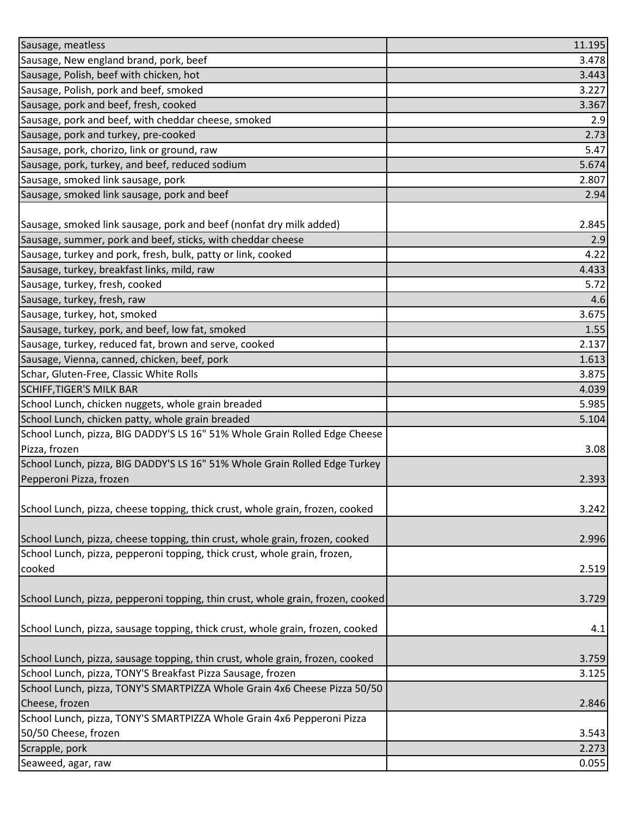| Sausage, meatless                                                               | 11.195 |
|---------------------------------------------------------------------------------|--------|
| Sausage, New england brand, pork, beef                                          | 3.478  |
| Sausage, Polish, beef with chicken, hot                                         | 3.443  |
| Sausage, Polish, pork and beef, smoked                                          | 3.227  |
| Sausage, pork and beef, fresh, cooked                                           | 3.367  |
| Sausage, pork and beef, with cheddar cheese, smoked                             | 2.9    |
| Sausage, pork and turkey, pre-cooked                                            | 2.73   |
| Sausage, pork, chorizo, link or ground, raw                                     | 5.47   |
| Sausage, pork, turkey, and beef, reduced sodium                                 | 5.674  |
| Sausage, smoked link sausage, pork                                              | 2.807  |
| Sausage, smoked link sausage, pork and beef                                     | 2.94   |
|                                                                                 |        |
| Sausage, smoked link sausage, pork and beef (nonfat dry milk added)             | 2.845  |
| Sausage, summer, pork and beef, sticks, with cheddar cheese                     | 2.9    |
| Sausage, turkey and pork, fresh, bulk, patty or link, cooked                    | 4.22   |
| Sausage, turkey, breakfast links, mild, raw                                     | 4.433  |
| Sausage, turkey, fresh, cooked                                                  | 5.72   |
| Sausage, turkey, fresh, raw                                                     | 4.6    |
| Sausage, turkey, hot, smoked                                                    | 3.675  |
| Sausage, turkey, pork, and beef, low fat, smoked                                | 1.55   |
| Sausage, turkey, reduced fat, brown and serve, cooked                           | 2.137  |
| Sausage, Vienna, canned, chicken, beef, pork                                    | 1.613  |
| Schar, Gluten-Free, Classic White Rolls                                         | 3.875  |
| <b>SCHIFF, TIGER'S MILK BAR</b>                                                 | 4.039  |
| School Lunch, chicken nuggets, whole grain breaded                              | 5.985  |
| School Lunch, chicken patty, whole grain breaded                                | 5.104  |
| School Lunch, pizza, BIG DADDY'S LS 16" 51% Whole Grain Rolled Edge Cheese      |        |
| Pizza, frozen                                                                   | 3.08   |
| School Lunch, pizza, BIG DADDY'S LS 16" 51% Whole Grain Rolled Edge Turkey      |        |
| Pepperoni Pizza, frozen                                                         | 2.393  |
|                                                                                 |        |
| School Lunch, pizza, cheese topping, thick crust, whole grain, frozen, cooked   | 3.242  |
| School Lunch, pizza, cheese topping, thin crust, whole grain, frozen, cooked    | 2.996  |
| School Lunch, pizza, pepperoni topping, thick crust, whole grain, frozen,       |        |
| cooked                                                                          | 2.519  |
|                                                                                 |        |
| School Lunch, pizza, pepperoni topping, thin crust, whole grain, frozen, cooked | 3.729  |
|                                                                                 |        |
| School Lunch, pizza, sausage topping, thick crust, whole grain, frozen, cooked  | 4.1    |
|                                                                                 |        |
| School Lunch, pizza, sausage topping, thin crust, whole grain, frozen, cooked   | 3.759  |
| School Lunch, pizza, TONY'S Breakfast Pizza Sausage, frozen                     | 3.125  |
| School Lunch, pizza, TONY'S SMARTPIZZA Whole Grain 4x6 Cheese Pizza 50/50       |        |
| Cheese, frozen                                                                  | 2.846  |
| School Lunch, pizza, TONY'S SMARTPIZZA Whole Grain 4x6 Pepperoni Pizza          |        |
| 50/50 Cheese, frozen                                                            | 3.543  |
| Scrapple, pork                                                                  | 2.273  |
| Seaweed, agar, raw                                                              | 0.055  |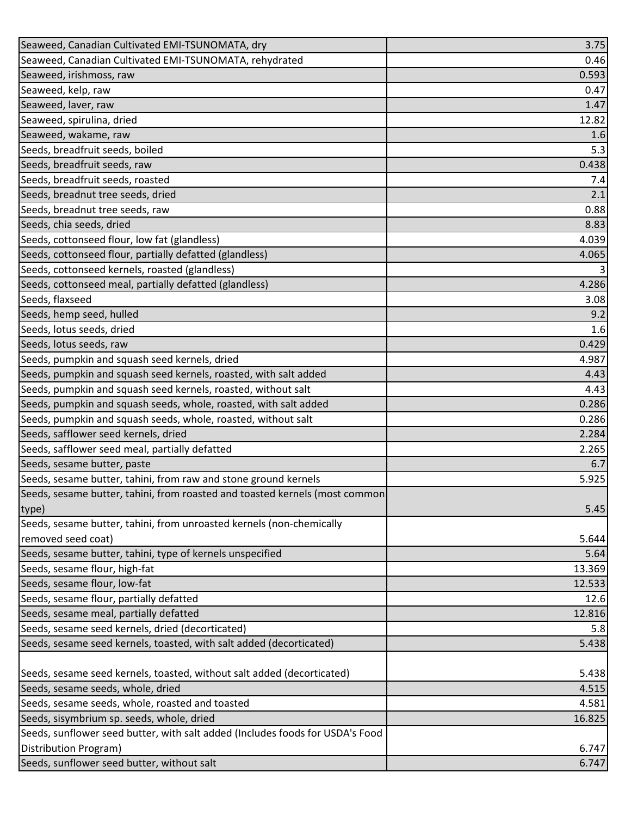| Seaweed, Canadian Cultivated EMI-TSUNOMATA, dry                               | 3.75   |
|-------------------------------------------------------------------------------|--------|
| Seaweed, Canadian Cultivated EMI-TSUNOMATA, rehydrated                        | 0.46   |
| Seaweed, irishmoss, raw                                                       | 0.593  |
| Seaweed, kelp, raw                                                            | 0.47   |
| Seaweed, laver, raw                                                           | 1.47   |
| Seaweed, spirulina, dried                                                     | 12.82  |
| Seaweed, wakame, raw                                                          | 1.6    |
| Seeds, breadfruit seeds, boiled                                               | 5.3    |
| Seeds, breadfruit seeds, raw                                                  | 0.438  |
| Seeds, breadfruit seeds, roasted                                              | 7.4    |
| Seeds, breadnut tree seeds, dried                                             | 2.1    |
| Seeds, breadnut tree seeds, raw                                               | 0.88   |
| Seeds, chia seeds, dried                                                      | 8.83   |
| Seeds, cottonseed flour, low fat (glandless)                                  | 4.039  |
| Seeds, cottonseed flour, partially defatted (glandless)                       | 4.065  |
| Seeds, cottonseed kernels, roasted (glandless)                                | 3      |
| Seeds, cottonseed meal, partially defatted (glandless)                        | 4.286  |
| Seeds, flaxseed                                                               | 3.08   |
| Seeds, hemp seed, hulled                                                      | 9.2    |
| Seeds, lotus seeds, dried                                                     | 1.6    |
| Seeds, lotus seeds, raw                                                       | 0.429  |
| Seeds, pumpkin and squash seed kernels, dried                                 | 4.987  |
| Seeds, pumpkin and squash seed kernels, roasted, with salt added              | 4.43   |
| Seeds, pumpkin and squash seed kernels, roasted, without salt                 | 4.43   |
| Seeds, pumpkin and squash seeds, whole, roasted, with salt added              | 0.286  |
| Seeds, pumpkin and squash seeds, whole, roasted, without salt                 | 0.286  |
| Seeds, safflower seed kernels, dried                                          | 2.284  |
| Seeds, safflower seed meal, partially defatted                                | 2.265  |
| Seeds, sesame butter, paste                                                   | 6.7    |
| Seeds, sesame butter, tahini, from raw and stone ground kernels               | 5.925  |
| Seeds, sesame butter, tahini, from roasted and toasted kernels (most common   |        |
| type)                                                                         | 5.45   |
| Seeds, sesame butter, tahini, from unroasted kernels (non-chemically          |        |
| removed seed coat)                                                            | 5.644  |
| Seeds, sesame butter, tahini, type of kernels unspecified                     | 5.64   |
| Seeds, sesame flour, high-fat                                                 | 13.369 |
| Seeds, sesame flour, low-fat                                                  | 12.533 |
| Seeds, sesame flour, partially defatted                                       | 12.6   |
| Seeds, sesame meal, partially defatted                                        | 12.816 |
| Seeds, sesame seed kernels, dried (decorticated)                              | 5.8    |
| Seeds, sesame seed kernels, toasted, with salt added (decorticated)           | 5.438  |
|                                                                               |        |
| Seeds, sesame seed kernels, toasted, without salt added (decorticated)        | 5.438  |
| Seeds, sesame seeds, whole, dried                                             | 4.515  |
| Seeds, sesame seeds, whole, roasted and toasted                               | 4.581  |
| Seeds, sisymbrium sp. seeds, whole, dried                                     | 16.825 |
| Seeds, sunflower seed butter, with salt added (Includes foods for USDA's Food |        |
| Distribution Program)                                                         | 6.747  |
| Seeds, sunflower seed butter, without salt                                    | 6.747  |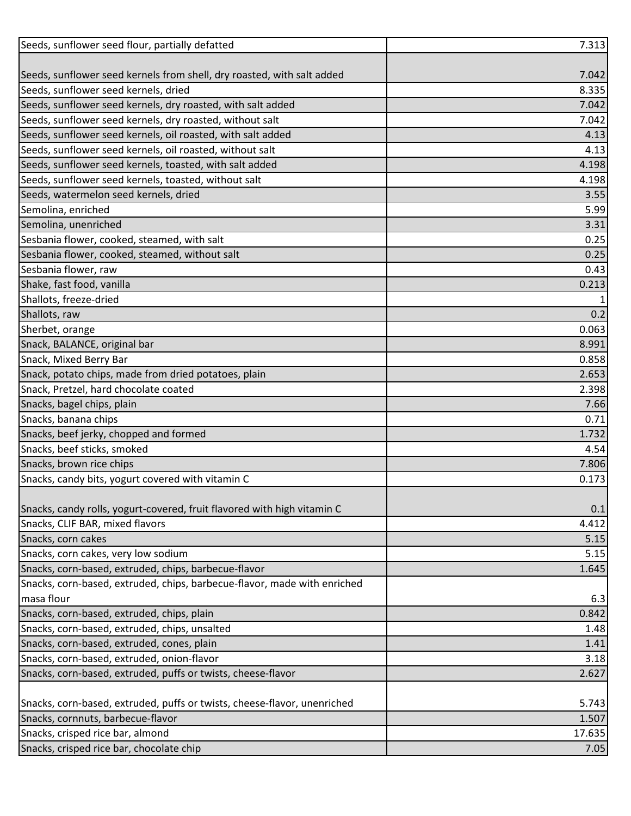| Seeds, sunflower seed flour, partially defatted                          | 7.313  |
|--------------------------------------------------------------------------|--------|
|                                                                          |        |
| Seeds, sunflower seed kernels from shell, dry roasted, with salt added   | 7.042  |
| Seeds, sunflower seed kernels, dried                                     | 8.335  |
| Seeds, sunflower seed kernels, dry roasted, with salt added              | 7.042  |
| Seeds, sunflower seed kernels, dry roasted, without salt                 | 7.042  |
| Seeds, sunflower seed kernels, oil roasted, with salt added              | 4.13   |
| Seeds, sunflower seed kernels, oil roasted, without salt                 | 4.13   |
| Seeds, sunflower seed kernels, toasted, with salt added                  | 4.198  |
| Seeds, sunflower seed kernels, toasted, without salt                     | 4.198  |
| Seeds, watermelon seed kernels, dried                                    | 3.55   |
| Semolina, enriched                                                       | 5.99   |
| Semolina, unenriched                                                     | 3.31   |
| Sesbania flower, cooked, steamed, with salt                              | 0.25   |
| Sesbania flower, cooked, steamed, without salt                           | 0.25   |
| Sesbania flower, raw                                                     | 0.43   |
| Shake, fast food, vanilla                                                | 0.213  |
| Shallots, freeze-dried                                                   | 1      |
| Shallots, raw                                                            | 0.2    |
| Sherbet, orange                                                          | 0.063  |
| Snack, BALANCE, original bar                                             | 8.991  |
| Snack, Mixed Berry Bar                                                   | 0.858  |
| Snack, potato chips, made from dried potatoes, plain                     | 2.653  |
| Snack, Pretzel, hard chocolate coated                                    | 2.398  |
| Snacks, bagel chips, plain                                               | 7.66   |
| Snacks, banana chips                                                     | 0.71   |
| Snacks, beef jerky, chopped and formed                                   | 1.732  |
| Snacks, beef sticks, smoked                                              | 4.54   |
| Snacks, brown rice chips                                                 | 7.806  |
| Snacks, candy bits, yogurt covered with vitamin C                        | 0.173  |
|                                                                          |        |
| Snacks, candy rolls, yogurt-covered, fruit flavored with high vitamin C  | 0.1    |
| Snacks, CLIF BAR, mixed flavors                                          | 4.412  |
| Snacks, corn cakes                                                       | 5.15   |
| Snacks, corn cakes, very low sodium                                      | 5.15   |
| Snacks, corn-based, extruded, chips, barbecue-flavor                     | 1.645  |
| Snacks, corn-based, extruded, chips, barbecue-flavor, made with enriched |        |
| masa flour                                                               | 6.3    |
| Snacks, corn-based, extruded, chips, plain                               | 0.842  |
| Snacks, corn-based, extruded, chips, unsalted                            | 1.48   |
| Snacks, corn-based, extruded, cones, plain                               | 1.41   |
| Snacks, corn-based, extruded, onion-flavor                               | 3.18   |
| Snacks, corn-based, extruded, puffs or twists, cheese-flavor             | 2.627  |
|                                                                          |        |
| Snacks, corn-based, extruded, puffs or twists, cheese-flavor, unenriched | 5.743  |
| Snacks, cornnuts, barbecue-flavor                                        | 1.507  |
| Snacks, crisped rice bar, almond                                         | 17.635 |
| Snacks, crisped rice bar, chocolate chip                                 | 7.05   |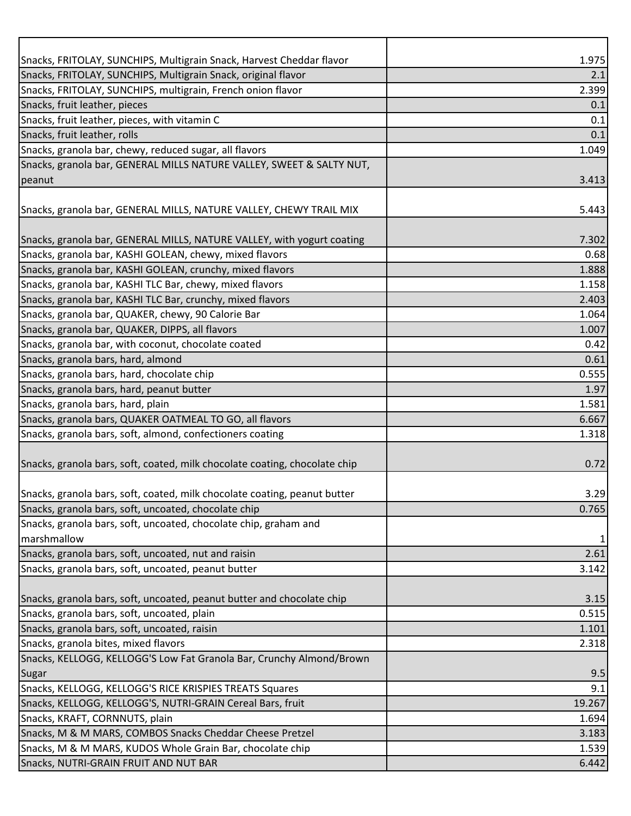| Snacks, FRITOLAY, SUNCHIPS, Multigrain Snack, Harvest Cheddar flavor       | 1.975        |
|----------------------------------------------------------------------------|--------------|
| Snacks, FRITOLAY, SUNCHIPS, Multigrain Snack, original flavor              | 2.1          |
| Snacks, FRITOLAY, SUNCHIPS, multigrain, French onion flavor                | 2.399        |
| Snacks, fruit leather, pieces                                              | 0.1          |
| Snacks, fruit leather, pieces, with vitamin C                              | 0.1          |
| Snacks, fruit leather, rolls                                               | 0.1          |
| Snacks, granola bar, chewy, reduced sugar, all flavors                     | 1.049        |
| Snacks, granola bar, GENERAL MILLS NATURE VALLEY, SWEET & SALTY NUT,       |              |
| peanut                                                                     | 3.413        |
|                                                                            |              |
| Snacks, granola bar, GENERAL MILLS, NATURE VALLEY, CHEWY TRAIL MIX         | 5.443        |
| Snacks, granola bar, GENERAL MILLS, NATURE VALLEY, with yogurt coating     | 7.302        |
| Snacks, granola bar, KASHI GOLEAN, chewy, mixed flavors                    | 0.68         |
| Snacks, granola bar, KASHI GOLEAN, crunchy, mixed flavors                  | 1.888        |
| Snacks, granola bar, KASHI TLC Bar, chewy, mixed flavors                   | 1.158        |
| Snacks, granola bar, KASHI TLC Bar, crunchy, mixed flavors                 | 2.403        |
| Snacks, granola bar, QUAKER, chewy, 90 Calorie Bar                         | 1.064        |
| Snacks, granola bar, QUAKER, DIPPS, all flavors                            | 1.007        |
| Snacks, granola bar, with coconut, chocolate coated                        | 0.42         |
| Snacks, granola bars, hard, almond                                         | 0.61         |
| Snacks, granola bars, hard, chocolate chip                                 | 0.555        |
| Snacks, granola bars, hard, peanut butter                                  | 1.97         |
| Snacks, granola bars, hard, plain                                          | 1.581        |
| Snacks, granola bars, QUAKER OATMEAL TO GO, all flavors                    | 6.667        |
| Snacks, granola bars, soft, almond, confectioners coating                  | 1.318        |
|                                                                            |              |
| Snacks, granola bars, soft, coated, milk chocolate coating, chocolate chip | 0.72         |
|                                                                            |              |
| Snacks, granola bars, soft, coated, milk chocolate coating, peanut butter  | 3.29         |
| Snacks, granola bars, soft, uncoated, chocolate chip                       | 0.765        |
| Snacks, granola bars, soft, uncoated, chocolate chip, graham and           |              |
| marshmallow                                                                | $\mathbf{1}$ |
| Snacks, granola bars, soft, uncoated, nut and raisin                       | 2.61         |
| Snacks, granola bars, soft, uncoated, peanut butter                        | 3.142        |
|                                                                            |              |
| Snacks, granola bars, soft, uncoated, peanut butter and chocolate chip     | 3.15         |
| Snacks, granola bars, soft, uncoated, plain                                | 0.515        |
| Snacks, granola bars, soft, uncoated, raisin                               | 1.101        |
| Snacks, granola bites, mixed flavors                                       | 2.318        |
| Snacks, KELLOGG, KELLOGG'S Low Fat Granola Bar, Crunchy Almond/Brown       |              |
| Sugar                                                                      | 9.5          |
| Snacks, KELLOGG, KELLOGG'S RICE KRISPIES TREATS Squares                    | 9.1          |
| Snacks, KELLOGG, KELLOGG'S, NUTRI-GRAIN Cereal Bars, fruit                 | 19.267       |
| Snacks, KRAFT, CORNNUTS, plain                                             | 1.694        |
| Snacks, M & M MARS, COMBOS Snacks Cheddar Cheese Pretzel                   | 3.183        |
| Snacks, M & M MARS, KUDOS Whole Grain Bar, chocolate chip                  | 1.539        |
| Snacks, NUTRI-GRAIN FRUIT AND NUT BAR                                      | 6.442        |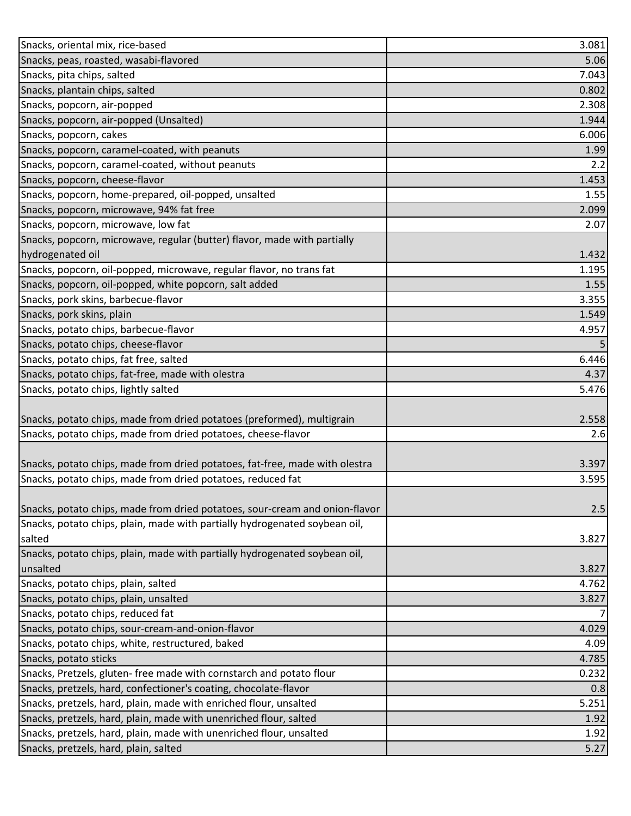| Snacks, oriental mix, rice-based                                            | 3.081 |
|-----------------------------------------------------------------------------|-------|
| Snacks, peas, roasted, wasabi-flavored                                      | 5.06  |
| Snacks, pita chips, salted                                                  | 7.043 |
| Snacks, plantain chips, salted                                              | 0.802 |
| Snacks, popcorn, air-popped                                                 | 2.308 |
| Snacks, popcorn, air-popped (Unsalted)                                      | 1.944 |
| Snacks, popcorn, cakes                                                      | 6.006 |
| Snacks, popcorn, caramel-coated, with peanuts                               | 1.99  |
| Snacks, popcorn, caramel-coated, without peanuts                            | 2.2   |
| Snacks, popcorn, cheese-flavor                                              | 1.453 |
| Snacks, popcorn, home-prepared, oil-popped, unsalted                        | 1.55  |
| Snacks, popcorn, microwave, 94% fat free                                    | 2.099 |
| Snacks, popcorn, microwave, low fat                                         | 2.07  |
| Snacks, popcorn, microwave, regular (butter) flavor, made with partially    |       |
| hydrogenated oil                                                            | 1.432 |
| Snacks, popcorn, oil-popped, microwave, regular flavor, no trans fat        | 1.195 |
| Snacks, popcorn, oil-popped, white popcorn, salt added                      | 1.55  |
| Snacks, pork skins, barbecue-flavor                                         | 3.355 |
| Snacks, pork skins, plain                                                   | 1.549 |
| Snacks, potato chips, barbecue-flavor                                       | 4.957 |
| Snacks, potato chips, cheese-flavor                                         |       |
| Snacks, potato chips, fat free, salted                                      | 6.446 |
| Snacks, potato chips, fat-free, made with olestra                           | 4.37  |
| Snacks, potato chips, lightly salted                                        | 5.476 |
|                                                                             |       |
| Snacks, potato chips, made from dried potatoes (preformed), multigrain      | 2.558 |
| Snacks, potato chips, made from dried potatoes, cheese-flavor               | 2.6   |
|                                                                             |       |
| Snacks, potato chips, made from dried potatoes, fat-free, made with olestra | 3.397 |
| Snacks, potato chips, made from dried potatoes, reduced fat                 | 3.595 |
|                                                                             |       |
| Snacks, potato chips, made from dried potatoes, sour-cream and onion-flavor | 2.5   |
| Snacks, potato chips, plain, made with partially hydrogenated soybean oil,  |       |
| salted                                                                      | 3.827 |
| Snacks, potato chips, plain, made with partially hydrogenated soybean oil,  |       |
| unsalted                                                                    | 3.827 |
| Snacks, potato chips, plain, salted                                         | 4.762 |
| Snacks, potato chips, plain, unsalted                                       | 3.827 |
| Snacks, potato chips, reduced fat                                           |       |
| Snacks, potato chips, sour-cream-and-onion-flavor                           | 4.029 |
| Snacks, potato chips, white, restructured, baked                            | 4.09  |
| Snacks, potato sticks                                                       | 4.785 |
| Snacks, Pretzels, gluten- free made with cornstarch and potato flour        | 0.232 |
| Snacks, pretzels, hard, confectioner's coating, chocolate-flavor            | 0.8   |
| Snacks, pretzels, hard, plain, made with enriched flour, unsalted           | 5.251 |
| Snacks, pretzels, hard, plain, made with unenriched flour, salted           | 1.92  |
| Snacks, pretzels, hard, plain, made with unenriched flour, unsalted         | 1.92  |
| Snacks, pretzels, hard, plain, salted                                       | 5.27  |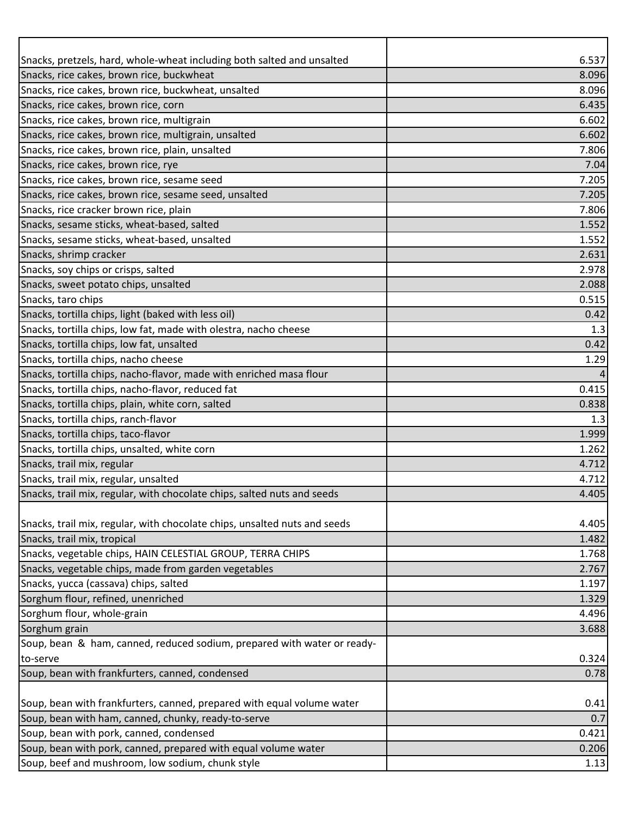| Snacks, pretzels, hard, whole-wheat including both salted and unsalted                                   | 6.537          |
|----------------------------------------------------------------------------------------------------------|----------------|
| Snacks, rice cakes, brown rice, buckwheat                                                                | 8.096          |
| Snacks, rice cakes, brown rice, buckwheat, unsalted                                                      | 8.096          |
| Snacks, rice cakes, brown rice, corn                                                                     | 6.435          |
| Snacks, rice cakes, brown rice, multigrain                                                               | 6.602          |
| Snacks, rice cakes, brown rice, multigrain, unsalted                                                     | 6.602          |
| Snacks, rice cakes, brown rice, plain, unsalted                                                          | 7.806          |
| Snacks, rice cakes, brown rice, rye                                                                      | 7.04           |
| Snacks, rice cakes, brown rice, sesame seed                                                              | 7.205          |
| Snacks, rice cakes, brown rice, sesame seed, unsalted                                                    | 7.205          |
| Snacks, rice cracker brown rice, plain                                                                   | 7.806          |
| Snacks, sesame sticks, wheat-based, salted                                                               | 1.552          |
| Snacks, sesame sticks, wheat-based, unsalted                                                             | 1.552          |
| Snacks, shrimp cracker                                                                                   | 2.631          |
| Snacks, soy chips or crisps, salted                                                                      | 2.978          |
| Snacks, sweet potato chips, unsalted                                                                     | 2.088          |
| Snacks, taro chips                                                                                       | 0.515          |
| Snacks, tortilla chips, light (baked with less oil)                                                      | 0.42           |
| Snacks, tortilla chips, low fat, made with olestra, nacho cheese                                         | 1.3            |
| Snacks, tortilla chips, low fat, unsalted                                                                | 0.42           |
| Snacks, tortilla chips, nacho cheese                                                                     | 1.29           |
| Snacks, tortilla chips, nacho-flavor, made with enriched masa flour                                      | 4              |
| Snacks, tortilla chips, nacho-flavor, reduced fat                                                        | 0.415          |
| Snacks, tortilla chips, plain, white corn, salted                                                        | 0.838          |
| Snacks, tortilla chips, ranch-flavor                                                                     | 1.3            |
| Snacks, tortilla chips, taco-flavor                                                                      | 1.999          |
| Snacks, tortilla chips, unsalted, white corn                                                             | 1.262          |
| Snacks, trail mix, regular                                                                               | 4.712          |
| Snacks, trail mix, regular, unsalted                                                                     | 4.712          |
| Snacks, trail mix, regular, with chocolate chips, salted nuts and seeds                                  | 4.405          |
|                                                                                                          | 4.405          |
| Snacks, trail mix, regular, with chocolate chips, unsalted nuts and seeds<br>Snacks, trail mix, tropical |                |
|                                                                                                          | 1.482          |
| Snacks, vegetable chips, HAIN CELESTIAL GROUP, TERRA CHIPS                                               | 1.768          |
| Snacks, vegetable chips, made from garden vegetables                                                     | 2.767          |
| Snacks, yucca (cassava) chips, salted                                                                    | 1.197          |
| Sorghum flour, refined, unenriched<br>Sorghum flour, whole-grain                                         | 1.329<br>4.496 |
|                                                                                                          |                |
| Sorghum grain<br>Soup, bean & ham, canned, reduced sodium, prepared with water or ready-                 | 3.688          |
| to-serve                                                                                                 |                |
| Soup, bean with frankfurters, canned, condensed                                                          | 0.324          |
|                                                                                                          | 0.78           |
| Soup, bean with frankfurters, canned, prepared with equal volume water                                   | 0.41           |
| Soup, bean with ham, canned, chunky, ready-to-serve                                                      | 0.7            |
| Soup, bean with pork, canned, condensed                                                                  | 0.421          |
| Soup, bean with pork, canned, prepared with equal volume water                                           | 0.206          |
| Soup, beef and mushroom, low sodium, chunk style                                                         | 1.13           |
|                                                                                                          |                |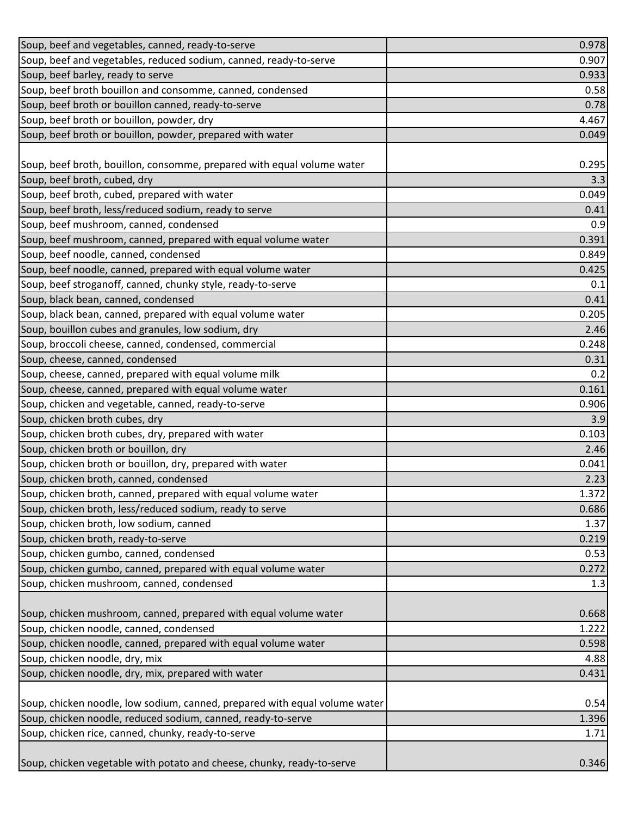| Soup, beef and vegetables, canned, ready-to-serve                          | 0.978          |
|----------------------------------------------------------------------------|----------------|
| Soup, beef and vegetables, reduced sodium, canned, ready-to-serve          | 0.907          |
| Soup, beef barley, ready to serve                                          | 0.933          |
| Soup, beef broth bouillon and consomme, canned, condensed                  | 0.58           |
| Soup, beef broth or bouillon canned, ready-to-serve                        | 0.78           |
| Soup, beef broth or bouillon, powder, dry                                  | 4.467          |
| Soup, beef broth or bouillon, powder, prepared with water                  | 0.049          |
|                                                                            |                |
| Soup, beef broth, bouillon, consomme, prepared with equal volume water     | 0.295          |
| Soup, beef broth, cubed, dry                                               | 3.3            |
| Soup, beef broth, cubed, prepared with water                               | 0.049          |
| Soup, beef broth, less/reduced sodium, ready to serve                      | 0.41           |
| Soup, beef mushroom, canned, condensed                                     | 0.9            |
| Soup, beef mushroom, canned, prepared with equal volume water              | 0.391          |
| Soup, beef noodle, canned, condensed                                       | 0.849          |
| Soup, beef noodle, canned, prepared with equal volume water                | 0.425          |
| Soup, beef stroganoff, canned, chunky style, ready-to-serve                | 0.1            |
| Soup, black bean, canned, condensed                                        | 0.41           |
| Soup, black bean, canned, prepared with equal volume water                 | 0.205          |
| Soup, bouillon cubes and granules, low sodium, dry                         | 2.46           |
| Soup, broccoli cheese, canned, condensed, commercial                       | 0.248          |
| Soup, cheese, canned, condensed                                            | 0.31           |
| Soup, cheese, canned, prepared with equal volume milk                      | 0.2            |
| Soup, cheese, canned, prepared with equal volume water                     | 0.161          |
| Soup, chicken and vegetable, canned, ready-to-serve                        | 0.906          |
| Soup, chicken broth cubes, dry                                             | 3.9            |
| Soup, chicken broth cubes, dry, prepared with water                        | 0.103          |
| Soup, chicken broth or bouillon, dry                                       | 2.46           |
| Soup, chicken broth or bouillon, dry, prepared with water                  | 0.041          |
| Soup, chicken broth, canned, condensed                                     | 2.23           |
| Soup, chicken broth, canned, prepared with equal volume water              | 1.372          |
| Soup, chicken broth, less/reduced sodium, ready to serve                   | 0.686          |
| Soup, chicken broth, low sodium, canned                                    | 1.37           |
| Soup, chicken broth, ready-to-serve                                        | 0.219          |
| Soup, chicken gumbo, canned, condensed                                     | 0.53           |
| Soup, chicken gumbo, canned, prepared with equal volume water              | 0.272          |
| Soup, chicken mushroom, canned, condensed                                  | 1.3            |
| Soup, chicken mushroom, canned, prepared with equal volume water           |                |
| Soup, chicken noodle, canned, condensed                                    | 0.668<br>1.222 |
| Soup, chicken noodle, canned, prepared with equal volume water             | 0.598          |
| Soup, chicken noodle, dry, mix                                             | 4.88           |
| Soup, chicken noodle, dry, mix, prepared with water                        | 0.431          |
|                                                                            |                |
| Soup, chicken noodle, low sodium, canned, prepared with equal volume water | 0.54           |
| Soup, chicken noodle, reduced sodium, canned, ready-to-serve               | 1.396          |
| Soup, chicken rice, canned, chunky, ready-to-serve                         | 1.71           |
|                                                                            |                |
| Soup, chicken vegetable with potato and cheese, chunky, ready-to-serve     | 0.346          |
|                                                                            |                |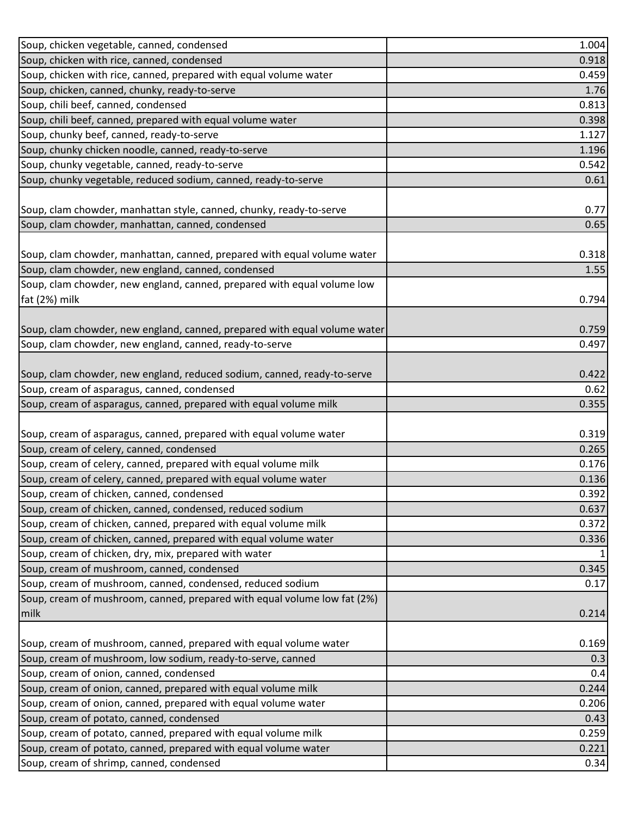| Soup, chicken vegetable, canned, condensed                                                                       | 1.004         |
|------------------------------------------------------------------------------------------------------------------|---------------|
| Soup, chicken with rice, canned, condensed                                                                       | 0.918         |
| Soup, chicken with rice, canned, prepared with equal volume water                                                | 0.459         |
| Soup, chicken, canned, chunky, ready-to-serve                                                                    | 1.76          |
| Soup, chili beef, canned, condensed                                                                              | 0.813         |
| Soup, chili beef, canned, prepared with equal volume water                                                       | 0.398         |
| Soup, chunky beef, canned, ready-to-serve                                                                        | 1.127         |
| Soup, chunky chicken noodle, canned, ready-to-serve                                                              | 1.196         |
| Soup, chunky vegetable, canned, ready-to-serve                                                                   | 0.542         |
| Soup, chunky vegetable, reduced sodium, canned, ready-to-serve                                                   | 0.61          |
|                                                                                                                  |               |
| Soup, clam chowder, manhattan style, canned, chunky, ready-to-serve                                              | 0.77          |
| Soup, clam chowder, manhattan, canned, condensed                                                                 | 0.65          |
|                                                                                                                  |               |
| Soup, clam chowder, manhattan, canned, prepared with equal volume water                                          | 0.318         |
| Soup, clam chowder, new england, canned, condensed                                                               | 1.55          |
| Soup, clam chowder, new england, canned, prepared with equal volume low                                          |               |
| fat (2%) milk                                                                                                    | 0.794         |
|                                                                                                                  |               |
| Soup, clam chowder, new england, canned, prepared with equal volume water                                        | 0.759         |
| Soup, clam chowder, new england, canned, ready-to-serve                                                          | 0.497         |
|                                                                                                                  |               |
| Soup, clam chowder, new england, reduced sodium, canned, ready-to-serve                                          | 0.422         |
| Soup, cream of asparagus, canned, condensed<br>Soup, cream of asparagus, canned, prepared with equal volume milk | 0.62<br>0.355 |
|                                                                                                                  |               |
| Soup, cream of asparagus, canned, prepared with equal volume water                                               | 0.319         |
| Soup, cream of celery, canned, condensed                                                                         | 0.265         |
| Soup, cream of celery, canned, prepared with equal volume milk                                                   | 0.176         |
| Soup, cream of celery, canned, prepared with equal volume water                                                  | 0.136         |
| Soup, cream of chicken, canned, condensed                                                                        | 0.392         |
| Soup, cream of chicken, canned, condensed, reduced sodium                                                        | 0.637         |
| Soup, cream of chicken, canned, prepared with equal volume milk                                                  | 0.372         |
| Soup, cream of chicken, canned, prepared with equal volume water                                                 | 0.336         |
| Soup, cream of chicken, dry, mix, prepared with water                                                            |               |
| Soup, cream of mushroom, canned, condensed                                                                       | 0.345         |
| Soup, cream of mushroom, canned, condensed, reduced sodium                                                       | 0.17          |
| Soup, cream of mushroom, canned, prepared with equal volume low fat (2%)                                         |               |
| milk                                                                                                             | 0.214         |
|                                                                                                                  |               |
| Soup, cream of mushroom, canned, prepared with equal volume water                                                | 0.169         |
| Soup, cream of mushroom, low sodium, ready-to-serve, canned                                                      | 0.3           |
| Soup, cream of onion, canned, condensed                                                                          | 0.4           |
| Soup, cream of onion, canned, prepared with equal volume milk                                                    | 0.244         |
| Soup, cream of onion, canned, prepared with equal volume water                                                   | 0.206         |
| Soup, cream of potato, canned, condensed                                                                         | 0.43          |
| Soup, cream of potato, canned, prepared with equal volume milk                                                   | 0.259         |
| Soup, cream of potato, canned, prepared with equal volume water                                                  | 0.221         |
| Soup, cream of shrimp, canned, condensed                                                                         | 0.34          |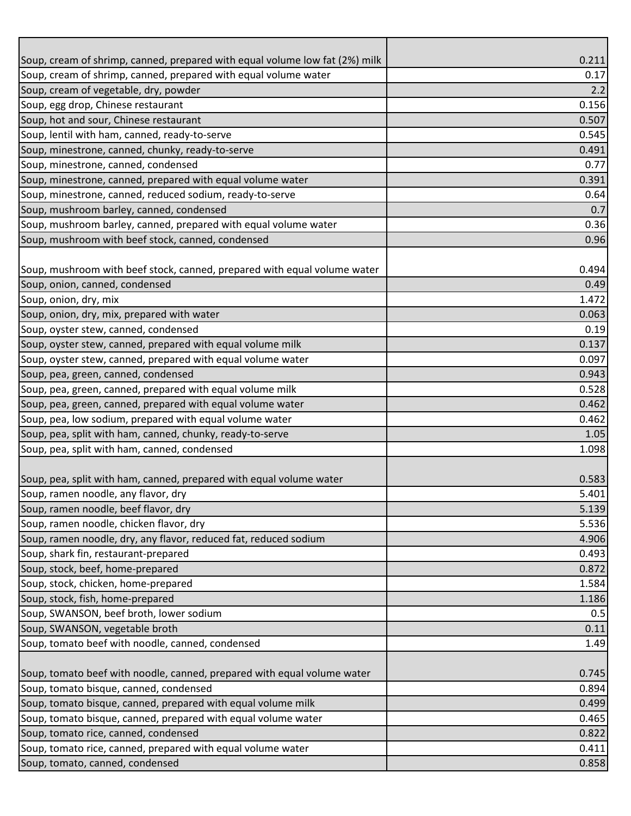| Soup, cream of shrimp, canned, prepared with equal volume water<br>0.17<br>Soup, cream of vegetable, dry, powder<br>2.2<br>Soup, egg drop, Chinese restaurant<br>0.156<br>Soup, hot and sour, Chinese restaurant<br>0.507<br>Soup, lentil with ham, canned, ready-to-serve<br>0.545<br>Soup, minestrone, canned, chunky, ready-to-serve<br>0.491<br>Soup, minestrone, canned, condensed<br>0.77<br>Soup, minestrone, canned, prepared with equal volume water<br>0.391<br>Soup, minestrone, canned, reduced sodium, ready-to-serve<br>0.64<br>0.7<br>Soup, mushroom barley, canned, prepared with equal volume water<br>0.36<br>0.96<br>0.494<br>0.49<br>0.063<br>0.19<br>0.137<br>0.097<br>0.943<br>0.462<br>0.462<br>1.05<br>1.098<br>5.401<br>4.906<br>0.872<br>1.186<br>0.5<br>0.11<br>1.49<br>0.499<br>0.465<br>0.822<br>0.411 |                                                                             |       |
|-------------------------------------------------------------------------------------------------------------------------------------------------------------------------------------------------------------------------------------------------------------------------------------------------------------------------------------------------------------------------------------------------------------------------------------------------------------------------------------------------------------------------------------------------------------------------------------------------------------------------------------------------------------------------------------------------------------------------------------------------------------------------------------------------------------------------------------|-----------------------------------------------------------------------------|-------|
|                                                                                                                                                                                                                                                                                                                                                                                                                                                                                                                                                                                                                                                                                                                                                                                                                                     | Soup, cream of shrimp, canned, prepared with equal volume low fat (2%) milk | 0.211 |
|                                                                                                                                                                                                                                                                                                                                                                                                                                                                                                                                                                                                                                                                                                                                                                                                                                     |                                                                             |       |
|                                                                                                                                                                                                                                                                                                                                                                                                                                                                                                                                                                                                                                                                                                                                                                                                                                     |                                                                             |       |
|                                                                                                                                                                                                                                                                                                                                                                                                                                                                                                                                                                                                                                                                                                                                                                                                                                     |                                                                             |       |
|                                                                                                                                                                                                                                                                                                                                                                                                                                                                                                                                                                                                                                                                                                                                                                                                                                     |                                                                             |       |
|                                                                                                                                                                                                                                                                                                                                                                                                                                                                                                                                                                                                                                                                                                                                                                                                                                     |                                                                             |       |
|                                                                                                                                                                                                                                                                                                                                                                                                                                                                                                                                                                                                                                                                                                                                                                                                                                     |                                                                             |       |
|                                                                                                                                                                                                                                                                                                                                                                                                                                                                                                                                                                                                                                                                                                                                                                                                                                     |                                                                             |       |
|                                                                                                                                                                                                                                                                                                                                                                                                                                                                                                                                                                                                                                                                                                                                                                                                                                     |                                                                             |       |
|                                                                                                                                                                                                                                                                                                                                                                                                                                                                                                                                                                                                                                                                                                                                                                                                                                     |                                                                             |       |
|                                                                                                                                                                                                                                                                                                                                                                                                                                                                                                                                                                                                                                                                                                                                                                                                                                     | Soup, mushroom barley, canned, condensed                                    |       |
|                                                                                                                                                                                                                                                                                                                                                                                                                                                                                                                                                                                                                                                                                                                                                                                                                                     |                                                                             |       |
|                                                                                                                                                                                                                                                                                                                                                                                                                                                                                                                                                                                                                                                                                                                                                                                                                                     | Soup, mushroom with beef stock, canned, condensed                           |       |
|                                                                                                                                                                                                                                                                                                                                                                                                                                                                                                                                                                                                                                                                                                                                                                                                                                     |                                                                             |       |
|                                                                                                                                                                                                                                                                                                                                                                                                                                                                                                                                                                                                                                                                                                                                                                                                                                     | Soup, mushroom with beef stock, canned, prepared with equal volume water    |       |
|                                                                                                                                                                                                                                                                                                                                                                                                                                                                                                                                                                                                                                                                                                                                                                                                                                     | Soup, onion, canned, condensed                                              |       |
|                                                                                                                                                                                                                                                                                                                                                                                                                                                                                                                                                                                                                                                                                                                                                                                                                                     | Soup, onion, dry, mix                                                       | 1.472 |
|                                                                                                                                                                                                                                                                                                                                                                                                                                                                                                                                                                                                                                                                                                                                                                                                                                     | Soup, onion, dry, mix, prepared with water                                  |       |
|                                                                                                                                                                                                                                                                                                                                                                                                                                                                                                                                                                                                                                                                                                                                                                                                                                     | Soup, oyster stew, canned, condensed                                        |       |
|                                                                                                                                                                                                                                                                                                                                                                                                                                                                                                                                                                                                                                                                                                                                                                                                                                     | Soup, oyster stew, canned, prepared with equal volume milk                  |       |
|                                                                                                                                                                                                                                                                                                                                                                                                                                                                                                                                                                                                                                                                                                                                                                                                                                     | Soup, oyster stew, canned, prepared with equal volume water                 |       |
|                                                                                                                                                                                                                                                                                                                                                                                                                                                                                                                                                                                                                                                                                                                                                                                                                                     | Soup, pea, green, canned, condensed                                         |       |
|                                                                                                                                                                                                                                                                                                                                                                                                                                                                                                                                                                                                                                                                                                                                                                                                                                     | Soup, pea, green, canned, prepared with equal volume milk                   | 0.528 |
|                                                                                                                                                                                                                                                                                                                                                                                                                                                                                                                                                                                                                                                                                                                                                                                                                                     | Soup, pea, green, canned, prepared with equal volume water                  |       |
|                                                                                                                                                                                                                                                                                                                                                                                                                                                                                                                                                                                                                                                                                                                                                                                                                                     | Soup, pea, low sodium, prepared with equal volume water                     |       |
|                                                                                                                                                                                                                                                                                                                                                                                                                                                                                                                                                                                                                                                                                                                                                                                                                                     | Soup, pea, split with ham, canned, chunky, ready-to-serve                   |       |
|                                                                                                                                                                                                                                                                                                                                                                                                                                                                                                                                                                                                                                                                                                                                                                                                                                     | Soup, pea, split with ham, canned, condensed                                |       |
|                                                                                                                                                                                                                                                                                                                                                                                                                                                                                                                                                                                                                                                                                                                                                                                                                                     |                                                                             |       |
|                                                                                                                                                                                                                                                                                                                                                                                                                                                                                                                                                                                                                                                                                                                                                                                                                                     | Soup, pea, split with ham, canned, prepared with equal volume water         | 0.583 |
|                                                                                                                                                                                                                                                                                                                                                                                                                                                                                                                                                                                                                                                                                                                                                                                                                                     | Soup, ramen noodle, any flavor, dry                                         |       |
|                                                                                                                                                                                                                                                                                                                                                                                                                                                                                                                                                                                                                                                                                                                                                                                                                                     | Soup, ramen noodle, beef flavor, dry                                        | 5.139 |
|                                                                                                                                                                                                                                                                                                                                                                                                                                                                                                                                                                                                                                                                                                                                                                                                                                     | Soup, ramen noodle, chicken flavor, dry                                     | 5.536 |
|                                                                                                                                                                                                                                                                                                                                                                                                                                                                                                                                                                                                                                                                                                                                                                                                                                     | Soup, ramen noodle, dry, any flavor, reduced fat, reduced sodium            |       |
|                                                                                                                                                                                                                                                                                                                                                                                                                                                                                                                                                                                                                                                                                                                                                                                                                                     | Soup, shark fin, restaurant-prepared                                        | 0.493 |
|                                                                                                                                                                                                                                                                                                                                                                                                                                                                                                                                                                                                                                                                                                                                                                                                                                     | Soup, stock, beef, home-prepared                                            |       |
|                                                                                                                                                                                                                                                                                                                                                                                                                                                                                                                                                                                                                                                                                                                                                                                                                                     | Soup, stock, chicken, home-prepared                                         | 1.584 |
|                                                                                                                                                                                                                                                                                                                                                                                                                                                                                                                                                                                                                                                                                                                                                                                                                                     | Soup, stock, fish, home-prepared                                            |       |
|                                                                                                                                                                                                                                                                                                                                                                                                                                                                                                                                                                                                                                                                                                                                                                                                                                     | Soup, SWANSON, beef broth, lower sodium                                     |       |
|                                                                                                                                                                                                                                                                                                                                                                                                                                                                                                                                                                                                                                                                                                                                                                                                                                     | Soup, SWANSON, vegetable broth                                              |       |
|                                                                                                                                                                                                                                                                                                                                                                                                                                                                                                                                                                                                                                                                                                                                                                                                                                     | Soup, tomato beef with noodle, canned, condensed                            |       |
|                                                                                                                                                                                                                                                                                                                                                                                                                                                                                                                                                                                                                                                                                                                                                                                                                                     |                                                                             |       |
|                                                                                                                                                                                                                                                                                                                                                                                                                                                                                                                                                                                                                                                                                                                                                                                                                                     | Soup, tomato beef with noodle, canned, prepared with equal volume water     | 0.745 |
|                                                                                                                                                                                                                                                                                                                                                                                                                                                                                                                                                                                                                                                                                                                                                                                                                                     | Soup, tomato bisque, canned, condensed                                      | 0.894 |
|                                                                                                                                                                                                                                                                                                                                                                                                                                                                                                                                                                                                                                                                                                                                                                                                                                     | Soup, tomato bisque, canned, prepared with equal volume milk                |       |
|                                                                                                                                                                                                                                                                                                                                                                                                                                                                                                                                                                                                                                                                                                                                                                                                                                     | Soup, tomato bisque, canned, prepared with equal volume water               |       |
|                                                                                                                                                                                                                                                                                                                                                                                                                                                                                                                                                                                                                                                                                                                                                                                                                                     | Soup, tomato rice, canned, condensed                                        |       |
|                                                                                                                                                                                                                                                                                                                                                                                                                                                                                                                                                                                                                                                                                                                                                                                                                                     | Soup, tomato rice, canned, prepared with equal volume water                 |       |
|                                                                                                                                                                                                                                                                                                                                                                                                                                                                                                                                                                                                                                                                                                                                                                                                                                     | Soup, tomato, canned, condensed                                             | 0.858 |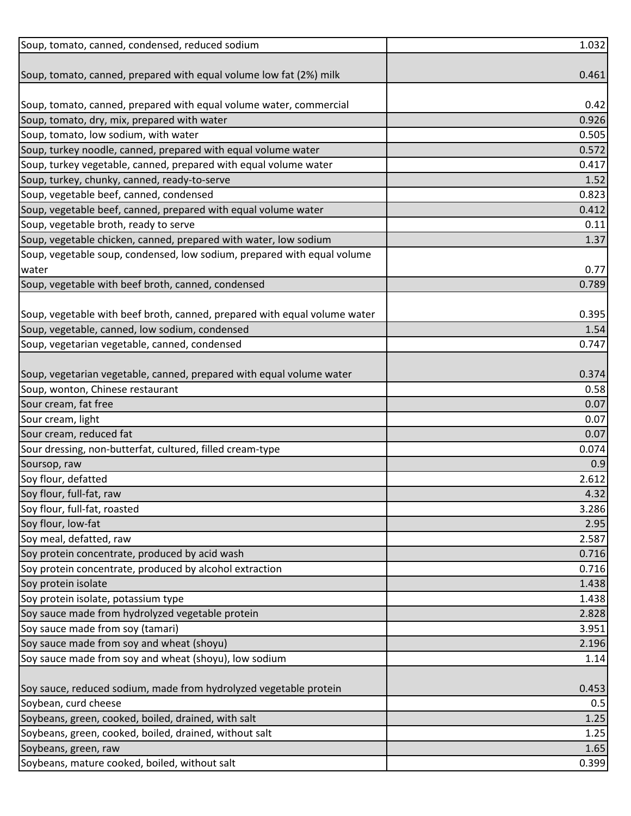| Soup, tomato, canned, condensed, reduced sodium                           | 1.032 |
|---------------------------------------------------------------------------|-------|
|                                                                           |       |
| Soup, tomato, canned, prepared with equal volume low fat (2%) milk        | 0.461 |
|                                                                           |       |
| Soup, tomato, canned, prepared with equal volume water, commercial        | 0.42  |
| Soup, tomato, dry, mix, prepared with water                               | 0.926 |
| Soup, tomato, low sodium, with water                                      | 0.505 |
| Soup, turkey noodle, canned, prepared with equal volume water             | 0.572 |
| Soup, turkey vegetable, canned, prepared with equal volume water          | 0.417 |
| Soup, turkey, chunky, canned, ready-to-serve                              | 1.52  |
| Soup, vegetable beef, canned, condensed                                   | 0.823 |
| Soup, vegetable beef, canned, prepared with equal volume water            | 0.412 |
| Soup, vegetable broth, ready to serve                                     | 0.11  |
| Soup, vegetable chicken, canned, prepared with water, low sodium          | 1.37  |
| Soup, vegetable soup, condensed, low sodium, prepared with equal volume   |       |
| water                                                                     | 0.77  |
| Soup, vegetable with beef broth, canned, condensed                        | 0.789 |
|                                                                           |       |
| Soup, vegetable with beef broth, canned, prepared with equal volume water | 0.395 |
| Soup, vegetable, canned, low sodium, condensed                            | 1.54  |
| Soup, vegetarian vegetable, canned, condensed                             | 0.747 |
|                                                                           |       |
| Soup, vegetarian vegetable, canned, prepared with equal volume water      | 0.374 |
| Soup, wonton, Chinese restaurant                                          | 0.58  |
| Sour cream, fat free                                                      | 0.07  |
| Sour cream, light                                                         | 0.07  |
| Sour cream, reduced fat                                                   | 0.07  |
| Sour dressing, non-butterfat, cultured, filled cream-type                 | 0.074 |
| Soursop, raw                                                              | 0.9   |
| Soy flour, defatted                                                       | 2.612 |
| Soy flour, full-fat, raw                                                  | 4.32  |
| Soy flour, full-fat, roasted                                              | 3.286 |
| Soy flour, low-fat                                                        | 2.95  |
| Soy meal, defatted, raw                                                   | 2.587 |
| Soy protein concentrate, produced by acid wash                            | 0.716 |
| Soy protein concentrate, produced by alcohol extraction                   | 0.716 |
| Soy protein isolate                                                       | 1.438 |
| Soy protein isolate, potassium type                                       | 1.438 |
| Soy sauce made from hydrolyzed vegetable protein                          | 2.828 |
| Soy sauce made from soy (tamari)                                          | 3.951 |
| Soy sauce made from soy and wheat (shoyu)                                 | 2.196 |
| Soy sauce made from soy and wheat (shoyu), low sodium                     | 1.14  |
|                                                                           |       |
| Soy sauce, reduced sodium, made from hydrolyzed vegetable protein         | 0.453 |
| Soybean, curd cheese                                                      | 0.5   |
| Soybeans, green, cooked, boiled, drained, with salt                       | 1.25  |
| Soybeans, green, cooked, boiled, drained, without salt                    | 1.25  |
| Soybeans, green, raw                                                      | 1.65  |
| Soybeans, mature cooked, boiled, without salt                             | 0.399 |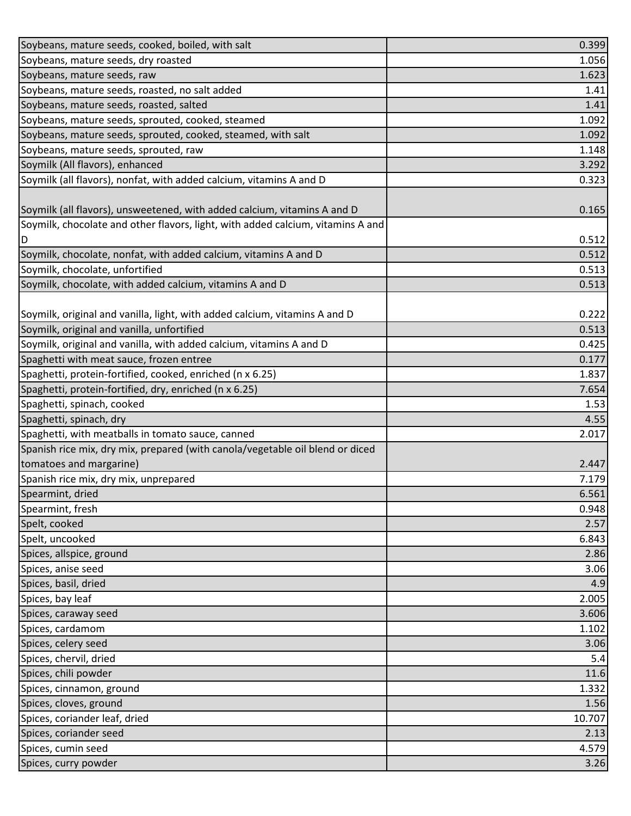| Soybeans, mature seeds, cooked, boiled, with salt                               | 0.399  |
|---------------------------------------------------------------------------------|--------|
| Soybeans, mature seeds, dry roasted                                             | 1.056  |
| Soybeans, mature seeds, raw                                                     | 1.623  |
| Soybeans, mature seeds, roasted, no salt added                                  | 1.41   |
| Soybeans, mature seeds, roasted, salted                                         | 1.41   |
| Soybeans, mature seeds, sprouted, cooked, steamed                               | 1.092  |
| Soybeans, mature seeds, sprouted, cooked, steamed, with salt                    | 1.092  |
| Soybeans, mature seeds, sprouted, raw                                           | 1.148  |
| Soymilk (All flavors), enhanced                                                 | 3.292  |
| Soymilk (all flavors), nonfat, with added calcium, vitamins A and D             | 0.323  |
|                                                                                 |        |
| Soymilk (all flavors), unsweetened, with added calcium, vitamins A and D        | 0.165  |
| Soymilk, chocolate and other flavors, light, with added calcium, vitamins A and |        |
| ID                                                                              | 0.512  |
| Soymilk, chocolate, nonfat, with added calcium, vitamins A and D                | 0.512  |
| Soymilk, chocolate, unfortified                                                 | 0.513  |
| Soymilk, chocolate, with added calcium, vitamins A and D                        | 0.513  |
|                                                                                 |        |
| Soymilk, original and vanilla, light, with added calcium, vitamins A and D      | 0.222  |
| Soymilk, original and vanilla, unfortified                                      | 0.513  |
| Soymilk, original and vanilla, with added calcium, vitamins A and D             | 0.425  |
| Spaghetti with meat sauce, frozen entree                                        | 0.177  |
| Spaghetti, protein-fortified, cooked, enriched (n x 6.25)                       | 1.837  |
| Spaghetti, protein-fortified, dry, enriched (n x 6.25)                          | 7.654  |
| Spaghetti, spinach, cooked                                                      | 1.53   |
| Spaghetti, spinach, dry                                                         | 4.55   |
| Spaghetti, with meatballs in tomato sauce, canned                               | 2.017  |
| Spanish rice mix, dry mix, prepared (with canola/vegetable oil blend or diced   |        |
| tomatoes and margarine)                                                         | 2.447  |
| Spanish rice mix, dry mix, unprepared                                           | 7.179  |
| Spearmint, dried                                                                | 6.561  |
| Spearmint, fresh                                                                | 0.948  |
| Spelt, cooked                                                                   | 2.57   |
| Spelt, uncooked                                                                 | 6.843  |
| Spices, allspice, ground                                                        | 2.86   |
| Spices, anise seed                                                              | 3.06   |
| Spices, basil, dried                                                            | 4.9    |
| Spices, bay leaf                                                                | 2.005  |
| Spices, caraway seed                                                            | 3.606  |
| Spices, cardamom                                                                | 1.102  |
| Spices, celery seed                                                             | 3.06   |
| Spices, chervil, dried                                                          | 5.4    |
| Spices, chili powder                                                            | 11.6   |
| Spices, cinnamon, ground                                                        | 1.332  |
| Spices, cloves, ground                                                          | 1.56   |
| Spices, coriander leaf, dried                                                   | 10.707 |
| Spices, coriander seed                                                          | 2.13   |
| Spices, cumin seed                                                              | 4.579  |
| Spices, curry powder                                                            | 3.26   |
|                                                                                 |        |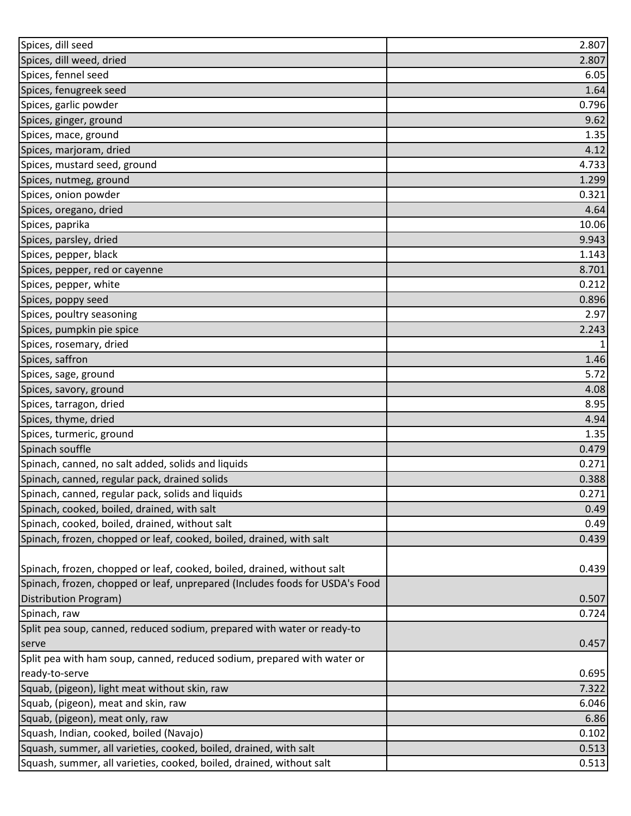| Spices, dill weed, dried<br>2.807<br>Spices, fennel seed<br>6.05<br>Spices, fenugreek seed<br>1.64<br>Spices, garlic powder<br>0.796<br>Spices, ginger, ground<br>9.62<br>Spices, mace, ground<br>1.35<br>Spices, marjoram, dried<br>4.12<br>Spices, mustard seed, ground<br>4.733<br>Spices, nutmeg, ground<br>1.299<br>Spices, onion powder<br>0.321<br>Spices, oregano, dried<br>4.64<br>Spices, paprika<br>10.06<br>Spices, parsley, dried<br>9.943<br>Spices, pepper, black<br>1.143<br>8.701<br>Spices, pepper, red or cayenne<br>0.212<br>Spices, pepper, white<br>Spices, poppy seed<br>0.896<br>Spices, poultry seasoning<br>2.97<br>Spices, pumpkin pie spice<br>2.243<br>Spices, rosemary, dried<br>1<br>Spices, saffron<br>1.46<br>5.72<br>Spices, sage, ground<br>Spices, savory, ground<br>4.08<br>Spices, tarragon, dried<br>8.95<br>Spices, thyme, dried<br>4.94<br>Spices, turmeric, ground<br>1.35<br>Spinach souffle<br>0.479<br>Spinach, canned, no salt added, solids and liquids<br>0.271<br>Spinach, canned, regular pack, drained solids<br>0.388<br>Spinach, canned, regular pack, solids and liquids<br>0.271<br>Spinach, cooked, boiled, drained, with salt<br>0.49<br>Spinach, cooked, boiled, drained, without salt<br>0.49<br>Spinach, frozen, chopped or leaf, cooked, boiled, drained, with salt<br>0.439<br>Spinach, frozen, chopped or leaf, cooked, boiled, drained, without salt<br>0.439<br>Spinach, frozen, chopped or leaf, unprepared (Includes foods for USDA's Food<br>Distribution Program)<br>0.507<br>Spinach, raw<br>0.724<br>Split pea soup, canned, reduced sodium, prepared with water or ready-to<br>0.457<br>serve<br>Split pea with ham soup, canned, reduced sodium, prepared with water or<br>ready-to-serve<br>0.695<br>Squab, (pigeon), light meat without skin, raw<br>7.322<br>Squab, (pigeon), meat and skin, raw<br>6.046<br>Squab, (pigeon), meat only, raw<br>6.86<br>Squash, Indian, cooked, boiled (Navajo)<br>0.102<br>Squash, summer, all varieties, cooked, boiled, drained, with salt<br>0.513 | Spices, dill seed                                                    | 2.807 |
|--------------------------------------------------------------------------------------------------------------------------------------------------------------------------------------------------------------------------------------------------------------------------------------------------------------------------------------------------------------------------------------------------------------------------------------------------------------------------------------------------------------------------------------------------------------------------------------------------------------------------------------------------------------------------------------------------------------------------------------------------------------------------------------------------------------------------------------------------------------------------------------------------------------------------------------------------------------------------------------------------------------------------------------------------------------------------------------------------------------------------------------------------------------------------------------------------------------------------------------------------------------------------------------------------------------------------------------------------------------------------------------------------------------------------------------------------------------------------------------------------------------------------------------------------------------------------------------------------------------------------------------------------------------------------------------------------------------------------------------------------------------------------------------------------------------------------------------------------------------------------------------------------------------------------------------------------------------------------------------------------------------------------------------------------------------------|----------------------------------------------------------------------|-------|
|                                                                                                                                                                                                                                                                                                                                                                                                                                                                                                                                                                                                                                                                                                                                                                                                                                                                                                                                                                                                                                                                                                                                                                                                                                                                                                                                                                                                                                                                                                                                                                                                                                                                                                                                                                                                                                                                                                                                                                                                                                                                    |                                                                      |       |
|                                                                                                                                                                                                                                                                                                                                                                                                                                                                                                                                                                                                                                                                                                                                                                                                                                                                                                                                                                                                                                                                                                                                                                                                                                                                                                                                                                                                                                                                                                                                                                                                                                                                                                                                                                                                                                                                                                                                                                                                                                                                    |                                                                      |       |
|                                                                                                                                                                                                                                                                                                                                                                                                                                                                                                                                                                                                                                                                                                                                                                                                                                                                                                                                                                                                                                                                                                                                                                                                                                                                                                                                                                                                                                                                                                                                                                                                                                                                                                                                                                                                                                                                                                                                                                                                                                                                    |                                                                      |       |
|                                                                                                                                                                                                                                                                                                                                                                                                                                                                                                                                                                                                                                                                                                                                                                                                                                                                                                                                                                                                                                                                                                                                                                                                                                                                                                                                                                                                                                                                                                                                                                                                                                                                                                                                                                                                                                                                                                                                                                                                                                                                    |                                                                      |       |
|                                                                                                                                                                                                                                                                                                                                                                                                                                                                                                                                                                                                                                                                                                                                                                                                                                                                                                                                                                                                                                                                                                                                                                                                                                                                                                                                                                                                                                                                                                                                                                                                                                                                                                                                                                                                                                                                                                                                                                                                                                                                    |                                                                      |       |
|                                                                                                                                                                                                                                                                                                                                                                                                                                                                                                                                                                                                                                                                                                                                                                                                                                                                                                                                                                                                                                                                                                                                                                                                                                                                                                                                                                                                                                                                                                                                                                                                                                                                                                                                                                                                                                                                                                                                                                                                                                                                    |                                                                      |       |
|                                                                                                                                                                                                                                                                                                                                                                                                                                                                                                                                                                                                                                                                                                                                                                                                                                                                                                                                                                                                                                                                                                                                                                                                                                                                                                                                                                                                                                                                                                                                                                                                                                                                                                                                                                                                                                                                                                                                                                                                                                                                    |                                                                      |       |
|                                                                                                                                                                                                                                                                                                                                                                                                                                                                                                                                                                                                                                                                                                                                                                                                                                                                                                                                                                                                                                                                                                                                                                                                                                                                                                                                                                                                                                                                                                                                                                                                                                                                                                                                                                                                                                                                                                                                                                                                                                                                    |                                                                      |       |
|                                                                                                                                                                                                                                                                                                                                                                                                                                                                                                                                                                                                                                                                                                                                                                                                                                                                                                                                                                                                                                                                                                                                                                                                                                                                                                                                                                                                                                                                                                                                                                                                                                                                                                                                                                                                                                                                                                                                                                                                                                                                    |                                                                      |       |
|                                                                                                                                                                                                                                                                                                                                                                                                                                                                                                                                                                                                                                                                                                                                                                                                                                                                                                                                                                                                                                                                                                                                                                                                                                                                                                                                                                                                                                                                                                                                                                                                                                                                                                                                                                                                                                                                                                                                                                                                                                                                    |                                                                      |       |
|                                                                                                                                                                                                                                                                                                                                                                                                                                                                                                                                                                                                                                                                                                                                                                                                                                                                                                                                                                                                                                                                                                                                                                                                                                                                                                                                                                                                                                                                                                                                                                                                                                                                                                                                                                                                                                                                                                                                                                                                                                                                    |                                                                      |       |
|                                                                                                                                                                                                                                                                                                                                                                                                                                                                                                                                                                                                                                                                                                                                                                                                                                                                                                                                                                                                                                                                                                                                                                                                                                                                                                                                                                                                                                                                                                                                                                                                                                                                                                                                                                                                                                                                                                                                                                                                                                                                    |                                                                      |       |
|                                                                                                                                                                                                                                                                                                                                                                                                                                                                                                                                                                                                                                                                                                                                                                                                                                                                                                                                                                                                                                                                                                                                                                                                                                                                                                                                                                                                                                                                                                                                                                                                                                                                                                                                                                                                                                                                                                                                                                                                                                                                    |                                                                      |       |
|                                                                                                                                                                                                                                                                                                                                                                                                                                                                                                                                                                                                                                                                                                                                                                                                                                                                                                                                                                                                                                                                                                                                                                                                                                                                                                                                                                                                                                                                                                                                                                                                                                                                                                                                                                                                                                                                                                                                                                                                                                                                    |                                                                      |       |
|                                                                                                                                                                                                                                                                                                                                                                                                                                                                                                                                                                                                                                                                                                                                                                                                                                                                                                                                                                                                                                                                                                                                                                                                                                                                                                                                                                                                                                                                                                                                                                                                                                                                                                                                                                                                                                                                                                                                                                                                                                                                    |                                                                      |       |
|                                                                                                                                                                                                                                                                                                                                                                                                                                                                                                                                                                                                                                                                                                                                                                                                                                                                                                                                                                                                                                                                                                                                                                                                                                                                                                                                                                                                                                                                                                                                                                                                                                                                                                                                                                                                                                                                                                                                                                                                                                                                    |                                                                      |       |
|                                                                                                                                                                                                                                                                                                                                                                                                                                                                                                                                                                                                                                                                                                                                                                                                                                                                                                                                                                                                                                                                                                                                                                                                                                                                                                                                                                                                                                                                                                                                                                                                                                                                                                                                                                                                                                                                                                                                                                                                                                                                    |                                                                      |       |
|                                                                                                                                                                                                                                                                                                                                                                                                                                                                                                                                                                                                                                                                                                                                                                                                                                                                                                                                                                                                                                                                                                                                                                                                                                                                                                                                                                                                                                                                                                                                                                                                                                                                                                                                                                                                                                                                                                                                                                                                                                                                    |                                                                      |       |
|                                                                                                                                                                                                                                                                                                                                                                                                                                                                                                                                                                                                                                                                                                                                                                                                                                                                                                                                                                                                                                                                                                                                                                                                                                                                                                                                                                                                                                                                                                                                                                                                                                                                                                                                                                                                                                                                                                                                                                                                                                                                    |                                                                      |       |
|                                                                                                                                                                                                                                                                                                                                                                                                                                                                                                                                                                                                                                                                                                                                                                                                                                                                                                                                                                                                                                                                                                                                                                                                                                                                                                                                                                                                                                                                                                                                                                                                                                                                                                                                                                                                                                                                                                                                                                                                                                                                    |                                                                      |       |
|                                                                                                                                                                                                                                                                                                                                                                                                                                                                                                                                                                                                                                                                                                                                                                                                                                                                                                                                                                                                                                                                                                                                                                                                                                                                                                                                                                                                                                                                                                                                                                                                                                                                                                                                                                                                                                                                                                                                                                                                                                                                    |                                                                      |       |
|                                                                                                                                                                                                                                                                                                                                                                                                                                                                                                                                                                                                                                                                                                                                                                                                                                                                                                                                                                                                                                                                                                                                                                                                                                                                                                                                                                                                                                                                                                                                                                                                                                                                                                                                                                                                                                                                                                                                                                                                                                                                    |                                                                      |       |
|                                                                                                                                                                                                                                                                                                                                                                                                                                                                                                                                                                                                                                                                                                                                                                                                                                                                                                                                                                                                                                                                                                                                                                                                                                                                                                                                                                                                                                                                                                                                                                                                                                                                                                                                                                                                                                                                                                                                                                                                                                                                    |                                                                      |       |
|                                                                                                                                                                                                                                                                                                                                                                                                                                                                                                                                                                                                                                                                                                                                                                                                                                                                                                                                                                                                                                                                                                                                                                                                                                                                                                                                                                                                                                                                                                                                                                                                                                                                                                                                                                                                                                                                                                                                                                                                                                                                    |                                                                      |       |
|                                                                                                                                                                                                                                                                                                                                                                                                                                                                                                                                                                                                                                                                                                                                                                                                                                                                                                                                                                                                                                                                                                                                                                                                                                                                                                                                                                                                                                                                                                                                                                                                                                                                                                                                                                                                                                                                                                                                                                                                                                                                    |                                                                      |       |
|                                                                                                                                                                                                                                                                                                                                                                                                                                                                                                                                                                                                                                                                                                                                                                                                                                                                                                                                                                                                                                                                                                                                                                                                                                                                                                                                                                                                                                                                                                                                                                                                                                                                                                                                                                                                                                                                                                                                                                                                                                                                    |                                                                      |       |
|                                                                                                                                                                                                                                                                                                                                                                                                                                                                                                                                                                                                                                                                                                                                                                                                                                                                                                                                                                                                                                                                                                                                                                                                                                                                                                                                                                                                                                                                                                                                                                                                                                                                                                                                                                                                                                                                                                                                                                                                                                                                    |                                                                      |       |
|                                                                                                                                                                                                                                                                                                                                                                                                                                                                                                                                                                                                                                                                                                                                                                                                                                                                                                                                                                                                                                                                                                                                                                                                                                                                                                                                                                                                                                                                                                                                                                                                                                                                                                                                                                                                                                                                                                                                                                                                                                                                    |                                                                      |       |
|                                                                                                                                                                                                                                                                                                                                                                                                                                                                                                                                                                                                                                                                                                                                                                                                                                                                                                                                                                                                                                                                                                                                                                                                                                                                                                                                                                                                                                                                                                                                                                                                                                                                                                                                                                                                                                                                                                                                                                                                                                                                    |                                                                      |       |
|                                                                                                                                                                                                                                                                                                                                                                                                                                                                                                                                                                                                                                                                                                                                                                                                                                                                                                                                                                                                                                                                                                                                                                                                                                                                                                                                                                                                                                                                                                                                                                                                                                                                                                                                                                                                                                                                                                                                                                                                                                                                    |                                                                      |       |
|                                                                                                                                                                                                                                                                                                                                                                                                                                                                                                                                                                                                                                                                                                                                                                                                                                                                                                                                                                                                                                                                                                                                                                                                                                                                                                                                                                                                                                                                                                                                                                                                                                                                                                                                                                                                                                                                                                                                                                                                                                                                    |                                                                      |       |
|                                                                                                                                                                                                                                                                                                                                                                                                                                                                                                                                                                                                                                                                                                                                                                                                                                                                                                                                                                                                                                                                                                                                                                                                                                                                                                                                                                                                                                                                                                                                                                                                                                                                                                                                                                                                                                                                                                                                                                                                                                                                    |                                                                      |       |
|                                                                                                                                                                                                                                                                                                                                                                                                                                                                                                                                                                                                                                                                                                                                                                                                                                                                                                                                                                                                                                                                                                                                                                                                                                                                                                                                                                                                                                                                                                                                                                                                                                                                                                                                                                                                                                                                                                                                                                                                                                                                    |                                                                      |       |
|                                                                                                                                                                                                                                                                                                                                                                                                                                                                                                                                                                                                                                                                                                                                                                                                                                                                                                                                                                                                                                                                                                                                                                                                                                                                                                                                                                                                                                                                                                                                                                                                                                                                                                                                                                                                                                                                                                                                                                                                                                                                    |                                                                      |       |
|                                                                                                                                                                                                                                                                                                                                                                                                                                                                                                                                                                                                                                                                                                                                                                                                                                                                                                                                                                                                                                                                                                                                                                                                                                                                                                                                                                                                                                                                                                                                                                                                                                                                                                                                                                                                                                                                                                                                                                                                                                                                    |                                                                      |       |
|                                                                                                                                                                                                                                                                                                                                                                                                                                                                                                                                                                                                                                                                                                                                                                                                                                                                                                                                                                                                                                                                                                                                                                                                                                                                                                                                                                                                                                                                                                                                                                                                                                                                                                                                                                                                                                                                                                                                                                                                                                                                    |                                                                      |       |
|                                                                                                                                                                                                                                                                                                                                                                                                                                                                                                                                                                                                                                                                                                                                                                                                                                                                                                                                                                                                                                                                                                                                                                                                                                                                                                                                                                                                                                                                                                                                                                                                                                                                                                                                                                                                                                                                                                                                                                                                                                                                    |                                                                      |       |
|                                                                                                                                                                                                                                                                                                                                                                                                                                                                                                                                                                                                                                                                                                                                                                                                                                                                                                                                                                                                                                                                                                                                                                                                                                                                                                                                                                                                                                                                                                                                                                                                                                                                                                                                                                                                                                                                                                                                                                                                                                                                    |                                                                      |       |
|                                                                                                                                                                                                                                                                                                                                                                                                                                                                                                                                                                                                                                                                                                                                                                                                                                                                                                                                                                                                                                                                                                                                                                                                                                                                                                                                                                                                                                                                                                                                                                                                                                                                                                                                                                                                                                                                                                                                                                                                                                                                    |                                                                      |       |
|                                                                                                                                                                                                                                                                                                                                                                                                                                                                                                                                                                                                                                                                                                                                                                                                                                                                                                                                                                                                                                                                                                                                                                                                                                                                                                                                                                                                                                                                                                                                                                                                                                                                                                                                                                                                                                                                                                                                                                                                                                                                    |                                                                      |       |
|                                                                                                                                                                                                                                                                                                                                                                                                                                                                                                                                                                                                                                                                                                                                                                                                                                                                                                                                                                                                                                                                                                                                                                                                                                                                                                                                                                                                                                                                                                                                                                                                                                                                                                                                                                                                                                                                                                                                                                                                                                                                    |                                                                      |       |
|                                                                                                                                                                                                                                                                                                                                                                                                                                                                                                                                                                                                                                                                                                                                                                                                                                                                                                                                                                                                                                                                                                                                                                                                                                                                                                                                                                                                                                                                                                                                                                                                                                                                                                                                                                                                                                                                                                                                                                                                                                                                    |                                                                      |       |
|                                                                                                                                                                                                                                                                                                                                                                                                                                                                                                                                                                                                                                                                                                                                                                                                                                                                                                                                                                                                                                                                                                                                                                                                                                                                                                                                                                                                                                                                                                                                                                                                                                                                                                                                                                                                                                                                                                                                                                                                                                                                    |                                                                      |       |
|                                                                                                                                                                                                                                                                                                                                                                                                                                                                                                                                                                                                                                                                                                                                                                                                                                                                                                                                                                                                                                                                                                                                                                                                                                                                                                                                                                                                                                                                                                                                                                                                                                                                                                                                                                                                                                                                                                                                                                                                                                                                    |                                                                      |       |
|                                                                                                                                                                                                                                                                                                                                                                                                                                                                                                                                                                                                                                                                                                                                                                                                                                                                                                                                                                                                                                                                                                                                                                                                                                                                                                                                                                                                                                                                                                                                                                                                                                                                                                                                                                                                                                                                                                                                                                                                                                                                    |                                                                      |       |
|                                                                                                                                                                                                                                                                                                                                                                                                                                                                                                                                                                                                                                                                                                                                                                                                                                                                                                                                                                                                                                                                                                                                                                                                                                                                                                                                                                                                                                                                                                                                                                                                                                                                                                                                                                                                                                                                                                                                                                                                                                                                    |                                                                      |       |
|                                                                                                                                                                                                                                                                                                                                                                                                                                                                                                                                                                                                                                                                                                                                                                                                                                                                                                                                                                                                                                                                                                                                                                                                                                                                                                                                                                                                                                                                                                                                                                                                                                                                                                                                                                                                                                                                                                                                                                                                                                                                    | Squash, summer, all varieties, cooked, boiled, drained, without salt | 0.513 |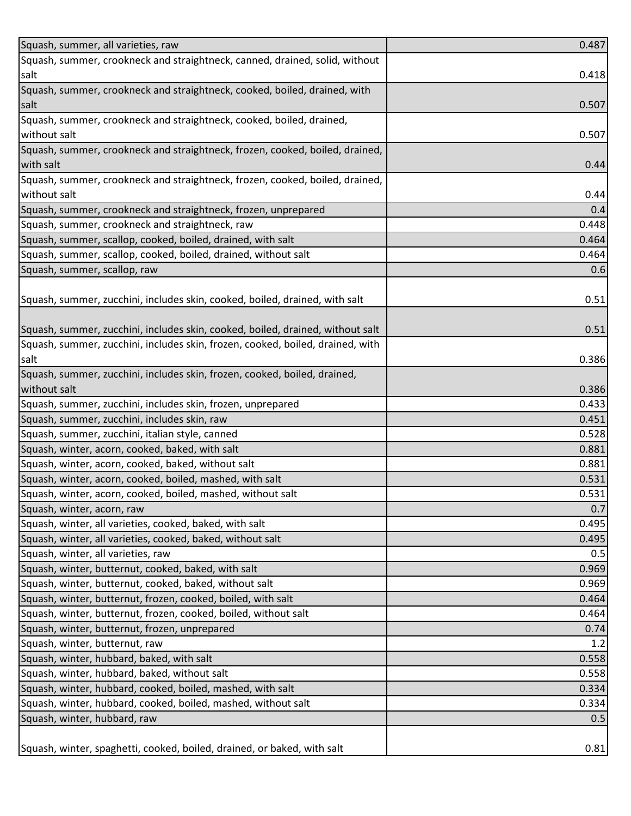| Squash, summer, all varieties, raw                                             | 0.487 |
|--------------------------------------------------------------------------------|-------|
| Squash, summer, crookneck and straightneck, canned, drained, solid, without    |       |
| salt                                                                           | 0.418 |
| Squash, summer, crookneck and straightneck, cooked, boiled, drained, with      |       |
| salt                                                                           | 0.507 |
| Squash, summer, crookneck and straightneck, cooked, boiled, drained,           |       |
| without salt                                                                   | 0.507 |
| Squash, summer, crookneck and straightneck, frozen, cooked, boiled, drained,   |       |
| with salt                                                                      | 0.44  |
| Squash, summer, crookneck and straightneck, frozen, cooked, boiled, drained,   |       |
| without salt                                                                   | 0.44  |
| Squash, summer, crookneck and straightneck, frozen, unprepared                 | 0.4   |
| Squash, summer, crookneck and straightneck, raw                                | 0.448 |
| Squash, summer, scallop, cooked, boiled, drained, with salt                    | 0.464 |
| Squash, summer, scallop, cooked, boiled, drained, without salt                 | 0.464 |
| Squash, summer, scallop, raw                                                   | 0.6   |
|                                                                                |       |
| Squash, summer, zucchini, includes skin, cooked, boiled, drained, with salt    | 0.51  |
|                                                                                |       |
| Squash, summer, zucchini, includes skin, cooked, boiled, drained, without salt | 0.51  |
| Squash, summer, zucchini, includes skin, frozen, cooked, boiled, drained, with |       |
| salt                                                                           | 0.386 |
| Squash, summer, zucchini, includes skin, frozen, cooked, boiled, drained,      |       |
| without salt                                                                   | 0.386 |
| Squash, summer, zucchini, includes skin, frozen, unprepared                    | 0.433 |
| Squash, summer, zucchini, includes skin, raw                                   | 0.451 |
| Squash, summer, zucchini, italian style, canned                                | 0.528 |
| Squash, winter, acorn, cooked, baked, with salt                                | 0.881 |
| Squash, winter, acorn, cooked, baked, without salt                             | 0.881 |
| Squash, winter, acorn, cooked, boiled, mashed, with salt                       | 0.531 |
| Squash, winter, acorn, cooked, boiled, mashed, without salt                    | 0.531 |
| Squash, winter, acorn, raw                                                     | 0.7   |
| Squash, winter, all varieties, cooked, baked, with salt                        | 0.495 |
| Squash, winter, all varieties, cooked, baked, without salt                     | 0.495 |
| Squash, winter, all varieties, raw                                             | 0.5   |
| Squash, winter, butternut, cooked, baked, with salt                            | 0.969 |
| Squash, winter, butternut, cooked, baked, without salt                         | 0.969 |
| Squash, winter, butternut, frozen, cooked, boiled, with salt                   | 0.464 |
| Squash, winter, butternut, frozen, cooked, boiled, without salt                | 0.464 |
| Squash, winter, butternut, frozen, unprepared                                  | 0.74  |
| Squash, winter, butternut, raw                                                 | 1.2   |
| Squash, winter, hubbard, baked, with salt                                      | 0.558 |
| Squash, winter, hubbard, baked, without salt                                   | 0.558 |
| Squash, winter, hubbard, cooked, boiled, mashed, with salt                     | 0.334 |
| Squash, winter, hubbard, cooked, boiled, mashed, without salt                  | 0.334 |
| Squash, winter, hubbard, raw                                                   | 0.5   |
|                                                                                |       |
| Squash, winter, spaghetti, cooked, boiled, drained, or baked, with salt        | 0.81  |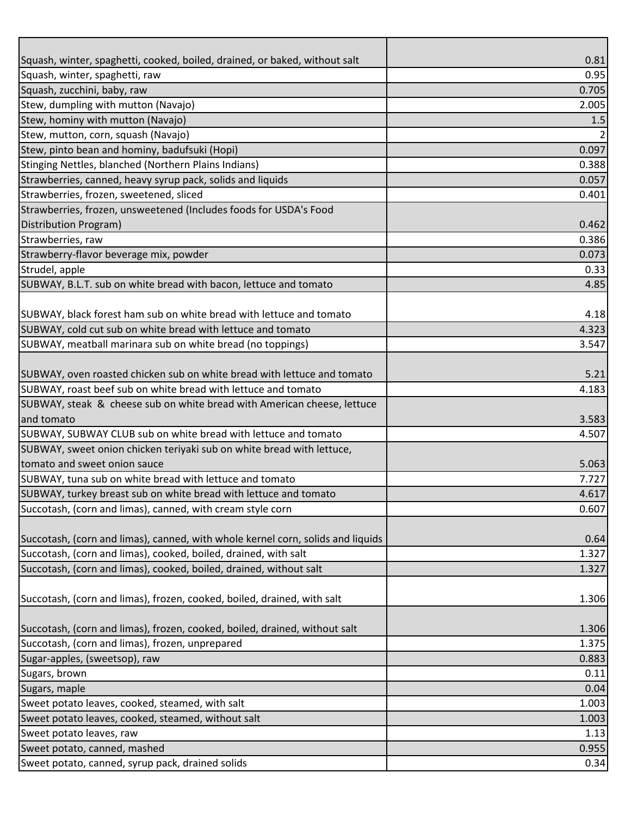| Squash, winter, spaghetti, cooked, boiled, drained, or baked, without salt      | 0.81  |
|---------------------------------------------------------------------------------|-------|
| Squash, winter, spaghetti, raw                                                  | 0.95  |
| Squash, zucchini, baby, raw                                                     | 0.705 |
| Stew, dumpling with mutton (Navajo)                                             | 2.005 |
| Stew, hominy with mutton (Navajo)                                               | 1.5   |
| Stew, mutton, corn, squash (Navajo)                                             |       |
| Stew, pinto bean and hominy, badufsuki (Hopi)                                   | 0.097 |
| Stinging Nettles, blanched (Northern Plains Indians)                            | 0.388 |
| Strawberries, canned, heavy syrup pack, solids and liquids                      | 0.057 |
| Strawberries, frozen, sweetened, sliced                                         | 0.401 |
| Strawberries, frozen, unsweetened (Includes foods for USDA's Food               |       |
| Distribution Program)                                                           | 0.462 |
| Strawberries, raw                                                               | 0.386 |
| Strawberry-flavor beverage mix, powder                                          | 0.073 |
| Strudel, apple                                                                  | 0.33  |
| SUBWAY, B.L.T. sub on white bread with bacon, lettuce and tomato                | 4.85  |
|                                                                                 |       |
| SUBWAY, black forest ham sub on white bread with lettuce and tomato             | 4.18  |
| SUBWAY, cold cut sub on white bread with lettuce and tomato                     | 4.323 |
| SUBWAY, meatball marinara sub on white bread (no toppings)                      | 3.547 |
|                                                                                 |       |
| SUBWAY, oven roasted chicken sub on white bread with lettuce and tomato         | 5.21  |
| SUBWAY, roast beef sub on white bread with lettuce and tomato                   | 4.183 |
| SUBWAY, steak & cheese sub on white bread with American cheese, lettuce         |       |
| and tomato                                                                      | 3.583 |
| SUBWAY, SUBWAY CLUB sub on white bread with lettuce and tomato                  | 4.507 |
| SUBWAY, sweet onion chicken teriyaki sub on white bread with lettuce,           |       |
| tomato and sweet onion sauce                                                    | 5.063 |
| SUBWAY, tuna sub on white bread with lettuce and tomato                         | 7.727 |
| SUBWAY, turkey breast sub on white bread with lettuce and tomato                | 4.617 |
| Succotash, (corn and limas), canned, with cream style corn                      | 0.607 |
|                                                                                 |       |
| Succotash, (corn and limas), canned, with whole kernel corn, solids and liquids | 0.64  |
| Succotash, (corn and limas), cooked, boiled, drained, with salt                 | 1.327 |
| Succotash, (corn and limas), cooked, boiled, drained, without salt              | 1.327 |
|                                                                                 |       |
| Succotash, (corn and limas), frozen, cooked, boiled, drained, with salt         | 1.306 |
|                                                                                 |       |
| Succotash, (corn and limas), frozen, cooked, boiled, drained, without salt      | 1.306 |
| Succotash, (corn and limas), frozen, unprepared                                 | 1.375 |
| Sugar-apples, (sweetsop), raw                                                   | 0.883 |
| Sugars, brown                                                                   | 0.11  |
| Sugars, maple                                                                   | 0.04  |
| Sweet potato leaves, cooked, steamed, with salt                                 | 1.003 |
| Sweet potato leaves, cooked, steamed, without salt                              | 1.003 |
| Sweet potato leaves, raw                                                        | 1.13  |
| Sweet potato, canned, mashed                                                    | 0.955 |
| Sweet potato, canned, syrup pack, drained solids                                | 0.34  |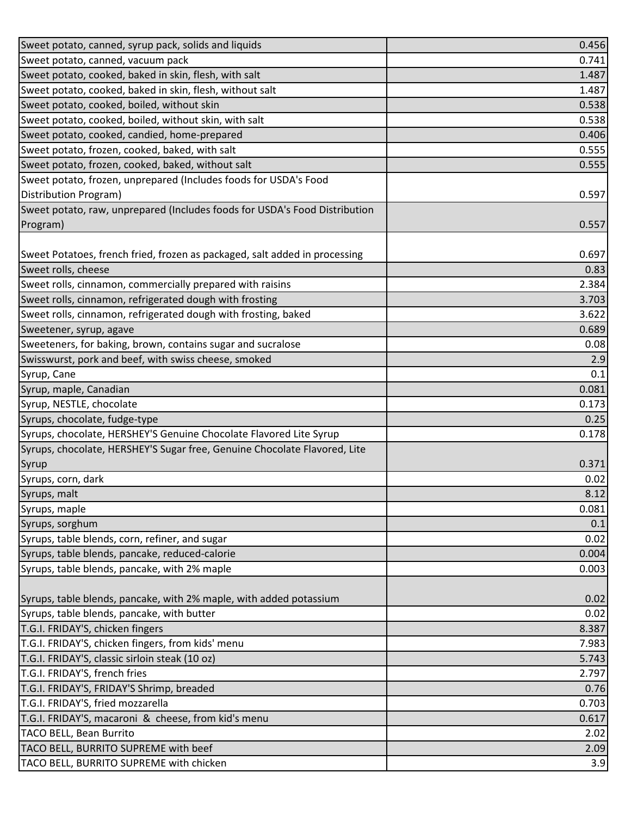| Sweet potato, canned, syrup pack, solids and liquids                       | 0.456 |
|----------------------------------------------------------------------------|-------|
| Sweet potato, canned, vacuum pack                                          | 0.741 |
| Sweet potato, cooked, baked in skin, flesh, with salt                      | 1.487 |
| Sweet potato, cooked, baked in skin, flesh, without salt                   | 1.487 |
| Sweet potato, cooked, boiled, without skin                                 | 0.538 |
| Sweet potato, cooked, boiled, without skin, with salt                      | 0.538 |
| Sweet potato, cooked, candied, home-prepared                               | 0.406 |
| Sweet potato, frozen, cooked, baked, with salt                             | 0.555 |
| Sweet potato, frozen, cooked, baked, without salt                          | 0.555 |
| Sweet potato, frozen, unprepared (Includes foods for USDA's Food           |       |
| Distribution Program)                                                      | 0.597 |
| Sweet potato, raw, unprepared (Includes foods for USDA's Food Distribution |       |
| Program)                                                                   | 0.557 |
|                                                                            |       |
| Sweet Potatoes, french fried, frozen as packaged, salt added in processing | 0.697 |
| Sweet rolls, cheese                                                        | 0.83  |
| Sweet rolls, cinnamon, commercially prepared with raisins                  | 2.384 |
| Sweet rolls, cinnamon, refrigerated dough with frosting                    | 3.703 |
| Sweet rolls, cinnamon, refrigerated dough with frosting, baked             | 3.622 |
| Sweetener, syrup, agave                                                    | 0.689 |
| Sweeteners, for baking, brown, contains sugar and sucralose                | 0.08  |
| Swisswurst, pork and beef, with swiss cheese, smoked                       | 2.9   |
| Syrup, Cane                                                                | 0.1   |
| Syrup, maple, Canadian                                                     | 0.081 |
| Syrup, NESTLE, chocolate                                                   | 0.173 |
| Syrups, chocolate, fudge-type                                              | 0.25  |
| Syrups, chocolate, HERSHEY'S Genuine Chocolate Flavored Lite Syrup         | 0.178 |
| Syrups, chocolate, HERSHEY'S Sugar free, Genuine Chocolate Flavored, Lite  |       |
| Syrup                                                                      | 0.371 |
| Syrups, corn, dark                                                         | 0.02  |
| Syrups, malt                                                               | 8.12  |
| Syrups, maple                                                              | 0.081 |
| Syrups, sorghum                                                            | 0.1   |
| Syrups, table blends, corn, refiner, and sugar                             | 0.02  |
| Syrups, table blends, pancake, reduced-calorie                             | 0.004 |
| Syrups, table blends, pancake, with 2% maple                               | 0.003 |
|                                                                            |       |
| Syrups, table blends, pancake, with 2% maple, with added potassium         | 0.02  |
| Syrups, table blends, pancake, with butter                                 | 0.02  |
| T.G.I. FRIDAY'S, chicken fingers                                           | 8.387 |
| T.G.I. FRIDAY'S, chicken fingers, from kids' menu                          | 7.983 |
| T.G.I. FRIDAY'S, classic sirloin steak (10 oz)                             | 5.743 |
| T.G.I. FRIDAY'S, french fries                                              | 2.797 |
| T.G.I. FRIDAY'S, FRIDAY'S Shrimp, breaded                                  | 0.76  |
| T.G.I. FRIDAY'S, fried mozzarella                                          | 0.703 |
| T.G.I. FRIDAY'S, macaroni & cheese, from kid's menu                        | 0.617 |
| TACO BELL, Bean Burrito                                                    | 2.02  |
| TACO BELL, BURRITO SUPREME with beef                                       | 2.09  |
| TACO BELL, BURRITO SUPREME with chicken                                    | 3.9   |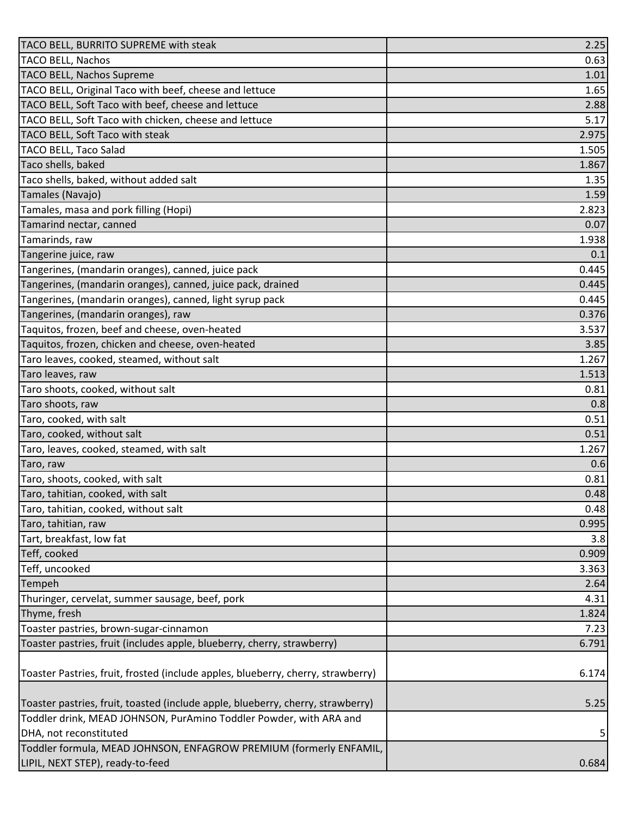| <b>TACO BELL, Nachos</b><br>0.63<br><b>TACO BELL, Nachos Supreme</b><br>1.01<br>TACO BELL, Original Taco with beef, cheese and lettuce<br>1.65<br>TACO BELL, Soft Taco with beef, cheese and lettuce<br>2.88<br>TACO BELL, Soft Taco with chicken, cheese and lettuce<br>5.17<br>TACO BELL, Soft Taco with steak<br>2.975<br>TACO BELL, Taco Salad<br>1.505<br>Taco shells, baked<br>1.867<br>Taco shells, baked, without added salt<br>1.35<br>Tamales (Navajo)<br>1.59<br>Tamales, masa and pork filling (Hopi)<br>2.823<br>Tamarind nectar, canned<br>0.07<br>Tamarinds, raw<br>1.938<br>Tangerine juice, raw<br>0.1<br>Tangerines, (mandarin oranges), canned, juice pack<br>0.445<br>Tangerines, (mandarin oranges), canned, juice pack, drained<br>0.445<br>Tangerines, (mandarin oranges), canned, light syrup pack<br>0.445<br>Tangerines, (mandarin oranges), raw<br>0.376<br>Taquitos, frozen, beef and cheese, oven-heated<br>3.537<br>Taquitos, frozen, chicken and cheese, oven-heated<br>3.85<br>Taro leaves, cooked, steamed, without salt<br>1.267<br>Taro leaves, raw<br>1.513<br>Taro shoots, cooked, without salt<br>0.81<br>Taro shoots, raw<br>0.8<br>Taro, cooked, with salt<br>0.51<br>0.51<br>Taro, leaves, cooked, steamed, with salt<br>1.267<br>Taro, raw<br>0.6<br>Taro, shoots, cooked, with salt<br>0.81<br>0.48<br>Taro, tahitian, cooked, without salt<br>0.48<br>Taro, tahitian, raw<br>0.995<br>Tart, breakfast, low fat<br>3.8<br>Teff, cooked<br>0.909<br>Teff, uncooked<br>3.363<br>Tempeh<br>2.64<br>Thuringer, cervelat, summer sausage, beef, pork<br>4.31<br>Thyme, fresh<br>1.824<br>Toaster pastries, brown-sugar-cinnamon<br>7.23<br>Toaster pastries, fruit (includes apple, blueberry, cherry, strawberry)<br>6.791<br>Toaster Pastries, fruit, frosted (include apples, blueberry, cherry, strawberry)<br>6.174<br>Toaster pastries, fruit, toasted (include apple, blueberry, cherry, strawberry)<br>5.25<br>Toddler drink, MEAD JOHNSON, PurAmino Toddler Powder, with ARA and<br>DHA, not reconstituted<br>5<br>Toddler formula, MEAD JOHNSON, ENFAGROW PREMIUM (formerly ENFAMIL,<br>0.684 | TACO BELL, BURRITO SUPREME with steak | 2.25 |
|-----------------------------------------------------------------------------------------------------------------------------------------------------------------------------------------------------------------------------------------------------------------------------------------------------------------------------------------------------------------------------------------------------------------------------------------------------------------------------------------------------------------------------------------------------------------------------------------------------------------------------------------------------------------------------------------------------------------------------------------------------------------------------------------------------------------------------------------------------------------------------------------------------------------------------------------------------------------------------------------------------------------------------------------------------------------------------------------------------------------------------------------------------------------------------------------------------------------------------------------------------------------------------------------------------------------------------------------------------------------------------------------------------------------------------------------------------------------------------------------------------------------------------------------------------------------------------------------------------------------------------------------------------------------------------------------------------------------------------------------------------------------------------------------------------------------------------------------------------------------------------------------------------------------------------------------------------------------------------------------------------------------------------------------------------------------------------------------------------------------------------------------------|---------------------------------------|------|
|                                                                                                                                                                                                                                                                                                                                                                                                                                                                                                                                                                                                                                                                                                                                                                                                                                                                                                                                                                                                                                                                                                                                                                                                                                                                                                                                                                                                                                                                                                                                                                                                                                                                                                                                                                                                                                                                                                                                                                                                                                                                                                                                               |                                       |      |
|                                                                                                                                                                                                                                                                                                                                                                                                                                                                                                                                                                                                                                                                                                                                                                                                                                                                                                                                                                                                                                                                                                                                                                                                                                                                                                                                                                                                                                                                                                                                                                                                                                                                                                                                                                                                                                                                                                                                                                                                                                                                                                                                               |                                       |      |
|                                                                                                                                                                                                                                                                                                                                                                                                                                                                                                                                                                                                                                                                                                                                                                                                                                                                                                                                                                                                                                                                                                                                                                                                                                                                                                                                                                                                                                                                                                                                                                                                                                                                                                                                                                                                                                                                                                                                                                                                                                                                                                                                               |                                       |      |
|                                                                                                                                                                                                                                                                                                                                                                                                                                                                                                                                                                                                                                                                                                                                                                                                                                                                                                                                                                                                                                                                                                                                                                                                                                                                                                                                                                                                                                                                                                                                                                                                                                                                                                                                                                                                                                                                                                                                                                                                                                                                                                                                               |                                       |      |
|                                                                                                                                                                                                                                                                                                                                                                                                                                                                                                                                                                                                                                                                                                                                                                                                                                                                                                                                                                                                                                                                                                                                                                                                                                                                                                                                                                                                                                                                                                                                                                                                                                                                                                                                                                                                                                                                                                                                                                                                                                                                                                                                               |                                       |      |
|                                                                                                                                                                                                                                                                                                                                                                                                                                                                                                                                                                                                                                                                                                                                                                                                                                                                                                                                                                                                                                                                                                                                                                                                                                                                                                                                                                                                                                                                                                                                                                                                                                                                                                                                                                                                                                                                                                                                                                                                                                                                                                                                               |                                       |      |
|                                                                                                                                                                                                                                                                                                                                                                                                                                                                                                                                                                                                                                                                                                                                                                                                                                                                                                                                                                                                                                                                                                                                                                                                                                                                                                                                                                                                                                                                                                                                                                                                                                                                                                                                                                                                                                                                                                                                                                                                                                                                                                                                               |                                       |      |
|                                                                                                                                                                                                                                                                                                                                                                                                                                                                                                                                                                                                                                                                                                                                                                                                                                                                                                                                                                                                                                                                                                                                                                                                                                                                                                                                                                                                                                                                                                                                                                                                                                                                                                                                                                                                                                                                                                                                                                                                                                                                                                                                               |                                       |      |
|                                                                                                                                                                                                                                                                                                                                                                                                                                                                                                                                                                                                                                                                                                                                                                                                                                                                                                                                                                                                                                                                                                                                                                                                                                                                                                                                                                                                                                                                                                                                                                                                                                                                                                                                                                                                                                                                                                                                                                                                                                                                                                                                               |                                       |      |
|                                                                                                                                                                                                                                                                                                                                                                                                                                                                                                                                                                                                                                                                                                                                                                                                                                                                                                                                                                                                                                                                                                                                                                                                                                                                                                                                                                                                                                                                                                                                                                                                                                                                                                                                                                                                                                                                                                                                                                                                                                                                                                                                               |                                       |      |
|                                                                                                                                                                                                                                                                                                                                                                                                                                                                                                                                                                                                                                                                                                                                                                                                                                                                                                                                                                                                                                                                                                                                                                                                                                                                                                                                                                                                                                                                                                                                                                                                                                                                                                                                                                                                                                                                                                                                                                                                                                                                                                                                               |                                       |      |
|                                                                                                                                                                                                                                                                                                                                                                                                                                                                                                                                                                                                                                                                                                                                                                                                                                                                                                                                                                                                                                                                                                                                                                                                                                                                                                                                                                                                                                                                                                                                                                                                                                                                                                                                                                                                                                                                                                                                                                                                                                                                                                                                               |                                       |      |
|                                                                                                                                                                                                                                                                                                                                                                                                                                                                                                                                                                                                                                                                                                                                                                                                                                                                                                                                                                                                                                                                                                                                                                                                                                                                                                                                                                                                                                                                                                                                                                                                                                                                                                                                                                                                                                                                                                                                                                                                                                                                                                                                               |                                       |      |
|                                                                                                                                                                                                                                                                                                                                                                                                                                                                                                                                                                                                                                                                                                                                                                                                                                                                                                                                                                                                                                                                                                                                                                                                                                                                                                                                                                                                                                                                                                                                                                                                                                                                                                                                                                                                                                                                                                                                                                                                                                                                                                                                               |                                       |      |
|                                                                                                                                                                                                                                                                                                                                                                                                                                                                                                                                                                                                                                                                                                                                                                                                                                                                                                                                                                                                                                                                                                                                                                                                                                                                                                                                                                                                                                                                                                                                                                                                                                                                                                                                                                                                                                                                                                                                                                                                                                                                                                                                               |                                       |      |
|                                                                                                                                                                                                                                                                                                                                                                                                                                                                                                                                                                                                                                                                                                                                                                                                                                                                                                                                                                                                                                                                                                                                                                                                                                                                                                                                                                                                                                                                                                                                                                                                                                                                                                                                                                                                                                                                                                                                                                                                                                                                                                                                               |                                       |      |
|                                                                                                                                                                                                                                                                                                                                                                                                                                                                                                                                                                                                                                                                                                                                                                                                                                                                                                                                                                                                                                                                                                                                                                                                                                                                                                                                                                                                                                                                                                                                                                                                                                                                                                                                                                                                                                                                                                                                                                                                                                                                                                                                               |                                       |      |
|                                                                                                                                                                                                                                                                                                                                                                                                                                                                                                                                                                                                                                                                                                                                                                                                                                                                                                                                                                                                                                                                                                                                                                                                                                                                                                                                                                                                                                                                                                                                                                                                                                                                                                                                                                                                                                                                                                                                                                                                                                                                                                                                               |                                       |      |
|                                                                                                                                                                                                                                                                                                                                                                                                                                                                                                                                                                                                                                                                                                                                                                                                                                                                                                                                                                                                                                                                                                                                                                                                                                                                                                                                                                                                                                                                                                                                                                                                                                                                                                                                                                                                                                                                                                                                                                                                                                                                                                                                               |                                       |      |
|                                                                                                                                                                                                                                                                                                                                                                                                                                                                                                                                                                                                                                                                                                                                                                                                                                                                                                                                                                                                                                                                                                                                                                                                                                                                                                                                                                                                                                                                                                                                                                                                                                                                                                                                                                                                                                                                                                                                                                                                                                                                                                                                               |                                       |      |
|                                                                                                                                                                                                                                                                                                                                                                                                                                                                                                                                                                                                                                                                                                                                                                                                                                                                                                                                                                                                                                                                                                                                                                                                                                                                                                                                                                                                                                                                                                                                                                                                                                                                                                                                                                                                                                                                                                                                                                                                                                                                                                                                               |                                       |      |
|                                                                                                                                                                                                                                                                                                                                                                                                                                                                                                                                                                                                                                                                                                                                                                                                                                                                                                                                                                                                                                                                                                                                                                                                                                                                                                                                                                                                                                                                                                                                                                                                                                                                                                                                                                                                                                                                                                                                                                                                                                                                                                                                               |                                       |      |
|                                                                                                                                                                                                                                                                                                                                                                                                                                                                                                                                                                                                                                                                                                                                                                                                                                                                                                                                                                                                                                                                                                                                                                                                                                                                                                                                                                                                                                                                                                                                                                                                                                                                                                                                                                                                                                                                                                                                                                                                                                                                                                                                               |                                       |      |
|                                                                                                                                                                                                                                                                                                                                                                                                                                                                                                                                                                                                                                                                                                                                                                                                                                                                                                                                                                                                                                                                                                                                                                                                                                                                                                                                                                                                                                                                                                                                                                                                                                                                                                                                                                                                                                                                                                                                                                                                                                                                                                                                               |                                       |      |
|                                                                                                                                                                                                                                                                                                                                                                                                                                                                                                                                                                                                                                                                                                                                                                                                                                                                                                                                                                                                                                                                                                                                                                                                                                                                                                                                                                                                                                                                                                                                                                                                                                                                                                                                                                                                                                                                                                                                                                                                                                                                                                                                               |                                       |      |
|                                                                                                                                                                                                                                                                                                                                                                                                                                                                                                                                                                                                                                                                                                                                                                                                                                                                                                                                                                                                                                                                                                                                                                                                                                                                                                                                                                                                                                                                                                                                                                                                                                                                                                                                                                                                                                                                                                                                                                                                                                                                                                                                               | Taro, cooked, without salt            |      |
|                                                                                                                                                                                                                                                                                                                                                                                                                                                                                                                                                                                                                                                                                                                                                                                                                                                                                                                                                                                                                                                                                                                                                                                                                                                                                                                                                                                                                                                                                                                                                                                                                                                                                                                                                                                                                                                                                                                                                                                                                                                                                                                                               |                                       |      |
|                                                                                                                                                                                                                                                                                                                                                                                                                                                                                                                                                                                                                                                                                                                                                                                                                                                                                                                                                                                                                                                                                                                                                                                                                                                                                                                                                                                                                                                                                                                                                                                                                                                                                                                                                                                                                                                                                                                                                                                                                                                                                                                                               |                                       |      |
|                                                                                                                                                                                                                                                                                                                                                                                                                                                                                                                                                                                                                                                                                                                                                                                                                                                                                                                                                                                                                                                                                                                                                                                                                                                                                                                                                                                                                                                                                                                                                                                                                                                                                                                                                                                                                                                                                                                                                                                                                                                                                                                                               |                                       |      |
|                                                                                                                                                                                                                                                                                                                                                                                                                                                                                                                                                                                                                                                                                                                                                                                                                                                                                                                                                                                                                                                                                                                                                                                                                                                                                                                                                                                                                                                                                                                                                                                                                                                                                                                                                                                                                                                                                                                                                                                                                                                                                                                                               | Taro, tahitian, cooked, with salt     |      |
|                                                                                                                                                                                                                                                                                                                                                                                                                                                                                                                                                                                                                                                                                                                                                                                                                                                                                                                                                                                                                                                                                                                                                                                                                                                                                                                                                                                                                                                                                                                                                                                                                                                                                                                                                                                                                                                                                                                                                                                                                                                                                                                                               |                                       |      |
|                                                                                                                                                                                                                                                                                                                                                                                                                                                                                                                                                                                                                                                                                                                                                                                                                                                                                                                                                                                                                                                                                                                                                                                                                                                                                                                                                                                                                                                                                                                                                                                                                                                                                                                                                                                                                                                                                                                                                                                                                                                                                                                                               |                                       |      |
|                                                                                                                                                                                                                                                                                                                                                                                                                                                                                                                                                                                                                                                                                                                                                                                                                                                                                                                                                                                                                                                                                                                                                                                                                                                                                                                                                                                                                                                                                                                                                                                                                                                                                                                                                                                                                                                                                                                                                                                                                                                                                                                                               |                                       |      |
|                                                                                                                                                                                                                                                                                                                                                                                                                                                                                                                                                                                                                                                                                                                                                                                                                                                                                                                                                                                                                                                                                                                                                                                                                                                                                                                                                                                                                                                                                                                                                                                                                                                                                                                                                                                                                                                                                                                                                                                                                                                                                                                                               |                                       |      |
|                                                                                                                                                                                                                                                                                                                                                                                                                                                                                                                                                                                                                                                                                                                                                                                                                                                                                                                                                                                                                                                                                                                                                                                                                                                                                                                                                                                                                                                                                                                                                                                                                                                                                                                                                                                                                                                                                                                                                                                                                                                                                                                                               |                                       |      |
|                                                                                                                                                                                                                                                                                                                                                                                                                                                                                                                                                                                                                                                                                                                                                                                                                                                                                                                                                                                                                                                                                                                                                                                                                                                                                                                                                                                                                                                                                                                                                                                                                                                                                                                                                                                                                                                                                                                                                                                                                                                                                                                                               |                                       |      |
|                                                                                                                                                                                                                                                                                                                                                                                                                                                                                                                                                                                                                                                                                                                                                                                                                                                                                                                                                                                                                                                                                                                                                                                                                                                                                                                                                                                                                                                                                                                                                                                                                                                                                                                                                                                                                                                                                                                                                                                                                                                                                                                                               |                                       |      |
|                                                                                                                                                                                                                                                                                                                                                                                                                                                                                                                                                                                                                                                                                                                                                                                                                                                                                                                                                                                                                                                                                                                                                                                                                                                                                                                                                                                                                                                                                                                                                                                                                                                                                                                                                                                                                                                                                                                                                                                                                                                                                                                                               |                                       |      |
|                                                                                                                                                                                                                                                                                                                                                                                                                                                                                                                                                                                                                                                                                                                                                                                                                                                                                                                                                                                                                                                                                                                                                                                                                                                                                                                                                                                                                                                                                                                                                                                                                                                                                                                                                                                                                                                                                                                                                                                                                                                                                                                                               |                                       |      |
|                                                                                                                                                                                                                                                                                                                                                                                                                                                                                                                                                                                                                                                                                                                                                                                                                                                                                                                                                                                                                                                                                                                                                                                                                                                                                                                                                                                                                                                                                                                                                                                                                                                                                                                                                                                                                                                                                                                                                                                                                                                                                                                                               |                                       |      |
|                                                                                                                                                                                                                                                                                                                                                                                                                                                                                                                                                                                                                                                                                                                                                                                                                                                                                                                                                                                                                                                                                                                                                                                                                                                                                                                                                                                                                                                                                                                                                                                                                                                                                                                                                                                                                                                                                                                                                                                                                                                                                                                                               |                                       |      |
|                                                                                                                                                                                                                                                                                                                                                                                                                                                                                                                                                                                                                                                                                                                                                                                                                                                                                                                                                                                                                                                                                                                                                                                                                                                                                                                                                                                                                                                                                                                                                                                                                                                                                                                                                                                                                                                                                                                                                                                                                                                                                                                                               |                                       |      |
|                                                                                                                                                                                                                                                                                                                                                                                                                                                                                                                                                                                                                                                                                                                                                                                                                                                                                                                                                                                                                                                                                                                                                                                                                                                                                                                                                                                                                                                                                                                                                                                                                                                                                                                                                                                                                                                                                                                                                                                                                                                                                                                                               |                                       |      |
|                                                                                                                                                                                                                                                                                                                                                                                                                                                                                                                                                                                                                                                                                                                                                                                                                                                                                                                                                                                                                                                                                                                                                                                                                                                                                                                                                                                                                                                                                                                                                                                                                                                                                                                                                                                                                                                                                                                                                                                                                                                                                                                                               |                                       |      |
|                                                                                                                                                                                                                                                                                                                                                                                                                                                                                                                                                                                                                                                                                                                                                                                                                                                                                                                                                                                                                                                                                                                                                                                                                                                                                                                                                                                                                                                                                                                                                                                                                                                                                                                                                                                                                                                                                                                                                                                                                                                                                                                                               |                                       |      |
|                                                                                                                                                                                                                                                                                                                                                                                                                                                                                                                                                                                                                                                                                                                                                                                                                                                                                                                                                                                                                                                                                                                                                                                                                                                                                                                                                                                                                                                                                                                                                                                                                                                                                                                                                                                                                                                                                                                                                                                                                                                                                                                                               | LIPIL, NEXT STEP), ready-to-feed      |      |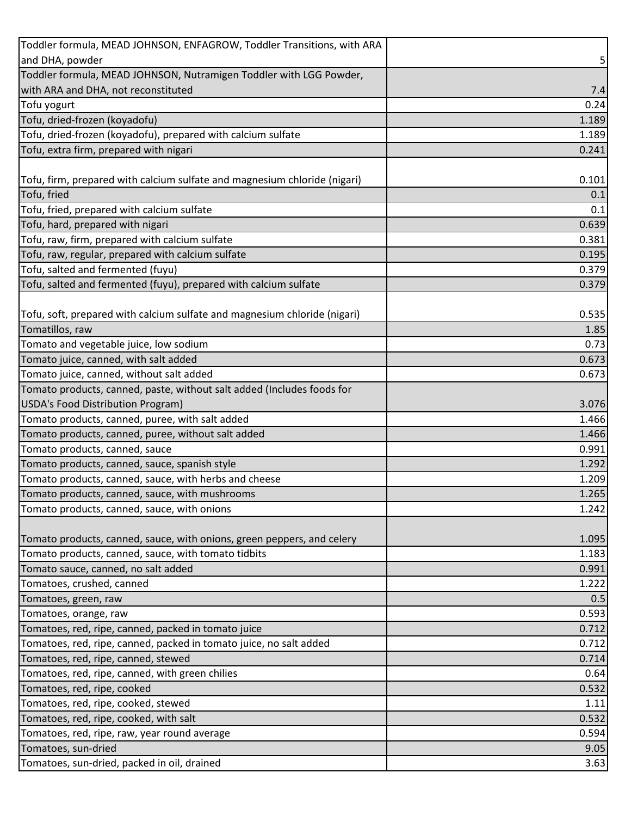| Toddler formula, MEAD JOHNSON, ENFAGROW, Toddler Transitions, with ARA                                      |                |
|-------------------------------------------------------------------------------------------------------------|----------------|
| and DHA, powder                                                                                             | 5              |
| Toddler formula, MEAD JOHNSON, Nutramigen Toddler with LGG Powder,                                          |                |
| with ARA and DHA, not reconstituted                                                                         | 7.4            |
| Tofu yogurt                                                                                                 | 0.24           |
| Tofu, dried-frozen (koyadofu)                                                                               | 1.189          |
| Tofu, dried-frozen (koyadofu), prepared with calcium sulfate                                                | 1.189          |
| Tofu, extra firm, prepared with nigari                                                                      | 0.241          |
|                                                                                                             |                |
| Tofu, firm, prepared with calcium sulfate and magnesium chloride (nigari)                                   | 0.101          |
| Tofu, fried                                                                                                 | 0.1            |
| Tofu, fried, prepared with calcium sulfate                                                                  | 0.1            |
| Tofu, hard, prepared with nigari                                                                            | 0.639          |
| Tofu, raw, firm, prepared with calcium sulfate                                                              | 0.381          |
| Tofu, raw, regular, prepared with calcium sulfate                                                           | 0.195          |
| Tofu, salted and fermented (fuyu)                                                                           | 0.379          |
| Tofu, salted and fermented (fuyu), prepared with calcium sulfate                                            | 0.379          |
|                                                                                                             |                |
| Tofu, soft, prepared with calcium sulfate and magnesium chloride (nigari)                                   | 0.535          |
| Tomatillos, raw                                                                                             | 1.85           |
| Tomato and vegetable juice, low sodium                                                                      | 0.73           |
| Tomato juice, canned, with salt added                                                                       | 0.673<br>0.673 |
| Tomato juice, canned, without salt added                                                                    |                |
| Tomato products, canned, paste, without salt added (Includes foods for<br>USDA's Food Distribution Program) | 3.076          |
| Tomato products, canned, puree, with salt added                                                             | 1.466          |
| Tomato products, canned, puree, without salt added                                                          | 1.466          |
| Tomato products, canned, sauce                                                                              | 0.991          |
| Tomato products, canned, sauce, spanish style                                                               | 1.292          |
| Tomato products, canned, sauce, with herbs and cheese                                                       | 1.209          |
| Tomato products, canned, sauce, with mushrooms                                                              | 1.265          |
| Tomato products, canned, sauce, with onions                                                                 | 1.242          |
|                                                                                                             |                |
| Tomato products, canned, sauce, with onions, green peppers, and celery                                      | 1.095          |
| Tomato products, canned, sauce, with tomato tidbits                                                         | 1.183          |
| Tomato sauce, canned, no salt added                                                                         | 0.991          |
| Tomatoes, crushed, canned                                                                                   | 1.222          |
| Tomatoes, green, raw                                                                                        | 0.5            |
| Tomatoes, orange, raw                                                                                       | 0.593          |
| Tomatoes, red, ripe, canned, packed in tomato juice                                                         | 0.712          |
| Tomatoes, red, ripe, canned, packed in tomato juice, no salt added                                          | 0.712          |
| Tomatoes, red, ripe, canned, stewed                                                                         | 0.714          |
| Tomatoes, red, ripe, canned, with green chilies                                                             | 0.64           |
| Tomatoes, red, ripe, cooked                                                                                 | 0.532          |
| Tomatoes, red, ripe, cooked, stewed                                                                         | 1.11           |
| Tomatoes, red, ripe, cooked, with salt                                                                      | 0.532          |
| Tomatoes, red, ripe, raw, year round average                                                                | 0.594          |
| Tomatoes, sun-dried                                                                                         | 9.05           |
| Tomatoes, sun-dried, packed in oil, drained                                                                 | 3.63           |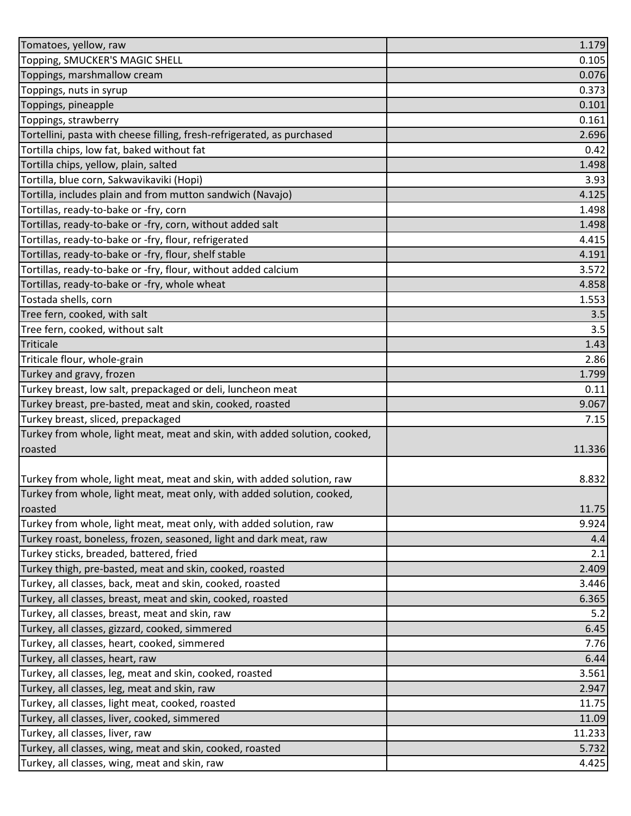| Tomatoes, yellow, raw                                                                                      | 1.179          |
|------------------------------------------------------------------------------------------------------------|----------------|
| Topping, SMUCKER'S MAGIC SHELL                                                                             | 0.105          |
| Toppings, marshmallow cream                                                                                | 0.076          |
| Toppings, nuts in syrup                                                                                    | 0.373          |
| Toppings, pineapple                                                                                        | 0.101          |
| Toppings, strawberry                                                                                       | 0.161          |
| Tortellini, pasta with cheese filling, fresh-refrigerated, as purchased                                    | 2.696          |
| Tortilla chips, low fat, baked without fat                                                                 | 0.42           |
| Tortilla chips, yellow, plain, salted                                                                      | 1.498          |
| Tortilla, blue corn, Sakwavikaviki (Hopi)                                                                  | 3.93           |
| Tortilla, includes plain and from mutton sandwich (Navajo)                                                 | 4.125          |
| Tortillas, ready-to-bake or -fry, corn                                                                     | 1.498          |
| Tortillas, ready-to-bake or -fry, corn, without added salt                                                 | 1.498          |
| Tortillas, ready-to-bake or -fry, flour, refrigerated                                                      | 4.415          |
| Tortillas, ready-to-bake or -fry, flour, shelf stable                                                      | 4.191          |
| Tortillas, ready-to-bake or -fry, flour, without added calcium                                             | 3.572          |
| Tortillas, ready-to-bake or -fry, whole wheat                                                              | 4.858          |
| Tostada shells, corn                                                                                       | 1.553          |
| Tree fern, cooked, with salt                                                                               | 3.5            |
| Tree fern, cooked, without salt                                                                            | 3.5            |
| Triticale                                                                                                  | 1.43           |
| Triticale flour, whole-grain                                                                               | 2.86           |
| Turkey and gravy, frozen                                                                                   | 1.799          |
| Turkey breast, low salt, prepackaged or deli, luncheon meat                                                | 0.11           |
| Turkey breast, pre-basted, meat and skin, cooked, roasted                                                  | 9.067          |
| Turkey breast, sliced, prepackaged                                                                         | 7.15           |
| Turkey from whole, light meat, meat and skin, with added solution, cooked,                                 |                |
| roasted                                                                                                    | 11.336         |
|                                                                                                            |                |
| Turkey from whole, light meat, meat and skin, with added solution, raw                                     | 8.832          |
| Turkey from whole, light meat, meat only, with added solution, cooked,                                     |                |
| roasted                                                                                                    | 11.75          |
| Turkey from whole, light meat, meat only, with added solution, raw                                         | 9.924          |
| Turkey roast, boneless, frozen, seasoned, light and dark meat, raw                                         | 4.4            |
| Turkey sticks, breaded, battered, fried                                                                    | 2.1            |
| Turkey thigh, pre-basted, meat and skin, cooked, roasted                                                   | 2.409          |
| Turkey, all classes, back, meat and skin, cooked, roasted                                                  | 3.446          |
| Turkey, all classes, breast, meat and skin, cooked, roasted                                                | 6.365          |
| Turkey, all classes, breast, meat and skin, raw                                                            | 5.2            |
| Turkey, all classes, gizzard, cooked, simmered                                                             | 6.45           |
| Turkey, all classes, heart, cooked, simmered                                                               | 7.76           |
| Turkey, all classes, heart, raw                                                                            | 6.44           |
| Turkey, all classes, leg, meat and skin, cooked, roasted                                                   | 3.561          |
| Turkey, all classes, leg, meat and skin, raw                                                               | 2.947          |
| Turkey, all classes, light meat, cooked, roasted                                                           | 11.75          |
| Turkey, all classes, liver, cooked, simmered                                                               | 11.09          |
|                                                                                                            |                |
| Turkey, all classes, liver, raw                                                                            | 11.233         |
| Turkey, all classes, wing, meat and skin, cooked, roasted<br>Turkey, all classes, wing, meat and skin, raw | 5.732<br>4.425 |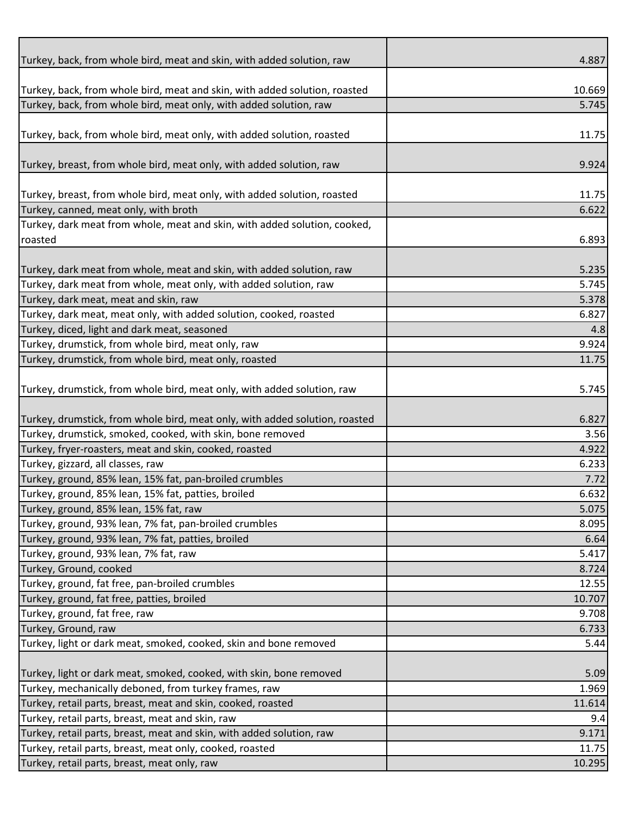|                                                                             | 4.887  |
|-----------------------------------------------------------------------------|--------|
| Turkey, back, from whole bird, meat and skin, with added solution, raw      |        |
| Turkey, back, from whole bird, meat and skin, with added solution, roasted  | 10.669 |
| Turkey, back, from whole bird, meat only, with added solution, raw          | 5.745  |
|                                                                             |        |
| Turkey, back, from whole bird, meat only, with added solution, roasted      | 11.75  |
|                                                                             |        |
| Turkey, breast, from whole bird, meat only, with added solution, raw        | 9.924  |
|                                                                             |        |
| Turkey, breast, from whole bird, meat only, with added solution, roasted    | 11.75  |
| Turkey, canned, meat only, with broth                                       | 6.622  |
| Turkey, dark meat from whole, meat and skin, with added solution, cooked,   |        |
| roasted                                                                     | 6.893  |
|                                                                             |        |
| Turkey, dark meat from whole, meat and skin, with added solution, raw       | 5.235  |
| Turkey, dark meat from whole, meat only, with added solution, raw           | 5.745  |
| Turkey, dark meat, meat and skin, raw                                       | 5.378  |
| Turkey, dark meat, meat only, with added solution, cooked, roasted          | 6.827  |
| Turkey, diced, light and dark meat, seasoned                                | 4.8    |
| Turkey, drumstick, from whole bird, meat only, raw                          | 9.924  |
| Turkey, drumstick, from whole bird, meat only, roasted                      | 11.75  |
| Turkey, drumstick, from whole bird, meat only, with added solution, raw     | 5.745  |
| Turkey, drumstick, from whole bird, meat only, with added solution, roasted | 6.827  |
| Turkey, drumstick, smoked, cooked, with skin, bone removed                  |        |
|                                                                             |        |
|                                                                             | 3.56   |
| Turkey, fryer-roasters, meat and skin, cooked, roasted                      | 4.922  |
| Turkey, gizzard, all classes, raw                                           | 6.233  |
| Turkey, ground, 85% lean, 15% fat, pan-broiled crumbles                     | 7.72   |
| Turkey, ground, 85% lean, 15% fat, patties, broiled                         | 6.632  |
| Turkey, ground, 85% lean, 15% fat, raw                                      | 5.075  |
| Turkey, ground, 93% lean, 7% fat, pan-broiled crumbles                      | 8.095  |
| Turkey, ground, 93% lean, 7% fat, patties, broiled                          | 6.64   |
| Turkey, ground, 93% lean, 7% fat, raw                                       | 5.417  |
| Turkey, Ground, cooked                                                      | 8.724  |
| Turkey, ground, fat free, pan-broiled crumbles                              | 12.55  |
| Turkey, ground, fat free, patties, broiled                                  | 10.707 |
| Turkey, ground, fat free, raw                                               | 9.708  |
| Turkey, Ground, raw                                                         | 6.733  |
| Turkey, light or dark meat, smoked, cooked, skin and bone removed           | 5.44   |
| Turkey, light or dark meat, smoked, cooked, with skin, bone removed         | 5.09   |
| Turkey, mechanically deboned, from turkey frames, raw                       | 1.969  |
| Turkey, retail parts, breast, meat and skin, cooked, roasted                | 11.614 |
| Turkey, retail parts, breast, meat and skin, raw                            | 9.4    |
| Turkey, retail parts, breast, meat and skin, with added solution, raw       | 9.171  |
| Turkey, retail parts, breast, meat only, cooked, roasted                    | 11.75  |
| Turkey, retail parts, breast, meat only, raw                                | 10.295 |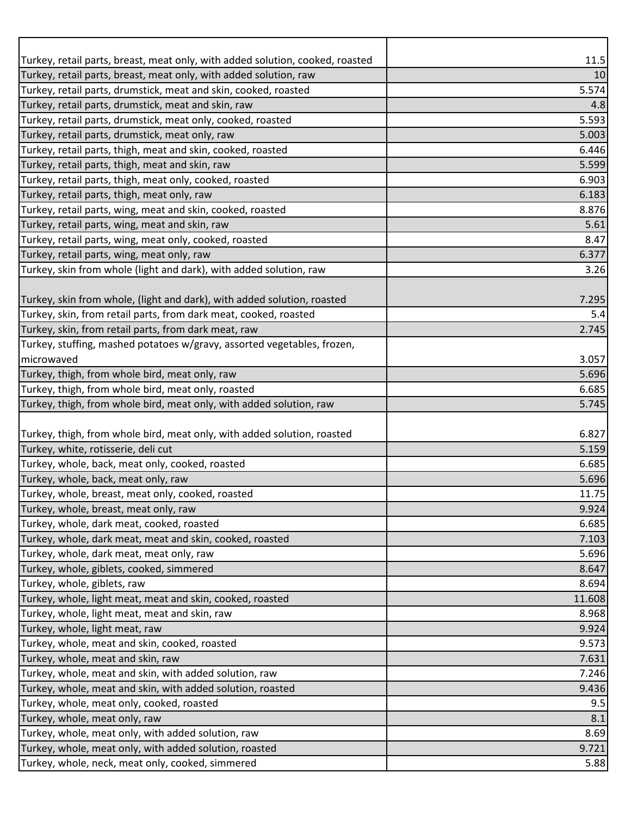| Turkey, retail parts, breast, meat only, with added solution, cooked, roasted                                      | 11.5         |
|--------------------------------------------------------------------------------------------------------------------|--------------|
| Turkey, retail parts, breast, meat only, with added solution, raw                                                  | 10           |
| Turkey, retail parts, drumstick, meat and skin, cooked, roasted                                                    | 5.574        |
| Turkey, retail parts, drumstick, meat and skin, raw<br>Turkey, retail parts, drumstick, meat only, cooked, roasted | 4.8<br>5.593 |
| Turkey, retail parts, drumstick, meat only, raw                                                                    | 5.003        |
| Turkey, retail parts, thigh, meat and skin, cooked, roasted                                                        | 6.446        |
| Turkey, retail parts, thigh, meat and skin, raw                                                                    | 5.599        |
| Turkey, retail parts, thigh, meat only, cooked, roasted                                                            | 6.903        |
| Turkey, retail parts, thigh, meat only, raw                                                                        | 6.183        |
| Turkey, retail parts, wing, meat and skin, cooked, roasted                                                         | 8.876        |
| Turkey, retail parts, wing, meat and skin, raw                                                                     | 5.61         |
| Turkey, retail parts, wing, meat only, cooked, roasted                                                             | 8.47         |
| Turkey, retail parts, wing, meat only, raw                                                                         | 6.377        |
| Turkey, skin from whole (light and dark), with added solution, raw                                                 | 3.26         |
|                                                                                                                    |              |
| Turkey, skin from whole, (light and dark), with added solution, roasted                                            | 7.295        |
| Turkey, skin, from retail parts, from dark meat, cooked, roasted                                                   | 5.4          |
| Turkey, skin, from retail parts, from dark meat, raw                                                               | 2.745        |
| Turkey, stuffing, mashed potatoes w/gravy, assorted vegetables, frozen,                                            |              |
| microwaved                                                                                                         | 3.057        |
| Turkey, thigh, from whole bird, meat only, raw                                                                     | 5.696        |
| Turkey, thigh, from whole bird, meat only, roasted                                                                 | 6.685        |
| Turkey, thigh, from whole bird, meat only, with added solution, raw                                                | 5.745        |
|                                                                                                                    |              |
| Turkey, thigh, from whole bird, meat only, with added solution, roasted                                            | 6.827        |
| Turkey, white, rotisserie, deli cut                                                                                | 5.159        |
| Turkey, whole, back, meat only, cooked, roasted                                                                    | 6.685        |
| Turkey, whole, back, meat only, raw                                                                                | 5.696        |
| Turkey, whole, breast, meat only, cooked, roasted                                                                  | 11.75        |
| Turkey, whole, breast, meat only, raw                                                                              | 9.924        |
| Turkey, whole, dark meat, cooked, roasted                                                                          | 6.685        |
| Turkey, whole, dark meat, meat and skin, cooked, roasted                                                           | 7.103        |
| Turkey, whole, dark meat, meat only, raw                                                                           | 5.696        |
| Turkey, whole, giblets, cooked, simmered                                                                           | 8.647        |
| Turkey, whole, giblets, raw                                                                                        | 8.694        |
| Turkey, whole, light meat, meat and skin, cooked, roasted                                                          | 11.608       |
| Turkey, whole, light meat, meat and skin, raw                                                                      | 8.968        |
| Turkey, whole, light meat, raw                                                                                     | 9.924        |
| Turkey, whole, meat and skin, cooked, roasted                                                                      | 9.573        |
| Turkey, whole, meat and skin, raw                                                                                  | 7.631        |
| Turkey, whole, meat and skin, with added solution, raw                                                             | 7.246        |
| Turkey, whole, meat and skin, with added solution, roasted                                                         | 9.436        |
| Turkey, whole, meat only, cooked, roasted                                                                          | 9.5          |
| Turkey, whole, meat only, raw                                                                                      | 8.1          |
| Turkey, whole, meat only, with added solution, raw                                                                 | 8.69         |
| Turkey, whole, meat only, with added solution, roasted                                                             | 9.721        |
| Turkey, whole, neck, meat only, cooked, simmered                                                                   | 5.88         |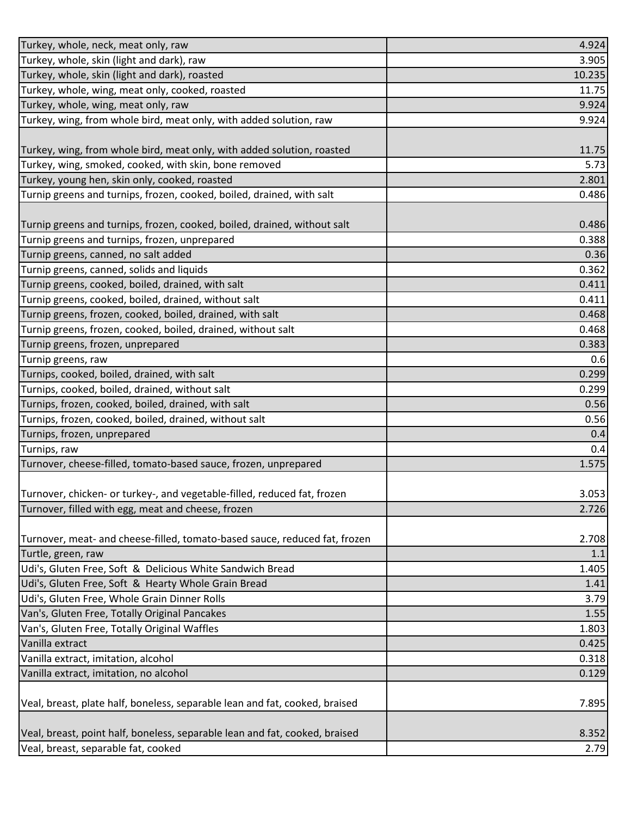| Turkey, whole, neck, meat only, raw                                         | 4.924  |
|-----------------------------------------------------------------------------|--------|
| Turkey, whole, skin (light and dark), raw                                   | 3.905  |
| Turkey, whole, skin (light and dark), roasted                               | 10.235 |
| Turkey, whole, wing, meat only, cooked, roasted                             | 11.75  |
| Turkey, whole, wing, meat only, raw                                         | 9.924  |
| Turkey, wing, from whole bird, meat only, with added solution, raw          | 9.924  |
|                                                                             |        |
| Turkey, wing, from whole bird, meat only, with added solution, roasted      | 11.75  |
| Turkey, wing, smoked, cooked, with skin, bone removed                       | 5.73   |
| Turkey, young hen, skin only, cooked, roasted                               | 2.801  |
| Turnip greens and turnips, frozen, cooked, boiled, drained, with salt       | 0.486  |
|                                                                             |        |
| Turnip greens and turnips, frozen, cooked, boiled, drained, without salt    | 0.486  |
| Turnip greens and turnips, frozen, unprepared                               | 0.388  |
| Turnip greens, canned, no salt added                                        | 0.36   |
| Turnip greens, canned, solids and liquids                                   | 0.362  |
| Turnip greens, cooked, boiled, drained, with salt                           | 0.411  |
| Turnip greens, cooked, boiled, drained, without salt                        | 0.411  |
| Turnip greens, frozen, cooked, boiled, drained, with salt                   | 0.468  |
| Turnip greens, frozen, cooked, boiled, drained, without salt                | 0.468  |
| Turnip greens, frozen, unprepared                                           | 0.383  |
| Turnip greens, raw                                                          | 0.6    |
| Turnips, cooked, boiled, drained, with salt                                 | 0.299  |
| Turnips, cooked, boiled, drained, without salt                              | 0.299  |
| Turnips, frozen, cooked, boiled, drained, with salt                         | 0.56   |
| Turnips, frozen, cooked, boiled, drained, without salt                      | 0.56   |
| Turnips, frozen, unprepared                                                 | 0.4    |
| Turnips, raw                                                                | 0.4    |
| Turnover, cheese-filled, tomato-based sauce, frozen, unprepared             | 1.575  |
|                                                                             |        |
| Turnover, chicken- or turkey-, and vegetable-filled, reduced fat, frozen    | 3.053  |
| Turnover, filled with egg, meat and cheese, frozen                          | 2.726  |
|                                                                             |        |
| Turnover, meat- and cheese-filled, tomato-based sauce, reduced fat, frozen  | 2.708  |
| Turtle, green, raw                                                          | 1.1    |
| Udi's, Gluten Free, Soft & Delicious White Sandwich Bread                   | 1.405  |
| Udi's, Gluten Free, Soft & Hearty Whole Grain Bread                         | 1.41   |
| Udi's, Gluten Free, Whole Grain Dinner Rolls                                | 3.79   |
| Van's, Gluten Free, Totally Original Pancakes                               | 1.55   |
| Van's, Gluten Free, Totally Original Waffles                                | 1.803  |
| Vanilla extract                                                             | 0.425  |
| Vanilla extract, imitation, alcohol                                         | 0.318  |
| Vanilla extract, imitation, no alcohol                                      | 0.129  |
|                                                                             |        |
| Veal, breast, plate half, boneless, separable lean and fat, cooked, braised | 7.895  |
|                                                                             |        |
| Veal, breast, point half, boneless, separable lean and fat, cooked, braised | 8.352  |
| Veal, breast, separable fat, cooked                                         | 2.79   |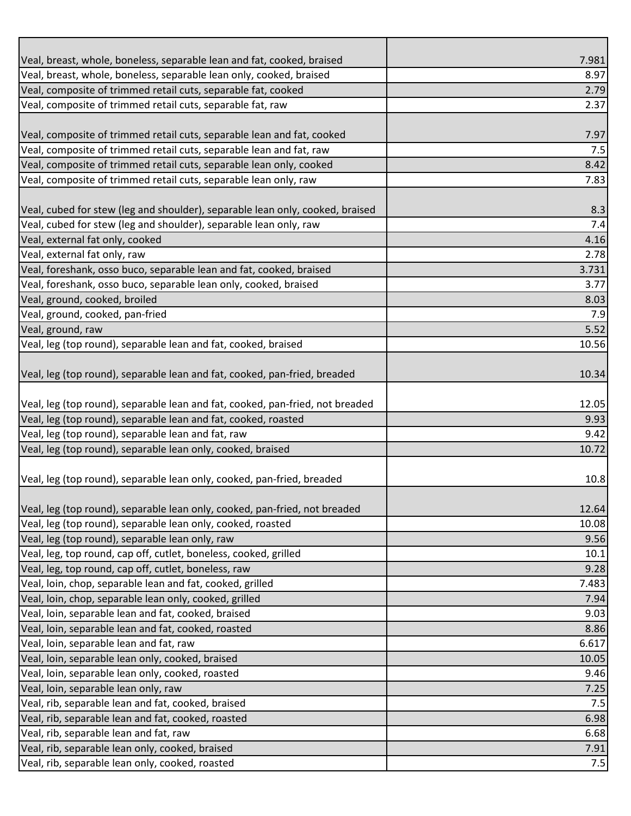| Veal, breast, whole, boneless, separable lean and fat, cooked, braised        | 7.981 |
|-------------------------------------------------------------------------------|-------|
| Veal, breast, whole, boneless, separable lean only, cooked, braised           | 8.97  |
| Veal, composite of trimmed retail cuts, separable fat, cooked                 | 2.79  |
| Veal, composite of trimmed retail cuts, separable fat, raw                    | 2.37  |
|                                                                               |       |
| Veal, composite of trimmed retail cuts, separable lean and fat, cooked        | 7.97  |
| Veal, composite of trimmed retail cuts, separable lean and fat, raw           | 7.5   |
| Veal, composite of trimmed retail cuts, separable lean only, cooked           | 8.42  |
| Veal, composite of trimmed retail cuts, separable lean only, raw              | 7.83  |
|                                                                               |       |
| Veal, cubed for stew (leg and shoulder), separable lean only, cooked, braised | 8.3   |
| Veal, cubed for stew (leg and shoulder), separable lean only, raw             | 7.4   |
| Veal, external fat only, cooked                                               | 4.16  |
| Veal, external fat only, raw                                                  | 2.78  |
| Veal, foreshank, osso buco, separable lean and fat, cooked, braised           | 3.731 |
| Veal, foreshank, osso buco, separable lean only, cooked, braised              | 3.77  |
| Veal, ground, cooked, broiled                                                 | 8.03  |
| Veal, ground, cooked, pan-fried                                               | 7.9   |
| Veal, ground, raw                                                             | 5.52  |
| Veal, leg (top round), separable lean and fat, cooked, braised                | 10.56 |
|                                                                               |       |
| Veal, leg (top round), separable lean and fat, cooked, pan-fried, breaded     | 10.34 |
|                                                                               |       |
| Veal, leg (top round), separable lean and fat, cooked, pan-fried, not breaded | 12.05 |
| Veal, leg (top round), separable lean and fat, cooked, roasted                | 9.93  |
| Veal, leg (top round), separable lean and fat, raw                            | 9.42  |
| Veal, leg (top round), separable lean only, cooked, braised                   | 10.72 |
|                                                                               |       |
| Veal, leg (top round), separable lean only, cooked, pan-fried, breaded        | 10.8  |
| Veal, leg (top round), separable lean only, cooked, pan-fried, not breaded    | 12.64 |
| Veal, leg (top round), separable lean only, cooked, roasted                   | 10.08 |
| Veal, leg (top round), separable lean only, raw                               | 9.56  |
| Veal, leg, top round, cap off, cutlet, boneless, cooked, grilled              | 10.1  |
| Veal, leg, top round, cap off, cutlet, boneless, raw                          | 9.28  |
| Veal, loin, chop, separable lean and fat, cooked, grilled                     | 7.483 |
| Veal, loin, chop, separable lean only, cooked, grilled                        | 7.94  |
| Veal, loin, separable lean and fat, cooked, braised                           | 9.03  |
| Veal, loin, separable lean and fat, cooked, roasted                           | 8.86  |
| Veal, loin, separable lean and fat, raw                                       | 6.617 |
| Veal, loin, separable lean only, cooked, braised                              | 10.05 |
| Veal, loin, separable lean only, cooked, roasted                              | 9.46  |
| Veal, loin, separable lean only, raw                                          | 7.25  |
| Veal, rib, separable lean and fat, cooked, braised                            | 7.5   |
| Veal, rib, separable lean and fat, cooked, roasted                            | 6.98  |
| Veal, rib, separable lean and fat, raw                                        | 6.68  |
| Veal, rib, separable lean only, cooked, braised                               | 7.91  |
| Veal, rib, separable lean only, cooked, roasted                               | 7.5   |
|                                                                               |       |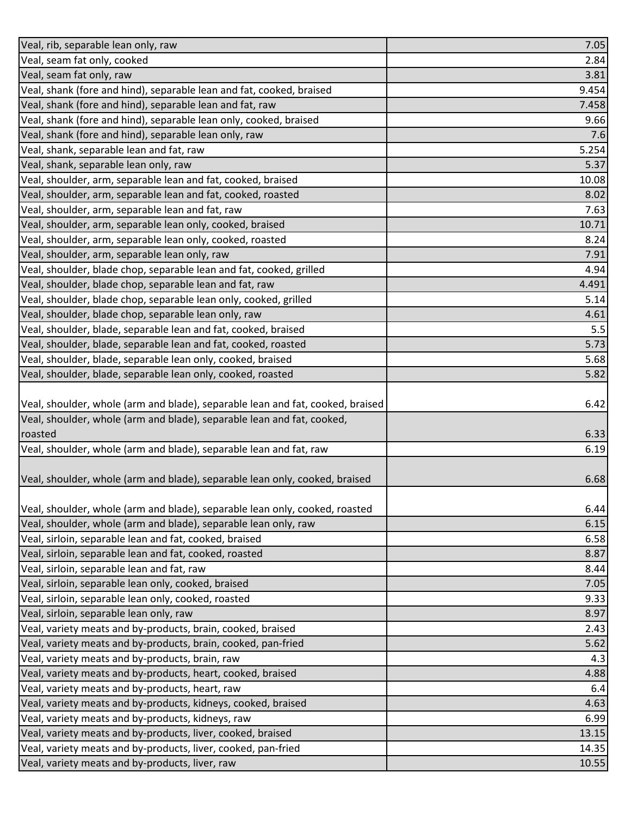| Veal, rib, separable lean only, raw                                            | 7.05  |
|--------------------------------------------------------------------------------|-------|
| Veal, seam fat only, cooked                                                    | 2.84  |
| Veal, seam fat only, raw                                                       | 3.81  |
| Veal, shank (fore and hind), separable lean and fat, cooked, braised           | 9.454 |
| Veal, shank (fore and hind), separable lean and fat, raw                       | 7.458 |
| Veal, shank (fore and hind), separable lean only, cooked, braised              | 9.66  |
| Veal, shank (fore and hind), separable lean only, raw                          | 7.6   |
| Veal, shank, separable lean and fat, raw                                       | 5.254 |
| Veal, shank, separable lean only, raw                                          | 5.37  |
| Veal, shoulder, arm, separable lean and fat, cooked, braised                   | 10.08 |
| Veal, shoulder, arm, separable lean and fat, cooked, roasted                   | 8.02  |
| Veal, shoulder, arm, separable lean and fat, raw                               | 7.63  |
| Veal, shoulder, arm, separable lean only, cooked, braised                      | 10.71 |
| Veal, shoulder, arm, separable lean only, cooked, roasted                      | 8.24  |
| Veal, shoulder, arm, separable lean only, raw                                  | 7.91  |
| Veal, shoulder, blade chop, separable lean and fat, cooked, grilled            | 4.94  |
| Veal, shoulder, blade chop, separable lean and fat, raw                        | 4.491 |
| Veal, shoulder, blade chop, separable lean only, cooked, grilled               | 5.14  |
| Veal, shoulder, blade chop, separable lean only, raw                           | 4.61  |
| Veal, shoulder, blade, separable lean and fat, cooked, braised                 | 5.5   |
| Veal, shoulder, blade, separable lean and fat, cooked, roasted                 | 5.73  |
| Veal, shoulder, blade, separable lean only, cooked, braised                    | 5.68  |
| Veal, shoulder, blade, separable lean only, cooked, roasted                    | 5.82  |
|                                                                                |       |
| Veal, shoulder, whole (arm and blade), separable lean and fat, cooked, braised | 6.42  |
| Veal, shoulder, whole (arm and blade), separable lean and fat, cooked,         |       |
| roasted                                                                        | 6.33  |
| Veal, shoulder, whole (arm and blade), separable lean and fat, raw             | 6.19  |
|                                                                                |       |
| Veal, shoulder, whole (arm and blade), separable lean only, cooked, braised    | 6.68  |
|                                                                                |       |
| Veal, shoulder, whole (arm and blade), separable lean only, cooked, roasted    | 6.44  |
| Veal, shoulder, whole (arm and blade), separable lean only, raw                | 6.15  |
| Veal, sirloin, separable lean and fat, cooked, braised                         | 6.58  |
| Veal, sirloin, separable lean and fat, cooked, roasted                         | 8.87  |
| Veal, sirloin, separable lean and fat, raw                                     | 8.44  |
| Veal, sirloin, separable lean only, cooked, braised                            | 7.05  |
| Veal, sirloin, separable lean only, cooked, roasted                            | 9.33  |
| Veal, sirloin, separable lean only, raw                                        | 8.97  |
| Veal, variety meats and by-products, brain, cooked, braised                    | 2.43  |
| Veal, variety meats and by-products, brain, cooked, pan-fried                  | 5.62  |
| Veal, variety meats and by-products, brain, raw                                | 4.3   |
| Veal, variety meats and by-products, heart, cooked, braised                    | 4.88  |
| Veal, variety meats and by-products, heart, raw                                | 6.4   |
| Veal, variety meats and by-products, kidneys, cooked, braised                  | 4.63  |
| Veal, variety meats and by-products, kidneys, raw                              | 6.99  |
| Veal, variety meats and by-products, liver, cooked, braised                    | 13.15 |
| Veal, variety meats and by-products, liver, cooked, pan-fried                  | 14.35 |
| Veal, variety meats and by-products, liver, raw                                | 10.55 |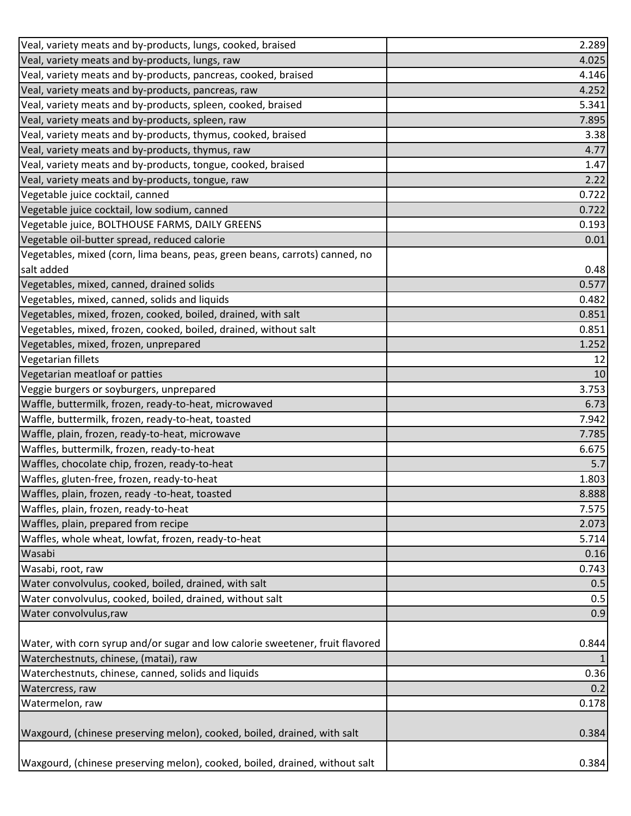| Veal, variety meats and by-products, lungs, cooked, braised                   | 2.289 |
|-------------------------------------------------------------------------------|-------|
| Veal, variety meats and by-products, lungs, raw                               | 4.025 |
| Veal, variety meats and by-products, pancreas, cooked, braised                | 4.146 |
| Veal, variety meats and by-products, pancreas, raw                            | 4.252 |
| Veal, variety meats and by-products, spleen, cooked, braised                  | 5.341 |
| Veal, variety meats and by-products, spleen, raw                              | 7.895 |
| Veal, variety meats and by-products, thymus, cooked, braised                  | 3.38  |
| Veal, variety meats and by-products, thymus, raw                              | 4.77  |
| Veal, variety meats and by-products, tongue, cooked, braised                  | 1.47  |
| Veal, variety meats and by-products, tongue, raw                              | 2.22  |
| Vegetable juice cocktail, canned                                              | 0.722 |
| Vegetable juice cocktail, low sodium, canned                                  | 0.722 |
| Vegetable juice, BOLTHOUSE FARMS, DAILY GREENS                                | 0.193 |
| Vegetable oil-butter spread, reduced calorie                                  | 0.01  |
| Vegetables, mixed (corn, lima beans, peas, green beans, carrots) canned, no   |       |
| salt added                                                                    | 0.48  |
| Vegetables, mixed, canned, drained solids                                     | 0.577 |
| Vegetables, mixed, canned, solids and liquids                                 | 0.482 |
| Vegetables, mixed, frozen, cooked, boiled, drained, with salt                 | 0.851 |
| Vegetables, mixed, frozen, cooked, boiled, drained, without salt              | 0.851 |
| Vegetables, mixed, frozen, unprepared                                         | 1.252 |
| Vegetarian fillets                                                            | 12    |
| Vegetarian meatloaf or patties                                                | 10    |
| Veggie burgers or soyburgers, unprepared                                      | 3.753 |
| Waffle, buttermilk, frozen, ready-to-heat, microwaved                         | 6.73  |
| Waffle, buttermilk, frozen, ready-to-heat, toasted                            | 7.942 |
| Waffle, plain, frozen, ready-to-heat, microwave                               | 7.785 |
| Waffles, buttermilk, frozen, ready-to-heat                                    | 6.675 |
| Waffles, chocolate chip, frozen, ready-to-heat                                | 5.7   |
| Waffles, gluten-free, frozen, ready-to-heat                                   | 1.803 |
| Waffles, plain, frozen, ready -to-heat, toasted                               | 8.888 |
| Waffles, plain, frozen, ready-to-heat                                         | 7.575 |
| Waffles, plain, prepared from recipe                                          | 2.073 |
| Waffles, whole wheat, lowfat, frozen, ready-to-heat                           | 5.714 |
| Wasabi                                                                        | 0.16  |
| Wasabi, root, raw                                                             | 0.743 |
| Water convolvulus, cooked, boiled, drained, with salt                         | 0.5   |
| Water convolvulus, cooked, boiled, drained, without salt                      | 0.5   |
| Water convolvulus, raw                                                        | 0.9   |
|                                                                               |       |
| Water, with corn syrup and/or sugar and low calorie sweetener, fruit flavored | 0.844 |
| Waterchestnuts, chinese, (matai), raw                                         |       |
| Waterchestnuts, chinese, canned, solids and liquids                           | 0.36  |
| Watercress, raw                                                               | 0.2   |
| Watermelon, raw                                                               | 0.178 |
| Waxgourd, (chinese preserving melon), cooked, boiled, drained, with salt      | 0.384 |
| Waxgourd, (chinese preserving melon), cooked, boiled, drained, without salt   | 0.384 |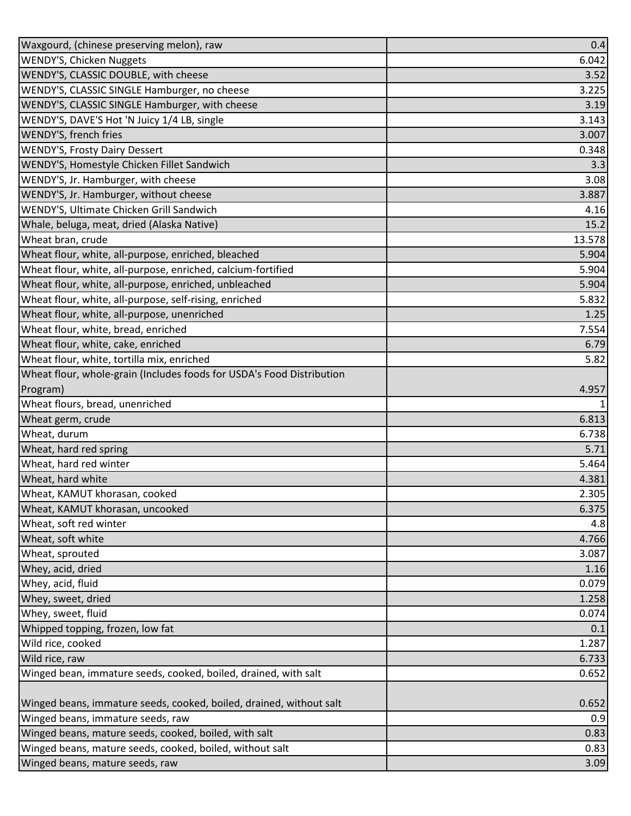| Waxgourd, (chinese preserving melon), raw                             | 0.4            |
|-----------------------------------------------------------------------|----------------|
| <b>WENDY'S, Chicken Nuggets</b>                                       | 6.042          |
| WENDY'S, CLASSIC DOUBLE, with cheese                                  | 3.52           |
| WENDY'S, CLASSIC SINGLE Hamburger, no cheese                          | 3.225          |
| WENDY'S, CLASSIC SINGLE Hamburger, with cheese                        | 3.19           |
| WENDY'S, DAVE'S Hot 'N Juicy 1/4 LB, single                           | 3.143          |
| WENDY'S, french fries                                                 | 3.007          |
| <b>WENDY'S, Frosty Dairy Dessert</b>                                  | 0.348          |
| WENDY'S, Homestyle Chicken Fillet Sandwich                            | 3.3            |
| WENDY'S, Jr. Hamburger, with cheese                                   | 3.08           |
| WENDY'S, Jr. Hamburger, without cheese                                | 3.887          |
| WENDY'S, Ultimate Chicken Grill Sandwich                              | 4.16           |
| Whale, beluga, meat, dried (Alaska Native)                            | 15.2           |
| Wheat bran, crude                                                     | 13.578         |
| Wheat flour, white, all-purpose, enriched, bleached                   | 5.904          |
| Wheat flour, white, all-purpose, enriched, calcium-fortified          | 5.904          |
| Wheat flour, white, all-purpose, enriched, unbleached                 | 5.904          |
| Wheat flour, white, all-purpose, self-rising, enriched                | 5.832          |
| Wheat flour, white, all-purpose, unenriched                           | 1.25           |
| Wheat flour, white, bread, enriched                                   | 7.554          |
| Wheat flour, white, cake, enriched                                    | 6.79           |
| Wheat flour, white, tortilla mix, enriched                            | 5.82           |
| Wheat flour, whole-grain (Includes foods for USDA's Food Distribution |                |
| Program)                                                              | 4.957          |
| Wheat flours, bread, unenriched                                       |                |
| Wheat germ, crude                                                     | 6.813          |
| Wheat, durum                                                          | 6.738          |
| Wheat, hard red spring                                                | 5.71           |
| Wheat, hard red winter                                                | 5.464          |
| Wheat, hard white                                                     | 4.381          |
| Wheat, KAMUT khorasan, cooked                                         | 2.305          |
| Wheat, KAMUT khorasan, uncooked<br>Wheat, soft red winter             | 6.375          |
|                                                                       | 4.8            |
| Wheat, soft white<br>Wheat, sprouted                                  | 4.766<br>3.087 |
| Whey, acid, dried                                                     | 1.16           |
| Whey, acid, fluid                                                     | 0.079          |
| Whey, sweet, dried                                                    | 1.258          |
| Whey, sweet, fluid                                                    | 0.074          |
| Whipped topping, frozen, low fat                                      | 0.1            |
| Wild rice, cooked                                                     | 1.287          |
| Wild rice, raw                                                        | 6.733          |
| Winged bean, immature seeds, cooked, boiled, drained, with salt       | 0.652          |
|                                                                       |                |
| Winged beans, immature seeds, cooked, boiled, drained, without salt   | 0.652          |
| Winged beans, immature seeds, raw                                     | 0.9            |
| Winged beans, mature seeds, cooked, boiled, with salt                 | 0.83           |
| Winged beans, mature seeds, cooked, boiled, without salt              | 0.83           |
| Winged beans, mature seeds, raw                                       | 3.09           |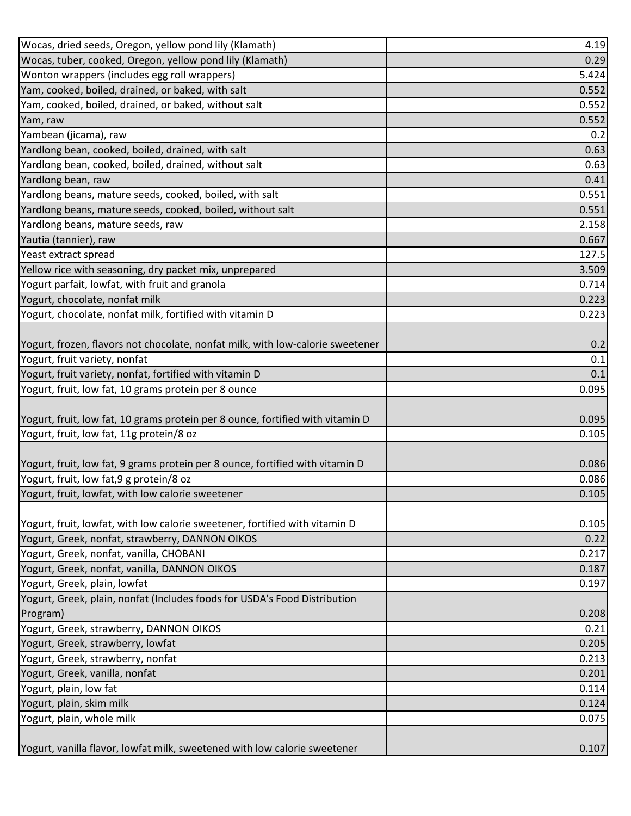| Wocas, dried seeds, Oregon, yellow pond lily (Klamath)                         | 4.19  |
|--------------------------------------------------------------------------------|-------|
| Wocas, tuber, cooked, Oregon, yellow pond lily (Klamath)                       | 0.29  |
| Wonton wrappers (includes egg roll wrappers)                                   | 5.424 |
| Yam, cooked, boiled, drained, or baked, with salt                              | 0.552 |
| Yam, cooked, boiled, drained, or baked, without salt                           | 0.552 |
| Yam, raw                                                                       | 0.552 |
| Yambean (jicama), raw                                                          | 0.2   |
| Yardlong bean, cooked, boiled, drained, with salt                              | 0.63  |
| Yardlong bean, cooked, boiled, drained, without salt                           | 0.63  |
| Yardlong bean, raw                                                             | 0.41  |
| Yardlong beans, mature seeds, cooked, boiled, with salt                        | 0.551 |
| Yardlong beans, mature seeds, cooked, boiled, without salt                     | 0.551 |
| Yardlong beans, mature seeds, raw                                              | 2.158 |
| Yautia (tannier), raw                                                          | 0.667 |
| Yeast extract spread                                                           | 127.5 |
| Yellow rice with seasoning, dry packet mix, unprepared                         | 3.509 |
| Yogurt parfait, lowfat, with fruit and granola                                 | 0.714 |
| Yogurt, chocolate, nonfat milk                                                 | 0.223 |
| Yogurt, chocolate, nonfat milk, fortified with vitamin D                       | 0.223 |
|                                                                                |       |
| Yogurt, frozen, flavors not chocolate, nonfat milk, with low-calorie sweetener | 0.2   |
| Yogurt, fruit variety, nonfat                                                  | 0.1   |
| Yogurt, fruit variety, nonfat, fortified with vitamin D                        | 0.1   |
| Yogurt, fruit, low fat, 10 grams protein per 8 ounce                           | 0.095 |
|                                                                                |       |
| Yogurt, fruit, low fat, 10 grams protein per 8 ounce, fortified with vitamin D | 0.095 |
| Yogurt, fruit, low fat, 11g protein/8 oz                                       | 0.105 |
|                                                                                |       |
| Yogurt, fruit, low fat, 9 grams protein per 8 ounce, fortified with vitamin D  | 0.086 |
| Yogurt, fruit, low fat, 9 g protein/8 oz                                       | 0.086 |
| Yogurt, fruit, lowfat, with low calorie sweetener                              | 0.105 |
|                                                                                |       |
| Yogurt, fruit, lowfat, with low calorie sweetener, fortified with vitamin D    | 0.105 |
| Yogurt, Greek, nonfat, strawberry, DANNON OIKOS                                | 0.22  |
| Yogurt, Greek, nonfat, vanilla, CHOBANI                                        | 0.217 |
| Yogurt, Greek, nonfat, vanilla, DANNON OIKOS                                   | 0.187 |
| Yogurt, Greek, plain, lowfat                                                   | 0.197 |
| Yogurt, Greek, plain, nonfat (Includes foods for USDA's Food Distribution      |       |
| Program)                                                                       | 0.208 |
| Yogurt, Greek, strawberry, DANNON OIKOS                                        | 0.21  |
| Yogurt, Greek, strawberry, lowfat                                              | 0.205 |
| Yogurt, Greek, strawberry, nonfat                                              | 0.213 |
| Yogurt, Greek, vanilla, nonfat                                                 | 0.201 |
| Yogurt, plain, low fat                                                         | 0.114 |
| Yogurt, plain, skim milk                                                       | 0.124 |
| Yogurt, plain, whole milk                                                      | 0.075 |
|                                                                                |       |
| Yogurt, vanilla flavor, lowfat milk, sweetened with low calorie sweetener      | 0.107 |